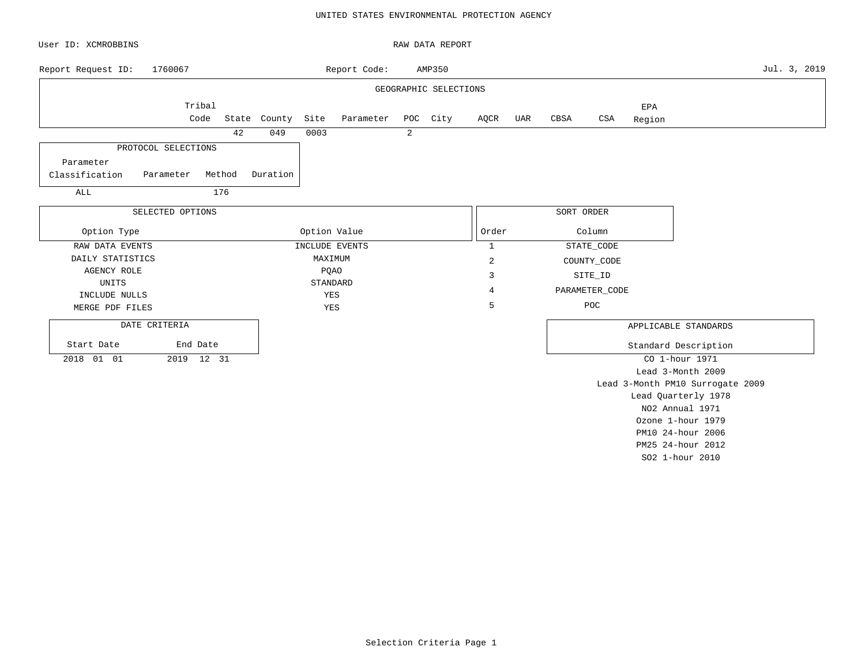### UNITED STATES ENVIRONMENTAL PROTECTION AGENCY

| User ID: XCMROBBINS                      |                  |        |              |      |                |                | RAW DATA REPORT       |                |     |            |                |                      |                                  |              |
|------------------------------------------|------------------|--------|--------------|------|----------------|----------------|-----------------------|----------------|-----|------------|----------------|----------------------|----------------------------------|--------------|
| Report Request ID:                       | 1760067          |        |              |      | Report Code:   |                | AMP350                |                |     |            |                |                      |                                  | Jul. 3, 2019 |
|                                          |                  |        |              |      |                |                | GEOGRAPHIC SELECTIONS |                |     |            |                |                      |                                  |              |
|                                          | Tribal<br>Code   |        | State County | Site | Parameter      |                | POC City              | AQCR           | UAR | CBSA       | CSA            | EPA<br>Region        |                                  |              |
|                                          |                  | 42     | 049          | 0003 |                | $\overline{a}$ |                       |                |     |            |                |                      |                                  |              |
| PROTOCOL SELECTIONS                      |                  |        |              |      |                |                |                       |                |     |            |                |                      |                                  |              |
| Parameter<br>Classification<br>Parameter |                  | Method | Duration     |      |                |                |                       |                |     |            |                |                      |                                  |              |
| ALL                                      |                  | 176    |              |      |                |                |                       |                |     |            |                |                      |                                  |              |
|                                          | SELECTED OPTIONS |        |              |      |                |                |                       |                |     | SORT ORDER |                |                      |                                  |              |
| Option Type                              |                  |        |              |      | Option Value   |                |                       | Order          |     |            | Column         |                      |                                  |              |
| RAW DATA EVENTS                          |                  |        |              |      | INCLUDE EVENTS |                |                       | $\mathbf{1}$   |     |            | STATE_CODE     |                      |                                  |              |
| DAILY STATISTICS                         |                  |        |              |      | MAXIMUM        |                |                       | $\overline{2}$ |     |            | COUNTY_CODE    |                      |                                  |              |
| <b>AGENCY ROLE</b>                       |                  |        |              |      | PQAO           |                |                       | 3              |     |            | SITE_ID        |                      |                                  |              |
| UNITS                                    |                  |        |              |      | STANDARD       |                |                       |                |     |            |                |                      |                                  |              |
| INCLUDE NULLS                            |                  |        |              |      | YES            |                |                       | $\overline{4}$ |     |            | PARAMETER_CODE |                      |                                  |              |
| MERGE PDF FILES                          |                  |        |              |      | YES            |                |                       | 5              |     |            | POC            |                      |                                  |              |
| DATE CRITERIA                            |                  |        |              |      |                |                |                       |                |     |            |                | APPLICABLE STANDARDS |                                  |              |
| Start Date                               | End Date         |        |              |      |                |                |                       |                |     |            |                | Standard Description |                                  |              |
| 2018 01 01                               | 2019 12 31       |        |              |      |                |                |                       |                |     |            |                | CO 1-hour 1971       |                                  |              |
|                                          |                  |        |              |      |                |                |                       |                |     |            |                |                      | Lead 3-Month 2009                |              |
|                                          |                  |        |              |      |                |                |                       |                |     |            |                |                      | Lead 3-Month PM10 Surrogate 2009 |              |
|                                          |                  |        |              |      |                |                |                       |                |     |            |                | Lead Quarterly 1978  |                                  |              |
|                                          |                  |        |              |      |                |                |                       |                |     |            |                | NO2 Annual 1971      |                                  |              |
|                                          |                  |        |              |      |                |                |                       |                |     |            |                |                      | Ozone 1-hour 1979                |              |

Selection Criteria Page 1

PM10 24-hour 2006 PM25 24-hour 2012 SO2 1-hour 2010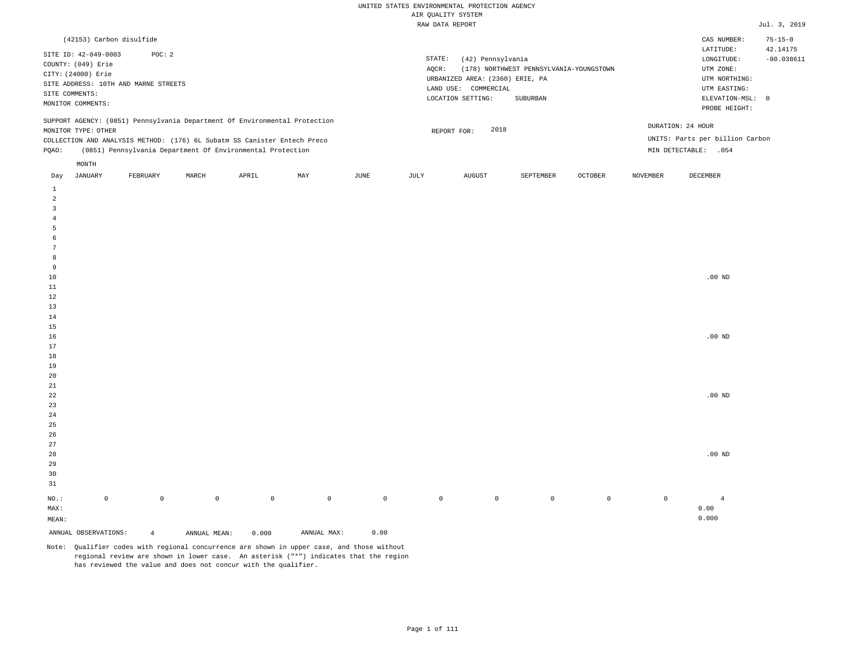| (42153) Carbon disulfide                                                                                                                                                                                                                                      |                                                                                                                                                                             | $75 - 15 - 0$<br>CAS NUMBER:                                                                                                           |
|---------------------------------------------------------------------------------------------------------------------------------------------------------------------------------------------------------------------------------------------------------------|-----------------------------------------------------------------------------------------------------------------------------------------------------------------------------|----------------------------------------------------------------------------------------------------------------------------------------|
| SITE ID: 42-049-0003<br>POC: 2<br>COUNTY: (049) Erie<br>CITY: (24000) Erie<br>SITE ADDRESS: 10TH AND MARNE STREETS<br>SITE COMMENTS:<br>MONITOR COMMENTS:                                                                                                     | STATE:<br>(42) Pennsylvania<br>(178) NORTHWEST PENNSYLVANIA-YOUNGSTOWN<br>AOCR:<br>URBANIZED AREA: (2360) ERIE, PA<br>LAND USE: COMMERCIAL<br>LOCATION SETTING:<br>SUBURBAN | 42.14175<br>LATITUDE:<br>$-80.038611$<br>LONGITUDE:<br>UTM ZONE:<br>UTM NORTHING:<br>UTM EASTING:<br>ELEVATION-MSL: 0<br>PROBE HEIGHT: |
| SUPPORT AGENCY: (0851) Pennsylvania Department Of Environmental Protection<br>MONITOR TYPE: OTHER<br>COLLECTION AND ANALYSIS METHOD: (176) 6L Subatm SS Canister Entech Preco<br>(0851) Pennsylvania Department Of Environmental Protection<br>POAO:<br>MONTH | 2018<br>REPORT FOR:                                                                                                                                                         | DURATION: 24 HOUR<br>UNITS: Parts per billion Carbon<br>MIN DETECTABLE:<br>.054                                                        |
|                                                                                                                                                                                                                                                               |                                                                                                                                                                             |                                                                                                                                        |

| Day                     | JANUARY              | FEBRUARY       | MARCH        | APRIL       | MAY                                 | JUNE        | JULY        | AUGUST      | SEPTEMBER   | OCTOBER     | NOVEMBER    | DECEMBER       |
|-------------------------|----------------------|----------------|--------------|-------------|-------------------------------------|-------------|-------------|-------------|-------------|-------------|-------------|----------------|
| $\mathbf{1}$            |                      |                |              |             |                                     |             |             |             |             |             |             |                |
| $\overline{a}$          |                      |                |              |             |                                     |             |             |             |             |             |             |                |
| $\overline{\mathbf{3}}$ |                      |                |              |             |                                     |             |             |             |             |             |             |                |
| $\overline{4}$          |                      |                |              |             |                                     |             |             |             |             |             |             |                |
| 5                       |                      |                |              |             |                                     |             |             |             |             |             |             |                |
| 6                       |                      |                |              |             |                                     |             |             |             |             |             |             |                |
| $7\phantom{.0}$         |                      |                |              |             |                                     |             |             |             |             |             |             |                |
| 8                       |                      |                |              |             |                                     |             |             |             |             |             |             |                |
| 9                       |                      |                |              |             |                                     |             |             |             |             |             |             |                |
| $10$                    |                      |                |              |             |                                     |             |             |             |             |             |             | .00 $ND$       |
| $11\,$                  |                      |                |              |             |                                     |             |             |             |             |             |             |                |
| 12                      |                      |                |              |             |                                     |             |             |             |             |             |             |                |
| 13                      |                      |                |              |             |                                     |             |             |             |             |             |             |                |
| $14\,$                  |                      |                |              |             |                                     |             |             |             |             |             |             |                |
| 15                      |                      |                |              |             |                                     |             |             |             |             |             |             |                |
| $16$                    |                      |                |              |             |                                     |             |             |             |             |             |             | $.00{\rm ~ND}$ |
| 17                      |                      |                |              |             |                                     |             |             |             |             |             |             |                |
| 18                      |                      |                |              |             |                                     |             |             |             |             |             |             |                |
| 19                      |                      |                |              |             |                                     |             |             |             |             |             |             |                |
| $20\,$                  |                      |                |              |             |                                     |             |             |             |             |             |             |                |
| $21\,$                  |                      |                |              |             |                                     |             |             |             |             |             |             |                |
| $^{\rm 22}$             |                      |                |              |             |                                     |             |             |             |             |             |             | .00 $ND$       |
| $23\,$                  |                      |                |              |             |                                     |             |             |             |             |             |             |                |
| $2\sqrt{4}$             |                      |                |              |             |                                     |             |             |             |             |             |             |                |
| $25\,$                  |                      |                |              |             |                                     |             |             |             |             |             |             |                |
| 26                      |                      |                |              |             |                                     |             |             |             |             |             |             |                |
| $27\,$                  |                      |                |              |             |                                     |             |             |             |             |             |             |                |
| 28                      |                      |                |              |             |                                     |             |             |             |             |             |             | .00 $ND$       |
| 29                      |                      |                |              |             |                                     |             |             |             |             |             |             |                |
| 30                      |                      |                |              |             |                                     |             |             |             |             |             |             |                |
| 31                      |                      |                |              |             |                                     |             |             |             |             |             |             |                |
| $_{\rm NO.}$ :          | $\mathbb O$          | $\mathbb O$    | $\mathbb O$  | $\mathbb O$ | $\mathbb O$                         | $\mathbb O$ | $\mathbb O$ | $\mathbb O$ | $\mathsf 0$ | $\mathbb O$ | $\mathbb O$ | $\overline{4}$ |
| MAX:                    |                      |                |              |             |                                     |             |             |             |             |             |             | 0.00           |
| MEAN:                   |                      |                |              |             |                                     |             |             |             |             |             |             | 0.000          |
|                         | ANNUAL OBSERVATIONS: | $\overline{4}$ | ANNUAL MEAN: | 0.000       | $\texttt{ANNUAL} \ \ \texttt{MAX:}$ | 0.00        |             |             |             |             |             |                |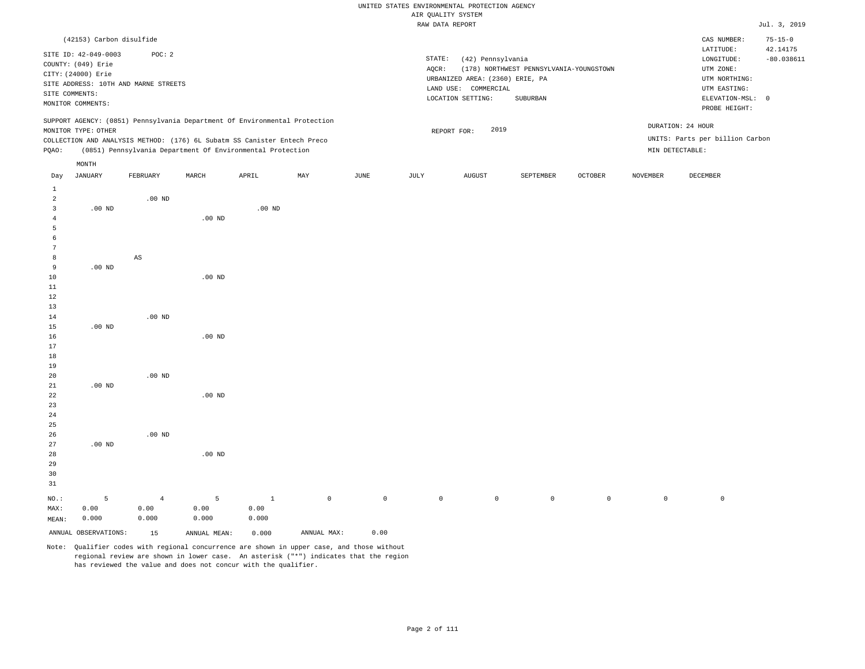|                |                          |                                      |          |                                                                            |     |      |        | urir Kountri oroieu             |                                         |         |          |                                 |               |
|----------------|--------------------------|--------------------------------------|----------|----------------------------------------------------------------------------|-----|------|--------|---------------------------------|-----------------------------------------|---------|----------|---------------------------------|---------------|
|                |                          |                                      |          |                                                                            |     |      |        | RAW DATA REPORT                 |                                         |         |          |                                 | Jul. 3, 2019  |
|                | (42153) Carbon disulfide |                                      |          |                                                                            |     |      |        |                                 |                                         |         |          | CAS NUMBER:                     | $75 - 15 - 0$ |
|                | SITE ID: 42-049-0003     | POC: 2                               |          |                                                                            |     |      |        |                                 |                                         |         |          | LATITUDE:                       | 42.14175      |
|                | COUNTY: (049) Erie       |                                      |          |                                                                            |     |      | STATE: | (42) Pennsylvania               |                                         |         |          | LONGITUDE:                      | $-80.038611$  |
|                | CITY: (24000) Erie       |                                      |          |                                                                            |     |      | AQCR:  |                                 | (178) NORTHWEST PENNSYLVANIA-YOUNGSTOWN |         |          | UTM ZONE:                       |               |
|                |                          | SITE ADDRESS: 10TH AND MARNE STREETS |          |                                                                            |     |      |        | URBANIZED AREA: (2360) ERIE, PA |                                         |         |          | UTM NORTHING:                   |               |
|                | SITE COMMENTS:           |                                      |          |                                                                            |     |      |        | LAND USE: COMMERCIAL            |                                         |         |          | UTM EASTING:                    |               |
|                | MONITOR COMMENTS:        |                                      |          |                                                                            |     |      |        | LOCATION SETTING:               | SUBURBAN                                |         |          | ELEVATION-MSL: 0                |               |
|                |                          |                                      |          |                                                                            |     |      |        |                                 |                                         |         |          | PROBE HEIGHT:                   |               |
|                |                          |                                      |          | SUPPORT AGENCY: (0851) Pennsylvania Department Of Environmental Protection |     |      |        |                                 |                                         |         |          |                                 |               |
|                | MONITOR TYPE: OTHER      |                                      |          |                                                                            |     |      |        | 2019<br>REPORT FOR:             |                                         |         |          | DURATION: 24 HOUR               |               |
|                |                          |                                      |          | COLLECTION AND ANALYSIS METHOD: (176) 6L Subatm SS Canister Entech Preco   |     |      |        |                                 |                                         |         |          | UNITS: Parts per billion Carbon |               |
| POAO:          |                          |                                      |          | (0851) Pennsylvania Department Of Environmental Protection                 |     |      |        |                                 |                                         |         |          | MIN DETECTABLE:                 |               |
|                | MONTH                    |                                      |          |                                                                            |     |      |        |                                 |                                         |         |          |                                 |               |
| Day            | JANUARY                  | FEBRUARY                             | MARCH    | APRIL                                                                      | MAY | JUNE | JULY   | AUGUST                          | SEPTEMBER                               | OCTOBER | NOVEMBER | DECEMBER                        |               |
| 1              |                          |                                      |          |                                                                            |     |      |        |                                 |                                         |         |          |                                 |               |
| 2              |                          | $.00$ ND                             |          |                                                                            |     |      |        |                                 |                                         |         |          |                                 |               |
| 3              | $.00$ ND                 |                                      |          | $.00$ ND                                                                   |     |      |        |                                 |                                         |         |          |                                 |               |
| $\overline{4}$ |                          |                                      | $.00$ ND |                                                                            |     |      |        |                                 |                                         |         |          |                                 |               |
| 5              |                          |                                      |          |                                                                            |     |      |        |                                 |                                         |         |          |                                 |               |
| 6              |                          |                                      |          |                                                                            |     |      |        |                                 |                                         |         |          |                                 |               |
| 7              |                          |                                      |          |                                                                            |     |      |        |                                 |                                         |         |          |                                 |               |
| 8              |                          | $_{\rm AS}$                          |          |                                                                            |     |      |        |                                 |                                         |         |          |                                 |               |
| 9              | $.00$ ND                 |                                      |          |                                                                            |     |      |        |                                 |                                         |         |          |                                 |               |
| 10             |                          |                                      | $.00$ ND |                                                                            |     |      |        |                                 |                                         |         |          |                                 |               |
| 11             |                          |                                      |          |                                                                            |     |      |        |                                 |                                         |         |          |                                 |               |
| $1\,2$         |                          |                                      |          |                                                                            |     |      |        |                                 |                                         |         |          |                                 |               |
| 13             |                          |                                      |          |                                                                            |     |      |        |                                 |                                         |         |          |                                 |               |
| 14             |                          | $.00$ ND                             |          |                                                                            |     |      |        |                                 |                                         |         |          |                                 |               |
| 15             | $.00$ ND                 |                                      |          |                                                                            |     |      |        |                                 |                                         |         |          |                                 |               |
| 16             |                          |                                      | $.00$ ND |                                                                            |     |      |        |                                 |                                         |         |          |                                 |               |
| 17             |                          |                                      |          |                                                                            |     |      |        |                                 |                                         |         |          |                                 |               |
| 18             |                          |                                      |          |                                                                            |     |      |        |                                 |                                         |         |          |                                 |               |
| 19             |                          |                                      |          |                                                                            |     |      |        |                                 |                                         |         |          |                                 |               |
| 20             |                          | $.00$ ND                             |          |                                                                            |     |      |        |                                 |                                         |         |          |                                 |               |
| 21             | $.00$ ND                 |                                      |          |                                                                            |     |      |        |                                 |                                         |         |          |                                 |               |

| 27    | $.00$ ND             |                |              |       |             |                |            |            |         |            |            |   |
|-------|----------------------|----------------|--------------|-------|-------------|----------------|------------|------------|---------|------------|------------|---|
| 28    |                      |                | $.00$ ND     |       |             |                |            |            |         |            |            |   |
| 29    |                      |                |              |       |             |                |            |            |         |            |            |   |
| 30    |                      |                |              |       |             |                |            |            |         |            |            |   |
| 31    |                      |                |              |       |             |                |            |            |         |            |            |   |
| NO.:  | 5                    | $\overline{4}$ | 5            |       | $\circ$     | $\overline{0}$ | $^{\circ}$ | $^{\circ}$ | $\circ$ | $^{\circ}$ | $^{\circ}$ | 0 |
| MAX:  | 0.00                 | 0.00           | 0.00         | 0.00  |             |                |            |            |         |            |            |   |
| MEAN: | 0.000                | 0.000          | 0.000        | 0.000 |             |                |            |            |         |            |            |   |
|       | ANNUAL OBSERVATIONS: | 15             | ANNUAL MEAN: | 0.000 | ANNUAL MAX: | 0.00           |            |            |         |            |            |   |

Note: Qualifier codes with regional concurrence are shown in upper case, and those without regional review are shown in lower case. An asterisk ("\*") indicates that the region has reviewed the value and does not concur with the qualifier.

.00 ND

.00 ND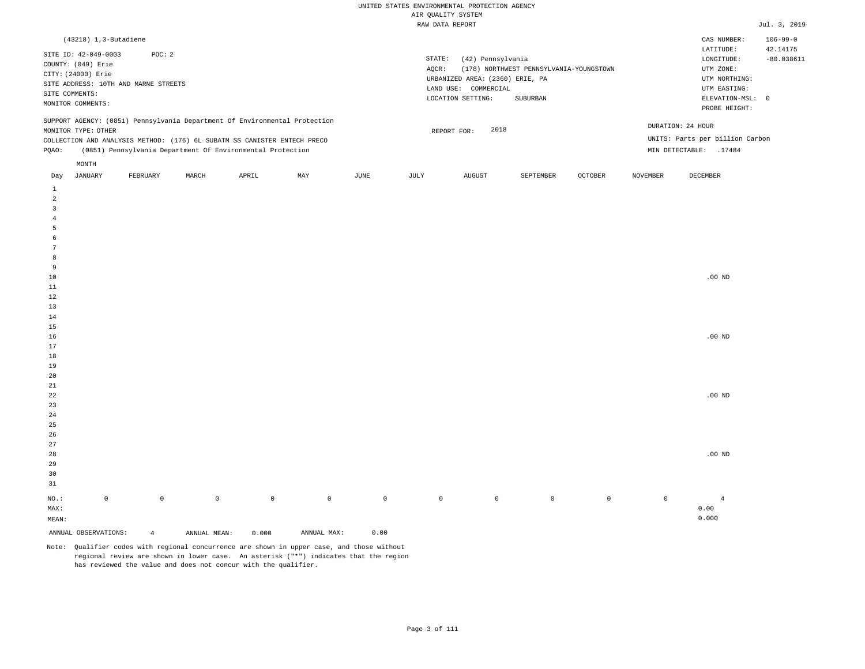| $(43218)$ 1, 3-Butadiene                                                                                                                                                               |          |       |                                                            |     |      |                 |                                                                                                      |                                                     |                |          | CAS NUMBER:                                                                                              | $106 - 99 - 0$                         |
|----------------------------------------------------------------------------------------------------------------------------------------------------------------------------------------|----------|-------|------------------------------------------------------------|-----|------|-----------------|------------------------------------------------------------------------------------------------------|-----------------------------------------------------|----------------|----------|----------------------------------------------------------------------------------------------------------|----------------------------------------|
| SITE ID: 42-049-0003<br>COUNTY: (049) Erie<br>CITY: (24000) Erie<br>SITE ADDRESS: 10TH AND MARNE STREETS<br>SITE COMMENTS:<br>MONITOR COMMENTS:                                        | POC: 2   |       |                                                            |     |      | STATE:<br>AOCR: | (42) Pennsylvania<br>URBANIZED AREA: (2360) ERIE, PA<br>LAND USE:<br>COMMERCIAL<br>LOCATION SETTING: | (178) NORTHWEST PENNSYLVANIA-YOUNGSTOWN<br>SUBURBAN |                |          | LATITUDE:<br>LONGITUDE:<br>UTM ZONE:<br>UTM NORTHING:<br>UTM EASTING:<br>ELEVATION-MSL:<br>PROBE HEIGHT: | 42.14175<br>$-80.038611$<br>$^{\circ}$ |
| SUPPORT AGENCY: (0851) Pennsylvania Department Of Environmental Protection<br>MONITOR TYPE: OTHER<br>COLLECTION AND ANALYSIS METHOD: (176) 6L SUBATM SS CANISTER ENTECH PRECO<br>POAO: |          |       | (0851) Pennsylvania Department Of Environmental Protection |     |      |                 | 2018<br>REPORT FOR:                                                                                  |                                                     |                |          | DURATION: 24 HOUR<br>UNITS: Parts per billion Carbon<br>MIN DETECTABLE:<br>.17484                        |                                        |
| MONTH<br>JANUARY<br>Day                                                                                                                                                                | FEBRUARY | MARCH | APRIL                                                      | MAY | JUNE | JULY            | AUGUST                                                                                               | SEPTEMBER                                           | <b>OCTOBER</b> | NOVEMBER | DECEMBER                                                                                                 |                                        |

| ANNUAL OBSERVATIONS:                  | $\overline{4}$ | ANNUAL MEAN: | 0.000       | ANNUAL MAX: | 0.00        |             |             |             |                |             |                                 |
|---------------------------------------|----------------|--------------|-------------|-------------|-------------|-------------|-------------|-------------|----------------|-------------|---------------------------------|
| $\texttt{MEAN}:$                      |                |              |             |             |             |             |             |             |                |             | 0.000                           |
| $\texttt{MAX}$ :                      |                |              |             |             |             |             |             |             |                |             | ${\bf 0}$ . ${\bf 0}$ ${\bf 0}$ |
| $_{\rm NO.}$ :<br>$\mathsf{O}\xspace$ | $\mathbb O$    | $\mathbb O$  | $\mathbb O$ | $\mathbb O$ | $\mathbb O$ | $\mathbb O$ | $\mathbb O$ | $\mathbb O$ | $\overline{0}$ | $\mathbb O$ | $\overline{4}$                  |
| $31\,$                                |                |              |             |             |             |             |             |             |                |             |                                 |
| $30$                                  |                |              |             |             |             |             |             |             |                |             |                                 |
| 29                                    |                |              |             |             |             |             |             |             |                |             |                                 |
| $28\,$                                |                |              |             |             |             |             |             |             |                |             | $.00$ ND                        |
| $27\,$                                |                |              |             |             |             |             |             |             |                |             |                                 |
| $26\,$                                |                |              |             |             |             |             |             |             |                |             |                                 |
| 25                                    |                |              |             |             |             |             |             |             |                |             |                                 |
| $24\,$                                |                |              |             |             |             |             |             |             |                |             |                                 |
| 23                                    |                |              |             |             |             |             |             |             |                |             |                                 |
| $\bf{^{22}}$                          |                |              |             |             |             |             |             |             |                |             | $.00$ ND                        |
| $21\,$                                |                |              |             |             |             |             |             |             |                |             |                                 |
| 20                                    |                |              |             |             |             |             |             |             |                |             |                                 |
| $19$                                  |                |              |             |             |             |             |             |             |                |             |                                 |
| $18\,$                                |                |              |             |             |             |             |             |             |                |             |                                 |
| $17\,$                                |                |              |             |             |             |             |             |             |                |             |                                 |
| $16$                                  |                |              |             |             |             |             |             |             |                |             | $.00$ ND                        |
| $15$                                  |                |              |             |             |             |             |             |             |                |             |                                 |
| $14\,$                                |                |              |             |             |             |             |             |             |                |             |                                 |
| $13$                                  |                |              |             |             |             |             |             |             |                |             |                                 |
| $12\,$                                |                |              |             |             |             |             |             |             |                |             |                                 |
| $10$<br>$11\,$                        |                |              |             |             |             |             |             |             |                |             | $.00$ ND                        |
| 9                                     |                |              |             |             |             |             |             |             |                |             |                                 |
| 8                                     |                |              |             |             |             |             |             |             |                |             |                                 |
| $7\phantom{.0}$                       |                |              |             |             |             |             |             |             |                |             |                                 |
| $\epsilon$                            |                |              |             |             |             |             |             |             |                |             |                                 |
| $\overline{5}$                        |                |              |             |             |             |             |             |             |                |             |                                 |
| $\overline{4}$                        |                |              |             |             |             |             |             |             |                |             |                                 |
| $\overline{\mathbf{3}}$               |                |              |             |             |             |             |             |             |                |             |                                 |
| $\overline{a}$                        |                |              |             |             |             |             |             |             |                |             |                                 |
| $\mathbf{1}$                          |                |              |             |             |             |             |             |             |                |             |                                 |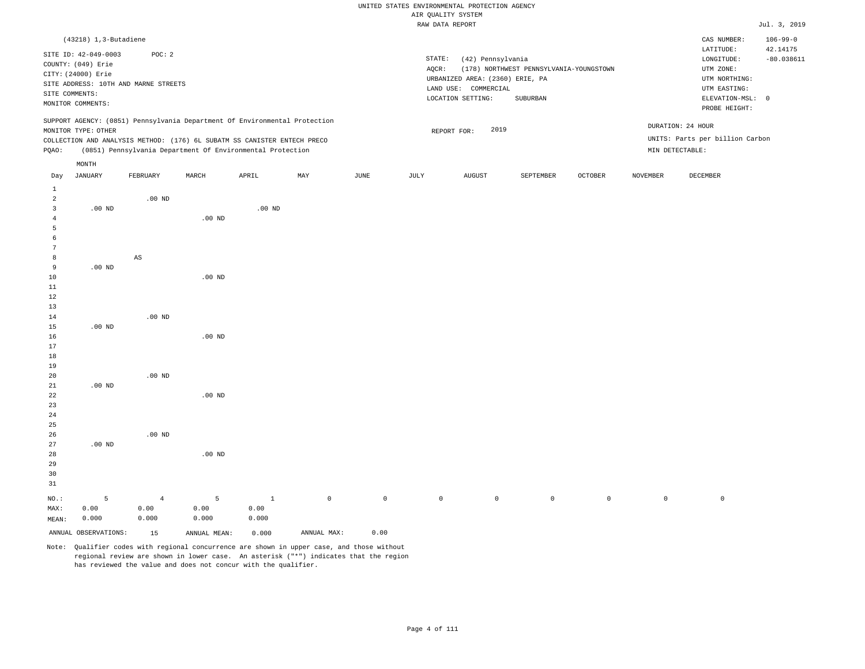|                         |                                                                                                                |                                                |          |                                                                                                                                                                                                                      |     |      |                 | RAW DATA REPORT                                                                                   |                                                     |                |                 |                                                                                                          | Jul. 3, 2019                               |
|-------------------------|----------------------------------------------------------------------------------------------------------------|------------------------------------------------|----------|----------------------------------------------------------------------------------------------------------------------------------------------------------------------------------------------------------------------|-----|------|-----------------|---------------------------------------------------------------------------------------------------|-----------------------------------------------------|----------------|-----------------|----------------------------------------------------------------------------------------------------------|--------------------------------------------|
|                         | $(43218)$ 1, 3-Butadiene<br>SITE ID: 42-049-0003<br>COUNTY: (049) Erie<br>CITY: (24000) Erie<br>SITE COMMENTS: | POC: 2<br>SITE ADDRESS: 10TH AND MARNE STREETS |          |                                                                                                                                                                                                                      |     |      | STATE:<br>AQCR: | (42) Pennsylvania<br>URBANIZED AREA: (2360) ERIE, PA<br>LAND USE: COMMERCIAL<br>LOCATION SETTING: | (178) NORTHWEST PENNSYLVANIA-YOUNGSTOWN<br>SUBURBAN |                |                 | CAS NUMBER:<br>LATITUDE:<br>LONGITUDE:<br>UTM ZONE:<br>UTM NORTHING:<br>UTM EASTING:<br>ELEVATION-MSL: 0 | $106 - 99 - 0$<br>42.14175<br>$-80.038611$ |
| POAO:                   | MONITOR COMMENTS:<br>MONITOR TYPE: OTHER                                                                       |                                                |          | SUPPORT AGENCY: (0851) Pennsylvania Department Of Environmental Protection<br>COLLECTION AND ANALYSIS METHOD: (176) 6L SUBATM SS CANISTER ENTECH PRECO<br>(0851) Pennsylvania Department Of Environmental Protection |     |      |                 | 2019<br>REPORT FOR:                                                                               |                                                     |                |                 | PROBE HEIGHT:<br>DURATION: 24 HOUR<br>UNITS: Parts per billion Carbon<br>MIN DETECTABLE:                 |                                            |
| Day                     | MONTH<br>JANUARY                                                                                               | FEBRUARY                                       | MARCH    | APRIL                                                                                                                                                                                                                | MAY | JUNE | JULY            | <b>AUGUST</b>                                                                                     | SEPTEMBER                                           | <b>OCTOBER</b> | <b>NOVEMBER</b> | DECEMBER                                                                                                 |                                            |
| 1<br>2<br>3<br>-5       | $.00$ ND                                                                                                       | $.00$ ND                                       | $.00$ ND | $.00$ ND                                                                                                                                                                                                             |     |      |                 |                                                                                                   |                                                     |                |                 |                                                                                                          |                                            |
| 7<br>8<br>9<br>10<br>11 | $.00$ ND                                                                                                       | AS                                             | $.00$ ND |                                                                                                                                                                                                                      |     |      |                 |                                                                                                   |                                                     |                |                 |                                                                                                          |                                            |
| 12<br>13<br>14<br>15    | $.00$ ND                                                                                                       | $.00$ ND                                       |          |                                                                                                                                                                                                                      |     |      |                 |                                                                                                   |                                                     |                |                 |                                                                                                          |                                            |

 .00 ND .00 ND .00 ND

26 27 28 29 30 31 .00 ND NO.: MAX: 5 0.00 .00 ND .00 ND 4 0.00 5 0.00 1 0.00 0 0 0 0 0 0 0 0

MEAN: 0.000 0.000 0.000 0.000 ANNUAL OBSERVATIONS: 15 ANNUAL MEAN: 0.000 ANNUAL MAX: 0.00

.00 ND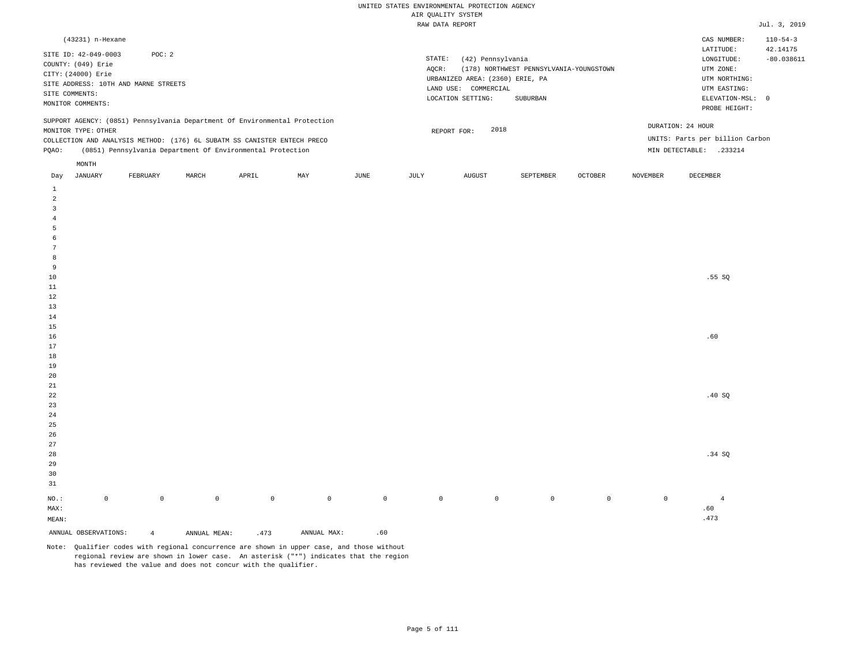|                | (43231) n-Hexane                                                 |                                                                                                                                        |       |       |                                                                            |      |                 |                                                                                                      |                                                     |                |                 | CAS NUMBER:                                                                             | $110 - 54 - 3$                             |
|----------------|------------------------------------------------------------------|----------------------------------------------------------------------------------------------------------------------------------------|-------|-------|----------------------------------------------------------------------------|------|-----------------|------------------------------------------------------------------------------------------------------|-----------------------------------------------------|----------------|-----------------|-----------------------------------------------------------------------------------------|--------------------------------------------|
| SITE COMMENTS: | SITE ID: 42-049-0003<br>COUNTY: (049) Erie<br>CITY: (24000) Erie | POC: 2<br>SITE ADDRESS: 10TH AND MARNE STREETS                                                                                         |       |       |                                                                            |      | STATE:<br>AOCR: | (42) Pennsylvania<br>URBANIZED AREA: (2360) ERIE, PA<br>LAND USE:<br>COMMERCIAL<br>LOCATION SETTING: | (178) NORTHWEST PENNSYLVANIA-YOUNGSTOWN<br>SUBURBAN |                |                 | LATITUDE:<br>LONGITUDE:<br>UTM ZONE:<br>UTM NORTHING:<br>UTM EASTING:<br>ELEVATION-MSL: | 42.14175<br>$-80.038611$<br>$\overline{0}$ |
|                | MONITOR COMMENTS:                                                |                                                                                                                                        |       |       |                                                                            |      |                 |                                                                                                      |                                                     |                |                 | PROBE HEIGHT:                                                                           |                                            |
| POAO:          | MONITOR TYPE: OTHER                                              | COLLECTION AND ANALYSIS METHOD: (176) 6L SUBATM SS CANISTER ENTECH PRECO<br>(0851) Pennsylvania Department Of Environmental Protection |       |       | SUPPORT AGENCY: (0851) Pennsylvania Department Of Environmental Protection |      |                 | 2018<br>REPORT FOR:                                                                                  |                                                     |                |                 | DURATION: 24 HOUR<br>UNITS: Parts per billion Carbon<br>MIN DETECTABLE:<br>.233214      |                                            |
| Day            | MONTH<br>JANUARY                                                 | FEBRUARY                                                                                                                               | MARCH | APRIL | MAY                                                                        | JUNE | JULY            | AUGUST                                                                                               | SEPTEMBER                                           | <b>OCTOBER</b> | <b>NOVEMBER</b> | DECEMBER                                                                                |                                            |

| ANNUAL OBSERVATIONS:              | $\overline{4}$ |              | ANNUAL MEAN: | .473         | ANNUAL MAX: | .60          |             |           |                |             |             |                       |
|-----------------------------------|----------------|--------------|--------------|--------------|-------------|--------------|-------------|-----------|----------------|-------------|-------------|-----------------------|
| $\texttt{MEAN}\colon$             |                |              |              |              |             |              |             |           |                |             |             | .473                  |
| $\,0\,$<br>$_{\rm NO.}$ :<br>MAX: |                | $\mathsf{O}$ | $\mathsf{O}$ | $\mathsf{O}$ | $\,$ 0 $\,$ | $\mathsf{O}$ | $\mathbb O$ | $\bullet$ | $\overline{0}$ | $\mathbb O$ | $\mathbb O$ | $\overline{4}$<br>.60 |
| $31\,$                            |                |              |              |              |             |              |             |           |                |             |             |                       |
| $30$                              |                |              |              |              |             |              |             |           |                |             |             |                       |
| 29                                |                |              |              |              |             |              |             |           |                |             |             |                       |
| 28                                |                |              |              |              |             |              |             |           |                |             |             | .34 SQ                |
| $2\,7$                            |                |              |              |              |             |              |             |           |                |             |             |                       |
| $26\,$                            |                |              |              |              |             |              |             |           |                |             |             |                       |
| $25\,$                            |                |              |              |              |             |              |             |           |                |             |             |                       |
| $2\sqrt{4}$                       |                |              |              |              |             |              |             |           |                |             |             |                       |
| $23\,$                            |                |              |              |              |             |              |             |           |                |             |             |                       |
| $^{\rm 22}$                       |                |              |              |              |             |              |             |           |                |             |             | .40 $SQ$              |
| $21\,$                            |                |              |              |              |             |              |             |           |                |             |             |                       |
| $20\,$                            |                |              |              |              |             |              |             |           |                |             |             |                       |
| $19$                              |                |              |              |              |             |              |             |           |                |             |             |                       |
| $1\,8$                            |                |              |              |              |             |              |             |           |                |             |             |                       |
| $17\,$                            |                |              |              |              |             |              |             |           |                |             |             |                       |
| $16\,$                            |                |              |              |              |             |              |             |           |                |             |             | .60                   |
| $15\,$                            |                |              |              |              |             |              |             |           |                |             |             |                       |
| $14\,$                            |                |              |              |              |             |              |             |           |                |             |             |                       |
| $13$                              |                |              |              |              |             |              |             |           |                |             |             |                       |
| $1\,2$                            |                |              |              |              |             |              |             |           |                |             |             |                       |
| $11\,$                            |                |              |              |              |             |              |             |           |                |             |             |                       |
| $10\,$                            |                |              |              |              |             |              |             |           |                |             |             | .55SQ                 |
| 9                                 |                |              |              |              |             |              |             |           |                |             |             |                       |
| $^{\rm 8}$                        |                |              |              |              |             |              |             |           |                |             |             |                       |
| $7\phantom{.0}$                   |                |              |              |              |             |              |             |           |                |             |             |                       |
| 5<br>6                            |                |              |              |              |             |              |             |           |                |             |             |                       |
| $\overline{4}$                    |                |              |              |              |             |              |             |           |                |             |             |                       |
| $\overline{\mathbf{3}}$           |                |              |              |              |             |              |             |           |                |             |             |                       |
| $\overline{a}$                    |                |              |              |              |             |              |             |           |                |             |             |                       |
| $1\,$                             |                |              |              |              |             |              |             |           |                |             |             |                       |
|                                   |                |              |              |              |             |              |             |           |                |             |             |                       |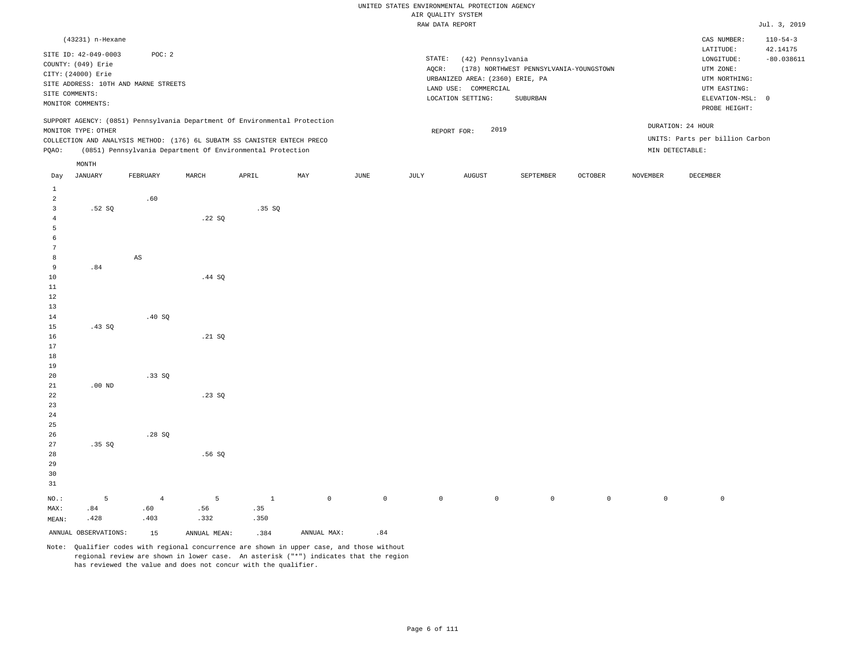|              |                      |                                                                            |        |       |     |      |        | $1.211$ going $1.21$ $0.101$<br>RAW DATA REPORT |                                         |                |          |                                 | Jul. 3, 2019               |
|--------------|----------------------|----------------------------------------------------------------------------|--------|-------|-----|------|--------|-------------------------------------------------|-----------------------------------------|----------------|----------|---------------------------------|----------------------------|
|              |                      |                                                                            |        |       |     |      |        |                                                 |                                         |                |          |                                 |                            |
|              | (43231) n-Hexane     |                                                                            |        |       |     |      |        |                                                 |                                         |                |          | CAS NUMBER:<br>LATITUDE:        | $110 - 54 - 3$<br>42.14175 |
|              | SITE ID: 42-049-0003 | POC: 2                                                                     |        |       |     |      | STATE: | (42) Pennsylvania                               |                                         |                |          | ${\tt LONGITUDE:}$              | $-80.038611$               |
|              | COUNTY: (049) Erie   |                                                                            |        |       |     |      | AQCR:  |                                                 | (178) NORTHWEST PENNSYLVANIA-YOUNGSTOWN |                |          | UTM ZONE:                       |                            |
|              | CITY: (24000) Erie   |                                                                            |        |       |     |      |        | URBANIZED AREA: (2360) ERIE, PA                 |                                         |                |          | UTM NORTHING:                   |                            |
|              |                      | SITE ADDRESS: 10TH AND MARNE STREETS                                       |        |       |     |      |        | LAND USE: COMMERCIAL                            |                                         |                |          | UTM EASTING:                    |                            |
|              | SITE COMMENTS:       |                                                                            |        |       |     |      |        | LOCATION SETTING:                               | SUBURBAN                                |                |          | ELEVATION-MSL: 0                |                            |
|              | MONITOR COMMENTS:    |                                                                            |        |       |     |      |        |                                                 |                                         |                |          | PROBE HEIGHT:                   |                            |
|              |                      | SUPPORT AGENCY: (0851) Pennsylvania Department Of Environmental Protection |        |       |     |      |        |                                                 |                                         |                |          | DURATION: 24 HOUR               |                            |
|              | MONITOR TYPE: OTHER  |                                                                            |        |       |     |      |        | 2019<br>REPORT FOR:                             |                                         |                |          |                                 |                            |
|              |                      | COLLECTION AND ANALYSIS METHOD: (176) 6L SUBATM SS CANISTER ENTECH PRECO   |        |       |     |      |        |                                                 |                                         |                |          | UNITS: Parts per billion Carbon |                            |
| PQAO:        |                      | (0851) Pennsylvania Department Of Environmental Protection                 |        |       |     |      |        |                                                 |                                         |                |          | MIN DETECTABLE:                 |                            |
|              | MONTH                |                                                                            |        |       |     |      |        |                                                 |                                         |                |          |                                 |                            |
| Day          | JANUARY              | FEBRUARY                                                                   | MARCH  | APRIL | MAY | JUNE | JULY   | AUGUST                                          | SEPTEMBER                               | <b>OCTOBER</b> | NOVEMBER | DECEMBER                        |                            |
| $\mathbf{1}$ |                      |                                                                            |        |       |     |      |        |                                                 |                                         |                |          |                                 |                            |
| 2            |                      | .60                                                                        |        |       |     |      |        |                                                 |                                         |                |          |                                 |                            |
| 3            | .52S                 |                                                                            |        | .35S  |     |      |        |                                                 |                                         |                |          |                                 |                            |
| 4            |                      |                                                                            | .22SQ  |       |     |      |        |                                                 |                                         |                |          |                                 |                            |
| 5            |                      |                                                                            |        |       |     |      |        |                                                 |                                         |                |          |                                 |                            |
| 6            |                      |                                                                            |        |       |     |      |        |                                                 |                                         |                |          |                                 |                            |
| 7            |                      |                                                                            |        |       |     |      |        |                                                 |                                         |                |          |                                 |                            |
| 8            |                      | AS                                                                         |        |       |     |      |        |                                                 |                                         |                |          |                                 |                            |
| 9            | .84                  |                                                                            |        |       |     |      |        |                                                 |                                         |                |          |                                 |                            |
| 10<br>11     |                      |                                                                            | .44 SQ |       |     |      |        |                                                 |                                         |                |          |                                 |                            |
| 12           |                      |                                                                            |        |       |     |      |        |                                                 |                                         |                |          |                                 |                            |
| 13           |                      |                                                                            |        |       |     |      |        |                                                 |                                         |                |          |                                 |                            |
| 14           |                      | .40SQ                                                                      |        |       |     |      |        |                                                 |                                         |                |          |                                 |                            |
| 15           | .43SQ                |                                                                            |        |       |     |      |        |                                                 |                                         |                |          |                                 |                            |
| 16           |                      |                                                                            | .21 SQ |       |     |      |        |                                                 |                                         |                |          |                                 |                            |
| 17           |                      |                                                                            |        |       |     |      |        |                                                 |                                         |                |          |                                 |                            |
| 18           |                      |                                                                            |        |       |     |      |        |                                                 |                                         |                |          |                                 |                            |
| 19           |                      |                                                                            |        |       |     |      |        |                                                 |                                         |                |          |                                 |                            |
| 20           |                      | .33SQ                                                                      |        |       |     |      |        |                                                 |                                         |                |          |                                 |                            |
| 21           | $.00$ ND             |                                                                            |        |       |     |      |        |                                                 |                                         |                |          |                                 |                            |
| 22           |                      |                                                                            | .23SQ  |       |     |      |        |                                                 |                                         |                |          |                                 |                            |
| 23           |                      |                                                                            |        |       |     |      |        |                                                 |                                         |                |          |                                 |                            |
| 24           |                      |                                                                            |        |       |     |      |        |                                                 |                                         |                |          |                                 |                            |
| 25           |                      |                                                                            |        |       |     |      |        |                                                 |                                         |                |          |                                 |                            |
| 26           |                      | .28SQ                                                                      |        |       |     |      |        |                                                 |                                         |                |          |                                 |                            |
| 27           | .35SQ                |                                                                            |        |       |     |      |        |                                                 |                                         |                |          |                                 |                            |
| 28           |                      |                                                                            | .56SQ  |       |     |      |        |                                                 |                                         |                |          |                                 |                            |

30 31 NO.: MAX: MEAN: 5 .84 .428 4 .60 .403 5 .56 .332 1 .35 .350 0 0 0 0 0 0 0 0

ANNUAL OBSERVATIONS: 15 ANNUAL MEAN: .384 ANNUAL MAX: .84

29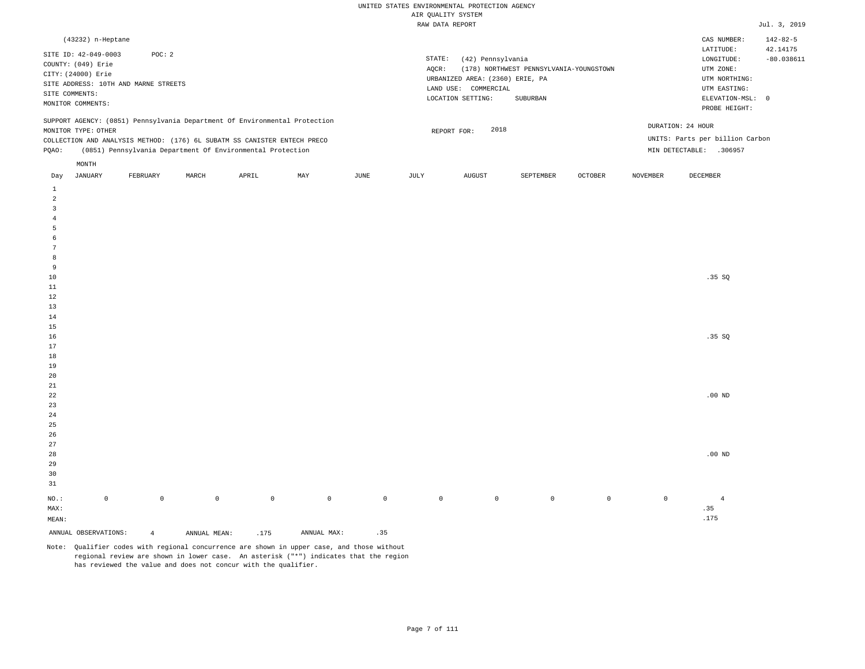| (43232) n-Heptane                                                                                                                                                                      |                                                            |       |     |      |                 |                                                                              |                                         |                |                 | CAS NUMBER:                                                           | $142 - 82 - 5$           |
|----------------------------------------------------------------------------------------------------------------------------------------------------------------------------------------|------------------------------------------------------------|-------|-----|------|-----------------|------------------------------------------------------------------------------|-----------------------------------------|----------------|-----------------|-----------------------------------------------------------------------|--------------------------|
| SITE ID: 42-049-0003<br>COUNTY: (049) Erie<br>CITY: (24000) Erie<br>SITE ADDRESS: 10TH AND MARNE STREETS<br>SITE COMMENTS:                                                             | POC:2                                                      |       |     |      | STATE:<br>AOCR: | (42) Pennsylvania<br>URBANIZED AREA: (2360) ERIE, PA<br>LAND USE: COMMERCIAL | (178) NORTHWEST PENNSYLVANIA-YOUNGSTOWN |                |                 | LATITUDE:<br>LONGITUDE:<br>UTM ZONE:<br>UTM NORTHING:<br>UTM EASTING: | 42.14175<br>$-80.038611$ |
| MONITOR COMMENTS:                                                                                                                                                                      |                                                            |       |     |      |                 | LOCATION SETTING:                                                            | SUBURBAN                                |                |                 | ELEVATION-MSL: 0<br>PROBE HEIGHT:                                     |                          |
| SUPPORT AGENCY: (0851) Pennsylvania Department Of Environmental Protection<br>MONITOR TYPE: OTHER<br>COLLECTION AND ANALYSIS METHOD: (176) 6L SUBATM SS CANISTER ENTECH PRECO<br>POAO: | (0851) Pennsylvania Department Of Environmental Protection |       |     |      |                 | 2018<br>REPORT FOR:                                                          |                                         |                | MIN DETECTABLE: | DURATION: 24 HOUR<br>UNITS: Parts per billion Carbon<br>.306957       |                          |
| MONTH<br>JANUARY<br>FEBRUARY<br>Day                                                                                                                                                    | MARCH                                                      | APRIL | MAY | JUNE | JULY            | <b>AUGUST</b>                                                                | SEPTEMBER                               | <b>OCTOBER</b> | <b>NOVEMBER</b> | DECEMBER                                                              |                          |

| ANNUAL OBSERVATIONS:    |             | $\overline{4}$ | ANNUAL MEAN: | .175         | ANNUAL MAX: | .35         |             |                |                |         |             |                             |
|-------------------------|-------------|----------------|--------------|--------------|-------------|-------------|-------------|----------------|----------------|---------|-------------|-----------------------------|
| $\texttt{MEAN}$ :       |             |                |              |              |             |             |             |                |                |         |             | .175                        |
| $\texttt{MAX}$ :        |             |                |              |              |             |             |             |                |                |         |             | $\boldsymbol{\mathsf{.35}}$ |
| $_{\rm NO.}$ :          | $\mathbb O$ | $\mathbb O$    | $\mathbb O$  | $\mathsf{O}$ | $\mathbb O$ | $\mathbb O$ | $\mathbb O$ | $\overline{0}$ | $\overline{0}$ | $\circ$ | $\mathbb O$ | $\overline{4}$              |
| $3\sqrt{1}$             |             |                |              |              |             |             |             |                |                |         |             |                             |
| $30$                    |             |                |              |              |             |             |             |                |                |         |             |                             |
| $29$                    |             |                |              |              |             |             |             |                |                |         |             |                             |
| $_{\rm 28}$             |             |                |              |              |             |             |             |                |                |         |             | $.00$ ND                    |
| $27\,$                  |             |                |              |              |             |             |             |                |                |         |             |                             |
| $26$                    |             |                |              |              |             |             |             |                |                |         |             |                             |
| 25                      |             |                |              |              |             |             |             |                |                |         |             |                             |
| 24                      |             |                |              |              |             |             |             |                |                |         |             |                             |
| $23\,$                  |             |                |              |              |             |             |             |                |                |         |             |                             |
| $^{\rm 22}$             |             |                |              |              |             |             |             |                |                |         |             | $.00$ ND                    |
| $2\sqrt{1}$             |             |                |              |              |             |             |             |                |                |         |             |                             |
| $19$<br>$20\,$          |             |                |              |              |             |             |             |                |                |         |             |                             |
| $18\,$                  |             |                |              |              |             |             |             |                |                |         |             |                             |
| $17\,$                  |             |                |              |              |             |             |             |                |                |         |             |                             |
| $16\,$                  |             |                |              |              |             |             |             |                |                |         |             | .35 SQ                      |
| $15\,$                  |             |                |              |              |             |             |             |                |                |         |             |                             |
| $14\,$                  |             |                |              |              |             |             |             |                |                |         |             |                             |
| $13\,$                  |             |                |              |              |             |             |             |                |                |         |             |                             |
| $12\,$                  |             |                |              |              |             |             |             |                |                |         |             |                             |
| $11\,$                  |             |                |              |              |             |             |             |                |                |         |             |                             |
| $10\,$                  |             |                |              |              |             |             |             |                |                |         |             | .35 SQ                      |
| 9                       |             |                |              |              |             |             |             |                |                |         |             |                             |
| 8                       |             |                |              |              |             |             |             |                |                |         |             |                             |
| $7\phantom{.0}$         |             |                |              |              |             |             |             |                |                |         |             |                             |
| 6                       |             |                |              |              |             |             |             |                |                |         |             |                             |
| $\mathsf S$             |             |                |              |              |             |             |             |                |                |         |             |                             |
| $\overline{4}$          |             |                |              |              |             |             |             |                |                |         |             |                             |
| $\overline{\mathbf{3}}$ |             |                |              |              |             |             |             |                |                |         |             |                             |
| $\overline{a}$          |             |                |              |              |             |             |             |                |                |         |             |                             |
| $\,$ 1                  |             |                |              |              |             |             |             |                |                |         |             |                             |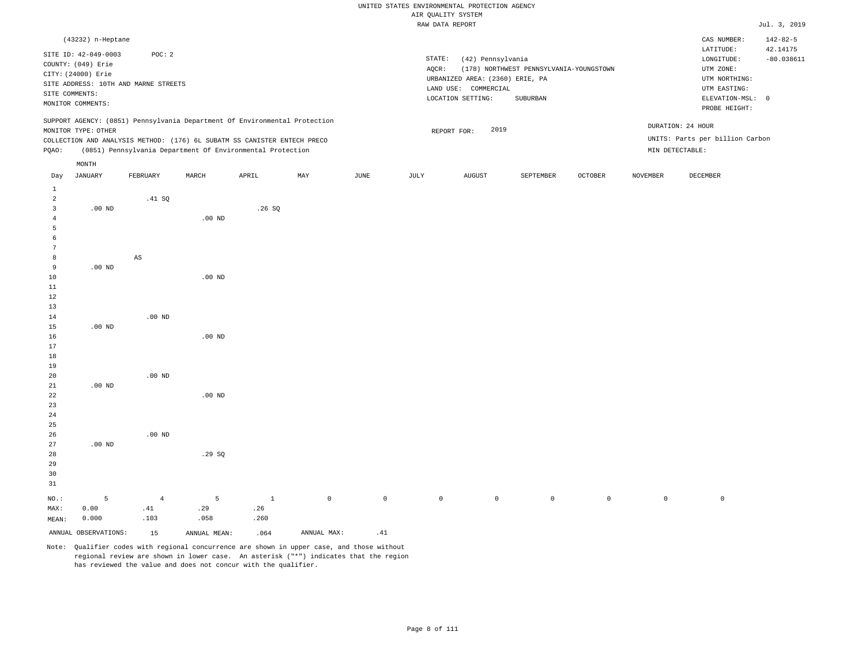|       |                      |                                                                            |          |       |     |      |        | RAW DATA REPORT                 |                                         |                |                 |                                 | Jul. 3, 2019   |
|-------|----------------------|----------------------------------------------------------------------------|----------|-------|-----|------|--------|---------------------------------|-----------------------------------------|----------------|-----------------|---------------------------------|----------------|
|       | (43232) n-Heptane    |                                                                            |          |       |     |      |        |                                 |                                         |                |                 | CAS NUMBER:                     | $142 - 82 - 5$ |
|       | SITE ID: 42-049-0003 | POC: 2                                                                     |          |       |     |      |        |                                 |                                         |                |                 | LATITUDE:                       | 42.14175       |
|       | COUNTY: (049) Erie   |                                                                            |          |       |     |      | STATE: | (42) Pennsylvania               |                                         |                |                 | LONGITUDE:                      | $-80.038611$   |
|       | CITY: (24000) Erie   |                                                                            |          |       |     |      | AQCR:  |                                 | (178) NORTHWEST PENNSYLVANIA-YOUNGSTOWN |                |                 | UTM ZONE:                       |                |
|       |                      |                                                                            |          |       |     |      |        | URBANIZED AREA: (2360) ERIE, PA |                                         |                |                 | UTM NORTHING:                   |                |
|       |                      | SITE ADDRESS: 10TH AND MARNE STREETS                                       |          |       |     |      |        | LAND USE: COMMERCIAL            |                                         |                |                 | UTM EASTING:                    |                |
|       | SITE COMMENTS:       |                                                                            |          |       |     |      |        | LOCATION SETTING:               | SUBURBAN                                |                |                 | ELEVATION-MSL: 0                |                |
|       | MONITOR COMMENTS:    |                                                                            |          |       |     |      |        |                                 |                                         |                |                 | PROBE HEIGHT:                   |                |
|       |                      | SUPPORT AGENCY: (0851) Pennsylvania Department Of Environmental Protection |          |       |     |      |        |                                 |                                         |                |                 |                                 |                |
|       | MONITOR TYPE: OTHER  |                                                                            |          |       |     |      |        | 2019<br>REPORT FOR:             |                                         |                |                 | DURATION: 24 HOUR               |                |
|       |                      | COLLECTION AND ANALYSIS METHOD: (176) 6L SUBATM SS CANISTER ENTECH PRECO   |          |       |     |      |        |                                 |                                         |                |                 | UNITS: Parts per billion Carbon |                |
| PQAO: |                      | (0851) Pennsylvania Department Of Environmental Protection                 |          |       |     |      |        |                                 |                                         |                |                 | MIN DETECTABLE:                 |                |
|       |                      |                                                                            |          |       |     |      |        |                                 |                                         |                |                 |                                 |                |
|       | MONTH                |                                                                            |          |       |     |      |        |                                 |                                         |                |                 |                                 |                |
| Day   | JANUARY              | FEBRUARY                                                                   | MARCH    | APRIL | MAY | JUNE | JULY   | <b>AUGUST</b>                   | SEPTEMBER                               | <b>OCTOBER</b> | <b>NOVEMBER</b> | DECEMBER                        |                |
| 1     |                      |                                                                            |          |       |     |      |        |                                 |                                         |                |                 |                                 |                |
| 2     |                      | .41 SQ                                                                     |          |       |     |      |        |                                 |                                         |                |                 |                                 |                |
| 3     | $.00$ ND             |                                                                            |          | .26SQ |     |      |        |                                 |                                         |                |                 |                                 |                |
|       |                      |                                                                            | $.00$ ND |       |     |      |        |                                 |                                         |                |                 |                                 |                |
|       |                      |                                                                            |          |       |     |      |        |                                 |                                         |                |                 |                                 |                |
|       |                      |                                                                            |          |       |     |      |        |                                 |                                         |                |                 |                                 |                |
|       |                      |                                                                            |          |       |     |      |        |                                 |                                         |                |                 |                                 |                |
| 8     |                      | $_{\rm AS}$                                                                |          |       |     |      |        |                                 |                                         |                |                 |                                 |                |
| 9     | $.00$ ND             |                                                                            |          |       |     |      |        |                                 |                                         |                |                 |                                 |                |
| 10    |                      |                                                                            | $.00$ ND |       |     |      |        |                                 |                                         |                |                 |                                 |                |
| 11    |                      |                                                                            |          |       |     |      |        |                                 |                                         |                |                 |                                 |                |
| 12    |                      |                                                                            |          |       |     |      |        |                                 |                                         |                |                 |                                 |                |
| 13    |                      |                                                                            |          |       |     |      |        |                                 |                                         |                |                 |                                 |                |
| 14    |                      | $.00$ ND                                                                   |          |       |     |      |        |                                 |                                         |                |                 |                                 |                |
| 15    | $.00$ ND             |                                                                            |          |       |     |      |        |                                 |                                         |                |                 |                                 |                |
| 16    |                      |                                                                            | $.00$ ND |       |     |      |        |                                 |                                         |                |                 |                                 |                |

 .00 ND .00 ND .00 ND .00 ND .00 ND .29 SQ

29 30 31 NO.: MAX: MEAN: 5 0.00 0.000 4 .41 .103 5 .29 .058 1 .26 .260 0 0 0 0 0 0 0 0

ANNUAL OBSERVATIONS:  $15$  ANNUAL MEAN: .064 ANNUAL MAX: .41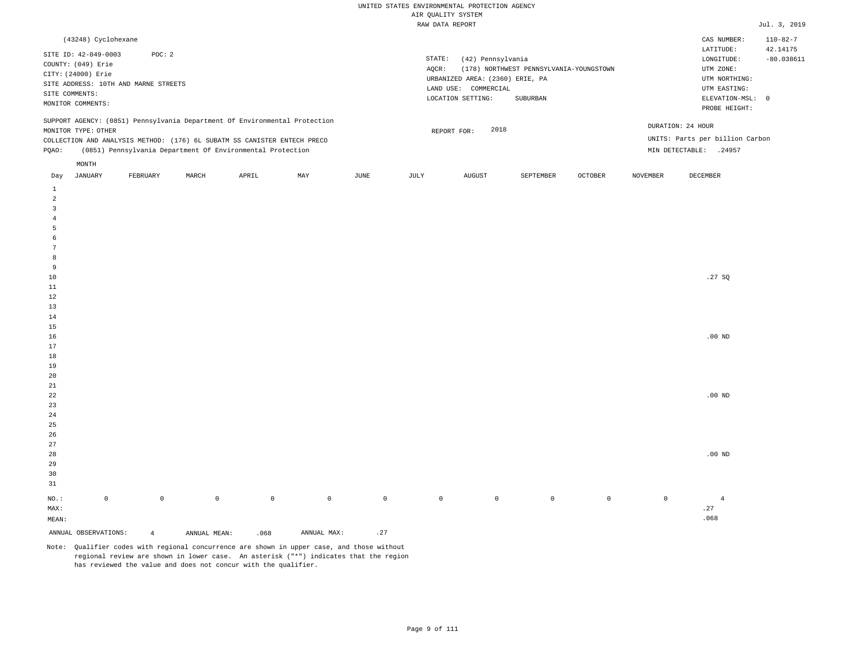| (43248) Cyclohexane                                                                                                                                                                    |                                                            |       |       |     |      |                 |                                                                                                      |                                                     |                |                 | CAS NUMBER:                                                                                                | $110 - 82 - 7$           |
|----------------------------------------------------------------------------------------------------------------------------------------------------------------------------------------|------------------------------------------------------------|-------|-------|-----|------|-----------------|------------------------------------------------------------------------------------------------------|-----------------------------------------------------|----------------|-----------------|------------------------------------------------------------------------------------------------------------|--------------------------|
| SITE ID: 42-049-0003<br>COUNTY: (049) Erie<br>CITY: (24000) Erie<br>SITE ADDRESS: 10TH AND MARNE STREETS<br>SITE COMMENTS:<br>MONITOR COMMENTS:                                        | POC: 2                                                     |       |       |     |      | STATE:<br>AOCR: | (42) Pennsylvania<br>URBANIZED AREA: (2360) ERIE, PA<br>LAND USE:<br>COMMERCIAL<br>LOCATION SETTING: | (178) NORTHWEST PENNSYLVANIA-YOUNGSTOWN<br>SUBURBAN |                |                 | LATITUDE:<br>LONGITUDE:<br>UTM ZONE:<br>UTM NORTHING:<br>UTM EASTING:<br>ELEVATION-MSL: 0<br>PROBE HEIGHT: | 42.14175<br>$-80.038611$ |
| SUPPORT AGENCY: (0851) Pennsylvania Department Of Environmental Protection<br>MONITOR TYPE: OTHER<br>COLLECTION AND ANALYSIS METHOD: (176) 6L SUBATM SS CANISTER ENTECH PRECO<br>POAO: | (0851) Pennsylvania Department Of Environmental Protection |       |       |     |      |                 | 2018<br>REPORT FOR:                                                                                  |                                                     |                |                 | DURATION: 24 HOUR<br>UNITS: Parts per billion Carbon<br>MIN DETECTABLE:<br>.24957                          |                          |
| MONTH<br>JANUARY<br>Day                                                                                                                                                                | FEBRUARY                                                   | MARCH | APRIL | MAY | JUNE | JULY            | AUGUST                                                                                               | SEPTEMBER                                           | <b>OCTOBER</b> | <b>NOVEMBER</b> | DECEMBER                                                                                                   |                          |

| ANNUAL OBSERVATIONS:    |                     | $\overline{4}$ | ANNUAL MEAN: | .068         | ANNUAL MAX: | $\boldsymbol{\cdot}$ 27 |             |             |             |                |              |                              |
|-------------------------|---------------------|----------------|--------------|--------------|-------------|-------------------------|-------------|-------------|-------------|----------------|--------------|------------------------------|
| $\texttt{MEAN}:$        |                     |                |              |              |             |                         |             |             |             |                |              | .068                         |
| $\texttt{MAX}$ :        |                     |                |              |              |             |                         |             |             |             |                |              | $\boldsymbol{\mathcal{.}}27$ |
| $_{\rm NO.}$ :          | $\mathsf{O}\xspace$ | $\mathbb O$    | $\mathbb O$  | $\mathsf{O}$ | $\,0\,$     | $\mathsf{O}$            | $\mathbb O$ | $\mathbb O$ | $\mathbb O$ | $\overline{0}$ | $\mathsf{O}$ | $\overline{4}$               |
|                         |                     |                |              |              |             |                         |             |             |             |                |              |                              |
| $31\,$                  |                     |                |              |              |             |                         |             |             |             |                |              |                              |
| $30$                    |                     |                |              |              |             |                         |             |             |             |                |              |                              |
| 29                      |                     |                |              |              |             |                         |             |             |             |                |              |                              |
| 28                      |                     |                |              |              |             |                         |             |             |             |                |              | $.00$ ND                     |
| 27                      |                     |                |              |              |             |                         |             |             |             |                |              |                              |
| $26\,$                  |                     |                |              |              |             |                         |             |             |             |                |              |                              |
| $25\,$                  |                     |                |              |              |             |                         |             |             |             |                |              |                              |
| 24                      |                     |                |              |              |             |                         |             |             |             |                |              |                              |
| 23                      |                     |                |              |              |             |                         |             |             |             |                |              |                              |
| $_{\rm 22}$             |                     |                |              |              |             |                         |             |             |             |                |              | $.00$ ND                     |
| $_{\rm 21}$             |                     |                |              |              |             |                         |             |             |             |                |              |                              |
| $20\,$                  |                     |                |              |              |             |                         |             |             |             |                |              |                              |
| $19$                    |                     |                |              |              |             |                         |             |             |             |                |              |                              |
| $18\,$                  |                     |                |              |              |             |                         |             |             |             |                |              |                              |
| $17\,$                  |                     |                |              |              |             |                         |             |             |             |                |              |                              |
| $16\,$                  |                     |                |              |              |             |                         |             |             |             |                |              | .00 $ND$                     |
| $15\,$                  |                     |                |              |              |             |                         |             |             |             |                |              |                              |
| $14$                    |                     |                |              |              |             |                         |             |             |             |                |              |                              |
| $13\,$                  |                     |                |              |              |             |                         |             |             |             |                |              |                              |
| $1\,2$                  |                     |                |              |              |             |                         |             |             |             |                |              |                              |
| $11\,$                  |                     |                |              |              |             |                         |             |             |             |                |              |                              |
| 9<br>$10\,$             |                     |                |              |              |             |                         |             |             |             |                |              | .27 $SQ$                     |
| $^{\rm 8}$              |                     |                |              |              |             |                         |             |             |             |                |              |                              |
| $7\phantom{.0}$         |                     |                |              |              |             |                         |             |             |             |                |              |                              |
| 6                       |                     |                |              |              |             |                         |             |             |             |                |              |                              |
| $\overline{5}$          |                     |                |              |              |             |                         |             |             |             |                |              |                              |
| $\overline{4}$          |                     |                |              |              |             |                         |             |             |             |                |              |                              |
| $\overline{\mathbf{3}}$ |                     |                |              |              |             |                         |             |             |             |                |              |                              |
| $\overline{a}$          |                     |                |              |              |             |                         |             |             |             |                |              |                              |
| $\,$ 1                  |                     |                |              |              |             |                         |             |             |             |                |              |                              |
|                         |                     |                |              |              |             |                         |             |             |             |                |              |                              |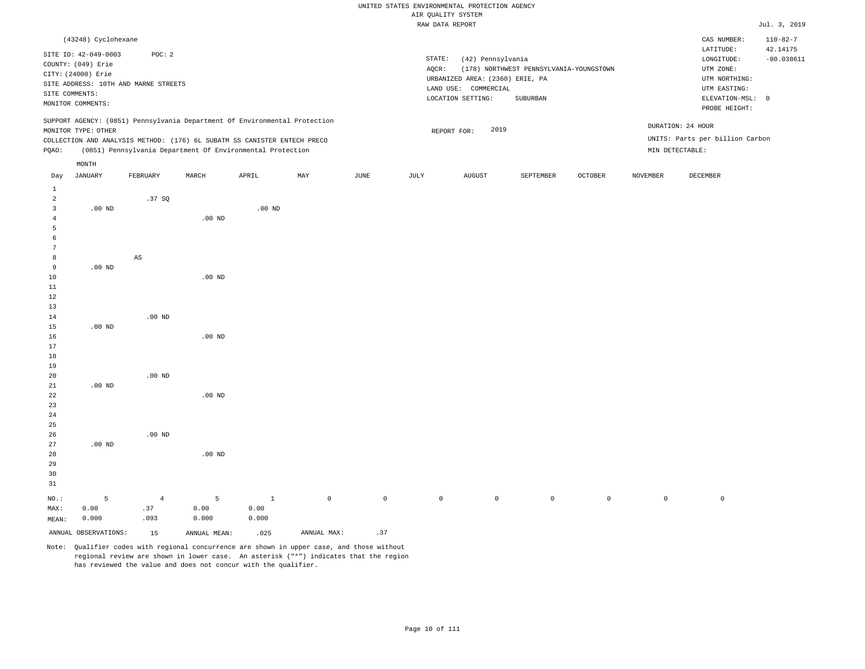|                     |                      |                                                                                                                                        |                   |          |     |      |        | ungicie illum yırm              |                                         |                |                 |                                 |                            |
|---------------------|----------------------|----------------------------------------------------------------------------------------------------------------------------------------|-------------------|----------|-----|------|--------|---------------------------------|-----------------------------------------|----------------|-----------------|---------------------------------|----------------------------|
|                     |                      |                                                                                                                                        |                   |          |     |      |        | RAW DATA REPORT                 |                                         |                |                 |                                 | Jul. 3, 2019               |
|                     | (43248) Cyclohexane  |                                                                                                                                        |                   |          |     |      |        |                                 |                                         |                |                 | CAS NUMBER:<br>LATITUDE:        | $110 - 82 - 7$<br>42.14175 |
|                     | SITE ID: 42-049-0003 | POC: 2                                                                                                                                 |                   |          |     |      | STATE: | (42) Pennsylvania               |                                         |                |                 | LONGITUDE:                      | $-80.038611$               |
|                     | COUNTY: (049) Erie   |                                                                                                                                        |                   |          |     |      | AOCR:  |                                 | (178) NORTHWEST PENNSYLVANIA-YOUNGSTOWN |                |                 | UTM ZONE:                       |                            |
|                     | CITY: (24000) Erie   |                                                                                                                                        |                   |          |     |      |        | URBANIZED AREA: (2360) ERIE, PA |                                         |                |                 | UTM NORTHING:                   |                            |
|                     |                      | SITE ADDRESS: 10TH AND MARNE STREETS                                                                                                   |                   |          |     |      |        | LAND USE: COMMERCIAL            |                                         |                |                 | UTM EASTING:                    |                            |
|                     | SITE COMMENTS:       |                                                                                                                                        |                   |          |     |      |        | LOCATION SETTING:               | SUBURBAN                                |                |                 | ELEVATION-MSL: 0                |                            |
|                     | MONITOR COMMENTS:    |                                                                                                                                        |                   |          |     |      |        |                                 |                                         |                |                 | PROBE HEIGHT:                   |                            |
|                     |                      | SUPPORT AGENCY: (0851) Pennsylvania Department Of Environmental Protection                                                             |                   |          |     |      |        | 2019                            |                                         |                |                 | DURATION: 24 HOUR               |                            |
|                     | MONITOR TYPE: OTHER  |                                                                                                                                        |                   |          |     |      |        | REPORT FOR:                     |                                         |                |                 | UNITS: Parts per billion Carbon |                            |
|                     |                      | COLLECTION AND ANALYSIS METHOD: (176) 6L SUBATM SS CANISTER ENTECH PRECO<br>(0851) Pennsylvania Department Of Environmental Protection |                   |          |     |      |        |                                 |                                         |                |                 |                                 |                            |
| PQAO:               |                      |                                                                                                                                        |                   |          |     |      |        |                                 |                                         |                |                 | MIN DETECTABLE:                 |                            |
|                     | MONTH                |                                                                                                                                        |                   |          |     |      |        |                                 |                                         |                |                 |                                 |                            |
| Day                 | <b>JANUARY</b>       | FEBRUARY                                                                                                                               | MARCH             | APRIL    | MAY | JUNE | JULY   | <b>AUGUST</b>                   | SEPTEMBER                               | <b>OCTOBER</b> | <b>NOVEMBER</b> | DECEMBER                        |                            |
| 1                   |                      |                                                                                                                                        |                   |          |     |      |        |                                 |                                         |                |                 |                                 |                            |
| $\overline{a}$<br>3 |                      | .37SQ                                                                                                                                  |                   |          |     |      |        |                                 |                                         |                |                 |                                 |                            |
|                     | $.00$ ND             |                                                                                                                                        |                   | $.00$ ND |     |      |        |                                 |                                         |                |                 |                                 |                            |
| 5                   |                      |                                                                                                                                        | .00 <sub>ND</sub> |          |     |      |        |                                 |                                         |                |                 |                                 |                            |
| 6                   |                      |                                                                                                                                        |                   |          |     |      |        |                                 |                                         |                |                 |                                 |                            |
|                     |                      |                                                                                                                                        |                   |          |     |      |        |                                 |                                         |                |                 |                                 |                            |
| 8                   |                      | AS                                                                                                                                     |                   |          |     |      |        |                                 |                                         |                |                 |                                 |                            |
| 9                   | $.00$ ND             |                                                                                                                                        |                   |          |     |      |        |                                 |                                         |                |                 |                                 |                            |
| 10                  |                      |                                                                                                                                        | $.00$ ND          |          |     |      |        |                                 |                                         |                |                 |                                 |                            |
| 11                  |                      |                                                                                                                                        |                   |          |     |      |        |                                 |                                         |                |                 |                                 |                            |
| $12$                |                      |                                                                                                                                        |                   |          |     |      |        |                                 |                                         |                |                 |                                 |                            |
| 13                  |                      |                                                                                                                                        |                   |          |     |      |        |                                 |                                         |                |                 |                                 |                            |
| 14                  |                      | $.00$ ND                                                                                                                               |                   |          |     |      |        |                                 |                                         |                |                 |                                 |                            |
| 15                  | $.00$ ND             |                                                                                                                                        |                   |          |     |      |        |                                 |                                         |                |                 |                                 |                            |
| 16                  |                      |                                                                                                                                        | $.00$ ND          |          |     |      |        |                                 |                                         |                |                 |                                 |                            |
| 17                  |                      |                                                                                                                                        |                   |          |     |      |        |                                 |                                         |                |                 |                                 |                            |
| 18                  |                      |                                                                                                                                        |                   |          |     |      |        |                                 |                                         |                |                 |                                 |                            |
| 19                  |                      |                                                                                                                                        |                   |          |     |      |        |                                 |                                         |                |                 |                                 |                            |
| 20                  |                      | $.00$ ND                                                                                                                               |                   |          |     |      |        |                                 |                                         |                |                 |                                 |                            |
| 21                  | $.00$ ND             |                                                                                                                                        |                   |          |     |      |        |                                 |                                         |                |                 |                                 |                            |
| 22                  |                      |                                                                                                                                        | $.00$ ND          |          |     |      |        |                                 |                                         |                |                 |                                 |                            |

28 29 30 31 NO.: MAX: MEAN: 5 0.00 0.000 .00 ND 4 .37 .093 5 0.00 0.000 1 0.00 0.000 0 0 0 0 0 0 0 0 ANNUAL OBSERVATIONS:  $15$  ANNUAL MEAN: .025 ANNUAL MAX: .37

Note: Qualifier codes with regional concurrence are shown in upper case, and those without regional review are shown in lower case. An asterisk ("\*") indicates that the region has reviewed the value and does not concur with the qualifier.

.00 ND

.00 ND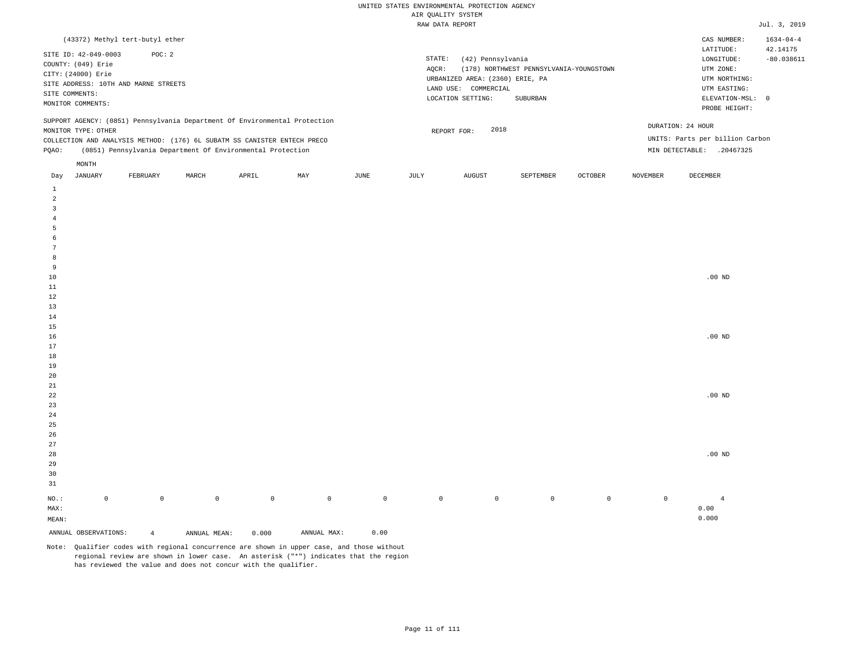|                                                                                                                                                                                        | (43372) Methyl tert-butyl ether                            |       |       |     |      |                 |                                                                                                   |                                                     |                |                 | CAS NUMBER:                                                                                                | $1634 - 04 - 4$          |
|----------------------------------------------------------------------------------------------------------------------------------------------------------------------------------------|------------------------------------------------------------|-------|-------|-----|------|-----------------|---------------------------------------------------------------------------------------------------|-----------------------------------------------------|----------------|-----------------|------------------------------------------------------------------------------------------------------------|--------------------------|
| SITE ID: 42-049-0003<br>COUNTY: (049) Erie<br>CITY: (24000) Erie<br>SITE ADDRESS: 10TH AND MARNE STREETS<br>SITE COMMENTS:<br>MONITOR COMMENTS:                                        | POC: 2                                                     |       |       |     |      | STATE:<br>AOCR: | (42) Pennsylvania<br>URBANIZED AREA: (2360) ERIE, PA<br>LAND USE: COMMERCIAL<br>LOCATION SETTING: | (178) NORTHWEST PENNSYLVANIA-YOUNGSTOWN<br>SUBURBAN |                |                 | LATITUDE:<br>LONGITUDE:<br>UTM ZONE:<br>UTM NORTHING:<br>UTM EASTING:<br>ELEVATION-MSL: 0<br>PROBE HEIGHT: | 42.14175<br>$-80.038611$ |
| SUPPORT AGENCY: (0851) Pennsylvania Department Of Environmental Protection<br>MONITOR TYPE: OTHER<br>COLLECTION AND ANALYSIS METHOD: (176) 6L SUBATM SS CANISTER ENTECH PRECO<br>POAO: | (0851) Pennsylvania Department Of Environmental Protection |       |       |     |      |                 | 2018<br>REPORT FOR:                                                                               |                                                     |                | MIN DETECTABLE: | DURATION: 24 HOUR<br>UNITS: Parts per billion Carbon<br>.20467325                                          |                          |
| MONTH<br>JANUARY<br>Day                                                                                                                                                                | FEBRUARY                                                   | MARCH | APRIL | MAY | JUNE | JULY            | AUGUST                                                                                            | SEPTEMBER                                           | <b>OCTOBER</b> | <b>NOVEMBER</b> | DECEMBER                                                                                                   |                          |

| $\overline{4}$<br>5<br>$\epsilon$<br>$7\phantom{.0}$<br>8<br>9<br>$10\,$<br>$20\,$<br>$2\sqrt{1}$<br>$^{\rm 22}$ | $.00$ ND |  |  |  |  |  |                |
|------------------------------------------------------------------------------------------------------------------|----------|--|--|--|--|--|----------------|
| $11\,$<br>$12\,$<br>$13\,$<br>$1\,4$<br>$1\,5$<br>$16\,$<br>$17\,$<br>$18\,$<br>$19\,$                           |          |  |  |  |  |  |                |
|                                                                                                                  |          |  |  |  |  |  |                |
|                                                                                                                  | $.00$ ND |  |  |  |  |  |                |
|                                                                                                                  |          |  |  |  |  |  |                |
|                                                                                                                  | $.00$ ND |  |  |  |  |  |                |
|                                                                                                                  |          |  |  |  |  |  |                |
| $\,$ $\,$<br>$\sqrt{2}$                                                                                          |          |  |  |  |  |  | $\overline{3}$ |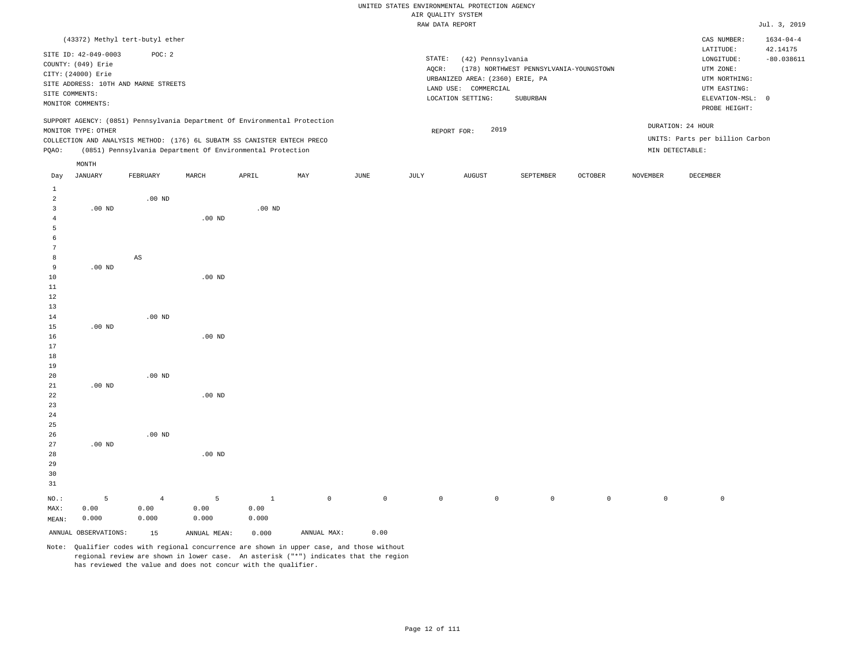|                                           |                                            |                                      |                                                                            |              |             |                         |             | RAW DATA REPORT                 |                                         |                     |                 |                                 | Jul. 3, 2019    |
|-------------------------------------------|--------------------------------------------|--------------------------------------|----------------------------------------------------------------------------|--------------|-------------|-------------------------|-------------|---------------------------------|-----------------------------------------|---------------------|-----------------|---------------------------------|-----------------|
|                                           |                                            | (43372) Methyl tert-butyl ether      |                                                                            |              |             |                         |             |                                 |                                         |                     |                 | CAS NUMBER:                     | $1634 - 04 - 4$ |
|                                           |                                            | POC: 2                               |                                                                            |              |             |                         |             |                                 |                                         |                     |                 | LATITUDE:                       | 42.14175        |
|                                           | SITE ID: 42-049-0003<br>COUNTY: (049) Erie |                                      |                                                                            |              |             |                         | STATE:      | (42) Pennsylvania               |                                         |                     |                 | LONGITUDE:                      | $-80.038611$    |
|                                           | CITY: (24000) Erie                         |                                      |                                                                            |              |             |                         | AQCR:       |                                 | (178) NORTHWEST PENNSYLVANIA-YOUNGSTOWN |                     |                 | UTM ZONE:                       |                 |
|                                           |                                            | SITE ADDRESS: 10TH AND MARNE STREETS |                                                                            |              |             |                         |             | URBANIZED AREA: (2360) ERIE, PA |                                         |                     |                 | UTM NORTHING:                   |                 |
|                                           | SITE COMMENTS:                             |                                      |                                                                            |              |             |                         |             | LAND USE: COMMERCIAL            |                                         |                     |                 | UTM EASTING:                    |                 |
|                                           | MONITOR COMMENTS:                          |                                      |                                                                            |              |             |                         |             | LOCATION SETTING:               | SUBURBAN                                |                     |                 | ELEVATION-MSL: 0                |                 |
|                                           |                                            |                                      | SUPPORT AGENCY: (0851) Pennsylvania Department Of Environmental Protection |              |             |                         |             |                                 |                                         |                     |                 | PROBE HEIGHT:                   |                 |
|                                           | MONITOR TYPE: OTHER                        |                                      |                                                                            |              |             |                         |             | 2019<br>REPORT FOR:             |                                         |                     |                 | DURATION: 24 HOUR               |                 |
|                                           |                                            |                                      | COLLECTION AND ANALYSIS METHOD: (176) 6L SUBATM SS CANISTER ENTECH PRECO   |              |             |                         |             |                                 |                                         |                     |                 | UNITS: Parts per billion Carbon |                 |
| PQAO:                                     |                                            |                                      | (0851) Pennsylvania Department Of Environmental Protection                 |              |             |                         |             |                                 |                                         |                     |                 | MIN DETECTABLE:                 |                 |
|                                           | MONTH                                      |                                      |                                                                            |              |             |                         |             |                                 |                                         |                     |                 |                                 |                 |
| Day                                       | <b>JANUARY</b>                             | FEBRUARY                             | MARCH                                                                      | APRIL        | MAY         | $\mathtt{JUNE}$         | JULY        | <b>AUGUST</b>                   | SEPTEMBER                               | OCTOBER             | <b>NOVEMBER</b> | DECEMBER                        |                 |
| $\mathbf{1}$                              |                                            |                                      |                                                                            |              |             |                         |             |                                 |                                         |                     |                 |                                 |                 |
| $\overline{a}$<br>$\overline{\mathbf{3}}$ |                                            | $.00$ ND                             |                                                                            |              |             |                         |             |                                 |                                         |                     |                 |                                 |                 |
| $\overline{4}$                            | $.00$ ND                                   |                                      | $.00$ ND                                                                   | $.00$ ND     |             |                         |             |                                 |                                         |                     |                 |                                 |                 |
| 5                                         |                                            |                                      |                                                                            |              |             |                         |             |                                 |                                         |                     |                 |                                 |                 |
| $\epsilon$                                |                                            |                                      |                                                                            |              |             |                         |             |                                 |                                         |                     |                 |                                 |                 |
| 7                                         |                                            |                                      |                                                                            |              |             |                         |             |                                 |                                         |                     |                 |                                 |                 |
| 8                                         |                                            | $_{\rm AS}$                          |                                                                            |              |             |                         |             |                                 |                                         |                     |                 |                                 |                 |
| 9                                         | $.00$ ND                                   |                                      |                                                                            |              |             |                         |             |                                 |                                         |                     |                 |                                 |                 |
| 10                                        |                                            |                                      | .00 <sub>ND</sub>                                                          |              |             |                         |             |                                 |                                         |                     |                 |                                 |                 |
| 11                                        |                                            |                                      |                                                                            |              |             |                         |             |                                 |                                         |                     |                 |                                 |                 |
| 12<br>13                                  |                                            |                                      |                                                                            |              |             |                         |             |                                 |                                         |                     |                 |                                 |                 |
| 14                                        |                                            | $.00$ ND                             |                                                                            |              |             |                         |             |                                 |                                         |                     |                 |                                 |                 |
| 15                                        | $.00$ ND                                   |                                      |                                                                            |              |             |                         |             |                                 |                                         |                     |                 |                                 |                 |
| 16                                        |                                            |                                      | .00 <sub>ND</sub>                                                          |              |             |                         |             |                                 |                                         |                     |                 |                                 |                 |
| 17                                        |                                            |                                      |                                                                            |              |             |                         |             |                                 |                                         |                     |                 |                                 |                 |
| 18                                        |                                            |                                      |                                                                            |              |             |                         |             |                                 |                                         |                     |                 |                                 |                 |
| 19                                        |                                            |                                      |                                                                            |              |             |                         |             |                                 |                                         |                     |                 |                                 |                 |
| 20                                        |                                            | $.00$ ND                             |                                                                            |              |             |                         |             |                                 |                                         |                     |                 |                                 |                 |
| 21                                        | $.00$ ND                                   |                                      |                                                                            |              |             |                         |             |                                 |                                         |                     |                 |                                 |                 |
| 22<br>23                                  |                                            |                                      | $.00$ ND                                                                   |              |             |                         |             |                                 |                                         |                     |                 |                                 |                 |
| 24                                        |                                            |                                      |                                                                            |              |             |                         |             |                                 |                                         |                     |                 |                                 |                 |
| 25                                        |                                            |                                      |                                                                            |              |             |                         |             |                                 |                                         |                     |                 |                                 |                 |
| 26                                        |                                            | $.00$ ND                             |                                                                            |              |             |                         |             |                                 |                                         |                     |                 |                                 |                 |
| 27                                        | $.00$ ND                                   |                                      |                                                                            |              |             |                         |             |                                 |                                         |                     |                 |                                 |                 |
| 28                                        |                                            |                                      | .00 <sub>ND</sub>                                                          |              |             |                         |             |                                 |                                         |                     |                 |                                 |                 |
| 29                                        |                                            |                                      |                                                                            |              |             |                         |             |                                 |                                         |                     |                 |                                 |                 |
| 30<br>31                                  |                                            |                                      |                                                                            |              |             |                         |             |                                 |                                         |                     |                 |                                 |                 |
| NO.:                                      | 5                                          | $\overline{4}$                       | 5                                                                          | $\mathbf{1}$ | $\mathbb O$ | $\mathsf{O}\xspace$     | $\mathbb O$ | $\mathsf{O}$                    | $\mathsf{O}$                            | $\mathsf{O}\xspace$ | $\mathbb O$     | $\mathbb O$                     |                 |
| MAX:                                      | 0.00                                       | 0.00                                 | 0.00                                                                       | 0.00         |             |                         |             |                                 |                                         |                     |                 |                                 |                 |
| MEAN:                                     | 0.000                                      | 0.000                                | 0.000                                                                      | 0.000        |             |                         |             |                                 |                                         |                     |                 |                                 |                 |
|                                           | ANNUAL OBSERVATIONS:                       | 15                                   | ANNUAL MEAN:                                                               | 0.000        | ANNUAL MAX: | 0.00                    |             |                                 |                                         |                     |                 |                                 |                 |
|                                           |                                            | $\sim$ $\sim$                        |                                                                            |              |             | $\sim$ $\sim$<br>$\sim$ |             |                                 |                                         |                     |                 |                                 |                 |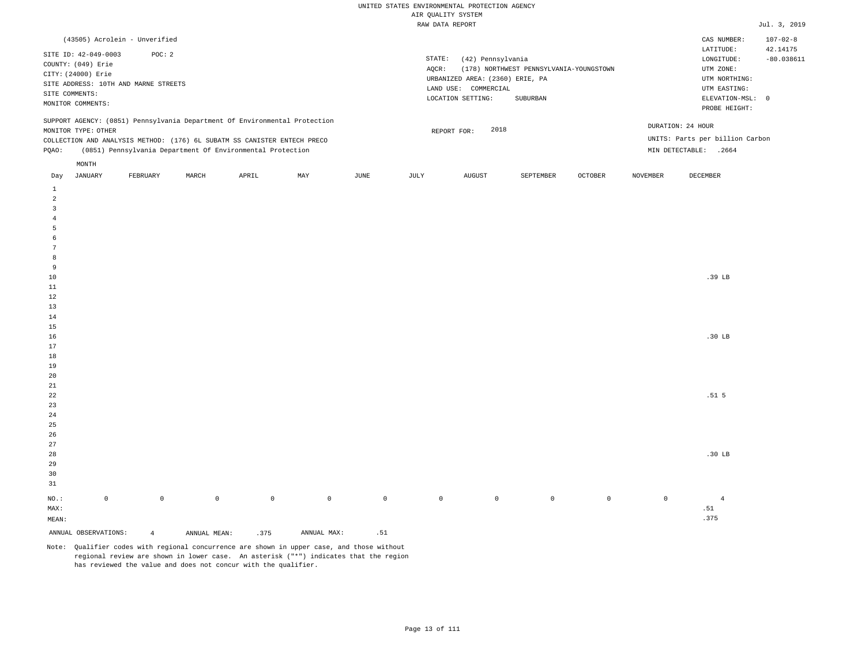| (43505) Acrolein - Unverified                                                                                                                                                                                                                                 |                                                                                                                                                                             | $107 - 02 - 8$<br>CAS NUMBER:                                                                                                          |
|---------------------------------------------------------------------------------------------------------------------------------------------------------------------------------------------------------------------------------------------------------------|-----------------------------------------------------------------------------------------------------------------------------------------------------------------------------|----------------------------------------------------------------------------------------------------------------------------------------|
| SITE ID: 42-049-0003<br>POC: 2<br>COUNTY: (049) Erie<br>CITY: (24000) Erie<br>SITE ADDRESS: 10TH AND MARNE STREETS<br>SITE COMMENTS:<br>MONITOR COMMENTS:                                                                                                     | STATE:<br>(42) Pennsylvania<br>(178) NORTHWEST PENNSYLVANIA-YOUNGSTOWN<br>AOCR:<br>URBANIZED AREA: (2360) ERIE, PA<br>LAND USE: COMMERCIAL<br>LOCATION SETTING:<br>SUBURBAN | LATITUDE:<br>42.14175<br>$-80.038611$<br>LONGITUDE:<br>UTM ZONE:<br>UTM NORTHING:<br>UTM EASTING:<br>ELEVATION-MSL: 0<br>PROBE HEIGHT: |
| SUPPORT AGENCY: (0851) Pennsylvania Department Of Environmental Protection<br>MONITOR TYPE: OTHER<br>COLLECTION AND ANALYSIS METHOD: (176) 6L SUBATM SS CANISTER ENTECH PRECO<br>(0851) Pennsylvania Department Of Environmental Protection<br>POAO:<br>MONTH | 2018<br>REPORT FOR:                                                                                                                                                         | DURATION: 24 HOUR<br>UNITS: Parts per billion Carbon<br>MIN DETECTABLE:<br>.2664                                                       |
|                                                                                                                                                                                                                                                               |                                                                                                                                                                             |                                                                                                                                        |

| JANUARY<br>Day            |             | FEBRUARY       | MARCH        | APRIL               | MAY         | JUNE                | JULY        | AUGUST      | SEPTEMBER   | OCTOBER     | NOVEMBER    | DECEMBER          |
|---------------------------|-------------|----------------|--------------|---------------------|-------------|---------------------|-------------|-------------|-------------|-------------|-------------|-------------------|
| $\mathbf{1}$              |             |                |              |                     |             |                     |             |             |             |             |             |                   |
| $\overline{a}$            |             |                |              |                     |             |                     |             |             |             |             |             |                   |
| 3                         |             |                |              |                     |             |                     |             |             |             |             |             |                   |
| $\overline{4}$            |             |                |              |                     |             |                     |             |             |             |             |             |                   |
| 5                         |             |                |              |                     |             |                     |             |             |             |             |             |                   |
| 6                         |             |                |              |                     |             |                     |             |             |             |             |             |                   |
| $\overline{7}$            |             |                |              |                     |             |                     |             |             |             |             |             |                   |
| 8                         |             |                |              |                     |             |                     |             |             |             |             |             |                   |
| 9                         |             |                |              |                     |             |                     |             |             |             |             |             |                   |
| $10$                      |             |                |              |                     |             |                     |             |             |             |             |             | $.39$ LB          |
| $11\,$                    |             |                |              |                     |             |                     |             |             |             |             |             |                   |
| 12                        |             |                |              |                     |             |                     |             |             |             |             |             |                   |
| 13                        |             |                |              |                     |             |                     |             |             |             |             |             |                   |
| 14                        |             |                |              |                     |             |                     |             |             |             |             |             |                   |
| 15                        |             |                |              |                     |             |                     |             |             |             |             |             |                   |
| 16                        |             |                |              |                     |             |                     |             |             |             |             |             | .30 <sub>LB</sub> |
| 17                        |             |                |              |                     |             |                     |             |             |             |             |             |                   |
| 18                        |             |                |              |                     |             |                     |             |             |             |             |             |                   |
| 19                        |             |                |              |                     |             |                     |             |             |             |             |             |                   |
| 20                        |             |                |              |                     |             |                     |             |             |             |             |             |                   |
| $2\sqrt{1}$<br>${\bf 22}$ |             |                |              |                     |             |                     |             |             |             |             |             | .51 <sub>5</sub>  |
| $23\,$                    |             |                |              |                     |             |                     |             |             |             |             |             |                   |
| $2\,4$                    |             |                |              |                     |             |                     |             |             |             |             |             |                   |
| $2\sqrt{5}$               |             |                |              |                     |             |                     |             |             |             |             |             |                   |
| $26\,$                    |             |                |              |                     |             |                     |             |             |             |             |             |                   |
| $27\,$                    |             |                |              |                     |             |                     |             |             |             |             |             |                   |
| $28\,$                    |             |                |              |                     |             |                     |             |             |             |             |             | .30 <sub>LB</sub> |
| 29                        |             |                |              |                     |             |                     |             |             |             |             |             |                   |
| 30                        |             |                |              |                     |             |                     |             |             |             |             |             |                   |
| 31                        |             |                |              |                     |             |                     |             |             |             |             |             |                   |
| $_{\rm NO.}$ :            | $\mathsf 0$ | $\mathbb O$    | $\mathbb O$  | $\mathsf{O}\xspace$ | $\mathsf 0$ | $\mathsf{O}\xspace$ | $\mathbb O$ | $\mathbb O$ | $\mathbb O$ | $\mathbb O$ | $\mathbb O$ | $\overline{4}$    |
| MAX:                      |             |                |              |                     |             |                     |             |             |             |             |             | .51               |
| MEAN:                     |             |                |              |                     |             |                     |             |             |             |             |             | .375              |
| ANNUAL OBSERVATIONS:      |             | $\overline{4}$ | ANNUAL MEAN: | .375                | ANNUAL MAX: | .51                 |             |             |             |             |             |                   |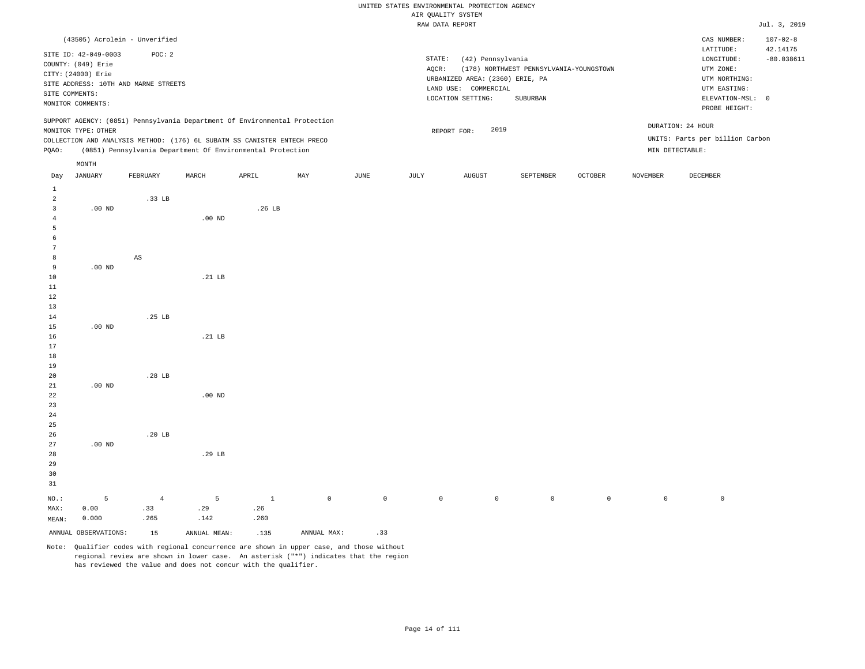|                                                                                                                                                                |                                                                                                         |                                                                            |                                                    |        |     |             |                    | RAW DATA REPORT                                                                                   |                                                     |                |                 |                                                                                               | Jul. 3, 2019               |
|----------------------------------------------------------------------------------------------------------------------------------------------------------------|---------------------------------------------------------------------------------------------------------|----------------------------------------------------------------------------|----------------------------------------------------|--------|-----|-------------|--------------------|---------------------------------------------------------------------------------------------------|-----------------------------------------------------|----------------|-----------------|-----------------------------------------------------------------------------------------------|----------------------------|
|                                                                                                                                                                |                                                                                                         | (43505) Acrolein - Unverified                                              |                                                    |        |     |             |                    |                                                                                                   |                                                     |                |                 | CAS NUMBER:<br>LATITUDE:                                                                      | $107 - 02 - 8$<br>42.14175 |
|                                                                                                                                                                | SITE ID: 42-049-0003<br>COUNTY: (049) Erie<br>CITY: (24000) Erie<br>SITE COMMENTS:<br>MONITOR COMMENTS: | POC: 2<br>SITE ADDRESS: 10TH AND MARNE STREETS                             |                                                    |        |     |             | STATE:<br>$AQCR$ : | (42) Pennsylvania<br>URBANIZED AREA: (2360) ERIE, PA<br>LAND USE: COMMERCIAL<br>LOCATION SETTING: | (178) NORTHWEST PENNSYLVANIA-YOUNGSTOWN<br>SUBURBAN |                |                 | LONGITUDE:<br>UTM ZONE:<br>UTM NORTHING:<br>UTM EASTING:<br>ELEVATION-MSL: 0<br>PROBE HEIGHT: | $-80.038611$               |
|                                                                                                                                                                | MONITOR TYPE: OTHER                                                                                     | SUPPORT AGENCY: (0851) Pennsylvania Department Of Environmental Protection |                                                    |        |     |             |                    | 2019<br>REPORT FOR:                                                                               |                                                     |                |                 | DURATION: 24 HOUR                                                                             |                            |
|                                                                                                                                                                |                                                                                                         | COLLECTION AND ANALYSIS METHOD: (176) 6L SUBATM SS CANISTER ENTECH PRECO   |                                                    |        |     |             |                    |                                                                                                   |                                                     |                |                 | UNITS: Parts per billion Carbon                                                               |                            |
| PQAO:                                                                                                                                                          |                                                                                                         | (0851) Pennsylvania Department Of Environmental Protection                 |                                                    |        |     |             |                    |                                                                                                   |                                                     |                | MIN DETECTABLE: |                                                                                               |                            |
| Day                                                                                                                                                            | MONTH<br><b>JANUARY</b>                                                                                 | FEBRUARY                                                                   | MARCH                                              | APRIL  | MAY | <b>JUNE</b> | JULY               | <b>AUGUST</b>                                                                                     | SEPTEMBER                                           | <b>OCTOBER</b> | <b>NOVEMBER</b> | <b>DECEMBER</b>                                                                               |                            |
| $\mathbf{1}$<br>$\overline{2}$<br>$\overline{3}$<br>$\overline{4}$<br>5<br>-6<br>7<br>8<br>9<br>10<br>11<br>12<br>13<br>14<br>15<br>16<br>17<br>18<br>19<br>20 | $.00$ ND<br>.00 <sub>ND</sub><br>$.00$ ND                                                               | .33 LB<br>$\mathbb{A}\mathbb{S}$<br>.25 LB<br>.28 <sub>LB</sub>            | $.00$ ND<br>.21 <sub>LB</sub><br>.21 <sub>LB</sub> | .26 LB |     |             |                    |                                                                                                   |                                                     |                |                 |                                                                                               |                            |
| 21<br>22<br>23<br>24<br>25<br>26<br>27<br>28<br>29<br>30<br>31                                                                                                 | $.00$ ND<br>$.00$ ND                                                                                    | .20 <sub>LB</sub>                                                          | $.00$ ND<br>.29 LB                                 |        |     |             |                    |                                                                                                   |                                                     |                |                 |                                                                                               |                            |

NO.: MAX: MEAN: 5 0.00 0.000 4 .33 .265 5 .29 .142 1 .26 .260 0 0 0 0 0 0 0 0

ANNUAL OBSERVATIONS:  $15$  ANNUAL MEAN: .135 ANNUAL MAX: .33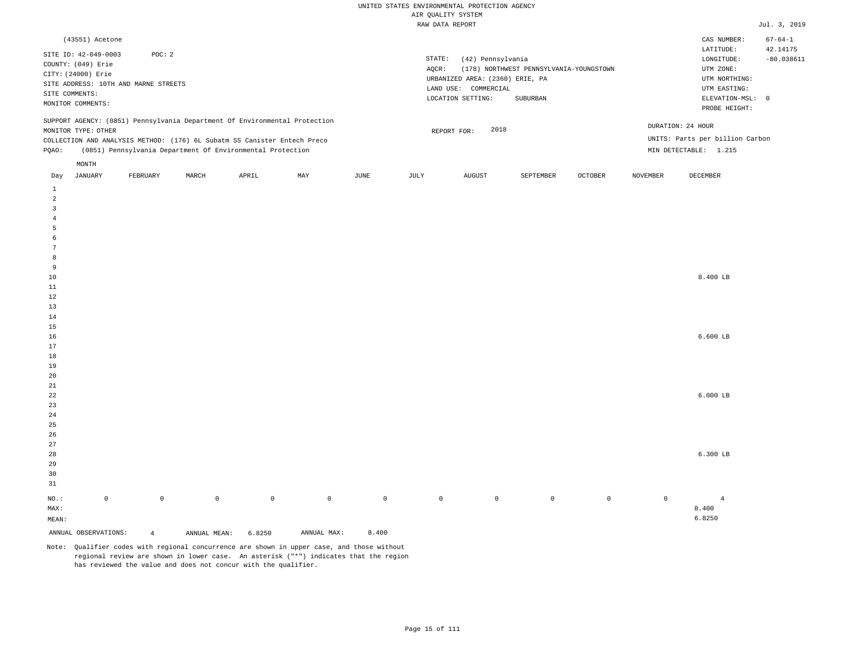| (43551) Acetone                                                                                                                                                                                                                                               |                                                                                                                                                                             | CAS NUMBER:                                                                                                | $67 - 64 - 1$            |
|---------------------------------------------------------------------------------------------------------------------------------------------------------------------------------------------------------------------------------------------------------------|-----------------------------------------------------------------------------------------------------------------------------------------------------------------------------|------------------------------------------------------------------------------------------------------------|--------------------------|
| SITE ID: 42-049-0003<br>POC:2<br>COUNTY: (049) Erie<br>CITY: (24000) Erie<br>SITE ADDRESS: 10TH AND MARNE STREETS<br>SITE COMMENTS:<br>MONITOR COMMENTS:                                                                                                      | STATE:<br>(42) Pennsylvania<br>(178) NORTHWEST PENNSYLVANIA-YOUNGSTOWN<br>AOCR:<br>URBANIZED AREA: (2360) ERIE, PA<br>LAND USE: COMMERCIAL<br>LOCATION SETTING:<br>SUBURBAN | LATITUDE:<br>LONGITUDE:<br>UTM ZONE:<br>UTM NORTHING:<br>UTM EASTING:<br>ELEVATION-MSL: 0<br>PROBE HEIGHT: | 42.14175<br>$-80.038611$ |
| SUPPORT AGENCY: (0851) Pennsylvania Department Of Environmental Protection<br>MONITOR TYPE: OTHER<br>COLLECTION AND ANALYSIS METHOD: (176) 6L Subatm SS Canister Entech Preco<br>(0851) Pennsylvania Department Of Environmental Protection<br>POAO:<br>MONTH | 2018<br>REPORT FOR:                                                                                                                                                         | DURATION: 24 HOUR<br>UNITS: Parts per billion Carbon<br>MIN DETECTABLE: 1.215                              |                          |

| Day                     | JANUARY              | FEBRUARY       | MARCH        | APRIL       | MAY                                | JUNE         | JULY        | AUGUST         | SEPTEMBER      | OCTOBER        | NOVEMBER    | DECEMBER       |
|-------------------------|----------------------|----------------|--------------|-------------|------------------------------------|--------------|-------------|----------------|----------------|----------------|-------------|----------------|
| $\mathbf{1}$            |                      |                |              |             |                                    |              |             |                |                |                |             |                |
| $\overline{a}$          |                      |                |              |             |                                    |              |             |                |                |                |             |                |
| $\overline{\mathbf{3}}$ |                      |                |              |             |                                    |              |             |                |                |                |             |                |
| $\sqrt{4}$              |                      |                |              |             |                                    |              |             |                |                |                |             |                |
| 5                       |                      |                |              |             |                                    |              |             |                |                |                |             |                |
| $\epsilon$              |                      |                |              |             |                                    |              |             |                |                |                |             |                |
| $7\phantom{.0}$         |                      |                |              |             |                                    |              |             |                |                |                |             |                |
| 8                       |                      |                |              |             |                                    |              |             |                |                |                |             |                |
| 9                       |                      |                |              |             |                                    |              |             |                |                |                |             |                |
| $10$                    |                      |                |              |             |                                    |              |             |                |                |                |             | 8.400 LB       |
| 11                      |                      |                |              |             |                                    |              |             |                |                |                |             |                |
| 12                      |                      |                |              |             |                                    |              |             |                |                |                |             |                |
| 13                      |                      |                |              |             |                                    |              |             |                |                |                |             |                |
| 14                      |                      |                |              |             |                                    |              |             |                |                |                |             |                |
| 15                      |                      |                |              |             |                                    |              |             |                |                |                |             |                |
| 16                      |                      |                |              |             |                                    |              |             |                |                |                |             | $6.600$ LB     |
| 17                      |                      |                |              |             |                                    |              |             |                |                |                |             |                |
| 18                      |                      |                |              |             |                                    |              |             |                |                |                |             |                |
| 19                      |                      |                |              |             |                                    |              |             |                |                |                |             |                |
| 20                      |                      |                |              |             |                                    |              |             |                |                |                |             |                |
| 21<br>22                |                      |                |              |             |                                    |              |             |                |                |                |             | $6.000$ LB     |
| 23                      |                      |                |              |             |                                    |              |             |                |                |                |             |                |
| 24                      |                      |                |              |             |                                    |              |             |                |                |                |             |                |
| 25                      |                      |                |              |             |                                    |              |             |                |                |                |             |                |
| 26                      |                      |                |              |             |                                    |              |             |                |                |                |             |                |
| 27                      |                      |                |              |             |                                    |              |             |                |                |                |             |                |
| 28                      |                      |                |              |             |                                    |              |             |                |                |                |             | $6.300$ LB     |
| 29                      |                      |                |              |             |                                    |              |             |                |                |                |             |                |
| 30                      |                      |                |              |             |                                    |              |             |                |                |                |             |                |
| 31                      |                      |                |              |             |                                    |              |             |                |                |                |             |                |
|                         |                      |                |              |             |                                    |              |             |                |                |                |             |                |
| $_{\rm NO.}$ :          | $\mathbb O$          | $\mathbb O$    | $\mathbb O$  | $\mathbb O$ | $\mathsf 0$                        | $\mathsf{O}$ | $\mathbb O$ | $\overline{0}$ | $\overline{0}$ | $\overline{0}$ | $\mathbb O$ | $\overline{4}$ |
| MAX:                    |                      |                |              |             |                                    |              |             |                |                |                |             | 8.400          |
| MEAN:                   |                      |                |              |             |                                    |              |             |                |                |                |             | 6.8250         |
|                         | ANNUAL OBSERVATIONS: | $\overline{4}$ | ANNUAL MEAN: | 6.8250      | $\texttt{ANNUAL}$ $\texttt{MAX}$ : | 8.400        |             |                |                |                |             |                |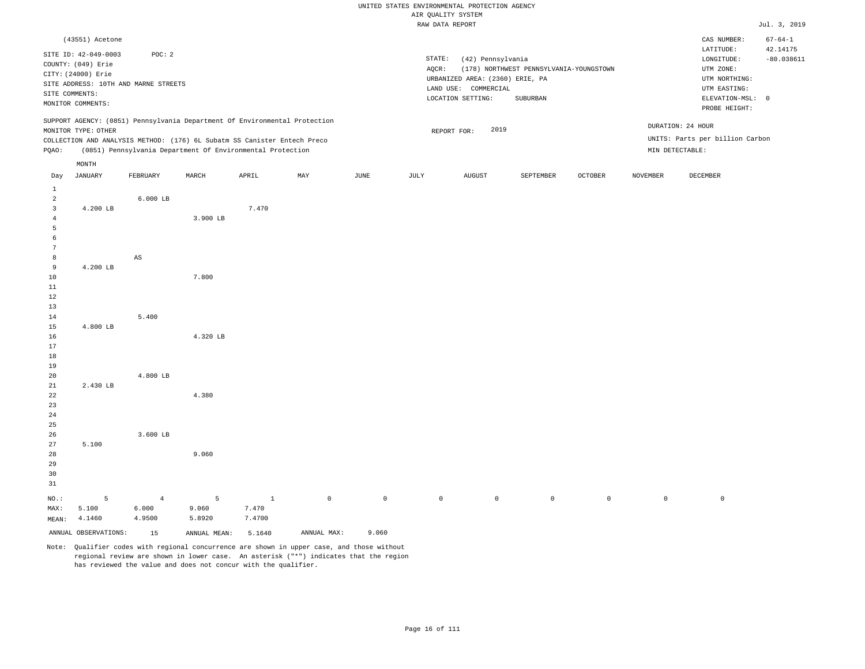|                         |                                                                                                                                                 |                                                            |          |              |             |             |       | RAW DATA REPORT                                                                                             |                                                             |                |                 |                                                                                               | Jul. 3, 2019              |
|-------------------------|-------------------------------------------------------------------------------------------------------------------------------------------------|------------------------------------------------------------|----------|--------------|-------------|-------------|-------|-------------------------------------------------------------------------------------------------------------|-------------------------------------------------------------|----------------|-----------------|-----------------------------------------------------------------------------------------------|---------------------------|
|                         | (43551) Acetone                                                                                                                                 |                                                            |          |              |             |             |       |                                                                                                             |                                                             |                |                 | CAS NUMBER:<br>LATITUDE:                                                                      | $67 - 64 - 1$<br>42.14175 |
|                         | SITE ID: 42-049-0003<br>COUNTY: (049) Erie<br>CITY: (24000) Erie<br>SITE ADDRESS: 10TH AND MARNE STREETS<br>SITE COMMENTS:<br>MONITOR COMMENTS: | POC: 2                                                     |          |              |             |             | AQCR: | STATE:<br>(42) Pennsylvania<br>URBANIZED AREA: (2360) ERIE, PA<br>LAND USE: COMMERCIAL<br>LOCATION SETTING: | (178) NORTHWEST PENNSYLVANIA-YOUNGSTOWN<br>${\tt SUBURBAN}$ |                |                 | LONGITUDE:<br>UTM ZONE:<br>UTM NORTHING:<br>UTM EASTING:<br>ELEVATION-MSL: 0<br>PROBE HEIGHT: | $-80.038611$              |
|                         | SUPPORT AGENCY: (0851) Pennsylvania Department Of Environmental Protection<br>MONITOR TYPE: OTHER                                               |                                                            |          |              |             |             |       | 2019<br>REPORT FOR:                                                                                         |                                                             |                |                 | DURATION: 24 HOUR                                                                             |                           |
|                         | COLLECTION AND ANALYSIS METHOD: (176) 6L Subatm SS Canister Entech Preco                                                                        |                                                            |          |              |             |             |       |                                                                                                             |                                                             |                |                 | UNITS: Parts per billion Carbon                                                               |                           |
| PQAO:                   |                                                                                                                                                 | (0851) Pennsylvania Department Of Environmental Protection |          |              |             |             |       |                                                                                                             |                                                             |                |                 | MIN DETECTABLE:                                                                               |                           |
|                         | MONTH                                                                                                                                           |                                                            |          |              |             |             |       |                                                                                                             |                                                             |                |                 |                                                                                               |                           |
| Day                     | <b>JANUARY</b>                                                                                                                                  | FEBRUARY                                                   | MARCH    | APRIL        | MAY         | <b>JUNE</b> | JULY  | AUGUST                                                                                                      | SEPTEMBER                                                   | <b>OCTOBER</b> | <b>NOVEMBER</b> | DECEMBER                                                                                      |                           |
| $\mathbf{1}$            |                                                                                                                                                 |                                                            |          |              |             |             |       |                                                                                                             |                                                             |                |                 |                                                                                               |                           |
| $\overline{a}$          |                                                                                                                                                 | $6.000$ LB                                                 |          |              |             |             |       |                                                                                                             |                                                             |                |                 |                                                                                               |                           |
| $\overline{\mathbf{3}}$ | 4.200 LB                                                                                                                                        |                                                            |          | 7.470        |             |             |       |                                                                                                             |                                                             |                |                 |                                                                                               |                           |
| $\overline{4}$          |                                                                                                                                                 |                                                            | 3.900 LB |              |             |             |       |                                                                                                             |                                                             |                |                 |                                                                                               |                           |
| 5<br>6                  |                                                                                                                                                 |                                                            |          |              |             |             |       |                                                                                                             |                                                             |                |                 |                                                                                               |                           |
| $7\phantom{.0}$         |                                                                                                                                                 |                                                            |          |              |             |             |       |                                                                                                             |                                                             |                |                 |                                                                                               |                           |
| 8                       |                                                                                                                                                 | $_{\rm AS}$                                                |          |              |             |             |       |                                                                                                             |                                                             |                |                 |                                                                                               |                           |
| 9                       | 4.200 LB                                                                                                                                        |                                                            |          |              |             |             |       |                                                                                                             |                                                             |                |                 |                                                                                               |                           |
| 10                      |                                                                                                                                                 |                                                            | 7.800    |              |             |             |       |                                                                                                             |                                                             |                |                 |                                                                                               |                           |
| $11\,$                  |                                                                                                                                                 |                                                            |          |              |             |             |       |                                                                                                             |                                                             |                |                 |                                                                                               |                           |
| 12                      |                                                                                                                                                 |                                                            |          |              |             |             |       |                                                                                                             |                                                             |                |                 |                                                                                               |                           |
| 13                      |                                                                                                                                                 |                                                            |          |              |             |             |       |                                                                                                             |                                                             |                |                 |                                                                                               |                           |
| 14                      | 4.800 LB                                                                                                                                        | 5.400                                                      |          |              |             |             |       |                                                                                                             |                                                             |                |                 |                                                                                               |                           |
| 15<br>16                |                                                                                                                                                 |                                                            | 4.320 LB |              |             |             |       |                                                                                                             |                                                             |                |                 |                                                                                               |                           |
| 17                      |                                                                                                                                                 |                                                            |          |              |             |             |       |                                                                                                             |                                                             |                |                 |                                                                                               |                           |
| 18                      |                                                                                                                                                 |                                                            |          |              |             |             |       |                                                                                                             |                                                             |                |                 |                                                                                               |                           |
| 19                      |                                                                                                                                                 |                                                            |          |              |             |             |       |                                                                                                             |                                                             |                |                 |                                                                                               |                           |
| 20                      |                                                                                                                                                 | 4.800 LB                                                   |          |              |             |             |       |                                                                                                             |                                                             |                |                 |                                                                                               |                           |
| 21                      | 2.430 LB                                                                                                                                        |                                                            |          |              |             |             |       |                                                                                                             |                                                             |                |                 |                                                                                               |                           |
| 22                      |                                                                                                                                                 |                                                            | 4.380    |              |             |             |       |                                                                                                             |                                                             |                |                 |                                                                                               |                           |
| 23<br>24                |                                                                                                                                                 |                                                            |          |              |             |             |       |                                                                                                             |                                                             |                |                 |                                                                                               |                           |
| 25                      |                                                                                                                                                 |                                                            |          |              |             |             |       |                                                                                                             |                                                             |                |                 |                                                                                               |                           |
| 26                      |                                                                                                                                                 | 3.600 LB                                                   |          |              |             |             |       |                                                                                                             |                                                             |                |                 |                                                                                               |                           |
| 27                      | 5.100                                                                                                                                           |                                                            |          |              |             |             |       |                                                                                                             |                                                             |                |                 |                                                                                               |                           |
| 28                      |                                                                                                                                                 |                                                            | 9.060    |              |             |             |       |                                                                                                             |                                                             |                |                 |                                                                                               |                           |
| 29                      |                                                                                                                                                 |                                                            |          |              |             |             |       |                                                                                                             |                                                             |                |                 |                                                                                               |                           |
| 30                      |                                                                                                                                                 |                                                            |          |              |             |             |       |                                                                                                             |                                                             |                |                 |                                                                                               |                           |
| 31                      |                                                                                                                                                 |                                                            |          |              |             |             |       |                                                                                                             |                                                             |                |                 |                                                                                               |                           |
| $NO.$ :                 | 5                                                                                                                                               | $\overline{4}$                                             | 5        | $\mathbf{1}$ | $\mathbb O$ | $\mathbb O$ |       | $\mathbb O$<br>$\mathbb O$                                                                                  | $\mathbb O$                                                 | $\mathbb O$    | $\mathbb O$     | $\mathbb O$                                                                                   |                           |
| MAX:                    | 5.100                                                                                                                                           | 6.000                                                      | 9.060    | 7.470        |             |             |       |                                                                                                             |                                                             |                |                 |                                                                                               |                           |

MEAN: 4.1460 4.9500 5.8920 7.4700

ANNUAL OBSERVATIONS: 15 ANNUAL MEAN: 5.1640 ANNUAL MAX: 9.060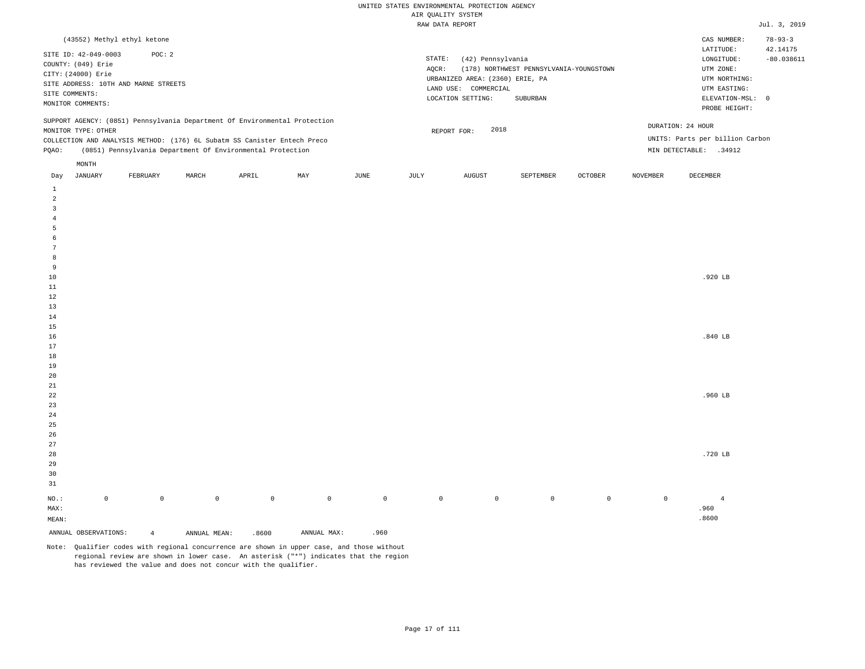| (43552) Methyl ethyl ketone                                                                                                                                                                                                                                   |                                                                                                                                                                             | CAS NUMBER:                                                                                                | $78 - 93 - 3$            |
|---------------------------------------------------------------------------------------------------------------------------------------------------------------------------------------------------------------------------------------------------------------|-----------------------------------------------------------------------------------------------------------------------------------------------------------------------------|------------------------------------------------------------------------------------------------------------|--------------------------|
| SITE ID: 42-049-0003<br>POC:2<br>COUNTY: (049) Erie<br>CITY: (24000) Erie<br>SITE ADDRESS: 10TH AND MARNE STREETS<br>SITE COMMENTS:<br>MONITOR COMMENTS:                                                                                                      | STATE:<br>(42) Pennsylvania<br>(178) NORTHWEST PENNSYLVANIA-YOUNGSTOWN<br>AOCR:<br>URBANIZED AREA: (2360) ERIE, PA<br>LAND USE: COMMERCIAL<br>LOCATION SETTING:<br>SUBURBAN | LATITUDE:<br>LONGITUDE:<br>UTM ZONE:<br>UTM NORTHING:<br>UTM EASTING:<br>ELEVATION-MSL: 0<br>PROBE HEIGHT: | 42.14175<br>$-80.038611$ |
| SUPPORT AGENCY: (0851) Pennsylvania Department Of Environmental Protection<br>MONITOR TYPE: OTHER<br>COLLECTION AND ANALYSIS METHOD: (176) 6L Subatm SS Canister Entech Preco<br>(0851) Pennsylvania Department Of Environmental Protection<br>POAO:<br>MONTH | DURATION: 24 HOUR<br>2018<br>REPORT FOR:<br>MIN DETECTABLE:                                                                                                                 | UNITS: Parts per billion Carbon<br>.34912                                                                  |                          |

| JANUARY<br>Day          |             | FEBRUARY       | MARCH        | APRIL       | MAY         | JUNE        | JULY    | AUGUST         | SEPTEMBER | OCTOBER | NOVEMBER            | DECEMBER       |
|-------------------------|-------------|----------------|--------------|-------------|-------------|-------------|---------|----------------|-----------|---------|---------------------|----------------|
| $\mathbf{1}$            |             |                |              |             |             |             |         |                |           |         |                     |                |
| $\overline{\mathbf{c}}$ |             |                |              |             |             |             |         |                |           |         |                     |                |
| 3                       |             |                |              |             |             |             |         |                |           |         |                     |                |
| $\overline{4}$          |             |                |              |             |             |             |         |                |           |         |                     |                |
| 5                       |             |                |              |             |             |             |         |                |           |         |                     |                |
| 6                       |             |                |              |             |             |             |         |                |           |         |                     |                |
| $\overline{7}$          |             |                |              |             |             |             |         |                |           |         |                     |                |
| 8                       |             |                |              |             |             |             |         |                |           |         |                     |                |
| 9                       |             |                |              |             |             |             |         |                |           |         |                     |                |
| $10$                    |             |                |              |             |             |             |         |                |           |         |                     | $.920$ LB      |
| $11\,$                  |             |                |              |             |             |             |         |                |           |         |                     |                |
| 12                      |             |                |              |             |             |             |         |                |           |         |                     |                |
| 13                      |             |                |              |             |             |             |         |                |           |         |                     |                |
| 14                      |             |                |              |             |             |             |         |                |           |         |                     |                |
| 15                      |             |                |              |             |             |             |         |                |           |         |                     |                |
| 16                      |             |                |              |             |             |             |         |                |           |         |                     | .840 $LB$      |
| 17                      |             |                |              |             |             |             |         |                |           |         |                     |                |
| $18\,$                  |             |                |              |             |             |             |         |                |           |         |                     |                |
| 19                      |             |                |              |             |             |             |         |                |           |         |                     |                |
| $20\,$                  |             |                |              |             |             |             |         |                |           |         |                     |                |
| $2\sqrt{1}$             |             |                |              |             |             |             |         |                |           |         |                     |                |
| ${\bf 22}$              |             |                |              |             |             |             |         |                |           |         |                     | .960 $LB$      |
| $23\,$                  |             |                |              |             |             |             |         |                |           |         |                     |                |
| $2\,4$                  |             |                |              |             |             |             |         |                |           |         |                     |                |
| $2\sqrt{5}$             |             |                |              |             |             |             |         |                |           |         |                     |                |
| $26\,$<br>27            |             |                |              |             |             |             |         |                |           |         |                     |                |
| 28                      |             |                |              |             |             |             |         |                |           |         |                     | .720 LB        |
| 29                      |             |                |              |             |             |             |         |                |           |         |                     |                |
| 30                      |             |                |              |             |             |             |         |                |           |         |                     |                |
| 31                      |             |                |              |             |             |             |         |                |           |         |                     |                |
|                         |             |                |              |             |             |             |         |                |           |         |                     |                |
| $_{\rm NO.}$ :          | $\mathsf 0$ | $\mathbb O$    | $\mathbb O$  | $\mathbb O$ | $\mathbb O$ | $\mathbb O$ | $\circ$ | $\overline{0}$ | $\circ$   | $\circ$ | $\mathsf{O}\xspace$ | $\overline{4}$ |
| MAX:                    |             |                |              |             |             |             |         |                |           |         |                     | .960           |
| MEAN:                   |             |                |              |             |             |             |         |                |           |         |                     | .8600          |
| ANNUAL OBSERVATIONS:    |             | $\overline{4}$ | ANNUAL MEAN: | .8600       | ANNUAL MAX: | .960        |         |                |           |         |                     |                |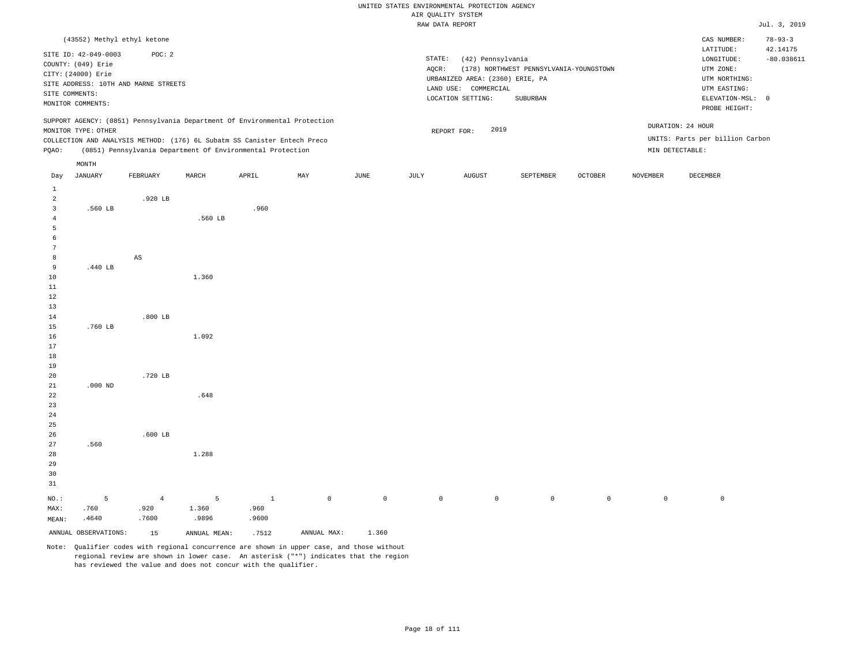|                |                             |                                                                            |         |       |     |      |        | uni Kauntri atatu.              |                                         |                |                 |                                 |               |
|----------------|-----------------------------|----------------------------------------------------------------------------|---------|-------|-----|------|--------|---------------------------------|-----------------------------------------|----------------|-----------------|---------------------------------|---------------|
|                |                             |                                                                            |         |       |     |      |        | RAW DATA REPORT                 |                                         |                |                 |                                 | Jul. 3, 2019  |
|                | (43552) Methyl ethyl ketone |                                                                            |         |       |     |      |        |                                 |                                         |                |                 | CAS NUMBER:                     | $78 - 93 - 3$ |
|                |                             |                                                                            |         |       |     |      |        |                                 |                                         |                |                 | LATITUDE:                       | 42.14175      |
|                | SITE ID: 42-049-0003        | POC: 2                                                                     |         |       |     |      | STATE: | (42) Pennsylvania               |                                         |                |                 | LONGITUDE:                      | $-80.038611$  |
|                | COUNTY: (049) Erie          |                                                                            |         |       |     |      | AOCR:  |                                 | (178) NORTHWEST PENNSYLVANIA-YOUNGSTOWN |                |                 | UTM ZONE:                       |               |
|                | CITY: (24000) Erie          | SITE ADDRESS: 10TH AND MARNE STREETS                                       |         |       |     |      |        | URBANIZED AREA: (2360) ERIE, PA |                                         |                |                 | UTM NORTHING:                   |               |
|                | SITE COMMENTS:              |                                                                            |         |       |     |      |        | LAND USE: COMMERCIAL            |                                         |                |                 | UTM EASTING:                    |               |
|                | MONITOR COMMENTS:           |                                                                            |         |       |     |      |        | LOCATION SETTING:               | SUBURBAN                                |                |                 | ELEVATION-MSL: 0                |               |
|                |                             |                                                                            |         |       |     |      |        |                                 |                                         |                |                 | PROBE HEIGHT:                   |               |
|                |                             | SUPPORT AGENCY: (0851) Pennsylvania Department Of Environmental Protection |         |       |     |      |        |                                 |                                         |                |                 |                                 |               |
|                | MONITOR TYPE: OTHER         |                                                                            |         |       |     |      |        | 2019<br>REPORT FOR:             |                                         |                |                 | DURATION: 24 HOUR               |               |
|                |                             | COLLECTION AND ANALYSIS METHOD: (176) 6L Subatm SS Canister Entech Preco   |         |       |     |      |        |                                 |                                         |                |                 | UNITS: Parts per billion Carbon |               |
| PQAO:          |                             | (0851) Pennsylvania Department Of Environmental Protection                 |         |       |     |      |        |                                 |                                         |                |                 | MIN DETECTABLE:                 |               |
|                | MONTH                       |                                                                            |         |       |     |      |        |                                 |                                         |                |                 |                                 |               |
| Day            | <b>JANUARY</b>              | FEBRUARY                                                                   | MARCH   | APRIL | MAY | JUNE | JULY   | <b>AUGUST</b>                   | SEPTEMBER                               | <b>OCTOBER</b> | <b>NOVEMBER</b> | DECEMBER                        |               |
| $\mathbf{1}$   |                             |                                                                            |         |       |     |      |        |                                 |                                         |                |                 |                                 |               |
| $\overline{a}$ |                             | .920 LB                                                                    |         |       |     |      |        |                                 |                                         |                |                 |                                 |               |
| $\overline{3}$ | .560 LB                     |                                                                            |         | .960  |     |      |        |                                 |                                         |                |                 |                                 |               |
| $\overline{4}$ |                             |                                                                            | .560 LB |       |     |      |        |                                 |                                         |                |                 |                                 |               |
| 5              |                             |                                                                            |         |       |     |      |        |                                 |                                         |                |                 |                                 |               |
| 6              |                             |                                                                            |         |       |     |      |        |                                 |                                         |                |                 |                                 |               |
| 7              |                             |                                                                            |         |       |     |      |        |                                 |                                         |                |                 |                                 |               |
| 8              |                             | AS                                                                         |         |       |     |      |        |                                 |                                         |                |                 |                                 |               |
| 9              | .440 LB                     |                                                                            |         |       |     |      |        |                                 |                                         |                |                 |                                 |               |
| 10             |                             |                                                                            | 1.360   |       |     |      |        |                                 |                                         |                |                 |                                 |               |
| 11             |                             |                                                                            |         |       |     |      |        |                                 |                                         |                |                 |                                 |               |
| $12\,$         |                             |                                                                            |         |       |     |      |        |                                 |                                         |                |                 |                                 |               |
| 13             |                             |                                                                            |         |       |     |      |        |                                 |                                         |                |                 |                                 |               |
| 14<br>15       | .760 LB                     | $.800$ LB                                                                  |         |       |     |      |        |                                 |                                         |                |                 |                                 |               |
| 16             |                             |                                                                            | 1.092   |       |     |      |        |                                 |                                         |                |                 |                                 |               |
| 17             |                             |                                                                            |         |       |     |      |        |                                 |                                         |                |                 |                                 |               |
| 18             |                             |                                                                            |         |       |     |      |        |                                 |                                         |                |                 |                                 |               |
| 19             |                             |                                                                            |         |       |     |      |        |                                 |                                         |                |                 |                                 |               |
| 20             |                             | .720 LB                                                                    |         |       |     |      |        |                                 |                                         |                |                 |                                 |               |
| 21             | $.000$ ND                   |                                                                            |         |       |     |      |        |                                 |                                         |                |                 |                                 |               |
| 22             |                             |                                                                            | .648    |       |     |      |        |                                 |                                         |                |                 |                                 |               |
| 23             |                             |                                                                            |         |       |     |      |        |                                 |                                         |                |                 |                                 |               |
| 24             |                             |                                                                            |         |       |     |      |        |                                 |                                         |                |                 |                                 |               |
| 25             |                             |                                                                            |         |       |     |      |        |                                 |                                         |                |                 |                                 |               |
| 26             |                             | $.600$ LB                                                                  |         |       |     |      |        |                                 |                                         |                |                 |                                 |               |
| 27             | .560                        |                                                                            |         |       |     |      |        |                                 |                                         |                |                 |                                 |               |
| 28             |                             |                                                                            | 1.288   |       |     |      |        |                                 |                                         |                |                 |                                 |               |
| 29             |                             |                                                                            |         |       |     |      |        |                                 |                                         |                |                 |                                 |               |
| 30             |                             |                                                                            |         |       |     |      |        |                                 |                                         |                |                 |                                 |               |
| 31             |                             |                                                                            |         |       |     |      |        |                                 |                                         |                |                 |                                 |               |

NO.: MAX: MEAN: 5 .760 .4640 4 .920 .7600 5 1.360 .9896 1 .960 .9600 0 0 0 0 0 0 0 0

ANNUAL OBSERVATIONS: 15 ANNUAL MEAN: .7512 ANNUAL MAX: 1.360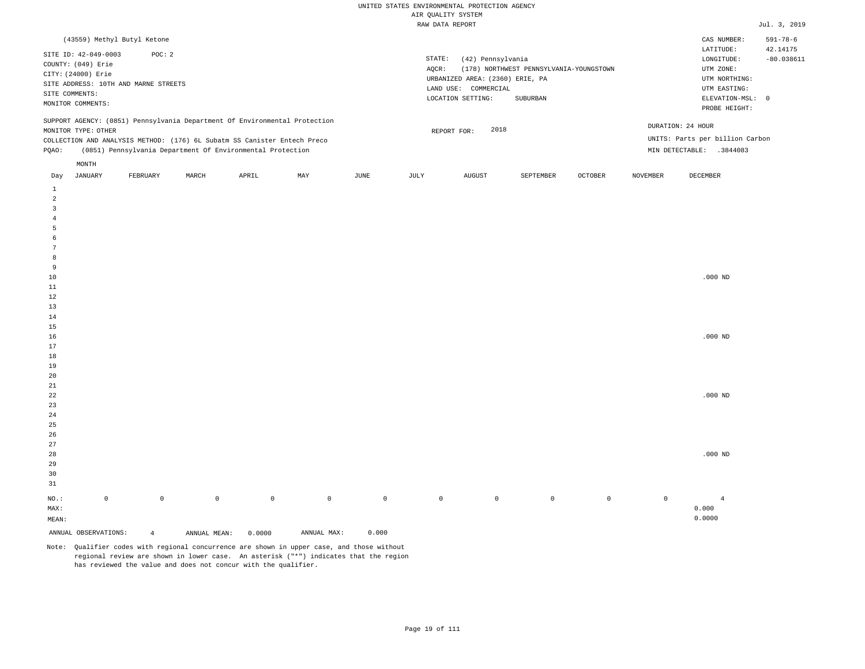| (43559) Methyl Butyl Ketone                                                                                                                                                                                                                                   |                                                                                                                                                                             | CAS NUMBER:                                                                                                | $591 - 78 - 6$           |
|---------------------------------------------------------------------------------------------------------------------------------------------------------------------------------------------------------------------------------------------------------------|-----------------------------------------------------------------------------------------------------------------------------------------------------------------------------|------------------------------------------------------------------------------------------------------------|--------------------------|
| SITE ID: 42-049-0003<br>POC: 2<br>COUNTY: (049) Erie<br>CITY: (24000) Erie<br>SITE ADDRESS: 10TH AND MARNE STREETS<br>SITE COMMENTS:<br>MONITOR COMMENTS:                                                                                                     | STATE:<br>(42) Pennsylvania<br>AOCR:<br>(178) NORTHWEST PENNSYLVANIA-YOUNGSTOWN<br>URBANIZED AREA: (2360) ERIE, PA<br>LAND USE: COMMERCIAL<br>LOCATION SETTING:<br>SUBURBAN | LATITUDE:<br>LONGITUDE:<br>UTM ZONE:<br>UTM NORTHING:<br>UTM EASTING:<br>ELEVATION-MSL: 0<br>PROBE HEIGHT: | 42.14175<br>$-80.038611$ |
| SUPPORT AGENCY: (0851) Pennsylvania Department Of Environmental Protection<br>MONITOR TYPE: OTHER<br>COLLECTION AND ANALYSIS METHOD: (176) 6L Subatm SS Canister Entech Preco<br>(0851) Pennsylvania Department Of Environmental Protection<br>POAO:<br>MONTH | 2018<br>REPORT FOR:<br>MIN DETECTABLE:                                                                                                                                      | DURATION: 24 HOUR<br>UNITS: Parts per billion Carbon<br>.3844083                                           |                          |

| Day             | JANUARY              | FEBRUARY       | MARCH        | APRIL               | MAY         | JUNE        | JULY        | AUGUST      | SEPTEMBER   | OCTOBER     | NOVEMBER    | DECEMBER           |
|-----------------|----------------------|----------------|--------------|---------------------|-------------|-------------|-------------|-------------|-------------|-------------|-------------|--------------------|
| $\mathbf{1}$    |                      |                |              |                     |             |             |             |             |             |             |             |                    |
| $\overline{a}$  |                      |                |              |                     |             |             |             |             |             |             |             |                    |
| $\overline{3}$  |                      |                |              |                     |             |             |             |             |             |             |             |                    |
| $\bf{4}$        |                      |                |              |                     |             |             |             |             |             |             |             |                    |
| $\overline{5}$  |                      |                |              |                     |             |             |             |             |             |             |             |                    |
| 6               |                      |                |              |                     |             |             |             |             |             |             |             |                    |
| $7\phantom{.0}$ |                      |                |              |                     |             |             |             |             |             |             |             |                    |
| 8               |                      |                |              |                     |             |             |             |             |             |             |             |                    |
| 9               |                      |                |              |                     |             |             |             |             |             |             |             |                    |
| $10$            |                      |                |              |                     |             |             |             |             |             |             |             | $.000$ ND          |
| $11\,$          |                      |                |              |                     |             |             |             |             |             |             |             |                    |
| 12              |                      |                |              |                     |             |             |             |             |             |             |             |                    |
| 13              |                      |                |              |                     |             |             |             |             |             |             |             |                    |
| 14              |                      |                |              |                     |             |             |             |             |             |             |             |                    |
| 15              |                      |                |              |                     |             |             |             |             |             |             |             |                    |
| $16\,$          |                      |                |              |                     |             |             |             |             |             |             |             | $.000~\mathrm{ND}$ |
| 17              |                      |                |              |                     |             |             |             |             |             |             |             |                    |
| 18              |                      |                |              |                     |             |             |             |             |             |             |             |                    |
| 19              |                      |                |              |                     |             |             |             |             |             |             |             |                    |
| $20\,$          |                      |                |              |                     |             |             |             |             |             |             |             |                    |
| $21\,$          |                      |                |              |                     |             |             |             |             |             |             |             |                    |
| 22              |                      |                |              |                     |             |             |             |             |             |             |             | $.000$ ND          |
| 23              |                      |                |              |                     |             |             |             |             |             |             |             |                    |
| $2\sqrt{4}$     |                      |                |              |                     |             |             |             |             |             |             |             |                    |
| $25\,$          |                      |                |              |                     |             |             |             |             |             |             |             |                    |
| $26\,$          |                      |                |              |                     |             |             |             |             |             |             |             |                    |
| 27              |                      |                |              |                     |             |             |             |             |             |             |             |                    |
| 28              |                      |                |              |                     |             |             |             |             |             |             |             | $.000$ ND          |
| 29              |                      |                |              |                     |             |             |             |             |             |             |             |                    |
| 30              |                      |                |              |                     |             |             |             |             |             |             |             |                    |
| 31              |                      |                |              |                     |             |             |             |             |             |             |             |                    |
| $_{\rm NO.}$ :  | $\mathsf{O}\xspace$  | $\mathbb O$    | $\mathbb O$  | $\mathsf{O}\xspace$ | $\mathbb O$ | $\mathbb O$ | $\mathbb O$ | $\mathbb O$ | $\mathbb O$ | $\mathbb O$ | $\mathbb O$ | $\overline{4}$     |
| MAX:            |                      |                |              |                     |             |             |             |             |             |             |             | 0.000              |
| MEAN:           |                      |                |              |                     |             |             |             |             |             |             |             | 0.0000             |
|                 | ANNUAL OBSERVATIONS: | $\overline{4}$ | ANNUAL MEAN: | 0.0000              | ANNUAL MAX: | 0.000       |             |             |             |             |             |                    |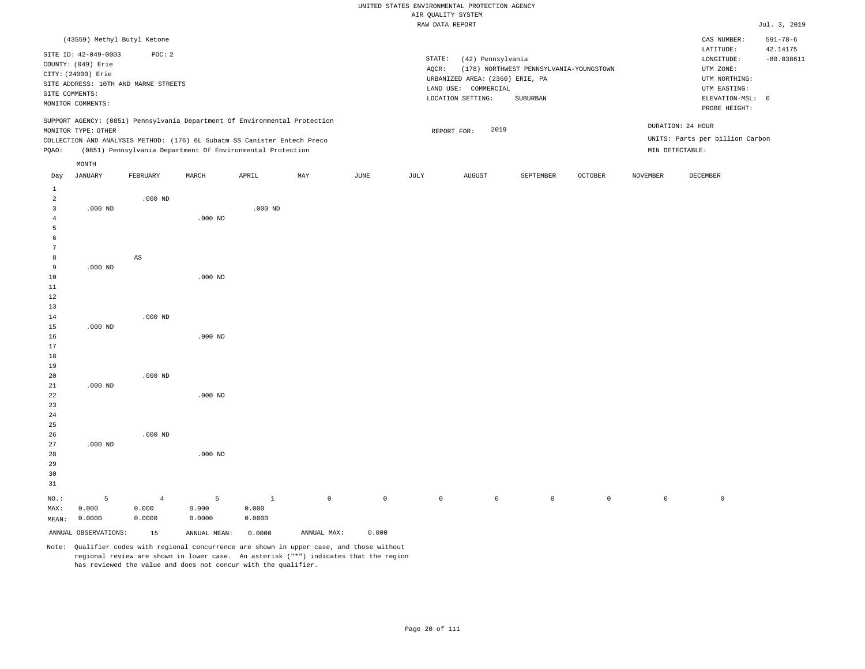# UNITED STATES ENVIRONMENTAL PROTECTION AGENCY ATE OUNT TTY SYSTEM

|                                |                      |                                      |           |                                                                            |     |      |        | AIR QUALITY SYSTEM              |                                         |                |                 |                                 |                |
|--------------------------------|----------------------|--------------------------------------|-----------|----------------------------------------------------------------------------|-----|------|--------|---------------------------------|-----------------------------------------|----------------|-----------------|---------------------------------|----------------|
|                                |                      |                                      |           |                                                                            |     |      |        | RAW DATA REPORT                 |                                         |                |                 |                                 | Jul. 3, 2019   |
|                                |                      | (43559) Methyl Butyl Ketone          |           |                                                                            |     |      |        |                                 |                                         |                |                 | CAS NUMBER:                     | $591 - 78 - 6$ |
|                                |                      |                                      |           |                                                                            |     |      |        |                                 |                                         |                |                 | LATITUDE:                       | 42.14175       |
|                                | SITE ID: 42-049-0003 | POC: 2                               |           |                                                                            |     |      | STATE: | (42) Pennsylvania               |                                         |                |                 | LONGITUDE:                      | $-80.038611$   |
|                                | COUNTY: (049) Erie   |                                      |           |                                                                            |     |      | AQCR:  |                                 | (178) NORTHWEST PENNSYLVANIA-YOUNGSTOWN |                |                 | UTM ZONE:                       |                |
|                                | CITY: (24000) Erie   |                                      |           |                                                                            |     |      |        | URBANIZED AREA: (2360) ERIE, PA |                                         |                |                 | UTM NORTHING:                   |                |
|                                | SITE COMMENTS:       | SITE ADDRESS: 10TH AND MARNE STREETS |           |                                                                            |     |      |        | LAND USE: COMMERCIAL            |                                         |                |                 | UTM EASTING:                    |                |
|                                | MONITOR COMMENTS:    |                                      |           |                                                                            |     |      |        | LOCATION SETTING:               | SUBURBAN                                |                |                 | ELEVATION-MSL: 0                |                |
|                                |                      |                                      |           |                                                                            |     |      |        |                                 |                                         |                |                 | PROBE HEIGHT:                   |                |
|                                |                      |                                      |           | SUPPORT AGENCY: (0851) Pennsylvania Department Of Environmental Protection |     |      |        |                                 |                                         |                |                 |                                 |                |
|                                | MONITOR TYPE: OTHER  |                                      |           |                                                                            |     |      |        | 2019<br>REPORT FOR:             |                                         |                |                 | DURATION: 24 HOUR               |                |
|                                |                      |                                      |           | COLLECTION AND ANALYSIS METHOD: (176) 6L Subatm SS Canister Entech Preco   |     |      |        |                                 |                                         |                |                 | UNITS: Parts per billion Carbon |                |
| PQAO:                          |                      |                                      |           | (0851) Pennsylvania Department Of Environmental Protection                 |     |      |        |                                 |                                         |                |                 | MIN DETECTABLE:                 |                |
|                                | MONTH                |                                      |           |                                                                            |     |      |        |                                 |                                         |                |                 |                                 |                |
| Day                            | <b>JANUARY</b>       | FEBRUARY                             | MARCH     | APRIL                                                                      | MAY | JUNE | JULY   | AUGUST                          | SEPTEMBER                               | <b>OCTOBER</b> | <b>NOVEMBER</b> | <b>DECEMBER</b>                 |                |
|                                |                      |                                      |           |                                                                            |     |      |        |                                 |                                         |                |                 |                                 |                |
| $\mathbf{1}$<br>$\overline{c}$ |                      | $.000$ ND                            |           |                                                                            |     |      |        |                                 |                                         |                |                 |                                 |                |
| $\overline{3}$                 | $.000$ ND            |                                      |           | $.000$ ND                                                                  |     |      |        |                                 |                                         |                |                 |                                 |                |
| 4                              |                      |                                      | $.000$ ND |                                                                            |     |      |        |                                 |                                         |                |                 |                                 |                |
| 5                              |                      |                                      |           |                                                                            |     |      |        |                                 |                                         |                |                 |                                 |                |
| 6                              |                      |                                      |           |                                                                            |     |      |        |                                 |                                         |                |                 |                                 |                |
|                                |                      |                                      |           |                                                                            |     |      |        |                                 |                                         |                |                 |                                 |                |
| 8                              |                      | AS                                   |           |                                                                            |     |      |        |                                 |                                         |                |                 |                                 |                |
| 9                              | $.000$ ND            |                                      |           |                                                                            |     |      |        |                                 |                                         |                |                 |                                 |                |
| 10                             |                      |                                      | $.000$ ND |                                                                            |     |      |        |                                 |                                         |                |                 |                                 |                |
| $1\,1$                         |                      |                                      |           |                                                                            |     |      |        |                                 |                                         |                |                 |                                 |                |
| 12                             |                      |                                      |           |                                                                            |     |      |        |                                 |                                         |                |                 |                                 |                |
| 13                             |                      |                                      |           |                                                                            |     |      |        |                                 |                                         |                |                 |                                 |                |
| 14                             |                      | $.000$ ND                            |           |                                                                            |     |      |        |                                 |                                         |                |                 |                                 |                |
| 15                             | $.000$ ND            |                                      |           |                                                                            |     |      |        |                                 |                                         |                |                 |                                 |                |
| 16                             |                      |                                      | $.000$ ND |                                                                            |     |      |        |                                 |                                         |                |                 |                                 |                |
| 17                             |                      |                                      |           |                                                                            |     |      |        |                                 |                                         |                |                 |                                 |                |
| 18                             |                      |                                      |           |                                                                            |     |      |        |                                 |                                         |                |                 |                                 |                |
| 19                             |                      |                                      |           |                                                                            |     |      |        |                                 |                                         |                |                 |                                 |                |
| 20                             |                      | $.000$ ND                            |           |                                                                            |     |      |        |                                 |                                         |                |                 |                                 |                |
| 21                             | $.000$ ND            |                                      |           |                                                                            |     |      |        |                                 |                                         |                |                 |                                 |                |
| 22                             |                      |                                      | $.000$ ND |                                                                            |     |      |        |                                 |                                         |                |                 |                                 |                |
| 23                             |                      |                                      |           |                                                                            |     |      |        |                                 |                                         |                |                 |                                 |                |
| 24                             |                      |                                      |           |                                                                            |     |      |        |                                 |                                         |                |                 |                                 |                |
| 25                             |                      |                                      |           |                                                                            |     |      |        |                                 |                                         |                |                 |                                 |                |
| 26                             |                      | $.000$ ND                            |           |                                                                            |     |      |        |                                 |                                         |                |                 |                                 |                |

Note: Qualifier codes with regional concurrence are shown in upper case, and those without regional review are shown in lower case. An asterisk ("\*") indicates that the region has reviewed the value and does not concur with the qualifier.

.000 ND

5 0.000 0.0000

ANNUAL OBSERVATIONS: 15 ANNUAL MEAN: 0.0000 ANNUAL MAX: 0.000

1 0.000 0.0000

NO.: MAX:

MEAN: 0.0000

.000 ND

5 0.000

4 0.000 0.0000

0 0 0 0 0 0 0 0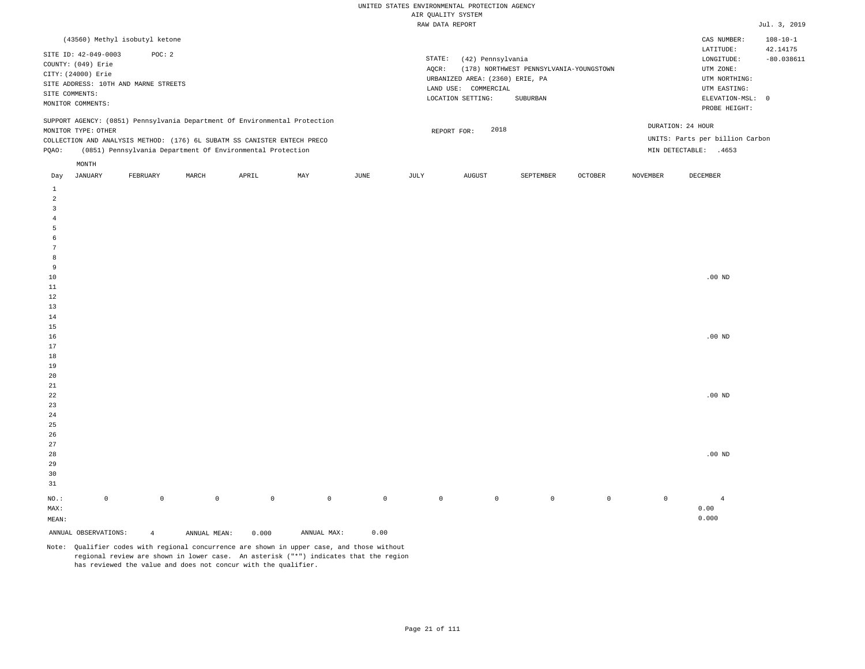|                |                                                                                       | (43560) Methyl isobutyl ketone                |       |                                                                          |                                                                            |      |                 |                                                                                                   |                                                     |                |                 | CAS NUMBER:                                                                               | $108 - 10 - 1$           |
|----------------|---------------------------------------------------------------------------------------|-----------------------------------------------|-------|--------------------------------------------------------------------------|----------------------------------------------------------------------------|------|-----------------|---------------------------------------------------------------------------------------------------|-----------------------------------------------------|----------------|-----------------|-------------------------------------------------------------------------------------------|--------------------------|
| SITE COMMENTS: | SITE ID: 42-049-0003<br>COUNTY: (049) Erie<br>CITY: (24000) Erie<br>MONITOR COMMENTS: | POC:2<br>SITE ADDRESS: 10TH AND MARNE STREETS |       |                                                                          |                                                                            |      | STATE:<br>AOCR: | (42) Pennsylvania<br>URBANIZED AREA: (2360) ERIE, PA<br>LAND USE: COMMERCIAL<br>LOCATION SETTING: | (178) NORTHWEST PENNSYLVANIA-YOUNGSTOWN<br>SUBURBAN |                |                 | LATITUDE:<br>LONGITUDE:<br>UTM ZONE:<br>UTM NORTHING:<br>UTM EASTING:<br>ELEVATION-MSL: 0 | 42.14175<br>$-80.038611$ |
|                |                                                                                       |                                               |       |                                                                          |                                                                            |      |                 |                                                                                                   |                                                     |                |                 | PROBE HEIGHT:                                                                             |                          |
|                |                                                                                       |                                               |       |                                                                          | SUPPORT AGENCY: (0851) Pennsylvania Department Of Environmental Protection |      |                 |                                                                                                   |                                                     |                |                 |                                                                                           |                          |
|                | MONITOR TYPE: OTHER                                                                   |                                               |       |                                                                          |                                                                            |      |                 | 2018<br>REPORT FOR:                                                                               |                                                     |                |                 | DURATION: 24 HOUR                                                                         |                          |
|                |                                                                                       |                                               |       | COLLECTION AND ANALYSIS METHOD: (176) 6L SUBATM SS CANISTER ENTECH PRECO |                                                                            |      |                 |                                                                                                   |                                                     |                |                 | UNITS: Parts per billion Carbon                                                           |                          |
| POAO:          |                                                                                       |                                               |       | (0851) Pennsylvania Department Of Environmental Protection               |                                                                            |      |                 |                                                                                                   |                                                     |                | MIN DETECTABLE: | .4653                                                                                     |                          |
|                | MONTH                                                                                 |                                               |       |                                                                          |                                                                            |      |                 |                                                                                                   |                                                     |                |                 |                                                                                           |                          |
| Day            | JANUARY                                                                               | FEBRUARY                                      | MARCH | APRIL                                                                    | MAY                                                                        | JUNE | JULY            | <b>AUGUST</b>                                                                                     | SEPTEMBER                                           | <b>OCTOBER</b> | <b>NOVEMBER</b> | DECEMBER                                                                                  |                          |

| ANNUAL OBSERVATIONS:  |             | $\overline{4}$      | ANNUAL MEAN: | 0.000       | ANNUAL MAX: | ${\bf 0}$ . ${\bf 0}$ ${\bf 0}$ |              |             |                |                |         |                   |
|-----------------------|-------------|---------------------|--------------|-------------|-------------|---------------------------------|--------------|-------------|----------------|----------------|---------|-------------------|
| $\texttt{MEAN}$ :     |             |                     |              |             |             |                                 |              |             |                |                |         | 0.000             |
| $\texttt{MAX}$ :      |             |                     |              |             |             |                                 |              |             |                |                |         | 0.00              |
| $_{\rm NO.}$ :        | $\mathbb O$ | $\mathsf{O}\xspace$ | $\circ$      | $\mathbb O$ | $\mathsf 0$ | $\mathbb O$                     | $\mathsf{O}$ | $\mathbb O$ | $\overline{0}$ | $\overline{0}$ | $\circ$ | $\overline{4}$    |
| $3\sqrt{1}$           |             |                     |              |             |             |                                 |              |             |                |                |         |                   |
| $30$                  |             |                     |              |             |             |                                 |              |             |                |                |         |                   |
|                       |             |                     |              |             |             |                                 |              |             |                |                |         |                   |
| 29                    |             |                     |              |             |             |                                 |              |             |                |                |         | $.00~\mathrm{ND}$ |
| $27\,$<br>$_{\rm 28}$ |             |                     |              |             |             |                                 |              |             |                |                |         |                   |
|                       |             |                     |              |             |             |                                 |              |             |                |                |         |                   |
| 25<br>$26\,$          |             |                     |              |             |             |                                 |              |             |                |                |         |                   |
|                       |             |                     |              |             |             |                                 |              |             |                |                |         |                   |
| $23\,$<br>24          |             |                     |              |             |             |                                 |              |             |                |                |         |                   |
|                       |             |                     |              |             |             |                                 |              |             |                |                |         | $.00$ ND          |
| $2\sqrt{2}$           |             |                     |              |             |             |                                 |              |             |                |                |         |                   |
| $21\,$                |             |                     |              |             |             |                                 |              |             |                |                |         |                   |
| $20\,$                |             |                     |              |             |             |                                 |              |             |                |                |         |                   |
| $18\,$<br>$19$        |             |                     |              |             |             |                                 |              |             |                |                |         |                   |
| $17\,$                |             |                     |              |             |             |                                 |              |             |                |                |         |                   |
| $16\,$                |             |                     |              |             |             |                                 |              |             |                |                |         | $.00$ ND          |
| $15\,$                |             |                     |              |             |             |                                 |              |             |                |                |         |                   |
| 14                    |             |                     |              |             |             |                                 |              |             |                |                |         |                   |
| $13\,$                |             |                     |              |             |             |                                 |              |             |                |                |         |                   |
| $1\,2$                |             |                     |              |             |             |                                 |              |             |                |                |         |                   |
| $11\,$                |             |                     |              |             |             |                                 |              |             |                |                |         |                   |
| $10\,$                |             |                     |              |             |             |                                 |              |             |                |                |         | $.00$ ND          |
| $\overline{9}$        |             |                     |              |             |             |                                 |              |             |                |                |         |                   |
| 8                     |             |                     |              |             |             |                                 |              |             |                |                |         |                   |
| $7\phantom{.0}$       |             |                     |              |             |             |                                 |              |             |                |                |         |                   |
| 6                     |             |                     |              |             |             |                                 |              |             |                |                |         |                   |
| $\overline{5}$        |             |                     |              |             |             |                                 |              |             |                |                |         |                   |
| $\overline{4}$        |             |                     |              |             |             |                                 |              |             |                |                |         |                   |
| $\overline{3}$        |             |                     |              |             |             |                                 |              |             |                |                |         |                   |
| $\overline{a}$        |             |                     |              |             |             |                                 |              |             |                |                |         |                   |
| $\mathbf{1}$          |             |                     |              |             |             |                                 |              |             |                |                |         |                   |
|                       |             |                     |              |             |             |                                 |              |             |                |                |         |                   |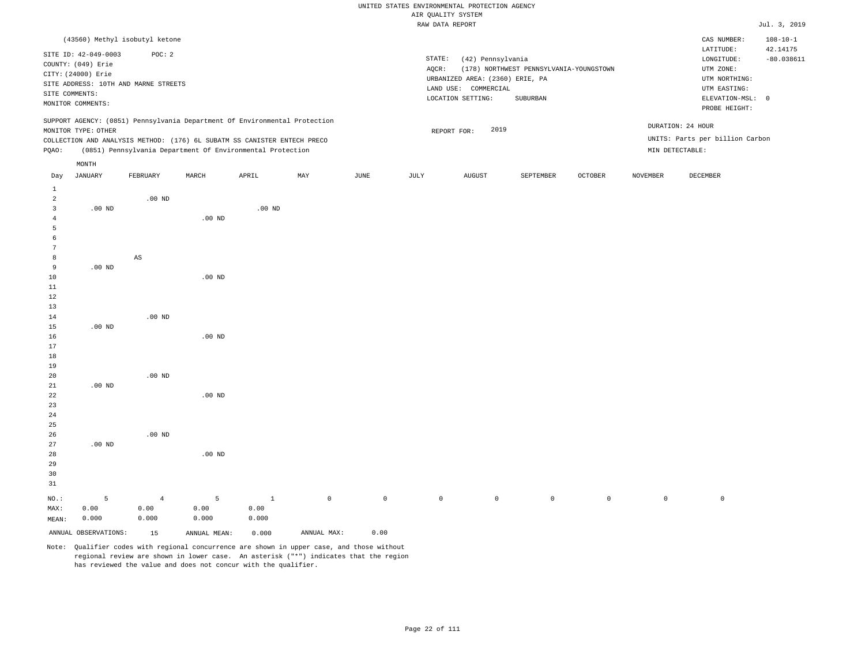|       |                      |                                                                            |                   |          |     |      |        | urv Änurri ninipu               |                                         |         |          |                                 |                            |
|-------|----------------------|----------------------------------------------------------------------------|-------------------|----------|-----|------|--------|---------------------------------|-----------------------------------------|---------|----------|---------------------------------|----------------------------|
|       |                      |                                                                            |                   |          |     |      |        | RAW DATA REPORT                 |                                         |         |          |                                 | Jul. 3, 2019               |
|       |                      | (43560) Methyl isobutyl ketone                                             |                   |          |     |      |        |                                 |                                         |         |          | CAS NUMBER:<br>LATITUDE:        | $108 - 10 - 1$<br>42.14175 |
|       | SITE ID: 42-049-0003 | POC: 2                                                                     |                   |          |     |      | STATE: | (42) Pennsylvania               |                                         |         |          | LONGITUDE:                      | $-80.038611$               |
|       | COUNTY: (049) Erie   |                                                                            |                   |          |     |      | AQCR:  |                                 | (178) NORTHWEST PENNSYLVANIA-YOUNGSTOWN |         |          | UTM ZONE:                       |                            |
|       | CITY: (24000) Erie   |                                                                            |                   |          |     |      |        | URBANIZED AREA: (2360) ERIE, PA |                                         |         |          | UTM NORTHING:                   |                            |
|       |                      | SITE ADDRESS: 10TH AND MARNE STREETS                                       |                   |          |     |      |        | LAND USE: COMMERCIAL            |                                         |         |          | UTM EASTING:                    |                            |
|       | SITE COMMENTS:       |                                                                            |                   |          |     |      |        | LOCATION SETTING:               | SUBURBAN                                |         |          | ELEVATION-MSL: 0                |                            |
|       | MONITOR COMMENTS:    |                                                                            |                   |          |     |      |        |                                 |                                         |         |          | PROBE HEIGHT:                   |                            |
|       |                      | SUPPORT AGENCY: (0851) Pennsylvania Department Of Environmental Protection |                   |          |     |      |        | 2019                            |                                         |         |          | DURATION: 24 HOUR               |                            |
|       | MONITOR TYPE: OTHER  |                                                                            |                   |          |     |      |        | REPORT FOR:                     |                                         |         |          | UNITS: Parts per billion Carbon |                            |
|       |                      | COLLECTION AND ANALYSIS METHOD: (176) 6L SUBATM SS CANISTER ENTECH PRECO   |                   |          |     |      |        |                                 |                                         |         |          |                                 |                            |
| PQAO: |                      | (0851) Pennsylvania Department Of Environmental Protection                 |                   |          |     |      |        |                                 |                                         |         |          | MIN DETECTABLE:                 |                            |
|       | MONTH                |                                                                            |                   |          |     |      |        |                                 |                                         |         |          |                                 |                            |
| Day   | JANUARY              | FEBRUARY                                                                   | MARCH             | APRIL    | MAY | JUNE | JULY   | AUGUST                          | SEPTEMBER                               | OCTOBER | NOVEMBER | DECEMBER                        |                            |
| 1     |                      |                                                                            |                   |          |     |      |        |                                 |                                         |         |          |                                 |                            |
| 2     |                      | $.00$ ND                                                                   |                   |          |     |      |        |                                 |                                         |         |          |                                 |                            |
| 3     | $.00$ ND             |                                                                            |                   | $.00$ ND |     |      |        |                                 |                                         |         |          |                                 |                            |
| 4     |                      |                                                                            | $.00$ ND          |          |     |      |        |                                 |                                         |         |          |                                 |                            |
| 5     |                      |                                                                            |                   |          |     |      |        |                                 |                                         |         |          |                                 |                            |
| 6     |                      |                                                                            |                   |          |     |      |        |                                 |                                         |         |          |                                 |                            |
| 7     |                      |                                                                            |                   |          |     |      |        |                                 |                                         |         |          |                                 |                            |
| 8     |                      | $\mathbb{A}\mathbb{S}$                                                     |                   |          |     |      |        |                                 |                                         |         |          |                                 |                            |
| 9     | $.00$ ND             |                                                                            |                   |          |     |      |        |                                 |                                         |         |          |                                 |                            |
| 10    |                      |                                                                            | $.00$ ND          |          |     |      |        |                                 |                                         |         |          |                                 |                            |
| 11    |                      |                                                                            |                   |          |     |      |        |                                 |                                         |         |          |                                 |                            |
| 12    |                      |                                                                            |                   |          |     |      |        |                                 |                                         |         |          |                                 |                            |
| 13    |                      |                                                                            |                   |          |     |      |        |                                 |                                         |         |          |                                 |                            |
| 14    |                      | $.00$ ND                                                                   |                   |          |     |      |        |                                 |                                         |         |          |                                 |                            |
| 15    | $.00$ ND             |                                                                            |                   |          |     |      |        |                                 |                                         |         |          |                                 |                            |
| 16    |                      |                                                                            | .00 <sub>ND</sub> |          |     |      |        |                                 |                                         |         |          |                                 |                            |
| 17    |                      |                                                                            |                   |          |     |      |        |                                 |                                         |         |          |                                 |                            |
| 18    |                      |                                                                            |                   |          |     |      |        |                                 |                                         |         |          |                                 |                            |
| 19    |                      |                                                                            |                   |          |     |      |        |                                 |                                         |         |          |                                 |                            |
| 20    |                      | $.00$ ND                                                                   |                   |          |     |      |        |                                 |                                         |         |          |                                 |                            |
| 21    | $.00$ ND             |                                                                            |                   |          |     |      |        |                                 |                                         |         |          |                                 |                            |
| 22    |                      |                                                                            | .00 <sub>ND</sub> |          |     |      |        |                                 |                                         |         |          |                                 |                            |
| 23    |                      |                                                                            |                   |          |     |      |        |                                 |                                         |         |          |                                 |                            |
| 24    |                      |                                                                            |                   |          |     |      |        |                                 |                                         |         |          |                                 |                            |
| 25    |                      |                                                                            |                   |          |     |      |        |                                 |                                         |         |          |                                 |                            |

Note: Qualifier codes with regional concurrence are shown in upper case, and those without regional review are shown in lower case. An asterisk ("\*") indicates that the region has reviewed the value and does not concur with the qualifier.

1 0.00 0.000

.00 ND

5 0.00 0.000

ANNUAL OBSERVATIONS: 15 ANNUAL MEAN: 0.000 ANNUAL MAX: 0.00

NO.: MAX: MEAN: .00 ND

.00 ND

4 0.00 0.000

5 0.00 0.000

0 0 0 0 0 0 0 0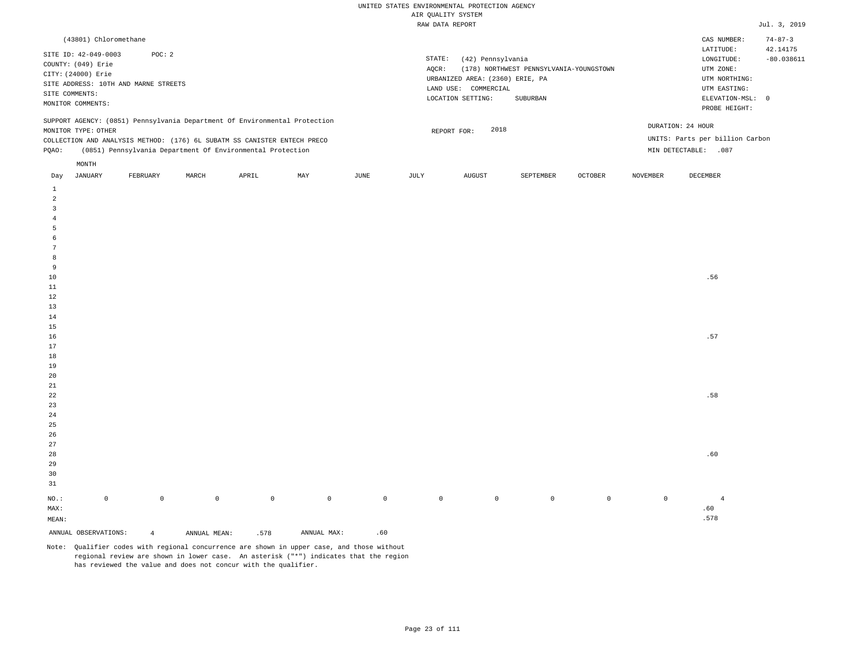| (43801) Chloromethane                                                                                                                                                                                                                                |      |                 |                                                                                                   |                                                     |                |                                      | CAS NUMBER:                                                                                                | $74 - 87 - 3$            |
|------------------------------------------------------------------------------------------------------------------------------------------------------------------------------------------------------------------------------------------------------|------|-----------------|---------------------------------------------------------------------------------------------------|-----------------------------------------------------|----------------|--------------------------------------|------------------------------------------------------------------------------------------------------------|--------------------------|
| SITE ID: 42-049-0003<br>POC: 2<br>COUNTY: (049) Erie<br>CITY: (24000) Erie<br>SITE ADDRESS: 10TH AND MARNE STREETS<br>SITE COMMENTS:<br>MONITOR COMMENTS:                                                                                            |      | STATE:<br>AOCR: | (42) Pennsylvania<br>URBANIZED AREA: (2360) ERIE, PA<br>LAND USE: COMMERCIAL<br>LOCATION SETTING: | (178) NORTHWEST PENNSYLVANIA-YOUNGSTOWN<br>SUBURBAN |                |                                      | LATITUDE:<br>LONGITUDE:<br>UTM ZONE:<br>UTM NORTHING:<br>UTM EASTING:<br>ELEVATION-MSL: 0<br>PROBE HEIGHT: | 42.14175<br>$-80.038611$ |
| SUPPORT AGENCY: (0851) Pennsylvania Department Of Environmental Protection<br>MONITOR TYPE: OTHER<br>COLLECTION AND ANALYSIS METHOD: (176) 6L SUBATM SS CANISTER ENTECH PRECO<br>(0851) Pennsylvania Department Of Environmental Protection<br>POAO: |      |                 | 2018<br>REPORT FOR:                                                                               |                                                     |                | DURATION: 24 HOUR<br>MIN DETECTABLE: | UNITS: Parts per billion Carbon<br>.087                                                                    |                          |
| MONTH<br>MAY<br>JANUARY<br>MARCH<br>FEBRUARY<br>APRIL<br>Day                                                                                                                                                                                         | JUNE | JULY            | AUGUST                                                                                            | SEPTEMBER                                           | <b>OCTOBER</b> | <b>NOVEMBER</b>                      | DECEMBER                                                                                                   |                          |

|                  | ANNUAL OBSERVATIONS: | $\overline{4}$ | ANNUAL MEAN:   | .578           | ANNUAL MAX: | .60          |         |         |             |             |         |                                                                                                                                                                                                                                                                                                                                                                                                             |
|------------------|----------------------|----------------|----------------|----------------|-------------|--------------|---------|---------|-------------|-------------|---------|-------------------------------------------------------------------------------------------------------------------------------------------------------------------------------------------------------------------------------------------------------------------------------------------------------------------------------------------------------------------------------------------------------------|
| MEAN:            |                      |                |                |                |             |              |         |         |             |             |         | .578                                                                                                                                                                                                                                                                                                                                                                                                        |
| MAX:             |                      |                |                |                |             |              |         |         |             |             |         | $\footnotesize\substack{~~\cdots\\ \phantom{.} \phantom{.} \phantom{.} \phantom{.} \phantom{.} \phantom{.} \phantom{.} \phantom{.} \phantom{.} \phantom{.} \phantom{.} \phantom{.} \phantom{.} \phantom{.} \phantom{.} \phantom{.} \phantom{.} \phantom{.} \phantom{.} \phantom{.} \phantom{.} \phantom{.} \phantom{.} \phantom{.} \phantom{.} \phantom{.} \phantom{.} \phantom{.} \phantom{.} \phantom{.}$ |
| $_{\rm NO.}$ :   | $\mathbb O$          | $\overline{0}$ | $\overline{0}$ | $\overline{0}$ | $\circ$     | $\mathsf{O}$ | $\circ$ | $\circ$ | $\mathbb O$ | $\mathbb O$ | $\circ$ | $\overline{4}$                                                                                                                                                                                                                                                                                                                                                                                              |
| $31\,$           |                      |                |                |                |             |              |         |         |             |             |         |                                                                                                                                                                                                                                                                                                                                                                                                             |
| 30               |                      |                |                |                |             |              |         |         |             |             |         |                                                                                                                                                                                                                                                                                                                                                                                                             |
| 29               |                      |                |                |                |             |              |         |         |             |             |         |                                                                                                                                                                                                                                                                                                                                                                                                             |
| 28               |                      |                |                |                |             |              |         |         |             |             |         | .60                                                                                                                                                                                                                                                                                                                                                                                                         |
| 27               |                      |                |                |                |             |              |         |         |             |             |         |                                                                                                                                                                                                                                                                                                                                                                                                             |
| 26               |                      |                |                |                |             |              |         |         |             |             |         |                                                                                                                                                                                                                                                                                                                                                                                                             |
| $25\,$           |                      |                |                |                |             |              |         |         |             |             |         |                                                                                                                                                                                                                                                                                                                                                                                                             |
| $\sqrt{24}$      |                      |                |                |                |             |              |         |         |             |             |         |                                                                                                                                                                                                                                                                                                                                                                                                             |
| $2\sqrt{3}$      |                      |                |                |                |             |              |         |         |             |             |         |                                                                                                                                                                                                                                                                                                                                                                                                             |
| $^{\rm 22}$      |                      |                |                |                |             |              |         |         |             |             |         | .58                                                                                                                                                                                                                                                                                                                                                                                                         |
| $2\sqrt{1}$      |                      |                |                |                |             |              |         |         |             |             |         |                                                                                                                                                                                                                                                                                                                                                                                                             |
| 20               |                      |                |                |                |             |              |         |         |             |             |         |                                                                                                                                                                                                                                                                                                                                                                                                             |
| 19               |                      |                |                |                |             |              |         |         |             |             |         |                                                                                                                                                                                                                                                                                                                                                                                                             |
| $18\,$           |                      |                |                |                |             |              |         |         |             |             |         |                                                                                                                                                                                                                                                                                                                                                                                                             |
| $16\,$<br>$17\,$ |                      |                |                |                |             |              |         |         |             |             |         | .57                                                                                                                                                                                                                                                                                                                                                                                                         |
| $15\,$           |                      |                |                |                |             |              |         |         |             |             |         |                                                                                                                                                                                                                                                                                                                                                                                                             |
| 14               |                      |                |                |                |             |              |         |         |             |             |         |                                                                                                                                                                                                                                                                                                                                                                                                             |
| 13               |                      |                |                |                |             |              |         |         |             |             |         |                                                                                                                                                                                                                                                                                                                                                                                                             |
| $12\,$           |                      |                |                |                |             |              |         |         |             |             |         |                                                                                                                                                                                                                                                                                                                                                                                                             |
| $11\,$           |                      |                |                |                |             |              |         |         |             |             |         |                                                                                                                                                                                                                                                                                                                                                                                                             |
| $10\,$           |                      |                |                |                |             |              |         |         |             |             |         | .56                                                                                                                                                                                                                                                                                                                                                                                                         |
| $\,9$            |                      |                |                |                |             |              |         |         |             |             |         |                                                                                                                                                                                                                                                                                                                                                                                                             |
| 8                |                      |                |                |                |             |              |         |         |             |             |         |                                                                                                                                                                                                                                                                                                                                                                                                             |
| $7\phantom{.0}$  |                      |                |                |                |             |              |         |         |             |             |         |                                                                                                                                                                                                                                                                                                                                                                                                             |
| $\epsilon$       |                      |                |                |                |             |              |         |         |             |             |         |                                                                                                                                                                                                                                                                                                                                                                                                             |
| $\overline{5}$   |                      |                |                |                |             |              |         |         |             |             |         |                                                                                                                                                                                                                                                                                                                                                                                                             |
| $\overline{4}$   |                      |                |                |                |             |              |         |         |             |             |         |                                                                                                                                                                                                                                                                                                                                                                                                             |
| 3                |                      |                |                |                |             |              |         |         |             |             |         |                                                                                                                                                                                                                                                                                                                                                                                                             |
| $\overline{a}$   |                      |                |                |                |             |              |         |         |             |             |         |                                                                                                                                                                                                                                                                                                                                                                                                             |
| $\mathbf{1}$     |                      |                |                |                |             |              |         |         |             |             |         |                                                                                                                                                                                                                                                                                                                                                                                                             |
|                  |                      |                |                |                |             |              |         |         |             |             |         |                                                                                                                                                                                                                                                                                                                                                                                                             |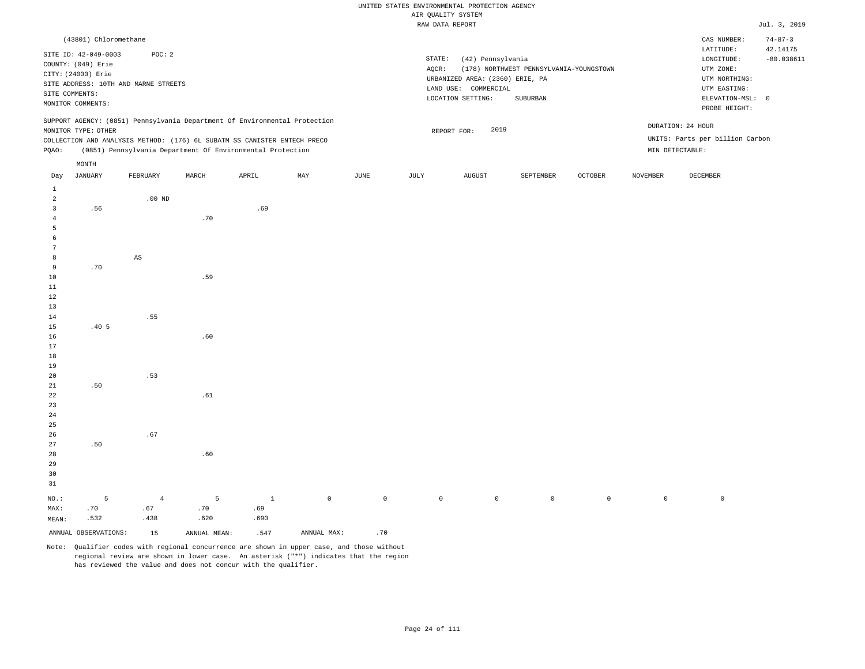|                 |                       |                                                                            |       |         |             |             |             | RAW DATA REPORT                 |                                         |                |                 |                                 | Jul. 3, 2019  |
|-----------------|-----------------------|----------------------------------------------------------------------------|-------|---------|-------------|-------------|-------------|---------------------------------|-----------------------------------------|----------------|-----------------|---------------------------------|---------------|
|                 | (43801) Chloromethane |                                                                            |       |         |             |             |             |                                 |                                         |                |                 | CAS NUMBER:                     | $74 - 87 - 3$ |
|                 | SITE ID: 42-049-0003  | POC: 2                                                                     |       |         |             |             |             |                                 |                                         |                |                 | LATITUDE:                       | 42.14175      |
|                 | COUNTY: (049) Erie    |                                                                            |       |         |             |             | STATE:      | (42) Pennsylvania               |                                         |                |                 | LONGITUDE:                      | $-80.038611$  |
|                 | CITY: (24000) Erie    |                                                                            |       |         |             |             | AQCR:       |                                 | (178) NORTHWEST PENNSYLVANIA-YOUNGSTOWN |                |                 | UTM ZONE:                       |               |
|                 |                       | SITE ADDRESS: 10TH AND MARNE STREETS                                       |       |         |             |             |             | URBANIZED AREA: (2360) ERIE, PA |                                         |                |                 | UTM NORTHING:                   |               |
|                 | SITE COMMENTS:        |                                                                            |       |         |             |             |             | LAND USE: COMMERCIAL            |                                         |                |                 | UTM EASTING:                    |               |
|                 | MONITOR COMMENTS:     |                                                                            |       |         |             |             |             | LOCATION SETTING:               | SUBURBAN                                |                |                 | ELEVATION-MSL: 0                |               |
|                 |                       | SUPPORT AGENCY: (0851) Pennsylvania Department Of Environmental Protection |       |         |             |             |             |                                 |                                         |                |                 | PROBE HEIGHT:                   |               |
|                 | MONITOR TYPE: OTHER   |                                                                            |       |         |             |             |             | 2019<br>REPORT FOR:             |                                         |                |                 | DURATION: 24 HOUR               |               |
|                 |                       | COLLECTION AND ANALYSIS METHOD: (176) 6L SUBATM SS CANISTER ENTECH PRECO   |       |         |             |             |             |                                 |                                         |                |                 | UNITS: Parts per billion Carbon |               |
| PQAO:           |                       | (0851) Pennsylvania Department Of Environmental Protection                 |       |         |             |             |             |                                 |                                         |                |                 | MIN DETECTABLE:                 |               |
|                 | $\texttt{MONTH}$      |                                                                            |       |         |             |             |             |                                 |                                         |                |                 |                                 |               |
| Day             | JANUARY               | FEBRUARY                                                                   | MARCH | APRIL   | MAY         | JUNE        | JULY        | <b>AUGUST</b>                   | SEPTEMBER                               | <b>OCTOBER</b> | <b>NOVEMBER</b> | <b>DECEMBER</b>                 |               |
| $\mathbf{1}$    |                       |                                                                            |       |         |             |             |             |                                 |                                         |                |                 |                                 |               |
| $\overline{a}$  |                       | $.00$ ND                                                                   |       |         |             |             |             |                                 |                                         |                |                 |                                 |               |
| 3               | .56                   |                                                                            |       | .69     |             |             |             |                                 |                                         |                |                 |                                 |               |
| 4               |                       |                                                                            | .70   |         |             |             |             |                                 |                                         |                |                 |                                 |               |
| 5               |                       |                                                                            |       |         |             |             |             |                                 |                                         |                |                 |                                 |               |
| 6               |                       |                                                                            |       |         |             |             |             |                                 |                                         |                |                 |                                 |               |
| $7\phantom{.0}$ |                       |                                                                            |       |         |             |             |             |                                 |                                         |                |                 |                                 |               |
| 8               |                       | $\mathbb{A}\mathbb{S}$                                                     |       |         |             |             |             |                                 |                                         |                |                 |                                 |               |
| 9               | .70                   |                                                                            |       |         |             |             |             |                                 |                                         |                |                 |                                 |               |
| 10              |                       |                                                                            | .59   |         |             |             |             |                                 |                                         |                |                 |                                 |               |
| 11              |                       |                                                                            |       |         |             |             |             |                                 |                                         |                |                 |                                 |               |
| 12              |                       |                                                                            |       |         |             |             |             |                                 |                                         |                |                 |                                 |               |
| 13              |                       |                                                                            |       |         |             |             |             |                                 |                                         |                |                 |                                 |               |
| 14              |                       | .55                                                                        |       |         |             |             |             |                                 |                                         |                |                 |                                 |               |
| 15              | .405                  |                                                                            |       |         |             |             |             |                                 |                                         |                |                 |                                 |               |
| 16              |                       |                                                                            | .60   |         |             |             |             |                                 |                                         |                |                 |                                 |               |
| 17<br>18        |                       |                                                                            |       |         |             |             |             |                                 |                                         |                |                 |                                 |               |
| 19              |                       |                                                                            |       |         |             |             |             |                                 |                                         |                |                 |                                 |               |
| 20              |                       | .53                                                                        |       |         |             |             |             |                                 |                                         |                |                 |                                 |               |
| 21              | .50                   |                                                                            |       |         |             |             |             |                                 |                                         |                |                 |                                 |               |
| 22              |                       |                                                                            | .61   |         |             |             |             |                                 |                                         |                |                 |                                 |               |
| 23              |                       |                                                                            |       |         |             |             |             |                                 |                                         |                |                 |                                 |               |
| 24              |                       |                                                                            |       |         |             |             |             |                                 |                                         |                |                 |                                 |               |
| 25              |                       |                                                                            |       |         |             |             |             |                                 |                                         |                |                 |                                 |               |
| 26              |                       | .67                                                                        |       |         |             |             |             |                                 |                                         |                |                 |                                 |               |
| 27              | .50                   |                                                                            |       |         |             |             |             |                                 |                                         |                |                 |                                 |               |
| 28              |                       |                                                                            | .60   |         |             |             |             |                                 |                                         |                |                 |                                 |               |
| 29              |                       |                                                                            |       |         |             |             |             |                                 |                                         |                |                 |                                 |               |
| 30              |                       |                                                                            |       |         |             |             |             |                                 |                                         |                |                 |                                 |               |
| 31              |                       |                                                                            |       |         |             |             |             |                                 |                                         |                |                 |                                 |               |
| NO.:            | $\overline{5}$        | $\overline{4}$                                                             | 5     | $\,1\,$ | $\mathbb O$ | $\mathbb O$ | $\mathbb O$ | $\mathbb O$                     | $\mathsf 0$                             | $\mathbb O$    | $\mathbb O$     | $\,0\,$                         |               |
| MAX:            | .70                   | .67                                                                        | .70   | .69     |             |             |             |                                 |                                         |                |                 |                                 |               |
| MEAN:           | .532                  | .438                                                                       | .620  | .690    |             |             |             |                                 |                                         |                |                 |                                 |               |
|                 |                       |                                                                            |       |         |             |             |             |                                 |                                         |                |                 |                                 |               |

ANNUAL OBSERVATIONS:  $15$  ANNUAL MEAN: .547 ANNUAL MAX: .70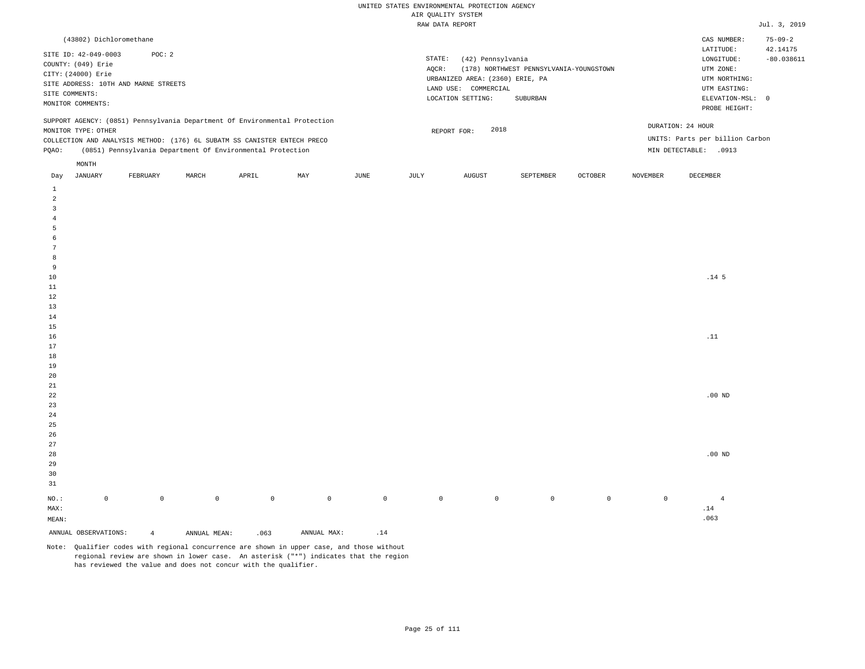| (43802) Dichloromethane                                                                                                                                                                                                                                       |                                                                                                                                                                             | CAS NUMBER:                                                                                                | $75 - 09 - 2$            |
|---------------------------------------------------------------------------------------------------------------------------------------------------------------------------------------------------------------------------------------------------------------|-----------------------------------------------------------------------------------------------------------------------------------------------------------------------------|------------------------------------------------------------------------------------------------------------|--------------------------|
| SITE ID: 42-049-0003<br>POC: 2<br>COUNTY: (049) Erie<br>CITY: (24000) Erie<br>SITE ADDRESS: 10TH AND MARNE STREETS<br>SITE COMMENTS:<br>MONITOR COMMENTS:                                                                                                     | STATE:<br>(42) Pennsylvania<br>(178) NORTHWEST PENNSYLVANIA-YOUNGSTOWN<br>AOCR:<br>URBANIZED AREA: (2360) ERIE, PA<br>LAND USE: COMMERCIAL<br>LOCATION SETTING:<br>SUBURBAN | LATITUDE:<br>LONGITUDE:<br>UTM ZONE:<br>UTM NORTHING:<br>UTM EASTING:<br>ELEVATION-MSL: 0<br>PROBE HEIGHT: | 42.14175<br>$-80.038611$ |
| SUPPORT AGENCY: (0851) Pennsylvania Department Of Environmental Protection<br>MONITOR TYPE: OTHER<br>COLLECTION AND ANALYSIS METHOD: (176) 6L SUBATM SS CANISTER ENTECH PRECO<br>(0851) Pennsylvania Department Of Environmental Protection<br>POAO:<br>MONTH | 2018<br>REPORT FOR:                                                                                                                                                         | DURATION: 24 HOUR<br>UNITS: Parts per billion Carbon<br>MIN DETECTABLE:<br>.0913                           |                          |
|                                                                                                                                                                                                                                                               | the contract of the contract of the contract of                                                                                                                             | the contract of the contract of the contract of the contract of the contract of                            |                          |

| Day                     | JANUARY              | FEBRUARY       | MARCH               | APRIL       | MAY         | JUNE                         | JULY    | AUGUST  | SEPTEMBER   | OCTOBER             | NOVEMBER    | DECEMBER                     |
|-------------------------|----------------------|----------------|---------------------|-------------|-------------|------------------------------|---------|---------|-------------|---------------------|-------------|------------------------------|
| $\mathbf{1}$            |                      |                |                     |             |             |                              |         |         |             |                     |             |                              |
| $\overline{a}$          |                      |                |                     |             |             |                              |         |         |             |                     |             |                              |
| $\overline{\mathbf{3}}$ |                      |                |                     |             |             |                              |         |         |             |                     |             |                              |
| $\overline{4}$          |                      |                |                     |             |             |                              |         |         |             |                     |             |                              |
| 5                       |                      |                |                     |             |             |                              |         |         |             |                     |             |                              |
| 6                       |                      |                |                     |             |             |                              |         |         |             |                     |             |                              |
| $7\phantom{.0}$         |                      |                |                     |             |             |                              |         |         |             |                     |             |                              |
| 8                       |                      |                |                     |             |             |                              |         |         |             |                     |             |                              |
| 9                       |                      |                |                     |             |             |                              |         |         |             |                     |             |                              |
| $10$                    |                      |                |                     |             |             |                              |         |         |             |                     |             | .14 <sub>5</sub>             |
| $11\,$                  |                      |                |                     |             |             |                              |         |         |             |                     |             |                              |
| 12                      |                      |                |                     |             |             |                              |         |         |             |                     |             |                              |
| 13                      |                      |                |                     |             |             |                              |         |         |             |                     |             |                              |
| 14                      |                      |                |                     |             |             |                              |         |         |             |                     |             |                              |
| 15                      |                      |                |                     |             |             |                              |         |         |             |                     |             |                              |
| 16                      |                      |                |                     |             |             |                              |         |         |             |                     |             | $\footnotesize\substack{11}$ |
| 17                      |                      |                |                     |             |             |                              |         |         |             |                     |             |                              |
| 18                      |                      |                |                     |             |             |                              |         |         |             |                     |             |                              |
| 19                      |                      |                |                     |             |             |                              |         |         |             |                     |             |                              |
| $20\,$                  |                      |                |                     |             |             |                              |         |         |             |                     |             |                              |
| $2\sqrt{1}$             |                      |                |                     |             |             |                              |         |         |             |                     |             |                              |
| $^{\rm 22}$             |                      |                |                     |             |             |                              |         |         |             |                     |             | .00 $ND$                     |
| $23\,$                  |                      |                |                     |             |             |                              |         |         |             |                     |             |                              |
| $2\,4$                  |                      |                |                     |             |             |                              |         |         |             |                     |             |                              |
| $2\sqrt{5}$             |                      |                |                     |             |             |                              |         |         |             |                     |             |                              |
| $26\,$                  |                      |                |                     |             |             |                              |         |         |             |                     |             |                              |
| $27\,$<br>$28\,$        |                      |                |                     |             |             |                              |         |         |             |                     |             | $.00~\mathrm{ND}$            |
| 29                      |                      |                |                     |             |             |                              |         |         |             |                     |             |                              |
| 30                      |                      |                |                     |             |             |                              |         |         |             |                     |             |                              |
| 31                      |                      |                |                     |             |             |                              |         |         |             |                     |             |                              |
|                         |                      |                |                     |             |             |                              |         |         |             |                     |             |                              |
| $_{\rm NO.}$ :          | $\mathbb O$          | $\mathbb O$    | $\mathsf{O}\xspace$ | $\mathbb O$ | $\circ$     | $\mathbb O$                  | $\circ$ | $\circ$ | $\mathbb O$ | $\mathsf{O}\xspace$ | $\mathbb O$ | $\overline{4}$               |
| MAX:                    |                      |                |                     |             |             |                              |         |         |             |                     |             | $.14\,$                      |
| MEAN:                   |                      |                |                     |             |             |                              |         |         |             |                     |             | .063                         |
|                         | ANNUAL OBSERVATIONS: | $\overline{4}$ | ANNUAL MEAN:        | .063        | ANNUAL MAX: | $\footnotesize\substack{14}$ |         |         |             |                     |             |                              |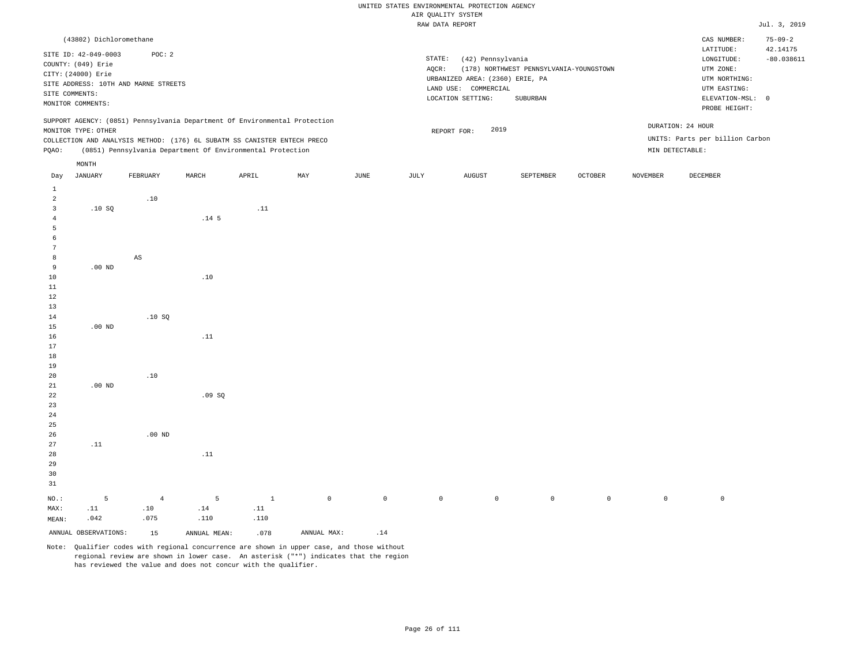|                         |                         |                                      |                                                                            |              |             |             |       | RAW DATA REPORT                 |                                         |                |                 |                                 | Jul. 3, 2019  |
|-------------------------|-------------------------|--------------------------------------|----------------------------------------------------------------------------|--------------|-------------|-------------|-------|---------------------------------|-----------------------------------------|----------------|-----------------|---------------------------------|---------------|
|                         | (43802) Dichloromethane |                                      |                                                                            |              |             |             |       |                                 |                                         |                |                 | CAS NUMBER:                     | $75 - 09 - 2$ |
|                         | SITE ID: 42-049-0003    | POC: 2                               |                                                                            |              |             |             |       |                                 |                                         |                |                 | LATITUDE:                       | 42.14175      |
|                         | COUNTY: (049) Erie      |                                      |                                                                            |              |             |             |       | STATE:<br>(42) Pennsylvania     |                                         |                |                 | LONGITUDE:                      | $-80.038611$  |
|                         | CITY: (24000) Erie      |                                      |                                                                            |              |             |             | AQCR: |                                 | (178) NORTHWEST PENNSYLVANIA-YOUNGSTOWN |                |                 | UTM ZONE:                       |               |
|                         |                         | SITE ADDRESS: 10TH AND MARNE STREETS |                                                                            |              |             |             |       | URBANIZED AREA: (2360) ERIE, PA |                                         |                |                 | UTM NORTHING:                   |               |
|                         | SITE COMMENTS:          |                                      |                                                                            |              |             |             |       | LAND USE: COMMERCIAL            |                                         |                |                 | UTM EASTING:                    |               |
|                         | MONITOR COMMENTS:       |                                      |                                                                            |              |             |             |       | LOCATION SETTING:               | SUBURBAN                                |                |                 | ELEVATION-MSL: 0                |               |
|                         |                         |                                      | SUPPORT AGENCY: (0851) Pennsylvania Department Of Environmental Protection |              |             |             |       |                                 |                                         |                |                 | PROBE HEIGHT:                   |               |
|                         | MONITOR TYPE: OTHER     |                                      |                                                                            |              |             |             |       |                                 | 2019                                    |                |                 | DURATION: 24 HOUR               |               |
|                         |                         |                                      | COLLECTION AND ANALYSIS METHOD: (176) 6L SUBATM SS CANISTER ENTECH PRECO   |              |             |             |       | REPORT FOR:                     |                                         |                |                 | UNITS: Parts per billion Carbon |               |
| PQAO:                   |                         |                                      | (0851) Pennsylvania Department Of Environmental Protection                 |              |             |             |       |                                 |                                         |                |                 | MIN DETECTABLE:                 |               |
|                         | MONTH                   |                                      |                                                                            |              |             |             |       |                                 |                                         |                |                 |                                 |               |
| Day                     | <b>JANUARY</b>          | FEBRUARY                             | MARCH                                                                      | APRIL        | MAY         | JUNE        | JULY  | <b>AUGUST</b>                   | SEPTEMBER                               | <b>OCTOBER</b> | <b>NOVEMBER</b> | <b>DECEMBER</b>                 |               |
| $\mathbf{1}$            |                         |                                      |                                                                            |              |             |             |       |                                 |                                         |                |                 |                                 |               |
| $\overline{2}$          |                         | .10                                  |                                                                            |              |             |             |       |                                 |                                         |                |                 |                                 |               |
| $\overline{\mathbf{3}}$ | .10S                    |                                      |                                                                            | .11          |             |             |       |                                 |                                         |                |                 |                                 |               |
| $\overline{4}$          |                         |                                      | .14 <sub>5</sub>                                                           |              |             |             |       |                                 |                                         |                |                 |                                 |               |
| 5                       |                         |                                      |                                                                            |              |             |             |       |                                 |                                         |                |                 |                                 |               |
| 6                       |                         |                                      |                                                                            |              |             |             |       |                                 |                                         |                |                 |                                 |               |
| $\overline{7}$          |                         |                                      |                                                                            |              |             |             |       |                                 |                                         |                |                 |                                 |               |
| 8                       |                         | $\mathbb{A}\mathbb{S}$               |                                                                            |              |             |             |       |                                 |                                         |                |                 |                                 |               |
| 9                       | $.00$ ND                |                                      |                                                                            |              |             |             |       |                                 |                                         |                |                 |                                 |               |
| 10                      |                         |                                      | .10                                                                        |              |             |             |       |                                 |                                         |                |                 |                                 |               |
| 11                      |                         |                                      |                                                                            |              |             |             |       |                                 |                                         |                |                 |                                 |               |
| $1\,2$                  |                         |                                      |                                                                            |              |             |             |       |                                 |                                         |                |                 |                                 |               |
| 13                      |                         |                                      |                                                                            |              |             |             |       |                                 |                                         |                |                 |                                 |               |
| $14\,$                  |                         | .10SQ                                |                                                                            |              |             |             |       |                                 |                                         |                |                 |                                 |               |
| 15                      | $.00$ ND                |                                      |                                                                            |              |             |             |       |                                 |                                         |                |                 |                                 |               |
| 16                      |                         |                                      | .11                                                                        |              |             |             |       |                                 |                                         |                |                 |                                 |               |
| 17                      |                         |                                      |                                                                            |              |             |             |       |                                 |                                         |                |                 |                                 |               |
| 18                      |                         |                                      |                                                                            |              |             |             |       |                                 |                                         |                |                 |                                 |               |
| 19                      |                         |                                      |                                                                            |              |             |             |       |                                 |                                         |                |                 |                                 |               |
| 20                      |                         | .10                                  |                                                                            |              |             |             |       |                                 |                                         |                |                 |                                 |               |
| 21                      | $.00$ ND                |                                      |                                                                            |              |             |             |       |                                 |                                         |                |                 |                                 |               |
| 22                      |                         |                                      | .09SQ                                                                      |              |             |             |       |                                 |                                         |                |                 |                                 |               |
| 23                      |                         |                                      |                                                                            |              |             |             |       |                                 |                                         |                |                 |                                 |               |
| 24                      |                         |                                      |                                                                            |              |             |             |       |                                 |                                         |                |                 |                                 |               |
| 25                      |                         |                                      |                                                                            |              |             |             |       |                                 |                                         |                |                 |                                 |               |
|                         |                         | $.00$ ND                             |                                                                            |              |             |             |       |                                 |                                         |                |                 |                                 |               |
| 26<br>27                |                         |                                      |                                                                            |              |             |             |       |                                 |                                         |                |                 |                                 |               |
|                         | .11                     |                                      |                                                                            |              |             |             |       |                                 |                                         |                |                 |                                 |               |
| 28                      |                         |                                      | .11                                                                        |              |             |             |       |                                 |                                         |                |                 |                                 |               |
| 29                      |                         |                                      |                                                                            |              |             |             |       |                                 |                                         |                |                 |                                 |               |
| 30<br>31                |                         |                                      |                                                                            |              |             |             |       |                                 |                                         |                |                 |                                 |               |
|                         |                         |                                      |                                                                            |              |             |             |       |                                 |                                         |                |                 |                                 |               |
| NO.:                    | 5                       | $\overline{4}$                       | 5                                                                          | $\mathbf{1}$ | $\mathbb O$ | $\mathbb O$ |       | $\mathbb O$<br>$\mathbb O$      | $\mathsf{O}\xspace$                     | $\mathbb O$    | $\mathbb O$     | $\mathbb O$                     |               |
| MAX:                    | .11                     | .10                                  | .14                                                                        | .11          |             |             |       |                                 |                                         |                |                 |                                 |               |
| MEAN:                   | .042                    | .075                                 | .110                                                                       | .110         |             |             |       |                                 |                                         |                |                 |                                 |               |

ANNUAL OBSERVATIONS:  $15$  ANNUAL MEAN: .078 ANNUAL MAX: .14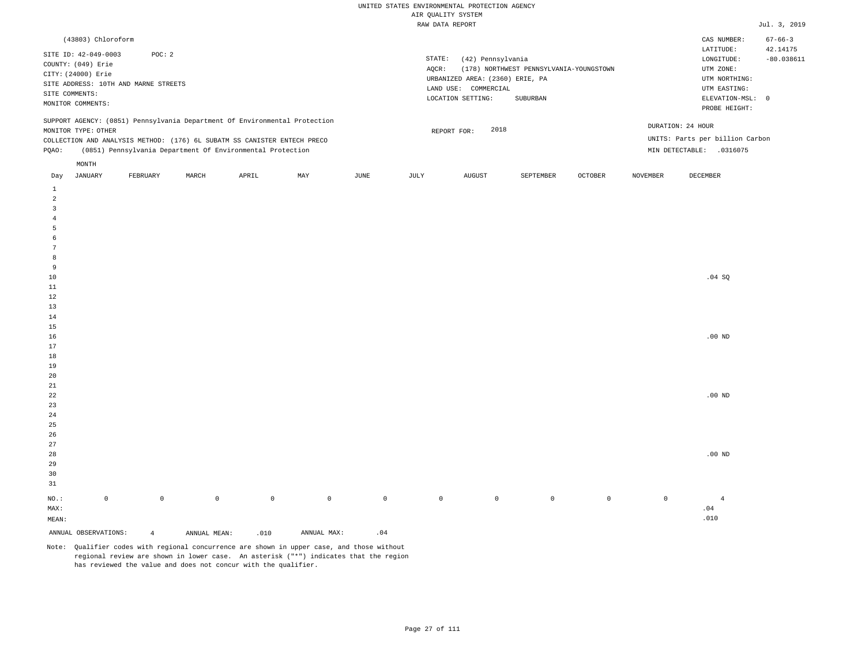| (43803) Chloroform                                                                                                                                                                                                                                            |                                                                                                                                                                             | CAS NUMBER:                                                                                                | $67 - 66 - 3$            |
|---------------------------------------------------------------------------------------------------------------------------------------------------------------------------------------------------------------------------------------------------------------|-----------------------------------------------------------------------------------------------------------------------------------------------------------------------------|------------------------------------------------------------------------------------------------------------|--------------------------|
| SITE ID: 42-049-0003<br>POC: 2<br>COUNTY: (049) Erie<br>CITY: (24000) Erie<br>SITE ADDRESS: 10TH AND MARNE STREETS<br>SITE COMMENTS:<br>MONITOR COMMENTS:                                                                                                     | STATE:<br>(42) Pennsylvania<br>(178) NORTHWEST PENNSYLVANIA-YOUNGSTOWN<br>AOCR:<br>URBANIZED AREA: (2360) ERIE, PA<br>LAND USE: COMMERCIAL<br>LOCATION SETTING:<br>SUBURBAN | LATITUDE:<br>LONGITUDE:<br>UTM ZONE:<br>UTM NORTHING:<br>UTM EASTING:<br>ELEVATION-MSL: 0<br>PROBE HEIGHT: | 42.14175<br>$-80.038611$ |
| SUPPORT AGENCY: (0851) Pennsylvania Department Of Environmental Protection<br>MONITOR TYPE: OTHER<br>COLLECTION AND ANALYSIS METHOD: (176) 6L SUBATM SS CANISTER ENTECH PRECO<br>(0851) Pennsylvania Department Of Environmental Protection<br>POAO:<br>MONTH | 2018<br>REPORT FOR:<br>MIN DETECTABLE:                                                                                                                                      | DURATION: 24 HOUR<br>UNITS: Parts per billion Carbon<br>.0316075                                           |                          |

| Day                   | JANUARY              | FEBRUARY       | MARCH        | APRIL       | MAY         | JUNE                | JULY        | AUGUST      | SEPTEMBER   | OCTOBER     | NOVEMBER    | DECEMBER       |
|-----------------------|----------------------|----------------|--------------|-------------|-------------|---------------------|-------------|-------------|-------------|-------------|-------------|----------------|
| $\mathbf{1}$          |                      |                |              |             |             |                     |             |             |             |             |             |                |
| $\overline{a}$        |                      |                |              |             |             |                     |             |             |             |             |             |                |
| 3                     |                      |                |              |             |             |                     |             |             |             |             |             |                |
| $\overline{4}$        |                      |                |              |             |             |                     |             |             |             |             |             |                |
| 5                     |                      |                |              |             |             |                     |             |             |             |             |             |                |
| 6                     |                      |                |              |             |             |                     |             |             |             |             |             |                |
| $7\phantom{.0}$       |                      |                |              |             |             |                     |             |             |             |             |             |                |
| 8                     |                      |                |              |             |             |                     |             |             |             |             |             |                |
| 9                     |                      |                |              |             |             |                     |             |             |             |             |             |                |
| $10\,$                |                      |                |              |             |             |                     |             |             |             |             |             | .04 SQ         |
| $11\,$                |                      |                |              |             |             |                     |             |             |             |             |             |                |
| 12                    |                      |                |              |             |             |                     |             |             |             |             |             |                |
| 13                    |                      |                |              |             |             |                     |             |             |             |             |             |                |
| 14                    |                      |                |              |             |             |                     |             |             |             |             |             |                |
| 15                    |                      |                |              |             |             |                     |             |             |             |             |             |                |
| 16                    |                      |                |              |             |             |                     |             |             |             |             |             | $.00$ ND       |
| 17                    |                      |                |              |             |             |                     |             |             |             |             |             |                |
| 18                    |                      |                |              |             |             |                     |             |             |             |             |             |                |
| 19                    |                      |                |              |             |             |                     |             |             |             |             |             |                |
| $20\,$                |                      |                |              |             |             |                     |             |             |             |             |             |                |
| $2\sqrt{1}$           |                      |                |              |             |             |                     |             |             |             |             |             |                |
| ${\bf 22}$<br>$23$    |                      |                |              |             |             |                     |             |             |             |             |             | .00 $ND$       |
|                       |                      |                |              |             |             |                     |             |             |             |             |             |                |
| $2\,4$<br>$2\sqrt{5}$ |                      |                |              |             |             |                     |             |             |             |             |             |                |
| $26\,$                |                      |                |              |             |             |                     |             |             |             |             |             |                |
| $27\,$                |                      |                |              |             |             |                     |             |             |             |             |             |                |
| $28\,$                |                      |                |              |             |             |                     |             |             |             |             |             | .00 $ND$       |
| 29                    |                      |                |              |             |             |                     |             |             |             |             |             |                |
| 30                    |                      |                |              |             |             |                     |             |             |             |             |             |                |
| 31                    |                      |                |              |             |             |                     |             |             |             |             |             |                |
|                       |                      |                |              |             |             |                     |             |             |             |             |             |                |
| $_{\rm NO.}$ :        | $\mathbb O$          | $\mathbb O$    | $\mathbb O$  | $\mathbb O$ | $\mathbb O$ | $\mathsf{O}\xspace$ | $\mathbb O$ | $\mathbb O$ | $\mathbb O$ | $\mathbb O$ | $\mathbb O$ | $\overline{4}$ |
| MAX:                  |                      |                |              |             |             |                     |             |             |             |             |             | $.04$          |
| MEAN:                 |                      |                |              |             |             |                     |             |             |             |             |             | .010           |
|                       | ANNUAL OBSERVATIONS: | $\overline{4}$ | ANNUAL MEAN: | .010        | ANNUAL MAX: | $\therefore$ 04     |             |             |             |             |             |                |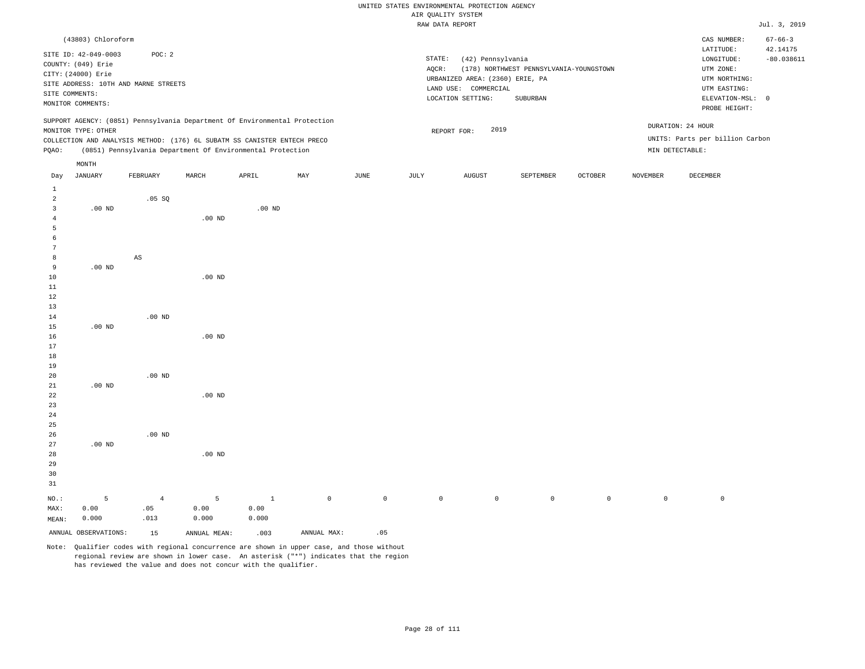|                |                      |                                                                                                                                        |          |          |     |      |                     | wit Antiti pipirw               |                                         |                |                 |                                   |               |
|----------------|----------------------|----------------------------------------------------------------------------------------------------------------------------------------|----------|----------|-----|------|---------------------|---------------------------------|-----------------------------------------|----------------|-----------------|-----------------------------------|---------------|
|                |                      |                                                                                                                                        |          |          |     |      |                     | RAW DATA REPORT                 |                                         |                |                 |                                   | Jul. 3, 2019  |
|                | (43803) Chloroform   |                                                                                                                                        |          |          |     |      |                     |                                 |                                         |                |                 | CAS NUMBER:                       | $67 - 66 - 3$ |
|                | SITE ID: 42-049-0003 | POC: 2                                                                                                                                 |          |          |     |      |                     |                                 |                                         |                |                 | LATITUDE:                         | 42.14175      |
|                | COUNTY: (049) Erie   |                                                                                                                                        |          |          |     |      | $\texttt{STATE}{}:$ | (42) Pennsylvania               |                                         |                |                 | LONGITUDE:                        | $-80.038611$  |
|                | CITY: (24000) Erie   |                                                                                                                                        |          |          |     |      | AQCR:               |                                 | (178) NORTHWEST PENNSYLVANIA-YOUNGSTOWN |                |                 | UTM ZONE:                         |               |
|                |                      | SITE ADDRESS: 10TH AND MARNE STREETS                                                                                                   |          |          |     |      |                     | URBANIZED AREA: (2360) ERIE, PA |                                         |                |                 | UTM NORTHING:                     |               |
|                | SITE COMMENTS:       |                                                                                                                                        |          |          |     |      |                     | LAND USE: COMMERCIAL            |                                         |                |                 | UTM EASTING:                      |               |
|                | MONITOR COMMENTS:    |                                                                                                                                        |          |          |     |      |                     | LOCATION SETTING:               | SUBURBAN                                |                |                 | ELEVATION-MSL: 0<br>PROBE HEIGHT: |               |
|                |                      | SUPPORT AGENCY: (0851) Pennsylvania Department Of Environmental Protection                                                             |          |          |     |      |                     |                                 |                                         |                |                 | DURATION: 24 HOUR                 |               |
|                | MONITOR TYPE: OTHER  |                                                                                                                                        |          |          |     |      |                     | 2019<br>REPORT FOR:             |                                         |                |                 | UNITS: Parts per billion Carbon   |               |
| PQAO:          |                      | COLLECTION AND ANALYSIS METHOD: (176) 6L SUBATM SS CANISTER ENTECH PRECO<br>(0851) Pennsylvania Department Of Environmental Protection |          |          |     |      |                     |                                 |                                         |                |                 | MIN DETECTABLE:                   |               |
|                | MONTH                |                                                                                                                                        |          |          |     |      |                     |                                 |                                         |                |                 |                                   |               |
| Day            | <b>JANUARY</b>       | FEBRUARY                                                                                                                               | MARCH    | APRIL    | MAY | JUNE | JULY                | <b>AUGUST</b>                   | SEPTEMBER                               | <b>OCTOBER</b> | <b>NOVEMBER</b> | DECEMBER                          |               |
| $\mathbf{1}$   |                      |                                                                                                                                        |          |          |     |      |                     |                                 |                                         |                |                 |                                   |               |
| $\overline{a}$ |                      | .05 SQ                                                                                                                                 |          |          |     |      |                     |                                 |                                         |                |                 |                                   |               |
| 3              | $.00$ ND             |                                                                                                                                        |          | $.00$ ND |     |      |                     |                                 |                                         |                |                 |                                   |               |
| $\overline{4}$ |                      |                                                                                                                                        | $.00$ ND |          |     |      |                     |                                 |                                         |                |                 |                                   |               |
| 5              |                      |                                                                                                                                        |          |          |     |      |                     |                                 |                                         |                |                 |                                   |               |
| 6              |                      |                                                                                                                                        |          |          |     |      |                     |                                 |                                         |                |                 |                                   |               |
| 7<br>8         |                      | AS                                                                                                                                     |          |          |     |      |                     |                                 |                                         |                |                 |                                   |               |
| 9              | $.00$ ND             |                                                                                                                                        |          |          |     |      |                     |                                 |                                         |                |                 |                                   |               |
| 10             |                      |                                                                                                                                        | $.00$ ND |          |     |      |                     |                                 |                                         |                |                 |                                   |               |
| 11             |                      |                                                                                                                                        |          |          |     |      |                     |                                 |                                         |                |                 |                                   |               |
| 12             |                      |                                                                                                                                        |          |          |     |      |                     |                                 |                                         |                |                 |                                   |               |
| 13             |                      |                                                                                                                                        |          |          |     |      |                     |                                 |                                         |                |                 |                                   |               |
| 14             |                      | $.00$ ND                                                                                                                               |          |          |     |      |                     |                                 |                                         |                |                 |                                   |               |
| 15             | $.00$ ND             |                                                                                                                                        |          |          |     |      |                     |                                 |                                         |                |                 |                                   |               |
| 16             |                      |                                                                                                                                        | $.00$ ND |          |     |      |                     |                                 |                                         |                |                 |                                   |               |
| 17             |                      |                                                                                                                                        |          |          |     |      |                     |                                 |                                         |                |                 |                                   |               |
| 18             |                      |                                                                                                                                        |          |          |     |      |                     |                                 |                                         |                |                 |                                   |               |
| 19             |                      |                                                                                                                                        |          |          |     |      |                     |                                 |                                         |                |                 |                                   |               |
| 20             |                      | $.00$ ND                                                                                                                               |          |          |     |      |                     |                                 |                                         |                |                 |                                   |               |
| 21             | $.00$ ND             |                                                                                                                                        |          |          |     |      |                     |                                 |                                         |                |                 |                                   |               |
| 22             |                      |                                                                                                                                        | $.00$ ND |          |     |      |                     |                                 |                                         |                |                 |                                   |               |
| 23<br>24       |                      |                                                                                                                                        |          |          |     |      |                     |                                 |                                         |                |                 |                                   |               |
| 25             |                      |                                                                                                                                        |          |          |     |      |                     |                                 |                                         |                |                 |                                   |               |
| 26             |                      | $.00$ ND                                                                                                                               |          |          |     |      |                     |                                 |                                         |                |                 |                                   |               |
| 27             | $.00$ ND             |                                                                                                                                        |          |          |     |      |                     |                                 |                                         |                |                 |                                   |               |
| 28             |                      |                                                                                                                                        | $.00$ ND |          |     |      |                     |                                 |                                         |                |                 |                                   |               |
| 29             |                      |                                                                                                                                        |          |          |     |      |                     |                                 |                                         |                |                 |                                   |               |
| 30             |                      |                                                                                                                                        |          |          |     |      |                     |                                 |                                         |                |                 |                                   |               |
| 31             |                      |                                                                                                                                        |          |          |     |      |                     |                                 |                                         |                |                 |                                   |               |

NO.: MAX: MEAN: 5 0.00 0.000 4 .05 .013 5 0.00 0.000 1 0.00 0.000 0 0 0 0 0 0 0 0

ANNUAL OBSERVATIONS: 15 ANNUAL MEAN: .003 ANNUAL MAX: .05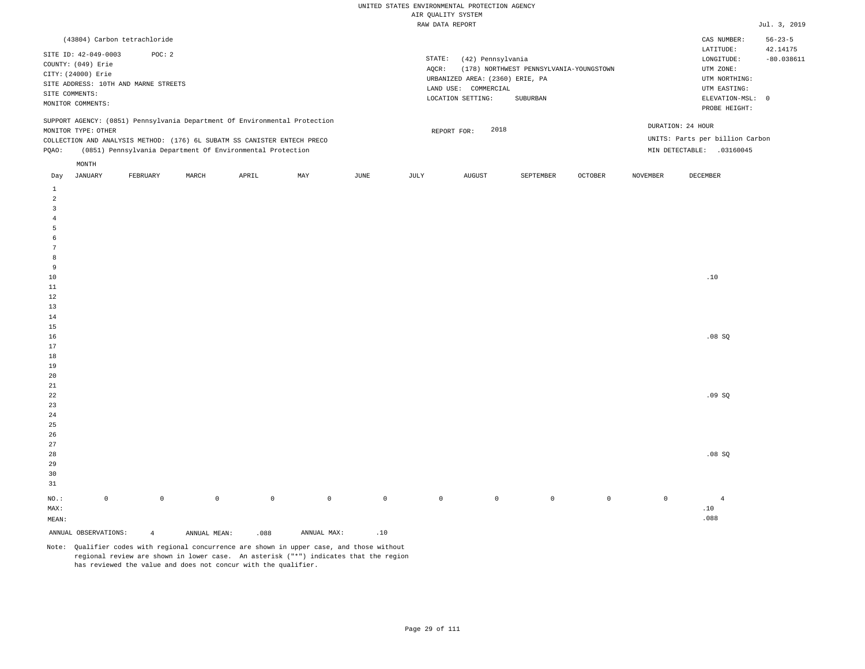| (43804) Carbon tetrachloride                                                                                                                                                                                                                                  |                                                                                                                                                                             | $56 - 23 - 5$<br>CAS NUMBER:                                                                                                           |
|---------------------------------------------------------------------------------------------------------------------------------------------------------------------------------------------------------------------------------------------------------------|-----------------------------------------------------------------------------------------------------------------------------------------------------------------------------|----------------------------------------------------------------------------------------------------------------------------------------|
| SITE ID: 42-049-0003<br>POC: 2<br>COUNTY: (049) Erie<br>CITY: (24000) Erie<br>SITE ADDRESS: 10TH AND MARNE STREETS<br>SITE COMMENTS:<br>MONITOR COMMENTS:                                                                                                     | STATE:<br>(42) Pennsylvania<br>(178) NORTHWEST PENNSYLVANIA-YOUNGSTOWN<br>AOCR:<br>URBANIZED AREA: (2360) ERIE, PA<br>LAND USE: COMMERCIAL<br>LOCATION SETTING:<br>SUBURBAN | 42.14175<br>LATITUDE:<br>$-80.038611$<br>LONGITUDE:<br>UTM ZONE:<br>UTM NORTHING:<br>UTM EASTING:<br>ELEVATION-MSL: 0<br>PROBE HEIGHT: |
| SUPPORT AGENCY: (0851) Pennsylvania Department Of Environmental Protection<br>MONITOR TYPE: OTHER<br>COLLECTION AND ANALYSIS METHOD: (176) 6L SUBATM SS CANISTER ENTECH PRECO<br>(0851) Pennsylvania Department Of Environmental Protection<br>POAO:<br>MONTH | 2018<br>REPORT FOR:                                                                                                                                                         | DURATION: 24 HOUR<br>UNITS: Parts per billion Carbon<br>MIN DETECTABLE:<br>.03160045                                                   |
|                                                                                                                                                                                                                                                               |                                                                                                                                                                             |                                                                                                                                        |

| Day             | JANUARY              | FEBRUARY       | MARCH               | APRIL       | MAY            | JUNE                                        | JULY        | AUGUST      | SEPTEMBER   | OCTOBER     | NOVEMBER    | DECEMBER                                    |
|-----------------|----------------------|----------------|---------------------|-------------|----------------|---------------------------------------------|-------------|-------------|-------------|-------------|-------------|---------------------------------------------|
| $\mathbf{1}$    |                      |                |                     |             |                |                                             |             |             |             |             |             |                                             |
| $\overline{a}$  |                      |                |                     |             |                |                                             |             |             |             |             |             |                                             |
| $\mathsf 3$     |                      |                |                     |             |                |                                             |             |             |             |             |             |                                             |
| $\overline{4}$  |                      |                |                     |             |                |                                             |             |             |             |             |             |                                             |
| 5               |                      |                |                     |             |                |                                             |             |             |             |             |             |                                             |
| 6               |                      |                |                     |             |                |                                             |             |             |             |             |             |                                             |
| $7\phantom{.0}$ |                      |                |                     |             |                |                                             |             |             |             |             |             |                                             |
| 8               |                      |                |                     |             |                |                                             |             |             |             |             |             |                                             |
| 9               |                      |                |                     |             |                |                                             |             |             |             |             |             |                                             |
| $10\,$          |                      |                |                     |             |                |                                             |             |             |             |             |             | $.10\,$                                     |
| $11\,$          |                      |                |                     |             |                |                                             |             |             |             |             |             |                                             |
| $12\,$          |                      |                |                     |             |                |                                             |             |             |             |             |             |                                             |
| 13              |                      |                |                     |             |                |                                             |             |             |             |             |             |                                             |
| $14\,$          |                      |                |                     |             |                |                                             |             |             |             |             |             |                                             |
| 15              |                      |                |                     |             |                |                                             |             |             |             |             |             |                                             |
| $16$            |                      |                |                     |             |                |                                             |             |             |             |             |             | .08 SQ                                      |
| $17\,$          |                      |                |                     |             |                |                                             |             |             |             |             |             |                                             |
| 18              |                      |                |                     |             |                |                                             |             |             |             |             |             |                                             |
| $19$            |                      |                |                     |             |                |                                             |             |             |             |             |             |                                             |
| 20              |                      |                |                     |             |                |                                             |             |             |             |             |             |                                             |
| $2\sqrt{1}$     |                      |                |                     |             |                |                                             |             |             |             |             |             |                                             |
| ${\bf 22}$      |                      |                |                     |             |                |                                             |             |             |             |             |             | .09SQ                                       |
| 23              |                      |                |                     |             |                |                                             |             |             |             |             |             |                                             |
| $2\sqrt{4}$     |                      |                |                     |             |                |                                             |             |             |             |             |             |                                             |
| 25              |                      |                |                     |             |                |                                             |             |             |             |             |             |                                             |
| 26              |                      |                |                     |             |                |                                             |             |             |             |             |             |                                             |
| 27              |                      |                |                     |             |                |                                             |             |             |             |             |             |                                             |
| 28              |                      |                |                     |             |                |                                             |             |             |             |             |             | .08 SQ                                      |
| 29              |                      |                |                     |             |                |                                             |             |             |             |             |             |                                             |
| 30              |                      |                |                     |             |                |                                             |             |             |             |             |             |                                             |
| 31              |                      |                |                     |             |                |                                             |             |             |             |             |             |                                             |
| $_{\rm NO.}$ :  | $\mathbb O$          | $\mathbb O$    | $\mathsf{O}\xspace$ | $\mathbb O$ | $\overline{0}$ | $\mathbb O$                                 | $\mathbb O$ | $\mathbb O$ | $\mathbb O$ | $\mathbb O$ | $\mathbb O$ | $\overline{4}$                              |
| MAX:            |                      |                |                     |             |                |                                             |             |             |             |             |             | $\footnotesize\relax\relax\relax\relax0 10$ |
| MEAN:           |                      |                |                     |             |                |                                             |             |             |             |             |             | .088                                        |
|                 | ANNUAL OBSERVATIONS: | $\overline{4}$ | ANNUAL MEAN:        | .088        | ANNUAL MAX:    | $\footnotesize\relax\relax\relax\relax0 10$ |             |             |             |             |             |                                             |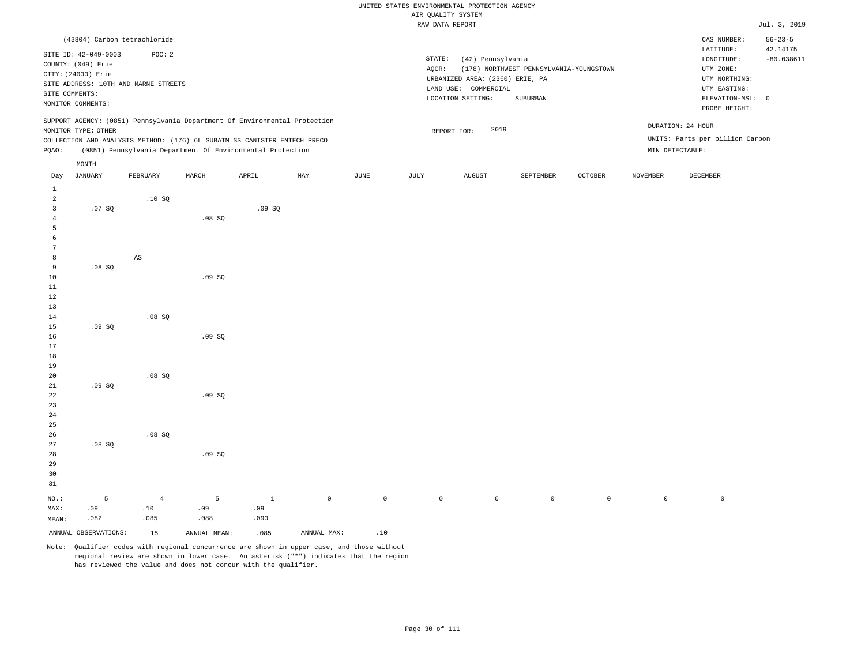|                |                      |                                                                            |        |       |     |                 |        | WIR KAMPITI SISTEM              |                                         |                |          |                                 |                          |
|----------------|----------------------|----------------------------------------------------------------------------|--------|-------|-----|-----------------|--------|---------------------------------|-----------------------------------------|----------------|----------|---------------------------------|--------------------------|
|                |                      |                                                                            |        |       |     |                 |        | RAW DATA REPORT                 |                                         |                |          |                                 | Jul. 3, 2019             |
|                |                      | (43804) Carbon tetrachloride                                               |        |       |     |                 |        |                                 |                                         |                |          | CAS NUMBER:                     | $56 - 23 - 5$            |
|                | SITE ID: 42-049-0003 | POC: 2                                                                     |        |       |     |                 | STATE: | (42) Pennsylvania               |                                         |                |          | LATITUDE:<br>LONGITUDE:         | 42.14175<br>$-80.038611$ |
|                | COUNTY: (049) Erie   |                                                                            |        |       |     |                 | AQCR:  |                                 | (178) NORTHWEST PENNSYLVANIA-YOUNGSTOWN |                |          | UTM ZONE:                       |                          |
|                | CITY: (24000) Erie   |                                                                            |        |       |     |                 |        | URBANIZED AREA: (2360) ERIE, PA |                                         |                |          | UTM NORTHING:                   |                          |
|                |                      | SITE ADDRESS: 10TH AND MARNE STREETS                                       |        |       |     |                 |        | LAND USE: COMMERCIAL            |                                         |                |          | UTM EASTING:                    |                          |
|                | SITE COMMENTS:       |                                                                            |        |       |     |                 |        | LOCATION SETTING:               | SUBURBAN                                |                |          | ELEVATION-MSL: 0                |                          |
|                | MONITOR COMMENTS:    |                                                                            |        |       |     |                 |        |                                 |                                         |                |          | PROBE HEIGHT:                   |                          |
|                |                      | SUPPORT AGENCY: (0851) Pennsylvania Department Of Environmental Protection |        |       |     |                 |        |                                 |                                         |                |          | DURATION: 24 HOUR               |                          |
|                | MONITOR TYPE: OTHER  |                                                                            |        |       |     |                 |        | 2019<br>REPORT FOR:             |                                         |                |          |                                 |                          |
|                |                      | COLLECTION AND ANALYSIS METHOD: (176) 6L SUBATM SS CANISTER ENTECH PRECO   |        |       |     |                 |        |                                 |                                         |                |          | UNITS: Parts per billion Carbon |                          |
| PQAO:          |                      | (0851) Pennsylvania Department Of Environmental Protection                 |        |       |     |                 |        |                                 |                                         |                |          | MIN DETECTABLE:                 |                          |
|                | MONTH                |                                                                            |        |       |     |                 |        |                                 |                                         |                |          |                                 |                          |
| Day            | <b>JANUARY</b>       | FEBRUARY                                                                   | MARCH  | APRIL | MAY | $\mathtt{JUNE}$ | JULY   | AUGUST                          | SEPTEMBER                               | <b>OCTOBER</b> | NOVEMBER | DECEMBER                        |                          |
| $\mathbf{1}$   |                      |                                                                            |        |       |     |                 |        |                                 |                                         |                |          |                                 |                          |
| $\overline{a}$ |                      | .10SQ                                                                      |        |       |     |                 |        |                                 |                                         |                |          |                                 |                          |
| $\mathbf{3}$   | .07SQ                |                                                                            |        | .09SQ |     |                 |        |                                 |                                         |                |          |                                 |                          |
| $\overline{4}$ |                      |                                                                            | .08 SQ |       |     |                 |        |                                 |                                         |                |          |                                 |                          |
| 5              |                      |                                                                            |        |       |     |                 |        |                                 |                                         |                |          |                                 |                          |
| 6              |                      |                                                                            |        |       |     |                 |        |                                 |                                         |                |          |                                 |                          |
| 7              |                      |                                                                            |        |       |     |                 |        |                                 |                                         |                |          |                                 |                          |
| 8<br>9         |                      | $_{\rm AS}$                                                                |        |       |     |                 |        |                                 |                                         |                |          |                                 |                          |
| 10             | .08SQ                |                                                                            | .09SQ  |       |     |                 |        |                                 |                                         |                |          |                                 |                          |
| 11             |                      |                                                                            |        |       |     |                 |        |                                 |                                         |                |          |                                 |                          |
| 12             |                      |                                                                            |        |       |     |                 |        |                                 |                                         |                |          |                                 |                          |
| 13             |                      |                                                                            |        |       |     |                 |        |                                 |                                         |                |          |                                 |                          |
| 14             |                      | .08SQ                                                                      |        |       |     |                 |        |                                 |                                         |                |          |                                 |                          |
| 15             | .09SQ                |                                                                            |        |       |     |                 |        |                                 |                                         |                |          |                                 |                          |
| 16             |                      |                                                                            | .09SQ  |       |     |                 |        |                                 |                                         |                |          |                                 |                          |
| 17             |                      |                                                                            |        |       |     |                 |        |                                 |                                         |                |          |                                 |                          |
| 18             |                      |                                                                            |        |       |     |                 |        |                                 |                                         |                |          |                                 |                          |
| 19             |                      |                                                                            |        |       |     |                 |        |                                 |                                         |                |          |                                 |                          |
| 20             |                      | .08SQ                                                                      |        |       |     |                 |        |                                 |                                         |                |          |                                 |                          |
| 21             | .09SQ                |                                                                            |        |       |     |                 |        |                                 |                                         |                |          |                                 |                          |
| 22             |                      |                                                                            | .09SQ  |       |     |                 |        |                                 |                                         |                |          |                                 |                          |
| 23             |                      |                                                                            |        |       |     |                 |        |                                 |                                         |                |          |                                 |                          |
| 24             |                      |                                                                            |        |       |     |                 |        |                                 |                                         |                |          |                                 |                          |
| 25             |                      |                                                                            |        |       |     |                 |        |                                 |                                         |                |          |                                 |                          |
| 26             |                      | .08SQ                                                                      |        |       |     |                 |        |                                 |                                         |                |          |                                 |                          |
| 27             | .08SQ                |                                                                            |        |       |     |                 |        |                                 |                                         |                |          |                                 |                          |
| 28             |                      |                                                                            | .09SQ  |       |     |                 |        |                                 |                                         |                |          |                                 |                          |
| 29             |                      |                                                                            |        |       |     |                 |        |                                 |                                         |                |          |                                 |                          |

NO.: MAX: MEAN: 5 .09 .082 4 .10 .085 5 .09 .088 1 .09 .090 0 0 0 0 0 0 0 0

ANNUAL OBSERVATIONS:  $15$  ANNUAL MEAN: .085 ANNUAL MAX: .10

30 31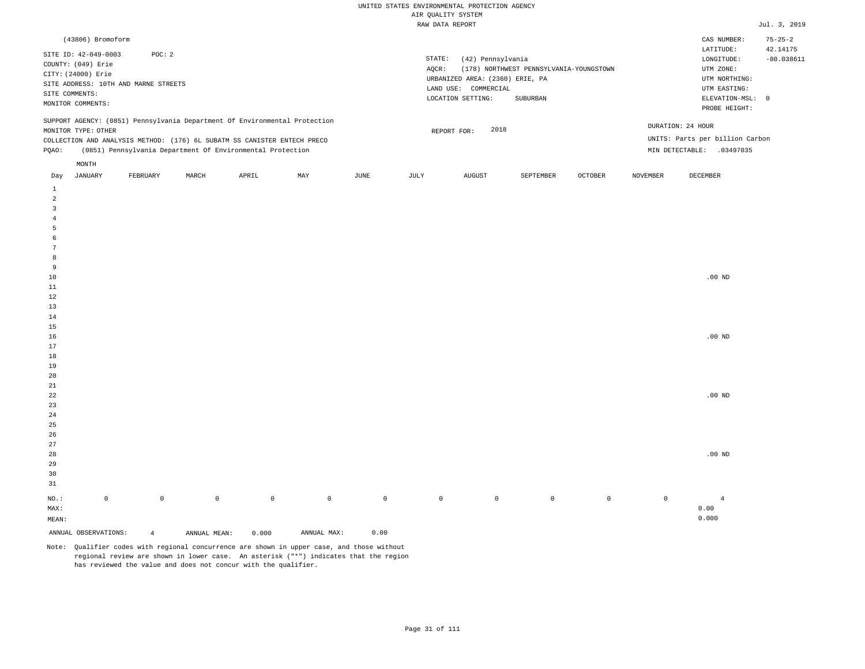| (43806) Bromoform                                                                                                                                                                                                                                             |                                                                                                                                                                             | CAS NUMBER:                                                                                                | $75 - 25 - 2$            |
|---------------------------------------------------------------------------------------------------------------------------------------------------------------------------------------------------------------------------------------------------------------|-----------------------------------------------------------------------------------------------------------------------------------------------------------------------------|------------------------------------------------------------------------------------------------------------|--------------------------|
| SITE ID: 42-049-0003<br>POC: 2<br>COUNTY: (049) Erie<br>CITY: (24000) Erie<br>SITE ADDRESS: 10TH AND MARNE STREETS<br>SITE COMMENTS:<br>MONITOR COMMENTS:                                                                                                     | STATE:<br>(42) Pennsylvania<br>(178) NORTHWEST PENNSYLVANIA-YOUNGSTOWN<br>AOCR:<br>URBANIZED AREA: (2360) ERIE, PA<br>LAND USE: COMMERCIAL<br>LOCATION SETTING:<br>SUBURBAN | LATITUDE:<br>LONGITUDE:<br>UTM ZONE:<br>UTM NORTHING:<br>UTM EASTING:<br>ELEVATION-MSL: 0<br>PROBE HEIGHT: | 42.14175<br>$-80.038611$ |
| SUPPORT AGENCY: (0851) Pennsylvania Department Of Environmental Protection<br>MONITOR TYPE: OTHER<br>COLLECTION AND ANALYSIS METHOD: (176) 6L SUBATM SS CANISTER ENTECH PRECO<br>(0851) Pennsylvania Department Of Environmental Protection<br>POAO:<br>MONTH | 2018<br>REPORT FOR:                                                                                                                                                         | DURATION: 24 HOUR<br>UNITS: Parts per billion Carbon<br>MIN DETECTABLE:<br>.03497035                       |                          |
|                                                                                                                                                                                                                                                               | the contract of the contract of the contract of                                                                                                                             | the contract of the contract of the contract of the contract of the contract of                            |                          |

| Day            | JANUARY              | FEBRUARY       | MARCH        | APRIL       | MAY         | JUNE        | JULY        | AUGUST      | SEPTEMBER   | OCTOBER     | NOVEMBER    | DECEMBER       |
|----------------|----------------------|----------------|--------------|-------------|-------------|-------------|-------------|-------------|-------------|-------------|-------------|----------------|
| $\mathbf{1}$   |                      |                |              |             |             |             |             |             |             |             |             |                |
| $\overline{a}$ |                      |                |              |             |             |             |             |             |             |             |             |                |
| 3              |                      |                |              |             |             |             |             |             |             |             |             |                |
| $\overline{4}$ |                      |                |              |             |             |             |             |             |             |             |             |                |
| 5              |                      |                |              |             |             |             |             |             |             |             |             |                |
| 6              |                      |                |              |             |             |             |             |             |             |             |             |                |
| $\overline{7}$ |                      |                |              |             |             |             |             |             |             |             |             |                |
| 8              |                      |                |              |             |             |             |             |             |             |             |             |                |
| 9              |                      |                |              |             |             |             |             |             |             |             |             |                |
| $10$           |                      |                |              |             |             |             |             |             |             |             |             | .00 $ND$       |
| $11\,$         |                      |                |              |             |             |             |             |             |             |             |             |                |
| 12             |                      |                |              |             |             |             |             |             |             |             |             |                |
| 13             |                      |                |              |             |             |             |             |             |             |             |             |                |
| $14\,$         |                      |                |              |             |             |             |             |             |             |             |             |                |
| $15\,$         |                      |                |              |             |             |             |             |             |             |             |             |                |
| 16             |                      |                |              |             |             |             |             |             |             |             |             | .00 $ND$       |
| 17             |                      |                |              |             |             |             |             |             |             |             |             |                |
| $18\,$         |                      |                |              |             |             |             |             |             |             |             |             |                |
| 19             |                      |                |              |             |             |             |             |             |             |             |             |                |
| $20\,$         |                      |                |              |             |             |             |             |             |             |             |             |                |
| $2\sqrt{1}$    |                      |                |              |             |             |             |             |             |             |             |             |                |
| $^{\rm 22}$    |                      |                |              |             |             |             |             |             |             |             |             | .00 $ND$       |
| $23\,$         |                      |                |              |             |             |             |             |             |             |             |             |                |
| $2\,4$         |                      |                |              |             |             |             |             |             |             |             |             |                |
| $2\sqrt{5}$    |                      |                |              |             |             |             |             |             |             |             |             |                |
| $26\,$         |                      |                |              |             |             |             |             |             |             |             |             |                |
| $27\,$         |                      |                |              |             |             |             |             |             |             |             |             |                |
| $28\,$         |                      |                |              |             |             |             |             |             |             |             |             | .00 $ND$       |
| 29             |                      |                |              |             |             |             |             |             |             |             |             |                |
| 30             |                      |                |              |             |             |             |             |             |             |             |             |                |
| 31             |                      |                |              |             |             |             |             |             |             |             |             |                |
| $_{\rm NO.}$ : | $\mathsf 0$          | $\mathbb O$    | $\mathbb O$  | $\mathbb O$ | $\mathbb O$ | $\mathbb O$ | $\mathbb O$ | $\mathbb O$ | $\mathbb O$ | $\mathbb O$ | $\mathbb O$ | $\overline{4}$ |
| MAX:           |                      |                |              |             |             |             |             |             |             |             |             | 0.00           |
| MEAN:          |                      |                |              |             |             |             |             |             |             |             |             | 0.000          |
|                | ANNUAL OBSERVATIONS: | $\overline{4}$ | ANNUAL MEAN: | 0.000       | ANNUAL MAX: | 0.00        |             |             |             |             |             |                |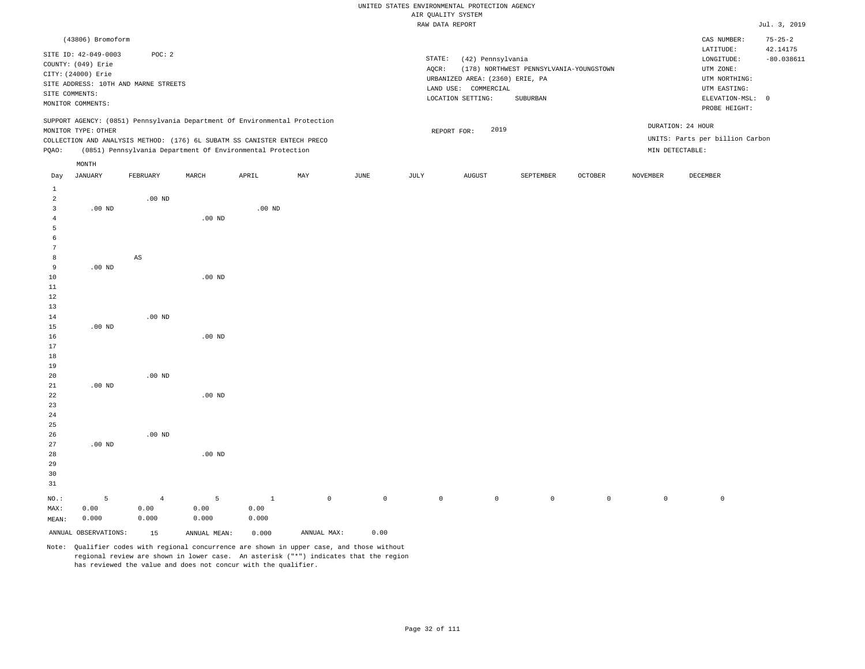|                |                      |                                      |          |                                                                            |     |                 |        | AIR QUALITY SYSTEM              |                                         |         |                 |                                 |                           |
|----------------|----------------------|--------------------------------------|----------|----------------------------------------------------------------------------|-----|-----------------|--------|---------------------------------|-----------------------------------------|---------|-----------------|---------------------------------|---------------------------|
|                |                      |                                      |          |                                                                            |     |                 |        | RAW DATA REPORT                 |                                         |         |                 |                                 | Jul. 3, 2019              |
|                | (43806) Bromoform    |                                      |          |                                                                            |     |                 |        |                                 |                                         |         |                 | CAS NUMBER:<br>LATITUDE:        | $75 - 25 - 2$<br>42.14175 |
|                | SITE ID: 42-049-0003 | POC: 2                               |          |                                                                            |     |                 | STATE: | (42) Pennsylvania               |                                         |         |                 | LONGITUDE:                      | $-80.038611$              |
|                | COUNTY: (049) Erie   |                                      |          |                                                                            |     |                 | AOCR:  |                                 | (178) NORTHWEST PENNSYLVANIA-YOUNGSTOWN |         |                 | UTM ZONE:                       |                           |
|                | CITY: (24000) Erie   |                                      |          |                                                                            |     |                 |        | URBANIZED AREA: (2360) ERIE, PA |                                         |         |                 | UTM NORTHING:                   |                           |
|                |                      | SITE ADDRESS: 10TH AND MARNE STREETS |          |                                                                            |     |                 |        | LAND USE: COMMERCIAL            |                                         |         |                 | UTM EASTING:                    |                           |
|                | SITE COMMENTS:       |                                      |          |                                                                            |     |                 |        | LOCATION SETTING:               | SUBURBAN                                |         |                 | ELEVATION-MSL: 0                |                           |
|                | MONITOR COMMENTS:    |                                      |          |                                                                            |     |                 |        |                                 |                                         |         |                 | PROBE HEIGHT:                   |                           |
|                |                      |                                      |          | SUPPORT AGENCY: (0851) Pennsylvania Department Of Environmental Protection |     |                 |        |                                 |                                         |         |                 |                                 |                           |
|                | MONITOR TYPE: OTHER  |                                      |          |                                                                            |     |                 |        | 2019<br>REPORT FOR:             |                                         |         |                 | DURATION: 24 HOUR               |                           |
|                |                      |                                      |          | COLLECTION AND ANALYSIS METHOD: (176) 6L SUBATM SS CANISTER ENTECH PRECO   |     |                 |        |                                 |                                         |         |                 | UNITS: Parts per billion Carbon |                           |
| PQAO:          |                      |                                      |          | (0851) Pennsylvania Department Of Environmental Protection                 |     |                 |        |                                 |                                         |         |                 | MIN DETECTABLE:                 |                           |
|                | MONTH                |                                      |          |                                                                            |     |                 |        |                                 |                                         |         |                 |                                 |                           |
| Day            | JANUARY              | FEBRUARY                             | MARCH    | APRIL                                                                      | MAY | $\mathtt{JUNE}$ | JULY   | ${\tt AUGUST}$                  | SEPTEMBER                               | OCTOBER | <b>NOVEMBER</b> | DECEMBER                        |                           |
| $\mathbf{1}$   |                      |                                      |          |                                                                            |     |                 |        |                                 |                                         |         |                 |                                 |                           |
| $\overline{a}$ |                      | $.00$ ND                             |          |                                                                            |     |                 |        |                                 |                                         |         |                 |                                 |                           |
| 3              | $.00$ ND             |                                      |          | $.00$ ND                                                                   |     |                 |        |                                 |                                         |         |                 |                                 |                           |
| 4              |                      |                                      | $.00$ ND |                                                                            |     |                 |        |                                 |                                         |         |                 |                                 |                           |
| 5              |                      |                                      |          |                                                                            |     |                 |        |                                 |                                         |         |                 |                                 |                           |
| 6              |                      |                                      |          |                                                                            |     |                 |        |                                 |                                         |         |                 |                                 |                           |
| 7              |                      |                                      |          |                                                                            |     |                 |        |                                 |                                         |         |                 |                                 |                           |
| 8              |                      | AS                                   |          |                                                                            |     |                 |        |                                 |                                         |         |                 |                                 |                           |
| 9              | $.00$ ND             |                                      |          |                                                                            |     |                 |        |                                 |                                         |         |                 |                                 |                           |
| 10             |                      |                                      | $.00$ ND |                                                                            |     |                 |        |                                 |                                         |         |                 |                                 |                           |
| 11             |                      |                                      |          |                                                                            |     |                 |        |                                 |                                         |         |                 |                                 |                           |
| 12             |                      |                                      |          |                                                                            |     |                 |        |                                 |                                         |         |                 |                                 |                           |
| 13             |                      |                                      |          |                                                                            |     |                 |        |                                 |                                         |         |                 |                                 |                           |
| 14             |                      | $.00$ ND                             |          |                                                                            |     |                 |        |                                 |                                         |         |                 |                                 |                           |
| 15             | $.00$ ND             |                                      |          |                                                                            |     |                 |        |                                 |                                         |         |                 |                                 |                           |
| 16             |                      |                                      | $.00$ ND |                                                                            |     |                 |        |                                 |                                         |         |                 |                                 |                           |
| 17             |                      |                                      |          |                                                                            |     |                 |        |                                 |                                         |         |                 |                                 |                           |
| 18             |                      |                                      |          |                                                                            |     |                 |        |                                 |                                         |         |                 |                                 |                           |
| 19             |                      |                                      |          |                                                                            |     |                 |        |                                 |                                         |         |                 |                                 |                           |
| 20             |                      | $.00$ ND                             |          |                                                                            |     |                 |        |                                 |                                         |         |                 |                                 |                           |
| 21             | $.00$ ND             |                                      |          |                                                                            |     |                 |        |                                 |                                         |         |                 |                                 |                           |
| 22             |                      |                                      | $.00$ ND |                                                                            |     |                 |        |                                 |                                         |         |                 |                                 |                           |
| 23             |                      |                                      |          |                                                                            |     |                 |        |                                 |                                         |         |                 |                                 |                           |
| 24             |                      |                                      |          |                                                                            |     |                 |        |                                 |                                         |         |                 |                                 |                           |
| 25             |                      |                                      |          |                                                                            |     |                 |        |                                 |                                         |         |                 |                                 |                           |
| 26             |                      | $.00$ ND                             |          |                                                                            |     |                 |        |                                 |                                         |         |                 |                                 |                           |
| 27<br>28       | $.00$ ND             |                                      | $.00$ ND |                                                                            |     |                 |        |                                 |                                         |         |                 |                                 |                           |
|                |                      |                                      |          |                                                                            |     |                 |        |                                 |                                         |         |                 |                                 |                           |

MEAN: 0.000 0.000 0.000 0.000 ANNUAL OBSERVATIONS: 15 ANNUAL MEAN: 0.000 ANNUAL MAX: 0.00 Note: Qualifier codes with regional concurrence are shown in upper case, and those without regional review are shown in lower case. An asterisk ("\*") indicates that the region

1 0.00

has reviewed the value and does not concur with the qualifier.

5 0.00

4 0.00

29 30 31

NO.: MAX:

5 0.00

0 0 0 0 0 0 0 0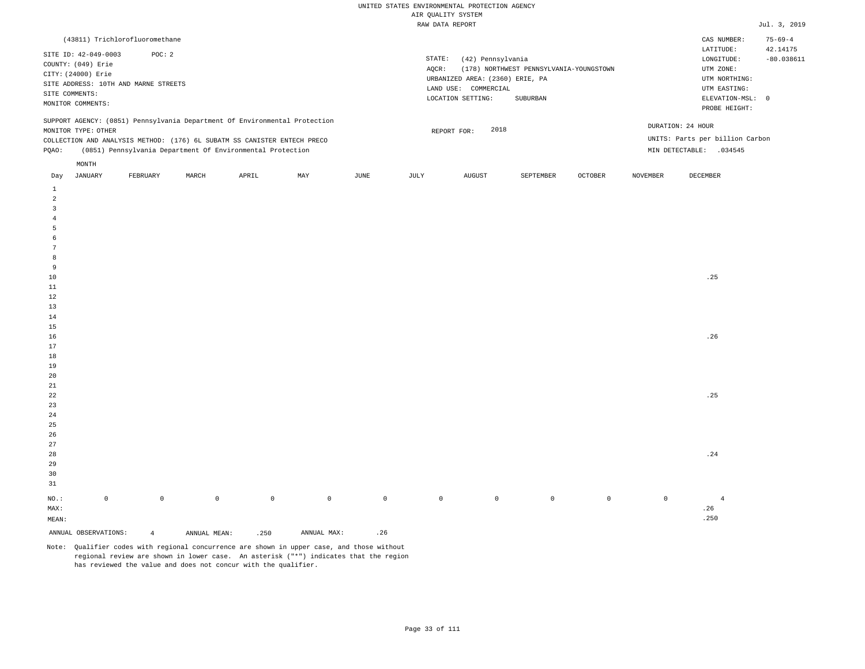| (43811) Trichlorofluoromethane                                                                                                                                                                                                                                |                                                                                                                                                                             | $75 - 69 - 4$<br>CAS NUMBER:                                                                                                           |
|---------------------------------------------------------------------------------------------------------------------------------------------------------------------------------------------------------------------------------------------------------------|-----------------------------------------------------------------------------------------------------------------------------------------------------------------------------|----------------------------------------------------------------------------------------------------------------------------------------|
| SITE ID: 42-049-0003<br>POC: 2<br>COUNTY: (049) Erie<br>CITY: (24000) Erie<br>SITE ADDRESS: 10TH AND MARNE STREETS<br>SITE COMMENTS:<br>MONITOR COMMENTS:                                                                                                     | STATE:<br>(42) Pennsylvania<br>(178) NORTHWEST PENNSYLVANIA-YOUNGSTOWN<br>AOCR:<br>URBANIZED AREA: (2360) ERIE, PA<br>LAND USE: COMMERCIAL<br>LOCATION SETTING:<br>SUBURBAN | 42.14175<br>LATITUDE:<br>$-80.038611$<br>LONGITUDE:<br>UTM ZONE:<br>UTM NORTHING:<br>UTM EASTING:<br>ELEVATION-MSL: 0<br>PROBE HEIGHT: |
| SUPPORT AGENCY: (0851) Pennsylvania Department Of Environmental Protection<br>MONITOR TYPE: OTHER<br>COLLECTION AND ANALYSIS METHOD: (176) 6L SUBATM SS CANISTER ENTECH PRECO<br>(0851) Pennsylvania Department Of Environmental Protection<br>POAO:<br>MONTH | 2018<br>REPORT FOR:                                                                                                                                                         | DURATION: 24 HOUR<br>UNITS: Parts per billion Carbon<br>MIN DETECTABLE:<br>.034545                                                     |
|                                                                                                                                                                                                                                                               |                                                                                                                                                                             |                                                                                                                                        |

| Day                     | JANUARY              | FEBRUARY       | MARCH        | APRIL   | MAY         | JUNE                | JULY        | AUGUST  | SEPTEMBER   | OCTOBER     | NOVEMBER    | DECEMBER                     |
|-------------------------|----------------------|----------------|--------------|---------|-------------|---------------------|-------------|---------|-------------|-------------|-------------|------------------------------|
| $\mathbf{1}$            |                      |                |              |         |             |                     |             |         |             |             |             |                              |
| $\overline{a}$          |                      |                |              |         |             |                     |             |         |             |             |             |                              |
| $\overline{\mathbf{3}}$ |                      |                |              |         |             |                     |             |         |             |             |             |                              |
| $\overline{4}$          |                      |                |              |         |             |                     |             |         |             |             |             |                              |
| 5                       |                      |                |              |         |             |                     |             |         |             |             |             |                              |
| 6                       |                      |                |              |         |             |                     |             |         |             |             |             |                              |
| $7\phantom{.0}$         |                      |                |              |         |             |                     |             |         |             |             |             |                              |
| 8                       |                      |                |              |         |             |                     |             |         |             |             |             |                              |
| 9                       |                      |                |              |         |             |                     |             |         |             |             |             |                              |
| $10$                    |                      |                |              |         |             |                     |             |         |             |             |             | .25                          |
| $11\,$                  |                      |                |              |         |             |                     |             |         |             |             |             |                              |
| 12                      |                      |                |              |         |             |                     |             |         |             |             |             |                              |
| 13                      |                      |                |              |         |             |                     |             |         |             |             |             |                              |
| 14                      |                      |                |              |         |             |                     |             |         |             |             |             |                              |
| $15\,$                  |                      |                |              |         |             |                     |             |         |             |             |             |                              |
| $16\,$                  |                      |                |              |         |             |                     |             |         |             |             |             | .26                          |
| 17                      |                      |                |              |         |             |                     |             |         |             |             |             |                              |
| $18\,$                  |                      |                |              |         |             |                     |             |         |             |             |             |                              |
| 19                      |                      |                |              |         |             |                     |             |         |             |             |             |                              |
| $20\,$                  |                      |                |              |         |             |                     |             |         |             |             |             |                              |
| $2\sqrt{1}$             |                      |                |              |         |             |                     |             |         |             |             |             |                              |
| $2\sqrt{2}$             |                      |                |              |         |             |                     |             |         |             |             |             | .25                          |
| $2\sqrt{3}$             |                      |                |              |         |             |                     |             |         |             |             |             |                              |
| $2\,4$                  |                      |                |              |         |             |                     |             |         |             |             |             |                              |
| $2\sqrt{5}$             |                      |                |              |         |             |                     |             |         |             |             |             |                              |
| $26\,$<br>$_{\rm 27}$   |                      |                |              |         |             |                     |             |         |             |             |             |                              |
| $28\,$                  |                      |                |              |         |             |                     |             |         |             |             |             | $\boldsymbol{\mathcal{.}}24$ |
| 29                      |                      |                |              |         |             |                     |             |         |             |             |             |                              |
| 30                      |                      |                |              |         |             |                     |             |         |             |             |             |                              |
| 31                      |                      |                |              |         |             |                     |             |         |             |             |             |                              |
|                         |                      |                |              |         |             |                     |             |         |             |             |             |                              |
| $_{\rm NO.}$ :          | $\mathbb O$          | $\mathbb O$    | $\mathbb O$  | $\circ$ | $\circ$     | $\mathsf{O}\xspace$ | $\mathbb O$ | $\circ$ | $\mathbb O$ | $\mathbb O$ | $\mathbb O$ | $\overline{4}$               |
| MAX:                    |                      |                |              |         |             |                     |             |         |             |             |             | .26                          |
| $\texttt{MEAN}:$        |                      |                |              |         |             |                     |             |         |             |             |             | .250                         |
|                         | ANNUAL OBSERVATIONS: | $\overline{4}$ | ANNUAL MEAN: | .250    | ANNUAL MAX: | .26                 |             |         |             |             |             |                              |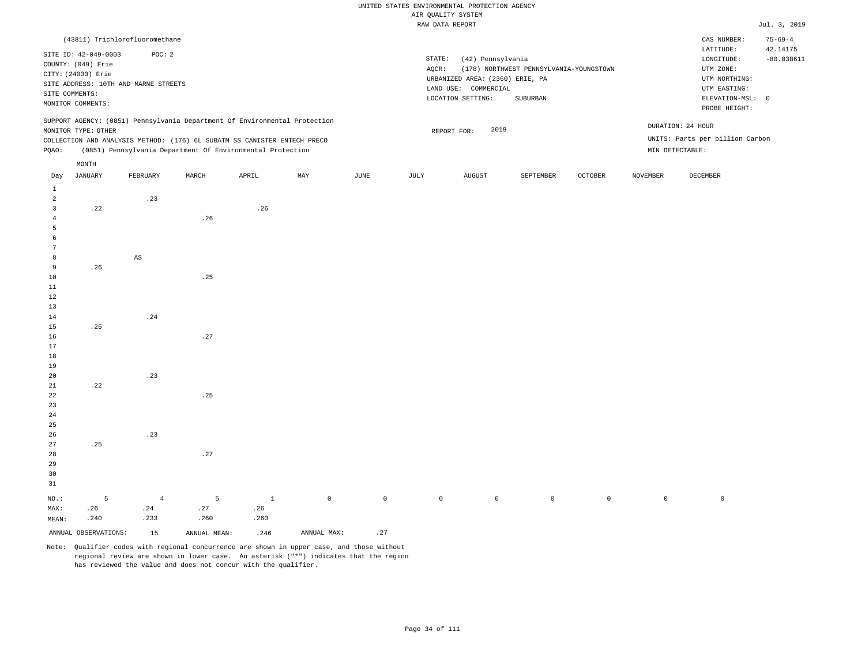|                         |                      |                                      |          |                                                                            |             |              |       | RAW DATA REPORT                    |                                         |                     |                 |                                 | Jul. 3, 2019  |
|-------------------------|----------------------|--------------------------------------|----------|----------------------------------------------------------------------------|-------------|--------------|-------|------------------------------------|-----------------------------------------|---------------------|-----------------|---------------------------------|---------------|
|                         |                      | (43811) Trichlorofluoromethane       |          |                                                                            |             |              |       |                                    |                                         |                     |                 | CAS NUMBER:                     | $75 - 69 - 4$ |
|                         |                      |                                      |          |                                                                            |             |              |       |                                    |                                         |                     |                 | LATITUDE:                       | 42.14175      |
|                         | SITE ID: 42-049-0003 | POC: 2                               |          |                                                                            |             |              |       | STATE:<br>(42) Pennsylvania        |                                         |                     |                 | ${\tt LONGITUDE:}$              | $-80.038611$  |
|                         | COUNTY: (049) Erie   |                                      |          |                                                                            |             |              | AQCR: |                                    | (178) NORTHWEST PENNSYLVANIA-YOUNGSTOWN |                     |                 | UTM ZONE:                       |               |
|                         | CITY: (24000) Erie   |                                      |          |                                                                            |             |              |       | URBANIZED AREA: (2360) ERIE, PA    |                                         |                     |                 | UTM NORTHING:                   |               |
|                         |                      | SITE ADDRESS: 10TH AND MARNE STREETS |          |                                                                            |             |              |       | LAND USE: COMMERCIAL               |                                         |                     |                 | UTM EASTING:                    |               |
|                         | SITE COMMENTS:       |                                      |          |                                                                            |             |              |       | LOCATION SETTING:                  | SUBURBAN                                |                     |                 | ELEVATION-MSL: 0                |               |
|                         | MONITOR COMMENTS:    |                                      |          |                                                                            |             |              |       |                                    |                                         |                     |                 | PROBE HEIGHT:                   |               |
|                         |                      |                                      |          | SUPPORT AGENCY: (0851) Pennsylvania Department Of Environmental Protection |             |              |       |                                    |                                         |                     |                 | DURATION: 24 HOUR               |               |
|                         | MONITOR TYPE: OTHER  |                                      |          |                                                                            |             |              |       | 2019<br>REPORT FOR:                |                                         |                     |                 |                                 |               |
|                         |                      |                                      |          | COLLECTION AND ANALYSIS METHOD: (176) 6L SUBATM SS CANISTER ENTECH PRECO   |             |              |       |                                    |                                         |                     |                 | UNITS: Parts per billion Carbon |               |
| PQAO:                   |                      |                                      |          | (0851) Pennsylvania Department Of Environmental Protection                 |             |              |       |                                    |                                         |                     |                 | MIN DETECTABLE:                 |               |
|                         | $\texttt{MONTH}$     |                                      |          |                                                                            |             |              |       |                                    |                                         |                     |                 |                                 |               |
| Day                     | <b>JANUARY</b>       | FEBRUARY                             | MARCH    | APRIL                                                                      | MAY         | <b>JUNE</b>  | JULY  | <b>AUGUST</b>                      | SEPTEMBER                               | <b>OCTOBER</b>      | <b>NOVEMBER</b> | DECEMBER                        |               |
| $\mathbf{1}$            |                      |                                      |          |                                                                            |             |              |       |                                    |                                         |                     |                 |                                 |               |
| $\overline{2}$          |                      | .23                                  |          |                                                                            |             |              |       |                                    |                                         |                     |                 |                                 |               |
| $\overline{\mathbf{3}}$ | .22                  |                                      |          | .26                                                                        |             |              |       |                                    |                                         |                     |                 |                                 |               |
| $\overline{4}$          |                      |                                      | .26      |                                                                            |             |              |       |                                    |                                         |                     |                 |                                 |               |
| 5                       |                      |                                      |          |                                                                            |             |              |       |                                    |                                         |                     |                 |                                 |               |
| 6                       |                      |                                      |          |                                                                            |             |              |       |                                    |                                         |                     |                 |                                 |               |
| $\overline{7}$          |                      |                                      |          |                                                                            |             |              |       |                                    |                                         |                     |                 |                                 |               |
| 8                       |                      | AS                                   |          |                                                                            |             |              |       |                                    |                                         |                     |                 |                                 |               |
| 9                       | .26                  |                                      |          |                                                                            |             |              |       |                                    |                                         |                     |                 |                                 |               |
| 10                      |                      |                                      | .25      |                                                                            |             |              |       |                                    |                                         |                     |                 |                                 |               |
| 11                      |                      |                                      |          |                                                                            |             |              |       |                                    |                                         |                     |                 |                                 |               |
| 12                      |                      |                                      |          |                                                                            |             |              |       |                                    |                                         |                     |                 |                                 |               |
| 13                      |                      |                                      |          |                                                                            |             |              |       |                                    |                                         |                     |                 |                                 |               |
| 14                      |                      | .24                                  |          |                                                                            |             |              |       |                                    |                                         |                     |                 |                                 |               |
| 15                      | .25                  |                                      |          |                                                                            |             |              |       |                                    |                                         |                     |                 |                                 |               |
| 16                      |                      |                                      | .27      |                                                                            |             |              |       |                                    |                                         |                     |                 |                                 |               |
| 17                      |                      |                                      |          |                                                                            |             |              |       |                                    |                                         |                     |                 |                                 |               |
| 18                      |                      |                                      |          |                                                                            |             |              |       |                                    |                                         |                     |                 |                                 |               |
| 19                      |                      |                                      |          |                                                                            |             |              |       |                                    |                                         |                     |                 |                                 |               |
| 20                      |                      | .23                                  |          |                                                                            |             |              |       |                                    |                                         |                     |                 |                                 |               |
| 21                      | .22                  |                                      |          |                                                                            |             |              |       |                                    |                                         |                     |                 |                                 |               |
| 22                      |                      |                                      | .25      |                                                                            |             |              |       |                                    |                                         |                     |                 |                                 |               |
| 23                      |                      |                                      |          |                                                                            |             |              |       |                                    |                                         |                     |                 |                                 |               |
| 24                      |                      |                                      |          |                                                                            |             |              |       |                                    |                                         |                     |                 |                                 |               |
| 25                      |                      |                                      |          |                                                                            |             |              |       |                                    |                                         |                     |                 |                                 |               |
| 26                      |                      | .23                                  |          |                                                                            |             |              |       |                                    |                                         |                     |                 |                                 |               |
| 27                      | .25                  |                                      |          |                                                                            |             |              |       |                                    |                                         |                     |                 |                                 |               |
| 28                      |                      |                                      | .27      |                                                                            |             |              |       |                                    |                                         |                     |                 |                                 |               |
| 29                      |                      |                                      |          |                                                                            |             |              |       |                                    |                                         |                     |                 |                                 |               |
| 30                      |                      |                                      |          |                                                                            |             |              |       |                                    |                                         |                     |                 |                                 |               |
| 31                      |                      |                                      |          |                                                                            |             |              |       |                                    |                                         |                     |                 |                                 |               |
|                         | 5                    |                                      |          | $\mathbf{1}$                                                               |             | $\mathsf{O}$ |       |                                    |                                         |                     |                 |                                 |               |
| $NO.$ :<br>MAX:         | .26                  | $\overline{4}$<br>.24                | 5<br>.27 | .26                                                                        | $\mathbb O$ |              |       | $\mathbb O$<br>$\mathsf{O}\xspace$ | $\mathsf{O}\xspace$                     | $\mathsf{O}\xspace$ | $\mathbb O$     | $\,0\,$                         |               |
| MEAN:                   | .240                 | .233                                 | .260     | .260                                                                       |             |              |       |                                    |                                         |                     |                 |                                 |               |
|                         |                      |                                      |          |                                                                            |             |              |       |                                    |                                         |                     |                 |                                 |               |

Note: Qualifier codes with regional concurrence are shown in upper case, and those without regional review are shown in lower case. An asterisk ("\*") indicates that the region has reviewed the value and does not concur with the qualifier.

ANNUAL OBSERVATIONS:  $15$  ANNUAL MEAN: .246 ANNUAL MAX: .27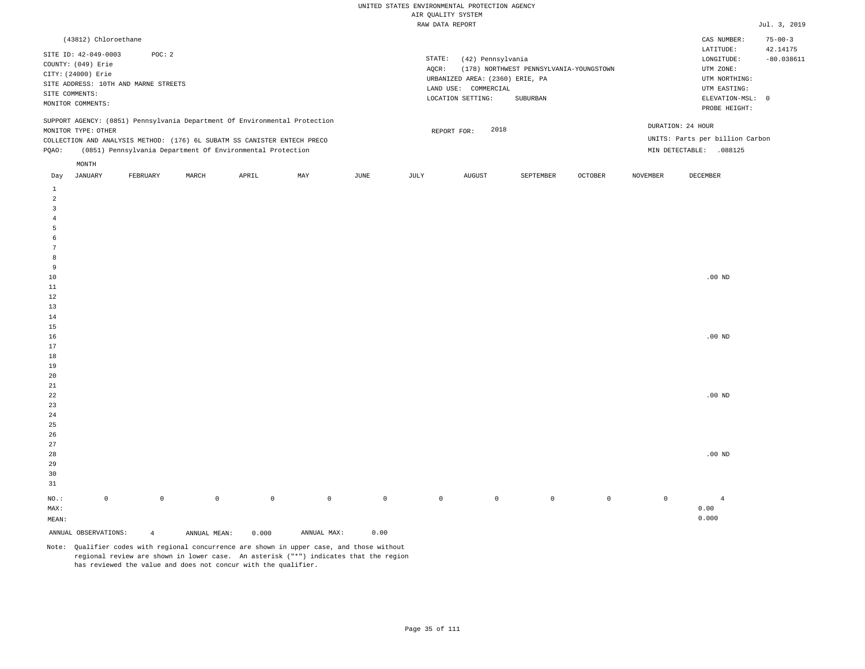| (43812) Chloroethane                                                                                                                                                                                                                                 |          |       |       |     |      |                 |                                                                                                      |                                                     |                |                                                                                    | CAS NUMBER:                                                                                                | $75 - 00 - 3$            |
|------------------------------------------------------------------------------------------------------------------------------------------------------------------------------------------------------------------------------------------------------|----------|-------|-------|-----|------|-----------------|------------------------------------------------------------------------------------------------------|-----------------------------------------------------|----------------|------------------------------------------------------------------------------------|------------------------------------------------------------------------------------------------------------|--------------------------|
| SITE ID: 42-049-0003<br>COUNTY: (049) Erie<br>CITY: (24000) Erie<br>SITE ADDRESS: 10TH AND MARNE STREETS<br>SITE COMMENTS:<br>MONITOR COMMENTS:                                                                                                      | POC: 2   |       |       |     |      | STATE:<br>AOCR: | (42) Pennsylvania<br>URBANIZED AREA: (2360) ERIE, PA<br>LAND USE:<br>COMMERCIAL<br>LOCATION SETTING: | (178) NORTHWEST PENNSYLVANIA-YOUNGSTOWN<br>SUBURBAN |                |                                                                                    | LATITUDE:<br>LONGITUDE:<br>UTM ZONE:<br>UTM NORTHING:<br>UTM EASTING:<br>ELEVATION-MSL: 0<br>PROBE HEIGHT: | 42.14175<br>$-80.038611$ |
| SUPPORT AGENCY: (0851) Pennsylvania Department Of Environmental Protection<br>MONITOR TYPE: OTHER<br>COLLECTION AND ANALYSIS METHOD: (176) 6L SUBATM SS CANISTER ENTECH PRECO<br>(0851) Pennsylvania Department Of Environmental Protection<br>POAO: |          |       |       |     |      |                 | 2018<br>REPORT FOR:                                                                                  |                                                     |                | DURATION: 24 HOUR<br>UNITS: Parts per billion Carbon<br>MIN DETECTABLE:<br>.088125 |                                                                                                            |                          |
| MONTH<br>JANUARY<br>Day                                                                                                                                                                                                                              | FEBRUARY | MARCH | APRIL | MAY | JUNE | JULY            | AUGUST                                                                                               | SEPTEMBER                                           | <b>OCTOBER</b> | <b>NOVEMBER</b>                                                                    | DECEMBER                                                                                                   |                          |

| ANNUAL OBSERVATIONS: |                     | $\overline{4}$ | ANNUAL MEAN: | 0.000          | ANNUAL MAX: | 0.00         |             |                |                |         |         |            |
|----------------------|---------------------|----------------|--------------|----------------|-------------|--------------|-------------|----------------|----------------|---------|---------|------------|
| MEAN:                |                     |                |              |                |             |              |             |                |                |         |         | 0.000      |
| $\texttt{MAX}$ :     |                     |                |              |                |             |              |             |                |                |         |         | 0.00       |
| $_{\rm NO.}$ :       | $\mathsf{O}\xspace$ | $\mathbb O$    | $\mathbb O$  | $\overline{0}$ | $\mathbb O$ | $\mathsf{O}$ | $\mathbb O$ | $\overline{0}$ | $\overline{0}$ | $\circ$ | $\circ$ | $\sqrt{4}$ |
|                      |                     |                |              |                |             |              |             |                |                |         |         |            |
| 31                   |                     |                |              |                |             |              |             |                |                |         |         |            |
| 30                   |                     |                |              |                |             |              |             |                |                |         |         |            |
| 29                   |                     |                |              |                |             |              |             |                |                |         |         |            |
| 28                   |                     |                |              |                |             |              |             |                |                |         |         | $.00$ ND   |
| 27                   |                     |                |              |                |             |              |             |                |                |         |         |            |
| $26\,$               |                     |                |              |                |             |              |             |                |                |         |         |            |
| $25\,$               |                     |                |              |                |             |              |             |                |                |         |         |            |
| $\sqrt{24}$          |                     |                |              |                |             |              |             |                |                |         |         |            |
| $23$                 |                     |                |              |                |             |              |             |                |                |         |         |            |
| $^{\rm 22}$          |                     |                |              |                |             |              |             |                |                |         |         | $.00$ ND   |
| 21                   |                     |                |              |                |             |              |             |                |                |         |         |            |
| $20\,$               |                     |                |              |                |             |              |             |                |                |         |         |            |
| $19$                 |                     |                |              |                |             |              |             |                |                |         |         |            |
| $18\,$               |                     |                |              |                |             |              |             |                |                |         |         |            |
| $17\,$               |                     |                |              |                |             |              |             |                |                |         |         |            |
| $16\,$               |                     |                |              |                |             |              |             |                |                |         |         | $.00$ ND   |
| $15\,$               |                     |                |              |                |             |              |             |                |                |         |         |            |
| 14                   |                     |                |              |                |             |              |             |                |                |         |         |            |
| $1\,2$<br>13         |                     |                |              |                |             |              |             |                |                |         |         |            |
| $11\,$               |                     |                |              |                |             |              |             |                |                |         |         |            |
| $10$                 |                     |                |              |                |             |              |             |                |                |         |         | $.00$ ND   |
| 9                    |                     |                |              |                |             |              |             |                |                |         |         |            |
| 8                    |                     |                |              |                |             |              |             |                |                |         |         |            |
| $7\phantom{.0}$      |                     |                |              |                |             |              |             |                |                |         |         |            |
| 6                    |                     |                |              |                |             |              |             |                |                |         |         |            |
| 5                    |                     |                |              |                |             |              |             |                |                |         |         |            |
| $\overline{4}$       |                     |                |              |                |             |              |             |                |                |         |         |            |
| $\overline{3}$       |                     |                |              |                |             |              |             |                |                |         |         |            |
| $\overline{c}$       |                     |                |              |                |             |              |             |                |                |         |         |            |
| 1                    |                     |                |              |                |             |              |             |                |                |         |         |            |
|                      |                     |                |              |                |             |              |             |                |                |         |         |            |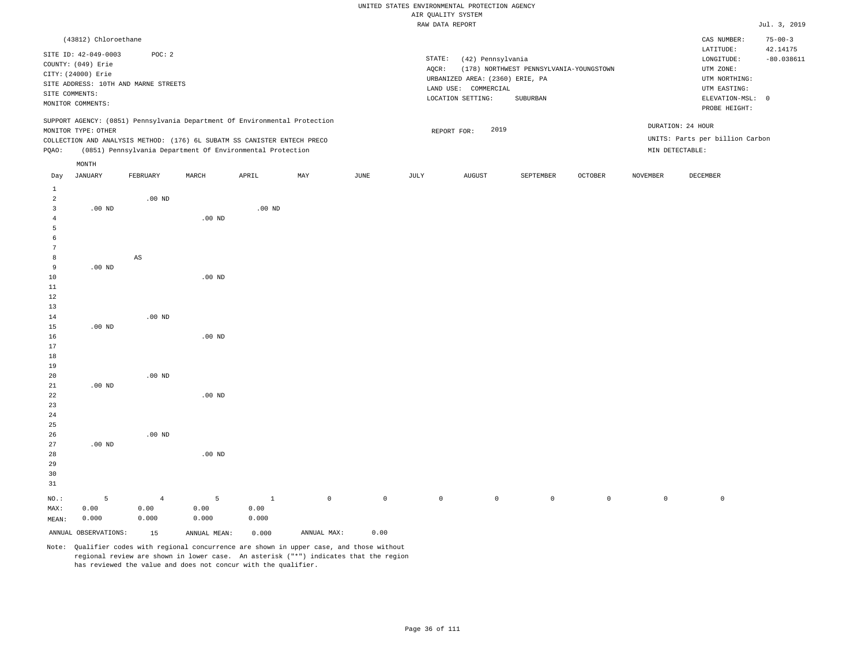# UNITED STATES ENVIRONMENTAL PROTECTION AGENCY ATE OUNT TTY SYSTEM

|                 |                      |                                      |                                                                            |                   |     |      |        | AIR QUALITY SYSTEM              |                                         |                |                 |                                 |                           |
|-----------------|----------------------|--------------------------------------|----------------------------------------------------------------------------|-------------------|-----|------|--------|---------------------------------|-----------------------------------------|----------------|-----------------|---------------------------------|---------------------------|
|                 |                      |                                      |                                                                            |                   |     |      |        | RAW DATA REPORT                 |                                         |                |                 |                                 | Jul. 3, 2019              |
|                 | (43812) Chloroethane |                                      |                                                                            |                   |     |      |        |                                 |                                         |                |                 | CAS NUMBER:<br>LATITUDE:        | $75 - 00 - 3$<br>42.14175 |
|                 | SITE ID: 42-049-0003 | POC: 2                               |                                                                            |                   |     |      | STATE: | (42) Pennsylvania               |                                         |                |                 | LONGITUDE:                      | $-80.038611$              |
|                 | COUNTY: (049) Erie   |                                      |                                                                            |                   |     |      | AQCR:  |                                 | (178) NORTHWEST PENNSYLVANIA-YOUNGSTOWN |                |                 | UTM ZONE:                       |                           |
|                 | CITY: (24000) Erie   |                                      |                                                                            |                   |     |      |        | URBANIZED AREA: (2360) ERIE, PA |                                         |                |                 | UTM NORTHING:                   |                           |
|                 |                      | SITE ADDRESS: 10TH AND MARNE STREETS |                                                                            |                   |     |      |        | LAND USE: COMMERCIAL            |                                         |                |                 | UTM EASTING:                    |                           |
|                 | SITE COMMENTS:       |                                      |                                                                            |                   |     |      |        | LOCATION SETTING:               | SUBURBAN                                |                |                 | ELEVATION-MSL: 0                |                           |
|                 | MONITOR COMMENTS:    |                                      |                                                                            |                   |     |      |        |                                 |                                         |                |                 | PROBE HEIGHT:                   |                           |
|                 |                      |                                      | SUPPORT AGENCY: (0851) Pennsylvania Department Of Environmental Protection |                   |     |      |        |                                 |                                         |                |                 | DURATION: 24 HOUR               |                           |
|                 | MONITOR TYPE: OTHER  |                                      |                                                                            |                   |     |      |        | 2019<br>REPORT FOR:             |                                         |                |                 |                                 |                           |
|                 |                      |                                      | COLLECTION AND ANALYSIS METHOD: (176) 6L SUBATM SS CANISTER ENTECH PRECO   |                   |     |      |        |                                 |                                         |                |                 | UNITS: Parts per billion Carbon |                           |
| PQAO:           |                      |                                      | (0851) Pennsylvania Department Of Environmental Protection                 |                   |     |      |        |                                 |                                         |                |                 | MIN DETECTABLE:                 |                           |
|                 | $\texttt{MONTH}$     |                                      |                                                                            |                   |     |      |        |                                 |                                         |                |                 |                                 |                           |
| Day             | JANUARY              | FEBRUARY                             | MARCH                                                                      | APRIL             | MAY | JUNE | JULY   | AUGUST                          | SEPTEMBER                               | <b>OCTOBER</b> | <b>NOVEMBER</b> | DECEMBER                        |                           |
| $\mathbf{1}$    |                      |                                      |                                                                            |                   |     |      |        |                                 |                                         |                |                 |                                 |                           |
| $\overline{a}$  |                      | $.00$ ND                             |                                                                            |                   |     |      |        |                                 |                                         |                |                 |                                 |                           |
| 3               | $.00$ ND             |                                      |                                                                            | .00 <sub>ND</sub> |     |      |        |                                 |                                         |                |                 |                                 |                           |
| $\overline{4}$  |                      |                                      | $.00$ ND                                                                   |                   |     |      |        |                                 |                                         |                |                 |                                 |                           |
| 5               |                      |                                      |                                                                            |                   |     |      |        |                                 |                                         |                |                 |                                 |                           |
| 6               |                      |                                      |                                                                            |                   |     |      |        |                                 |                                         |                |                 |                                 |                           |
| $7\phantom{.0}$ |                      |                                      |                                                                            |                   |     |      |        |                                 |                                         |                |                 |                                 |                           |
| 8               |                      | $_{\rm AS}$                          |                                                                            |                   |     |      |        |                                 |                                         |                |                 |                                 |                           |
| 9               | $.00$ ND             |                                      |                                                                            |                   |     |      |        |                                 |                                         |                |                 |                                 |                           |
| 10              |                      |                                      | $.00$ ND                                                                   |                   |     |      |        |                                 |                                         |                |                 |                                 |                           |
| $11\,$          |                      |                                      |                                                                            |                   |     |      |        |                                 |                                         |                |                 |                                 |                           |
| 12              |                      |                                      |                                                                            |                   |     |      |        |                                 |                                         |                |                 |                                 |                           |
| 13              |                      |                                      |                                                                            |                   |     |      |        |                                 |                                         |                |                 |                                 |                           |
| 14              |                      | $.00$ ND                             |                                                                            |                   |     |      |        |                                 |                                         |                |                 |                                 |                           |
| 15              | $.00$ ND             |                                      |                                                                            |                   |     |      |        |                                 |                                         |                |                 |                                 |                           |
| 16              |                      |                                      | $.00$ ND                                                                   |                   |     |      |        |                                 |                                         |                |                 |                                 |                           |
| 17              |                      |                                      |                                                                            |                   |     |      |        |                                 |                                         |                |                 |                                 |                           |
| 18              |                      |                                      |                                                                            |                   |     |      |        |                                 |                                         |                |                 |                                 |                           |
| 19              |                      |                                      |                                                                            |                   |     |      |        |                                 |                                         |                |                 |                                 |                           |
| 20              |                      | $.00$ ND                             |                                                                            |                   |     |      |        |                                 |                                         |                |                 |                                 |                           |
| 21              | $.00$ ND             |                                      |                                                                            |                   |     |      |        |                                 |                                         |                |                 |                                 |                           |
| 22              |                      |                                      | $.00$ ND                                                                   |                   |     |      |        |                                 |                                         |                |                 |                                 |                           |
| 23              |                      |                                      |                                                                            |                   |     |      |        |                                 |                                         |                |                 |                                 |                           |
| 24              |                      |                                      |                                                                            |                   |     |      |        |                                 |                                         |                |                 |                                 |                           |
| 25              |                      |                                      |                                                                            |                   |     |      |        |                                 |                                         |                |                 |                                 |                           |
| 26              |                      | $.00$ ND                             |                                                                            |                   |     |      |        |                                 |                                         |                |                 |                                 |                           |
| 27              | $.00$ ND             |                                      |                                                                            |                   |     |      |        |                                 |                                         |                |                 |                                 |                           |
| 28              |                      |                                      | $.00$ ND                                                                   |                   |     |      |        |                                 |                                         |                |                 |                                 |                           |
| 29              |                      |                                      |                                                                            |                   |     |      |        |                                 |                                         |                |                 |                                 |                           |

NO.: MAX: MEAN: 5 0.00 0.000 4 0.00 0.000 5 0.00 0.000 1 0.00 0.000 0 0 0 0 0 0 0 0

ANNUAL OBSERVATIONS: 15 ANNUAL MEAN: 0.000 ANNUAL MAX: 0.00

30 31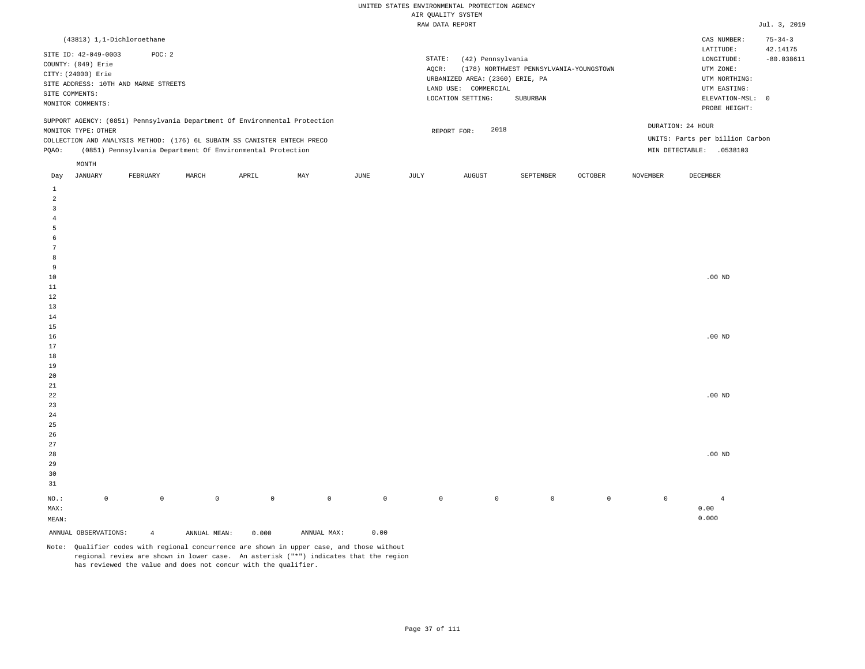| (43813) 1,1-Dichloroethane                                                                                                                                                                                                                                    |                                                                                                                                                                             | CAS NUMBER:                                                                                                | $75 - 34 - 3$            |
|---------------------------------------------------------------------------------------------------------------------------------------------------------------------------------------------------------------------------------------------------------------|-----------------------------------------------------------------------------------------------------------------------------------------------------------------------------|------------------------------------------------------------------------------------------------------------|--------------------------|
| SITE ID: 42-049-0003<br>POC: 2<br>COUNTY: (049) Erie<br>CITY: (24000) Erie<br>SITE ADDRESS: 10TH AND MARNE STREETS<br>SITE COMMENTS:<br>MONITOR COMMENTS:                                                                                                     | STATE:<br>(42) Pennsylvania<br>(178) NORTHWEST PENNSYLVANIA-YOUNGSTOWN<br>AOCR:<br>URBANIZED AREA: (2360) ERIE, PA<br>LAND USE: COMMERCIAL<br>LOCATION SETTING:<br>SUBURBAN | LATITUDE:<br>LONGITUDE:<br>UTM ZONE:<br>UTM NORTHING:<br>UTM EASTING:<br>ELEVATION-MSL: 0<br>PROBE HEIGHT: | 42.14175<br>$-80.038611$ |
| SUPPORT AGENCY: (0851) Pennsylvania Department Of Environmental Protection<br>MONITOR TYPE: OTHER<br>COLLECTION AND ANALYSIS METHOD: (176) 6L SUBATM SS CANISTER ENTECH PRECO<br>(0851) Pennsylvania Department Of Environmental Protection<br>POAO:<br>MONTH | 2018<br>REPORT FOR:                                                                                                                                                         | DURATION: 24 HOUR<br>UNITS: Parts per billion Carbon<br>MIN DETECTABLE:<br>.0538103                        |                          |
|                                                                                                                                                                                                                                                               | the contract of the contract of the contract of                                                                                                                             | the contract of the contract of the contract of the contract of the contract of                            |                          |

| Day            | JANUARY              | FEBRUARY       | MARCH        | APRIL       | MAY         | JUNE        | JULY        | AUGUST      | SEPTEMBER   | OCTOBER     | NOVEMBER    | DECEMBER       |
|----------------|----------------------|----------------|--------------|-------------|-------------|-------------|-------------|-------------|-------------|-------------|-------------|----------------|
| $\mathbf{1}$   |                      |                |              |             |             |             |             |             |             |             |             |                |
| $\overline{a}$ |                      |                |              |             |             |             |             |             |             |             |             |                |
| 3              |                      |                |              |             |             |             |             |             |             |             |             |                |
| $\overline{4}$ |                      |                |              |             |             |             |             |             |             |             |             |                |
| 5              |                      |                |              |             |             |             |             |             |             |             |             |                |
| 6              |                      |                |              |             |             |             |             |             |             |             |             |                |
| $\overline{7}$ |                      |                |              |             |             |             |             |             |             |             |             |                |
| 8              |                      |                |              |             |             |             |             |             |             |             |             |                |
| 9              |                      |                |              |             |             |             |             |             |             |             |             |                |
| $10$           |                      |                |              |             |             |             |             |             |             |             |             | .00 $ND$       |
| $11\,$         |                      |                |              |             |             |             |             |             |             |             |             |                |
| 12             |                      |                |              |             |             |             |             |             |             |             |             |                |
| 13             |                      |                |              |             |             |             |             |             |             |             |             |                |
| $14\,$         |                      |                |              |             |             |             |             |             |             |             |             |                |
| $15\,$         |                      |                |              |             |             |             |             |             |             |             |             |                |
| 16             |                      |                |              |             |             |             |             |             |             |             |             | .00 $ND$       |
| 17             |                      |                |              |             |             |             |             |             |             |             |             |                |
| $18\,$         |                      |                |              |             |             |             |             |             |             |             |             |                |
| 19             |                      |                |              |             |             |             |             |             |             |             |             |                |
| $20\,$         |                      |                |              |             |             |             |             |             |             |             |             |                |
| $2\sqrt{1}$    |                      |                |              |             |             |             |             |             |             |             |             |                |
| $^{\rm 22}$    |                      |                |              |             |             |             |             |             |             |             |             | .00 $ND$       |
| $23\,$         |                      |                |              |             |             |             |             |             |             |             |             |                |
| $2\,4$         |                      |                |              |             |             |             |             |             |             |             |             |                |
| $2\sqrt{5}$    |                      |                |              |             |             |             |             |             |             |             |             |                |
| $26\,$         |                      |                |              |             |             |             |             |             |             |             |             |                |
| $27\,$         |                      |                |              |             |             |             |             |             |             |             |             |                |
| $28\,$         |                      |                |              |             |             |             |             |             |             |             |             | .00 $ND$       |
| 29             |                      |                |              |             |             |             |             |             |             |             |             |                |
| 30             |                      |                |              |             |             |             |             |             |             |             |             |                |
| 31             |                      |                |              |             |             |             |             |             |             |             |             |                |
| $_{\rm NO.}$ : | $\mathsf 0$          | $\mathbb O$    | $\mathbb O$  | $\mathbb O$ | $\mathbb O$ | $\mathbb O$ | $\mathbb O$ | $\mathbb O$ | $\mathbb O$ | $\mathbb O$ | $\mathbb O$ | $\overline{4}$ |
| MAX:           |                      |                |              |             |             |             |             |             |             |             |             | 0.00           |
| MEAN:          |                      |                |              |             |             |             |             |             |             |             |             | 0.000          |
|                | ANNUAL OBSERVATIONS: | $\overline{4}$ | ANNUAL MEAN: | 0.000       | ANNUAL MAX: | 0.00        |             |             |             |             |             |                |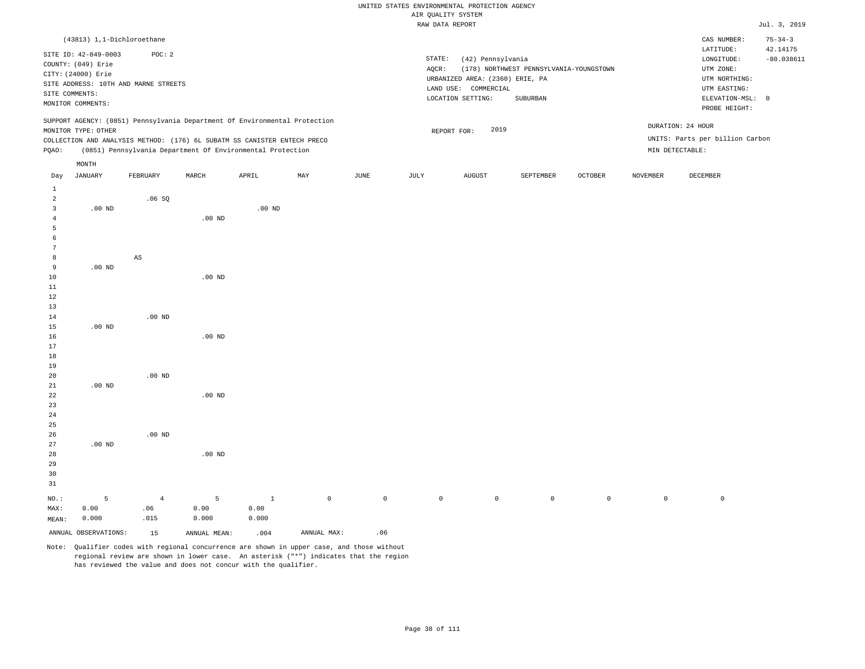# UNITED STATES ENVIRONMENTAL PROTECTION AGENCY ATE OUNT TTY SYSTEM

|                |                            |                                      |          |                                                                            |     |      |        | AIR QUALITY SYSTEM              |                                         |                |                 |                                 |                           |
|----------------|----------------------------|--------------------------------------|----------|----------------------------------------------------------------------------|-----|------|--------|---------------------------------|-----------------------------------------|----------------|-----------------|---------------------------------|---------------------------|
|                |                            |                                      |          |                                                                            |     |      |        | RAW DATA REPORT                 |                                         |                |                 |                                 | Jul. 3, 2019              |
|                | (43813) 1,1-Dichloroethane |                                      |          |                                                                            |     |      |        |                                 |                                         |                |                 | CAS NUMBER:<br>LATITUDE:        | $75 - 34 - 3$<br>42.14175 |
|                | SITE ID: 42-049-0003       | POC: 2                               |          |                                                                            |     |      | STATE: | (42) Pennsylvania               |                                         |                |                 | LONGITUDE:                      | $-80.038611$              |
|                | COUNTY: (049) Erie         |                                      |          |                                                                            |     |      | AQCR:  |                                 | (178) NORTHWEST PENNSYLVANIA-YOUNGSTOWN |                |                 | UTM ZONE:                       |                           |
|                | CITY: (24000) Erie         |                                      |          |                                                                            |     |      |        | URBANIZED AREA: (2360) ERIE, PA |                                         |                |                 | UTM NORTHING:                   |                           |
|                |                            | SITE ADDRESS: 10TH AND MARNE STREETS |          |                                                                            |     |      |        | LAND USE: COMMERCIAL            |                                         |                |                 | UTM EASTING:                    |                           |
|                | SITE COMMENTS:             |                                      |          |                                                                            |     |      |        | LOCATION SETTING:               | SUBURBAN                                |                |                 | ELEVATION-MSL: 0                |                           |
|                | MONITOR COMMENTS:          |                                      |          |                                                                            |     |      |        |                                 |                                         |                |                 | PROBE HEIGHT:                   |                           |
|                |                            |                                      |          | SUPPORT AGENCY: (0851) Pennsylvania Department Of Environmental Protection |     |      |        |                                 |                                         |                |                 |                                 |                           |
|                | MONITOR TYPE: OTHER        |                                      |          |                                                                            |     |      |        | 2019<br>REPORT FOR:             |                                         |                |                 | DURATION: 24 HOUR               |                           |
|                |                            |                                      |          | COLLECTION AND ANALYSIS METHOD: (176) 6L SUBATM SS CANISTER ENTECH PRECO   |     |      |        |                                 |                                         |                |                 | UNITS: Parts per billion Carbon |                           |
| PQAO:          |                            |                                      |          | (0851) Pennsylvania Department Of Environmental Protection                 |     |      |        |                                 |                                         |                |                 | MIN DETECTABLE:                 |                           |
|                | MONTH                      |                                      |          |                                                                            |     |      |        |                                 |                                         |                |                 |                                 |                           |
| Day            | JANUARY                    | FEBRUARY                             | MARCH    | APRIL                                                                      | MAY | JUNE | JULY   | AUGUST                          | SEPTEMBER                               | <b>OCTOBER</b> | <b>NOVEMBER</b> | DECEMBER                        |                           |
| $\mathbf{1}$   |                            |                                      |          |                                                                            |     |      |        |                                 |                                         |                |                 |                                 |                           |
| $\overline{2}$ |                            | .06SQ                                |          |                                                                            |     |      |        |                                 |                                         |                |                 |                                 |                           |
| 3              | $.00$ ND                   |                                      |          | $.00$ ND                                                                   |     |      |        |                                 |                                         |                |                 |                                 |                           |
| $\overline{4}$ |                            |                                      | $.00$ ND |                                                                            |     |      |        |                                 |                                         |                |                 |                                 |                           |
| 5              |                            |                                      |          |                                                                            |     |      |        |                                 |                                         |                |                 |                                 |                           |
| 6              |                            |                                      |          |                                                                            |     |      |        |                                 |                                         |                |                 |                                 |                           |
| 7              |                            |                                      |          |                                                                            |     |      |        |                                 |                                         |                |                 |                                 |                           |
| 8              |                            | $\mathbb{A}\mathbb{S}$               |          |                                                                            |     |      |        |                                 |                                         |                |                 |                                 |                           |
| 9              | $.00$ ND                   |                                      |          |                                                                            |     |      |        |                                 |                                         |                |                 |                                 |                           |
| 10             |                            |                                      | $.00$ ND |                                                                            |     |      |        |                                 |                                         |                |                 |                                 |                           |
| $11\,$         |                            |                                      |          |                                                                            |     |      |        |                                 |                                         |                |                 |                                 |                           |
| 12             |                            |                                      |          |                                                                            |     |      |        |                                 |                                         |                |                 |                                 |                           |
| 13<br>14       |                            | $.00$ ND                             |          |                                                                            |     |      |        |                                 |                                         |                |                 |                                 |                           |
| 15             | $.00$ ND                   |                                      |          |                                                                            |     |      |        |                                 |                                         |                |                 |                                 |                           |
| 16             |                            |                                      | $.00$ ND |                                                                            |     |      |        |                                 |                                         |                |                 |                                 |                           |
| 17             |                            |                                      |          |                                                                            |     |      |        |                                 |                                         |                |                 |                                 |                           |
| 18             |                            |                                      |          |                                                                            |     |      |        |                                 |                                         |                |                 |                                 |                           |
| 19             |                            |                                      |          |                                                                            |     |      |        |                                 |                                         |                |                 |                                 |                           |
| 20             |                            | $.00$ ND                             |          |                                                                            |     |      |        |                                 |                                         |                |                 |                                 |                           |
| 21             | $.00$ ND                   |                                      |          |                                                                            |     |      |        |                                 |                                         |                |                 |                                 |                           |
| 22             |                            |                                      | $.00$ ND |                                                                            |     |      |        |                                 |                                         |                |                 |                                 |                           |
| 23             |                            |                                      |          |                                                                            |     |      |        |                                 |                                         |                |                 |                                 |                           |
| 24             |                            |                                      |          |                                                                            |     |      |        |                                 |                                         |                |                 |                                 |                           |
| 25             |                            |                                      |          |                                                                            |     |      |        |                                 |                                         |                |                 |                                 |                           |
| 26             |                            | $.00$ ND                             |          |                                                                            |     |      |        |                                 |                                         |                |                 |                                 |                           |
| 27             | $.00$ ND                   |                                      |          |                                                                            |     |      |        |                                 |                                         |                |                 |                                 |                           |
| 28             |                            |                                      | $.00$ ND |                                                                            |     |      |        |                                 |                                         |                |                 |                                 |                           |

30 31 NO.: MAX: MEAN: 5 0.00 0.000 4 .06 .015 5 0.00 0.000 1 0.00 0.000 0 0 0 0 0 0 0 0

ANNUAL OBSERVATIONS: 15 ANNUAL MEAN: .004 ANNUAL MAX: .06

29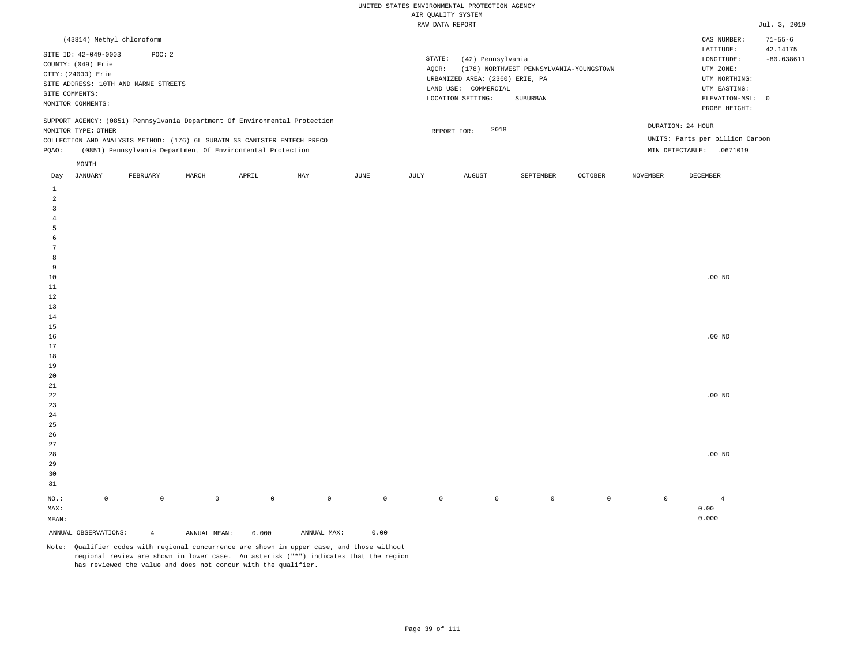| (43814) Methyl chloroform                                                                                                                                                                                                                                     |                                                                                                                                                                             | $71 - 55 - 6$<br>CAS NUMBER:                                                                                                           |
|---------------------------------------------------------------------------------------------------------------------------------------------------------------------------------------------------------------------------------------------------------------|-----------------------------------------------------------------------------------------------------------------------------------------------------------------------------|----------------------------------------------------------------------------------------------------------------------------------------|
| SITE ID: 42-049-0003<br>POC:2<br>COUNTY: (049) Erie<br>CITY: (24000) Erie<br>SITE ADDRESS: 10TH AND MARNE STREETS<br>SITE COMMENTS:<br>MONITOR COMMENTS:                                                                                                      | STATE:<br>(42) Pennsylvania<br>(178) NORTHWEST PENNSYLVANIA-YOUNGSTOWN<br>AOCR:<br>URBANIZED AREA: (2360) ERIE, PA<br>LAND USE: COMMERCIAL<br>LOCATION SETTING:<br>SUBURBAN | 42.14175<br>LATITUDE:<br>$-80.038611$<br>LONGITUDE:<br>UTM ZONE:<br>UTM NORTHING:<br>UTM EASTING:<br>ELEVATION-MSL: 0<br>PROBE HEIGHT: |
| SUPPORT AGENCY: (0851) Pennsylvania Department Of Environmental Protection<br>MONITOR TYPE: OTHER<br>COLLECTION AND ANALYSIS METHOD: (176) 6L SUBATM SS CANISTER ENTECH PRECO<br>(0851) Pennsylvania Department Of Environmental Protection<br>POAO:<br>MONTH | 2018<br>REPORT FOR:                                                                                                                                                         | DURATION: 24 HOUR<br>UNITS: Parts per billion Carbon<br>.0671019<br>MIN DETECTABLE:                                                    |
|                                                                                                                                                                                                                                                               |                                                                                                                                                                             |                                                                                                                                        |

| Day            | JANUARY              | FEBRUARY       | MARCH        | APRIL       | MAY         | JUNE        | JULY        | AUGUST      | SEPTEMBER   | OCTOBER     | NOVEMBER    | DECEMBER       |
|----------------|----------------------|----------------|--------------|-------------|-------------|-------------|-------------|-------------|-------------|-------------|-------------|----------------|
| $\mathbf{1}$   |                      |                |              |             |             |             |             |             |             |             |             |                |
| $\overline{a}$ |                      |                |              |             |             |             |             |             |             |             |             |                |
| 3              |                      |                |              |             |             |             |             |             |             |             |             |                |
| $\overline{4}$ |                      |                |              |             |             |             |             |             |             |             |             |                |
| 5              |                      |                |              |             |             |             |             |             |             |             |             |                |
| 6              |                      |                |              |             |             |             |             |             |             |             |             |                |
| $\overline{7}$ |                      |                |              |             |             |             |             |             |             |             |             |                |
| 8              |                      |                |              |             |             |             |             |             |             |             |             |                |
| 9              |                      |                |              |             |             |             |             |             |             |             |             |                |
| $10$           |                      |                |              |             |             |             |             |             |             |             |             | .00 $ND$       |
| $11\,$         |                      |                |              |             |             |             |             |             |             |             |             |                |
| 12             |                      |                |              |             |             |             |             |             |             |             |             |                |
| 13             |                      |                |              |             |             |             |             |             |             |             |             |                |
| $14\,$         |                      |                |              |             |             |             |             |             |             |             |             |                |
| $15\,$         |                      |                |              |             |             |             |             |             |             |             |             |                |
| 16             |                      |                |              |             |             |             |             |             |             |             |             | .00 $ND$       |
| 17             |                      |                |              |             |             |             |             |             |             |             |             |                |
| $18\,$         |                      |                |              |             |             |             |             |             |             |             |             |                |
| 19             |                      |                |              |             |             |             |             |             |             |             |             |                |
| $20\,$         |                      |                |              |             |             |             |             |             |             |             |             |                |
| $2\sqrt{1}$    |                      |                |              |             |             |             |             |             |             |             |             |                |
| $^{\rm 22}$    |                      |                |              |             |             |             |             |             |             |             |             | .00 $ND$       |
| $23\,$         |                      |                |              |             |             |             |             |             |             |             |             |                |
| $2\,4$         |                      |                |              |             |             |             |             |             |             |             |             |                |
| $2\sqrt{5}$    |                      |                |              |             |             |             |             |             |             |             |             |                |
| $26\,$         |                      |                |              |             |             |             |             |             |             |             |             |                |
| $27\,$         |                      |                |              |             |             |             |             |             |             |             |             |                |
| $28\,$         |                      |                |              |             |             |             |             |             |             |             |             | .00 $ND$       |
| 29             |                      |                |              |             |             |             |             |             |             |             |             |                |
| 30             |                      |                |              |             |             |             |             |             |             |             |             |                |
| 31             |                      |                |              |             |             |             |             |             |             |             |             |                |
| $_{\rm NO.}$ : | $\mathsf 0$          | $\mathbb O$    | $\mathbb O$  | $\mathbb O$ | $\mathbb O$ | $\mathbb O$ | $\mathbb O$ | $\mathbb O$ | $\mathbb O$ | $\mathbb O$ | $\mathbb O$ | $\overline{4}$ |
| MAX:           |                      |                |              |             |             |             |             |             |             |             |             | 0.00           |
| MEAN:          |                      |                |              |             |             |             |             |             |             |             |             | 0.000          |
|                | ANNUAL OBSERVATIONS: | $\overline{4}$ | ANNUAL MEAN: | 0.000       | ANNUAL MAX: | 0.00        |             |             |             |             |             |                |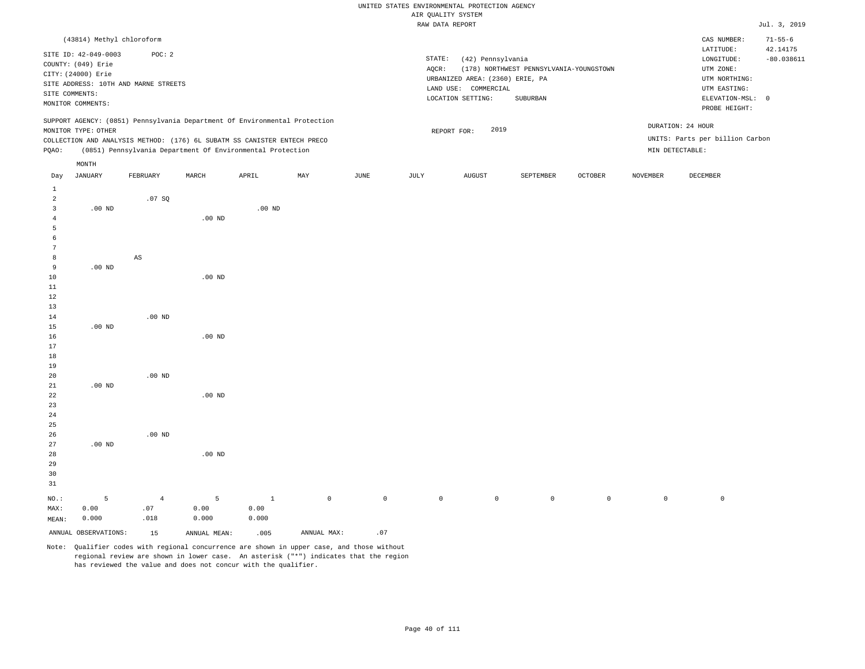## UNITED STATES ENVIRONMENTAL PROTECTION AGENCY ATE OUNT TTY SYSTEM

|                |                           |                                      |                   |                                                                            |     |      |        | AIR QUALITY SYSTEM              |                                         |         |          |                                 |                           |
|----------------|---------------------------|--------------------------------------|-------------------|----------------------------------------------------------------------------|-----|------|--------|---------------------------------|-----------------------------------------|---------|----------|---------------------------------|---------------------------|
|                |                           |                                      |                   |                                                                            |     |      |        | RAW DATA REPORT                 |                                         |         |          |                                 | Jul. 3, 2019              |
|                | (43814) Methyl chloroform |                                      |                   |                                                                            |     |      |        |                                 |                                         |         |          | CAS NUMBER:<br>LATITUDE:        | $71 - 55 - 6$<br>42.14175 |
|                | SITE ID: 42-049-0003      | POC: 2                               |                   |                                                                            |     |      | STATE: | (42) Pennsylvania               |                                         |         |          | LONGITUDE:                      | $-80.038611$              |
|                | COUNTY: (049) Erie        |                                      |                   |                                                                            |     |      | AQCR:  |                                 | (178) NORTHWEST PENNSYLVANIA-YOUNGSTOWN |         |          | UTM ZONE:                       |                           |
|                | CITY: (24000) Erie        |                                      |                   |                                                                            |     |      |        | URBANIZED AREA: (2360) ERIE, PA |                                         |         |          | UTM NORTHING:                   |                           |
|                |                           | SITE ADDRESS: 10TH AND MARNE STREETS |                   |                                                                            |     |      |        | LAND USE: COMMERCIAL            |                                         |         |          | UTM EASTING:                    |                           |
|                | SITE COMMENTS:            |                                      |                   |                                                                            |     |      |        | LOCATION SETTING:               | SUBURBAN                                |         |          | ELEVATION-MSL: 0                |                           |
|                | MONITOR COMMENTS:         |                                      |                   |                                                                            |     |      |        |                                 |                                         |         |          | PROBE HEIGHT:                   |                           |
|                |                           |                                      |                   | SUPPORT AGENCY: (0851) Pennsylvania Department Of Environmental Protection |     |      |        |                                 |                                         |         |          | DURATION: 24 HOUR               |                           |
|                | MONITOR TYPE: OTHER       |                                      |                   |                                                                            |     |      |        | 2019<br>REPORT FOR:             |                                         |         |          |                                 |                           |
|                |                           |                                      |                   | COLLECTION AND ANALYSIS METHOD: (176) 6L SUBATM SS CANISTER ENTECH PRECO   |     |      |        |                                 |                                         |         |          | UNITS: Parts per billion Carbon |                           |
| PQAO:          |                           |                                      |                   | (0851) Pennsylvania Department Of Environmental Protection                 |     |      |        |                                 |                                         |         |          | MIN DETECTABLE:                 |                           |
|                | MONTH                     |                                      |                   |                                                                            |     |      |        |                                 |                                         |         |          |                                 |                           |
| Day            | JANUARY                   | FEBRUARY                             | MARCH             | APRIL                                                                      | MAY | JUNE | JULY   | AUGUST                          | SEPTEMBER                               | OCTOBER | NOVEMBER | DECEMBER                        |                           |
| $\mathbf{1}$   |                           |                                      |                   |                                                                            |     |      |        |                                 |                                         |         |          |                                 |                           |
| $\overline{a}$ |                           | .07SQ                                |                   |                                                                            |     |      |        |                                 |                                         |         |          |                                 |                           |
| $\overline{3}$ | $.00$ ND                  |                                      |                   | $.00$ ND                                                                   |     |      |        |                                 |                                         |         |          |                                 |                           |
| 4              |                           |                                      | .00 <sub>ND</sub> |                                                                            |     |      |        |                                 |                                         |         |          |                                 |                           |
| 5              |                           |                                      |                   |                                                                            |     |      |        |                                 |                                         |         |          |                                 |                           |
| 6              |                           |                                      |                   |                                                                            |     |      |        |                                 |                                         |         |          |                                 |                           |
| 7              |                           |                                      |                   |                                                                            |     |      |        |                                 |                                         |         |          |                                 |                           |
| 8              |                           | AS                                   |                   |                                                                            |     |      |        |                                 |                                         |         |          |                                 |                           |
| 9              | $.00$ ND                  |                                      |                   |                                                                            |     |      |        |                                 |                                         |         |          |                                 |                           |
| 10             |                           |                                      | $.00$ ND          |                                                                            |     |      |        |                                 |                                         |         |          |                                 |                           |
| 11             |                           |                                      |                   |                                                                            |     |      |        |                                 |                                         |         |          |                                 |                           |
| 12<br>13       |                           |                                      |                   |                                                                            |     |      |        |                                 |                                         |         |          |                                 |                           |
| 14             |                           | $.00$ ND                             |                   |                                                                            |     |      |        |                                 |                                         |         |          |                                 |                           |
| 15             | $.00$ ND                  |                                      |                   |                                                                            |     |      |        |                                 |                                         |         |          |                                 |                           |
| 16             |                           |                                      | $.00$ ND          |                                                                            |     |      |        |                                 |                                         |         |          |                                 |                           |
| 17             |                           |                                      |                   |                                                                            |     |      |        |                                 |                                         |         |          |                                 |                           |
| 18             |                           |                                      |                   |                                                                            |     |      |        |                                 |                                         |         |          |                                 |                           |
| 19             |                           |                                      |                   |                                                                            |     |      |        |                                 |                                         |         |          |                                 |                           |
| 20             |                           | $.00$ ND                             |                   |                                                                            |     |      |        |                                 |                                         |         |          |                                 |                           |
| 21             | $.00$ ND                  |                                      |                   |                                                                            |     |      |        |                                 |                                         |         |          |                                 |                           |
| 22             |                           |                                      | $.00$ ND          |                                                                            |     |      |        |                                 |                                         |         |          |                                 |                           |
| 23             |                           |                                      |                   |                                                                            |     |      |        |                                 |                                         |         |          |                                 |                           |
| 24             |                           |                                      |                   |                                                                            |     |      |        |                                 |                                         |         |          |                                 |                           |
| 25             |                           |                                      |                   |                                                                            |     |      |        |                                 |                                         |         |          |                                 |                           |
| 26             |                           | $.00$ ND                             |                   |                                                                            |     |      |        |                                 |                                         |         |          |                                 |                           |
| 27             | $.00$ ND                  |                                      |                   |                                                                            |     |      |        |                                 |                                         |         |          |                                 |                           |

28 29 30 31 NO.: MAX: 5 0.00 .00 ND 4 .07 .018 5 0.00 0.000 1 0.00 0.000 0 0 0 0 0 0 0 0

ANNUAL OBSERVATIONS: 15 ANNUAL MEAN: .005 ANNUAL MAX: .07 Note: Qualifier codes with regional concurrence are shown in upper case, and those without regional review are shown in lower case. An asterisk ("\*") indicates that the region

MEAN:

0.000

has reviewed the value and does not concur with the qualifier.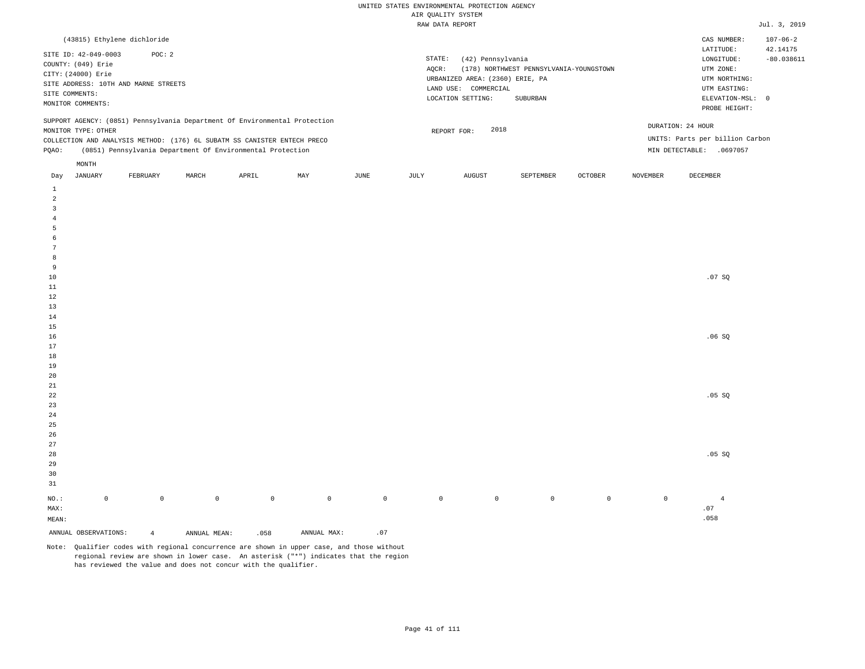| (43815) Ethylene dichloride                                                                                                                                                            |                                                            |       |     |      |                 |                                                                                                      |                                                     |                |                                      | CAS NUMBER:                                                                                                | $107 - 06 - 2$           |
|----------------------------------------------------------------------------------------------------------------------------------------------------------------------------------------|------------------------------------------------------------|-------|-----|------|-----------------|------------------------------------------------------------------------------------------------------|-----------------------------------------------------|----------------|--------------------------------------|------------------------------------------------------------------------------------------------------------|--------------------------|
| SITE ID: 42-049-0003<br>COUNTY: (049) Erie<br>CITY: (24000) Erie<br>SITE ADDRESS: 10TH AND MARNE STREETS<br>SITE COMMENTS:<br>MONITOR COMMENTS:                                        | POC: 2                                                     |       |     |      | STATE:<br>AOCR: | (42) Pennsylvania<br>URBANIZED AREA: (2360) ERIE, PA<br>LAND USE:<br>COMMERCIAL<br>LOCATION SETTING: | (178) NORTHWEST PENNSYLVANIA-YOUNGSTOWN<br>SUBURBAN |                |                                      | LATITUDE:<br>LONGITUDE:<br>UTM ZONE:<br>UTM NORTHING:<br>UTM EASTING:<br>ELEVATION-MSL: 0<br>PROBE HEIGHT: | 42.14175<br>$-80.038611$ |
| SUPPORT AGENCY: (0851) Pennsylvania Department Of Environmental Protection<br>MONITOR TYPE: OTHER<br>COLLECTION AND ANALYSIS METHOD: (176) 6L SUBATM SS CANISTER ENTECH PRECO<br>POAO: | (0851) Pennsylvania Department Of Environmental Protection |       |     |      |                 | 2018<br>REPORT FOR:                                                                                  |                                                     |                | DURATION: 24 HOUR<br>MIN DETECTABLE: | UNITS: Parts per billion Carbon<br>.0697057                                                                |                          |
| MONTH<br>JANUARY<br>Day                                                                                                                                                                | MARCH<br>FEBRUARY                                          | APRIL | MAY | JUNE | JULY            | AUGUST                                                                                               | SEPTEMBER                                           | <b>OCTOBER</b> | NOVEMBER                             | DECEMBER                                                                                                   |                          |

| ANNUAL OBSERVATIONS:    |             | $\overline{4}$ | ANNUAL MEAN: | .058         | ANNUAL MAX: | $\ldots$ 0.7 |             |             |         |         |             |                             |
|-------------------------|-------------|----------------|--------------|--------------|-------------|--------------|-------------|-------------|---------|---------|-------------|-----------------------------|
| $\texttt{MEAN}:$        |             |                |              |              |             |              |             |             |         |         |             | .058                        |
| $\texttt{MAX}$ :        |             |                |              |              |             |              |             |             |         |         |             | $\boldsymbol{\mathsf{.07}}$ |
| $_{\rm NO.}$ :          | $\mathbb O$ | $\mathbb O$    | $\mathbb O$  | $\mathsf{O}$ | $\mathbb O$ | $\,0\,$      | $\mathbb O$ | $\mathbb O$ | $\,0\,$ | $\circ$ | $\mathbb O$ | $\overline{4}$              |
| $3\sqrt{1}$             |             |                |              |              |             |              |             |             |         |         |             |                             |
| $30$                    |             |                |              |              |             |              |             |             |         |         |             |                             |
| $29$                    |             |                |              |              |             |              |             |             |         |         |             |                             |
| $2\,8$                  |             |                |              |              |             |              |             |             |         |         |             | .05 SQ                      |
| $_{\rm 27}$             |             |                |              |              |             |              |             |             |         |         |             |                             |
| $26\,$                  |             |                |              |              |             |              |             |             |         |         |             |                             |
| $25\,$                  |             |                |              |              |             |              |             |             |         |         |             |                             |
| $\sqrt{24}$             |             |                |              |              |             |              |             |             |         |         |             |                             |
| $23\,$                  |             |                |              |              |             |              |             |             |         |         |             |                             |
| $^{\rm 22}$             |             |                |              |              |             |              |             |             |         |         |             | .05 SQ                      |
| $2\sqrt{1}$             |             |                |              |              |             |              |             |             |         |         |             |                             |
| $20\,$                  |             |                |              |              |             |              |             |             |         |         |             |                             |
| $19\,$                  |             |                |              |              |             |              |             |             |         |         |             |                             |
| $1\,8$                  |             |                |              |              |             |              |             |             |         |         |             |                             |
| $17\,$                  |             |                |              |              |             |              |             |             |         |         |             | .06SQ                       |
| $1\,5$<br>$16\,$        |             |                |              |              |             |              |             |             |         |         |             |                             |
| $14\,$                  |             |                |              |              |             |              |             |             |         |         |             |                             |
| $1\,3$                  |             |                |              |              |             |              |             |             |         |         |             |                             |
| $1\,2$                  |             |                |              |              |             |              |             |             |         |         |             |                             |
| $11\,$                  |             |                |              |              |             |              |             |             |         |         |             |                             |
| $10\,$                  |             |                |              |              |             |              |             |             |         |         |             | .07 SQ                      |
| 9                       |             |                |              |              |             |              |             |             |         |         |             |                             |
| $\boldsymbol{8}$        |             |                |              |              |             |              |             |             |         |         |             |                             |
| $7\phantom{.0}$         |             |                |              |              |             |              |             |             |         |         |             |                             |
| $6\phantom{.}6$         |             |                |              |              |             |              |             |             |         |         |             |                             |
| $\overline{5}$          |             |                |              |              |             |              |             |             |         |         |             |                             |
| $\overline{4}$          |             |                |              |              |             |              |             |             |         |         |             |                             |
| $\overline{\mathbf{3}}$ |             |                |              |              |             |              |             |             |         |         |             |                             |
| $\overline{a}$          |             |                |              |              |             |              |             |             |         |         |             |                             |
| $\mathbf{1}$            |             |                |              |              |             |              |             |             |         |         |             |                             |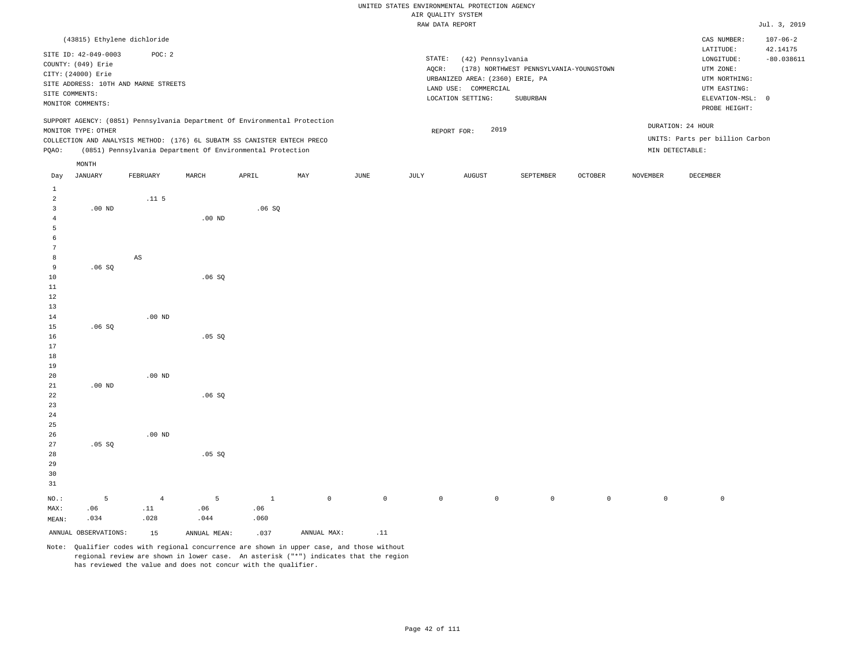|                     |                                      |                  |          |                                                                            |             |      |             | RAW DATA REPORT                 |                                         |                |             |                                 | Jul. 3, 2019             |
|---------------------|--------------------------------------|------------------|----------|----------------------------------------------------------------------------|-------------|------|-------------|---------------------------------|-----------------------------------------|----------------|-------------|---------------------------------|--------------------------|
|                     | (43815) Ethylene dichloride          |                  |          |                                                                            |             |      |             |                                 |                                         |                |             | CAS NUMBER:                     | $107 - 06 - 2$           |
|                     | SITE ID: 42-049-0003                 | POC: 2           |          |                                                                            |             |      |             | STATE:                          | (42) Pennsylvania                       |                |             | LATITUDE:<br>LONGITUDE:         | 42.14175<br>$-80.038611$ |
|                     | COUNTY: (049) Erie                   |                  |          |                                                                            |             |      | AQCR:       |                                 | (178) NORTHWEST PENNSYLVANIA-YOUNGSTOWN |                |             | UTM ZONE:                       |                          |
|                     | CITY: (24000) Erie                   |                  |          |                                                                            |             |      |             | URBANIZED AREA: (2360) ERIE, PA |                                         |                |             | UTM NORTHING:                   |                          |
|                     | SITE ADDRESS: 10TH AND MARNE STREETS |                  |          |                                                                            |             |      |             | LAND USE: COMMERCIAL            |                                         |                |             | UTM EASTING:                    |                          |
|                     | SITE COMMENTS:                       |                  |          |                                                                            |             |      |             | LOCATION SETTING:               | SUBURBAN                                |                |             | ELEVATION-MSL: 0                |                          |
|                     | MONITOR COMMENTS:                    |                  |          |                                                                            |             |      |             |                                 |                                         |                |             | PROBE HEIGHT:                   |                          |
|                     | MONITOR TYPE: OTHER                  |                  |          | SUPPORT AGENCY: (0851) Pennsylvania Department Of Environmental Protection |             |      |             |                                 | 2019                                    |                |             | DURATION: 24 HOUR               |                          |
|                     |                                      |                  |          | COLLECTION AND ANALYSIS METHOD: (176) 6L SUBATM SS CANISTER ENTECH PRECO   |             |      |             | REPORT FOR:                     |                                         |                |             | UNITS: Parts per billion Carbon |                          |
| PQAO:               |                                      |                  |          | (0851) Pennsylvania Department Of Environmental Protection                 |             |      |             |                                 |                                         |                |             | MIN DETECTABLE:                 |                          |
|                     | $\texttt{MONTH}$                     |                  |          |                                                                            |             |      |             |                                 |                                         |                |             |                                 |                          |
| Day                 | JANUARY                              | FEBRUARY         | MARCH    | APRIL                                                                      | MAY         | JUNE | JULY        | ${\tt AUGUST}$                  | SEPTEMBER                               | <b>OCTOBER</b> | NOVEMBER    | DECEMBER                        |                          |
| $\,1\,$             |                                      |                  |          |                                                                            |             |      |             |                                 |                                         |                |             |                                 |                          |
| $\overline{a}$      |                                      | .11 <sub>5</sub> |          |                                                                            |             |      |             |                                 |                                         |                |             |                                 |                          |
| 3                   | $.00$ ND                             |                  |          | .06SQ                                                                      |             |      |             |                                 |                                         |                |             |                                 |                          |
| $\overline{4}$<br>5 |                                      |                  | $.00$ ND |                                                                            |             |      |             |                                 |                                         |                |             |                                 |                          |
| 6                   |                                      |                  |          |                                                                            |             |      |             |                                 |                                         |                |             |                                 |                          |
| 7                   |                                      |                  |          |                                                                            |             |      |             |                                 |                                         |                |             |                                 |                          |
| 8                   |                                      | $_{\rm AS}$      |          |                                                                            |             |      |             |                                 |                                         |                |             |                                 |                          |
| 9                   | .06SQ                                |                  |          |                                                                            |             |      |             |                                 |                                         |                |             |                                 |                          |
| 10                  |                                      |                  | .06SQ    |                                                                            |             |      |             |                                 |                                         |                |             |                                 |                          |
| 11                  |                                      |                  |          |                                                                            |             |      |             |                                 |                                         |                |             |                                 |                          |
| 12                  |                                      |                  |          |                                                                            |             |      |             |                                 |                                         |                |             |                                 |                          |
| 13                  |                                      |                  |          |                                                                            |             |      |             |                                 |                                         |                |             |                                 |                          |
| 14<br>15            |                                      | $.00$ ND         |          |                                                                            |             |      |             |                                 |                                         |                |             |                                 |                          |
| 16                  | .06SQ                                |                  | .05SQ    |                                                                            |             |      |             |                                 |                                         |                |             |                                 |                          |
| 17                  |                                      |                  |          |                                                                            |             |      |             |                                 |                                         |                |             |                                 |                          |
| 18                  |                                      |                  |          |                                                                            |             |      |             |                                 |                                         |                |             |                                 |                          |
| 19                  |                                      |                  |          |                                                                            |             |      |             |                                 |                                         |                |             |                                 |                          |
| 20                  |                                      | $.00$ ND         |          |                                                                            |             |      |             |                                 |                                         |                |             |                                 |                          |
| 21                  | $.00$ ND                             |                  |          |                                                                            |             |      |             |                                 |                                         |                |             |                                 |                          |
| 22                  |                                      |                  | .06SQ    |                                                                            |             |      |             |                                 |                                         |                |             |                                 |                          |
| 23                  |                                      |                  |          |                                                                            |             |      |             |                                 |                                         |                |             |                                 |                          |
| 24                  |                                      |                  |          |                                                                            |             |      |             |                                 |                                         |                |             |                                 |                          |
| 25<br>26            |                                      | $.00$ ND         |          |                                                                            |             |      |             |                                 |                                         |                |             |                                 |                          |
| 27                  | .05 SQ                               |                  |          |                                                                            |             |      |             |                                 |                                         |                |             |                                 |                          |
| 28                  |                                      |                  | .05 SQ   |                                                                            |             |      |             |                                 |                                         |                |             |                                 |                          |
| 29                  |                                      |                  |          |                                                                            |             |      |             |                                 |                                         |                |             |                                 |                          |
| 30                  |                                      |                  |          |                                                                            |             |      |             |                                 |                                         |                |             |                                 |                          |
| 31                  |                                      |                  |          |                                                                            |             |      |             |                                 |                                         |                |             |                                 |                          |
| NO.:                | 5                                    | $\overline{4}$   | 5        | $\mathbf{1}$                                                               | $\mathbb O$ |      | $\mathbb O$ | $\mathbb O$                     | $\mathbb O$<br>$\circ$                  | $\mathbb O$    | $\mathbb O$ | $\mathbb O$                     |                          |

MAX: MEAN: .06 .034 .11 .028 .06 .044 .06 .060

ANNUAL OBSERVATIONS:  $15$  ANNUAL MEAN: .037 ANNUAL MAX: .11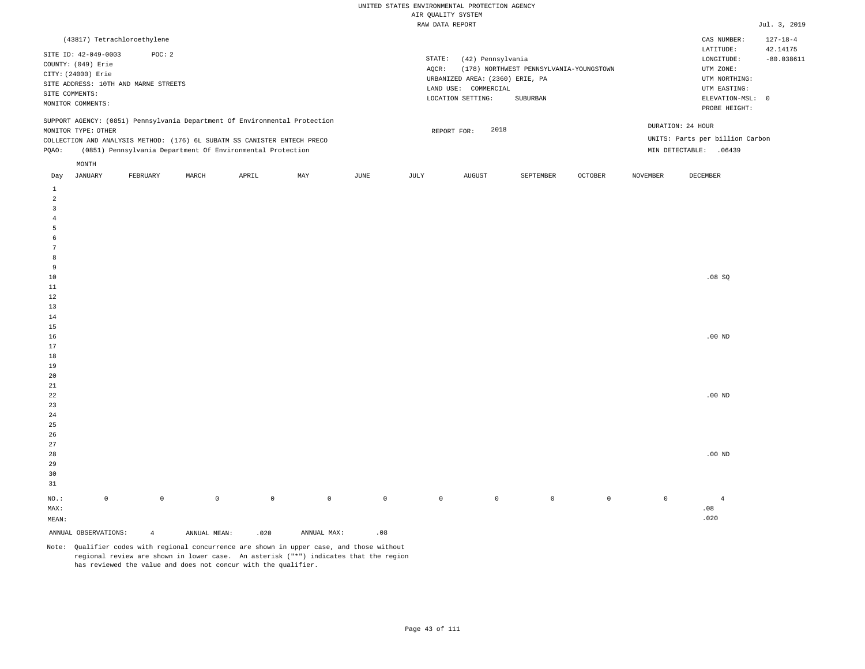| (43817) Tetrachloroethylene                                                                                                                                                                                                                          |                                                                                                                                                                             | $127 - 18 - 4$<br>CAS NUMBER:                                                                                                          |
|------------------------------------------------------------------------------------------------------------------------------------------------------------------------------------------------------------------------------------------------------|-----------------------------------------------------------------------------------------------------------------------------------------------------------------------------|----------------------------------------------------------------------------------------------------------------------------------------|
| SITE ID: 42-049-0003<br>POC: 2<br>COUNTY: (049) Erie<br>CITY: (24000) Erie<br>SITE ADDRESS: 10TH AND MARNE STREETS<br>SITE COMMENTS:<br>MONITOR COMMENTS:                                                                                            | STATE:<br>(42) Pennsylvania<br>(178) NORTHWEST PENNSYLVANIA-YOUNGSTOWN<br>AOCR:<br>URBANIZED AREA: (2360) ERIE, PA<br>LAND USE: COMMERCIAL<br>LOCATION SETTING:<br>SUBURBAN | 42.14175<br>LATITUDE:<br>$-80.038611$<br>LONGITUDE:<br>UTM ZONE:<br>UTM NORTHING:<br>UTM EASTING:<br>ELEVATION-MSL: 0<br>PROBE HEIGHT: |
| SUPPORT AGENCY: (0851) Pennsylvania Department Of Environmental Protection<br>MONITOR TYPE: OTHER<br>COLLECTION AND ANALYSIS METHOD: (176) 6L SUBATM SS CANISTER ENTECH PRECO<br>(0851) Pennsylvania Department Of Environmental Protection<br>POAO: | 2018<br>REPORT FOR:                                                                                                                                                         | DURATION: 24 HOUR<br>UNITS: Parts per billion Carbon<br>MIN DETECTABLE:<br>.06439                                                      |
| MONTH                                                                                                                                                                                                                                                |                                                                                                                                                                             |                                                                                                                                        |
|                                                                                                                                                                                                                                                      | the contract of the contract of the contract of the contract of the contract of                                                                                             | the contract of the contract of the contract of the contract of the contract of                                                        |

| Day             | JANUARY              | FEBRUARY       | MARCH        | APRIL       | MAY         | JUNE        | JULY        | AUGUST      | SEPTEMBER   | OCTOBER     | NOVEMBER    | DECEMBER       |
|-----------------|----------------------|----------------|--------------|-------------|-------------|-------------|-------------|-------------|-------------|-------------|-------------|----------------|
| $\mathbf{1}$    |                      |                |              |             |             |             |             |             |             |             |             |                |
| $\overline{a}$  |                      |                |              |             |             |             |             |             |             |             |             |                |
| $\overline{3}$  |                      |                |              |             |             |             |             |             |             |             |             |                |
| $\overline{4}$  |                      |                |              |             |             |             |             |             |             |             |             |                |
| $\overline{5}$  |                      |                |              |             |             |             |             |             |             |             |             |                |
| 6               |                      |                |              |             |             |             |             |             |             |             |             |                |
| $7\phantom{.0}$ |                      |                |              |             |             |             |             |             |             |             |             |                |
| 8               |                      |                |              |             |             |             |             |             |             |             |             |                |
| 9               |                      |                |              |             |             |             |             |             |             |             |             |                |
| $10$            |                      |                |              |             |             |             |             |             |             |             |             | .08SQ          |
| $11\,$          |                      |                |              |             |             |             |             |             |             |             |             |                |
| 12              |                      |                |              |             |             |             |             |             |             |             |             |                |
| 13              |                      |                |              |             |             |             |             |             |             |             |             |                |
| $14\,$          |                      |                |              |             |             |             |             |             |             |             |             |                |
| 15              |                      |                |              |             |             |             |             |             |             |             |             |                |
| $16$            |                      |                |              |             |             |             |             |             |             |             |             | $.00{\rm ~ND}$ |
| 17              |                      |                |              |             |             |             |             |             |             |             |             |                |
| 18              |                      |                |              |             |             |             |             |             |             |             |             |                |
| 19              |                      |                |              |             |             |             |             |             |             |             |             |                |
| $20\,$          |                      |                |              |             |             |             |             |             |             |             |             |                |
| $2\sqrt{1}$     |                      |                |              |             |             |             |             |             |             |             |             |                |
| $^{\rm 22}$     |                      |                |              |             |             |             |             |             |             |             |             | .00 $ND$       |
| $23\,$          |                      |                |              |             |             |             |             |             |             |             |             |                |
| $2\sqrt{4}$     |                      |                |              |             |             |             |             |             |             |             |             |                |
| $25\,$          |                      |                |              |             |             |             |             |             |             |             |             |                |
| 26              |                      |                |              |             |             |             |             |             |             |             |             |                |
| $27\,$          |                      |                |              |             |             |             |             |             |             |             |             |                |
| 28              |                      |                |              |             |             |             |             |             |             |             |             | .00 $ND$       |
| 29              |                      |                |              |             |             |             |             |             |             |             |             |                |
| 30              |                      |                |              |             |             |             |             |             |             |             |             |                |
| 31              |                      |                |              |             |             |             |             |             |             |             |             |                |
| $_{\rm NO.}$ :  | $\mathbb O$          | $\mathbb O$    | $\mathbb O$  | $\mathbb O$ | $\mathbb O$ | $\mathbb O$ | $\mathbb O$ | $\mathbb O$ | $\mathsf 0$ | $\mathbb O$ | $\mathbb O$ | $\overline{4}$ |
| MAX:            |                      |                |              |             |             |             |             |             |             |             |             | $.08$          |
| MEAN:           |                      |                |              |             |             |             |             |             |             |             |             | .020           |
|                 | ANNUAL OBSERVATIONS: | $\overline{4}$ | ANNUAL MEAN: | .020        | ANNUAL MAX: | .08         |             |             |             |             |             |                |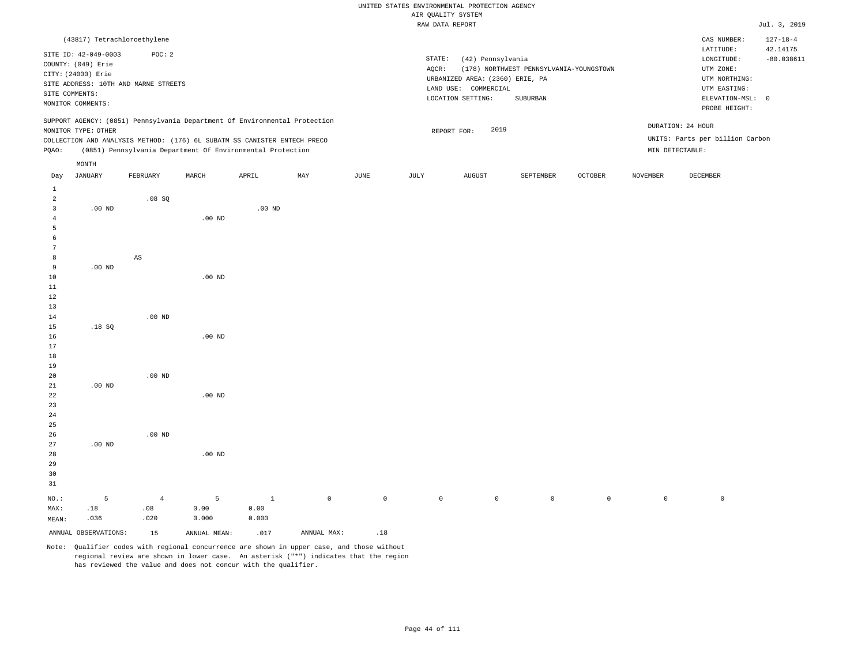|                |                                                                                                         |                                                |                   |                                                                            |     |      |                 | AIK QUALIII SISIEM                                                                                |                                                     |         |          |                                                                                                            |                          |
|----------------|---------------------------------------------------------------------------------------------------------|------------------------------------------------|-------------------|----------------------------------------------------------------------------|-----|------|-----------------|---------------------------------------------------------------------------------------------------|-----------------------------------------------------|---------|----------|------------------------------------------------------------------------------------------------------------|--------------------------|
|                |                                                                                                         |                                                |                   |                                                                            |     |      |                 | RAW DATA REPORT                                                                                   |                                                     |         |          |                                                                                                            | Jul. 3, 2019             |
|                | (43817) Tetrachloroethylene                                                                             |                                                |                   |                                                                            |     |      |                 |                                                                                                   |                                                     |         |          | CAS NUMBER:                                                                                                | $127 - 18 - 4$           |
|                | SITE ID: 42-049-0003<br>COUNTY: (049) Erie<br>CITY: (24000) Erie<br>SITE COMMENTS:<br>MONITOR COMMENTS: | POC: 2<br>SITE ADDRESS: 10TH AND MARNE STREETS |                   |                                                                            |     |      | STATE:<br>AQCR: | (42) Pennsylvania<br>URBANIZED AREA: (2360) ERIE, PA<br>LAND USE: COMMERCIAL<br>LOCATION SETTING: | (178) NORTHWEST PENNSYLVANIA-YOUNGSTOWN<br>SUBURBAN |         |          | LATITUDE:<br>LONGITUDE:<br>UTM ZONE:<br>UTM NORTHING:<br>UTM EASTING:<br>ELEVATION-MSL: 0<br>PROBE HEIGHT: | 42.14175<br>$-80.038611$ |
|                |                                                                                                         |                                                |                   | SUPPORT AGENCY: (0851) Pennsylvania Department Of Environmental Protection |     |      |                 |                                                                                                   |                                                     |         |          | DURATION: 24 HOUR                                                                                          |                          |
|                | MONITOR TYPE: OTHER                                                                                     |                                                |                   |                                                                            |     |      |                 | 2019<br>REPORT FOR:                                                                               |                                                     |         |          |                                                                                                            |                          |
|                |                                                                                                         |                                                |                   | COLLECTION AND ANALYSIS METHOD: (176) 6L SUBATM SS CANISTER ENTECH PRECO   |     |      |                 |                                                                                                   |                                                     |         |          | UNITS: Parts per billion Carbon                                                                            |                          |
| PQAO:          |                                                                                                         |                                                |                   | (0851) Pennsylvania Department Of Environmental Protection                 |     |      |                 |                                                                                                   |                                                     |         |          | MIN DETECTABLE:                                                                                            |                          |
|                | MONTH                                                                                                   |                                                |                   |                                                                            |     |      |                 |                                                                                                   |                                                     |         |          |                                                                                                            |                          |
| Day            | JANUARY                                                                                                 | FEBRUARY                                       | MARCH             | APRIL                                                                      | MAY | JUNE | JULY            | AUGUST                                                                                            | SEPTEMBER                                           | OCTOBER | NOVEMBER | DECEMBER                                                                                                   |                          |
| $\mathbf{1}$   |                                                                                                         |                                                |                   |                                                                            |     |      |                 |                                                                                                   |                                                     |         |          |                                                                                                            |                          |
| $\overline{2}$ |                                                                                                         | .08SQ                                          |                   |                                                                            |     |      |                 |                                                                                                   |                                                     |         |          |                                                                                                            |                          |
| 3              | $.00$ ND                                                                                                |                                                |                   | .00 <sub>ND</sub>                                                          |     |      |                 |                                                                                                   |                                                     |         |          |                                                                                                            |                          |
| 4              |                                                                                                         |                                                | $.00$ ND          |                                                                            |     |      |                 |                                                                                                   |                                                     |         |          |                                                                                                            |                          |
| 5              |                                                                                                         |                                                |                   |                                                                            |     |      |                 |                                                                                                   |                                                     |         |          |                                                                                                            |                          |
| 6              |                                                                                                         |                                                |                   |                                                                            |     |      |                 |                                                                                                   |                                                     |         |          |                                                                                                            |                          |
| 7              |                                                                                                         |                                                |                   |                                                                            |     |      |                 |                                                                                                   |                                                     |         |          |                                                                                                            |                          |
| 8              |                                                                                                         | AS                                             |                   |                                                                            |     |      |                 |                                                                                                   |                                                     |         |          |                                                                                                            |                          |
| 9              | $.00$ ND                                                                                                |                                                |                   |                                                                            |     |      |                 |                                                                                                   |                                                     |         |          |                                                                                                            |                          |
| 10             |                                                                                                         |                                                | $.00$ ND          |                                                                            |     |      |                 |                                                                                                   |                                                     |         |          |                                                                                                            |                          |
| 11<br>12       |                                                                                                         |                                                |                   |                                                                            |     |      |                 |                                                                                                   |                                                     |         |          |                                                                                                            |                          |
| 13             |                                                                                                         |                                                |                   |                                                                            |     |      |                 |                                                                                                   |                                                     |         |          |                                                                                                            |                          |
| 14             |                                                                                                         | $.00$ ND                                       |                   |                                                                            |     |      |                 |                                                                                                   |                                                     |         |          |                                                                                                            |                          |
| 15             | .18SQ                                                                                                   |                                                |                   |                                                                            |     |      |                 |                                                                                                   |                                                     |         |          |                                                                                                            |                          |
| 16             |                                                                                                         |                                                | $.00$ ND          |                                                                            |     |      |                 |                                                                                                   |                                                     |         |          |                                                                                                            |                          |
| 17             |                                                                                                         |                                                |                   |                                                                            |     |      |                 |                                                                                                   |                                                     |         |          |                                                                                                            |                          |
| 18             |                                                                                                         |                                                |                   |                                                                            |     |      |                 |                                                                                                   |                                                     |         |          |                                                                                                            |                          |
| 19             |                                                                                                         |                                                |                   |                                                                            |     |      |                 |                                                                                                   |                                                     |         |          |                                                                                                            |                          |
| 20             |                                                                                                         | $.00$ ND                                       |                   |                                                                            |     |      |                 |                                                                                                   |                                                     |         |          |                                                                                                            |                          |
| 21             | $.00$ ND                                                                                                |                                                |                   |                                                                            |     |      |                 |                                                                                                   |                                                     |         |          |                                                                                                            |                          |
| 22             |                                                                                                         |                                                | .00 <sub>ND</sub> |                                                                            |     |      |                 |                                                                                                   |                                                     |         |          |                                                                                                            |                          |
| 23             |                                                                                                         |                                                |                   |                                                                            |     |      |                 |                                                                                                   |                                                     |         |          |                                                                                                            |                          |
| 24             |                                                                                                         |                                                |                   |                                                                            |     |      |                 |                                                                                                   |                                                     |         |          |                                                                                                            |                          |
| 25             |                                                                                                         |                                                |                   |                                                                            |     |      |                 |                                                                                                   |                                                     |         |          |                                                                                                            |                          |
| 26             |                                                                                                         | $.00$ ND                                       |                   |                                                                            |     |      |                 |                                                                                                   |                                                     |         |          |                                                                                                            |                          |
| 27             | $.00$ ND                                                                                                |                                                |                   |                                                                            |     |      |                 |                                                                                                   |                                                     |         |          |                                                                                                            |                          |

28 29 30 31 NO.: MAX: 5 .18 .00 ND 4 .08 .020 5 0.00 0.000 1 0.00 0.000 0 0 0 0 0 0 0 0

MEAN: .036 ANNUAL OBSERVATIONS:  $15$  ANNUAL MEAN: .017 ANNUAL MAX: .18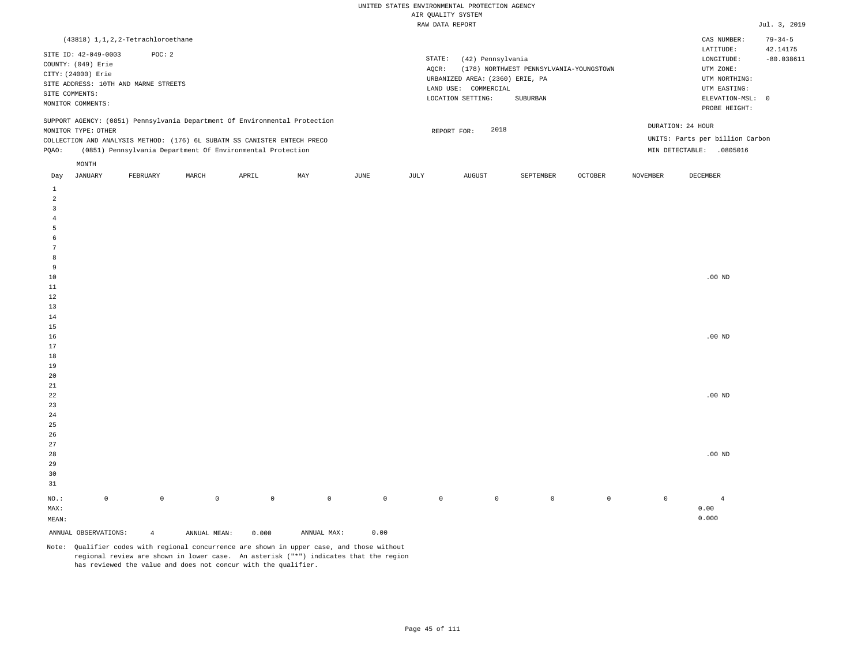|                |                      | (43818) 1, 1, 2, 2-Tetrachloroethane |       |                                                                          |                                                                            |      |        |                                 |                                         |                |                   | CAS NUMBER:                     | $79 - 34 - 5$ |
|----------------|----------------------|--------------------------------------|-------|--------------------------------------------------------------------------|----------------------------------------------------------------------------|------|--------|---------------------------------|-----------------------------------------|----------------|-------------------|---------------------------------|---------------|
|                | SITE ID: 42-049-0003 | POC:2                                |       |                                                                          |                                                                            |      |        |                                 |                                         |                |                   | LATITUDE:                       | 42.14175      |
|                | COUNTY: (049) Erie   |                                      |       |                                                                          |                                                                            |      | STATE: | (42) Pennsylvania               |                                         |                |                   | LONGITUDE:                      | $-80.038611$  |
|                |                      |                                      |       |                                                                          |                                                                            |      | AOCR:  |                                 | (178) NORTHWEST PENNSYLVANIA-YOUNGSTOWN |                |                   | UTM ZONE:                       |               |
|                | CITY: (24000) Erie   |                                      |       |                                                                          |                                                                            |      |        | URBANIZED AREA: (2360) ERIE, PA |                                         |                |                   | UTM NORTHING:                   |               |
|                |                      | SITE ADDRESS: 10TH AND MARNE STREETS |       |                                                                          |                                                                            |      |        |                                 |                                         |                |                   |                                 |               |
| SITE COMMENTS: |                      |                                      |       |                                                                          |                                                                            |      |        | LAND USE: COMMERCIAL            |                                         |                |                   | UTM EASTING:                    |               |
|                | MONITOR COMMENTS:    |                                      |       |                                                                          |                                                                            |      |        | LOCATION SETTING:               | SUBURBAN                                |                |                   | ELEVATION-MSL: 0                |               |
|                |                      |                                      |       |                                                                          |                                                                            |      |        |                                 |                                         |                |                   | PROBE HEIGHT:                   |               |
|                |                      |                                      |       |                                                                          | SUPPORT AGENCY: (0851) Pennsylvania Department Of Environmental Protection |      |        |                                 |                                         |                |                   |                                 |               |
|                | MONITOR TYPE: OTHER  |                                      |       |                                                                          |                                                                            |      |        | 2018<br>REPORT FOR:             |                                         |                | DURATION: 24 HOUR |                                 |               |
|                |                      |                                      |       | COLLECTION AND ANALYSIS METHOD: (176) 6L SUBATM SS CANISTER ENTECH PRECO |                                                                            |      |        |                                 |                                         |                |                   | UNITS: Parts per billion Carbon |               |
| POAO:          |                      |                                      |       | (0851) Pennsylvania Department Of Environmental Protection               |                                                                            |      |        |                                 |                                         |                | MIN DETECTABLE:   | .0805016                        |               |
|                | MONTH                |                                      |       |                                                                          |                                                                            |      |        |                                 |                                         |                |                   |                                 |               |
|                |                      |                                      |       |                                                                          |                                                                            |      |        |                                 |                                         |                |                   |                                 |               |
| Day            | JANUARY              | FEBRUARY                             | MARCH | APRIL                                                                    | MAY                                                                        | JUNE | JULY   | AUGUST                          | SEPTEMBER                               | <b>OCTOBER</b> | <b>NOVEMBER</b>   | DECEMBER                        |               |

| $\,$ 1<br>$\overline{a}$ |                     |                |              |             |             |              |             |           |                |         |         |            |
|--------------------------|---------------------|----------------|--------------|-------------|-------------|--------------|-------------|-----------|----------------|---------|---------|------------|
| $\overline{3}$           |                     |                |              |             |             |              |             |           |                |         |         |            |
| $\overline{4}$           |                     |                |              |             |             |              |             |           |                |         |         |            |
| $\sqrt{5}$               |                     |                |              |             |             |              |             |           |                |         |         |            |
| 6                        |                     |                |              |             |             |              |             |           |                |         |         |            |
| $7\phantom{.0}$          |                     |                |              |             |             |              |             |           |                |         |         |            |
| 8                        |                     |                |              |             |             |              |             |           |                |         |         |            |
| 9                        |                     |                |              |             |             |              |             |           |                |         |         |            |
| $10$                     |                     |                |              |             |             |              |             |           |                |         |         | $.00$ ND   |
| $11\,$                   |                     |                |              |             |             |              |             |           |                |         |         |            |
| $1\,2$                   |                     |                |              |             |             |              |             |           |                |         |         |            |
| $13\,$                   |                     |                |              |             |             |              |             |           |                |         |         |            |
| 14                       |                     |                |              |             |             |              |             |           |                |         |         |            |
| $15\,$                   |                     |                |              |             |             |              |             |           |                |         |         |            |
| $16\,$                   |                     |                |              |             |             |              |             |           |                |         |         | $.00$ ND   |
| 17                       |                     |                |              |             |             |              |             |           |                |         |         |            |
| $18\,$                   |                     |                |              |             |             |              |             |           |                |         |         |            |
| 19                       |                     |                |              |             |             |              |             |           |                |         |         |            |
| $20\,$                   |                     |                |              |             |             |              |             |           |                |         |         |            |
| $21\,$<br>$2\sqrt{2}$    |                     |                |              |             |             |              |             |           |                |         |         |            |
| 23                       |                     |                |              |             |             |              |             |           |                |         |         | $.00$ ND   |
| 24                       |                     |                |              |             |             |              |             |           |                |         |         |            |
| $25\,$                   |                     |                |              |             |             |              |             |           |                |         |         |            |
| $26\,$                   |                     |                |              |             |             |              |             |           |                |         |         |            |
| $2\,7$                   |                     |                |              |             |             |              |             |           |                |         |         |            |
| $28$                     |                     |                |              |             |             |              |             |           |                |         |         | $.00$ ND   |
| 29                       |                     |                |              |             |             |              |             |           |                |         |         |            |
| $30$                     |                     |                |              |             |             |              |             |           |                |         |         |            |
| $3\sqrt{1}$              |                     |                |              |             |             |              |             |           |                |         |         |            |
|                          |                     |                |              |             |             |              |             |           |                |         |         |            |
| $_{\rm NO.}$ :           | $\mathsf{O}\xspace$ | $\mathbb O$    | $\mathsf{O}$ | $\mathbb O$ | $\mathbb O$ | $\mathsf{O}$ | $\mathbb O$ | $\bullet$ | $\overline{0}$ | $\circ$ | $\circ$ | $\sqrt{4}$ |
| $\texttt{MAX}$ :         |                     |                |              |             |             |              |             |           |                |         |         | 0.00       |
| $\texttt{MEAN}$ :        |                     |                |              |             |             |              |             |           |                |         |         | 0.000      |
| ANNUAL OBSERVATIONS:     |                     | $\overline{4}$ | ANNUAL MEAN: | 0.000       | ANNUAL MAX: | 0.00         |             |           |                |         |         |            |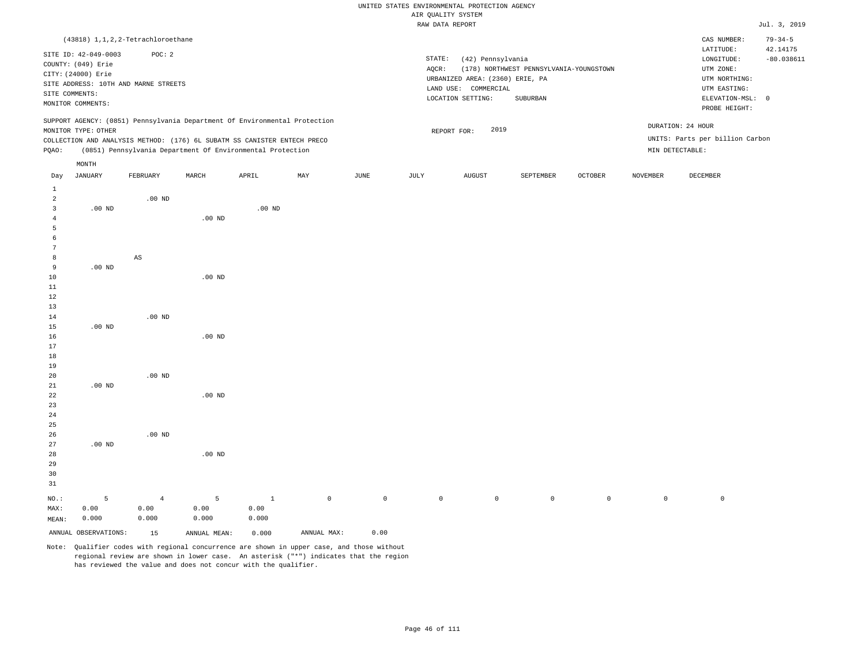|                              |                                            |                                      |                                                                            |              |             |                         |             | RAW DATA REPORT                 |                                         |                     |                 |                                 | Jul. 3, 2019  |
|------------------------------|--------------------------------------------|--------------------------------------|----------------------------------------------------------------------------|--------------|-------------|-------------------------|-------------|---------------------------------|-----------------------------------------|---------------------|-----------------|---------------------------------|---------------|
|                              |                                            | (43818) 1, 1, 2, 2-Tetrachloroethane |                                                                            |              |             |                         |             |                                 |                                         |                     |                 | CAS NUMBER:                     | $79 - 34 - 5$ |
|                              |                                            |                                      |                                                                            |              |             |                         |             |                                 |                                         |                     |                 | LATITUDE:                       | 42.14175      |
|                              | SITE ID: 42-049-0003<br>COUNTY: (049) Erie | POC: 2                               |                                                                            |              |             |                         | STATE:      | (42) Pennsylvania               |                                         |                     |                 | LONGITUDE:                      | $-80.038611$  |
|                              | CITY: (24000) Erie                         |                                      |                                                                            |              |             |                         | AQCR:       |                                 | (178) NORTHWEST PENNSYLVANIA-YOUNGSTOWN |                     |                 | UTM ZONE:                       |               |
|                              |                                            | SITE ADDRESS: 10TH AND MARNE STREETS |                                                                            |              |             |                         |             | URBANIZED AREA: (2360) ERIE, PA |                                         |                     |                 | UTM NORTHING:                   |               |
|                              | SITE COMMENTS:                             |                                      |                                                                            |              |             |                         |             | LAND USE: COMMERCIAL            |                                         |                     |                 | UTM EASTING:                    |               |
|                              | MONITOR COMMENTS:                          |                                      |                                                                            |              |             |                         |             | LOCATION SETTING:               | SUBURBAN                                |                     |                 | ELEVATION-MSL: 0                |               |
|                              |                                            |                                      | SUPPORT AGENCY: (0851) Pennsylvania Department Of Environmental Protection |              |             |                         |             |                                 |                                         |                     |                 | PROBE HEIGHT:                   |               |
|                              | MONITOR TYPE: OTHER                        |                                      |                                                                            |              |             |                         |             | 2019<br>REPORT FOR:             |                                         |                     |                 | DURATION: 24 HOUR               |               |
|                              |                                            |                                      | COLLECTION AND ANALYSIS METHOD: (176) 6L SUBATM SS CANISTER ENTECH PRECO   |              |             |                         |             |                                 |                                         |                     |                 | UNITS: Parts per billion Carbon |               |
| PQAO:                        |                                            |                                      | (0851) Pennsylvania Department Of Environmental Protection                 |              |             |                         |             |                                 |                                         |                     |                 | MIN DETECTABLE:                 |               |
|                              | MONTH                                      |                                      |                                                                            |              |             |                         |             |                                 |                                         |                     |                 |                                 |               |
| Day                          | <b>JANUARY</b>                             | FEBRUARY                             | MARCH                                                                      | APRIL        | MAY         | $_{\rm JUNE}$           | JULY        | <b>AUGUST</b>                   | SEPTEMBER                               | OCTOBER             | <b>NOVEMBER</b> | DECEMBER                        |               |
| $\mathbf{1}$                 |                                            |                                      |                                                                            |              |             |                         |             |                                 |                                         |                     |                 |                                 |               |
| 2<br>$\overline{\mathbf{3}}$ | .00 <sub>ND</sub>                          | $.00$ ND                             |                                                                            | $.00$ ND     |             |                         |             |                                 |                                         |                     |                 |                                 |               |
| $\overline{4}$               |                                            |                                      | $.00$ ND                                                                   |              |             |                         |             |                                 |                                         |                     |                 |                                 |               |
| 5                            |                                            |                                      |                                                                            |              |             |                         |             |                                 |                                         |                     |                 |                                 |               |
| $\epsilon$                   |                                            |                                      |                                                                            |              |             |                         |             |                                 |                                         |                     |                 |                                 |               |
| 7                            |                                            |                                      |                                                                            |              |             |                         |             |                                 |                                         |                     |                 |                                 |               |
| 8                            |                                            | $_{\rm AS}$                          |                                                                            |              |             |                         |             |                                 |                                         |                     |                 |                                 |               |
| 9                            | $.00$ ND                                   |                                      |                                                                            |              |             |                         |             |                                 |                                         |                     |                 |                                 |               |
| 10                           |                                            |                                      | .00 <sub>ND</sub>                                                          |              |             |                         |             |                                 |                                         |                     |                 |                                 |               |
| 11<br>12                     |                                            |                                      |                                                                            |              |             |                         |             |                                 |                                         |                     |                 |                                 |               |
| 13                           |                                            |                                      |                                                                            |              |             |                         |             |                                 |                                         |                     |                 |                                 |               |
| 14                           |                                            | $.00$ ND                             |                                                                            |              |             |                         |             |                                 |                                         |                     |                 |                                 |               |
| 15                           | $.00$ ND                                   |                                      |                                                                            |              |             |                         |             |                                 |                                         |                     |                 |                                 |               |
| 16                           |                                            |                                      | .00 <sub>ND</sub>                                                          |              |             |                         |             |                                 |                                         |                     |                 |                                 |               |
| 17                           |                                            |                                      |                                                                            |              |             |                         |             |                                 |                                         |                     |                 |                                 |               |
| 18                           |                                            |                                      |                                                                            |              |             |                         |             |                                 |                                         |                     |                 |                                 |               |
| 19                           |                                            |                                      |                                                                            |              |             |                         |             |                                 |                                         |                     |                 |                                 |               |
| 20                           |                                            | $.00$ ND                             |                                                                            |              |             |                         |             |                                 |                                         |                     |                 |                                 |               |
| 21<br>22                     | $.00$ ND                                   |                                      | $.00$ ND                                                                   |              |             |                         |             |                                 |                                         |                     |                 |                                 |               |
| 23                           |                                            |                                      |                                                                            |              |             |                         |             |                                 |                                         |                     |                 |                                 |               |
| 24                           |                                            |                                      |                                                                            |              |             |                         |             |                                 |                                         |                     |                 |                                 |               |
| 25                           |                                            |                                      |                                                                            |              |             |                         |             |                                 |                                         |                     |                 |                                 |               |
| 26                           |                                            | $.00$ ND                             |                                                                            |              |             |                         |             |                                 |                                         |                     |                 |                                 |               |
| 27                           | $.00$ ND                                   |                                      |                                                                            |              |             |                         |             |                                 |                                         |                     |                 |                                 |               |
| 28                           |                                            |                                      | .00 <sub>ND</sub>                                                          |              |             |                         |             |                                 |                                         |                     |                 |                                 |               |
| 29                           |                                            |                                      |                                                                            |              |             |                         |             |                                 |                                         |                     |                 |                                 |               |
| 30                           |                                            |                                      |                                                                            |              |             |                         |             |                                 |                                         |                     |                 |                                 |               |
| 31<br>NO.:                   | 5                                          | $\overline{4}$                       | 5                                                                          | $\mathbf{1}$ | $\mathbb O$ | $\mathsf{O}\xspace$     | $\mathbb O$ | $\mathsf{O}$                    | $\mathsf{O}$                            | $\mathsf{O}\xspace$ | $\mathbb O$     | $\mathbb O$                     |               |
| MAX:                         | 0.00                                       | 0.00                                 | 0.00                                                                       | 0.00         |             |                         |             |                                 |                                         |                     |                 |                                 |               |
| MEAN:                        | 0.000                                      | 0.000                                | 0.000                                                                      | 0.000        |             |                         |             |                                 |                                         |                     |                 |                                 |               |
|                              | ANNUAL OBSERVATIONS:                       | 15                                   | ANNUAL MEAN:                                                               | 0.000        | ANNUAL MAX: | 0.00                    |             |                                 |                                         |                     |                 |                                 |               |
|                              |                                            | $\sim$ $\sim$                        |                                                                            |              |             | $\sim$ $\sim$<br>$\sim$ |             |                                 |                                         |                     |                 |                                 |               |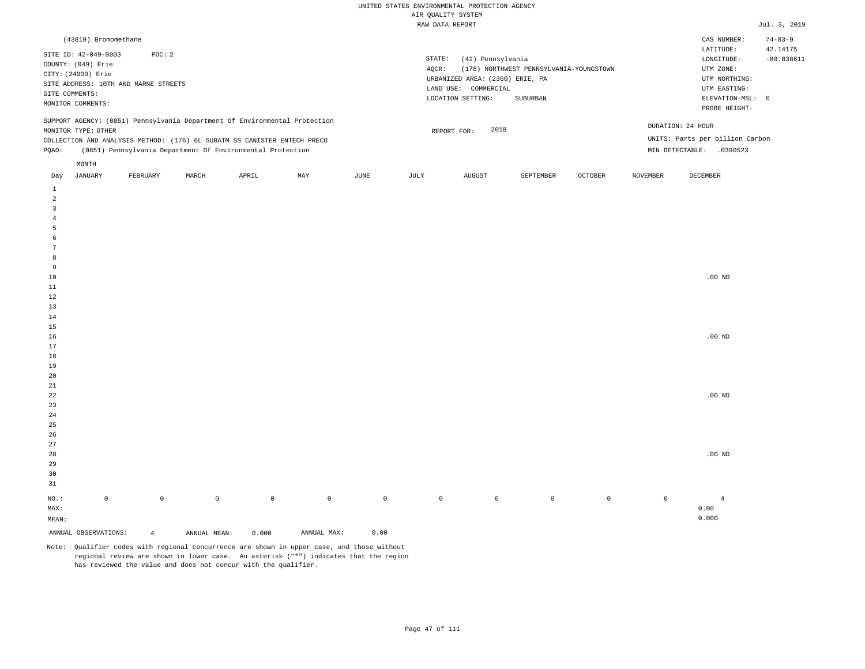| (43819) Bromomethane                                                                                                                                                                   |          |       |                                                            |     |      |       |                                                                                                                |                                                     |                |          | CAS NUMBER:                                                                                                | $74 - 83 - 9$            |
|----------------------------------------------------------------------------------------------------------------------------------------------------------------------------------------|----------|-------|------------------------------------------------------------|-----|------|-------|----------------------------------------------------------------------------------------------------------------|-----------------------------------------------------|----------------|----------|------------------------------------------------------------------------------------------------------------|--------------------------|
| SITE ID: 42-049-0003<br>COUNTY: (049) Erie<br>CITY: (24000) Erie<br>SITE ADDRESS: 10TH AND MARNE STREETS<br>SITE COMMENTS:<br>MONITOR COMMENTS:                                        | POC: 2   |       |                                                            |     |      | AOCR: | STATE:<br>(42) Pennsylvania<br>URBANIZED AREA: (2360) ERIE, PA<br>LAND USE:<br>COMMERCIAL<br>LOCATION SETTING: | (178) NORTHWEST PENNSYLVANIA-YOUNGSTOWN<br>SUBURBAN |                |          | LATITUDE:<br>LONGITUDE:<br>UTM ZONE:<br>UTM NORTHING:<br>UTM EASTING:<br>ELEVATION-MSL: 0<br>PROBE HEIGHT: | 42.14175<br>$-80.038611$ |
| SUPPORT AGENCY: (0851) Pennsylvania Department Of Environmental Protection<br>MONITOR TYPE: OTHER<br>COLLECTION AND ANALYSIS METHOD: (176) 6L SUBATM SS CANISTER ENTECH PRECO<br>POAO: |          |       | (0851) Pennsylvania Department Of Environmental Protection |     |      |       | 2018<br>REPORT FOR:                                                                                            |                                                     |                |          | DURATION: 24 HOUR<br>UNITS: Parts per billion Carbon<br>MIN DETECTABLE:<br>.0390523                        |                          |
| MONTH<br>JANUARY<br>Day                                                                                                                                                                | FEBRUARY | MARCH | APRIL                                                      | MAY | JUNE | JULY  | AUGUST                                                                                                         | SEPTEMBER                                           | <b>OCTOBER</b> | NOVEMBER | DECEMBER                                                                                                   |                          |

| ANNUAL OBSERVATIONS: |                     | $\overline{4}$ | ANNUAL MEAN: | 0.000       | ANNUAL MAX: | 0.00         |             |                |                |                |         |                |
|----------------------|---------------------|----------------|--------------|-------------|-------------|--------------|-------------|----------------|----------------|----------------|---------|----------------|
| MEAN:                |                     |                |              |             |             |              |             |                |                |                |         | 0.000          |
| MAX:                 |                     |                |              |             |             |              |             |                |                |                |         | 0.00           |
| $_{\rm NO.}$ :       | $\mathsf{O}\xspace$ | $\mathbb O$    | $\mathbb O$  | $\mathbb O$ | $\mathbb O$ | $\mathsf{O}$ | $\mathbb O$ | $\overline{0}$ | $\overline{0}$ | $\overline{0}$ | $\circ$ | $\overline{4}$ |
|                      |                     |                |              |             |             |              |             |                |                |                |         |                |
| $31\,$               |                     |                |              |             |             |              |             |                |                |                |         |                |
| $30$                 |                     |                |              |             |             |              |             |                |                |                |         |                |
| 29                   |                     |                |              |             |             |              |             |                |                |                |         |                |
| 28                   |                     |                |              |             |             |              |             |                |                |                |         | $.00$ ND       |
| 27                   |                     |                |              |             |             |              |             |                |                |                |         |                |
| $26\,$               |                     |                |              |             |             |              |             |                |                |                |         |                |
| 25                   |                     |                |              |             |             |              |             |                |                |                |         |                |
| $\sqrt{24}$          |                     |                |              |             |             |              |             |                |                |                |         |                |
| $23$                 |                     |                |              |             |             |              |             |                |                |                |         |                |
| $^{\rm 22}$          |                     |                |              |             |             |              |             |                |                |                |         | $.00$ ND       |
| 21                   |                     |                |              |             |             |              |             |                |                |                |         |                |
| $20\,$               |                     |                |              |             |             |              |             |                |                |                |         |                |
| $19$                 |                     |                |              |             |             |              |             |                |                |                |         |                |
| $18\,$               |                     |                |              |             |             |              |             |                |                |                |         |                |
| $17\,$               |                     |                |              |             |             |              |             |                |                |                |         |                |
| $16$                 |                     |                |              |             |             |              |             |                |                |                |         | $.00$ ND       |
| $15\,$               |                     |                |              |             |             |              |             |                |                |                |         |                |
| 14                   |                     |                |              |             |             |              |             |                |                |                |         |                |
| 13                   |                     |                |              |             |             |              |             |                |                |                |         |                |
| $11\,$<br>$1\,2$     |                     |                |              |             |             |              |             |                |                |                |         |                |
| $10$                 |                     |                |              |             |             |              |             |                |                |                |         | $.00$ ND       |
| $\,9$                |                     |                |              |             |             |              |             |                |                |                |         |                |
| 8                    |                     |                |              |             |             |              |             |                |                |                |         |                |
| $7\phantom{.0}$      |                     |                |              |             |             |              |             |                |                |                |         |                |
| $\epsilon$           |                     |                |              |             |             |              |             |                |                |                |         |                |
| 5                    |                     |                |              |             |             |              |             |                |                |                |         |                |
| $\overline{4}$       |                     |                |              |             |             |              |             |                |                |                |         |                |
| $\overline{3}$       |                     |                |              |             |             |              |             |                |                |                |         |                |
| $\overline{a}$       |                     |                |              |             |             |              |             |                |                |                |         |                |
| $\mathbf 1$          |                     |                |              |             |             |              |             |                |                |                |         |                |
|                      |                     |                |              |             |             |              |             |                |                |                |         |                |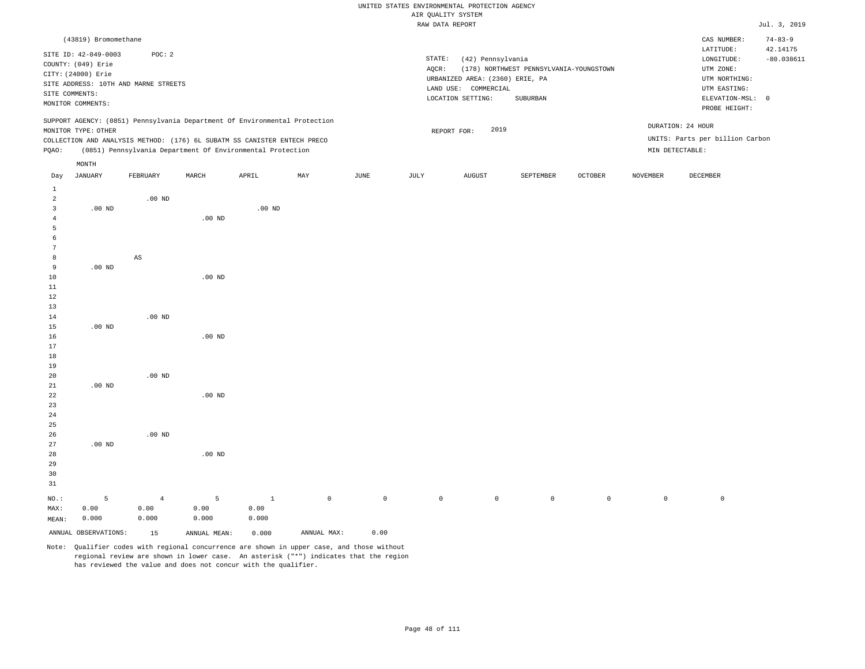# UNITED STATES ENVIRONMENTAL PROTECTION AGENCY ATE OUNT TTY SYSTEM

|                                                                                   |                                                                                                         |                                                                                                                                                                                                                      |                   |          |     |      |                 | AIR QUALITY SYSTEM                                                                                |                                                     |         |                 |                                                                                                            |                           |
|-----------------------------------------------------------------------------------|---------------------------------------------------------------------------------------------------------|----------------------------------------------------------------------------------------------------------------------------------------------------------------------------------------------------------------------|-------------------|----------|-----|------|-----------------|---------------------------------------------------------------------------------------------------|-----------------------------------------------------|---------|-----------------|------------------------------------------------------------------------------------------------------------|---------------------------|
|                                                                                   |                                                                                                         |                                                                                                                                                                                                                      |                   |          |     |      |                 | RAW DATA REPORT                                                                                   |                                                     |         |                 |                                                                                                            | Jul. 3, 2019              |
|                                                                                   | (43819) Bromomethane                                                                                    |                                                                                                                                                                                                                      |                   |          |     |      |                 |                                                                                                   |                                                     |         |                 | CAS NUMBER:                                                                                                | $74 - 83 - 9$<br>42.14175 |
|                                                                                   | SITE ID: 42-049-0003<br>COUNTY: (049) Erie<br>CITY: (24000) Erie<br>SITE COMMENTS:<br>MONITOR COMMENTS: | POC: 2<br>SITE ADDRESS: 10TH AND MARNE STREETS                                                                                                                                                                       |                   |          |     |      | STATE:<br>AQCR: | (42) Pennsylvania<br>URBANIZED AREA: (2360) ERIE, PA<br>LAND USE: COMMERCIAL<br>LOCATION SETTING: | (178) NORTHWEST PENNSYLVANIA-YOUNGSTOWN<br>SUBURBAN |         |                 | LATITUDE:<br>LONGITUDE:<br>UTM ZONE:<br>UTM NORTHING:<br>UTM EASTING:<br>ELEVATION-MSL: 0<br>PROBE HEIGHT: | $-80.038611$              |
| PQAO:                                                                             | MONITOR TYPE: OTHER                                                                                     | SUPPORT AGENCY: (0851) Pennsylvania Department Of Environmental Protection<br>COLLECTION AND ANALYSIS METHOD: (176) 6L SUBATM SS CANISTER ENTECH PRECO<br>(0851) Pennsylvania Department Of Environmental Protection |                   |          |     |      |                 | 2019<br>REPORT FOR:                                                                               |                                                     |         | MIN DETECTABLE: | DURATION: 24 HOUR<br>UNITS: Parts per billion Carbon                                                       |                           |
|                                                                                   | MONTH                                                                                                   |                                                                                                                                                                                                                      |                   |          |     |      |                 |                                                                                                   |                                                     |         |                 |                                                                                                            |                           |
| Day                                                                               | JANUARY                                                                                                 | FEBRUARY                                                                                                                                                                                                             | MARCH             | APRIL    | MAY | JUNE | JULY            | <b>AUGUST</b>                                                                                     | SEPTEMBER                                           | OCTOBER | NOVEMBER        | DECEMBER                                                                                                   |                           |
| $\mathbf{1}$<br>$\overline{a}$<br>$\overline{3}$<br>$\overline{4}$<br>5<br>6<br>7 | $.00$ ND                                                                                                | $.00$ ND                                                                                                                                                                                                             | $.00$ ND          | $.00$ ND |     |      |                 |                                                                                                   |                                                     |         |                 |                                                                                                            |                           |
| 8<br>9                                                                            | $.00$ ND                                                                                                | $_{\rm AS}$                                                                                                                                                                                                          |                   |          |     |      |                 |                                                                                                   |                                                     |         |                 |                                                                                                            |                           |
| 10<br>11<br>12<br>13                                                              |                                                                                                         |                                                                                                                                                                                                                      | $.00$ ND          |          |     |      |                 |                                                                                                   |                                                     |         |                 |                                                                                                            |                           |
| 14<br>15<br>16<br>17<br>18                                                        | $.00$ ND                                                                                                | $.00$ ND                                                                                                                                                                                                             | .00 <sub>ND</sub> |          |     |      |                 |                                                                                                   |                                                     |         |                 |                                                                                                            |                           |
| 19<br>20<br>21<br>22                                                              | $.00$ ND                                                                                                | $.00$ ND                                                                                                                                                                                                             | $.00$ ND          |          |     |      |                 |                                                                                                   |                                                     |         |                 |                                                                                                            |                           |
| 23<br>24<br>25<br>26<br>27<br>28                                                  | $.00$ ND                                                                                                | .00 <sub>ND</sub>                                                                                                                                                                                                    | $.00$ ND          |          |     |      |                 |                                                                                                   |                                                     |         |                 |                                                                                                            |                           |
| 29<br>30                                                                          |                                                                                                         |                                                                                                                                                                                                                      |                   |          |     |      |                 |                                                                                                   |                                                     |         |                 |                                                                                                            |                           |

NO.: MAX: MEAN: 5 0.00 0.000 4 0.00 0.000 5 0.00 0.000 1 0.00 0.000 0 0 0 0 0 0 0 0

ANNUAL OBSERVATIONS: 15 ANNUAL MEAN: 0.000 ANNUAL MAX: 0.00

31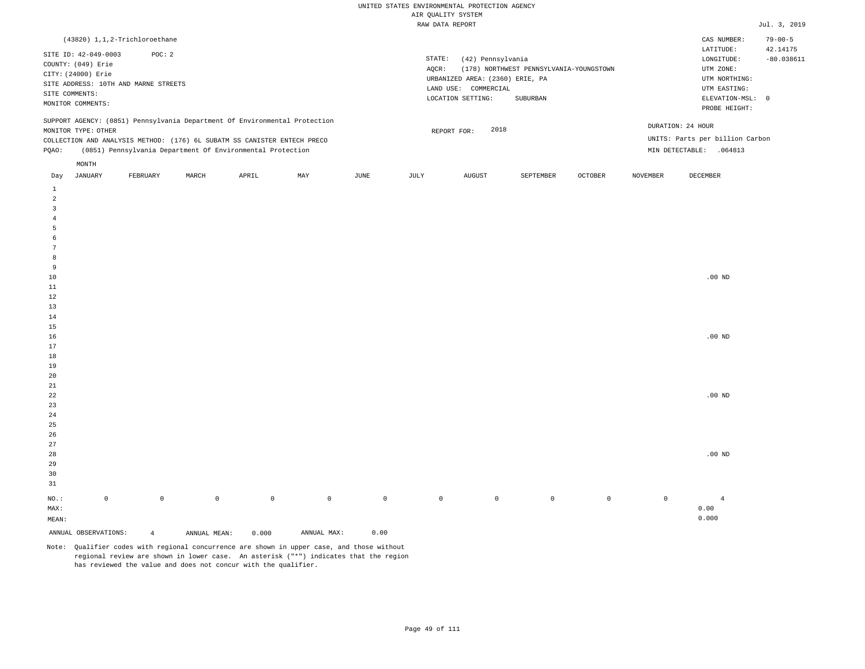| (43820) 1,1,2-Trichloroethane                                                                                                                                                                                                                                 |                                                                                                                                                                             | CAS NUMBER:<br>$79 - 00 - 5$                                                                                                           |
|---------------------------------------------------------------------------------------------------------------------------------------------------------------------------------------------------------------------------------------------------------------|-----------------------------------------------------------------------------------------------------------------------------------------------------------------------------|----------------------------------------------------------------------------------------------------------------------------------------|
| SITE ID: 42-049-0003<br>POC: 2<br>COUNTY: (049) Erie<br>CITY: (24000) Erie<br>SITE ADDRESS: 10TH AND MARNE STREETS<br>SITE COMMENTS:<br>MONITOR COMMENTS:                                                                                                     | STATE:<br>(42) Pennsylvania<br>(178) NORTHWEST PENNSYLVANIA-YOUNGSTOWN<br>AOCR:<br>URBANIZED AREA: (2360) ERIE, PA<br>LAND USE: COMMERCIAL<br>LOCATION SETTING:<br>SUBURBAN | 42.14175<br>LATITUDE:<br>$-80.038611$<br>LONGITUDE:<br>UTM ZONE:<br>UTM NORTHING:<br>UTM EASTING:<br>ELEVATION-MSL: 0<br>PROBE HEIGHT: |
| SUPPORT AGENCY: (0851) Pennsylvania Department Of Environmental Protection<br>MONITOR TYPE: OTHER<br>COLLECTION AND ANALYSIS METHOD: (176) 6L SUBATM SS CANISTER ENTECH PRECO<br>(0851) Pennsylvania Department Of Environmental Protection<br>POAO:<br>MONTH | 2018<br>REPORT FOR:                                                                                                                                                         | DURATION: 24 HOUR<br>UNITS: Parts per billion Carbon<br>MIN DETECTABLE:<br>.064813                                                     |
|                                                                                                                                                                                                                                                               |                                                                                                                                                                             |                                                                                                                                        |

| Day            | JANUARY              | FEBRUARY       | MARCH        | APRIL       | MAY         | JUNE        | JULY        | AUGUST      | SEPTEMBER   | OCTOBER     | NOVEMBER    | DECEMBER       |
|----------------|----------------------|----------------|--------------|-------------|-------------|-------------|-------------|-------------|-------------|-------------|-------------|----------------|
| $\mathbf{1}$   |                      |                |              |             |             |             |             |             |             |             |             |                |
| $\overline{a}$ |                      |                |              |             |             |             |             |             |             |             |             |                |
| 3              |                      |                |              |             |             |             |             |             |             |             |             |                |
| $\overline{4}$ |                      |                |              |             |             |             |             |             |             |             |             |                |
| 5              |                      |                |              |             |             |             |             |             |             |             |             |                |
| 6              |                      |                |              |             |             |             |             |             |             |             |             |                |
| $\overline{7}$ |                      |                |              |             |             |             |             |             |             |             |             |                |
| 8              |                      |                |              |             |             |             |             |             |             |             |             |                |
| 9              |                      |                |              |             |             |             |             |             |             |             |             |                |
| $10$           |                      |                |              |             |             |             |             |             |             |             |             | .00 $ND$       |
| $11\,$         |                      |                |              |             |             |             |             |             |             |             |             |                |
| 12             |                      |                |              |             |             |             |             |             |             |             |             |                |
| 13             |                      |                |              |             |             |             |             |             |             |             |             |                |
| $14\,$         |                      |                |              |             |             |             |             |             |             |             |             |                |
| $15\,$         |                      |                |              |             |             |             |             |             |             |             |             |                |
| 16             |                      |                |              |             |             |             |             |             |             |             |             | .00 $ND$       |
| 17             |                      |                |              |             |             |             |             |             |             |             |             |                |
| $18\,$         |                      |                |              |             |             |             |             |             |             |             |             |                |
| 19             |                      |                |              |             |             |             |             |             |             |             |             |                |
| $20\,$         |                      |                |              |             |             |             |             |             |             |             |             |                |
| $2\sqrt{1}$    |                      |                |              |             |             |             |             |             |             |             |             |                |
| $^{\rm 22}$    |                      |                |              |             |             |             |             |             |             |             |             | .00 $ND$       |
| $23\,$         |                      |                |              |             |             |             |             |             |             |             |             |                |
| $2\,4$         |                      |                |              |             |             |             |             |             |             |             |             |                |
| $2\sqrt{5}$    |                      |                |              |             |             |             |             |             |             |             |             |                |
| $26\,$         |                      |                |              |             |             |             |             |             |             |             |             |                |
| $27\,$         |                      |                |              |             |             |             |             |             |             |             |             |                |
| $28\,$         |                      |                |              |             |             |             |             |             |             |             |             | .00 $ND$       |
| 29             |                      |                |              |             |             |             |             |             |             |             |             |                |
| 30             |                      |                |              |             |             |             |             |             |             |             |             |                |
| 31             |                      |                |              |             |             |             |             |             |             |             |             |                |
| $_{\rm NO.}$ : | $\mathsf 0$          | $\mathbb O$    | $\mathbb O$  | $\mathbb O$ | $\mathbb O$ | $\mathbb O$ | $\mathbb O$ | $\mathbb O$ | $\mathbb O$ | $\mathbb O$ | $\mathbb O$ | $\overline{4}$ |
| MAX:           |                      |                |              |             |             |             |             |             |             |             |             | 0.00           |
| MEAN:          |                      |                |              |             |             |             |             |             |             |             |             | 0.000          |
|                | ANNUAL OBSERVATIONS: | $\overline{4}$ | ANNUAL MEAN: | 0.000       | ANNUAL MAX: | 0.00        |             |             |             |             |             |                |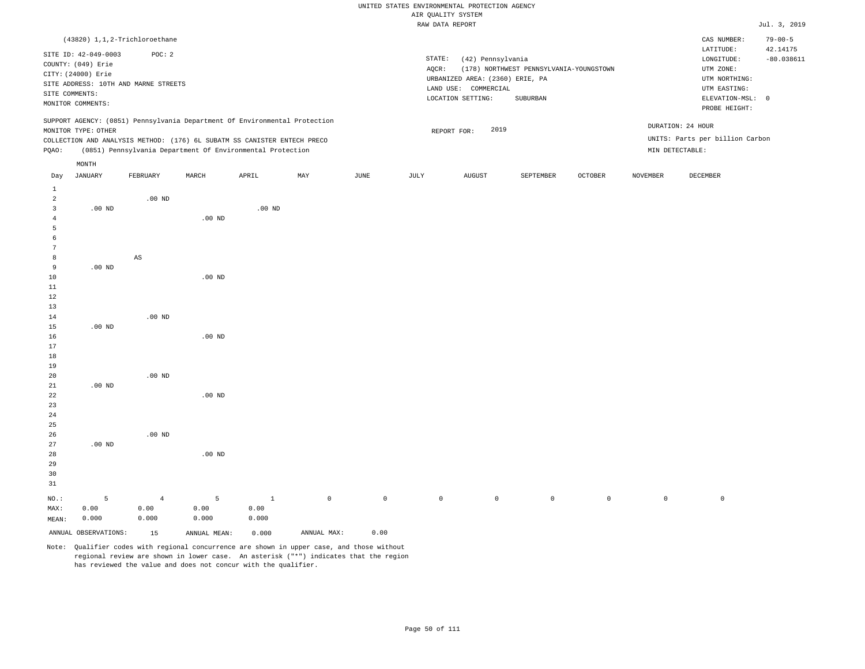# UNITED STATES ENVIRONMENTAL PROTECTION AGENCY ATE OUNT TTY SYSTEM

|                |                      |                                                                            |          |          |     |      |        | AIR QUALITY SYSTEM              |                                         |         |          |                                        |                                           |
|----------------|----------------------|----------------------------------------------------------------------------|----------|----------|-----|------|--------|---------------------------------|-----------------------------------------|---------|----------|----------------------------------------|-------------------------------------------|
|                |                      |                                                                            |          |          |     |      |        | RAW DATA REPORT                 |                                         |         |          |                                        | Jul. 3, 2019                              |
|                | SITE ID: 42-049-0003 | (43820) 1,1,2-Trichloroethane<br>POC: 2                                    |          |          |     |      | STATE: | (42) Pennsylvania               |                                         |         |          | CAS NUMBER:<br>LATITUDE:<br>LONGITUDE: | $79 - 00 - 5$<br>42.14175<br>$-80.038611$ |
|                | COUNTY: (049) Erie   |                                                                            |          |          |     |      | AQCR:  |                                 | (178) NORTHWEST PENNSYLVANIA-YOUNGSTOWN |         |          | UTM ZONE:                              |                                           |
|                | CITY: (24000) Erie   |                                                                            |          |          |     |      |        | URBANIZED AREA: (2360) ERIE, PA |                                         |         |          | UTM NORTHING:                          |                                           |
|                |                      | SITE ADDRESS: 10TH AND MARNE STREETS                                       |          |          |     |      |        | LAND USE: COMMERCIAL            |                                         |         |          | UTM EASTING:                           |                                           |
|                | SITE COMMENTS:       |                                                                            |          |          |     |      |        | LOCATION SETTING:               | SUBURBAN                                |         |          | ELEVATION-MSL: 0                       |                                           |
|                | MONITOR COMMENTS:    |                                                                            |          |          |     |      |        |                                 |                                         |         |          | PROBE HEIGHT:                          |                                           |
|                |                      | SUPPORT AGENCY: (0851) Pennsylvania Department Of Environmental Protection |          |          |     |      |        |                                 |                                         |         |          |                                        |                                           |
|                | MONITOR TYPE: OTHER  |                                                                            |          |          |     |      |        | 2019<br>REPORT FOR:             |                                         |         |          | DURATION: 24 HOUR                      |                                           |
|                |                      | COLLECTION AND ANALYSIS METHOD: (176) 6L SUBATM SS CANISTER ENTECH PRECO   |          |          |     |      |        |                                 |                                         |         |          | UNITS: Parts per billion Carbon        |                                           |
| PQAO:          |                      | (0851) Pennsylvania Department Of Environmental Protection                 |          |          |     |      |        |                                 |                                         |         |          | MIN DETECTABLE:                        |                                           |
|                | MONTH                |                                                                            |          |          |     |      |        |                                 |                                         |         |          |                                        |                                           |
| Day            | JANUARY              | FEBRUARY                                                                   | MARCH    | APRIL    | MAY | JUNE | JULY   | AUGUST                          | SEPTEMBER                               | OCTOBER | NOVEMBER | DECEMBER                               |                                           |
| $\mathbf{1}$   |                      |                                                                            |          |          |     |      |        |                                 |                                         |         |          |                                        |                                           |
| $\overline{a}$ |                      | $.00$ ND                                                                   |          |          |     |      |        |                                 |                                         |         |          |                                        |                                           |
| 3              | $.00$ ND             |                                                                            |          | $.00$ ND |     |      |        |                                 |                                         |         |          |                                        |                                           |
| 4              |                      |                                                                            | $.00$ ND |          |     |      |        |                                 |                                         |         |          |                                        |                                           |
| 5              |                      |                                                                            |          |          |     |      |        |                                 |                                         |         |          |                                        |                                           |
| 6              |                      |                                                                            |          |          |     |      |        |                                 |                                         |         |          |                                        |                                           |
|                |                      |                                                                            |          |          |     |      |        |                                 |                                         |         |          |                                        |                                           |
| 8              |                      | $_{\rm AS}$                                                                |          |          |     |      |        |                                 |                                         |         |          |                                        |                                           |
| 9              | $.00$ ND             |                                                                            |          |          |     |      |        |                                 |                                         |         |          |                                        |                                           |
| 10             |                      |                                                                            | $.00$ ND |          |     |      |        |                                 |                                         |         |          |                                        |                                           |
| 11             |                      |                                                                            |          |          |     |      |        |                                 |                                         |         |          |                                        |                                           |
| 12             |                      |                                                                            |          |          |     |      |        |                                 |                                         |         |          |                                        |                                           |
| 13             |                      |                                                                            |          |          |     |      |        |                                 |                                         |         |          |                                        |                                           |
| 14<br>15       | $.00$ ND             | $.00$ ND                                                                   |          |          |     |      |        |                                 |                                         |         |          |                                        |                                           |
| 16             |                      |                                                                            | $.00$ ND |          |     |      |        |                                 |                                         |         |          |                                        |                                           |
| 17             |                      |                                                                            |          |          |     |      |        |                                 |                                         |         |          |                                        |                                           |
| 18             |                      |                                                                            |          |          |     |      |        |                                 |                                         |         |          |                                        |                                           |
| 19             |                      |                                                                            |          |          |     |      |        |                                 |                                         |         |          |                                        |                                           |
| 20             |                      | $.00$ ND                                                                   |          |          |     |      |        |                                 |                                         |         |          |                                        |                                           |
| 21             | $.00$ ND             |                                                                            |          |          |     |      |        |                                 |                                         |         |          |                                        |                                           |
| 22             |                      |                                                                            | $.00$ ND |          |     |      |        |                                 |                                         |         |          |                                        |                                           |
| 23             |                      |                                                                            |          |          |     |      |        |                                 |                                         |         |          |                                        |                                           |
| 24             |                      |                                                                            |          |          |     |      |        |                                 |                                         |         |          |                                        |                                           |
| 25             |                      |                                                                            |          |          |     |      |        |                                 |                                         |         |          |                                        |                                           |
| 26             |                      | .00 <sub>ND</sub>                                                          |          |          |     |      |        |                                 |                                         |         |          |                                        |                                           |
| 27             | $.00$ ND             |                                                                            |          |          |     |      |        |                                 |                                         |         |          |                                        |                                           |

29 30 31 NO.: MAX: MEAN: 5 0.00 0.000 4 0.00 0.000 5 0.00 0.000 1 0.00 0.000 0 0 0 0 0 0 0 0

ANNUAL OBSERVATIONS: 15 ANNUAL MEAN: 0.000 ANNUAL MAX: 0.00

.00 ND

28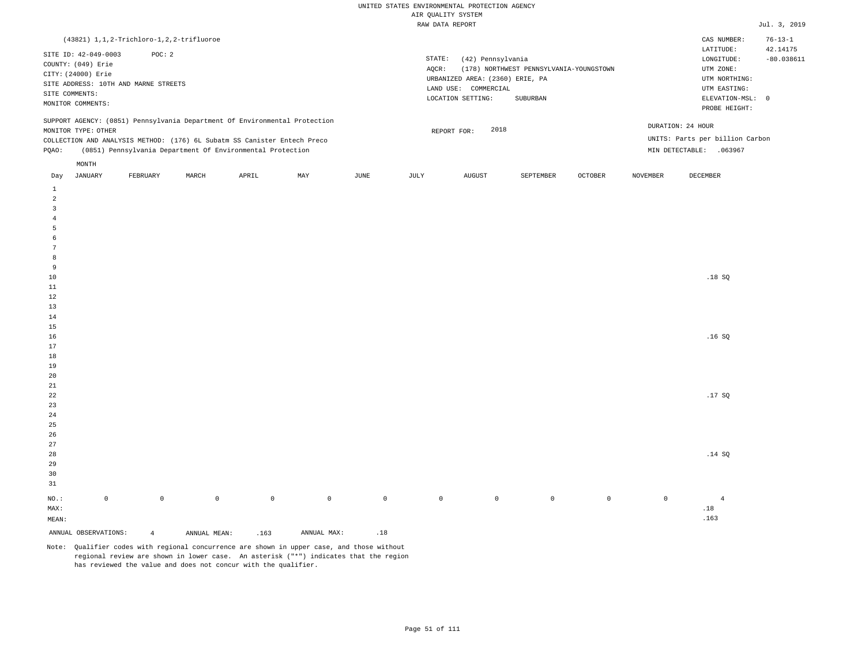| $(43821)$ 1, 1, 2-Trichloro-1, 2, 2-trifluoroe                                                                                                                                                                                                       |          |       |       |     |      |                 |                                                                                                   |                                                     |                |                 | CAS NUMBER:                                                                                                | $76 - 13 - 1$            |
|------------------------------------------------------------------------------------------------------------------------------------------------------------------------------------------------------------------------------------------------------|----------|-------|-------|-----|------|-----------------|---------------------------------------------------------------------------------------------------|-----------------------------------------------------|----------------|-----------------|------------------------------------------------------------------------------------------------------------|--------------------------|
| SITE ID: 42-049-0003<br>COUNTY: (049) Erie<br>CITY: (24000) Erie<br>SITE ADDRESS: 10TH AND MARNE STREETS<br>SITE COMMENTS:<br>MONITOR COMMENTS:                                                                                                      | POC:2    |       |       |     |      | STATE:<br>AOCR: | (42) Pennsylvania<br>URBANIZED AREA: (2360) ERIE, PA<br>LAND USE: COMMERCIAL<br>LOCATION SETTING: | (178) NORTHWEST PENNSYLVANIA-YOUNGSTOWN<br>SUBURBAN |                |                 | LATITUDE:<br>LONGITUDE:<br>UTM ZONE:<br>UTM NORTHING:<br>UTM EASTING:<br>ELEVATION-MSL: 0<br>PROBE HEIGHT: | 42.14175<br>$-80.038611$ |
| SUPPORT AGENCY: (0851) Pennsylvania Department Of Environmental Protection<br>MONITOR TYPE: OTHER<br>COLLECTION AND ANALYSIS METHOD: (176) 6L Subatm SS Canister Entech Preco<br>(0851) Pennsylvania Department Of Environmental Protection<br>POAO: |          |       |       |     |      |                 | 2018<br>REPORT FOR:                                                                               |                                                     |                | MIN DETECTABLE: | DURATION: 24 HOUR<br>UNITS: Parts per billion Carbon<br>.063967                                            |                          |
| MONTH<br>JANUARY<br>Day                                                                                                                                                                                                                              | FEBRUARY | MARCH | APRIL | MAY | JUNE | JULY            | <b>AUGUST</b>                                                                                     | SEPTEMBER                                           | <b>OCTOBER</b> | <b>NOVEMBER</b> | DECEMBER                                                                                                   |                          |

| ANNUAL OBSERVATIONS:       |             | $\overline{4}$ | ANNUAL MEAN: | .163        | $\texttt{ANNUAL}$ $\texttt{MAX}$ : | $\footnotesize\substack{18}$ |             |                |                |         |             |                               |
|----------------------------|-------------|----------------|--------------|-------------|------------------------------------|------------------------------|-------------|----------------|----------------|---------|-------------|-------------------------------|
| $\texttt{MEAN}$ :          |             |                |              |             |                                    |                              |             |                |                |         |             | .163                          |
| MAX:                       |             |                |              |             |                                    |                              |             |                |                |         |             | $\footnotesize{\textbf{.18}}$ |
| $_{\rm NO.}$ :             | $\mathbb O$ | $\mathbb O$    | $\mathbb O$  | $\mathbb O$ | $\mathbb O$                        | $\mathbb O$                  | $\mathbb O$ | $\overline{0}$ | $\overline{0}$ | $\circ$ | $\mathbb O$ | $\overline{4}$                |
| 31                         |             |                |              |             |                                    |                              |             |                |                |         |             |                               |
| $30$                       |             |                |              |             |                                    |                              |             |                |                |         |             |                               |
| 29                         |             |                |              |             |                                    |                              |             |                |                |         |             |                               |
| $28\,$                     |             |                |              |             |                                    |                              |             |                |                |         |             | .14 SQ                        |
| $27$                       |             |                |              |             |                                    |                              |             |                |                |         |             |                               |
| $26$                       |             |                |              |             |                                    |                              |             |                |                |         |             |                               |
| $25$                       |             |                |              |             |                                    |                              |             |                |                |         |             |                               |
| 24                         |             |                |              |             |                                    |                              |             |                |                |         |             |                               |
| $23$                       |             |                |              |             |                                    |                              |             |                |                |         |             | .17 $SQ$                      |
| $2\sqrt{1}$<br>$2\sqrt{2}$ |             |                |              |             |                                    |                              |             |                |                |         |             |                               |
| $20\,$                     |             |                |              |             |                                    |                              |             |                |                |         |             |                               |
| 19                         |             |                |              |             |                                    |                              |             |                |                |         |             |                               |
| $1\,8$                     |             |                |              |             |                                    |                              |             |                |                |         |             |                               |
| $17\,$                     |             |                |              |             |                                    |                              |             |                |                |         |             |                               |
| $16\,$                     |             |                |              |             |                                    |                              |             |                |                |         |             | .16 $SQ$                      |
| $15\,$                     |             |                |              |             |                                    |                              |             |                |                |         |             |                               |
| $14\,$                     |             |                |              |             |                                    |                              |             |                |                |         |             |                               |
| $13\,$                     |             |                |              |             |                                    |                              |             |                |                |         |             |                               |
| $1\,2$                     |             |                |              |             |                                    |                              |             |                |                |         |             |                               |
| $11\,$                     |             |                |              |             |                                    |                              |             |                |                |         |             |                               |
| $10\,$                     |             |                |              |             |                                    |                              |             |                |                |         |             | .18SQ                         |
| 9                          |             |                |              |             |                                    |                              |             |                |                |         |             |                               |
| $\boldsymbol{8}$           |             |                |              |             |                                    |                              |             |                |                |         |             |                               |
| $7\phantom{.0}$            |             |                |              |             |                                    |                              |             |                |                |         |             |                               |
| 6                          |             |                |              |             |                                    |                              |             |                |                |         |             |                               |
| $\overline{4}$<br>5        |             |                |              |             |                                    |                              |             |                |                |         |             |                               |
| $\overline{3}$             |             |                |              |             |                                    |                              |             |                |                |         |             |                               |
| $\overline{\mathbf{c}}$    |             |                |              |             |                                    |                              |             |                |                |         |             |                               |
| $\,$ 1                     |             |                |              |             |                                    |                              |             |                |                |         |             |                               |
|                            |             |                |              |             |                                    |                              |             |                |                |         |             |                               |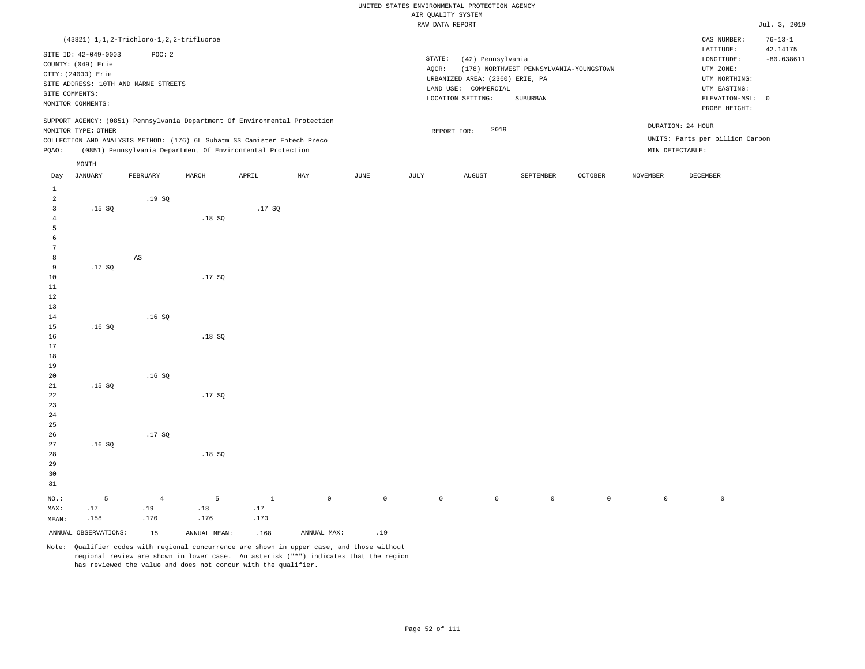|                |                      |                                              |                                                                            |              |             |                     | RAW DATA REPORT |                                 |                                         |                |                 |                                 | Jul. 3, 2019  |
|----------------|----------------------|----------------------------------------------|----------------------------------------------------------------------------|--------------|-------------|---------------------|-----------------|---------------------------------|-----------------------------------------|----------------|-----------------|---------------------------------|---------------|
|                |                      | (43821) 1, 1, 2-Trichloro-1, 2, 2-trifluoroe |                                                                            |              |             |                     |                 |                                 |                                         |                |                 | CAS NUMBER:                     | $76 - 13 - 1$ |
|                |                      |                                              |                                                                            |              |             |                     |                 |                                 |                                         |                |                 | LATITUDE:                       | 42.14175      |
|                | SITE ID: 42-049-0003 | POC: 2                                       |                                                                            |              |             |                     | STATE:          | (42) Pennsylvania               |                                         |                |                 | LONGITUDE:                      | $-80.038611$  |
|                | COUNTY: (049) Erie   |                                              |                                                                            |              |             |                     | AQCR:           |                                 | (178) NORTHWEST PENNSYLVANIA-YOUNGSTOWN |                |                 | UTM ZONE:                       |               |
|                | CITY: (24000) Erie   | SITE ADDRESS: 10TH AND MARNE STREETS         |                                                                            |              |             |                     |                 | URBANIZED AREA: (2360) ERIE, PA |                                         |                |                 | UTM NORTHING:                   |               |
| SITE COMMENTS: |                      |                                              |                                                                            |              |             |                     |                 | LAND USE: COMMERCIAL            |                                         |                |                 | UTM EASTING:                    |               |
|                | MONITOR COMMENTS:    |                                              |                                                                            |              |             |                     |                 | LOCATION SETTING:               | SUBURBAN                                |                |                 | ELEVATION-MSL: 0                |               |
|                |                      |                                              |                                                                            |              |             |                     |                 |                                 |                                         |                |                 | PROBE HEIGHT:                   |               |
|                |                      |                                              | SUPPORT AGENCY: (0851) Pennsylvania Department Of Environmental Protection |              |             |                     |                 |                                 |                                         |                |                 | DURATION: 24 HOUR               |               |
|                | MONITOR TYPE: OTHER  |                                              |                                                                            |              |             |                     |                 | 2019<br>REPORT FOR:             |                                         |                |                 |                                 |               |
|                |                      |                                              | COLLECTION AND ANALYSIS METHOD: (176) 6L Subatm SS Canister Entech Preco   |              |             |                     |                 |                                 |                                         |                |                 | UNITS: Parts per billion Carbon |               |
| PQAO:          |                      |                                              | (0851) Pennsylvania Department Of Environmental Protection                 |              |             |                     |                 |                                 |                                         |                | MIN DETECTABLE: |                                 |               |
|                | MONTH                |                                              |                                                                            |              |             |                     |                 |                                 |                                         |                |                 |                                 |               |
| Day            | <b>JANUARY</b>       | FEBRUARY                                     | MARCH                                                                      | APRIL        | MAY         | JUNE                | JULY            | AUGUST                          | SEPTEMBER                               | <b>OCTOBER</b> | NOVEMBER        | DECEMBER                        |               |
| $\mathbf{1}$   |                      |                                              |                                                                            |              |             |                     |                 |                                 |                                         |                |                 |                                 |               |
| $\overline{a}$ |                      | .19SQ                                        |                                                                            |              |             |                     |                 |                                 |                                         |                |                 |                                 |               |
| 3              | .15S                 |                                              |                                                                            | .17SQ        |             |                     |                 |                                 |                                         |                |                 |                                 |               |
| $\overline{4}$ |                      |                                              | .18S                                                                       |              |             |                     |                 |                                 |                                         |                |                 |                                 |               |
| 5              |                      |                                              |                                                                            |              |             |                     |                 |                                 |                                         |                |                 |                                 |               |
| 6              |                      |                                              |                                                                            |              |             |                     |                 |                                 |                                         |                |                 |                                 |               |
| 7              |                      |                                              |                                                                            |              |             |                     |                 |                                 |                                         |                |                 |                                 |               |
| 8              |                      | $_{\rm AS}$                                  |                                                                            |              |             |                     |                 |                                 |                                         |                |                 |                                 |               |
| 9              | .17SQ                |                                              |                                                                            |              |             |                     |                 |                                 |                                         |                |                 |                                 |               |
| 10             |                      |                                              | .17SQ                                                                      |              |             |                     |                 |                                 |                                         |                |                 |                                 |               |
| 11             |                      |                                              |                                                                            |              |             |                     |                 |                                 |                                         |                |                 |                                 |               |
| $1\,2$<br>13   |                      |                                              |                                                                            |              |             |                     |                 |                                 |                                         |                |                 |                                 |               |
| 14             |                      | .16S                                         |                                                                            |              |             |                     |                 |                                 |                                         |                |                 |                                 |               |
| 15             | .16SQ                |                                              |                                                                            |              |             |                     |                 |                                 |                                         |                |                 |                                 |               |
| 16             |                      |                                              | .18S                                                                       |              |             |                     |                 |                                 |                                         |                |                 |                                 |               |
| 17             |                      |                                              |                                                                            |              |             |                     |                 |                                 |                                         |                |                 |                                 |               |
| 18             |                      |                                              |                                                                            |              |             |                     |                 |                                 |                                         |                |                 |                                 |               |
| 19             |                      |                                              |                                                                            |              |             |                     |                 |                                 |                                         |                |                 |                                 |               |
| 20             |                      | .16SQ                                        |                                                                            |              |             |                     |                 |                                 |                                         |                |                 |                                 |               |
| 21             | .15S                 |                                              |                                                                            |              |             |                     |                 |                                 |                                         |                |                 |                                 |               |
| 22             |                      |                                              | .17SQ                                                                      |              |             |                     |                 |                                 |                                         |                |                 |                                 |               |
| 23             |                      |                                              |                                                                            |              |             |                     |                 |                                 |                                         |                |                 |                                 |               |
| 24             |                      |                                              |                                                                            |              |             |                     |                 |                                 |                                         |                |                 |                                 |               |
| 25             |                      |                                              |                                                                            |              |             |                     |                 |                                 |                                         |                |                 |                                 |               |
| 26<br>27       | .16S                 | .17SQ                                        |                                                                            |              |             |                     |                 |                                 |                                         |                |                 |                                 |               |
| 28             |                      |                                              | .18SQ                                                                      |              |             |                     |                 |                                 |                                         |                |                 |                                 |               |
| 29             |                      |                                              |                                                                            |              |             |                     |                 |                                 |                                         |                |                 |                                 |               |
| 30             |                      |                                              |                                                                            |              |             |                     |                 |                                 |                                         |                |                 |                                 |               |
| 31             |                      |                                              |                                                                            |              |             |                     |                 |                                 |                                         |                |                 |                                 |               |
| NO.:           | 5                    |                                              | 5                                                                          | $\mathbf{1}$ | $\mathbb O$ | $\mathsf{O}\xspace$ | $\mathsf{O}$    | $\circ$                         | $\circ$                                 | $\mathbb O$    | $\circ$         | $\mathbb O$                     |               |
| MAX:           | .17                  | $\overline{4}$<br>.19                        | $.18\,$                                                                    | .17          |             |                     |                 |                                 |                                         |                |                 |                                 |               |
| MEAN:          | .158                 | .170                                         | .176                                                                       | .170         |             |                     |                 |                                 |                                         |                |                 |                                 |               |
|                |                      |                                              |                                                                            |              |             |                     |                 |                                 |                                         |                |                 |                                 |               |
|                | ANNUAL OBSERVATIONS: | 15                                           | ANNUAL MEAN:                                                               | .168         | ANNUAL MAX: | .19                 |                 |                                 |                                         |                |                 |                                 |               |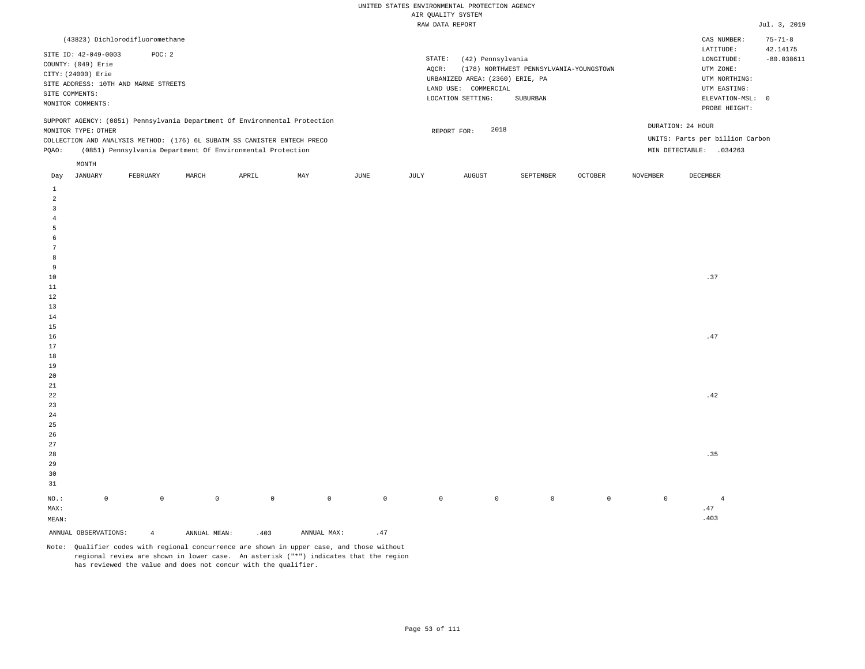| (43823) Dichlorodifluoromethane                                                                                                                                                                                                                               |                                                                                                                                                                             | CAS NUMBER:                                                                                                | $75 - 71 - 8$            |
|---------------------------------------------------------------------------------------------------------------------------------------------------------------------------------------------------------------------------------------------------------------|-----------------------------------------------------------------------------------------------------------------------------------------------------------------------------|------------------------------------------------------------------------------------------------------------|--------------------------|
| SITE ID: 42-049-0003<br>POC:2<br>COUNTY: (049) Erie<br>CITY: (24000) Erie<br>SITE ADDRESS: 10TH AND MARNE STREETS<br>SITE COMMENTS:<br>MONITOR COMMENTS:                                                                                                      | STATE:<br>(42) Pennsylvania<br>(178) NORTHWEST PENNSYLVANIA-YOUNGSTOWN<br>AOCR:<br>URBANIZED AREA: (2360) ERIE, PA<br>LAND USE: COMMERCIAL<br>LOCATION SETTING:<br>SUBURBAN | LATITUDE:<br>LONGITUDE:<br>UTM ZONE:<br>UTM NORTHING:<br>UTM EASTING:<br>ELEVATION-MSL: 0<br>PROBE HEIGHT: | 42.14175<br>$-80.038611$ |
| SUPPORT AGENCY: (0851) Pennsylvania Department Of Environmental Protection<br>MONITOR TYPE: OTHER<br>COLLECTION AND ANALYSIS METHOD: (176) 6L SUBATM SS CANISTER ENTECH PRECO<br>(0851) Pennsylvania Department Of Environmental Protection<br>POAO:<br>MONTH | 2018<br>REPORT FOR:                                                                                                                                                         | DURATION: 24 HOUR<br>UNITS: Parts per billion Carbon<br>MIN DETECTABLE:<br>.034263                         |                          |

| Day                   | JANUARY              | FEBRUARY       | MARCH        | APRIL   | MAY         | JUNE         | JULY        | AUGUST      | SEPTEMBER   | OCTOBER     | NOVEMBER    | DECEMBER                    |
|-----------------------|----------------------|----------------|--------------|---------|-------------|--------------|-------------|-------------|-------------|-------------|-------------|-----------------------------|
| $\mathbf{1}$          |                      |                |              |         |             |              |             |             |             |             |             |                             |
| $\overline{a}$        |                      |                |              |         |             |              |             |             |             |             |             |                             |
| 3                     |                      |                |              |         |             |              |             |             |             |             |             |                             |
| $\overline{4}$        |                      |                |              |         |             |              |             |             |             |             |             |                             |
| 5                     |                      |                |              |         |             |              |             |             |             |             |             |                             |
| 6                     |                      |                |              |         |             |              |             |             |             |             |             |                             |
| $\overline{7}$        |                      |                |              |         |             |              |             |             |             |             |             |                             |
| 8                     |                      |                |              |         |             |              |             |             |             |             |             |                             |
| 9                     |                      |                |              |         |             |              |             |             |             |             |             |                             |
| $10\,$                |                      |                |              |         |             |              |             |             |             |             |             | .37                         |
| $11\,$                |                      |                |              |         |             |              |             |             |             |             |             |                             |
| $12\,$                |                      |                |              |         |             |              |             |             |             |             |             |                             |
| 13                    |                      |                |              |         |             |              |             |             |             |             |             |                             |
| 14                    |                      |                |              |         |             |              |             |             |             |             |             |                             |
| 15                    |                      |                |              |         |             |              |             |             |             |             |             |                             |
| 16                    |                      |                |              |         |             |              |             |             |             |             |             | $\boldsymbol{\mathsf{.47}}$ |
| 17                    |                      |                |              |         |             |              |             |             |             |             |             |                             |
| 18                    |                      |                |              |         |             |              |             |             |             |             |             |                             |
| 19                    |                      |                |              |         |             |              |             |             |             |             |             |                             |
| $20\,$                |                      |                |              |         |             |              |             |             |             |             |             |                             |
| $2\sqrt{1}$           |                      |                |              |         |             |              |             |             |             |             |             |                             |
| $_{\rm 22}$           |                      |                |              |         |             |              |             |             |             |             |             | .42                         |
| $23\,$                |                      |                |              |         |             |              |             |             |             |             |             |                             |
| ${\bf 24}$            |                      |                |              |         |             |              |             |             |             |             |             |                             |
| $2\sqrt{5}$<br>$26\,$ |                      |                |              |         |             |              |             |             |             |             |             |                             |
| $27\,$                |                      |                |              |         |             |              |             |             |             |             |             |                             |
| 28                    |                      |                |              |         |             |              |             |             |             |             |             | .35                         |
| 29                    |                      |                |              |         |             |              |             |             |             |             |             |                             |
| 30                    |                      |                |              |         |             |              |             |             |             |             |             |                             |
| 31                    |                      |                |              |         |             |              |             |             |             |             |             |                             |
|                       |                      |                |              |         |             |              |             |             |             |             |             |                             |
| $_{\rm NO.}$ :        | $\mathbb O$          | $\mathbb O$    | $\mathbb O$  | $\circ$ | $\mathbb O$ | $\mathsf{O}$ | $\mathbb O$ | $\mathsf 0$ | $\mathsf 0$ | $\mathbb O$ | $\mathbb O$ | $\overline{4}$              |
| MAX:                  |                      |                |              |         |             |              |             |             |             |             |             | $\boldsymbol{\mathsf{.47}}$ |
| MEAN:                 |                      |                |              |         |             |              |             |             |             |             |             | .403                        |
|                       | ANNUAL OBSERVATIONS: | $\overline{4}$ | ANNUAL MEAN: | .403    | ANNUAL MAX: | .47          |             |             |             |             |             |                             |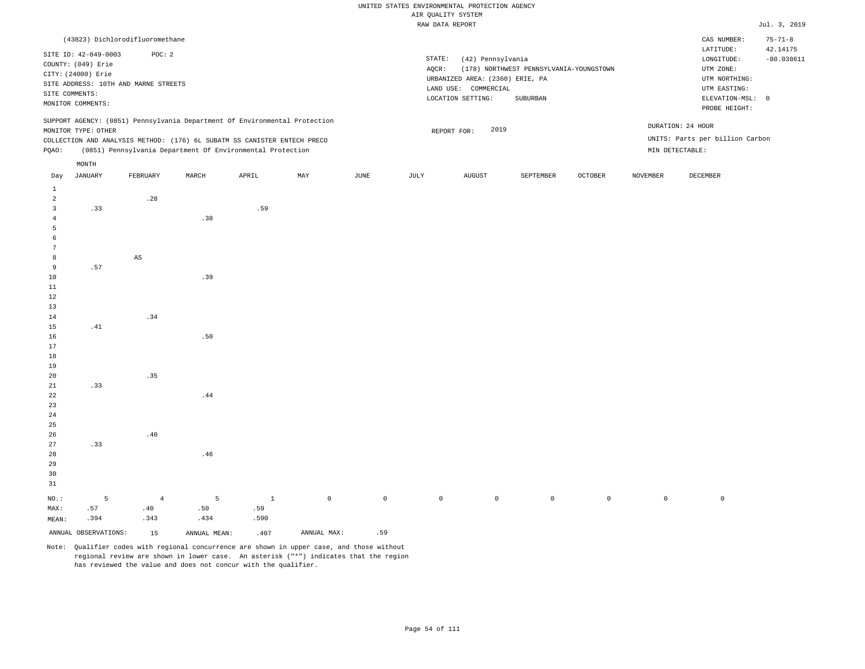|                 |                                            |                                      |                                                                            |              |             |             |             | RAW DATA REPORT                 |                                         |                |                 |                                 | Jul. 3, 2019  |
|-----------------|--------------------------------------------|--------------------------------------|----------------------------------------------------------------------------|--------------|-------------|-------------|-------------|---------------------------------|-----------------------------------------|----------------|-----------------|---------------------------------|---------------|
|                 |                                            | (43823) Dichlorodifluoromethane      |                                                                            |              |             |             |             |                                 |                                         |                |                 | CAS NUMBER:                     | $75 - 71 - 8$ |
|                 |                                            | POC: 2                               |                                                                            |              |             |             |             |                                 |                                         |                |                 | LATITUDE:                       | 42.14175      |
|                 | SITE ID: 42-049-0003<br>COUNTY: (049) Erie |                                      |                                                                            |              |             |             | STATE:      | (42) Pennsylvania               |                                         |                |                 | LONGITUDE:                      | $-80.038611$  |
|                 | CITY: (24000) Erie                         |                                      |                                                                            |              |             |             | $AQCR$ :    |                                 | (178) NORTHWEST PENNSYLVANIA-YOUNGSTOWN |                |                 | UTM ZONE:                       |               |
|                 |                                            | SITE ADDRESS: 10TH AND MARNE STREETS |                                                                            |              |             |             |             | URBANIZED AREA: (2360) ERIE, PA |                                         |                |                 | UTM NORTHING:                   |               |
|                 |                                            |                                      |                                                                            |              |             |             |             | LAND USE: COMMERCIAL            |                                         |                |                 | UTM EASTING:                    |               |
|                 | SITE COMMENTS:<br>MONITOR COMMENTS:        |                                      |                                                                            |              |             |             |             | LOCATION SETTING:               | SUBURBAN                                |                |                 | ELEVATION-MSL: 0                |               |
|                 |                                            |                                      |                                                                            |              |             |             |             |                                 |                                         |                |                 | PROBE HEIGHT:                   |               |
|                 |                                            |                                      | SUPPORT AGENCY: (0851) Pennsylvania Department Of Environmental Protection |              |             |             |             |                                 |                                         |                |                 | DURATION: 24 HOUR               |               |
|                 | MONITOR TYPE: OTHER                        |                                      |                                                                            |              |             |             |             | 2019<br>REPORT FOR:             |                                         |                |                 |                                 |               |
|                 |                                            |                                      | COLLECTION AND ANALYSIS METHOD: (176) 6L SUBATM SS CANISTER ENTECH PRECO   |              |             |             |             |                                 |                                         |                |                 | UNITS: Parts per billion Carbon |               |
| PQAO:           |                                            |                                      | (0851) Pennsylvania Department Of Environmental Protection                 |              |             |             |             |                                 |                                         |                |                 | MIN DETECTABLE:                 |               |
|                 | MONTH                                      |                                      |                                                                            |              |             |             |             |                                 |                                         |                |                 |                                 |               |
| Day             | JANUARY                                    | FEBRUARY                             | MARCH                                                                      | APRIL        | MAY         | JUNE        | JULY        | <b>AUGUST</b>                   | SEPTEMBER                               | <b>OCTOBER</b> | <b>NOVEMBER</b> | DECEMBER                        |               |
| $\mathbf{1}$    |                                            |                                      |                                                                            |              |             |             |             |                                 |                                         |                |                 |                                 |               |
| $\overline{a}$  |                                            | .28                                  |                                                                            |              |             |             |             |                                 |                                         |                |                 |                                 |               |
| $\mathbf{3}$    | .33                                        |                                      |                                                                            | .59          |             |             |             |                                 |                                         |                |                 |                                 |               |
| $\overline{4}$  |                                            |                                      | .38                                                                        |              |             |             |             |                                 |                                         |                |                 |                                 |               |
| 5               |                                            |                                      |                                                                            |              |             |             |             |                                 |                                         |                |                 |                                 |               |
| 6               |                                            |                                      |                                                                            |              |             |             |             |                                 |                                         |                |                 |                                 |               |
| $7\phantom{.0}$ |                                            |                                      |                                                                            |              |             |             |             |                                 |                                         |                |                 |                                 |               |
| 8               |                                            | $\mathbb{A}\mathbb{S}$               |                                                                            |              |             |             |             |                                 |                                         |                |                 |                                 |               |
| 9               | .57                                        |                                      | .39                                                                        |              |             |             |             |                                 |                                         |                |                 |                                 |               |
| 10<br>11        |                                            |                                      |                                                                            |              |             |             |             |                                 |                                         |                |                 |                                 |               |
| 12              |                                            |                                      |                                                                            |              |             |             |             |                                 |                                         |                |                 |                                 |               |
| 13              |                                            |                                      |                                                                            |              |             |             |             |                                 |                                         |                |                 |                                 |               |
| 14              |                                            | .34                                  |                                                                            |              |             |             |             |                                 |                                         |                |                 |                                 |               |
| 15              | .41                                        |                                      |                                                                            |              |             |             |             |                                 |                                         |                |                 |                                 |               |
| 16              |                                            |                                      | .50                                                                        |              |             |             |             |                                 |                                         |                |                 |                                 |               |
| 17              |                                            |                                      |                                                                            |              |             |             |             |                                 |                                         |                |                 |                                 |               |
| 18              |                                            |                                      |                                                                            |              |             |             |             |                                 |                                         |                |                 |                                 |               |
| 19              |                                            |                                      |                                                                            |              |             |             |             |                                 |                                         |                |                 |                                 |               |
| 20              |                                            | .35                                  |                                                                            |              |             |             |             |                                 |                                         |                |                 |                                 |               |
| 21              | .33                                        |                                      |                                                                            |              |             |             |             |                                 |                                         |                |                 |                                 |               |
| 22              |                                            |                                      | .44                                                                        |              |             |             |             |                                 |                                         |                |                 |                                 |               |
| 23              |                                            |                                      |                                                                            |              |             |             |             |                                 |                                         |                |                 |                                 |               |
| 24              |                                            |                                      |                                                                            |              |             |             |             |                                 |                                         |                |                 |                                 |               |
| 25              |                                            |                                      |                                                                            |              |             |             |             |                                 |                                         |                |                 |                                 |               |
| 26              |                                            | .40                                  |                                                                            |              |             |             |             |                                 |                                         |                |                 |                                 |               |
| 27              | .33                                        |                                      |                                                                            |              |             |             |             |                                 |                                         |                |                 |                                 |               |
| 28              |                                            |                                      | .46                                                                        |              |             |             |             |                                 |                                         |                |                 |                                 |               |
| 29              |                                            |                                      |                                                                            |              |             |             |             |                                 |                                         |                |                 |                                 |               |
| 30              |                                            |                                      |                                                                            |              |             |             |             |                                 |                                         |                |                 |                                 |               |
| 31              |                                            |                                      |                                                                            |              |             |             |             |                                 |                                         |                |                 |                                 |               |
| NO.:            | 5                                          | $\overline{4}$                       | 5                                                                          | $\mathbf{1}$ | $\mathbb O$ | $\mathbb O$ | $\mathbb O$ | $\mathbb O$                     | $\mathbb O$                             | $\mathbb O$    | $\mathbb O$     | $\mathbb O$                     |               |
| MAX:            | .57                                        | .40                                  | .50                                                                        | .59          |             |             |             |                                 |                                         |                |                 |                                 |               |
| MEAN:           | .394                                       | .343                                 | .434                                                                       | .590         |             |             |             |                                 |                                         |                |                 |                                 |               |
|                 | ANNUAL OBSERVATIONS:                       | 15                                   | ANNUAL MEAN:                                                               | .407         | ANNUAL MAX: | .59         |             |                                 |                                         |                |                 |                                 |               |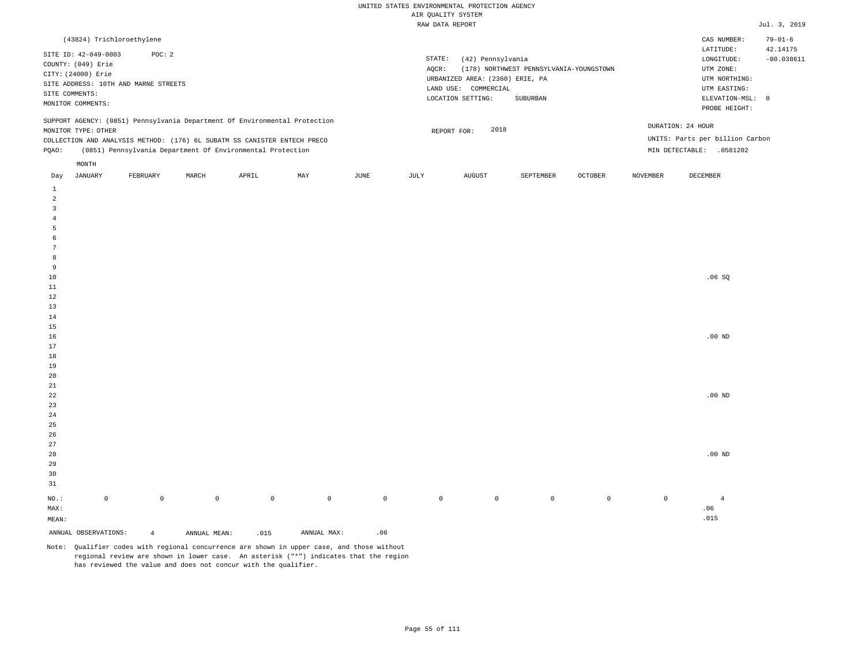| (43824) Trichloroethylene                                                                                                                                                                                                                                     |                                                                                                                                                                             | CAS NUMBER:                                                                                                | $79 - 01 - 6$            |
|---------------------------------------------------------------------------------------------------------------------------------------------------------------------------------------------------------------------------------------------------------------|-----------------------------------------------------------------------------------------------------------------------------------------------------------------------------|------------------------------------------------------------------------------------------------------------|--------------------------|
| SITE ID: 42-049-0003<br>POC: 2<br>COUNTY: (049) Erie<br>CITY: (24000) Erie<br>SITE ADDRESS: 10TH AND MARNE STREETS<br>SITE COMMENTS:<br>MONITOR COMMENTS:                                                                                                     | STATE:<br>(42) Pennsylvania<br>(178) NORTHWEST PENNSYLVANIA-YOUNGSTOWN<br>AOCR:<br>URBANIZED AREA: (2360) ERIE, PA<br>LAND USE: COMMERCIAL<br>LOCATION SETTING:<br>SUBURBAN | LATITUDE:<br>LONGITUDE:<br>UTM ZONE:<br>UTM NORTHING:<br>UTM EASTING:<br>ELEVATION-MSL: 0<br>PROBE HEIGHT: | 42.14175<br>$-80.038611$ |
| SUPPORT AGENCY: (0851) Pennsylvania Department Of Environmental Protection<br>MONITOR TYPE: OTHER<br>COLLECTION AND ANALYSIS METHOD: (176) 6L SUBATM SS CANISTER ENTECH PRECO<br>(0851) Pennsylvania Department Of Environmental Protection<br>POAO:<br>MONTH | 2018<br>REPORT FOR:                                                                                                                                                         | DURATION: 24 HOUR<br>UNITS: Parts per billion Carbon<br>MIN DETECTABLE:<br>.0581202                        |                          |
|                                                                                                                                                                                                                                                               | the contract of the contract of the contract of                                                                                                                             |                                                                                                            |                          |

| Day                     | JANUARY              | FEBRUARY       | MARCH        | APRIL       | MAY         | JUNE        | JULY        | AUGUST      | SEPTEMBER   | OCTOBER     | NOVEMBER    | DECEMBER       |
|-------------------------|----------------------|----------------|--------------|-------------|-------------|-------------|-------------|-------------|-------------|-------------|-------------|----------------|
| $\mathbf{1}$            |                      |                |              |             |             |             |             |             |             |             |             |                |
| $\overline{\mathbf{c}}$ |                      |                |              |             |             |             |             |             |             |             |             |                |
| 3                       |                      |                |              |             |             |             |             |             |             |             |             |                |
| $\overline{4}$          |                      |                |              |             |             |             |             |             |             |             |             |                |
| 5                       |                      |                |              |             |             |             |             |             |             |             |             |                |
| 6                       |                      |                |              |             |             |             |             |             |             |             |             |                |
| $\overline{7}$          |                      |                |              |             |             |             |             |             |             |             |             |                |
| 8                       |                      |                |              |             |             |             |             |             |             |             |             |                |
| 9                       |                      |                |              |             |             |             |             |             |             |             |             |                |
| $10$                    |                      |                |              |             |             |             |             |             |             |             |             | .06SQ          |
| $11\,$                  |                      |                |              |             |             |             |             |             |             |             |             |                |
| 12                      |                      |                |              |             |             |             |             |             |             |             |             |                |
| 13                      |                      |                |              |             |             |             |             |             |             |             |             |                |
| $14\,$                  |                      |                |              |             |             |             |             |             |             |             |             |                |
| $15\,$                  |                      |                |              |             |             |             |             |             |             |             |             |                |
| 16                      |                      |                |              |             |             |             |             |             |             |             |             | .00 $ND$       |
| $17\,$                  |                      |                |              |             |             |             |             |             |             |             |             |                |
| $18\,$                  |                      |                |              |             |             |             |             |             |             |             |             |                |
| 19                      |                      |                |              |             |             |             |             |             |             |             |             |                |
| $20\,$                  |                      |                |              |             |             |             |             |             |             |             |             |                |
| $2\sqrt{1}$             |                      |                |              |             |             |             |             |             |             |             |             | .00 $ND$       |
| $^{\rm 22}$<br>$23\,$   |                      |                |              |             |             |             |             |             |             |             |             |                |
| ${\bf 24}$              |                      |                |              |             |             |             |             |             |             |             |             |                |
| $2\sqrt{5}$             |                      |                |              |             |             |             |             |             |             |             |             |                |
| $26\,$                  |                      |                |              |             |             |             |             |             |             |             |             |                |
| $27\,$                  |                      |                |              |             |             |             |             |             |             |             |             |                |
| $28\,$                  |                      |                |              |             |             |             |             |             |             |             |             | .00 $ND$       |
| 29                      |                      |                |              |             |             |             |             |             |             |             |             |                |
| 30                      |                      |                |              |             |             |             |             |             |             |             |             |                |
| 31                      |                      |                |              |             |             |             |             |             |             |             |             |                |
| $_{\rm NO.}$ :          | $\mathsf 0$          | $\mathbb O$    | $\mathbb O$  | $\mathbb O$ | $\mathbb O$ | $\mathbb O$ | $\mathbb O$ | $\mathbb O$ | $\mathbb O$ | $\mathbb O$ | $\mathbb O$ | $\overline{4}$ |
| MAX:                    |                      |                |              |             |             |             |             |             |             |             |             | .06            |
| MEAN:                   |                      |                |              |             |             |             |             |             |             |             |             | .015           |
|                         | ANNUAL OBSERVATIONS: | $\overline{4}$ | ANNUAL MEAN: | .015        | ANNUAL MAX: | .06         |             |             |             |             |             |                |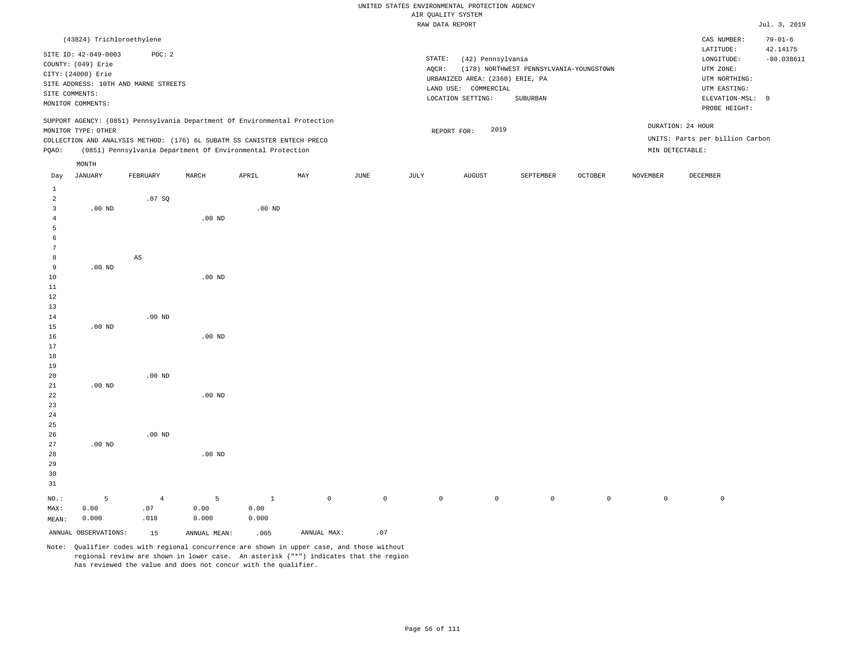|                |                           |                                      |          |                                                                            |     |      |        | WITCIS TITHUY AIR               |                                         |                |          |                                 |                           |
|----------------|---------------------------|--------------------------------------|----------|----------------------------------------------------------------------------|-----|------|--------|---------------------------------|-----------------------------------------|----------------|----------|---------------------------------|---------------------------|
|                |                           |                                      |          |                                                                            |     |      |        | RAW DATA REPORT                 |                                         |                |          |                                 | Jul. 3, 2019              |
|                | (43824) Trichloroethylene |                                      |          |                                                                            |     |      |        |                                 |                                         |                |          | CAS NUMBER:<br>LATITUDE:        | $79 - 01 - 6$<br>42.14175 |
|                | SITE ID: 42-049-0003      | POC: 2                               |          |                                                                            |     |      | STATE: | (42) Pennsylvania               |                                         |                |          | LONGITUDE:                      | $-80.038611$              |
|                | COUNTY: (049) Erie        |                                      |          |                                                                            |     |      | AQCR:  |                                 | (178) NORTHWEST PENNSYLVANIA-YOUNGSTOWN |                |          | UTM ZONE:                       |                           |
|                | CITY: (24000) Erie        |                                      |          |                                                                            |     |      |        | URBANIZED AREA: (2360) ERIE, PA |                                         |                |          | UTM NORTHING:                   |                           |
|                |                           | SITE ADDRESS: 10TH AND MARNE STREETS |          |                                                                            |     |      |        | LAND USE: COMMERCIAL            |                                         |                |          | UTM EASTING:                    |                           |
|                | SITE COMMENTS:            |                                      |          |                                                                            |     |      |        | LOCATION SETTING:               | SUBURBAN                                |                |          | ELEVATION-MSL: 0                |                           |
|                | MONITOR COMMENTS:         |                                      |          |                                                                            |     |      |        |                                 |                                         |                |          | PROBE HEIGHT:                   |                           |
|                | MONITOR TYPE: OTHER       |                                      |          | SUPPORT AGENCY: (0851) Pennsylvania Department Of Environmental Protection |     |      |        | 2019                            |                                         |                |          | DURATION: 24 HOUR               |                           |
|                |                           |                                      |          | COLLECTION AND ANALYSIS METHOD: (176) 6L SUBATM SS CANISTER ENTECH PRECO   |     |      |        | REPORT FOR:                     |                                         |                |          | UNITS: Parts per billion Carbon |                           |
|                |                           |                                      |          | (0851) Pennsylvania Department Of Environmental Protection                 |     |      |        |                                 |                                         |                |          |                                 |                           |
| PQAO:          |                           |                                      |          |                                                                            |     |      |        |                                 |                                         |                |          | MIN DETECTABLE:                 |                           |
| Day            | MONTH<br>JANUARY          | FEBRUARY                             | MARCH    | APRIL                                                                      | MAY | JUNE | JULY   | AUGUST                          | SEPTEMBER                               | <b>OCTOBER</b> | NOVEMBER | <b>DECEMBER</b>                 |                           |
| 1              |                           |                                      |          |                                                                            |     |      |        |                                 |                                         |                |          |                                 |                           |
| $\overline{2}$ |                           | .07 SQ                               |          |                                                                            |     |      |        |                                 |                                         |                |          |                                 |                           |
| 3              | $.00$ ND                  |                                      |          | .00 <sub>ND</sub>                                                          |     |      |        |                                 |                                         |                |          |                                 |                           |
| $\overline{4}$ |                           |                                      | $.00$ ND |                                                                            |     |      |        |                                 |                                         |                |          |                                 |                           |
| 5              |                           |                                      |          |                                                                            |     |      |        |                                 |                                         |                |          |                                 |                           |
| 6              |                           |                                      |          |                                                                            |     |      |        |                                 |                                         |                |          |                                 |                           |
| 7              |                           |                                      |          |                                                                            |     |      |        |                                 |                                         |                |          |                                 |                           |
| 8              |                           | $_{\rm AS}$                          |          |                                                                            |     |      |        |                                 |                                         |                |          |                                 |                           |
| 9              | $.00$ ND                  |                                      |          |                                                                            |     |      |        |                                 |                                         |                |          |                                 |                           |
| 10             |                           |                                      | $.00$ ND |                                                                            |     |      |        |                                 |                                         |                |          |                                 |                           |
| 11             |                           |                                      |          |                                                                            |     |      |        |                                 |                                         |                |          |                                 |                           |
| $1\,2$         |                           |                                      |          |                                                                            |     |      |        |                                 |                                         |                |          |                                 |                           |
| 13             |                           |                                      |          |                                                                            |     |      |        |                                 |                                         |                |          |                                 |                           |
| 14             |                           | .00 <sub>ND</sub>                    |          |                                                                            |     |      |        |                                 |                                         |                |          |                                 |                           |
| 15             | $.00$ ND                  |                                      |          |                                                                            |     |      |        |                                 |                                         |                |          |                                 |                           |
| 16             |                           |                                      | $.00$ ND |                                                                            |     |      |        |                                 |                                         |                |          |                                 |                           |
| 17             |                           |                                      |          |                                                                            |     |      |        |                                 |                                         |                |          |                                 |                           |
| 18             |                           |                                      |          |                                                                            |     |      |        |                                 |                                         |                |          |                                 |                           |
| 19             |                           |                                      |          |                                                                            |     |      |        |                                 |                                         |                |          |                                 |                           |
| 20             |                           | $.00$ ND                             |          |                                                                            |     |      |        |                                 |                                         |                |          |                                 |                           |
| 21             | $.00$ ND                  |                                      |          |                                                                            |     |      |        |                                 |                                         |                |          |                                 |                           |
| 22             |                           |                                      | $.00$ ND |                                                                            |     |      |        |                                 |                                         |                |          |                                 |                           |
| 23             |                           |                                      |          |                                                                            |     |      |        |                                 |                                         |                |          |                                 |                           |
| 24             |                           |                                      |          |                                                                            |     |      |        |                                 |                                         |                |          |                                 |                           |
| 25             |                           |                                      |          |                                                                            |     |      |        |                                 |                                         |                |          |                                 |                           |
|                |                           |                                      |          |                                                                            |     |      |        |                                 |                                         |                |          |                                 |                           |

Note: Qualifier codes with regional concurrence are shown in upper case, and those without regional review are shown in lower case. An asterisk ("\*") indicates that the region has reviewed the value and does not concur with the qualifier.

.00 ND

5 0.00 0.000

ANNUAL OBSERVATIONS: 15 ANNUAL MEAN: .005 ANNUAL MAX: .07

1 0.00 0.000

NO.: MAX: MEAN: .00 ND

.00 ND

4 .07 .018

5 0.00 0.000

0 0 0 0 0 0 0 0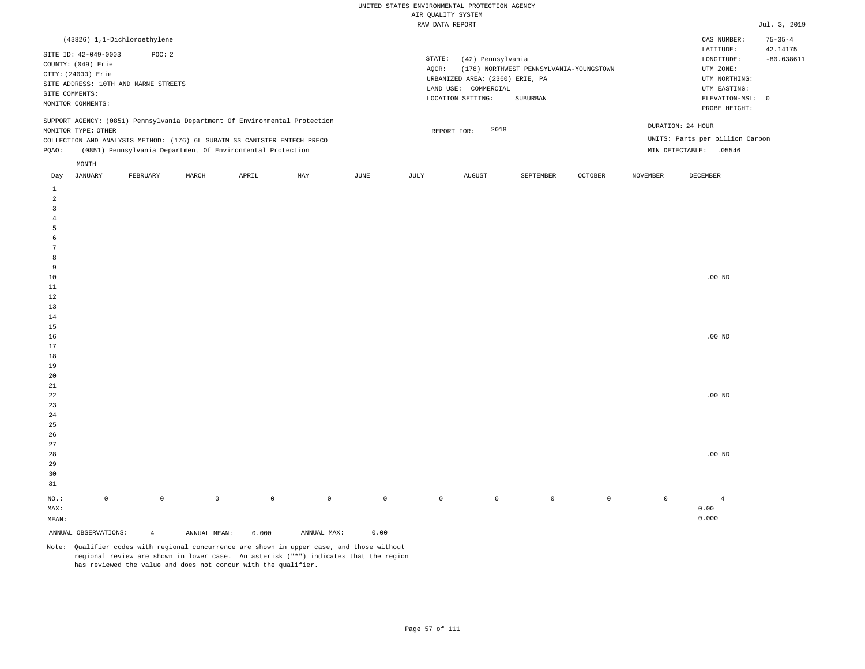| (43826) 1,1-Dichloroethylene                                                                                                                                                                                                                                  |                                                                                                                                                                             | $75 - 35 - 4$<br>CAS NUMBER:                                                                                                           |
|---------------------------------------------------------------------------------------------------------------------------------------------------------------------------------------------------------------------------------------------------------------|-----------------------------------------------------------------------------------------------------------------------------------------------------------------------------|----------------------------------------------------------------------------------------------------------------------------------------|
| SITE ID: 42-049-0003<br>POC: 2<br>COUNTY: (049) Erie<br>CITY: (24000) Erie<br>SITE ADDRESS: 10TH AND MARNE STREETS<br>SITE COMMENTS:<br>MONITOR COMMENTS:                                                                                                     | STATE:<br>(42) Pennsylvania<br>(178) NORTHWEST PENNSYLVANIA-YOUNGSTOWN<br>AOCR:<br>URBANIZED AREA: (2360) ERIE, PA<br>LAND USE: COMMERCIAL<br>LOCATION SETTING:<br>SUBURBAN | 42.14175<br>LATITUDE:<br>$-80.038611$<br>LONGITUDE:<br>UTM ZONE:<br>UTM NORTHING:<br>UTM EASTING:<br>ELEVATION-MSL: 0<br>PROBE HEIGHT: |
| SUPPORT AGENCY: (0851) Pennsylvania Department Of Environmental Protection<br>MONITOR TYPE: OTHER<br>COLLECTION AND ANALYSIS METHOD: (176) 6L SUBATM SS CANISTER ENTECH PRECO<br>(0851) Pennsylvania Department Of Environmental Protection<br>POAO:<br>MONTH | 2018<br>REPORT FOR:                                                                                                                                                         | DURATION: 24 HOUR<br>UNITS: Parts per billion Carbon<br>MIN DETECTABLE:<br>.05546                                                      |
|                                                                                                                                                                                                                                                               |                                                                                                                                                                             |                                                                                                                                        |

| Day            | JANUARY              | FEBRUARY       | MARCH        | APRIL       | MAY         | JUNE        | JULY        | AUGUST      | SEPTEMBER   | OCTOBER     | NOVEMBER    | DECEMBER       |
|----------------|----------------------|----------------|--------------|-------------|-------------|-------------|-------------|-------------|-------------|-------------|-------------|----------------|
| $\mathbf{1}$   |                      |                |              |             |             |             |             |             |             |             |             |                |
| $\overline{a}$ |                      |                |              |             |             |             |             |             |             |             |             |                |
| 3              |                      |                |              |             |             |             |             |             |             |             |             |                |
| $\overline{4}$ |                      |                |              |             |             |             |             |             |             |             |             |                |
| 5              |                      |                |              |             |             |             |             |             |             |             |             |                |
| 6              |                      |                |              |             |             |             |             |             |             |             |             |                |
| $\overline{7}$ |                      |                |              |             |             |             |             |             |             |             |             |                |
| 8              |                      |                |              |             |             |             |             |             |             |             |             |                |
| 9              |                      |                |              |             |             |             |             |             |             |             |             |                |
| $10$           |                      |                |              |             |             |             |             |             |             |             |             | .00 $ND$       |
| $11\,$         |                      |                |              |             |             |             |             |             |             |             |             |                |
| 12             |                      |                |              |             |             |             |             |             |             |             |             |                |
| 13             |                      |                |              |             |             |             |             |             |             |             |             |                |
| $14\,$         |                      |                |              |             |             |             |             |             |             |             |             |                |
| $15\,$         |                      |                |              |             |             |             |             |             |             |             |             |                |
| 16             |                      |                |              |             |             |             |             |             |             |             |             | .00 $ND$       |
| 17             |                      |                |              |             |             |             |             |             |             |             |             |                |
| $18\,$         |                      |                |              |             |             |             |             |             |             |             |             |                |
| 19             |                      |                |              |             |             |             |             |             |             |             |             |                |
| $20\,$         |                      |                |              |             |             |             |             |             |             |             |             |                |
| $2\sqrt{1}$    |                      |                |              |             |             |             |             |             |             |             |             |                |
| $^{\rm 22}$    |                      |                |              |             |             |             |             |             |             |             |             | .00 $ND$       |
| $23\,$         |                      |                |              |             |             |             |             |             |             |             |             |                |
| $2\,4$         |                      |                |              |             |             |             |             |             |             |             |             |                |
| $2\sqrt{5}$    |                      |                |              |             |             |             |             |             |             |             |             |                |
| $26\,$         |                      |                |              |             |             |             |             |             |             |             |             |                |
| $27\,$         |                      |                |              |             |             |             |             |             |             |             |             |                |
| $28\,$         |                      |                |              |             |             |             |             |             |             |             |             | .00 $ND$       |
| 29             |                      |                |              |             |             |             |             |             |             |             |             |                |
| 30             |                      |                |              |             |             |             |             |             |             |             |             |                |
| 31             |                      |                |              |             |             |             |             |             |             |             |             |                |
| $_{\rm NO.}$ : | $\mathsf 0$          | $\mathbb O$    | $\mathbb O$  | $\mathbb O$ | $\mathbb O$ | $\mathbb O$ | $\mathbb O$ | $\mathbb O$ | $\mathbb O$ | $\mathbb O$ | $\mathbb O$ | $\overline{4}$ |
| MAX:           |                      |                |              |             |             |             |             |             |             |             |             | 0.00           |
| MEAN:          |                      |                |              |             |             |             |             |             |             |             |             | 0.000          |
|                | ANNUAL OBSERVATIONS: | $\overline{4}$ | ANNUAL MEAN: | 0.000       | ANNUAL MAX: | 0.00        |             |             |             |             |             |                |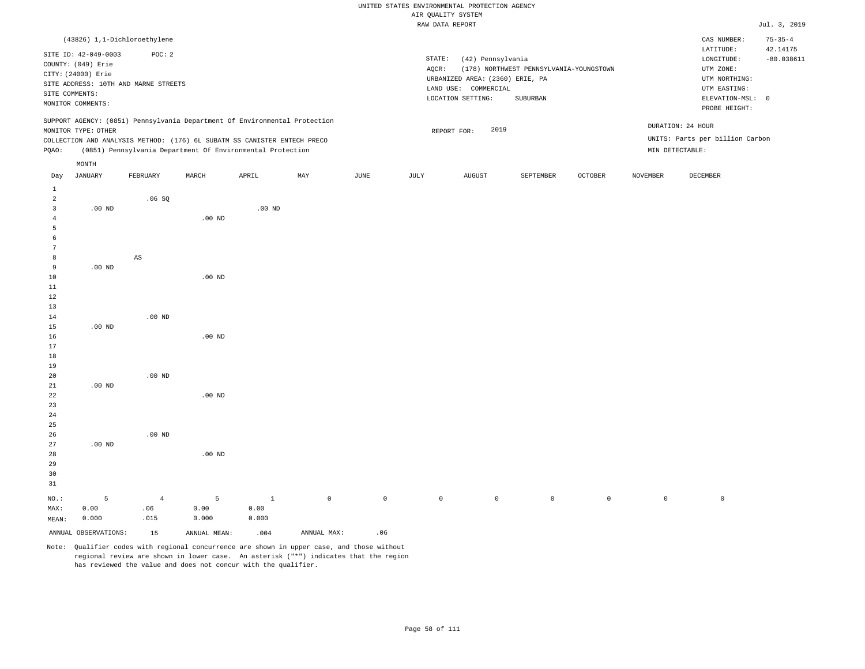# UNITED STATES ENVIRONMENTAL PROTECTION AGENCY ATE OUNT TTY SYSTEM

|                |                      |                                                                            |                   |          |     |      |          | AIR QUALITY SYSTEM              |                                         |                |                 |                                 |                           |
|----------------|----------------------|----------------------------------------------------------------------------|-------------------|----------|-----|------|----------|---------------------------------|-----------------------------------------|----------------|-----------------|---------------------------------|---------------------------|
|                |                      |                                                                            |                   |          |     |      |          | RAW DATA REPORT                 |                                         |                |                 |                                 | Jul. 3, 2019              |
|                |                      | (43826) 1,1-Dichloroethylene                                               |                   |          |     |      |          |                                 |                                         |                |                 | CAS NUMBER:<br>LATITUDE:        | $75 - 35 - 4$<br>42.14175 |
|                | SITE ID: 42-049-0003 | POC: 2                                                                     |                   |          |     |      | STATE:   | (42) Pennsylvania               |                                         |                |                 | LONGITUDE:                      | $-80.038611$              |
|                | COUNTY: (049) Erie   |                                                                            |                   |          |     |      | $AQCR$ : |                                 | (178) NORTHWEST PENNSYLVANIA-YOUNGSTOWN |                |                 | UTM ZONE:                       |                           |
|                | CITY: (24000) Erie   |                                                                            |                   |          |     |      |          | URBANIZED AREA: (2360) ERIE, PA |                                         |                |                 | UTM NORTHING:                   |                           |
|                |                      | SITE ADDRESS: 10TH AND MARNE STREETS                                       |                   |          |     |      |          | LAND USE: COMMERCIAL            |                                         |                |                 | UTM EASTING:                    |                           |
|                | SITE COMMENTS:       |                                                                            |                   |          |     |      |          | LOCATION SETTING:               | SUBURBAN                                |                |                 | ELEVATION-MSL: 0                |                           |
|                | MONITOR COMMENTS:    |                                                                            |                   |          |     |      |          |                                 |                                         |                |                 | PROBE HEIGHT:                   |                           |
|                |                      | SUPPORT AGENCY: (0851) Pennsylvania Department Of Environmental Protection |                   |          |     |      |          |                                 |                                         |                |                 |                                 |                           |
|                | MONITOR TYPE: OTHER  |                                                                            |                   |          |     |      |          | 2019<br>REPORT FOR:             |                                         |                |                 | DURATION: 24 HOUR               |                           |
|                |                      | COLLECTION AND ANALYSIS METHOD: (176) 6L SUBATM SS CANISTER ENTECH PRECO   |                   |          |     |      |          |                                 |                                         |                |                 | UNITS: Parts per billion Carbon |                           |
| PQAO:          |                      | (0851) Pennsylvania Department Of Environmental Protection                 |                   |          |     |      |          |                                 |                                         |                |                 | MIN DETECTABLE:                 |                           |
|                | MONTH                |                                                                            |                   |          |     |      |          |                                 |                                         |                |                 |                                 |                           |
| Day            | JANUARY              | FEBRUARY                                                                   | MARCH             | APRIL    | MAY | JUNE | JULY     | AUGUST                          | SEPTEMBER                               | <b>OCTOBER</b> | <b>NOVEMBER</b> | DECEMBER                        |                           |
| $\mathbf{1}$   |                      |                                                                            |                   |          |     |      |          |                                 |                                         |                |                 |                                 |                           |
| $\overline{c}$ |                      | .06SQ                                                                      |                   |          |     |      |          |                                 |                                         |                |                 |                                 |                           |
| $\overline{3}$ | $.00$ ND             |                                                                            |                   | $.00$ ND |     |      |          |                                 |                                         |                |                 |                                 |                           |
| 4              |                      |                                                                            | .00 <sub>ND</sub> |          |     |      |          |                                 |                                         |                |                 |                                 |                           |
| 5              |                      |                                                                            |                   |          |     |      |          |                                 |                                         |                |                 |                                 |                           |
| 6<br>7         |                      |                                                                            |                   |          |     |      |          |                                 |                                         |                |                 |                                 |                           |
| 8              |                      | AS                                                                         |                   |          |     |      |          |                                 |                                         |                |                 |                                 |                           |
| 9              | $.00$ ND             |                                                                            |                   |          |     |      |          |                                 |                                         |                |                 |                                 |                           |
| 10             |                      |                                                                            | $.00$ ND          |          |     |      |          |                                 |                                         |                |                 |                                 |                           |
| 11             |                      |                                                                            |                   |          |     |      |          |                                 |                                         |                |                 |                                 |                           |
| 12             |                      |                                                                            |                   |          |     |      |          |                                 |                                         |                |                 |                                 |                           |
| 13             |                      |                                                                            |                   |          |     |      |          |                                 |                                         |                |                 |                                 |                           |
| 14             |                      | $.00$ ND                                                                   |                   |          |     |      |          |                                 |                                         |                |                 |                                 |                           |
| 15             | .00 <sub>ND</sub>    |                                                                            |                   |          |     |      |          |                                 |                                         |                |                 |                                 |                           |
| 16             |                      |                                                                            | $.00$ ND          |          |     |      |          |                                 |                                         |                |                 |                                 |                           |
| 17             |                      |                                                                            |                   |          |     |      |          |                                 |                                         |                |                 |                                 |                           |
| 18             |                      |                                                                            |                   |          |     |      |          |                                 |                                         |                |                 |                                 |                           |
| 19             |                      |                                                                            |                   |          |     |      |          |                                 |                                         |                |                 |                                 |                           |
| 20             |                      | $.00$ ND                                                                   |                   |          |     |      |          |                                 |                                         |                |                 |                                 |                           |
| 21             | .00 <sub>ND</sub>    |                                                                            |                   |          |     |      |          |                                 |                                         |                |                 |                                 |                           |
| 22             |                      |                                                                            | $.00$ ND          |          |     |      |          |                                 |                                         |                |                 |                                 |                           |
| 23             |                      |                                                                            |                   |          |     |      |          |                                 |                                         |                |                 |                                 |                           |
| 24             |                      |                                                                            |                   |          |     |      |          |                                 |                                         |                |                 |                                 |                           |
| 25<br>26       |                      | $.00$ ND                                                                   |                   |          |     |      |          |                                 |                                         |                |                 |                                 |                           |
| 27             | .00 <sub>ND</sub>    |                                                                            |                   |          |     |      |          |                                 |                                         |                |                 |                                 |                           |
| 28             |                      |                                                                            | .00 <sub>ND</sub> |          |     |      |          |                                 |                                         |                |                 |                                 |                           |
| 29             |                      |                                                                            |                   |          |     |      |          |                                 |                                         |                |                 |                                 |                           |

NO.: MAX: MEAN: 5 0.00 0.000 4 .06 .015 5 0.00 0.000 1 0.00 0.000 0 0 0 0 0 0 0 0

ANNUAL OBSERVATIONS: 15 ANNUAL MEAN: .004 ANNUAL MAX: .06

30 31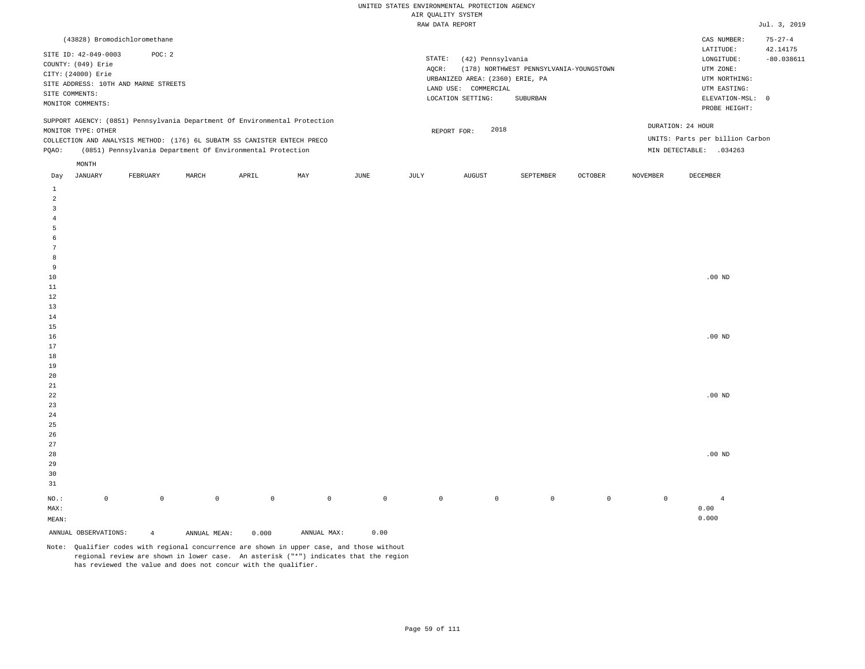| (43828) Bromodichloromethane                                                                                                                                                                                                                                  |                                                                                                                                                                             | CAS NUMBER:                                                                                                | $75 - 27 - 4$            |
|---------------------------------------------------------------------------------------------------------------------------------------------------------------------------------------------------------------------------------------------------------------|-----------------------------------------------------------------------------------------------------------------------------------------------------------------------------|------------------------------------------------------------------------------------------------------------|--------------------------|
| SITE ID: 42-049-0003<br>POC: 2<br>COUNTY: (049) Erie<br>CITY: (24000) Erie<br>SITE ADDRESS: 10TH AND MARNE STREETS<br>SITE COMMENTS:<br>MONITOR COMMENTS:                                                                                                     | STATE:<br>(42) Pennsylvania<br>(178) NORTHWEST PENNSYLVANIA-YOUNGSTOWN<br>AOCR:<br>URBANIZED AREA: (2360) ERIE, PA<br>LAND USE: COMMERCIAL<br>LOCATION SETTING:<br>SUBURBAN | LATITUDE:<br>LONGITUDE:<br>UTM ZONE:<br>UTM NORTHING:<br>UTM EASTING:<br>ELEVATION-MSL: 0<br>PROBE HEIGHT: | 42.14175<br>$-80.038611$ |
| SUPPORT AGENCY: (0851) Pennsylvania Department Of Environmental Protection<br>MONITOR TYPE: OTHER<br>COLLECTION AND ANALYSIS METHOD: (176) 6L SUBATM SS CANISTER ENTECH PRECO<br>(0851) Pennsylvania Department Of Environmental Protection<br>POAO:<br>MONTH | 2018<br>REPORT FOR:                                                                                                                                                         | DURATION: 24 HOUR<br>UNITS: Parts per billion Carbon<br>MIN DETECTABLE:<br>.034263                         |                          |
|                                                                                                                                                                                                                                                               | the contract of the contract of the contract of                                                                                                                             |                                                                                                            |                          |

| Day                     | JANUARY              | FEBRUARY            | MARCH        | APRIL       | MAY         | JUNE        | JULY    | AUGUST  | SEPTEMBER | OCTOBER     | NOVEMBER            | DECEMBER          |
|-------------------------|----------------------|---------------------|--------------|-------------|-------------|-------------|---------|---------|-----------|-------------|---------------------|-------------------|
| $\mathbf{1}$            |                      |                     |              |             |             |             |         |         |           |             |                     |                   |
| $\overline{\mathbf{c}}$ |                      |                     |              |             |             |             |         |         |           |             |                     |                   |
| 3                       |                      |                     |              |             |             |             |         |         |           |             |                     |                   |
| $\overline{4}$          |                      |                     |              |             |             |             |         |         |           |             |                     |                   |
| 5                       |                      |                     |              |             |             |             |         |         |           |             |                     |                   |
| 6                       |                      |                     |              |             |             |             |         |         |           |             |                     |                   |
| $\overline{7}$          |                      |                     |              |             |             |             |         |         |           |             |                     |                   |
| 8                       |                      |                     |              |             |             |             |         |         |           |             |                     |                   |
| 9                       |                      |                     |              |             |             |             |         |         |           |             |                     |                   |
| $10$                    |                      |                     |              |             |             |             |         |         |           |             |                     | $.00$ ND          |
| $11\,$                  |                      |                     |              |             |             |             |         |         |           |             |                     |                   |
| 12                      |                      |                     |              |             |             |             |         |         |           |             |                     |                   |
| 13                      |                      |                     |              |             |             |             |         |         |           |             |                     |                   |
| $14\,$                  |                      |                     |              |             |             |             |         |         |           |             |                     |                   |
| $15\,$                  |                      |                     |              |             |             |             |         |         |           |             |                     |                   |
| 16                      |                      |                     |              |             |             |             |         |         |           |             |                     | $.00~\mathrm{ND}$ |
| 17                      |                      |                     |              |             |             |             |         |         |           |             |                     |                   |
| $18\,$                  |                      |                     |              |             |             |             |         |         |           |             |                     |                   |
| 19                      |                      |                     |              |             |             |             |         |         |           |             |                     |                   |
| $20\,$                  |                      |                     |              |             |             |             |         |         |           |             |                     |                   |
| $2\sqrt{1}$             |                      |                     |              |             |             |             |         |         |           |             |                     |                   |
| ${\bf 22}$              |                      |                     |              |             |             |             |         |         |           |             |                     | $.00$ ND          |
| $23\,$                  |                      |                     |              |             |             |             |         |         |           |             |                     |                   |
| $2\,4$                  |                      |                     |              |             |             |             |         |         |           |             |                     |                   |
| $2\sqrt{5}$<br>$26\,$   |                      |                     |              |             |             |             |         |         |           |             |                     |                   |
| $27\,$                  |                      |                     |              |             |             |             |         |         |           |             |                     |                   |
| $28\,$                  |                      |                     |              |             |             |             |         |         |           |             |                     | $.00$ ND          |
| 29                      |                      |                     |              |             |             |             |         |         |           |             |                     |                   |
| 30                      |                      |                     |              |             |             |             |         |         |           |             |                     |                   |
| 31                      |                      |                     |              |             |             |             |         |         |           |             |                     |                   |
|                         |                      |                     |              |             |             |             |         |         |           |             |                     |                   |
| $_{\rm NO.}$ :          | $\mathsf 0$          | $\mathsf{O}\xspace$ | $\mathbb O$  | $\mathbb O$ | $\mathbb O$ | $\mathbb O$ | $\circ$ | $\circ$ | $\circ$   | $\mathbb O$ | $\mathsf{O}\xspace$ | $\overline{4}$    |
| MAX:                    |                      |                     |              |             |             |             |         |         |           |             |                     | 0.00              |
| MEAN:                   |                      |                     |              |             |             |             |         |         |           |             |                     | 0.000             |
|                         | ANNUAL OBSERVATIONS: | $\overline{4}$      | ANNUAL MEAN: | 0.000       | ANNUAL MAX: | 0.00        |         |         |           |             |                     |                   |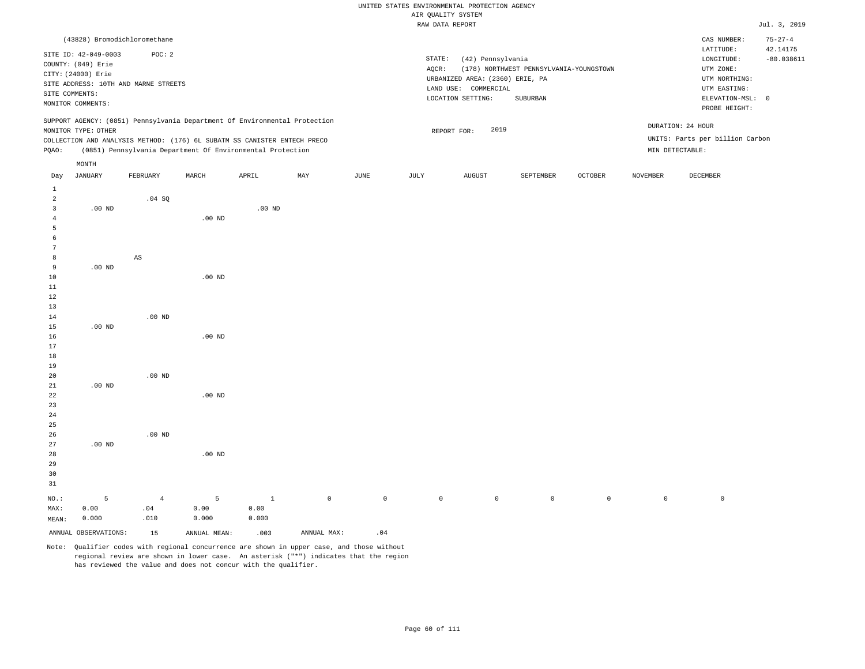|                |                      |                                      |                   |                                                                            |     |               |        | AIR QUALITY SYSTEM              |                                         |         |                 |                                 |                           |
|----------------|----------------------|--------------------------------------|-------------------|----------------------------------------------------------------------------|-----|---------------|--------|---------------------------------|-----------------------------------------|---------|-----------------|---------------------------------|---------------------------|
|                |                      |                                      |                   |                                                                            |     |               |        | RAW DATA REPORT                 |                                         |         |                 |                                 | Jul. 3, 2019              |
|                |                      | (43828) Bromodichloromethane         |                   |                                                                            |     |               |        |                                 |                                         |         |                 | CAS NUMBER:<br>LATITUDE:        | $75 - 27 - 4$<br>42.14175 |
|                | SITE ID: 42-049-0003 | POC: 2                               |                   |                                                                            |     |               | STATE: | (42) Pennsylvania               |                                         |         |                 | LONGITUDE:                      | $-80.038611$              |
|                | COUNTY: (049) Erie   |                                      |                   |                                                                            |     |               | AQCR:  |                                 | (178) NORTHWEST PENNSYLVANIA-YOUNGSTOWN |         |                 | UTM ZONE:                       |                           |
|                | CITY: (24000) Erie   |                                      |                   |                                                                            |     |               |        | URBANIZED AREA: (2360) ERIE, PA |                                         |         |                 | UTM NORTHING:                   |                           |
|                |                      | SITE ADDRESS: 10TH AND MARNE STREETS |                   |                                                                            |     |               |        | LAND USE: COMMERCIAL            |                                         |         |                 | UTM EASTING:                    |                           |
|                | SITE COMMENTS:       |                                      |                   |                                                                            |     |               |        | LOCATION SETTING:               | SUBURBAN                                |         |                 | ELEVATION-MSL: 0                |                           |
|                | MONITOR COMMENTS:    |                                      |                   |                                                                            |     |               |        |                                 |                                         |         |                 | PROBE HEIGHT:                   |                           |
|                |                      |                                      |                   | SUPPORT AGENCY: (0851) Pennsylvania Department Of Environmental Protection |     |               |        |                                 |                                         |         |                 |                                 |                           |
|                | MONITOR TYPE: OTHER  |                                      |                   |                                                                            |     |               |        | 2019<br>REPORT FOR:             |                                         |         |                 | DURATION: 24 HOUR               |                           |
|                |                      |                                      |                   | COLLECTION AND ANALYSIS METHOD: (176) 6L SUBATM SS CANISTER ENTECH PRECO   |     |               |        |                                 |                                         |         |                 | UNITS: Parts per billion Carbon |                           |
| PQAO:          |                      |                                      |                   | (0851) Pennsylvania Department Of Environmental Protection                 |     |               |        |                                 |                                         |         |                 | MIN DETECTABLE:                 |                           |
|                | MONTH                |                                      |                   |                                                                            |     |               |        |                                 |                                         |         |                 |                                 |                           |
| Day            | <b>JANUARY</b>       | FEBRUARY                             | MARCH             | APRIL                                                                      | MAY | $_{\rm JUNE}$ | JULY   | ${\tt AUGUST}$                  | SEPTEMBER                               | OCTOBER | <b>NOVEMBER</b> | DECEMBER                        |                           |
| 1              |                      |                                      |                   |                                                                            |     |               |        |                                 |                                         |         |                 |                                 |                           |
| $\overline{2}$ |                      | .04 SQ                               |                   |                                                                            |     |               |        |                                 |                                         |         |                 |                                 |                           |
| 3              | $.00$ ND             |                                      |                   | $.00$ ND                                                                   |     |               |        |                                 |                                         |         |                 |                                 |                           |
| 4              |                      |                                      | .00 <sub>ND</sub> |                                                                            |     |               |        |                                 |                                         |         |                 |                                 |                           |
| 5              |                      |                                      |                   |                                                                            |     |               |        |                                 |                                         |         |                 |                                 |                           |
| -6             |                      |                                      |                   |                                                                            |     |               |        |                                 |                                         |         |                 |                                 |                           |
| 7              |                      |                                      |                   |                                                                            |     |               |        |                                 |                                         |         |                 |                                 |                           |
| 8              |                      | AS                                   |                   |                                                                            |     |               |        |                                 |                                         |         |                 |                                 |                           |
| 9              | $.00$ ND             |                                      |                   |                                                                            |     |               |        |                                 |                                         |         |                 |                                 |                           |
| 10             |                      |                                      | $.00$ ND          |                                                                            |     |               |        |                                 |                                         |         |                 |                                 |                           |
| 11             |                      |                                      |                   |                                                                            |     |               |        |                                 |                                         |         |                 |                                 |                           |
| 12             |                      |                                      |                   |                                                                            |     |               |        |                                 |                                         |         |                 |                                 |                           |
| 13             |                      |                                      |                   |                                                                            |     |               |        |                                 |                                         |         |                 |                                 |                           |
| 14             |                      | $.00$ ND                             |                   |                                                                            |     |               |        |                                 |                                         |         |                 |                                 |                           |
| 15             | $.00$ ND             |                                      |                   |                                                                            |     |               |        |                                 |                                         |         |                 |                                 |                           |
| 16             |                      |                                      | .00 <sub>ND</sub> |                                                                            |     |               |        |                                 |                                         |         |                 |                                 |                           |
| 17             |                      |                                      |                   |                                                                            |     |               |        |                                 |                                         |         |                 |                                 |                           |
| 18             |                      |                                      |                   |                                                                            |     |               |        |                                 |                                         |         |                 |                                 |                           |
| 19             |                      |                                      |                   |                                                                            |     |               |        |                                 |                                         |         |                 |                                 |                           |
| 20             |                      | $.00$ ND                             |                   |                                                                            |     |               |        |                                 |                                         |         |                 |                                 |                           |
| 21<br>22       | $.00$ ND             |                                      | $.00$ ND          |                                                                            |     |               |        |                                 |                                         |         |                 |                                 |                           |
| 23             |                      |                                      |                   |                                                                            |     |               |        |                                 |                                         |         |                 |                                 |                           |
| 24             |                      |                                      |                   |                                                                            |     |               |        |                                 |                                         |         |                 |                                 |                           |
| 25             |                      |                                      |                   |                                                                            |     |               |        |                                 |                                         |         |                 |                                 |                           |
| 26             |                      | $.00$ ND                             |                   |                                                                            |     |               |        |                                 |                                         |         |                 |                                 |                           |
| 27             | $.00$ ND             |                                      |                   |                                                                            |     |               |        |                                 |                                         |         |                 |                                 |                           |
| 28             |                      |                                      | $.00$ ND          |                                                                            |     |               |        |                                 |                                         |         |                 |                                 |                           |

30 31 NO.: MAX: MEAN: 5 0.00 0.000 4 .04 .010 5 0.00 0.000 1 0.00 0.000 0 0 0 0 0 0 0 0

Note: Qualifier codes with regional concurrence are shown in upper case, and those without regional review are shown in lower case. An asterisk ("\*") indicates that the region has reviewed the value and does not concur with the qualifier.

ANNUAL OBSERVATIONS:  $15$  ANNUAL MEAN: .003 ANNUAL MAX: .04

29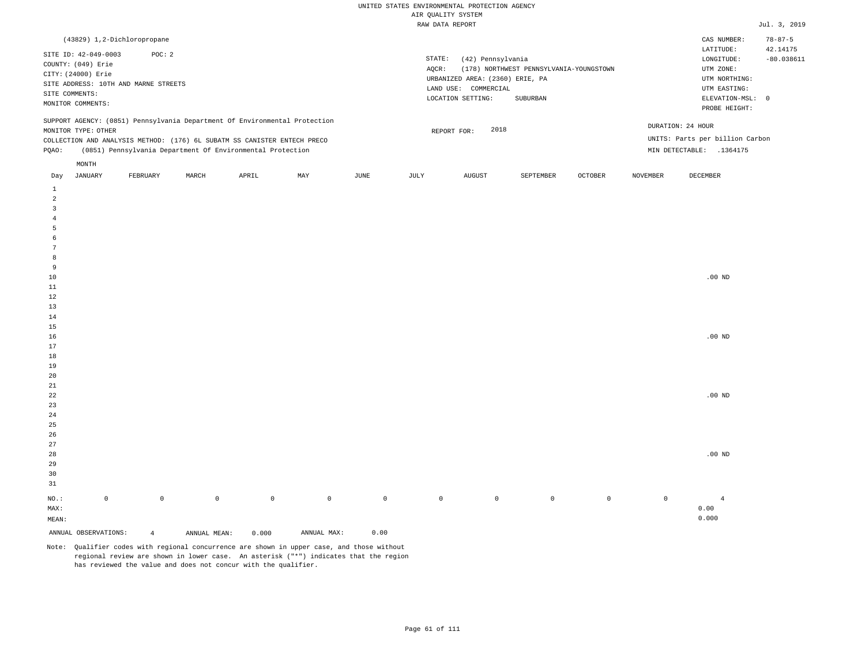| (43829) 1,2-Dichloropropane                                                                                                                                                                                                                                   |                                                                                                                                                                             | $78 - 87 - 5$<br>CAS NUMBER:                                                                                                                     |
|---------------------------------------------------------------------------------------------------------------------------------------------------------------------------------------------------------------------------------------------------------------|-----------------------------------------------------------------------------------------------------------------------------------------------------------------------------|--------------------------------------------------------------------------------------------------------------------------------------------------|
| SITE ID: 42-049-0003<br>POC: 2<br>COUNTY: (049) Erie<br>CITY: (24000) Erie<br>SITE ADDRESS: 10TH AND MARNE STREETS<br>SITE COMMENTS:<br>MONITOR COMMENTS:                                                                                                     | STATE:<br>(42) Pennsylvania<br>(178) NORTHWEST PENNSYLVANIA-YOUNGSTOWN<br>AOCR:<br>URBANIZED AREA: (2360) ERIE, PA<br>LAND USE: COMMERCIAL<br>LOCATION SETTING:<br>SUBURBAN | 42.14175<br>LATITUDE:<br>$-80.038611$<br>LONGITUDE:<br>UTM ZONE:<br>UTM NORTHING:<br>UTM EASTING:<br>ELEVATION-MSL:<br>$\Omega$<br>PROBE HEIGHT: |
| SUPPORT AGENCY: (0851) Pennsylvania Department Of Environmental Protection<br>MONITOR TYPE: OTHER<br>COLLECTION AND ANALYSIS METHOD: (176) 6L SUBATM SS CANISTER ENTECH PRECO<br>(0851) Pennsylvania Department Of Environmental Protection<br>POAO:<br>MONTH | 2018<br>REPORT FOR:                                                                                                                                                         | DURATION: 24 HOUR<br>UNITS: Parts per billion Carbon<br>MIN DETECTABLE:<br>.1364175                                                              |

| Day                     | JANUARY              | FEBRUARY       | MARCH        | APRIL       | MAY         | JUNE        | JULY        | AUGUST  | SEPTEMBER   | OCTOBER | NOVEMBER    | DECEMBER       |
|-------------------------|----------------------|----------------|--------------|-------------|-------------|-------------|-------------|---------|-------------|---------|-------------|----------------|
| $\mathbf{1}$            |                      |                |              |             |             |             |             |         |             |         |             |                |
| $\overline{a}$          |                      |                |              |             |             |             |             |         |             |         |             |                |
| $\overline{\mathbf{3}}$ |                      |                |              |             |             |             |             |         |             |         |             |                |
| $\overline{4}$          |                      |                |              |             |             |             |             |         |             |         |             |                |
| 5                       |                      |                |              |             |             |             |             |         |             |         |             |                |
| 6                       |                      |                |              |             |             |             |             |         |             |         |             |                |
| $7\phantom{.0}$         |                      |                |              |             |             |             |             |         |             |         |             |                |
| 8                       |                      |                |              |             |             |             |             |         |             |         |             |                |
| 9                       |                      |                |              |             |             |             |             |         |             |         |             |                |
| $10$                    |                      |                |              |             |             |             |             |         |             |         |             | $.00$ ND       |
| 11                      |                      |                |              |             |             |             |             |         |             |         |             |                |
| 12                      |                      |                |              |             |             |             |             |         |             |         |             |                |
| 13                      |                      |                |              |             |             |             |             |         |             |         |             |                |
| 14                      |                      |                |              |             |             |             |             |         |             |         |             |                |
| 15                      |                      |                |              |             |             |             |             |         |             |         |             |                |
| 16                      |                      |                |              |             |             |             |             |         |             |         |             | $.00$ ND       |
| 17                      |                      |                |              |             |             |             |             |         |             |         |             |                |
| 18                      |                      |                |              |             |             |             |             |         |             |         |             |                |
| 19                      |                      |                |              |             |             |             |             |         |             |         |             |                |
| 20                      |                      |                |              |             |             |             |             |         |             |         |             |                |
| $21\,$                  |                      |                |              |             |             |             |             |         |             |         |             |                |
| $2\sqrt{2}$             |                      |                |              |             |             |             |             |         |             |         |             | $.00$ ND       |
| $23$                    |                      |                |              |             |             |             |             |         |             |         |             |                |
| $2\,4$                  |                      |                |              |             |             |             |             |         |             |         |             |                |
| $25\,$<br>26            |                      |                |              |             |             |             |             |         |             |         |             |                |
| 27                      |                      |                |              |             |             |             |             |         |             |         |             |                |
| 28                      |                      |                |              |             |             |             |             |         |             |         |             | $.00$ ND       |
| 29                      |                      |                |              |             |             |             |             |         |             |         |             |                |
| 30                      |                      |                |              |             |             |             |             |         |             |         |             |                |
| 31                      |                      |                |              |             |             |             |             |         |             |         |             |                |
|                         |                      |                |              |             |             |             |             |         |             |         |             |                |
| $_{\rm NO.}$ :          | $\mathbb O$          | $\mathbb O$    | $\mathbb O$  | $\mathsf 0$ | $\mathbb O$ | $\mathbb O$ | $\mathbb O$ | $\circ$ | $\mathbb O$ | $\circ$ | $\mathbb O$ | $\overline{4}$ |
| MAX:                    |                      |                |              |             |             |             |             |         |             |         |             | 0.00           |
| MEAN:                   |                      |                |              |             |             |             |             |         |             |         |             | 0.000          |
|                         | ANNUAL OBSERVATIONS: | $\overline{4}$ | ANNUAL MEAN: | 0.000       | ANNUAL MAX: | 0.00        |             |         |             |         |             |                |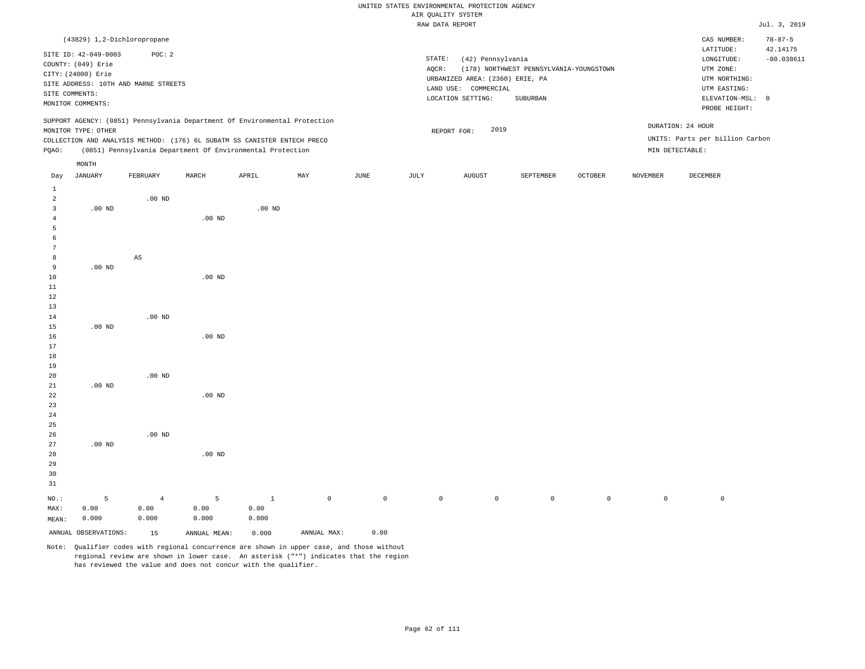# UNITED STATES ENVIRONMENTAL PROTECTION AGENCY ATE OUNT TTY SYSTEM

|                |                      |                                      |                                                                            |          |     |      | AIR QUALITY SYSTEM |                                 |                                         |                |                 |                                 |               |
|----------------|----------------------|--------------------------------------|----------------------------------------------------------------------------|----------|-----|------|--------------------|---------------------------------|-----------------------------------------|----------------|-----------------|---------------------------------|---------------|
|                |                      |                                      |                                                                            |          |     |      | RAW DATA REPORT    |                                 |                                         |                |                 |                                 | Jul. 3, 2019  |
|                |                      | (43829) 1,2-Dichloropropane          |                                                                            |          |     |      |                    |                                 |                                         |                |                 | CAS NUMBER:                     | $78 - 87 - 5$ |
|                | SITE ID: 42-049-0003 | POC: 2                               |                                                                            |          |     |      |                    |                                 |                                         |                |                 | LATITUDE:                       | 42.14175      |
|                | COUNTY: (049) Erie   |                                      |                                                                            |          |     |      | STATE:             | (42) Pennsylvania               |                                         |                |                 | LONGITUDE:                      | $-80.038611$  |
|                | CITY: (24000) Erie   |                                      |                                                                            |          |     |      | AOCR:              |                                 | (178) NORTHWEST PENNSYLVANIA-YOUNGSTOWN |                |                 | UTM ZONE:                       |               |
|                |                      | SITE ADDRESS: 10TH AND MARNE STREETS |                                                                            |          |     |      |                    | URBANIZED AREA: (2360) ERIE, PA |                                         |                |                 | UTM NORTHING:                   |               |
|                | SITE COMMENTS:       |                                      |                                                                            |          |     |      |                    | LAND USE: COMMERCIAL            |                                         |                |                 | UTM EASTING:                    |               |
|                | MONITOR COMMENTS:    |                                      |                                                                            |          |     |      |                    | LOCATION SETTING:               | SUBURBAN                                |                |                 | ELEVATION-MSL: 0                |               |
|                |                      |                                      |                                                                            |          |     |      |                    |                                 |                                         |                |                 | PROBE HEIGHT:                   |               |
|                |                      |                                      | SUPPORT AGENCY: (0851) Pennsylvania Department Of Environmental Protection |          |     |      |                    |                                 |                                         |                |                 | DURATION: 24 HOUR               |               |
|                | MONITOR TYPE: OTHER  |                                      |                                                                            |          |     |      |                    | 2019<br>REPORT FOR:             |                                         |                |                 |                                 |               |
|                |                      |                                      | COLLECTION AND ANALYSIS METHOD: (176) 6L SUBATM SS CANISTER ENTECH PRECO   |          |     |      |                    |                                 |                                         |                |                 | UNITS: Parts per billion Carbon |               |
| POAO:          |                      |                                      | (0851) Pennsylvania Department Of Environmental Protection                 |          |     |      |                    |                                 |                                         |                |                 | MIN DETECTABLE:                 |               |
|                | MONTH                |                                      |                                                                            |          |     |      |                    |                                 |                                         |                |                 |                                 |               |
| Day            | <b>JANUARY</b>       | FEBRUARY                             | MARCH                                                                      | APRIL    | MAY | JUNE | JULY               | <b>AUGUST</b>                   | SEPTEMBER                               | <b>OCTOBER</b> | <b>NOVEMBER</b> | <b>DECEMBER</b>                 |               |
| $\mathbf{1}$   |                      |                                      |                                                                            |          |     |      |                    |                                 |                                         |                |                 |                                 |               |
| $\overline{a}$ |                      | $.00$ ND                             |                                                                            |          |     |      |                    |                                 |                                         |                |                 |                                 |               |
| $\overline{3}$ | $.00$ ND             |                                      |                                                                            | $.00$ ND |     |      |                    |                                 |                                         |                |                 |                                 |               |
| 4              |                      |                                      | $.00$ ND                                                                   |          |     |      |                    |                                 |                                         |                |                 |                                 |               |
| 5              |                      |                                      |                                                                            |          |     |      |                    |                                 |                                         |                |                 |                                 |               |
| 6              |                      |                                      |                                                                            |          |     |      |                    |                                 |                                         |                |                 |                                 |               |
| 7              |                      |                                      |                                                                            |          |     |      |                    |                                 |                                         |                |                 |                                 |               |
| 8              |                      | $\mathbb{A}\mathbb{S}$               |                                                                            |          |     |      |                    |                                 |                                         |                |                 |                                 |               |
| 9              | $.00$ ND             |                                      |                                                                            |          |     |      |                    |                                 |                                         |                |                 |                                 |               |
| 10             |                      |                                      | $.00$ ND                                                                   |          |     |      |                    |                                 |                                         |                |                 |                                 |               |
| 11             |                      |                                      |                                                                            |          |     |      |                    |                                 |                                         |                |                 |                                 |               |
| 12             |                      |                                      |                                                                            |          |     |      |                    |                                 |                                         |                |                 |                                 |               |
| 13             |                      |                                      |                                                                            |          |     |      |                    |                                 |                                         |                |                 |                                 |               |
| 14             |                      | $.00$ ND                             |                                                                            |          |     |      |                    |                                 |                                         |                |                 |                                 |               |
| 15             | $.00$ ND             |                                      |                                                                            |          |     |      |                    |                                 |                                         |                |                 |                                 |               |
| 16             |                      |                                      | $.00$ ND                                                                   |          |     |      |                    |                                 |                                         |                |                 |                                 |               |
| 17             |                      |                                      |                                                                            |          |     |      |                    |                                 |                                         |                |                 |                                 |               |
| 18             |                      |                                      |                                                                            |          |     |      |                    |                                 |                                         |                |                 |                                 |               |
| 19             |                      |                                      |                                                                            |          |     |      |                    |                                 |                                         |                |                 |                                 |               |
| 20             |                      | $.00$ ND                             |                                                                            |          |     |      |                    |                                 |                                         |                |                 |                                 |               |
| 21             | $.00$ ND             |                                      |                                                                            |          |     |      |                    |                                 |                                         |                |                 |                                 |               |
| 22             |                      |                                      | $.00$ ND                                                                   |          |     |      |                    |                                 |                                         |                |                 |                                 |               |
| 23             |                      |                                      |                                                                            |          |     |      |                    |                                 |                                         |                |                 |                                 |               |
| 24             |                      |                                      |                                                                            |          |     |      |                    |                                 |                                         |                |                 |                                 |               |

 .00 ND .00 ND .00 ND

NO.: MAX: MEAN: 5 0.00 0.000 4 0.00 0.000 5 0.00 0.000 1 0.00 0.000 0 0 0 0 0 0 0 0

ANNUAL OBSERVATIONS: 15 ANNUAL MEAN: 0.000 ANNUAL MAX: 0.00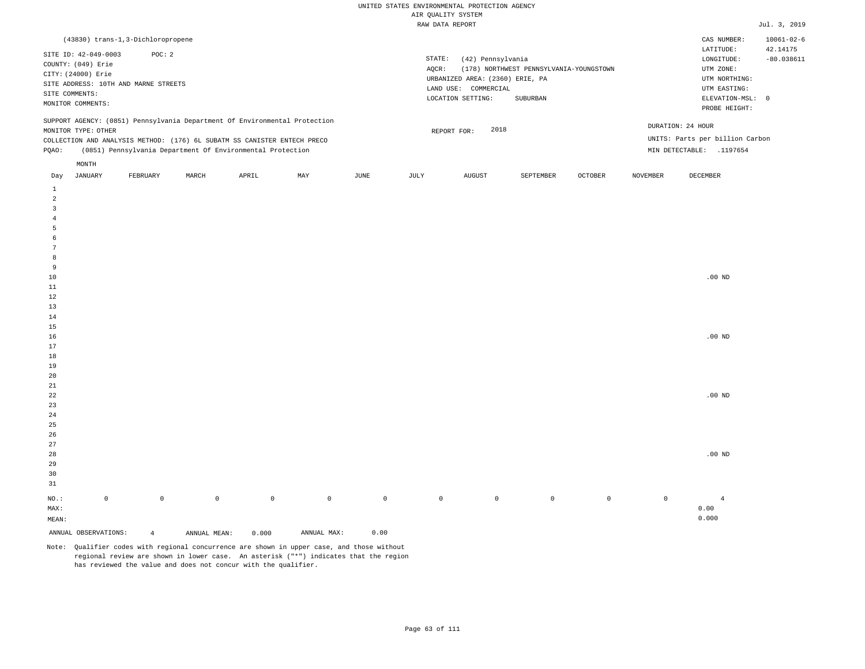|                                                                            | (43830) trans-1,3-Dichloropropene                          |       |       |     |      |                                 |                     |                                         |                |                 | CAS NUMBER:                     | $10061 - 02 - 6$ |
|----------------------------------------------------------------------------|------------------------------------------------------------|-------|-------|-----|------|---------------------------------|---------------------|-----------------------------------------|----------------|-----------------|---------------------------------|------------------|
| SITE ID: 42-049-0003                                                       | POC: 2                                                     |       |       |     |      |                                 |                     |                                         |                |                 | LATITUDE:                       | 42.14175         |
| COUNTY: (049) Erie                                                         |                                                            |       |       |     |      | STATE:                          | (42) Pennsylvania   |                                         |                |                 | LONGITUDE:                      | $-80.038611$     |
| CITY: (24000) Erie                                                         |                                                            |       |       |     |      | AOCR:                           |                     | (178) NORTHWEST PENNSYLVANIA-YOUNGSTOWN |                |                 | UTM ZONE:                       |                  |
| SITE ADDRESS: 10TH AND MARNE STREETS                                       |                                                            |       |       |     |      | URBANIZED AREA: (2360) ERIE, PA | UTM NORTHING:       |                                         |                |                 |                                 |                  |
|                                                                            |                                                            |       |       |     |      | LAND USE:                       | COMMERCIAL          |                                         |                |                 | UTM EASTING:                    |                  |
| SITE COMMENTS:<br>MONITOR COMMENTS:                                        |                                                            |       |       |     |      |                                 | LOCATION SETTING:   | SUBURBAN                                |                |                 | ELEVATION-MSL: 0                |                  |
|                                                                            |                                                            |       |       |     |      |                                 |                     |                                         |                |                 | PROBE HEIGHT:                   |                  |
| SUPPORT AGENCY: (0851) Pennsylvania Department Of Environmental Protection |                                                            |       |       |     |      |                                 |                     |                                         |                |                 |                                 |                  |
| MONITOR TYPE: OTHER                                                        |                                                            |       |       |     |      |                                 | 2018<br>REPORT FOR: |                                         |                |                 | DURATION: 24 HOUR               |                  |
| COLLECTION AND ANALYSIS METHOD: (176) 6L SUBATM SS CANISTER ENTECH PRECO   |                                                            |       |       |     |      |                                 |                     |                                         |                |                 | UNITS: Parts per billion Carbon |                  |
| POAO:                                                                      | (0851) Pennsylvania Department Of Environmental Protection |       |       |     |      |                                 |                     |                                         |                | MIN DETECTABLE: | .1197654                        |                  |
| MONTH                                                                      |                                                            |       |       |     |      |                                 |                     |                                         |                |                 |                                 |                  |
| JANUARY<br>Day                                                             | FEBRUARY                                                   | MARCH | APRIL | MAY | JUNE | JULY                            | <b>AUGUST</b>       | SEPTEMBER                               | <b>OCTOBER</b> | <b>NOVEMBER</b> | DECEMBER                        |                  |

| $\mathsf{O}\xspace$ | $\mathbb O$ | $\mathbb O$ | $\,0\,$ | $\mathbb O$ | $\mathsf{O}$ | $\mathbb O$ | $\bullet$ | $\overline{0}$ | $\circ$ | $\mathbb O$ | $.00$ ND<br>$.00$ ND<br>$\sqrt{4}$<br>0.00<br>0.000 |
|---------------------|-------------|-------------|---------|-------------|--------------|-------------|-----------|----------------|---------|-------------|-----------------------------------------------------|
|                     |             |             |         |             |              |             |           |                |         |             |                                                     |
|                     |             |             |         |             |              |             |           |                |         |             |                                                     |
|                     |             |             |         |             |              |             |           |                |         |             |                                                     |
|                     |             |             |         |             |              |             |           |                |         |             |                                                     |
|                     |             |             |         |             |              |             |           |                |         |             |                                                     |
|                     |             |             |         |             |              |             |           |                |         |             |                                                     |
|                     |             |             |         |             |              |             |           |                |         |             |                                                     |
|                     |             |             |         |             |              |             |           |                |         |             |                                                     |
|                     |             |             |         |             |              |             |           |                |         |             |                                                     |
|                     |             |             |         |             |              |             |           |                |         |             |                                                     |
|                     |             |             |         |             |              |             |           |                |         |             |                                                     |
|                     |             |             |         |             |              |             |           |                |         |             |                                                     |
|                     |             |             |         |             |              |             |           |                |         |             |                                                     |
|                     |             |             |         |             |              |             |           |                |         |             |                                                     |
|                     |             |             |         |             |              |             |           |                |         |             |                                                     |
|                     |             |             |         |             |              |             |           |                |         |             |                                                     |
|                     |             |             |         |             |              |             |           |                |         |             |                                                     |
|                     |             |             |         |             |              |             |           |                |         |             |                                                     |
|                     |             |             |         |             |              |             |           |                |         |             | $.00$ ND                                            |
|                     |             |             |         |             |              |             |           |                |         |             |                                                     |
|                     |             |             |         |             |              |             |           |                |         |             |                                                     |
|                     |             |             |         |             |              |             |           |                |         |             |                                                     |
|                     |             |             |         |             |              |             |           |                |         |             |                                                     |
|                     |             |             |         |             |              |             |           |                |         |             |                                                     |
|                     |             |             |         |             |              |             |           |                |         |             | $.00$ ND                                            |
|                     |             |             |         |             |              |             |           |                |         |             |                                                     |
|                     |             |             |         |             |              |             |           |                |         |             |                                                     |
|                     |             |             |         |             |              |             |           |                |         |             |                                                     |
|                     |             |             |         |             |              |             |           |                |         |             |                                                     |
|                     |             |             |         |             |              |             |           |                |         |             |                                                     |
|                     |             |             |         |             |              |             |           |                |         |             |                                                     |
|                     |             |             |         |             |              |             |           |                |         |             |                                                     |
|                     |             |             |         |             |              |             |           |                |         |             |                                                     |
|                     |             |             |         |             |              |             |           |                |         |             |                                                     |
|                     |             |             |         |             |              |             |           |                |         |             |                                                     |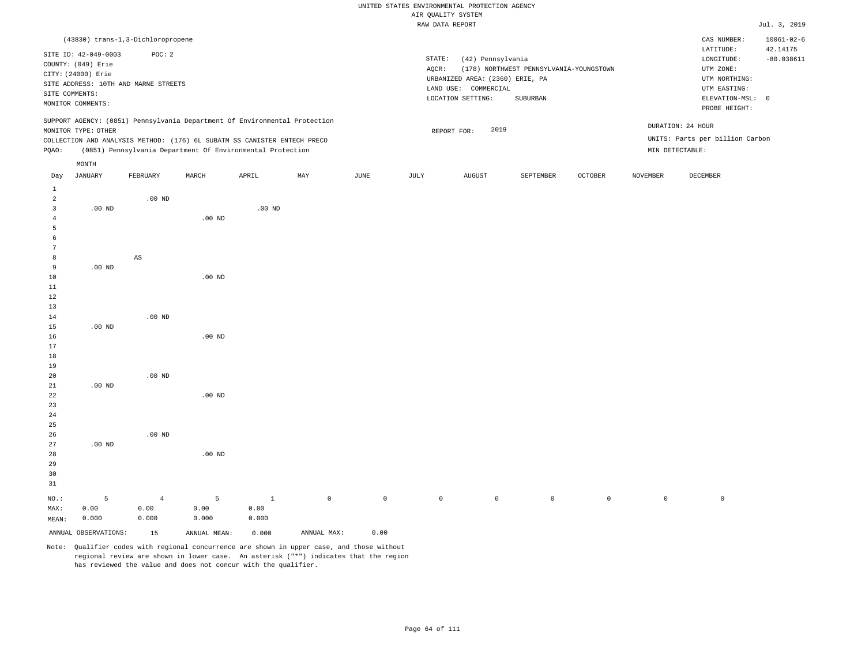|                                |                                                                                                                                                                                                                              |                                             |                                                                          |                   |             |                                 | RAW DATA REPORT |                                                                                                   |                                                     |                     |                 |                                                                                               | Jul. 3, 2019                 |
|--------------------------------|------------------------------------------------------------------------------------------------------------------------------------------------------------------------------------------------------------------------------|---------------------------------------------|--------------------------------------------------------------------------|-------------------|-------------|---------------------------------|-----------------|---------------------------------------------------------------------------------------------------|-----------------------------------------------------|---------------------|-----------------|-----------------------------------------------------------------------------------------------|------------------------------|
|                                |                                                                                                                                                                                                                              | (43830) trans-1,3-Dichloropropene<br>POC: 2 |                                                                          |                   |             |                                 |                 |                                                                                                   |                                                     |                     |                 | CAS NUMBER:<br>LATITUDE:                                                                      | $10061 - 02 - 6$<br>42.14175 |
| SITE ID: 42-049-0003           | COUNTY: (049) Erie<br>CITY: (24000) Erie<br>SITE ADDRESS: 10TH AND MARNE STREETS<br>SITE COMMENTS:<br>MONITOR COMMENTS:<br>SUPPORT AGENCY: (0851) Pennsylvania Department Of Environmental Protection<br>MONITOR TYPE: OTHER |                                             |                                                                          |                   |             |                                 | STATE:<br>AQCR: | (42) Pennsylvania<br>URBANIZED AREA: (2360) ERIE, PA<br>LAND USE: COMMERCIAL<br>LOCATION SETTING: | (178) NORTHWEST PENNSYLVANIA-YOUNGSTOWN<br>SUBURBAN |                     |                 | LONGITUDE:<br>UTM ZONE:<br>UTM NORTHING:<br>UTM EASTING:<br>ELEVATION-MSL: 0<br>PROBE HEIGHT: | $-80.038611$                 |
|                                |                                                                                                                                                                                                                              |                                             |                                                                          |                   |             |                                 |                 | 2019<br>REPORT FOR:                                                                               |                                                     |                     |                 | DURATION: 24 HOUR                                                                             |                              |
|                                |                                                                                                                                                                                                                              |                                             | COLLECTION AND ANALYSIS METHOD: (176) 6L SUBATM SS CANISTER ENTECH PRECO |                   |             |                                 |                 |                                                                                                   |                                                     |                     |                 | UNITS: Parts per billion Carbon                                                               |                              |
| PQAO:                          |                                                                                                                                                                                                                              |                                             | (0851) Pennsylvania Department Of Environmental Protection               |                   |             |                                 |                 |                                                                                                   |                                                     |                     | MIN DETECTABLE: |                                                                                               |                              |
|                                | MONTH                                                                                                                                                                                                                        |                                             |                                                                          |                   |             |                                 |                 |                                                                                                   |                                                     |                     |                 |                                                                                               |                              |
| Day                            | <b>JANUARY</b>                                                                                                                                                                                                               | FEBRUARY                                    | MARCH                                                                    | APRIL             | MAY         | JUNE                            | JULY            | <b>AUGUST</b>                                                                                     | SEPTEMBER                                           | OCTOBER             | <b>NOVEMBER</b> | DECEMBER                                                                                      |                              |
| $\mathbf{1}$<br>$\overline{2}$ |                                                                                                                                                                                                                              | .00 <sub>ND</sub>                           |                                                                          |                   |             |                                 |                 |                                                                                                   |                                                     |                     |                 |                                                                                               |                              |
| $\overline{\mathbf{3}}$        | $.00$ ND                                                                                                                                                                                                                     |                                             |                                                                          | .00 <sub>ND</sub> |             |                                 |                 |                                                                                                   |                                                     |                     |                 |                                                                                               |                              |
| $\overline{4}$<br>5            |                                                                                                                                                                                                                              |                                             | $.00$ ND                                                                 |                   |             |                                 |                 |                                                                                                   |                                                     |                     |                 |                                                                                               |                              |
| 6<br>7                         |                                                                                                                                                                                                                              |                                             |                                                                          |                   |             |                                 |                 |                                                                                                   |                                                     |                     |                 |                                                                                               |                              |
| 8                              |                                                                                                                                                                                                                              | $\mathbb{A}\mathbb{S}$                      |                                                                          |                   |             |                                 |                 |                                                                                                   |                                                     |                     |                 |                                                                                               |                              |
| 9                              | $.00$ ND                                                                                                                                                                                                                     |                                             |                                                                          |                   |             |                                 |                 |                                                                                                   |                                                     |                     |                 |                                                                                               |                              |
| 10<br>$1\,1$                   |                                                                                                                                                                                                                              |                                             | $.00$ ND                                                                 |                   |             |                                 |                 |                                                                                                   |                                                     |                     |                 |                                                                                               |                              |
| 12                             |                                                                                                                                                                                                                              |                                             |                                                                          |                   |             |                                 |                 |                                                                                                   |                                                     |                     |                 |                                                                                               |                              |
| 13                             |                                                                                                                                                                                                                              |                                             |                                                                          |                   |             |                                 |                 |                                                                                                   |                                                     |                     |                 |                                                                                               |                              |
| 14                             |                                                                                                                                                                                                                              | $.00$ ND                                    |                                                                          |                   |             |                                 |                 |                                                                                                   |                                                     |                     |                 |                                                                                               |                              |
| 15<br>16                       | $.00$ ND                                                                                                                                                                                                                     |                                             | $.00$ ND                                                                 |                   |             |                                 |                 |                                                                                                   |                                                     |                     |                 |                                                                                               |                              |
| 17                             |                                                                                                                                                                                                                              |                                             |                                                                          |                   |             |                                 |                 |                                                                                                   |                                                     |                     |                 |                                                                                               |                              |
| 18                             |                                                                                                                                                                                                                              |                                             |                                                                          |                   |             |                                 |                 |                                                                                                   |                                                     |                     |                 |                                                                                               |                              |
| 19                             |                                                                                                                                                                                                                              |                                             |                                                                          |                   |             |                                 |                 |                                                                                                   |                                                     |                     |                 |                                                                                               |                              |
| 20<br>21                       | $.00$ ND                                                                                                                                                                                                                     | $.00$ ND                                    |                                                                          |                   |             |                                 |                 |                                                                                                   |                                                     |                     |                 |                                                                                               |                              |
| 22                             |                                                                                                                                                                                                                              |                                             | $.00$ ND                                                                 |                   |             |                                 |                 |                                                                                                   |                                                     |                     |                 |                                                                                               |                              |
| 23                             |                                                                                                                                                                                                                              |                                             |                                                                          |                   |             |                                 |                 |                                                                                                   |                                                     |                     |                 |                                                                                               |                              |
| 24                             |                                                                                                                                                                                                                              |                                             |                                                                          |                   |             |                                 |                 |                                                                                                   |                                                     |                     |                 |                                                                                               |                              |
| 25                             |                                                                                                                                                                                                                              | $.00$ ND                                    |                                                                          |                   |             |                                 |                 |                                                                                                   |                                                     |                     |                 |                                                                                               |                              |
| 26<br>27                       | $.00$ ND                                                                                                                                                                                                                     |                                             |                                                                          |                   |             |                                 |                 |                                                                                                   |                                                     |                     |                 |                                                                                               |                              |
| 28                             |                                                                                                                                                                                                                              |                                             | .00 <sub>ND</sub>                                                        |                   |             |                                 |                 |                                                                                                   |                                                     |                     |                 |                                                                                               |                              |
| 29                             |                                                                                                                                                                                                                              |                                             |                                                                          |                   |             |                                 |                 |                                                                                                   |                                                     |                     |                 |                                                                                               |                              |
| 30<br>31                       |                                                                                                                                                                                                                              |                                             |                                                                          |                   |             |                                 |                 |                                                                                                   |                                                     |                     |                 |                                                                                               |                              |
| $NO.$ :                        | 5                                                                                                                                                                                                                            | $\overline{4}$                              | 5                                                                        | $\mathbf{1}$      | $\mathbb O$ | $\mathbb O$                     | $\mathbb O$     | $\mathsf{O}\xspace$                                                                               | $\circ$                                             | $\mathsf{O}\xspace$ | $\mathbb O$     | $\circ$                                                                                       |                              |
| MAX:                           | 0.00                                                                                                                                                                                                                         | 0.00                                        | 0.00                                                                     | 0.00              |             |                                 |                 |                                                                                                   |                                                     |                     |                 |                                                                                               |                              |
| MEAN:                          | 0.000                                                                                                                                                                                                                        | 0.000                                       | 0.000                                                                    | 0.000             |             |                                 |                 |                                                                                                   |                                                     |                     |                 |                                                                                               |                              |
|                                | ANNUAL OBSERVATIONS:                                                                                                                                                                                                         | 15<br>$\sim$ $\sim$                         | ANNUAL MEAN:                                                             | 0.000             | ANNUAL MAX: | 0.00<br>$\sim$ $\sim$<br>$\sim$ |                 |                                                                                                   |                                                     |                     |                 |                                                                                               |                              |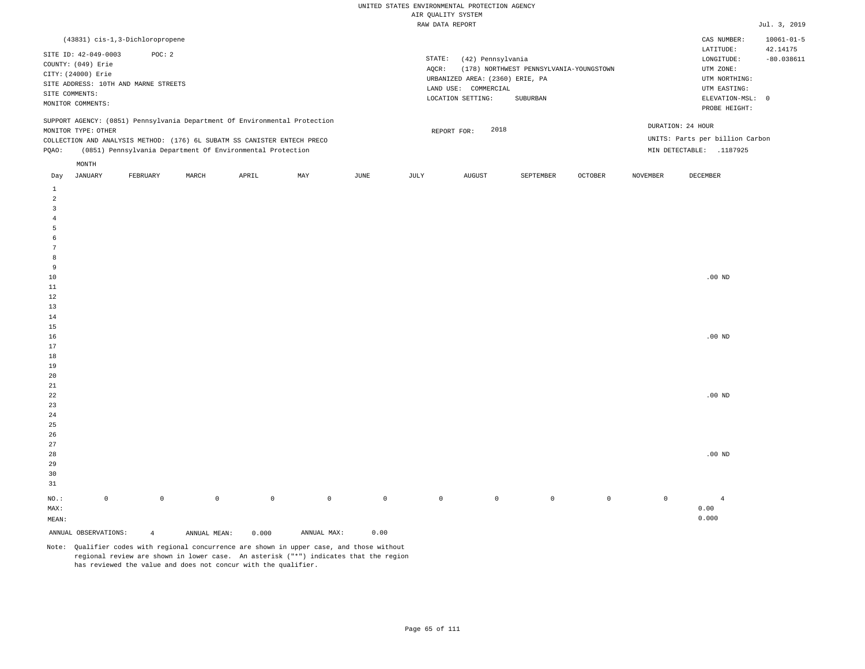| (43831) cis-1,3-Dichloropropene                                                                                                                                                                                                                               |                                                                                                                                                                             | $10061 - 01 - 5$<br>CAS NUMBER:                                                                                                        |
|---------------------------------------------------------------------------------------------------------------------------------------------------------------------------------------------------------------------------------------------------------------|-----------------------------------------------------------------------------------------------------------------------------------------------------------------------------|----------------------------------------------------------------------------------------------------------------------------------------|
| SITE ID: 42-049-0003<br>POC:2<br>COUNTY: (049) Erie<br>CITY: (24000) Erie<br>SITE ADDRESS: 10TH AND MARNE STREETS<br>SITE COMMENTS:<br>MONITOR COMMENTS:                                                                                                      | STATE:<br>(42) Pennsylvania<br>(178) NORTHWEST PENNSYLVANIA-YOUNGSTOWN<br>AOCR:<br>URBANIZED AREA: (2360) ERIE, PA<br>LAND USE: COMMERCIAL<br>LOCATION SETTING:<br>SUBURBAN | 42.14175<br>LATITUDE:<br>$-80.038611$<br>LONGITUDE:<br>UTM ZONE:<br>UTM NORTHING:<br>UTM EASTING:<br>ELEVATION-MSL: 0<br>PROBE HEIGHT: |
| SUPPORT AGENCY: (0851) Pennsylvania Department Of Environmental Protection<br>MONITOR TYPE: OTHER<br>COLLECTION AND ANALYSIS METHOD: (176) 6L SUBATM SS CANISTER ENTECH PRECO<br>(0851) Pennsylvania Department Of Environmental Protection<br>POAO:<br>MONTH | 2018<br>REPORT FOR:                                                                                                                                                         | DURATION: 24 HOUR<br>UNITS: Parts per billion Carbon<br>MIN DETECTABLE:<br>.1187925                                                    |

| Day             | JANUARY              | FEBRUARY       | MARCH        | APRIL       | MAY                                 | JUNE           | JULY        | AUGUST      | SEPTEMBER   | OCTOBER     | NOVEMBER    | DECEMBER       |
|-----------------|----------------------|----------------|--------------|-------------|-------------------------------------|----------------|-------------|-------------|-------------|-------------|-------------|----------------|
| $\mathbf{1}$    |                      |                |              |             |                                     |                |             |             |             |             |             |                |
| $\overline{a}$  |                      |                |              |             |                                     |                |             |             |             |             |             |                |
| 3               |                      |                |              |             |                                     |                |             |             |             |             |             |                |
| $\overline{4}$  |                      |                |              |             |                                     |                |             |             |             |             |             |                |
| 5               |                      |                |              |             |                                     |                |             |             |             |             |             |                |
| 6               |                      |                |              |             |                                     |                |             |             |             |             |             |                |
| $7\phantom{.0}$ |                      |                |              |             |                                     |                |             |             |             |             |             |                |
| 8               |                      |                |              |             |                                     |                |             |             |             |             |             |                |
| 9               |                      |                |              |             |                                     |                |             |             |             |             |             |                |
| $10$            |                      |                |              |             |                                     |                |             |             |             |             |             | .00 $ND$       |
| 11              |                      |                |              |             |                                     |                |             |             |             |             |             |                |
| 12              |                      |                |              |             |                                     |                |             |             |             |             |             |                |
| 13              |                      |                |              |             |                                     |                |             |             |             |             |             |                |
| 14              |                      |                |              |             |                                     |                |             |             |             |             |             |                |
| 15              |                      |                |              |             |                                     |                |             |             |             |             |             |                |
| 16              |                      |                |              |             |                                     |                |             |             |             |             |             | .00 $ND$       |
| 17              |                      |                |              |             |                                     |                |             |             |             |             |             |                |
| 18              |                      |                |              |             |                                     |                |             |             |             |             |             |                |
| 19              |                      |                |              |             |                                     |                |             |             |             |             |             |                |
| 20              |                      |                |              |             |                                     |                |             |             |             |             |             |                |
| $2\sqrt{1}$     |                      |                |              |             |                                     |                |             |             |             |             |             |                |
| $2\sqrt{2}$     |                      |                |              |             |                                     |                |             |             |             |             |             | .00 $ND$       |
| $23$<br>$2\,4$  |                      |                |              |             |                                     |                |             |             |             |             |             |                |
| $25\,$          |                      |                |              |             |                                     |                |             |             |             |             |             |                |
| 26              |                      |                |              |             |                                     |                |             |             |             |             |             |                |
| 27              |                      |                |              |             |                                     |                |             |             |             |             |             |                |
| $28\,$          |                      |                |              |             |                                     |                |             |             |             |             |             | .00 $ND$       |
| 29              |                      |                |              |             |                                     |                |             |             |             |             |             |                |
| 30              |                      |                |              |             |                                     |                |             |             |             |             |             |                |
| 31              |                      |                |              |             |                                     |                |             |             |             |             |             |                |
| $_{\rm NO.}$ :  | $\mathbb O$          | $\mathbb O$    | $\mathbb O$  | $\mathbb O$ | $\mathbb O$                         | $\overline{0}$ | $\mathbb O$ | $\mathbb O$ | $\mathbb O$ | $\mathbb O$ | $\mathbb O$ | $\overline{4}$ |
| MAX:            |                      |                |              |             |                                     |                |             |             |             |             |             | 0.00           |
| MEAN:           |                      |                |              |             |                                     |                |             |             |             |             |             | 0.000          |
|                 | ANNUAL OBSERVATIONS: | $\overline{4}$ | ANNUAL MEAN: | 0.000       | $\texttt{ANNUAL} \ \ \texttt{MAX:}$ | 0.00           |             |             |             |             |             |                |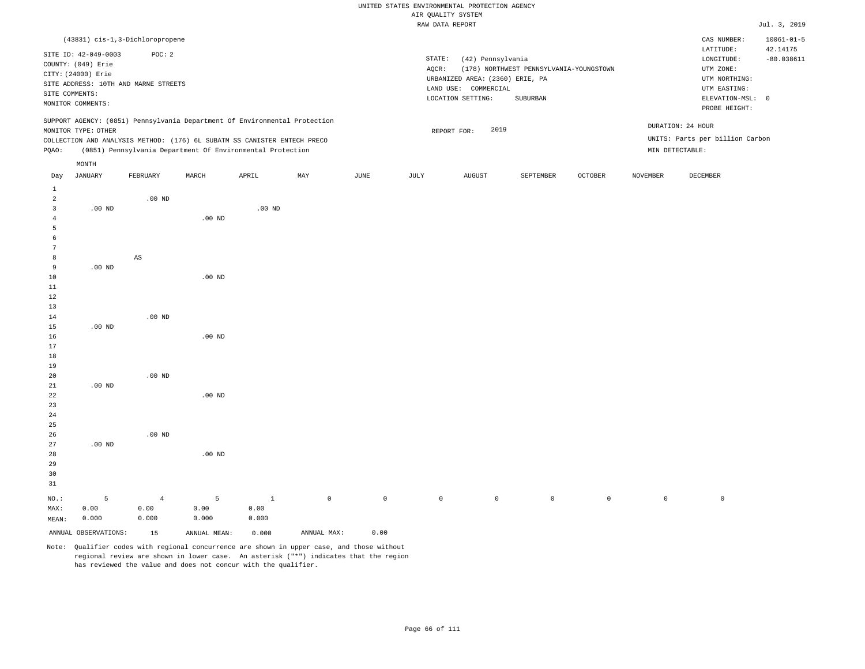|                               |                                                                                 |                                           |                                                                            |                 |             |                          |                     | RAW DATA REPORT                                                              |                                                     |                     |                 |                                                                | Jul. 3, 2019                                 |
|-------------------------------|---------------------------------------------------------------------------------|-------------------------------------------|----------------------------------------------------------------------------|-----------------|-------------|--------------------------|---------------------|------------------------------------------------------------------------------|-----------------------------------------------------|---------------------|-----------------|----------------------------------------------------------------|----------------------------------------------|
|                               | SITE ID: 42-049-0003                                                            | (43831) cis-1,3-Dichloropropene<br>POC: 2 |                                                                            |                 |             |                          | STATE:              | (42) Pennsylvania                                                            |                                                     |                     |                 | CAS NUMBER:<br>LATITUDE:<br>LONGITUDE:                         | $10061 - 01 - 5$<br>42.14175<br>$-80.038611$ |
|                               | COUNTY: (049) Erie<br>CITY: (24000) Erie<br>SITE COMMENTS:<br>MONITOR COMMENTS: | SITE ADDRESS: 10TH AND MARNE STREETS      |                                                                            |                 |             |                          | AQCR:               | URBANIZED AREA: (2360) ERIE, PA<br>LAND USE: COMMERCIAL<br>LOCATION SETTING: | (178) NORTHWEST PENNSYLVANIA-YOUNGSTOWN<br>SUBURBAN |                     |                 | UTM ZONE:<br>UTM NORTHING:<br>UTM EASTING:<br>ELEVATION-MSL: 0 |                                              |
|                               | MONITOR TYPE: OTHER                                                             |                                           | SUPPORT AGENCY: (0851) Pennsylvania Department Of Environmental Protection |                 |             |                          |                     | 2019                                                                         |                                                     |                     |                 | PROBE HEIGHT:<br>DURATION: 24 HOUR                             |                                              |
|                               |                                                                                 |                                           | COLLECTION AND ANALYSIS METHOD: (176) 6L SUBATM SS CANISTER ENTECH PRECO   |                 |             |                          |                     | REPORT FOR:                                                                  |                                                     |                     |                 | UNITS: Parts per billion Carbon                                |                                              |
| PQAO:                         |                                                                                 |                                           | (0851) Pennsylvania Department Of Environmental Protection                 |                 |             |                          |                     |                                                                              |                                                     |                     | MIN DETECTABLE: |                                                                |                                              |
|                               | MONTH                                                                           |                                           |                                                                            |                 |             |                          |                     |                                                                              |                                                     |                     |                 |                                                                |                                              |
| Day                           | JANUARY                                                                         | FEBRUARY                                  | MARCH                                                                      | APRIL           | MAY         | JUNE                     | JULY                | <b>AUGUST</b>                                                                | SEPTEMBER                                           | OCTOBER             | <b>NOVEMBER</b> | DECEMBER                                                       |                                              |
| $\mathbf{1}$                  |                                                                                 |                                           |                                                                            |                 |             |                          |                     |                                                                              |                                                     |                     |                 |                                                                |                                              |
| 2                             |                                                                                 | $.00$ ND                                  |                                                                            |                 |             |                          |                     |                                                                              |                                                     |                     |                 |                                                                |                                              |
| $\overline{3}$                | $.00$ ND                                                                        |                                           |                                                                            | $.00$ ND        |             |                          |                     |                                                                              |                                                     |                     |                 |                                                                |                                              |
| $\overline{4}$                |                                                                                 |                                           | $.00$ ND                                                                   |                 |             |                          |                     |                                                                              |                                                     |                     |                 |                                                                |                                              |
| 5                             |                                                                                 |                                           |                                                                            |                 |             |                          |                     |                                                                              |                                                     |                     |                 |                                                                |                                              |
| $\epsilon$<br>$7\phantom{.0}$ |                                                                                 |                                           |                                                                            |                 |             |                          |                     |                                                                              |                                                     |                     |                 |                                                                |                                              |
| 8                             |                                                                                 | $\mathbb{A}\mathbb{S}$                    |                                                                            |                 |             |                          |                     |                                                                              |                                                     |                     |                 |                                                                |                                              |
| 9                             | $.00$ ND                                                                        |                                           |                                                                            |                 |             |                          |                     |                                                                              |                                                     |                     |                 |                                                                |                                              |
| 10                            |                                                                                 |                                           | $.00$ ND                                                                   |                 |             |                          |                     |                                                                              |                                                     |                     |                 |                                                                |                                              |
| 11                            |                                                                                 |                                           |                                                                            |                 |             |                          |                     |                                                                              |                                                     |                     |                 |                                                                |                                              |
| 12                            |                                                                                 |                                           |                                                                            |                 |             |                          |                     |                                                                              |                                                     |                     |                 |                                                                |                                              |
| 13<br>14                      |                                                                                 | $.00$ ND                                  |                                                                            |                 |             |                          |                     |                                                                              |                                                     |                     |                 |                                                                |                                              |
| 15                            | $.00$ ND                                                                        |                                           |                                                                            |                 |             |                          |                     |                                                                              |                                                     |                     |                 |                                                                |                                              |
| 16                            |                                                                                 |                                           | $.00$ ND                                                                   |                 |             |                          |                     |                                                                              |                                                     |                     |                 |                                                                |                                              |
| 17                            |                                                                                 |                                           |                                                                            |                 |             |                          |                     |                                                                              |                                                     |                     |                 |                                                                |                                              |
| 18                            |                                                                                 |                                           |                                                                            |                 |             |                          |                     |                                                                              |                                                     |                     |                 |                                                                |                                              |
| 19<br>20                      |                                                                                 | $.00$ ND                                  |                                                                            |                 |             |                          |                     |                                                                              |                                                     |                     |                 |                                                                |                                              |
| 21                            | $.00$ ND                                                                        |                                           |                                                                            |                 |             |                          |                     |                                                                              |                                                     |                     |                 |                                                                |                                              |
| 22                            |                                                                                 |                                           | .00 <sub>ND</sub>                                                          |                 |             |                          |                     |                                                                              |                                                     |                     |                 |                                                                |                                              |
| 23                            |                                                                                 |                                           |                                                                            |                 |             |                          |                     |                                                                              |                                                     |                     |                 |                                                                |                                              |
| 24                            |                                                                                 |                                           |                                                                            |                 |             |                          |                     |                                                                              |                                                     |                     |                 |                                                                |                                              |
| 25<br>26                      |                                                                                 | $.00$ ND                                  |                                                                            |                 |             |                          |                     |                                                                              |                                                     |                     |                 |                                                                |                                              |
| 27                            | $.00$ ND                                                                        |                                           |                                                                            |                 |             |                          |                     |                                                                              |                                                     |                     |                 |                                                                |                                              |
| 28                            |                                                                                 |                                           | $.00$ ND                                                                   |                 |             |                          |                     |                                                                              |                                                     |                     |                 |                                                                |                                              |
| 29                            |                                                                                 |                                           |                                                                            |                 |             |                          |                     |                                                                              |                                                     |                     |                 |                                                                |                                              |
| 30                            |                                                                                 |                                           |                                                                            |                 |             |                          |                     |                                                                              |                                                     |                     |                 |                                                                |                                              |
| 31                            |                                                                                 |                                           |                                                                            |                 |             |                          |                     |                                                                              |                                                     |                     |                 |                                                                |                                              |
| NO.:                          | 5                                                                               | $\overline{4}$                            | 5                                                                          | $\mathbf{1}$    | $\mathsf 0$ | $\mathsf{O}\xspace$      | $\mathsf{O}\xspace$ | $\circ$                                                                      | $\mathsf{O}$                                        | $\mathsf{O}\xspace$ | $\mathbb O$     | $\mathbb O$                                                    |                                              |
| MAX:                          | 0.00<br>0.000                                                                   | 0.00<br>0.000                             | 0.00<br>0.000                                                              | 0.00<br>0.000   |             |                          |                     |                                                                              |                                                     |                     |                 |                                                                |                                              |
| MEAN:                         |                                                                                 |                                           |                                                                            |                 |             |                          |                     |                                                                              |                                                     |                     |                 |                                                                |                                              |
|                               | ANNUAL OBSERVATIONS:                                                            | 15<br>$\sim$<br>$\sim$                    | ANNUAL MEAN:                                                               | 0.000<br>$\sim$ | ANNUAL MAX: | 0.00<br>$\sim$<br>$\sim$ |                     |                                                                              |                                                     |                     |                 |                                                                |                                              |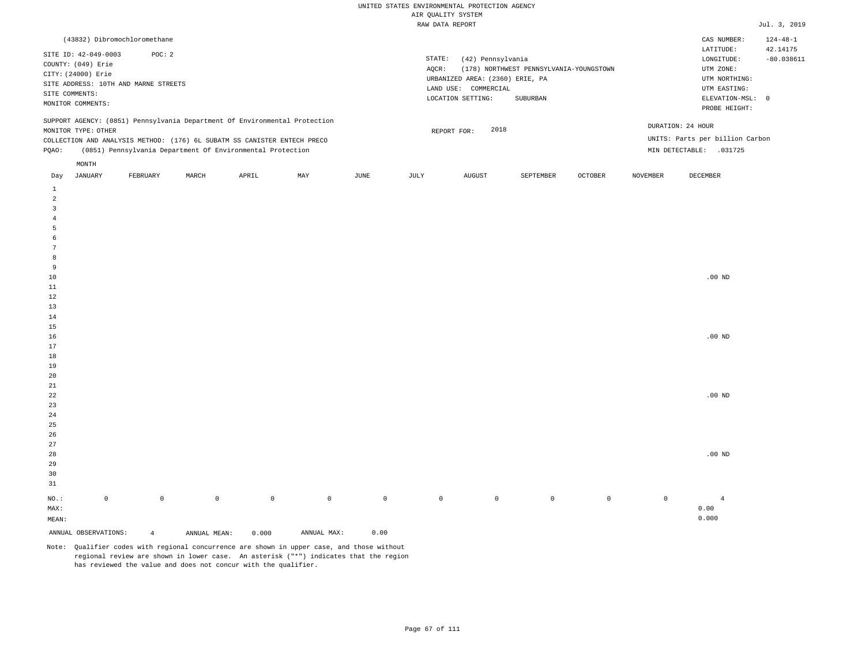| (43832) Dibromochloromethane                                                                                                                                                                                                                         |          |       |       |     |      |                 |                                                                                                      |                                                     |                |                                      | CAS NUMBER:                                                                                                | $124 - 48 - 1$           |
|------------------------------------------------------------------------------------------------------------------------------------------------------------------------------------------------------------------------------------------------------|----------|-------|-------|-----|------|-----------------|------------------------------------------------------------------------------------------------------|-----------------------------------------------------|----------------|--------------------------------------|------------------------------------------------------------------------------------------------------------|--------------------------|
| SITE ID: 42-049-0003<br>COUNTY: (049) Erie<br>CITY: (24000) Erie<br>SITE ADDRESS: 10TH AND MARNE STREETS<br>SITE COMMENTS:<br>MONITOR COMMENTS:                                                                                                      | POC: 2   |       |       |     |      | STATE:<br>AOCR: | (42) Pennsylvania<br>URBANIZED AREA: (2360) ERIE, PA<br>LAND USE:<br>COMMERCIAL<br>LOCATION SETTING: | (178) NORTHWEST PENNSYLVANIA-YOUNGSTOWN<br>SUBURBAN |                |                                      | LATITUDE:<br>LONGITUDE:<br>UTM ZONE:<br>UTM NORTHING:<br>UTM EASTING:<br>ELEVATION-MSL: 0<br>PROBE HEIGHT: | 42.14175<br>$-80.038611$ |
| SUPPORT AGENCY: (0851) Pennsylvania Department Of Environmental Protection<br>MONITOR TYPE: OTHER<br>COLLECTION AND ANALYSIS METHOD: (176) 6L SUBATM SS CANISTER ENTECH PRECO<br>(0851) Pennsylvania Department Of Environmental Protection<br>POAO: |          |       |       |     |      |                 | 2018<br>REPORT FOR:                                                                                  |                                                     |                | DURATION: 24 HOUR<br>MIN DETECTABLE: | UNITS: Parts per billion Carbon<br>.031725                                                                 |                          |
| MONTH<br>JANUARY<br>Day                                                                                                                                                                                                                              | FEBRUARY | MARCH | APRIL | MAY | JUNE | JULY            | AUGUST                                                                                               | SEPTEMBER                                           | <b>OCTOBER</b> | NOVEMBER                             | DECEMBER                                                                                                   |                          |

| ANNUAL OBSERVATIONS: |             | $\overline{4}$ | ANNUAL MEAN: | 0.000        | ANNUAL MAX: | 0.00        |         |             |         |             |             |                |
|----------------------|-------------|----------------|--------------|--------------|-------------|-------------|---------|-------------|---------|-------------|-------------|----------------|
| $\texttt{MEAN}:$     |             |                |              |              |             |             |         |             |         |             |             | 0.000          |
| $\texttt{MAX}$ :     |             |                |              |              |             |             |         |             |         |             |             | 0.00           |
| $_{\rm NO.}$ :       | $\mathbb O$ | $\mathbb O$    | $\mathbb O$  | $\mathsf{O}$ | $\mathbb O$ | $\mathbb O$ | $\circ$ | $\mathbb O$ | $\circ$ | $\mathbb O$ | $\mathbb O$ | $\overline{4}$ |
| $3\sqrt{1}$          |             |                |              |              |             |             |         |             |         |             |             |                |
| $30$                 |             |                |              |              |             |             |         |             |         |             |             |                |
| $29$                 |             |                |              |              |             |             |         |             |         |             |             |                |
| $_{\rm 28}$          |             |                |              |              |             |             |         |             |         |             |             | $.00$ ND       |
| $27\,$               |             |                |              |              |             |             |         |             |         |             |             |                |
| $26\,$               |             |                |              |              |             |             |         |             |         |             |             |                |
| $25\,$               |             |                |              |              |             |             |         |             |         |             |             |                |
| $2\sqrt{4}$          |             |                |              |              |             |             |         |             |         |             |             |                |
| $23\,$               |             |                |              |              |             |             |         |             |         |             |             |                |
| 22                   |             |                |              |              |             |             |         |             |         |             |             | $.00$ ND       |
| $2\sqrt{1}$          |             |                |              |              |             |             |         |             |         |             |             |                |
| $20\,$               |             |                |              |              |             |             |         |             |         |             |             |                |
| $19$                 |             |                |              |              |             |             |         |             |         |             |             |                |
| $18\,$               |             |                |              |              |             |             |         |             |         |             |             |                |
| $17\,$               |             |                |              |              |             |             |         |             |         |             |             |                |
| $16\,$               |             |                |              |              |             |             |         |             |         |             |             | $.00$ ND       |
| $15$                 |             |                |              |              |             |             |         |             |         |             |             |                |
| $13\,$<br>$14$       |             |                |              |              |             |             |         |             |         |             |             |                |
|                      |             |                |              |              |             |             |         |             |         |             |             |                |
| $11\,$<br>$1\,2$     |             |                |              |              |             |             |         |             |         |             |             |                |
| $10\,$               |             |                |              |              |             |             |         |             |         |             |             | .00 $ND$       |
| 9                    |             |                |              |              |             |             |         |             |         |             |             |                |
| 8                    |             |                |              |              |             |             |         |             |         |             |             |                |
| $7\phantom{.0}$      |             |                |              |              |             |             |         |             |         |             |             |                |
| $\epsilon$           |             |                |              |              |             |             |         |             |         |             |             |                |
| $\sqrt{5}$           |             |                |              |              |             |             |         |             |         |             |             |                |
| $\sqrt{4}$           |             |                |              |              |             |             |         |             |         |             |             |                |
| 3                    |             |                |              |              |             |             |         |             |         |             |             |                |
| $\overline{a}$       |             |                |              |              |             |             |         |             |         |             |             |                |
| $\mathbf{1}$         |             |                |              |              |             |             |         |             |         |             |             |                |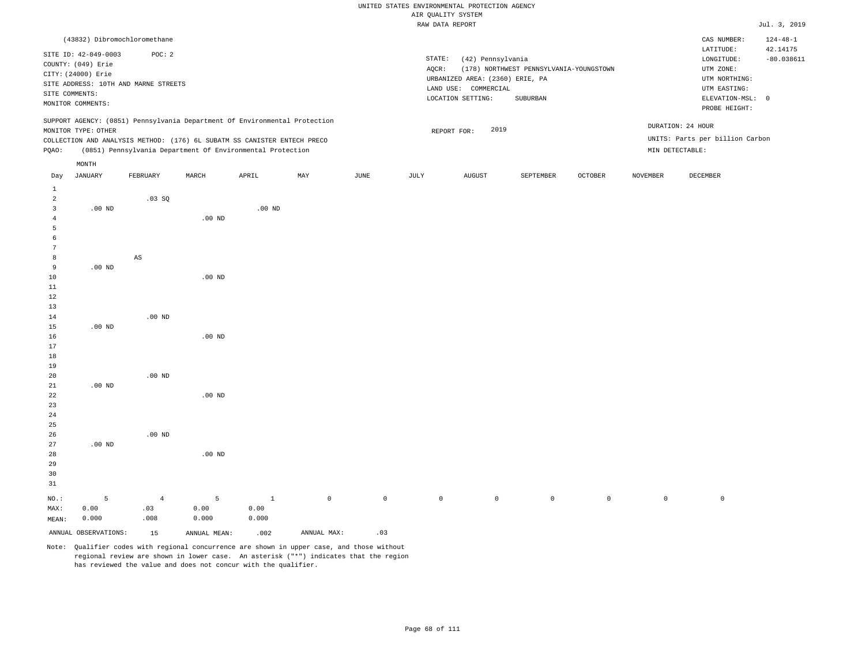|                |                      |                                        |                   |                                                                            |     |      |                             | urw Kountri oroinu              |                                         |                |                 |                                 |                                            |
|----------------|----------------------|----------------------------------------|-------------------|----------------------------------------------------------------------------|-----|------|-----------------------------|---------------------------------|-----------------------------------------|----------------|-----------------|---------------------------------|--------------------------------------------|
|                |                      |                                        |                   |                                                                            |     |      |                             | RAW DATA REPORT                 |                                         |                |                 |                                 | Jul. 3, 2019                               |
|                | SITE ID: 42-049-0003 | (43832) Dibromochloromethane<br>POC: 2 |                   |                                                                            |     |      | STATE:<br>(42) Pennsylvania |                                 |                                         |                |                 |                                 | $124 - 48 - 1$<br>42.14175<br>$-80.038611$ |
|                | COUNTY: (049) Erie   |                                        |                   |                                                                            |     |      | AQCR:                       |                                 | (178) NORTHWEST PENNSYLVANIA-YOUNGSTOWN |                |                 | LONGITUDE:<br>UTM ZONE:         |                                            |
|                | CITY: (24000) Erie   |                                        |                   |                                                                            |     |      |                             | URBANIZED AREA: (2360) ERIE, PA |                                         |                |                 | UTM NORTHING:                   |                                            |
|                |                      | SITE ADDRESS: 10TH AND MARNE STREETS   |                   |                                                                            |     |      |                             | LAND USE: COMMERCIAL            |                                         |                |                 | UTM EASTING:                    |                                            |
|                | SITE COMMENTS:       |                                        |                   |                                                                            |     |      |                             | LOCATION SETTING:               | SUBURBAN                                |                |                 | ELEVATION-MSL: 0                |                                            |
|                | MONITOR COMMENTS:    |                                        |                   |                                                                            |     |      |                             |                                 |                                         |                |                 | PROBE HEIGHT:                   |                                            |
|                |                      |                                        |                   | SUPPORT AGENCY: (0851) Pennsylvania Department Of Environmental Protection |     |      |                             |                                 |                                         |                |                 | DURATION: 24 HOUR               |                                            |
|                | MONITOR TYPE: OTHER  |                                        |                   |                                                                            |     |      |                             | 2019<br>REPORT FOR:             |                                         |                |                 | UNITS: Parts per billion Carbon |                                            |
|                |                      |                                        |                   | COLLECTION AND ANALYSIS METHOD: (176) 6L SUBATM SS CANISTER ENTECH PRECO   |     |      |                             |                                 |                                         |                |                 |                                 |                                            |
| PQAO:          |                      |                                        |                   | (0851) Pennsylvania Department Of Environmental Protection                 |     |      |                             |                                 |                                         |                | MIN DETECTABLE: |                                 |                                            |
|                | $\texttt{MONTH}$     |                                        |                   |                                                                            |     |      |                             |                                 |                                         |                |                 |                                 |                                            |
| Day            | <b>JANUARY</b>       | FEBRUARY                               | MARCH             | APRIL                                                                      | MAY | JUNE | JULY                        | AUGUST                          | SEPTEMBER                               | <b>OCTOBER</b> | NOVEMBER        | DECEMBER                        |                                            |
| $\mathbf{1}$   |                      |                                        |                   |                                                                            |     |      |                             |                                 |                                         |                |                 |                                 |                                            |
| $\overline{c}$ |                      | .03SQ                                  |                   |                                                                            |     |      |                             |                                 |                                         |                |                 |                                 |                                            |
| 3              | $.00$ ND             |                                        |                   | .00 <sub>ND</sub>                                                          |     |      |                             |                                 |                                         |                |                 |                                 |                                            |
| 4              |                      |                                        | .00 <sub>ND</sub> |                                                                            |     |      |                             |                                 |                                         |                |                 |                                 |                                            |
| 5              |                      |                                        |                   |                                                                            |     |      |                             |                                 |                                         |                |                 |                                 |                                            |
| -6             |                      |                                        |                   |                                                                            |     |      |                             |                                 |                                         |                |                 |                                 |                                            |
| 7              |                      |                                        |                   |                                                                            |     |      |                             |                                 |                                         |                |                 |                                 |                                            |
| 8              |                      | $_{\rm AS}$                            |                   |                                                                            |     |      |                             |                                 |                                         |                |                 |                                 |                                            |
| 9              | $.00$ ND             |                                        |                   |                                                                            |     |      |                             |                                 |                                         |                |                 |                                 |                                            |
| 10             |                      |                                        | $.00$ ND          |                                                                            |     |      |                             |                                 |                                         |                |                 |                                 |                                            |
| 11             |                      |                                        |                   |                                                                            |     |      |                             |                                 |                                         |                |                 |                                 |                                            |
| 12             |                      |                                        |                   |                                                                            |     |      |                             |                                 |                                         |                |                 |                                 |                                            |
| 13             |                      |                                        |                   |                                                                            |     |      |                             |                                 |                                         |                |                 |                                 |                                            |
| 14             |                      | $.00$ ND                               |                   |                                                                            |     |      |                             |                                 |                                         |                |                 |                                 |                                            |
| 15             | $.00$ ND             |                                        |                   |                                                                            |     |      |                             |                                 |                                         |                |                 |                                 |                                            |
| 16             |                      |                                        | $.00$ ND          |                                                                            |     |      |                             |                                 |                                         |                |                 |                                 |                                            |
| 17             |                      |                                        |                   |                                                                            |     |      |                             |                                 |                                         |                |                 |                                 |                                            |
| 18             |                      |                                        |                   |                                                                            |     |      |                             |                                 |                                         |                |                 |                                 |                                            |
| 19             |                      |                                        |                   |                                                                            |     |      |                             |                                 |                                         |                |                 |                                 |                                            |
| 20             |                      | $.00$ ND                               |                   |                                                                            |     |      |                             |                                 |                                         |                |                 |                                 |                                            |
| 21             | $.00$ ND             |                                        |                   |                                                                            |     |      |                             |                                 |                                         |                |                 |                                 |                                            |
| 22             |                      |                                        | $.00$ ND          |                                                                            |     |      |                             |                                 |                                         |                |                 |                                 |                                            |
| 23             |                      |                                        |                   |                                                                            |     |      |                             |                                 |                                         |                |                 |                                 |                                            |
| 24             |                      |                                        |                   |                                                                            |     |      |                             |                                 |                                         |                |                 |                                 |                                            |
| 25             |                      |                                        |                   |                                                                            |     |      |                             |                                 |                                         |                |                 |                                 |                                            |
| 26             |                      | $.00$ ND                               |                   |                                                                            |     |      |                             |                                 |                                         |                |                 |                                 |                                            |

Note: Qualifier codes with regional concurrence are shown in upper case, and those without regional review are shown in lower case. An asterisk ("\*") indicates that the region has reviewed the value and does not concur with the qualifier.

1 0.00 0.000

.00 ND

5 0.00 0.000

ANNUAL OBSERVATIONS: 15 ANNUAL MEAN: .002 ANNUAL MAX: .03

NO.: MAX: MEAN: .00 ND

5 0.00 0.000

4 .03 .008

0 0 0 0 0 0 0 0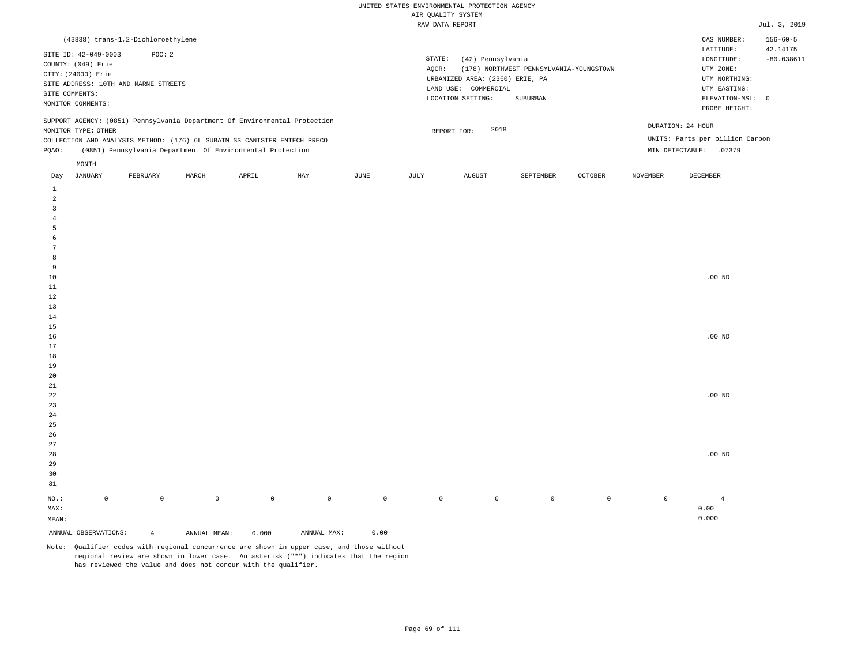|                                                                                                                                                                                                                                                      | (43838) trans-1,2-Dichloroethylene                                                                                                                        |          |       |       |     |      |      |                                                                                                                |                                                     |         |                                                                                                            | CAS NUMBER:                               | $156 - 60 - 5$ |
|------------------------------------------------------------------------------------------------------------------------------------------------------------------------------------------------------------------------------------------------------|-----------------------------------------------------------------------------------------------------------------------------------------------------------|----------|-------|-------|-----|------|------|----------------------------------------------------------------------------------------------------------------|-----------------------------------------------------|---------|------------------------------------------------------------------------------------------------------------|-------------------------------------------|----------------|
|                                                                                                                                                                                                                                                      | SITE ID: 42-049-0003<br>POC: 2<br>COUNTY: (049) Erie<br>CITY: (24000) Erie<br>SITE ADDRESS: 10TH AND MARNE STREETS<br>SITE COMMENTS:<br>MONITOR COMMENTS: |          |       |       |     |      |      | STATE:<br>(42) Pennsylvania<br>URBANIZED AREA: (2360) ERIE, PA<br>COMMERCIAL<br>LAND USE:<br>LOCATION SETTING: | (178) NORTHWEST PENNSYLVANIA-YOUNGSTOWN<br>SUBURBAN |         | LATITUDE:<br>LONGITUDE:<br>UTM ZONE:<br>UTM NORTHING:<br>UTM EASTING:<br>ELEVATION-MSL: 0<br>PROBE HEIGHT: | 42.14175<br>$-80.038611$                  |                |
| SUPPORT AGENCY: (0851) Pennsylvania Department Of Environmental Protection<br>MONITOR TYPE: OTHER<br>COLLECTION AND ANALYSIS METHOD: (176) 6L SUBATM SS CANISTER ENTECH PRECO<br>(0851) Pennsylvania Department Of Environmental Protection<br>POAO: |                                                                                                                                                           |          |       |       |     |      |      | 2018<br>REPORT FOR:                                                                                            |                                                     |         | DURATION: 24 HOUR<br>MIN DETECTABLE:                                                                       | UNITS: Parts per billion Carbon<br>.07379 |                |
| Day                                                                                                                                                                                                                                                  | MONTH<br>JANUARY                                                                                                                                          | FEBRUARY | MARCH | APRIL | MAY | JUNE | JULY | AUGUST                                                                                                         | SEPTEMBER                                           | OCTOBER | <b>NOVEMBER</b>                                                                                            | DECEMBER                                  |                |

| ANNUAL OBSERVATIONS:          | $\overline{4}$ | ANNUAL MEAN: | 0.000       | ANNUAL MAX: | 0.00        |             |                |         |         |             |                |
|-------------------------------|----------------|--------------|-------------|-------------|-------------|-------------|----------------|---------|---------|-------------|----------------|
| $\texttt{MEAN}:$              |                |              |             |             |             |             |                |         |         |             | 0.000          |
| $\texttt{MAX}$ :              |                |              |             |             |             |             |                |         |         |             | 0.00           |
| $_{\rm NO.}$ :<br>$\mathbb O$ | $\mathbb O$    | $\mathbb O$  | $\mathbb O$ | $\mathbb O$ | $\mathbb O$ | $\mathbb O$ | $\overline{0}$ | $\circ$ | $\circ$ | $\mathbb O$ | $\overline{4}$ |
| $3\sqrt{1}$                   |                |              |             |             |             |             |                |         |         |             |                |
| $30$                          |                |              |             |             |             |             |                |         |         |             |                |
| $29\,$                        |                |              |             |             |             |             |                |         |         |             |                |
| $2\,8$                        |                |              |             |             |             |             |                |         |         |             | $.00$ ND       |
| $27\,$                        |                |              |             |             |             |             |                |         |         |             |                |
| $26$                          |                |              |             |             |             |             |                |         |         |             |                |
| $25\,$                        |                |              |             |             |             |             |                |         |         |             |                |
| 24                            |                |              |             |             |             |             |                |         |         |             |                |
| 23                            |                |              |             |             |             |             |                |         |         |             |                |
| $^{\rm 22}$                   |                |              |             |             |             |             |                |         |         |             | $.00$ ND       |
| $2\sqrt{1}$                   |                |              |             |             |             |             |                |         |         |             |                |
| $20\,$                        |                |              |             |             |             |             |                |         |         |             |                |
| $19$                          |                |              |             |             |             |             |                |         |         |             |                |
| $1\,8$                        |                |              |             |             |             |             |                |         |         |             |                |
| $17\,$                        |                |              |             |             |             |             |                |         |         |             |                |
| $16$                          |                |              |             |             |             |             |                |         |         |             | $.00$ ND       |
| $15\,$                        |                |              |             |             |             |             |                |         |         |             |                |
| $14$                          |                |              |             |             |             |             |                |         |         |             |                |
| $13$                          |                |              |             |             |             |             |                |         |         |             |                |
| $1\,2$                        |                |              |             |             |             |             |                |         |         |             |                |
| $10\,$<br>$11\,$              |                |              |             |             |             |             |                |         |         |             | $.00$ ND       |
| $\overline{9}$                |                |              |             |             |             |             |                |         |         |             |                |
| $^{\,8}$                      |                |              |             |             |             |             |                |         |         |             |                |
| $7\phantom{.0}$               |                |              |             |             |             |             |                |         |         |             |                |
| 6                             |                |              |             |             |             |             |                |         |         |             |                |
| $\overline{5}$                |                |              |             |             |             |             |                |         |         |             |                |
| $\overline{4}$                |                |              |             |             |             |             |                |         |         |             |                |
| $\overline{\mathbf{3}}$       |                |              |             |             |             |             |                |         |         |             |                |
| $\overline{\mathbf{c}}$       |                |              |             |             |             |             |                |         |         |             |                |
| $\mathbf{1}$                  |                |              |             |             |             |             |                |         |         |             |                |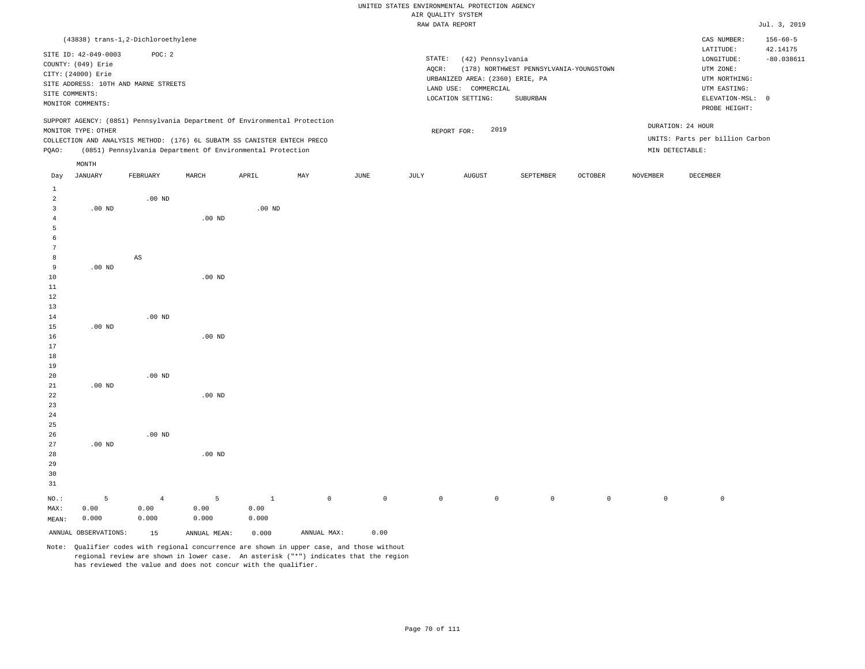|                                                                                                                                                           |                     |                                    |                    |                                                                                                                                        |             |             |                 | RAW DATA REPORT                                                                                                                              |           |                                                                                                            |                          |                                 | Jul. 3, 2019   |
|-----------------------------------------------------------------------------------------------------------------------------------------------------------|---------------------|------------------------------------|--------------------|----------------------------------------------------------------------------------------------------------------------------------------|-------------|-------------|-----------------|----------------------------------------------------------------------------------------------------------------------------------------------|-----------|------------------------------------------------------------------------------------------------------------|--------------------------|---------------------------------|----------------|
|                                                                                                                                                           |                     | (43838) trans-1,2-Dichloroethylene |                    |                                                                                                                                        |             |             |                 |                                                                                                                                              |           |                                                                                                            |                          | CAS NUMBER:                     | $156 - 60 - 5$ |
| POC: 2<br>SITE ID: 42-049-0003<br>COUNTY: (049) Erie<br>CITY: (24000) Erie<br>SITE ADDRESS: 10TH AND MARNE STREETS<br>SITE COMMENTS:<br>MONITOR COMMENTS: |                     |                                    |                    |                                                                                                                                        |             |             | STATE:<br>AQCR: | (42) Pennsylvania<br>(178) NORTHWEST PENNSYLVANIA-YOUNGSTOWN<br>URBANIZED AREA: (2360) ERIE, PA<br>LAND USE: COMMERCIAL<br>LOCATION SETTING: |           | LATITUDE:<br>LONGITUDE:<br>UTM ZONE:<br>UTM NORTHING:<br>UTM EASTING:<br>ELEVATION-MSL: 0<br>PROBE HEIGHT: | 42.14175<br>$-80.038611$ |                                 |                |
|                                                                                                                                                           |                     |                                    |                    | SUPPORT AGENCY: (0851) Pennsylvania Department Of Environmental Protection                                                             |             |             |                 |                                                                                                                                              |           |                                                                                                            |                          | DURATION: 24 HOUR               |                |
|                                                                                                                                                           | MONITOR TYPE: OTHER |                                    |                    |                                                                                                                                        |             |             |                 | 2019<br>REPORT FOR:                                                                                                                          |           |                                                                                                            |                          | UNITS: Parts per billion Carbon |                |
| PQAO:                                                                                                                                                     |                     |                                    |                    | COLLECTION AND ANALYSIS METHOD: (176) 6L SUBATM SS CANISTER ENTECH PRECO<br>(0851) Pennsylvania Department Of Environmental Protection |             |             |                 |                                                                                                                                              |           |                                                                                                            |                          | MIN DETECTABLE:                 |                |
|                                                                                                                                                           | $\texttt{MONTH}$    |                                    |                    |                                                                                                                                        |             |             |                 |                                                                                                                                              |           |                                                                                                            |                          |                                 |                |
| Day                                                                                                                                                       | <b>JANUARY</b>      | FEBRUARY                           | MARCH              | APRIL                                                                                                                                  | MAY         | <b>JUNE</b> | JULY            | <b>AUGUST</b>                                                                                                                                | SEPTEMBER | OCTOBER                                                                                                    | <b>NOVEMBER</b>          | <b>DECEMBER</b>                 |                |
| $\mathbf{1}$<br>$\overline{a}$<br>$\overline{3}$                                                                                                          | $.00$ ND            | $.00$ ND                           |                    | $.00$ ND                                                                                                                               |             |             |                 |                                                                                                                                              |           |                                                                                                            |                          |                                 |                |
| $\overline{4}$<br>5<br>6<br>7                                                                                                                             |                     |                                    | $.00$ ND           |                                                                                                                                        |             |             |                 |                                                                                                                                              |           |                                                                                                            |                          |                                 |                |
| 8<br>9                                                                                                                                                    | $.00$ ND            | AS                                 |                    |                                                                                                                                        |             |             |                 |                                                                                                                                              |           |                                                                                                            |                          |                                 |                |
| 10<br>$1\,1$<br>12                                                                                                                                        |                     |                                    | $.00$ ND           |                                                                                                                                        |             |             |                 |                                                                                                                                              |           |                                                                                                            |                          |                                 |                |
| 13<br>14<br>15<br>16                                                                                                                                      | $.00$ ND            | $.00$ ND                           | $.00$ ND           |                                                                                                                                        |             |             |                 |                                                                                                                                              |           |                                                                                                            |                          |                                 |                |
| $17$<br>18<br>19                                                                                                                                          |                     |                                    |                    |                                                                                                                                        |             |             |                 |                                                                                                                                              |           |                                                                                                            |                          |                                 |                |
| 20<br>21<br>22                                                                                                                                            | $.00$ ND            | $.00$ ND                           | .00 <sub>ND</sub>  |                                                                                                                                        |             |             |                 |                                                                                                                                              |           |                                                                                                            |                          |                                 |                |
| 23<br>24<br>25                                                                                                                                            |                     |                                    |                    |                                                                                                                                        |             |             |                 |                                                                                                                                              |           |                                                                                                            |                          |                                 |                |
| 26<br>27<br>28<br>29<br>30<br>31                                                                                                                          | .00 $ND$            | $.00$ ND                           | .00 <sub>ND</sub>  |                                                                                                                                        |             |             |                 |                                                                                                                                              |           |                                                                                                            |                          |                                 |                |
| NO.:<br>MAX:<br>MEAN:                                                                                                                                     | 5<br>0.00<br>0.000  | $\overline{4}$<br>0.00<br>0.000    | 5<br>0.00<br>0.000 | $\mathbf{1}$<br>0.00<br>0.000                                                                                                          | $\mathbb O$ | $\mathbb O$ | $\mathbb O$     | $\circ$                                                                                                                                      | $\circ$   | $\circ$                                                                                                    | $\mathbb O$              | $\mathbb O$                     |                |

ANNUAL OBSERVATIONS: 15 ANNUAL MEAN: 0.000 ANNUAL MAX: 0.00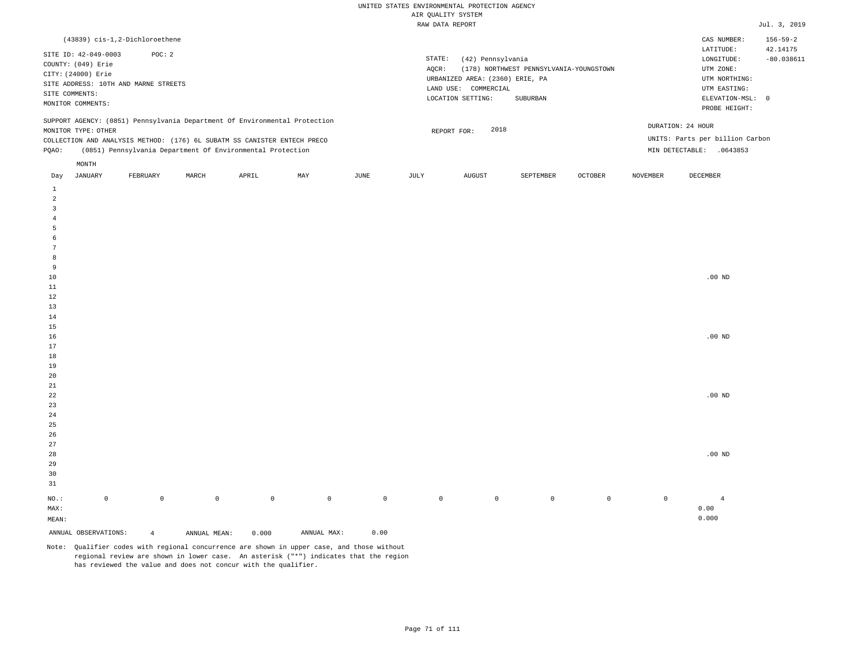|                                     |                      | (43839) cis-1,2-Dichloroethene       |       |                                                                            |     |      |                                 |                                         |           |                  |          | CAS NUMBER:                     | $156 - 59 - 2$ |  |
|-------------------------------------|----------------------|--------------------------------------|-------|----------------------------------------------------------------------------|-----|------|---------------------------------|-----------------------------------------|-----------|------------------|----------|---------------------------------|----------------|--|
|                                     | SITE ID: 42-049-0003 | POC:2                                |       |                                                                            |     |      |                                 |                                         |           |                  |          | LATITUDE:                       | 42.14175       |  |
|                                     | COUNTY: (049) Erie   |                                      |       |                                                                            |     |      | STATE:                          | (42) Pennsylvania                       |           |                  |          | LONGITUDE:                      | $-80.038611$   |  |
|                                     | CITY: (24000) Erie   |                                      |       |                                                                            |     |      | AOCR:                           | (178) NORTHWEST PENNSYLVANIA-YOUNGSTOWN |           | UTM ZONE:        |          |                                 |                |  |
|                                     |                      | SITE ADDRESS: 10TH AND MARNE STREETS |       |                                                                            |     |      | URBANIZED AREA: (2360) ERIE, PA | UTM NORTHING:                           |           |                  |          |                                 |                |  |
|                                     |                      |                                      |       |                                                                            |     |      |                                 | LAND USE: COMMERCIAL                    |           | UTM EASTING:     |          |                                 |                |  |
| SITE COMMENTS:<br>MONITOR COMMENTS: |                      |                                      |       |                                                                            |     |      |                                 | LOCATION SETTING:                       |           | ELEVATION-MSL: 0 |          |                                 |                |  |
|                                     |                      |                                      |       |                                                                            |     |      |                                 |                                         |           |                  |          | PROBE HEIGHT:                   |                |  |
|                                     |                      |                                      |       | SUPPORT AGENCY: (0851) Pennsylvania Department Of Environmental Protection |     |      |                                 |                                         |           |                  |          |                                 |                |  |
|                                     | MONITOR TYPE: OTHER  |                                      |       |                                                                            |     |      | 2018<br>REPORT FOR:             |                                         |           |                  |          | DURATION: 24 HOUR               |                |  |
|                                     |                      |                                      |       | COLLECTION AND ANALYSIS METHOD: (176) 6L SUBATM SS CANISTER ENTECH PRECO   |     |      |                                 |                                         |           |                  |          | UNITS: Parts per billion Carbon |                |  |
| POAO:                               |                      |                                      |       | (0851) Pennsylvania Department Of Environmental Protection                 |     |      |                                 |                                         |           |                  |          | MIN DETECTABLE:<br>.0643853     |                |  |
|                                     |                      |                                      |       |                                                                            |     |      |                                 |                                         |           |                  |          |                                 |                |  |
|                                     | MONTH                |                                      |       |                                                                            |     |      |                                 |                                         |           |                  |          |                                 |                |  |
| Day                                 | JANUARY              | FEBRUARY                             | MARCH | APRIL                                                                      | MAY | JUNE | JULY                            | AUGUST                                  | SEPTEMBER | <b>OCTOBER</b>   | NOVEMBER | DECEMBER                        |                |  |

| $\,$ 1<br>$\sqrt{2}$<br>$\overline{3}$  |             |                |              |             |             |                                                                                |                |                |                |         |             |                |
|-----------------------------------------|-------------|----------------|--------------|-------------|-------------|--------------------------------------------------------------------------------|----------------|----------------|----------------|---------|-------------|----------------|
| $\overline{4}$<br>$\sqrt{5}$            |             |                |              |             |             |                                                                                |                |                |                |         |             |                |
| 6                                       |             |                |              |             |             |                                                                                |                |                |                |         |             |                |
| $7\phantom{.0}$                         |             |                |              |             |             |                                                                                |                |                |                |         |             |                |
| 8                                       |             |                |              |             |             |                                                                                |                |                |                |         |             |                |
| 9                                       |             |                |              |             |             |                                                                                |                |                |                |         |             |                |
| $10$                                    |             |                |              |             |             |                                                                                |                |                |                |         |             | .00 $ND$       |
| $11\,$                                  |             |                |              |             |             |                                                                                |                |                |                |         |             |                |
| $12\,$                                  |             |                |              |             |             |                                                                                |                |                |                |         |             |                |
| $13\,$                                  |             |                |              |             |             |                                                                                |                |                |                |         |             |                |
| $14\,$                                  |             |                |              |             |             |                                                                                |                |                |                |         |             |                |
| $15\,$                                  |             |                |              |             |             |                                                                                |                |                |                |         |             |                |
| $16\,$                                  |             |                |              |             |             |                                                                                |                |                |                |         |             | .00 $ND$       |
| 17                                      |             |                |              |             |             |                                                                                |                |                |                |         |             |                |
| $18\,$                                  |             |                |              |             |             |                                                                                |                |                |                |         |             |                |
| $19$<br>$20\,$                          |             |                |              |             |             |                                                                                |                |                |                |         |             |                |
| $21$                                    |             |                |              |             |             |                                                                                |                |                |                |         |             |                |
| $^{\rm 22}$                             |             |                |              |             |             |                                                                                |                |                |                |         |             | $.00$ ND       |
| $23\,$                                  |             |                |              |             |             |                                                                                |                |                |                |         |             |                |
| $_{\rm 24}$                             |             |                |              |             |             |                                                                                |                |                |                |         |             |                |
| $\begin{array}{c} 25 \\ 26 \end{array}$ |             |                |              |             |             |                                                                                |                |                |                |         |             |                |
|                                         |             |                |              |             |             |                                                                                |                |                |                |         |             |                |
| $27\,$                                  |             |                |              |             |             |                                                                                |                |                |                |         |             |                |
| $28\,$                                  |             |                |              |             |             |                                                                                |                |                |                |         |             | $.00$ ND       |
| 29                                      |             |                |              |             |             |                                                                                |                |                |                |         |             |                |
| $30$                                    |             |                |              |             |             |                                                                                |                |                |                |         |             |                |
| $3\sqrt{1}$                             |             |                |              |             |             |                                                                                |                |                |                |         |             |                |
| $_{\rm NO.}$ :                          | $\mathbb O$ | $\mathbb O$    | $\mathbb O$  | $\mathbb O$ | $\,0\,$     | $\mathsf{O}$                                                                   | $\overline{0}$ | $\overline{0}$ | $\overline{0}$ | $\circ$ | $\mathbb O$ | $\overline{4}$ |
| $\texttt{MAX}$ :                        |             |                |              |             |             |                                                                                |                |                |                |         |             | 0.00           |
| $\texttt{MEAN}\colon$                   |             |                |              |             |             |                                                                                |                |                |                |         |             | 0.000          |
| ANNUAL OBSERVATIONS:                    |             | $\overline{4}$ | ANNUAL MEAN: | 0.000       | ANNUAL MAX: | $\ensuremath{\mathbf{0}}$ . $\ensuremath{\mathbf{0}}\,\ensuremath{\mathbf{0}}$ |                |                |                |         |             |                |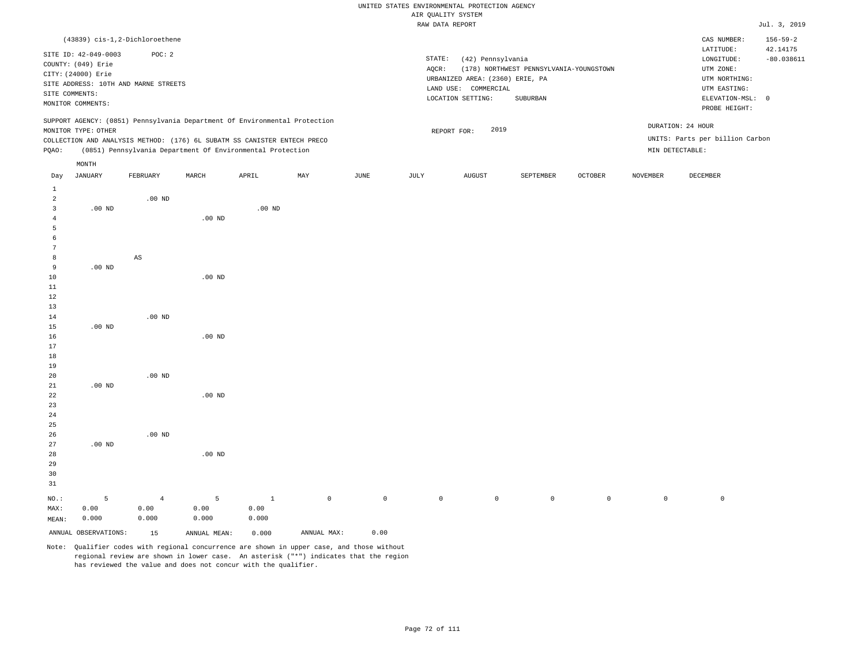|                     |                      |                                                                            |          |          |     |      |          | RAW DATA REPORT                 |                                         |                |          |                                 | Jul. 3, 2019               |
|---------------------|----------------------|----------------------------------------------------------------------------|----------|----------|-----|------|----------|---------------------------------|-----------------------------------------|----------------|----------|---------------------------------|----------------------------|
|                     |                      | (43839) cis-1,2-Dichloroethene                                             |          |          |     |      |          |                                 |                                         |                |          | CAS NUMBER:<br>LATITUDE:        | $156 - 59 - 2$<br>42.14175 |
|                     | SITE ID: 42-049-0003 | POC: 2                                                                     |          |          |     |      | STATE:   | (42) Pennsylvania               |                                         |                |          | LONGITUDE:                      | $-80.038611$               |
|                     | COUNTY: (049) Erie   |                                                                            |          |          |     |      | $AQCR$ : |                                 | (178) NORTHWEST PENNSYLVANIA-YOUNGSTOWN |                |          | UTM ZONE:                       |                            |
|                     | CITY: (24000) Erie   |                                                                            |          |          |     |      |          | URBANIZED AREA: (2360) ERIE, PA |                                         |                |          | UTM NORTHING:                   |                            |
|                     |                      | SITE ADDRESS: 10TH AND MARNE STREETS                                       |          |          |     |      |          | LAND USE: COMMERCIAL            |                                         |                |          | UTM EASTING:                    |                            |
|                     | SITE COMMENTS:       |                                                                            |          |          |     |      |          | LOCATION SETTING:               | SUBURBAN                                |                |          | ELEVATION-MSL: 0                |                            |
|                     | MONITOR COMMENTS:    |                                                                            |          |          |     |      |          |                                 |                                         |                |          | PROBE HEIGHT:                   |                            |
|                     |                      | SUPPORT AGENCY: (0851) Pennsylvania Department Of Environmental Protection |          |          |     |      |          | 2019                            |                                         |                |          | DURATION: 24 HOUR               |                            |
|                     | MONITOR TYPE: OTHER  | COLLECTION AND ANALYSIS METHOD: (176) 6L SUBATM SS CANISTER ENTECH PRECO   |          |          |     |      |          | REPORT FOR:                     |                                         |                |          | UNITS: Parts per billion Carbon |                            |
| PQAO:               |                      | (0851) Pennsylvania Department Of Environmental Protection                 |          |          |     |      |          |                                 |                                         |                |          | MIN DETECTABLE:                 |                            |
|                     |                      |                                                                            |          |          |     |      |          |                                 |                                         |                |          |                                 |                            |
|                     | MONTH                |                                                                            |          |          |     |      |          |                                 |                                         |                |          |                                 |                            |
| Day                 | JANUARY              | FEBRUARY                                                                   | MARCH    | APRIL    | MAY | JUNE | JULY     | <b>AUGUST</b>                   | SEPTEMBER                               | <b>OCTOBER</b> | NOVEMBER | DECEMBER                        |                            |
| <sup>1</sup>        |                      |                                                                            |          |          |     |      |          |                                 |                                         |                |          |                                 |                            |
| $\overline{a}$<br>3 | $.00$ ND             | $.00$ ND                                                                   |          | $.00$ ND |     |      |          |                                 |                                         |                |          |                                 |                            |
| $\overline{4}$      |                      |                                                                            | $.00$ ND |          |     |      |          |                                 |                                         |                |          |                                 |                            |
| 5                   |                      |                                                                            |          |          |     |      |          |                                 |                                         |                |          |                                 |                            |
| 6                   |                      |                                                                            |          |          |     |      |          |                                 |                                         |                |          |                                 |                            |
| 7                   |                      |                                                                            |          |          |     |      |          |                                 |                                         |                |          |                                 |                            |
| 8                   |                      | $\mathbb{A}\mathbb{S}$                                                     |          |          |     |      |          |                                 |                                         |                |          |                                 |                            |
| 9                   | $.00$ ND             |                                                                            |          |          |     |      |          |                                 |                                         |                |          |                                 |                            |
| 10                  |                      |                                                                            | $.00$ ND |          |     |      |          |                                 |                                         |                |          |                                 |                            |
| 11                  |                      |                                                                            |          |          |     |      |          |                                 |                                         |                |          |                                 |                            |
| 12                  |                      |                                                                            |          |          |     |      |          |                                 |                                         |                |          |                                 |                            |
| 13                  |                      |                                                                            |          |          |     |      |          |                                 |                                         |                |          |                                 |                            |
| 14                  |                      | $.00$ ND                                                                   |          |          |     |      |          |                                 |                                         |                |          |                                 |                            |
| 15                  | $.00$ ND             |                                                                            |          |          |     |      |          |                                 |                                         |                |          |                                 |                            |
| 16                  |                      |                                                                            | $.00$ ND |          |     |      |          |                                 |                                         |                |          |                                 |                            |
| 17                  |                      |                                                                            |          |          |     |      |          |                                 |                                         |                |          |                                 |                            |
| 18                  |                      |                                                                            |          |          |     |      |          |                                 |                                         |                |          |                                 |                            |
| 19                  |                      |                                                                            |          |          |     |      |          |                                 |                                         |                |          |                                 |                            |
| 20                  |                      | $.00$ ND                                                                   |          |          |     |      |          |                                 |                                         |                |          |                                 |                            |
| 21                  | $.00$ ND             |                                                                            |          |          |     |      |          |                                 |                                         |                |          |                                 |                            |
| 22                  |                      |                                                                            | $.00$ ND |          |     |      |          |                                 |                                         |                |          |                                 |                            |

| NO.: | 5        | $\overline{4}$ | $\overline{a}$ | $^{\circ}$ | $^{\circ}$ | $\Omega$ | $^{\circ}$ | $^{\circ}$ | $\Omega$ | $\Omega$ |  |
|------|----------|----------------|----------------|------------|------------|----------|------------|------------|----------|----------|--|
| 31   |          |                |                |            |            |          |            |            |          |          |  |
| 30   |          |                |                |            |            |          |            |            |          |          |  |
| 29   |          |                |                |            |            |          |            |            |          |          |  |
| 28   |          |                | $.00$ ND       |            |            |          |            |            |          |          |  |
| 27   | $.00$ ND |                |                |            |            |          |            |            |          |          |  |
| 26   |          | $.00$ ND       |                |            |            |          |            |            |          |          |  |
| 25   |          |                |                |            |            |          |            |            |          |          |  |
| 24   |          |                |                |            |            |          |            |            |          |          |  |
| 23   |          |                |                |            |            |          |            |            |          |          |  |
|      |          |                |                |            |            |          |            |            |          |          |  |

|       |      |      |     |     | - - - |
|-------|------|------|-----|-----|-------|
| MEAN: | .000 | .000 | 000 | 000 |       |
| MAX:  | .00  | 0.00 | 00  | .00 |       |

ANNUAL OBSERVATIONS: 15 ANNUAL MEAN: 0.000 ANNUAL MAX: 0.00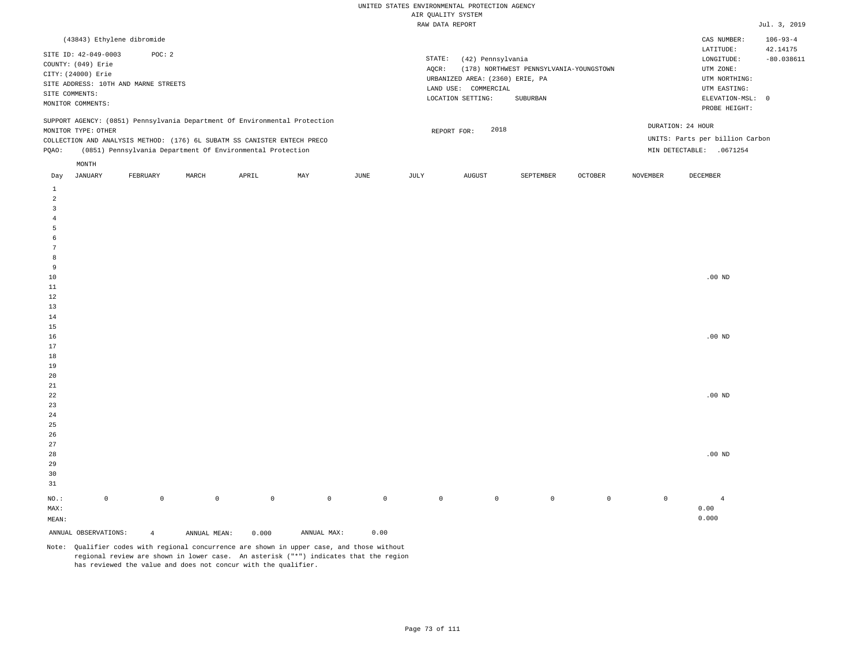| (43843) Ethylene dibromide                                                                                                                                                                                                                           |                                                                                                                                                                             | $106 - 93 - 4$<br>CAS NUMBER:                                                                                                          |
|------------------------------------------------------------------------------------------------------------------------------------------------------------------------------------------------------------------------------------------------------|-----------------------------------------------------------------------------------------------------------------------------------------------------------------------------|----------------------------------------------------------------------------------------------------------------------------------------|
| SITE ID: 42-049-0003<br>POC: 2<br>COUNTY: (049) Erie<br>CITY: (24000) Erie<br>SITE ADDRESS: 10TH AND MARNE STREETS<br>SITE COMMENTS:<br>MONITOR COMMENTS:                                                                                            | STATE:<br>(42) Pennsylvania<br>(178) NORTHWEST PENNSYLVANIA-YOUNGSTOWN<br>AOCR:<br>URBANIZED AREA: (2360) ERIE, PA<br>LAND USE: COMMERCIAL<br>LOCATION SETTING:<br>SUBURBAN | 42.14175<br>LATITUDE:<br>$-80.038611$<br>LONGITUDE:<br>UTM ZONE:<br>UTM NORTHING:<br>UTM EASTING:<br>ELEVATION-MSL: 0<br>PROBE HEIGHT: |
| SUPPORT AGENCY: (0851) Pennsylvania Department Of Environmental Protection<br>MONITOR TYPE: OTHER<br>COLLECTION AND ANALYSIS METHOD: (176) 6L SUBATM SS CANISTER ENTECH PRECO<br>(0851) Pennsylvania Department Of Environmental Protection<br>POAO: | 2018<br>REPORT FOR:                                                                                                                                                         | DURATION: 24 HOUR<br>UNITS: Parts per billion Carbon<br>MIN DETECTABLE:<br>.0671254                                                    |
| MONTH                                                                                                                                                                                                                                                |                                                                                                                                                                             |                                                                                                                                        |
|                                                                                                                                                                                                                                                      | the contract of the contract of the contract of the contract of the contract of                                                                                             | the contract of the contract of the contract of the contract of the contract of                                                        |

| Day                     | JANUARY              | FEBRUARY       | MARCH        | APRIL       | MAY                                 | JUNE        | JULY        | AUGUST      | SEPTEMBER   | OCTOBER     | NOVEMBER    | DECEMBER       |
|-------------------------|----------------------|----------------|--------------|-------------|-------------------------------------|-------------|-------------|-------------|-------------|-------------|-------------|----------------|
| $\mathbf{1}$            |                      |                |              |             |                                     |             |             |             |             |             |             |                |
| $\overline{a}$          |                      |                |              |             |                                     |             |             |             |             |             |             |                |
| $\overline{\mathbf{3}}$ |                      |                |              |             |                                     |             |             |             |             |             |             |                |
| $\overline{4}$          |                      |                |              |             |                                     |             |             |             |             |             |             |                |
| 5                       |                      |                |              |             |                                     |             |             |             |             |             |             |                |
| 6                       |                      |                |              |             |                                     |             |             |             |             |             |             |                |
| $7\phantom{.0}$         |                      |                |              |             |                                     |             |             |             |             |             |             |                |
| 8                       |                      |                |              |             |                                     |             |             |             |             |             |             |                |
| 9                       |                      |                |              |             |                                     |             |             |             |             |             |             |                |
| $10$                    |                      |                |              |             |                                     |             |             |             |             |             |             | .00 $ND$       |
| $11\,$                  |                      |                |              |             |                                     |             |             |             |             |             |             |                |
| 12                      |                      |                |              |             |                                     |             |             |             |             |             |             |                |
| 13                      |                      |                |              |             |                                     |             |             |             |             |             |             |                |
| $14\,$                  |                      |                |              |             |                                     |             |             |             |             |             |             |                |
| 15                      |                      |                |              |             |                                     |             |             |             |             |             |             |                |
| $16$                    |                      |                |              |             |                                     |             |             |             |             |             |             | $.00{\rm ~ND}$ |
| 17                      |                      |                |              |             |                                     |             |             |             |             |             |             |                |
| 18                      |                      |                |              |             |                                     |             |             |             |             |             |             |                |
| 19                      |                      |                |              |             |                                     |             |             |             |             |             |             |                |
| $20\,$                  |                      |                |              |             |                                     |             |             |             |             |             |             |                |
| $21\,$                  |                      |                |              |             |                                     |             |             |             |             |             |             |                |
| $^{\rm 22}$             |                      |                |              |             |                                     |             |             |             |             |             |             | .00 $ND$       |
| $23\,$                  |                      |                |              |             |                                     |             |             |             |             |             |             |                |
| $2\sqrt{4}$             |                      |                |              |             |                                     |             |             |             |             |             |             |                |
| $25\,$                  |                      |                |              |             |                                     |             |             |             |             |             |             |                |
| 26                      |                      |                |              |             |                                     |             |             |             |             |             |             |                |
| $27\,$                  |                      |                |              |             |                                     |             |             |             |             |             |             |                |
| 28                      |                      |                |              |             |                                     |             |             |             |             |             |             | .00 $ND$       |
| 29                      |                      |                |              |             |                                     |             |             |             |             |             |             |                |
| 30                      |                      |                |              |             |                                     |             |             |             |             |             |             |                |
| 31                      |                      |                |              |             |                                     |             |             |             |             |             |             |                |
| $_{\rm NO.}$ :          | $\mathbb O$          | $\mathbb O$    | $\mathbb O$  | $\mathbb O$ | $\mathbb O$                         | $\mathbb O$ | $\mathbb O$ | $\mathbb O$ | $\mathsf 0$ | $\mathbb O$ | $\mathbb O$ | $\overline{4}$ |
| MAX:                    |                      |                |              |             |                                     |             |             |             |             |             |             | 0.00           |
| MEAN:                   |                      |                |              |             |                                     |             |             |             |             |             |             | 0.000          |
|                         | ANNUAL OBSERVATIONS: | $\overline{4}$ | ANNUAL MEAN: | 0.000       | $\texttt{ANNUAL} \ \ \texttt{MAX:}$ | 0.00        |             |             |             |             |             |                |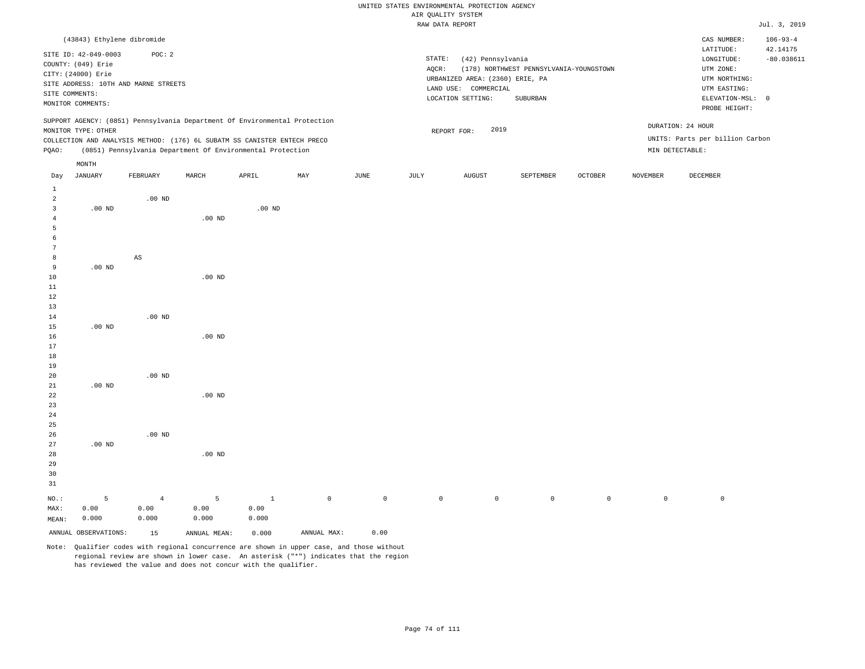|                |                            |                                      |          |                                                                            |     |      |        | RAW DATA REPORT                 |                                         |         |          |                                 | Jul. 3, 2019   |
|----------------|----------------------------|--------------------------------------|----------|----------------------------------------------------------------------------|-----|------|--------|---------------------------------|-----------------------------------------|---------|----------|---------------------------------|----------------|
|                | (43843) Ethylene dibromide |                                      |          |                                                                            |     |      |        |                                 |                                         |         |          | CAS NUMBER:                     | $106 - 93 - 4$ |
|                | SITE ID: 42-049-0003       | POC: 2                               |          |                                                                            |     |      |        |                                 |                                         |         |          | LATITUDE:                       | 42.14175       |
|                | COUNTY: (049) Erie         |                                      |          |                                                                            |     |      | STATE: | (42) Pennsylvania               |                                         |         |          | LONGITUDE:                      | $-80.038611$   |
|                |                            |                                      |          |                                                                            |     |      | AQCR:  |                                 | (178) NORTHWEST PENNSYLVANIA-YOUNGSTOWN |         |          | UTM ZONE:                       |                |
|                | CITY: (24000) Erie         |                                      |          |                                                                            |     |      |        | URBANIZED AREA: (2360) ERIE, PA |                                         |         |          | UTM NORTHING:                   |                |
|                |                            | SITE ADDRESS: 10TH AND MARNE STREETS |          |                                                                            |     |      |        | LAND USE: COMMERCIAL            |                                         |         |          | UTM EASTING:                    |                |
|                | SITE COMMENTS:             |                                      |          |                                                                            |     |      |        | LOCATION SETTING:               | SUBURBAN                                |         |          | ELEVATION-MSL: 0                |                |
|                | MONITOR COMMENTS:          |                                      |          |                                                                            |     |      |        |                                 |                                         |         |          | PROBE HEIGHT:                   |                |
|                |                            |                                      |          | SUPPORT AGENCY: (0851) Pennsylvania Department Of Environmental Protection |     |      |        |                                 |                                         |         |          |                                 |                |
|                | MONITOR TYPE: OTHER        |                                      |          |                                                                            |     |      |        | 2019<br>REPORT FOR:             |                                         |         |          | DURATION: 24 HOUR               |                |
|                |                            |                                      |          | COLLECTION AND ANALYSIS METHOD: (176) 6L SUBATM SS CANISTER ENTECH PRECO   |     |      |        |                                 |                                         |         |          | UNITS: Parts per billion Carbon |                |
| PQAO:          |                            |                                      |          | (0851) Pennsylvania Department Of Environmental Protection                 |     |      |        |                                 |                                         |         |          | MIN DETECTABLE:                 |                |
|                | MONTH                      |                                      |          |                                                                            |     |      |        |                                 |                                         |         |          |                                 |                |
| Day            | JANUARY                    | FEBRUARY                             | MARCH    | APRIL                                                                      | MAY | JUNE | JULY   | AUGUST                          | SEPTEMBER                               | OCTOBER | NOVEMBER | DECEMBER                        |                |
| $\mathbf{1}$   |                            |                                      |          |                                                                            |     |      |        |                                 |                                         |         |          |                                 |                |
| 2              |                            | $.00$ ND                             |          |                                                                            |     |      |        |                                 |                                         |         |          |                                 |                |
| 3              | .00 <sub>ND</sub>          |                                      |          | $.00$ ND                                                                   |     |      |        |                                 |                                         |         |          |                                 |                |
| $\overline{4}$ |                            |                                      | $.00$ ND |                                                                            |     |      |        |                                 |                                         |         |          |                                 |                |
| 5              |                            |                                      |          |                                                                            |     |      |        |                                 |                                         |         |          |                                 |                |
| 6              |                            |                                      |          |                                                                            |     |      |        |                                 |                                         |         |          |                                 |                |
| 7              |                            |                                      |          |                                                                            |     |      |        |                                 |                                         |         |          |                                 |                |
| 8              |                            | AS                                   |          |                                                                            |     |      |        |                                 |                                         |         |          |                                 |                |
| 9              | $.00$ ND                   |                                      |          |                                                                            |     |      |        |                                 |                                         |         |          |                                 |                |
| 10             |                            |                                      | $.00$ ND |                                                                            |     |      |        |                                 |                                         |         |          |                                 |                |
| 11             |                            |                                      |          |                                                                            |     |      |        |                                 |                                         |         |          |                                 |                |
| 12             |                            |                                      |          |                                                                            |     |      |        |                                 |                                         |         |          |                                 |                |
| 13             |                            |                                      |          |                                                                            |     |      |        |                                 |                                         |         |          |                                 |                |
| 14             |                            | $.00$ ND                             |          |                                                                            |     |      |        |                                 |                                         |         |          |                                 |                |
| 15             | .00 <sub>ND</sub>          |                                      |          |                                                                            |     |      |        |                                 |                                         |         |          |                                 |                |
| 16             |                            |                                      | $.00$ ND |                                                                            |     |      |        |                                 |                                         |         |          |                                 |                |
| 17             |                            |                                      |          |                                                                            |     |      |        |                                 |                                         |         |          |                                 |                |
| 18             |                            |                                      |          |                                                                            |     |      |        |                                 |                                         |         |          |                                 |                |
| 19             |                            |                                      |          |                                                                            |     |      |        |                                 |                                         |         |          |                                 |                |
| 20             |                            | $.00$ ND                             |          |                                                                            |     |      |        |                                 |                                         |         |          |                                 |                |

| 31      |                      |       |              |              |             |          |          |                |                |          |  |
|---------|----------------------|-------|--------------|--------------|-------------|----------|----------|----------------|----------------|----------|--|
| $NO.$ : | 5.                   | 4     |              | $\mathbf{1}$ | $\Omega$    | $\sim$ 0 | $\Omega$ | $\overline{0}$ | $\overline{0}$ | $\Omega$ |  |
| MAX:    | 0.00                 | 0.00  | 0.00         | 0.00         |             |          |          |                |                |          |  |
| MEAN:   | 0.000                | 0.000 | 0.000        | 0.000        |             |          |          |                |                |          |  |
|         | ANNUAL OBSERVATIONS: | 15    | ANNUAL MEAN: | 0.000        | ANNUAL MAX: | 0.00     |          |                |                |          |  |

Note: Qualifier codes with regional concurrence are shown in upper case, and those without regional review are shown in lower case. An asterisk ("\*") indicates that the region has reviewed the value and does not concur with the qualifier.

.00 ND

.00 ND

.00 ND

.00 ND

.00 ND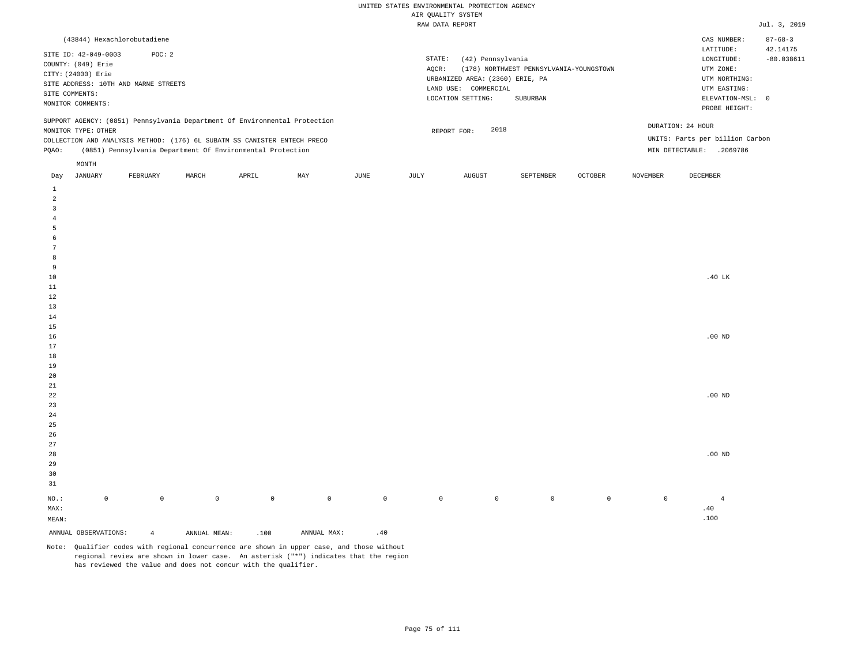| (43844) Hexachlorobutadiene                                                                                                                                                                                                                          |          |       |       |     |      |                 |                                                                                                      |                                                     |                |                 | CAS NUMBER:                                                                                                | $87 - 68 - 3$            |
|------------------------------------------------------------------------------------------------------------------------------------------------------------------------------------------------------------------------------------------------------|----------|-------|-------|-----|------|-----------------|------------------------------------------------------------------------------------------------------|-----------------------------------------------------|----------------|-----------------|------------------------------------------------------------------------------------------------------------|--------------------------|
| SITE ID: 42-049-0003<br>COUNTY: (049) Erie<br>CITY: (24000) Erie<br>SITE ADDRESS: 10TH AND MARNE STREETS<br>SITE COMMENTS:<br>MONITOR COMMENTS:                                                                                                      | POC: 2   |       |       |     |      | STATE:<br>AOCR: | (42) Pennsylvania<br>URBANIZED AREA: (2360) ERIE, PA<br>LAND USE:<br>COMMERCIAL<br>LOCATION SETTING: | (178) NORTHWEST PENNSYLVANIA-YOUNGSTOWN<br>SUBURBAN |                |                 | LATITUDE:<br>LONGITUDE:<br>UTM ZONE:<br>UTM NORTHING:<br>UTM EASTING:<br>ELEVATION-MSL: 0<br>PROBE HEIGHT: | 42.14175<br>$-80.038611$ |
| SUPPORT AGENCY: (0851) Pennsylvania Department Of Environmental Protection<br>MONITOR TYPE: OTHER<br>COLLECTION AND ANALYSIS METHOD: (176) 6L SUBATM SS CANISTER ENTECH PRECO<br>(0851) Pennsylvania Department Of Environmental Protection<br>POAO: |          |       |       |     |      |                 | 2018<br>REPORT FOR:                                                                                  |                                                     |                | MIN DETECTABLE: | DURATION: 24 HOUR<br>UNITS: Parts per billion Carbon<br>.2069786                                           |                          |
| MONTH<br>JANUARY<br>Day                                                                                                                                                                                                                              | FEBRUARY | MARCH | APRIL | MAY | JUNE | JULY            | AUGUST                                                                                               | SEPTEMBER                                           | <b>OCTOBER</b> | NOVEMBER        | DECEMBER                                                                                                   |                          |

| ANNUAL OBSERVATIONS:          | $\overline{4}$ | ANNUAL MEAN: | .100         | $\texttt{ANNUAL} \ \ \texttt{MAX:}$ | $\cdot\,40$ |         |             |         |             |             |                |
|-------------------------------|----------------|--------------|--------------|-------------------------------------|-------------|---------|-------------|---------|-------------|-------------|----------------|
| $\texttt{MEAN}:$              |                |              |              |                                     |             |         |             |         |             |             | .100           |
| $\texttt{MAX}$ :              |                |              |              |                                     |             |         |             |         |             |             | $.40$          |
| $_{\rm NO.}$ :<br>$\mathbb O$ | $\mathbb O$    | $\mathbb O$  | $\mathsf{O}$ | $\mathbb O$                         | $\mathbb O$ | $\circ$ | $\mathbb O$ | $\circ$ | $\mathbb O$ | $\mathbb O$ | $\overline{4}$ |
| $3\sqrt{1}$                   |                |              |              |                                     |             |         |             |         |             |             |                |
| $30$                          |                |              |              |                                     |             |         |             |         |             |             |                |
| $29$                          |                |              |              |                                     |             |         |             |         |             |             |                |
| $_{\rm 28}$                   |                |              |              |                                     |             |         |             |         |             |             | .00 $ND$       |
| $27\,$                        |                |              |              |                                     |             |         |             |         |             |             |                |
| $26\,$                        |                |              |              |                                     |             |         |             |         |             |             |                |
| $25\,$                        |                |              |              |                                     |             |         |             |         |             |             |                |
| $2\sqrt{4}$                   |                |              |              |                                     |             |         |             |         |             |             |                |
| $23\,$                        |                |              |              |                                     |             |         |             |         |             |             |                |
| $2\sqrt{2}$                   |                |              |              |                                     |             |         |             |         |             |             | $.00$ ND       |
| $2\sqrt{1}$                   |                |              |              |                                     |             |         |             |         |             |             |                |
| $20\,$                        |                |              |              |                                     |             |         |             |         |             |             |                |
| $19$                          |                |              |              |                                     |             |         |             |         |             |             |                |
| $1\,8$                        |                |              |              |                                     |             |         |             |         |             |             |                |
| $17\,$                        |                |              |              |                                     |             |         |             |         |             |             |                |
| $16\,$                        |                |              |              |                                     |             |         |             |         |             |             | $.00$ ND       |
| $15$                          |                |              |              |                                     |             |         |             |         |             |             |                |
| $13\,$<br>$14$                |                |              |              |                                     |             |         |             |         |             |             |                |
|                               |                |              |              |                                     |             |         |             |         |             |             |                |
| $11\,$<br>$1\,2$              |                |              |              |                                     |             |         |             |         |             |             |                |
| $10\,$                        |                |              |              |                                     |             |         |             |         |             |             | .40 LK         |
| 9                             |                |              |              |                                     |             |         |             |         |             |             |                |
| 8                             |                |              |              |                                     |             |         |             |         |             |             |                |
| $7\phantom{.0}$               |                |              |              |                                     |             |         |             |         |             |             |                |
| $\epsilon$                    |                |              |              |                                     |             |         |             |         |             |             |                |
| $\sqrt{5}$                    |                |              |              |                                     |             |         |             |         |             |             |                |
| $\sqrt{4}$                    |                |              |              |                                     |             |         |             |         |             |             |                |
| 3                             |                |              |              |                                     |             |         |             |         |             |             |                |
| $\overline{a}$                |                |              |              |                                     |             |         |             |         |             |             |                |
| $\mathbf{1}$                  |                |              |              |                                     |             |         |             |         |             |             |                |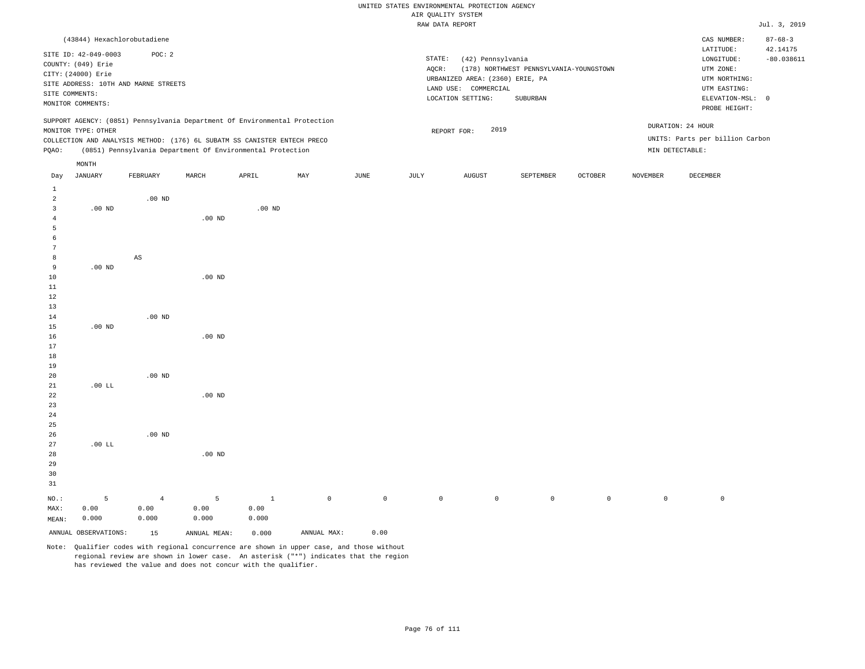|                |                      |                                                                            |          |          |     |      |        | WIR ÖNUTTI 9191EM               |                                         |                |                 |                                 |                           |
|----------------|----------------------|----------------------------------------------------------------------------|----------|----------|-----|------|--------|---------------------------------|-----------------------------------------|----------------|-----------------|---------------------------------|---------------------------|
|                |                      |                                                                            |          |          |     |      |        | RAW DATA REPORT                 |                                         |                |                 |                                 | Jul. 3, 2019              |
|                |                      | (43844) Hexachlorobutadiene                                                |          |          |     |      |        |                                 |                                         |                |                 | CAS NUMBER:<br>LATITUDE:        | $87 - 68 - 3$<br>42.14175 |
|                | SITE ID: 42-049-0003 | POC: 2                                                                     |          |          |     |      | STATE: | (42) Pennsylvania               |                                         |                |                 | LONGITUDE:                      | $-80.038611$              |
|                | COUNTY: (049) Erie   |                                                                            |          |          |     |      | AQCR:  |                                 | (178) NORTHWEST PENNSYLVANIA-YOUNGSTOWN |                |                 | UTM ZONE:                       |                           |
|                | CITY: (24000) Erie   |                                                                            |          |          |     |      |        | URBANIZED AREA: (2360) ERIE, PA |                                         |                |                 | UTM NORTHING:                   |                           |
|                |                      | SITE ADDRESS: 10TH AND MARNE STREETS                                       |          |          |     |      |        | LAND USE: COMMERCIAL            |                                         |                |                 | UTM EASTING:                    |                           |
|                | SITE COMMENTS:       |                                                                            |          |          |     |      |        | LOCATION SETTING:               | SUBURBAN                                |                |                 | ELEVATION-MSL: 0                |                           |
|                | MONITOR COMMENTS:    |                                                                            |          |          |     |      |        |                                 |                                         |                |                 | PROBE HEIGHT:                   |                           |
|                |                      | SUPPORT AGENCY: (0851) Pennsylvania Department Of Environmental Protection |          |          |     |      |        |                                 |                                         |                |                 | DURATION: 24 HOUR               |                           |
|                | MONITOR TYPE: OTHER  |                                                                            |          |          |     |      |        | 2019<br>REPORT FOR:             |                                         |                |                 | UNITS: Parts per billion Carbon |                           |
|                |                      | COLLECTION AND ANALYSIS METHOD: (176) 6L SUBATM SS CANISTER ENTECH PRECO   |          |          |     |      |        |                                 |                                         |                |                 |                                 |                           |
| PQAO:          |                      | (0851) Pennsylvania Department Of Environmental Protection                 |          |          |     |      |        |                                 |                                         |                |                 | MIN DETECTABLE:                 |                           |
|                | MONTH                |                                                                            |          |          |     |      |        |                                 |                                         |                |                 |                                 |                           |
| Day            | <b>JANUARY</b>       | FEBRUARY                                                                   | MARCH    | APRIL    | MAY | JUNE | JULY   | <b>AUGUST</b>                   | SEPTEMBER                               | <b>OCTOBER</b> | <b>NOVEMBER</b> | DECEMBER                        |                           |
| $\mathbf{1}$   |                      |                                                                            |          |          |     |      |        |                                 |                                         |                |                 |                                 |                           |
| 2              |                      | $.00$ ND                                                                   |          |          |     |      |        |                                 |                                         |                |                 |                                 |                           |
| 3              | .00 <sub>ND</sub>    |                                                                            |          | $.00$ ND |     |      |        |                                 |                                         |                |                 |                                 |                           |
| $\overline{4}$ |                      |                                                                            | $.00$ ND |          |     |      |        |                                 |                                         |                |                 |                                 |                           |
| 5              |                      |                                                                            |          |          |     |      |        |                                 |                                         |                |                 |                                 |                           |
| -6             |                      |                                                                            |          |          |     |      |        |                                 |                                         |                |                 |                                 |                           |
| 7              |                      |                                                                            |          |          |     |      |        |                                 |                                         |                |                 |                                 |                           |
| 8              |                      | AS                                                                         |          |          |     |      |        |                                 |                                         |                |                 |                                 |                           |
| 9              | $.00$ ND             |                                                                            |          |          |     |      |        |                                 |                                         |                |                 |                                 |                           |
| 10             |                      |                                                                            | $.00$ ND |          |     |      |        |                                 |                                         |                |                 |                                 |                           |
| 11             |                      |                                                                            |          |          |     |      |        |                                 |                                         |                |                 |                                 |                           |
| 12             |                      |                                                                            |          |          |     |      |        |                                 |                                         |                |                 |                                 |                           |
| 13             |                      |                                                                            |          |          |     |      |        |                                 |                                         |                |                 |                                 |                           |
| 14             |                      | $.00$ ND                                                                   |          |          |     |      |        |                                 |                                         |                |                 |                                 |                           |
| 15             | .00 <sub>ND</sub>    |                                                                            |          |          |     |      |        |                                 |                                         |                |                 |                                 |                           |
| 16             |                      |                                                                            | $.00$ ND |          |     |      |        |                                 |                                         |                |                 |                                 |                           |
| 17             |                      |                                                                            |          |          |     |      |        |                                 |                                         |                |                 |                                 |                           |
| 18             |                      |                                                                            |          |          |     |      |        |                                 |                                         |                |                 |                                 |                           |
| 19             |                      |                                                                            |          |          |     |      |        |                                 |                                         |                |                 |                                 |                           |
| 20             |                      | $.00$ ND                                                                   |          |          |     |      |        |                                 |                                         |                |                 |                                 |                           |
| 21             | $.00$ LL             |                                                                            |          |          |     |      |        |                                 |                                         |                |                 |                                 |                           |
| 22             |                      |                                                                            | $.00$ ND |          |     |      |        |                                 |                                         |                |                 |                                 |                           |
| 23             |                      |                                                                            |          |          |     |      |        |                                 |                                         |                |                 |                                 |                           |
| 24             |                      |                                                                            |          |          |     |      |        |                                 |                                         |                |                 |                                 |                           |
| 25             |                      |                                                                            |          |          |     |      |        |                                 |                                         |                |                 |                                 |                           |

Note: Qualifier codes with regional concurrence are shown in upper case, and those without regional review are shown in lower case. An asterisk ("\*") indicates that the region has reviewed the value and does not concur with the qualifier.

1 0.00 0.000

.00 ND

5 0.00 0.000

ANNUAL OBSERVATIONS: 15 ANNUAL MEAN: 0.000 ANNUAL MAX: 0.00

NO.: MAX: MEAN: .00 LL

.00 ND

4 0.00 0.000

5 0.00 0.000

0 0 0 0 0 0 0 0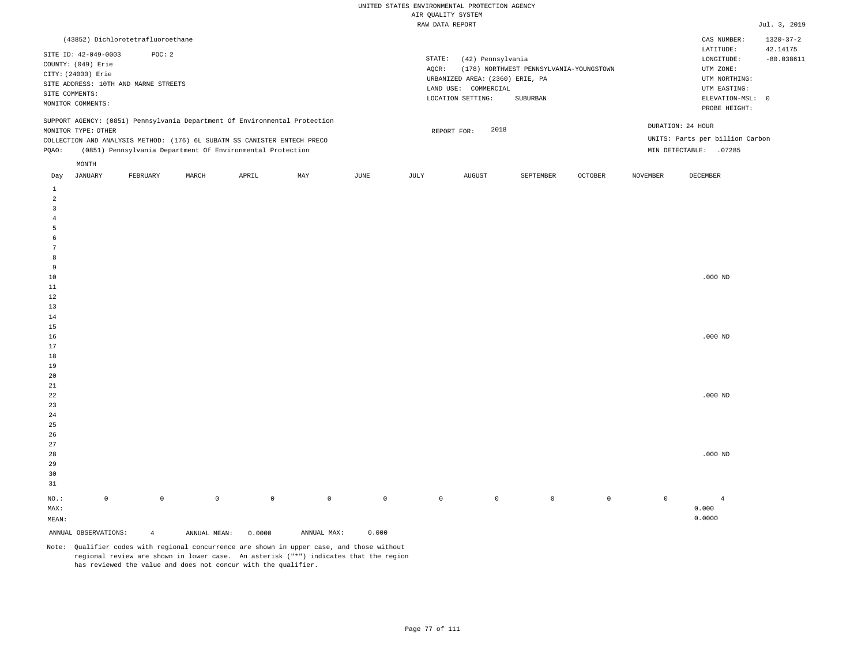|                |                      | (43852) Dichlorotetrafluoroethane    |       |                                                                          |                                                                            |      |        |                                 |                                         |                |                   | CAS NUMBER:                     | $1320 - 37 - 2$ |
|----------------|----------------------|--------------------------------------|-------|--------------------------------------------------------------------------|----------------------------------------------------------------------------|------|--------|---------------------------------|-----------------------------------------|----------------|-------------------|---------------------------------|-----------------|
|                | SITE ID: 42-049-0003 | POC:2                                |       |                                                                          |                                                                            |      |        |                                 |                                         |                |                   | LATITUDE:                       | 42.14175        |
|                | COUNTY: (049) Erie   |                                      |       |                                                                          |                                                                            |      | STATE: | (42) Pennsylvania               |                                         |                |                   | LONGITUDE:                      | $-80.038611$    |
|                |                      |                                      |       |                                                                          |                                                                            |      | AOCR:  |                                 | (178) NORTHWEST PENNSYLVANIA-YOUNGSTOWN |                |                   | UTM ZONE:                       |                 |
|                | CITY: (24000) Erie   |                                      |       |                                                                          |                                                                            |      |        | URBANIZED AREA: (2360) ERIE, PA |                                         |                |                   | UTM NORTHING:                   |                 |
|                |                      | SITE ADDRESS: 10TH AND MARNE STREETS |       |                                                                          |                                                                            |      |        | LAND USE: COMMERCIAL            |                                         |                |                   | UTM EASTING:                    |                 |
| SITE COMMENTS: |                      |                                      |       |                                                                          |                                                                            |      |        | LOCATION SETTING:               | ELEVATION-MSL:                          | $\overline{0}$ |                   |                                 |                 |
|                | MONITOR COMMENTS:    |                                      |       |                                                                          |                                                                            |      |        |                                 | SUBURBAN                                |                |                   |                                 |                 |
|                |                      |                                      |       |                                                                          |                                                                            |      |        |                                 |                                         |                |                   | PROBE HEIGHT:                   |                 |
|                |                      |                                      |       |                                                                          | SUPPORT AGENCY: (0851) Pennsylvania Department Of Environmental Protection |      |        |                                 |                                         |                |                   |                                 |                 |
|                | MONITOR TYPE: OTHER  |                                      |       |                                                                          |                                                                            |      |        | 2018<br>REPORT FOR:             |                                         |                | DURATION: 24 HOUR |                                 |                 |
|                |                      |                                      |       | COLLECTION AND ANALYSIS METHOD: (176) 6L SUBATM SS CANISTER ENTECH PRECO |                                                                            |      |        |                                 |                                         |                |                   | UNITS: Parts per billion Carbon |                 |
| POAO:          |                      |                                      |       | (0851) Pennsylvania Department Of Environmental Protection               |                                                                            |      |        |                                 |                                         |                | MIN DETECTABLE:   | .07285                          |                 |
|                |                      |                                      |       |                                                                          |                                                                            |      |        |                                 |                                         |                |                   |                                 |                 |
|                | MONTH                |                                      |       |                                                                          |                                                                            |      |        |                                 |                                         |                |                   |                                 |                 |
| Day            | JANUARY              | FEBRUARY                             | MARCH | APRIL                                                                    | MAY                                                                        | JUNE | JULY   | AUGUST                          | SEPTEMBER                               | <b>OCTOBER</b> | <b>NOVEMBER</b>   | DECEMBER                        |                 |

| $\,$ 1                |                     |                |              |             |             |             |              |             |         |                |                |                    |
|-----------------------|---------------------|----------------|--------------|-------------|-------------|-------------|--------------|-------------|---------|----------------|----------------|--------------------|
| $\overline{a}$        |                     |                |              |             |             |             |              |             |         |                |                |                    |
| $\overline{3}$        |                     |                |              |             |             |             |              |             |         |                |                |                    |
| $\overline{4}$        |                     |                |              |             |             |             |              |             |         |                |                |                    |
| 5                     |                     |                |              |             |             |             |              |             |         |                |                |                    |
| 6                     |                     |                |              |             |             |             |              |             |         |                |                |                    |
| $7\phantom{.0}$       |                     |                |              |             |             |             |              |             |         |                |                |                    |
| 8                     |                     |                |              |             |             |             |              |             |         |                |                |                    |
| 9                     |                     |                |              |             |             |             |              |             |         |                |                |                    |
| $10$                  |                     |                |              |             |             |             |              |             |         |                |                | $.000$ ND          |
| $11\,$                |                     |                |              |             |             |             |              |             |         |                |                |                    |
| $12\,$                |                     |                |              |             |             |             |              |             |         |                |                |                    |
| $13\,$                |                     |                |              |             |             |             |              |             |         |                |                |                    |
| 14                    |                     |                |              |             |             |             |              |             |         |                |                |                    |
| $15\,$                |                     |                |              |             |             |             |              |             |         |                |                |                    |
| $16\,$                |                     |                |              |             |             |             |              |             |         |                |                | $.000~\mathrm{ND}$ |
| 17                    |                     |                |              |             |             |             |              |             |         |                |                |                    |
| $18\,$                |                     |                |              |             |             |             |              |             |         |                |                |                    |
| 19                    |                     |                |              |             |             |             |              |             |         |                |                |                    |
| $20\,$                |                     |                |              |             |             |             |              |             |         |                |                |                    |
| $21\,$                |                     |                |              |             |             |             |              |             |         |                |                |                    |
| $2\sqrt{2}$           |                     |                |              |             |             |             |              |             |         |                |                | $.000$ ND          |
| 23                    |                     |                |              |             |             |             |              |             |         |                |                |                    |
| 24                    |                     |                |              |             |             |             |              |             |         |                |                |                    |
| $25$                  |                     |                |              |             |             |             |              |             |         |                |                |                    |
| $26\,$                |                     |                |              |             |             |             |              |             |         |                |                |                    |
| 27                    |                     |                |              |             |             |             |              |             |         |                |                |                    |
| 28                    |                     |                |              |             |             |             |              |             |         |                |                | $.000$ ND          |
| 29                    |                     |                |              |             |             |             |              |             |         |                |                |                    |
| 30                    |                     |                |              |             |             |             |              |             |         |                |                |                    |
| 31                    |                     |                |              |             |             |             |              |             |         |                |                |                    |
| $_{\rm NO.}$ :        | $\mathsf{O}\xspace$ | $\mathbb O$    | $\circ$      | $\mathbb O$ | $\mathbb O$ | $\mathbb O$ | $\mathsf{O}$ | $\mathbb O$ | $\,0\,$ | $\overline{0}$ | $\overline{0}$ | $\overline{4}$     |
| $\texttt{MAX}$ :      |                     |                |              |             |             |             |              |             |         |                |                | 0.000              |
| $\texttt{MEAN}\colon$ |                     |                |              |             |             |             |              |             |         |                |                | 0.0000             |
| ANNUAL OBSERVATIONS:  |                     | $\overline{4}$ | ANNUAL MEAN: | 0.0000      | ANNUAL MAX: | 0.000       |              |             |         |                |                |                    |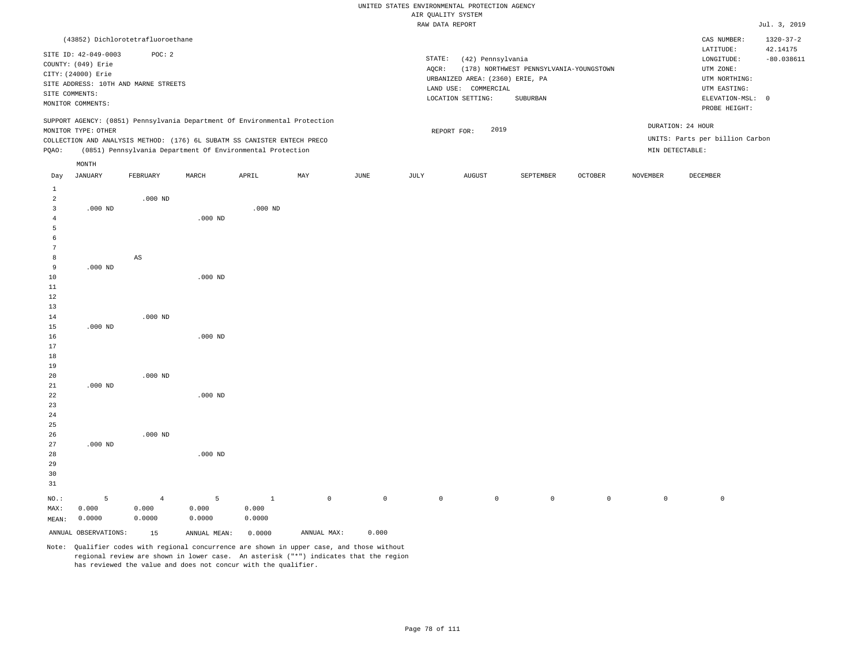|                                                  |                                                                                                         |                                                |                                                                                                                                        |                           |                                                                                             |         |                 | RAW DATA REPORT                                                                                   |                                                     |         |                 |                                                                                             | Jul. 3, 2019                             |
|--------------------------------------------------|---------------------------------------------------------------------------------------------------------|------------------------------------------------|----------------------------------------------------------------------------------------------------------------------------------------|---------------------------|---------------------------------------------------------------------------------------------|---------|-----------------|---------------------------------------------------------------------------------------------------|-----------------------------------------------------|---------|-----------------|---------------------------------------------------------------------------------------------|------------------------------------------|
|                                                  |                                                                                                         | (43852) Dichlorotetrafluoroethane              |                                                                                                                                        |                           |                                                                                             |         |                 |                                                                                                   |                                                     |         |                 | CAS NUMBER:<br>LATITUDE:                                                                    | $1320 - 37 - 2$<br>42.14175              |
|                                                  | SITE ID: 42-049-0003<br>COUNTY: (049) Erie<br>CITY: (24000) Erie<br>SITE COMMENTS:<br>MONITOR COMMENTS: | POC: 2<br>SITE ADDRESS: 10TH AND MARNE STREETS |                                                                                                                                        |                           |                                                                                             |         | STATE:<br>AQCR: | (42) Pennsylvania<br>URBANIZED AREA: (2360) ERIE, PA<br>LAND USE: COMMERCIAL<br>LOCATION SETTING: | (178) NORTHWEST PENNSYLVANIA-YOUNGSTOWN<br>SUBURBAN |         |                 | LONGITUDE:<br>UTM ZONE:<br>UTM NORTHING:<br>UTM EASTING:<br>ELEVATION-MSL:<br>PROBE HEIGHT: | $-80.038611$<br>$\overline{\phantom{0}}$ |
|                                                  | MONITOR TYPE: OTHER                                                                                     |                                                | SUPPORT AGENCY: (0851) Pennsylvania Department Of Environmental Protection                                                             |                           |                                                                                             |         |                 | 2019<br>REPORT FOR:                                                                               |                                                     |         |                 | DURATION: 24 HOUR                                                                           |                                          |
| PQAO:                                            |                                                                                                         |                                                | COLLECTION AND ANALYSIS METHOD: (176) 6L SUBATM SS CANISTER ENTECH PRECO<br>(0851) Pennsylvania Department Of Environmental Protection |                           |                                                                                             |         |                 |                                                                                                   |                                                     |         | MIN DETECTABLE: | UNITS: Parts per billion Carbon                                                             |                                          |
|                                                  | MONTH                                                                                                   |                                                |                                                                                                                                        |                           |                                                                                             |         |                 |                                                                                                   |                                                     |         |                 |                                                                                             |                                          |
| Day                                              | <b>JANUARY</b>                                                                                          | FEBRUARY                                       | MARCH                                                                                                                                  | APRIL                     | MAY                                                                                         | JUNE    | JULY            | <b>AUGUST</b>                                                                                     | SEPTEMBER                                           | OCTOBER | <b>NOVEMBER</b> | DECEMBER                                                                                    |                                          |
| $\mathbf{1}$<br>$\overline{a}$<br>$\overline{3}$ | $.000$ ND                                                                                               | $.000$ ND                                      |                                                                                                                                        | $.000$ ND                 |                                                                                             |         |                 |                                                                                                   |                                                     |         |                 |                                                                                             |                                          |
| $\overline{4}$<br>5<br>6                         |                                                                                                         |                                                | $.000$ ND                                                                                                                              |                           |                                                                                             |         |                 |                                                                                                   |                                                     |         |                 |                                                                                             |                                          |
| $7\overline{ }$<br>8<br>9<br>10                  | $.000$ ND                                                                                               | AS                                             | $.000$ ND                                                                                                                              |                           |                                                                                             |         |                 |                                                                                                   |                                                     |         |                 |                                                                                             |                                          |
| 11<br>12<br>13                                   |                                                                                                         |                                                |                                                                                                                                        |                           |                                                                                             |         |                 |                                                                                                   |                                                     |         |                 |                                                                                             |                                          |
| 14<br>15<br>16<br>17                             | $.000$ ND                                                                                               | $.000$ ND                                      | $.000$ ND                                                                                                                              |                           |                                                                                             |         |                 |                                                                                                   |                                                     |         |                 |                                                                                             |                                          |
| 18<br>19<br>20                                   | $.000$ ND                                                                                               | $.000$ ND                                      |                                                                                                                                        |                           |                                                                                             |         |                 |                                                                                                   |                                                     |         |                 |                                                                                             |                                          |
| 21<br>22<br>23<br>24<br>25                       |                                                                                                         |                                                | $.000$ ND                                                                                                                              |                           |                                                                                             |         |                 |                                                                                                   |                                                     |         |                 |                                                                                             |                                          |
| 26<br>27<br>28<br>29<br>30<br>31                 | $.000$ ND                                                                                               | $.000$ ND                                      | $.000$ ND                                                                                                                              |                           |                                                                                             |         |                 |                                                                                                   |                                                     |         |                 |                                                                                             |                                          |
| NO.:<br>MAX:<br>MEAN:                            | 5<br>0.000<br>0.0000                                                                                    | $\overline{4}$<br>0.000<br>0.0000              | 5<br>0.000<br>0.0000                                                                                                                   | $\,$ 1<br>0.000<br>0.0000 | $\circ$                                                                                     | $\circ$ | $\circ$         | $\mathsf{O}\xspace$                                                                               | $\circ$                                             | $\circ$ | $\mathbb O$     | $\mathbb O$                                                                                 |                                          |
|                                                  | ANNUAL OBSERVATIONS:                                                                                    | 15                                             | ANNUAL MEAN:                                                                                                                           | 0.0000                    | ANNUAL MAX:                                                                                 | 0.000   |                 |                                                                                                   |                                                     |         |                 |                                                                                             |                                          |
|                                                  |                                                                                                         |                                                |                                                                                                                                        |                           | Note: Qualifier ander with regional conquirience are shown in unper gase, and those without |         |                 |                                                                                                   |                                                     |         |                 |                                                                                             |                                          |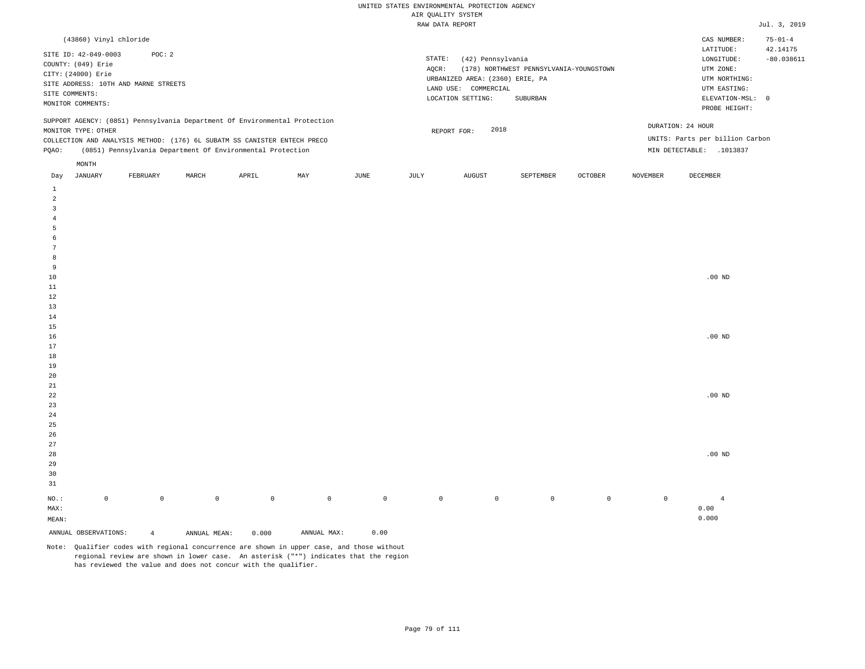|                                                           | (43860) Vinyl chloride                     |                                                |       |                                                                                                                                        |                                                                            |      |                 |                                                                                                      |                                                     |                |                 | CAS NUMBER:                                                                                                | $75 - 01 - 4$            |
|-----------------------------------------------------------|--------------------------------------------|------------------------------------------------|-------|----------------------------------------------------------------------------------------------------------------------------------------|----------------------------------------------------------------------------|------|-----------------|------------------------------------------------------------------------------------------------------|-----------------------------------------------------|----------------|-----------------|------------------------------------------------------------------------------------------------------------|--------------------------|
| CITY: (24000) Erie<br>SITE COMMENTS:<br>MONITOR COMMENTS: | SITE ID: 42-049-0003<br>COUNTY: (049) Erie | POC: 2<br>SITE ADDRESS: 10TH AND MARNE STREETS |       |                                                                                                                                        |                                                                            |      | STATE:<br>AOCR: | (42) Pennsylvania<br>URBANIZED AREA: (2360) ERIE, PA<br>COMMERCIAL<br>LAND USE:<br>LOCATION SETTING: | (178) NORTHWEST PENNSYLVANIA-YOUNGSTOWN<br>SUBURBAN |                |                 | LATITUDE:<br>LONGITUDE:<br>UTM ZONE:<br>UTM NORTHING:<br>UTM EASTING:<br>ELEVATION-MSL: 0<br>PROBE HEIGHT: | 42.14175<br>$-80.038611$ |
| POAO:                                                     | MONITOR TYPE: OTHER<br>MONTH               |                                                |       | COLLECTION AND ANALYSIS METHOD: (176) 6L SUBATM SS CANISTER ENTECH PRECO<br>(0851) Pennsylvania Department Of Environmental Protection | SUPPORT AGENCY: (0851) Pennsylvania Department Of Environmental Protection |      |                 | 2018<br>REPORT FOR:                                                                                  |                                                     |                |                 | DURATION: 24 HOUR<br>UNITS: Parts per billion Carbon<br>.1013837<br>MIN DETECTABLE:                        |                          |
| Day                                                       | JANUARY                                    | FEBRUARY                                       | MARCH | APRIL                                                                                                                                  | MAY                                                                        | JUNE | JULY            | AUGUST                                                                                               | SEPTEMBER                                           | <b>OCTOBER</b> | <b>NOVEMBER</b> | DECEMBER                                                                                                   |                          |

| $\mu$                   | orneorner            | <b>TRIPLOMATE</b>   | <b>THROOM</b> | 7111111 | 1.7777      | 0011                            | 0011        | 100001       | one rusions. | <b>COLONIA</b> | <b>MOATHLIN</b> | <b>DECEMBER</b> |
|-------------------------|----------------------|---------------------|---------------|---------|-------------|---------------------------------|-------------|--------------|--------------|----------------|-----------------|-----------------|
| $\mathbf{1}$            |                      |                     |               |         |             |                                 |             |              |              |                |                 |                 |
| $\overline{a}$          |                      |                     |               |         |             |                                 |             |              |              |                |                 |                 |
| $\overline{\mathbf{3}}$ |                      |                     |               |         |             |                                 |             |              |              |                |                 |                 |
| $\overline{4}$          |                      |                     |               |         |             |                                 |             |              |              |                |                 |                 |
| $\overline{5}$          |                      |                     |               |         |             |                                 |             |              |              |                |                 |                 |
| 6                       |                      |                     |               |         |             |                                 |             |              |              |                |                 |                 |
| $7\phantom{.0}$         |                      |                     |               |         |             |                                 |             |              |              |                |                 |                 |
| 8                       |                      |                     |               |         |             |                                 |             |              |              |                |                 |                 |
| 9                       |                      |                     |               |         |             |                                 |             |              |              |                |                 |                 |
| $10$                    |                      |                     |               |         |             |                                 |             |              |              |                |                 | .00 $ND$        |
| $11\,$                  |                      |                     |               |         |             |                                 |             |              |              |                |                 |                 |
| $1\,2$                  |                      |                     |               |         |             |                                 |             |              |              |                |                 |                 |
| $13$                    |                      |                     |               |         |             |                                 |             |              |              |                |                 |                 |
| $1\,4$                  |                      |                     |               |         |             |                                 |             |              |              |                |                 |                 |
| $15\,$                  |                      |                     |               |         |             |                                 |             |              |              |                |                 |                 |
| $16\,$                  |                      |                     |               |         |             |                                 |             |              |              |                |                 | .00 $ND$        |
| $17\,$                  |                      |                     |               |         |             |                                 |             |              |              |                |                 |                 |
| $1\,8$                  |                      |                     |               |         |             |                                 |             |              |              |                |                 |                 |
| $19$                    |                      |                     |               |         |             |                                 |             |              |              |                |                 |                 |
| 20                      |                      |                     |               |         |             |                                 |             |              |              |                |                 |                 |
| $21\,$                  |                      |                     |               |         |             |                                 |             |              |              |                |                 |                 |
| $2\sqrt{2}$             |                      |                     |               |         |             |                                 |             |              |              |                |                 | $.00$ ND        |
| 23                      |                      |                     |               |         |             |                                 |             |              |              |                |                 |                 |
| $2\sqrt{4}$             |                      |                     |               |         |             |                                 |             |              |              |                |                 |                 |
| $25\,$                  |                      |                     |               |         |             |                                 |             |              |              |                |                 |                 |
| 26                      |                      |                     |               |         |             |                                 |             |              |              |                |                 |                 |
| 27                      |                      |                     |               |         |             |                                 |             |              |              |                |                 |                 |
| $2\,8$                  |                      |                     |               |         |             |                                 |             |              |              |                |                 | $.00$ ND        |
| $29$                    |                      |                     |               |         |             |                                 |             |              |              |                |                 |                 |
| 30                      |                      |                     |               |         |             |                                 |             |              |              |                |                 |                 |
| $31\,$                  |                      |                     |               |         |             |                                 |             |              |              |                |                 |                 |
| $_{\rm NO.}$ :          | $\mathbb O$          | $\mathsf{O}\xspace$ | $\mathbb O$   | $\,0\,$ | $\mathbb O$ | $\mathbb O$                     | $\mathbb O$ | $\mathsf{O}$ | $\mathbb O$  | $\circ$        | $\mathbb O$     | $\overline{4}$  |
| MAX:                    |                      |                     |               |         |             |                                 |             |              |              |                |                 | 0.00            |
| $\texttt{MEAN}:$        |                      |                     |               |         |             |                                 |             |              |              |                |                 | 0.000           |
|                         | ANNUAL OBSERVATIONS: | $\overline{4}$      | ANNUAL MEAN:  | 0.000   | ANNUAL MAX: | ${\bf 0}$ . ${\bf 0}$ ${\bf 0}$ |             |              |              |                |                 |                 |
|                         |                      |                     |               |         |             |                                 |             |              |              |                |                 |                 |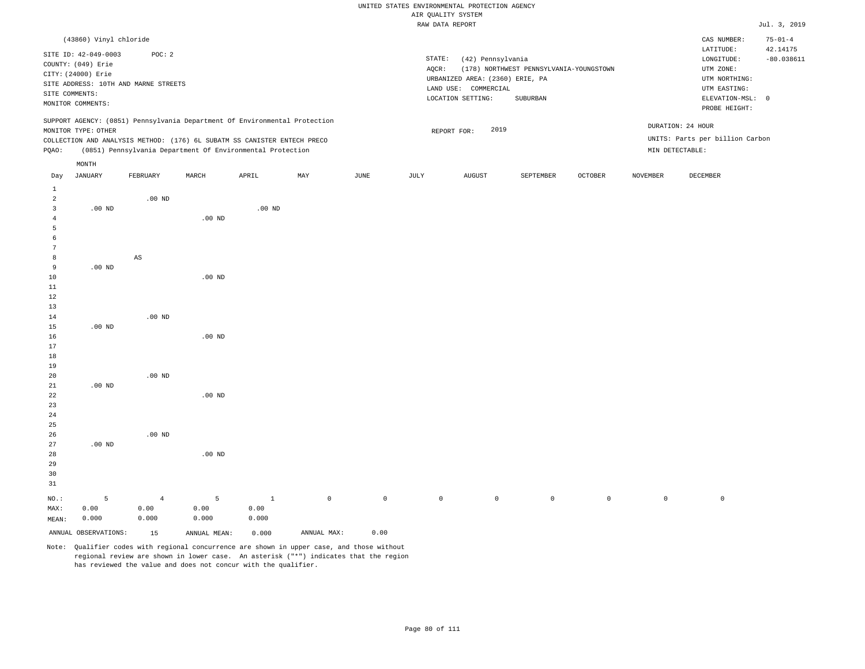# UNITED STATES ENVIRONMENTAL PROTECTION AGENCY ATE OUNT TTY SYSTEM

|                 |                        |                                      |                                                                            |                   |     |      |        | AIR QUALITY SYSTEM              |                                         |                |                 |                                 |                           |
|-----------------|------------------------|--------------------------------------|----------------------------------------------------------------------------|-------------------|-----|------|--------|---------------------------------|-----------------------------------------|----------------|-----------------|---------------------------------|---------------------------|
|                 |                        |                                      |                                                                            |                   |     |      |        | RAW DATA REPORT                 |                                         |                |                 |                                 | Jul. 3, 2019              |
|                 | (43860) Vinyl chloride |                                      |                                                                            |                   |     |      |        |                                 |                                         |                |                 | CAS NUMBER:<br>LATITUDE:        | $75 - 01 - 4$<br>42.14175 |
|                 | SITE ID: 42-049-0003   | POC: 2                               |                                                                            |                   |     |      | STATE: | (42) Pennsylvania               |                                         |                |                 | LONGITUDE:                      | $-80.038611$              |
|                 | COUNTY: (049) Erie     |                                      |                                                                            |                   |     |      | AQCR:  |                                 | (178) NORTHWEST PENNSYLVANIA-YOUNGSTOWN |                |                 | UTM ZONE:                       |                           |
|                 | CITY: (24000) Erie     |                                      |                                                                            |                   |     |      |        | URBANIZED AREA: (2360) ERIE, PA |                                         |                |                 | UTM NORTHING:                   |                           |
|                 |                        | SITE ADDRESS: 10TH AND MARNE STREETS |                                                                            |                   |     |      |        | LAND USE: COMMERCIAL            |                                         |                |                 | UTM EASTING:                    |                           |
|                 | SITE COMMENTS:         |                                      |                                                                            |                   |     |      |        | LOCATION SETTING:               | SUBURBAN                                |                |                 | ELEVATION-MSL: 0                |                           |
|                 | MONITOR COMMENTS:      |                                      |                                                                            |                   |     |      |        |                                 |                                         |                |                 | PROBE HEIGHT:                   |                           |
|                 |                        |                                      | SUPPORT AGENCY: (0851) Pennsylvania Department Of Environmental Protection |                   |     |      |        |                                 |                                         |                |                 | DURATION: 24 HOUR               |                           |
|                 | MONITOR TYPE: OTHER    |                                      |                                                                            |                   |     |      |        | 2019<br>REPORT FOR:             |                                         |                |                 |                                 |                           |
|                 |                        |                                      | COLLECTION AND ANALYSIS METHOD: (176) 6L SUBATM SS CANISTER ENTECH PRECO   |                   |     |      |        |                                 |                                         |                |                 | UNITS: Parts per billion Carbon |                           |
| PQAO:           |                        |                                      | (0851) Pennsylvania Department Of Environmental Protection                 |                   |     |      |        |                                 |                                         |                |                 | MIN DETECTABLE:                 |                           |
|                 | $\texttt{MONTH}$       |                                      |                                                                            |                   |     |      |        |                                 |                                         |                |                 |                                 |                           |
| Day             | JANUARY                | FEBRUARY                             | MARCH                                                                      | APRIL             | MAY | JUNE | JULY   | AUGUST                          | SEPTEMBER                               | <b>OCTOBER</b> | <b>NOVEMBER</b> | DECEMBER                        |                           |
| $\mathbf{1}$    |                        |                                      |                                                                            |                   |     |      |        |                                 |                                         |                |                 |                                 |                           |
| $\overline{a}$  |                        | $.00$ ND                             |                                                                            |                   |     |      |        |                                 |                                         |                |                 |                                 |                           |
| 3               | $.00$ ND               |                                      |                                                                            | .00 <sub>ND</sub> |     |      |        |                                 |                                         |                |                 |                                 |                           |
| $\overline{4}$  |                        |                                      | $.00$ ND                                                                   |                   |     |      |        |                                 |                                         |                |                 |                                 |                           |
| 5               |                        |                                      |                                                                            |                   |     |      |        |                                 |                                         |                |                 |                                 |                           |
| 6               |                        |                                      |                                                                            |                   |     |      |        |                                 |                                         |                |                 |                                 |                           |
| $7\phantom{.0}$ |                        |                                      |                                                                            |                   |     |      |        |                                 |                                         |                |                 |                                 |                           |
| 8               |                        | $_{\rm AS}$                          |                                                                            |                   |     |      |        |                                 |                                         |                |                 |                                 |                           |
| 9               | $.00$ ND               |                                      |                                                                            |                   |     |      |        |                                 |                                         |                |                 |                                 |                           |
| 10              |                        |                                      | $.00$ ND                                                                   |                   |     |      |        |                                 |                                         |                |                 |                                 |                           |
| $11\,$          |                        |                                      |                                                                            |                   |     |      |        |                                 |                                         |                |                 |                                 |                           |
| 12              |                        |                                      |                                                                            |                   |     |      |        |                                 |                                         |                |                 |                                 |                           |
| 13              |                        |                                      |                                                                            |                   |     |      |        |                                 |                                         |                |                 |                                 |                           |
| 14              |                        | $.00$ ND                             |                                                                            |                   |     |      |        |                                 |                                         |                |                 |                                 |                           |
| 15              | $.00$ ND               |                                      |                                                                            |                   |     |      |        |                                 |                                         |                |                 |                                 |                           |
| 16              |                        |                                      | $.00$ ND                                                                   |                   |     |      |        |                                 |                                         |                |                 |                                 |                           |
| 17              |                        |                                      |                                                                            |                   |     |      |        |                                 |                                         |                |                 |                                 |                           |
| 18              |                        |                                      |                                                                            |                   |     |      |        |                                 |                                         |                |                 |                                 |                           |
| 19              |                        |                                      |                                                                            |                   |     |      |        |                                 |                                         |                |                 |                                 |                           |
| 20              |                        | $.00$ ND                             |                                                                            |                   |     |      |        |                                 |                                         |                |                 |                                 |                           |
| 21              | $.00$ ND               |                                      |                                                                            |                   |     |      |        |                                 |                                         |                |                 |                                 |                           |
| 22              |                        |                                      | $.00$ ND                                                                   |                   |     |      |        |                                 |                                         |                |                 |                                 |                           |
| 23              |                        |                                      |                                                                            |                   |     |      |        |                                 |                                         |                |                 |                                 |                           |
| 24              |                        |                                      |                                                                            |                   |     |      |        |                                 |                                         |                |                 |                                 |                           |
| 25              |                        |                                      |                                                                            |                   |     |      |        |                                 |                                         |                |                 |                                 |                           |
| 26              |                        | $.00$ ND                             |                                                                            |                   |     |      |        |                                 |                                         |                |                 |                                 |                           |
| 27              | $.00$ ND               |                                      |                                                                            |                   |     |      |        |                                 |                                         |                |                 |                                 |                           |
| 28              |                        |                                      | $.00$ ND                                                                   |                   |     |      |        |                                 |                                         |                |                 |                                 |                           |
| 29              |                        |                                      |                                                                            |                   |     |      |        |                                 |                                         |                |                 |                                 |                           |

NO.: MAX: MEAN: 5 0.00 0.000 4 0.00 0.000 5 0.00 0.000 1 0.00 0.000 0 0 0 0 0 0 0 0

ANNUAL OBSERVATIONS: 15 ANNUAL MEAN: 0.000 ANNUAL MAX: 0.00

30 31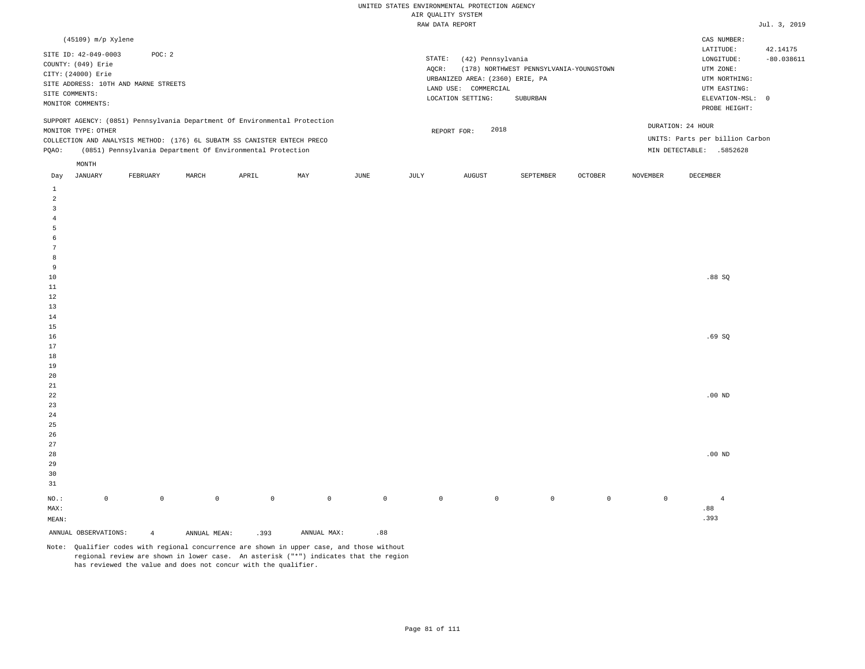MIN DETECTABLE: .5852628

|                                                                            | RAW DATA REPORT                                  | Jul. 3, 2019                    |
|----------------------------------------------------------------------------|--------------------------------------------------|---------------------------------|
| (45109) m/p Xylene                                                         |                                                  | CAS NUMBER:                     |
| SITE ID: 42-049-0003<br>POC: 2                                             |                                                  | 42.14175<br>LATITUDE:           |
| COUNTY: (049) Erie                                                         | STATE:<br>(42) Pennsylvania                      | $-80.038611$<br>LONGITUDE:      |
| CITY: (24000) Erie                                                         | (178) NORTHWEST PENNSYLVANIA-YOUNGSTOWN<br>AOCR: | UTM ZONE:                       |
| SITE ADDRESS: 10TH AND MARNE STREETS                                       | URBANIZED AREA: (2360) ERIE, PA                  | UTM NORTHING:                   |
|                                                                            | LAND USE: COMMERCIAL                             | UTM EASTING:                    |
| SITE COMMENTS:                                                             | SUBURBAN<br>LOCATION SETTING:                    | ELEVATION-MSL: 0                |
| MONITOR COMMENTS:                                                          |                                                  | PROBE HEIGHT:                   |
| SUPPORT AGENCY: (0851) Pennsylvania Department Of Environmental Protection |                                                  |                                 |
| MONITOR TYPE: OTHER                                                        | DURATION: 24 HOUR<br>2018<br>REPORT FOR:         |                                 |
| COLLECTION AND ANALYSIS METHOD: (176) 6L SUBATM SS CANISTER ENTECH PRECO   |                                                  | UNITS: Parts per billion Carbon |

PQAO: (0851) Pennsylvania Department Of Environmental Protection MONTH

| Day               | JANUARY              | FEBRUARY       | MARCH        | APRIL       | MAY         | JUNE        | JULY        | AUGUST      | SEPTEMBER      | OCTOBER | NOVEMBER     | DECEMBER       |
|-------------------|----------------------|----------------|--------------|-------------|-------------|-------------|-------------|-------------|----------------|---------|--------------|----------------|
| $\mathbf{1}$      |                      |                |              |             |             |             |             |             |                |         |              |                |
| $\overline{a}$    |                      |                |              |             |             |             |             |             |                |         |              |                |
| $\overline{3}$    |                      |                |              |             |             |             |             |             |                |         |              |                |
| $\overline{4}$    |                      |                |              |             |             |             |             |             |                |         |              |                |
| 5                 |                      |                |              |             |             |             |             |             |                |         |              |                |
| 6                 |                      |                |              |             |             |             |             |             |                |         |              |                |
| $7\phantom{.0}$   |                      |                |              |             |             |             |             |             |                |         |              |                |
| 8                 |                      |                |              |             |             |             |             |             |                |         |              |                |
| 9                 |                      |                |              |             |             |             |             |             |                |         |              |                |
| $10$              |                      |                |              |             |             |             |             |             |                |         |              | .88 SQ         |
| $11\,$            |                      |                |              |             |             |             |             |             |                |         |              |                |
| 12                |                      |                |              |             |             |             |             |             |                |         |              |                |
| 13                |                      |                |              |             |             |             |             |             |                |         |              |                |
| 14                |                      |                |              |             |             |             |             |             |                |         |              |                |
| 15                |                      |                |              |             |             |             |             |             |                |         |              |                |
| $16$              |                      |                |              |             |             |             |             |             |                |         |              | .69SQ          |
| 17                |                      |                |              |             |             |             |             |             |                |         |              |                |
| $18\,$            |                      |                |              |             |             |             |             |             |                |         |              |                |
| 19                |                      |                |              |             |             |             |             |             |                |         |              |                |
| $20\,$            |                      |                |              |             |             |             |             |             |                |         |              |                |
| 21                |                      |                |              |             |             |             |             |             |                |         |              |                |
| $2\sqrt{2}$<br>23 |                      |                |              |             |             |             |             |             |                |         |              | $.00$ ND       |
| 24                |                      |                |              |             |             |             |             |             |                |         |              |                |
| $25\,$            |                      |                |              |             |             |             |             |             |                |         |              |                |
| $26\,$            |                      |                |              |             |             |             |             |             |                |         |              |                |
| $27\,$            |                      |                |              |             |             |             |             |             |                |         |              |                |
| 28                |                      |                |              |             |             |             |             |             |                |         |              | $.00$ ND       |
| 29                |                      |                |              |             |             |             |             |             |                |         |              |                |
| 30                |                      |                |              |             |             |             |             |             |                |         |              |                |
| 31                |                      |                |              |             |             |             |             |             |                |         |              |                |
| $_{\rm NO.}$ :    | $\mathsf{O}\xspace$  | $\mathbb O$    | $\mathsf{O}$ | $\mathbb O$ | $\mathbb O$ | $\mathbb O$ | $\mathbb O$ | $\mathbb O$ | $\overline{0}$ | $\circ$ | $\mathsf{O}$ | $\overline{4}$ |
| MAX:              |                      |                |              |             |             |             |             |             |                |         |              | .88            |
| $\texttt{MEAN}:$  |                      |                |              |             |             |             |             |             |                |         |              | .393           |
|                   | ANNUAL OBSERVATIONS: | $\overline{4}$ | ANNUAL MEAN: | .393        | ANNUAL MAX: | .88         |             |             |                |         |              |                |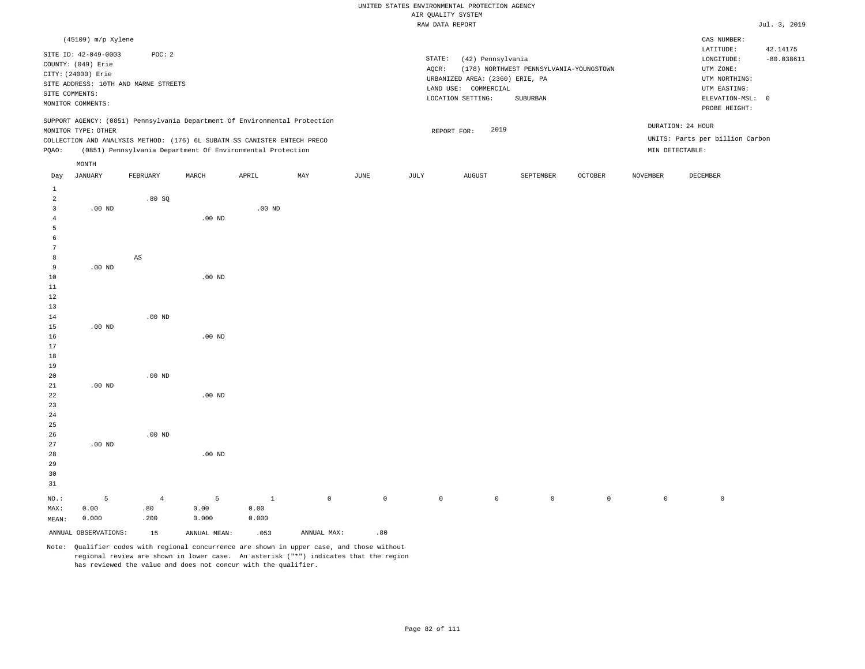|                |                                                                            |                        |                   |                                                            |     |      |        | RAW DATA REPORT                 |                                         |                |                 |                                 | Jul. 3, 2019 |
|----------------|----------------------------------------------------------------------------|------------------------|-------------------|------------------------------------------------------------|-----|------|--------|---------------------------------|-----------------------------------------|----------------|-----------------|---------------------------------|--------------|
|                | (45109) m/p Xylene                                                         |                        |                   |                                                            |     |      |        |                                 |                                         |                |                 | CAS NUMBER:<br>LATITUDE:        | 42.14175     |
|                | SITE ID: 42-049-0003                                                       | POC: 2                 |                   |                                                            |     |      | STATE: | (42) Pennsylvania               |                                         |                |                 | LONGITUDE:                      | $-80.038611$ |
|                | COUNTY: (049) Erie                                                         |                        |                   |                                                            |     |      | AQCR:  |                                 | (178) NORTHWEST PENNSYLVANIA-YOUNGSTOWN |                |                 | UTM ZONE:                       |              |
|                | CITY: (24000) Erie                                                         |                        |                   |                                                            |     |      |        | URBANIZED AREA: (2360) ERIE, PA |                                         |                |                 | UTM NORTHING:                   |              |
|                | SITE ADDRESS: 10TH AND MARNE STREETS                                       |                        |                   |                                                            |     |      |        | LAND USE: COMMERCIAL            |                                         |                |                 | UTM EASTING:                    |              |
|                | SITE COMMENTS:                                                             |                        |                   |                                                            |     |      |        | LOCATION SETTING:               | SUBURBAN                                |                |                 | ELEVATION-MSL: 0                |              |
|                | MONITOR COMMENTS:                                                          |                        |                   |                                                            |     |      |        |                                 |                                         |                |                 | PROBE HEIGHT:                   |              |
|                | SUPPORT AGENCY: (0851) Pennsylvania Department Of Environmental Protection |                        |                   |                                                            |     |      |        |                                 |                                         |                |                 |                                 |              |
|                | MONITOR TYPE: OTHER                                                        |                        |                   |                                                            |     |      |        | 2019<br>REPORT FOR:             |                                         |                |                 | DURATION: 24 HOUR               |              |
|                | COLLECTION AND ANALYSIS METHOD: (176) 6L SUBATM SS CANISTER ENTECH PRECO   |                        |                   |                                                            |     |      |        |                                 |                                         |                |                 | UNITS: Parts per billion Carbon |              |
| PQAO:          |                                                                            |                        |                   | (0851) Pennsylvania Department Of Environmental Protection |     |      |        |                                 |                                         |                |                 | MIN DETECTABLE:                 |              |
|                | $\texttt{MONTH}$                                                           |                        |                   |                                                            |     |      |        |                                 |                                         |                |                 |                                 |              |
| Day            | <b>JANUARY</b>                                                             | FEBRUARY               | MARCH             | APRIL                                                      | MAY | JUNE | JULY   | AUGUST                          | SEPTEMBER                               | <b>OCTOBER</b> | <b>NOVEMBER</b> | <b>DECEMBER</b>                 |              |
| $\,$ 1         |                                                                            |                        |                   |                                                            |     |      |        |                                 |                                         |                |                 |                                 |              |
| $\overline{a}$ |                                                                            | .80SQ                  |                   |                                                            |     |      |        |                                 |                                         |                |                 |                                 |              |
| $\overline{3}$ | $.00$ ND                                                                   |                        |                   | $.00$ ND                                                   |     |      |        |                                 |                                         |                |                 |                                 |              |
| $\overline{4}$ |                                                                            |                        | $.00$ ND          |                                                            |     |      |        |                                 |                                         |                |                 |                                 |              |
| 5              |                                                                            |                        |                   |                                                            |     |      |        |                                 |                                         |                |                 |                                 |              |
| 6<br>7         |                                                                            |                        |                   |                                                            |     |      |        |                                 |                                         |                |                 |                                 |              |
| 8              |                                                                            | $\mathbb{A}\mathbb{S}$ |                   |                                                            |     |      |        |                                 |                                         |                |                 |                                 |              |
| 9              | $.00$ ND                                                                   |                        |                   |                                                            |     |      |        |                                 |                                         |                |                 |                                 |              |
| 10             |                                                                            |                        | .00 <sub>ND</sub> |                                                            |     |      |        |                                 |                                         |                |                 |                                 |              |
| $1\,1$         |                                                                            |                        |                   |                                                            |     |      |        |                                 |                                         |                |                 |                                 |              |
| 12             |                                                                            |                        |                   |                                                            |     |      |        |                                 |                                         |                |                 |                                 |              |
| 13             |                                                                            |                        |                   |                                                            |     |      |        |                                 |                                         |                |                 |                                 |              |
| 14             |                                                                            | $.00$ ND               |                   |                                                            |     |      |        |                                 |                                         |                |                 |                                 |              |
| 15             | $.00$ ND                                                                   |                        |                   |                                                            |     |      |        |                                 |                                         |                |                 |                                 |              |
| 16             |                                                                            |                        | .00 <sub>ND</sub> |                                                            |     |      |        |                                 |                                         |                |                 |                                 |              |
| 17             |                                                                            |                        |                   |                                                            |     |      |        |                                 |                                         |                |                 |                                 |              |
| 18             |                                                                            |                        |                   |                                                            |     |      |        |                                 |                                         |                |                 |                                 |              |
| 19             |                                                                            |                        |                   |                                                            |     |      |        |                                 |                                         |                |                 |                                 |              |
| 20             |                                                                            | $.00$ ND               |                   |                                                            |     |      |        |                                 |                                         |                |                 |                                 |              |
| 21<br>22       | $.00$ ND                                                                   |                        | $.00$ ND          |                                                            |     |      |        |                                 |                                         |                |                 |                                 |              |
| 23             |                                                                            |                        |                   |                                                            |     |      |        |                                 |                                         |                |                 |                                 |              |
| 24             |                                                                            |                        |                   |                                                            |     |      |        |                                 |                                         |                |                 |                                 |              |
| 25             |                                                                            |                        |                   |                                                            |     |      |        |                                 |                                         |                |                 |                                 |              |
| 26             |                                                                            | $.00$ ND               |                   |                                                            |     |      |        |                                 |                                         |                |                 |                                 |              |
| $2\,7$         | $.00$ ND                                                                   |                        |                   |                                                            |     |      |        |                                 |                                         |                |                 |                                 |              |
| 28             |                                                                            |                        | $.00$ ND          |                                                            |     |      |        |                                 |                                         |                |                 |                                 |              |
| 29             |                                                                            |                        |                   |                                                            |     |      |        |                                 |                                         |                |                 |                                 |              |
| 30             |                                                                            |                        |                   |                                                            |     |      |        |                                 |                                         |                |                 |                                 |              |
| 31             |                                                                            |                        |                   |                                                            |     |      |        |                                 |                                         |                |                 |                                 |              |
|                |                                                                            |                        |                   |                                                            |     |      |        |                                 |                                         |                |                 |                                 |              |

NO.: MAX: MEAN: 5 0.00 0.000 4 .80 .200 5 0.00 0.000 1 0.00 0.000 0 0 0 0 0 0 0 0

ANNUAL OBSERVATIONS: 15 ANNUAL MEAN: .053 ANNUAL MAX: .80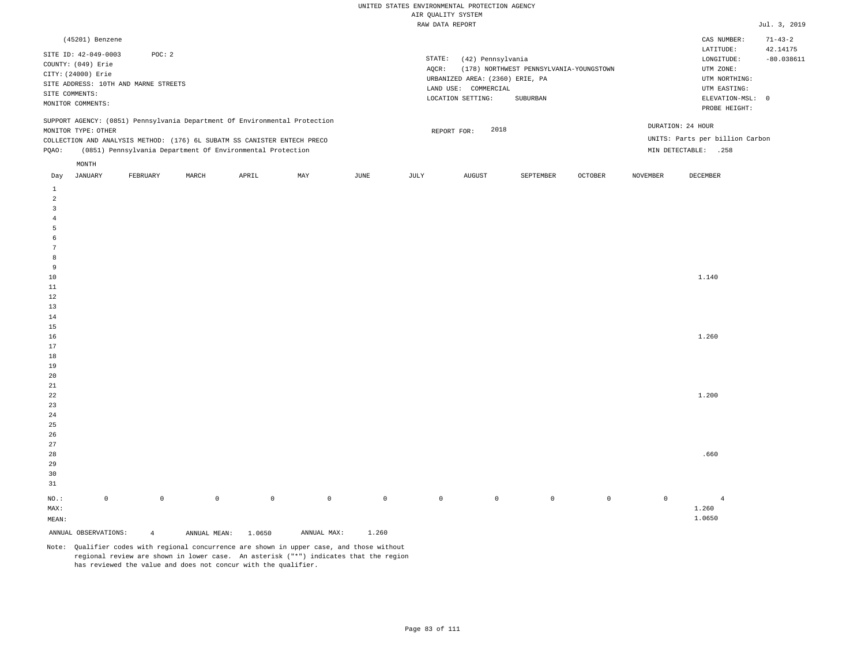| (45201) Benzene                                                                                                                                                                                                                                               |                                                                                                                                                                             | CAS NUMBER:<br>71-43-2                                                                                                                 |
|---------------------------------------------------------------------------------------------------------------------------------------------------------------------------------------------------------------------------------------------------------------|-----------------------------------------------------------------------------------------------------------------------------------------------------------------------------|----------------------------------------------------------------------------------------------------------------------------------------|
| POC:2<br>SITE ID: 42-049-0003<br>COUNTY: (049) Erie<br>CITY: (24000) Erie<br>SITE ADDRESS: 10TH AND MARNE STREETS<br>SITE COMMENTS:<br>MONITOR COMMENTS:                                                                                                      | STATE:<br>(42) Pennsylvania<br>AOCR:<br>(178) NORTHWEST PENNSYLVANIA-YOUNGSTOWN<br>URBANIZED AREA: (2360) ERIE, PA<br>LAND USE: COMMERCIAL<br>LOCATION SETTING:<br>SUBURBAN | 42.14175<br>LATITUDE:<br>$-80.038611$<br>LONGITUDE:<br>UTM ZONE:<br>UTM NORTHING:<br>UTM EASTING:<br>ELEVATION-MSL: 0<br>PROBE HEIGHT: |
| SUPPORT AGENCY: (0851) Pennsylvania Department Of Environmental Protection<br>MONITOR TYPE: OTHER<br>COLLECTION AND ANALYSIS METHOD: (176) 6L SUBATM SS CANISTER ENTECH PRECO<br>(0851) Pennsylvania Department Of Environmental Protection<br>POAO:<br>MONTH | 2018<br>REPORT FOR:                                                                                                                                                         | DURATION: 24 HOUR<br>UNITS: Parts per billion Carbon<br>MIN DETECTABLE:<br>.258                                                        |

| Day              | JANUARY              | FEBRUARY       | MARCH          | APRIL          | MAY            | JUNE        | JULY        | AUGUST      | SEPTEMBER   | OCTOBER     | NOVEMBER    | DECEMBER       |
|------------------|----------------------|----------------|----------------|----------------|----------------|-------------|-------------|-------------|-------------|-------------|-------------|----------------|
| $\mathbf{1}$     |                      |                |                |                |                |             |             |             |             |             |             |                |
| $\overline{a}$   |                      |                |                |                |                |             |             |             |             |             |             |                |
| $\overline{3}$   |                      |                |                |                |                |             |             |             |             |             |             |                |
| $\overline{4}$   |                      |                |                |                |                |             |             |             |             |             |             |                |
| 5                |                      |                |                |                |                |             |             |             |             |             |             |                |
| $\epsilon$       |                      |                |                |                |                |             |             |             |             |             |             |                |
| $7\phantom{.0}$  |                      |                |                |                |                |             |             |             |             |             |             |                |
| 8                |                      |                |                |                |                |             |             |             |             |             |             |                |
| 9                |                      |                |                |                |                |             |             |             |             |             |             |                |
| $10$             |                      |                |                |                |                |             |             |             |             |             |             | 1.140          |
| $11\,$           |                      |                |                |                |                |             |             |             |             |             |             |                |
| 12               |                      |                |                |                |                |             |             |             |             |             |             |                |
| 13               |                      |                |                |                |                |             |             |             |             |             |             |                |
| 14               |                      |                |                |                |                |             |             |             |             |             |             |                |
| 15               |                      |                |                |                |                |             |             |             |             |             |             |                |
| 16               |                      |                |                |                |                |             |             |             |             |             |             | 1.260          |
| 17               |                      |                |                |                |                |             |             |             |             |             |             |                |
| $18\,$           |                      |                |                |                |                |             |             |             |             |             |             |                |
| 19               |                      |                |                |                |                |             |             |             |             |             |             |                |
| $20\,$           |                      |                |                |                |                |             |             |             |             |             |             |                |
| $2\sqrt{1}$      |                      |                |                |                |                |             |             |             |             |             |             |                |
| $2\sqrt{2}$      |                      |                |                |                |                |             |             |             |             |             |             | 1.200          |
| 23               |                      |                |                |                |                |             |             |             |             |             |             |                |
| 24               |                      |                |                |                |                |             |             |             |             |             |             |                |
| $25\,$<br>$26\,$ |                      |                |                |                |                |             |             |             |             |             |             |                |
| $27\,$           |                      |                |                |                |                |             |             |             |             |             |             |                |
| $28\,$           |                      |                |                |                |                |             |             |             |             |             |             | .660           |
| 29               |                      |                |                |                |                |             |             |             |             |             |             |                |
| 30               |                      |                |                |                |                |             |             |             |             |             |             |                |
| 31               |                      |                |                |                |                |             |             |             |             |             |             |                |
|                  |                      |                |                |                |                |             |             |             |             |             |             |                |
| $_{\rm NO.}$ :   | $\mathbb O$          | $\mathbb O$    | $\overline{0}$ | $\overline{0}$ | $\overline{0}$ | $\mathsf 0$ | $\mathbb O$ | $\mathbb O$ | $\mathsf 0$ | $\mathbb O$ | $\mathbb O$ | $\overline{4}$ |
| MAX:             |                      |                |                |                |                |             |             |             |             |             |             | 1.260          |
| $\texttt{MEAN}:$ |                      |                |                |                |                |             |             |             |             |             |             | 1.0650         |
|                  | ANNUAL OBSERVATIONS: | $\overline{4}$ | ANNUAL MEAN:   | 1.0650         | ANNUAL MAX:    | 1.260       |             |             |             |             |             |                |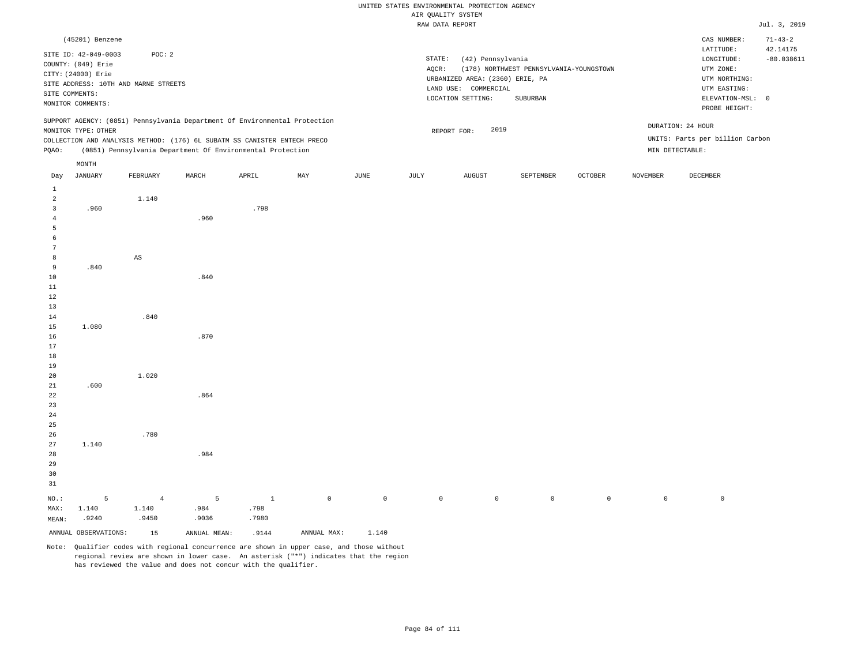|                                  |                                                                                                         |                                                |       |                                                                                                                                        |     |                       |                 | nin goniari ururan<br>RAW DATA REPORT                                                             |                                                     |         |                 |                                                                                                            | Jul. 3, 2019             |
|----------------------------------|---------------------------------------------------------------------------------------------------------|------------------------------------------------|-------|----------------------------------------------------------------------------------------------------------------------------------------|-----|-----------------------|-----------------|---------------------------------------------------------------------------------------------------|-----------------------------------------------------|---------|-----------------|------------------------------------------------------------------------------------------------------------|--------------------------|
|                                  | (45201) Benzene                                                                                         |                                                |       |                                                                                                                                        |     |                       |                 |                                                                                                   |                                                     |         |                 | CAS NUMBER:                                                                                                | $71 - 43 - 2$            |
|                                  | SITE ID: 42-049-0003<br>COUNTY: (049) Erie<br>CITY: (24000) Erie<br>SITE COMMENTS:<br>MONITOR COMMENTS: | POC: 2<br>SITE ADDRESS: 10TH AND MARNE STREETS |       |                                                                                                                                        |     |                       | STATE:<br>AQCR: | (42) Pennsylvania<br>URBANIZED AREA: (2360) ERIE, PA<br>LAND USE: COMMERCIAL<br>LOCATION SETTING: | (178) NORTHWEST PENNSYLVANIA-YOUNGSTOWN<br>SUBURBAN |         |                 | LATITUDE:<br>LONGITUDE:<br>UTM ZONE:<br>UTM NORTHING:<br>UTM EASTING:<br>ELEVATION-MSL: 0<br>PROBE HEIGHT: | 42.14175<br>$-80.038611$ |
|                                  |                                                                                                         |                                                |       | SUPPORT AGENCY: (0851) Pennsylvania Department Of Environmental Protection                                                             |     |                       |                 |                                                                                                   |                                                     |         |                 | DURATION: 24 HOUR                                                                                          |                          |
|                                  | MONITOR TYPE: OTHER                                                                                     |                                                |       |                                                                                                                                        |     |                       |                 | 2019<br>REPORT FOR:                                                                               |                                                     |         |                 | UNITS: Parts per billion Carbon                                                                            |                          |
| PQAO:                            |                                                                                                         |                                                |       | COLLECTION AND ANALYSIS METHOD: (176) 6L SUBATM SS CANISTER ENTECH PRECO<br>(0851) Pennsylvania Department Of Environmental Protection |     |                       |                 |                                                                                                   |                                                     |         |                 | MIN DETECTABLE:                                                                                            |                          |
|                                  |                                                                                                         |                                                |       |                                                                                                                                        |     |                       |                 |                                                                                                   |                                                     |         |                 |                                                                                                            |                          |
| Day                              | MONTH<br><b>JANUARY</b>                                                                                 | FEBRUARY                                       | MARCH | APRIL                                                                                                                                  | MAY | $\operatorname{JUNE}$ | JULY            | <b>AUGUST</b>                                                                                     | SEPTEMBER                                           | OCTOBER | <b>NOVEMBER</b> | DECEMBER                                                                                                   |                          |
| $\mathbf{1}$                     |                                                                                                         |                                                |       |                                                                                                                                        |     |                       |                 |                                                                                                   |                                                     |         |                 |                                                                                                            |                          |
| 2                                |                                                                                                         | 1.140                                          |       |                                                                                                                                        |     |                       |                 |                                                                                                   |                                                     |         |                 |                                                                                                            |                          |
| $\overline{3}$<br>$\overline{4}$ | .960                                                                                                    |                                                | .960  | .798                                                                                                                                   |     |                       |                 |                                                                                                   |                                                     |         |                 |                                                                                                            |                          |
| 5                                |                                                                                                         |                                                |       |                                                                                                                                        |     |                       |                 |                                                                                                   |                                                     |         |                 |                                                                                                            |                          |
| 6                                |                                                                                                         |                                                |       |                                                                                                                                        |     |                       |                 |                                                                                                   |                                                     |         |                 |                                                                                                            |                          |
| 7                                |                                                                                                         |                                                |       |                                                                                                                                        |     |                       |                 |                                                                                                   |                                                     |         |                 |                                                                                                            |                          |
| 8                                |                                                                                                         | AS                                             |       |                                                                                                                                        |     |                       |                 |                                                                                                   |                                                     |         |                 |                                                                                                            |                          |
| 9                                | .840                                                                                                    |                                                |       |                                                                                                                                        |     |                       |                 |                                                                                                   |                                                     |         |                 |                                                                                                            |                          |
| $10$                             |                                                                                                         |                                                | .840  |                                                                                                                                        |     |                       |                 |                                                                                                   |                                                     |         |                 |                                                                                                            |                          |
| 11                               |                                                                                                         |                                                |       |                                                                                                                                        |     |                       |                 |                                                                                                   |                                                     |         |                 |                                                                                                            |                          |
| 12<br>13                         |                                                                                                         |                                                |       |                                                                                                                                        |     |                       |                 |                                                                                                   |                                                     |         |                 |                                                                                                            |                          |
| 14                               |                                                                                                         | .840                                           |       |                                                                                                                                        |     |                       |                 |                                                                                                   |                                                     |         |                 |                                                                                                            |                          |
| 15                               | 1.080                                                                                                   |                                                |       |                                                                                                                                        |     |                       |                 |                                                                                                   |                                                     |         |                 |                                                                                                            |                          |
| 16                               |                                                                                                         |                                                | .870  |                                                                                                                                        |     |                       |                 |                                                                                                   |                                                     |         |                 |                                                                                                            |                          |
| 17                               |                                                                                                         |                                                |       |                                                                                                                                        |     |                       |                 |                                                                                                   |                                                     |         |                 |                                                                                                            |                          |
| 18                               |                                                                                                         |                                                |       |                                                                                                                                        |     |                       |                 |                                                                                                   |                                                     |         |                 |                                                                                                            |                          |
| 19                               |                                                                                                         |                                                |       |                                                                                                                                        |     |                       |                 |                                                                                                   |                                                     |         |                 |                                                                                                            |                          |
| 20<br>21                         | .600                                                                                                    | 1.020                                          |       |                                                                                                                                        |     |                       |                 |                                                                                                   |                                                     |         |                 |                                                                                                            |                          |
| 22                               |                                                                                                         |                                                | .864  |                                                                                                                                        |     |                       |                 |                                                                                                   |                                                     |         |                 |                                                                                                            |                          |
| 23                               |                                                                                                         |                                                |       |                                                                                                                                        |     |                       |                 |                                                                                                   |                                                     |         |                 |                                                                                                            |                          |
| 24                               |                                                                                                         |                                                |       |                                                                                                                                        |     |                       |                 |                                                                                                   |                                                     |         |                 |                                                                                                            |                          |
| 25                               |                                                                                                         |                                                |       |                                                                                                                                        |     |                       |                 |                                                                                                   |                                                     |         |                 |                                                                                                            |                          |
| 26                               |                                                                                                         | .780                                           |       |                                                                                                                                        |     |                       |                 |                                                                                                   |                                                     |         |                 |                                                                                                            |                          |
| 27                               | 1.140                                                                                                   |                                                |       |                                                                                                                                        |     |                       |                 |                                                                                                   |                                                     |         |                 |                                                                                                            |                          |
| 28                               |                                                                                                         |                                                | .984  |                                                                                                                                        |     |                       |                 |                                                                                                   |                                                     |         |                 |                                                                                                            |                          |
| 29<br>30                         |                                                                                                         |                                                |       |                                                                                                                                        |     |                       |                 |                                                                                                   |                                                     |         |                 |                                                                                                            |                          |
| 31                               |                                                                                                         |                                                |       |                                                                                                                                        |     |                       |                 |                                                                                                   |                                                     |         |                 |                                                                                                            |                          |
|                                  |                                                                                                         |                                                |       |                                                                                                                                        |     |                       |                 |                                                                                                   |                                                     |         |                 |                                                                                                            |                          |

|  |                               | NO.: 5 4 5 1 0 0 0 0 0 0 0 0 |  |  |  |  |
|--|-------------------------------|------------------------------|--|--|--|--|
|  | MAX: 1.140 1.140 .984 .798    |                              |  |  |  |  |
|  | MEAN: .9240 .9450 .9036 .7980 |                              |  |  |  |  |

ANNUAL OBSERVATIONS: 15 ANNUAL MEAN: .9144 ANNUAL MAX: 1.140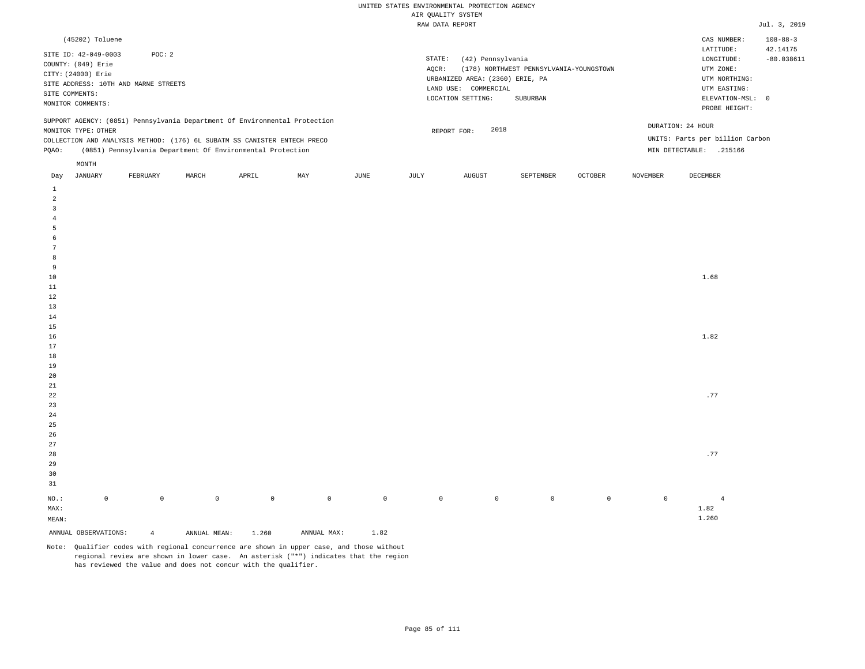| (45202) Toluene                                                                                                                                                                                                                                               |                                                                                                                                                                             | CAS NUMBER:                                                                                                | $108 - 88 - 3$           |
|---------------------------------------------------------------------------------------------------------------------------------------------------------------------------------------------------------------------------------------------------------------|-----------------------------------------------------------------------------------------------------------------------------------------------------------------------------|------------------------------------------------------------------------------------------------------------|--------------------------|
| SITE ID: 42-049-0003<br>POC:2<br>COUNTY: (049) Erie<br>CITY: (24000) Erie<br>SITE ADDRESS: 10TH AND MARNE STREETS<br>SITE COMMENTS:<br>MONITOR COMMENTS:                                                                                                      | STATE:<br>(42) Pennsylvania<br>(178) NORTHWEST PENNSYLVANIA-YOUNGSTOWN<br>AOCR:<br>URBANIZED AREA: (2360) ERIE, PA<br>LAND USE: COMMERCIAL<br>LOCATION SETTING:<br>SUBURBAN | LATITUDE:<br>LONGITUDE:<br>UTM ZONE:<br>UTM NORTHING:<br>UTM EASTING:<br>ELEVATION-MSL: 0<br>PROBE HEIGHT: | 42.14175<br>$-80.038611$ |
| SUPPORT AGENCY: (0851) Pennsylvania Department Of Environmental Protection<br>MONITOR TYPE: OTHER<br>COLLECTION AND ANALYSIS METHOD: (176) 6L SUBATM SS CANISTER ENTECH PRECO<br>(0851) Pennsylvania Department Of Environmental Protection<br>POAO:<br>MONTH | DURATION: 24 HOUR<br>2018<br>REPORT FOR:<br>MIN DETECTABLE:                                                                                                                 | UNITS: Parts per billion Carbon<br>.215166                                                                 |                          |

| Day                     | JANUARY              | FEBRUARY       | MARCH        | APRIL   | MAY            | JUNE        | JULY        | AUGUST      | SEPTEMBER   | OCTOBER     | NOVEMBER    | DECEMBER       |
|-------------------------|----------------------|----------------|--------------|---------|----------------|-------------|-------------|-------------|-------------|-------------|-------------|----------------|
| $\mathbf{1}$            |                      |                |              |         |                |             |             |             |             |             |             |                |
| $\overline{a}$          |                      |                |              |         |                |             |             |             |             |             |             |                |
| $\overline{\mathbf{3}}$ |                      |                |              |         |                |             |             |             |             |             |             |                |
| $\overline{4}$          |                      |                |              |         |                |             |             |             |             |             |             |                |
| $\overline{5}$          |                      |                |              |         |                |             |             |             |             |             |             |                |
| $\epsilon$              |                      |                |              |         |                |             |             |             |             |             |             |                |
| $7\phantom{.0}$         |                      |                |              |         |                |             |             |             |             |             |             |                |
| 8                       |                      |                |              |         |                |             |             |             |             |             |             |                |
| 9                       |                      |                |              |         |                |             |             |             |             |             |             |                |
| $10$                    |                      |                |              |         |                |             |             |             |             |             |             | 1.68           |
| $11\,$                  |                      |                |              |         |                |             |             |             |             |             |             |                |
| $12\,$                  |                      |                |              |         |                |             |             |             |             |             |             |                |
| 13                      |                      |                |              |         |                |             |             |             |             |             |             |                |
| 14                      |                      |                |              |         |                |             |             |             |             |             |             |                |
| 15                      |                      |                |              |         |                |             |             |             |             |             |             |                |
| 16                      |                      |                |              |         |                |             |             |             |             |             |             | 1.82           |
| $17\,$                  |                      |                |              |         |                |             |             |             |             |             |             |                |
| $18\,$                  |                      |                |              |         |                |             |             |             |             |             |             |                |
| 19                      |                      |                |              |         |                |             |             |             |             |             |             |                |
| 20                      |                      |                |              |         |                |             |             |             |             |             |             |                |
| $21\,$                  |                      |                |              |         |                |             |             |             |             |             |             |                |
| $2\sqrt{2}$             |                      |                |              |         |                |             |             |             |             |             |             | .77            |
| $23\,$                  |                      |                |              |         |                |             |             |             |             |             |             |                |
| $2\sqrt{4}$             |                      |                |              |         |                |             |             |             |             |             |             |                |
| 25<br>26                |                      |                |              |         |                |             |             |             |             |             |             |                |
| $27\,$                  |                      |                |              |         |                |             |             |             |             |             |             |                |
| 28                      |                      |                |              |         |                |             |             |             |             |             |             | .77            |
| 29                      |                      |                |              |         |                |             |             |             |             |             |             |                |
| 30                      |                      |                |              |         |                |             |             |             |             |             |             |                |
| 31                      |                      |                |              |         |                |             |             |             |             |             |             |                |
|                         |                      |                |              |         |                |             |             |             |             |             |             |                |
| $_{\rm NO.}$ :          | $\mathsf{O}\xspace$  | $\mathbb O$    | $\mathbb O$  | $\circ$ | $\overline{0}$ | $\mathbb O$ | $\mathbb O$ | $\mathbb O$ | $\mathbb O$ | $\mathbb O$ | $\mathbb O$ | $\overline{4}$ |
| $\texttt{MAX}$ :        |                      |                |              |         |                |             |             |             |             |             |             | 1.82           |
| $\texttt{MEAN}:$        |                      |                |              |         |                |             |             |             |             |             |             | 1.260          |
|                         | ANNUAL OBSERVATIONS: | $\overline{4}$ | ANNUAL MEAN: | 1.260   | ANNUAL MAX:    | 1.82        |             |             |             |             |             |                |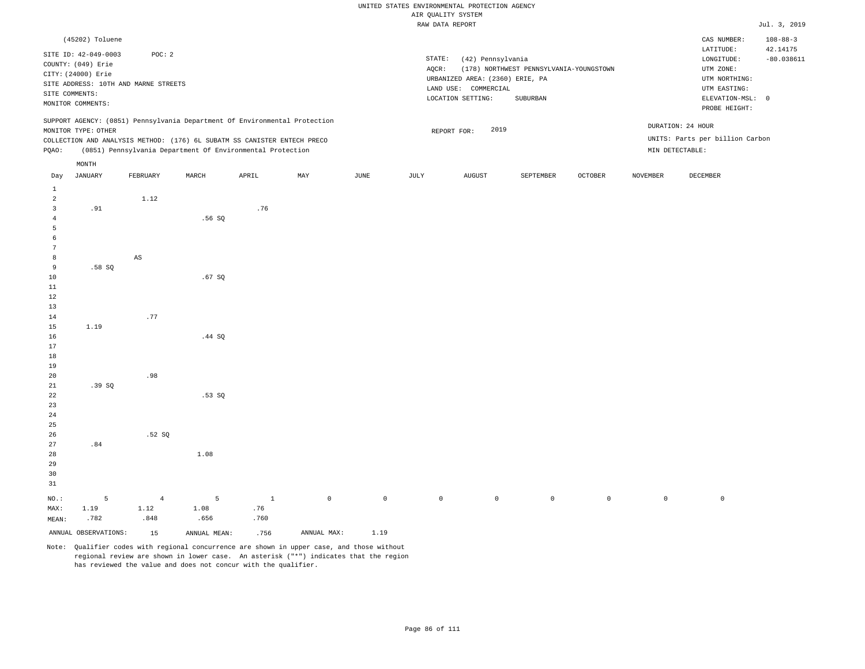|                               |                      |                                      |                                                                            |              |             |             |        | RAW DATA REPORT                 |                                         |                     |                 |                                 | Jul. 3, 2019   |
|-------------------------------|----------------------|--------------------------------------|----------------------------------------------------------------------------|--------------|-------------|-------------|--------|---------------------------------|-----------------------------------------|---------------------|-----------------|---------------------------------|----------------|
|                               | (45202) Toluene      |                                      |                                                                            |              |             |             |        |                                 |                                         |                     |                 | CAS NUMBER:                     | $108 - 88 - 3$ |
|                               | SITE ID: 42-049-0003 | POC: 2                               |                                                                            |              |             |             |        |                                 |                                         |                     |                 | LATITUDE:                       | 42.14175       |
|                               | COUNTY: (049) Erie   |                                      |                                                                            |              |             |             | STATE: | (42) Pennsylvania               |                                         |                     |                 | LONGITUDE:                      | $-80.038611$   |
|                               | CITY: (24000) Erie   |                                      |                                                                            |              |             |             | AQCR:  |                                 | (178) NORTHWEST PENNSYLVANIA-YOUNGSTOWN |                     |                 | UTM ZONE:                       |                |
|                               |                      |                                      |                                                                            |              |             |             |        | URBANIZED AREA: (2360) ERIE, PA |                                         |                     |                 | UTM NORTHING:                   |                |
|                               |                      | SITE ADDRESS: 10TH AND MARNE STREETS |                                                                            |              |             |             |        | LAND USE: COMMERCIAL            |                                         |                     |                 | UTM EASTING:                    |                |
|                               | SITE COMMENTS:       |                                      |                                                                            |              |             |             |        | LOCATION SETTING:               | SUBURBAN                                |                     |                 | ELEVATION-MSL: 0                |                |
|                               | MONITOR COMMENTS:    |                                      |                                                                            |              |             |             |        |                                 |                                         |                     |                 | PROBE HEIGHT:                   |                |
|                               |                      |                                      | SUPPORT AGENCY: (0851) Pennsylvania Department Of Environmental Protection |              |             |             |        |                                 |                                         |                     |                 | DURATION: 24 HOUR               |                |
|                               | MONITOR TYPE: OTHER  |                                      |                                                                            |              |             |             |        | 2019<br>REPORT FOR:             |                                         |                     |                 |                                 |                |
|                               |                      |                                      | COLLECTION AND ANALYSIS METHOD: (176) 6L SUBATM SS CANISTER ENTECH PRECO   |              |             |             |        |                                 |                                         |                     |                 | UNITS: Parts per billion Carbon |                |
| PQAO:                         |                      |                                      | (0851) Pennsylvania Department Of Environmental Protection                 |              |             |             |        |                                 |                                         |                     |                 | MIN DETECTABLE:                 |                |
|                               | $\texttt{MONTH}$     |                                      |                                                                            |              |             |             |        |                                 |                                         |                     |                 |                                 |                |
| Day                           | <b>JANUARY</b>       | FEBRUARY                             | MARCH                                                                      | APRIL        | MAY         | <b>JUNE</b> | JULY   | <b>AUGUST</b>                   | SEPTEMBER                               | <b>OCTOBER</b>      | <b>NOVEMBER</b> | DECEMBER                        |                |
| $\mathbf{1}$                  |                      |                                      |                                                                            |              |             |             |        |                                 |                                         |                     |                 |                                 |                |
| 2                             |                      | 1.12                                 |                                                                            |              |             |             |        |                                 |                                         |                     |                 |                                 |                |
| $\overline{3}$                | .91                  |                                      |                                                                            | .76          |             |             |        |                                 |                                         |                     |                 |                                 |                |
| $\overline{4}$                |                      |                                      | .56SQ                                                                      |              |             |             |        |                                 |                                         |                     |                 |                                 |                |
| $\overline{5}$                |                      |                                      |                                                                            |              |             |             |        |                                 |                                         |                     |                 |                                 |                |
| $\epsilon$<br>$7\phantom{.0}$ |                      |                                      |                                                                            |              |             |             |        |                                 |                                         |                     |                 |                                 |                |
|                               |                      |                                      |                                                                            |              |             |             |        |                                 |                                         |                     |                 |                                 |                |
| 8                             |                      | $\mathbb{A}\mathbb{S}$               |                                                                            |              |             |             |        |                                 |                                         |                     |                 |                                 |                |
| 9                             | .58SQ                |                                      |                                                                            |              |             |             |        |                                 |                                         |                     |                 |                                 |                |
| 10                            |                      |                                      | .67SQ                                                                      |              |             |             |        |                                 |                                         |                     |                 |                                 |                |
| 11                            |                      |                                      |                                                                            |              |             |             |        |                                 |                                         |                     |                 |                                 |                |
| 12                            |                      |                                      |                                                                            |              |             |             |        |                                 |                                         |                     |                 |                                 |                |
| 13                            |                      | .77                                  |                                                                            |              |             |             |        |                                 |                                         |                     |                 |                                 |                |
| 14                            | 1.19                 |                                      |                                                                            |              |             |             |        |                                 |                                         |                     |                 |                                 |                |
| 15<br>16                      |                      |                                      |                                                                            |              |             |             |        |                                 |                                         |                     |                 |                                 |                |
| 17                            |                      |                                      | .44 SQ                                                                     |              |             |             |        |                                 |                                         |                     |                 |                                 |                |
| 18                            |                      |                                      |                                                                            |              |             |             |        |                                 |                                         |                     |                 |                                 |                |
| 19                            |                      |                                      |                                                                            |              |             |             |        |                                 |                                         |                     |                 |                                 |                |
| 20                            |                      | .98                                  |                                                                            |              |             |             |        |                                 |                                         |                     |                 |                                 |                |
| 21                            | .39SQ                |                                      |                                                                            |              |             |             |        |                                 |                                         |                     |                 |                                 |                |
| 22                            |                      |                                      | .53SQ                                                                      |              |             |             |        |                                 |                                         |                     |                 |                                 |                |
| 23                            |                      |                                      |                                                                            |              |             |             |        |                                 |                                         |                     |                 |                                 |                |
| 24                            |                      |                                      |                                                                            |              |             |             |        |                                 |                                         |                     |                 |                                 |                |
| 25                            |                      |                                      |                                                                            |              |             |             |        |                                 |                                         |                     |                 |                                 |                |
| 26                            |                      | .52S                                 |                                                                            |              |             |             |        |                                 |                                         |                     |                 |                                 |                |
| 27                            | .84                  |                                      |                                                                            |              |             |             |        |                                 |                                         |                     |                 |                                 |                |
| 28                            |                      |                                      | 1.08                                                                       |              |             |             |        |                                 |                                         |                     |                 |                                 |                |
| 29                            |                      |                                      |                                                                            |              |             |             |        |                                 |                                         |                     |                 |                                 |                |
| 30                            |                      |                                      |                                                                            |              |             |             |        |                                 |                                         |                     |                 |                                 |                |
| 31                            |                      |                                      |                                                                            |              |             |             |        |                                 |                                         |                     |                 |                                 |                |
|                               |                      |                                      |                                                                            |              |             |             |        |                                 |                                         |                     |                 |                                 |                |
| $NO.$ :                       | 5                    | $\overline{4}$                       | 5                                                                          | $\mathbf{1}$ | $\mathbb O$ | $\mathbb O$ |        | $\mathbb O$<br>$\mathbb O$      | $\mathsf{O}$                            | $\mathsf{O}\xspace$ | $\mathbb O$     | $\,0\,$                         |                |
| MAX:                          | 1.19                 | 1.12                                 | 1.08                                                                       | .76          |             |             |        |                                 |                                         |                     |                 |                                 |                |
| MEAN:                         | .782                 | .848                                 | .656                                                                       | .760         |             |             |        |                                 |                                         |                     |                 |                                 |                |

ANNUAL OBSERVATIONS: 15 ANNUAL MEAN: .756 ANNUAL MAX: 1.19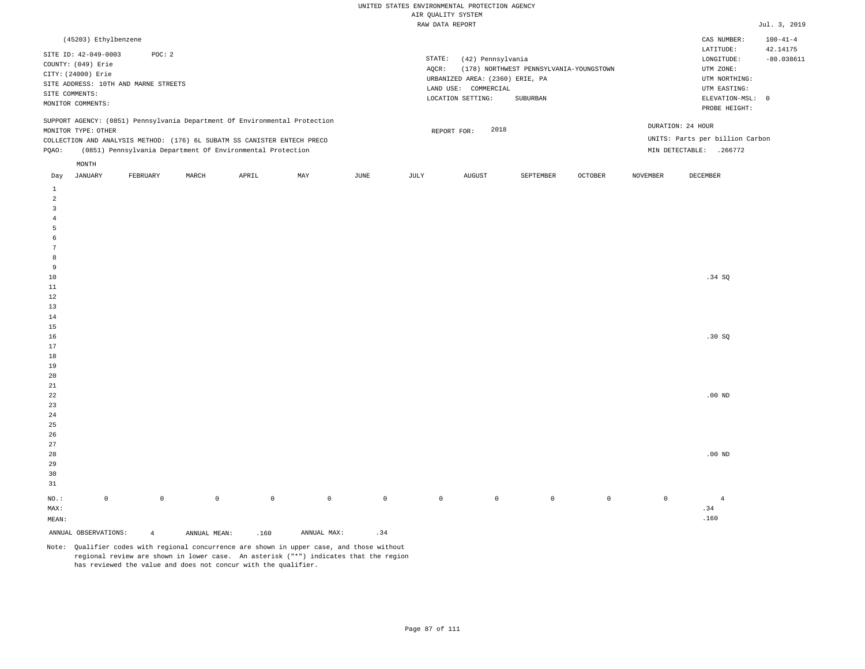| (45203) Ethylbenzene                                                                                                                                                                   |          |       |                                                            |     |      |       |                                                                                                                |                                                     |                |          | CAS NUMBER:                                                                                                | $100 - 41 - 4$           |
|----------------------------------------------------------------------------------------------------------------------------------------------------------------------------------------|----------|-------|------------------------------------------------------------|-----|------|-------|----------------------------------------------------------------------------------------------------------------|-----------------------------------------------------|----------------|----------|------------------------------------------------------------------------------------------------------------|--------------------------|
| SITE ID: 42-049-0003<br>COUNTY: (049) Erie<br>CITY: (24000) Erie<br>SITE ADDRESS: 10TH AND MARNE STREETS<br>SITE COMMENTS:<br>MONITOR COMMENTS:                                        | POC: 2   |       |                                                            |     |      | AOCR: | STATE:<br>(42) Pennsylvania<br>URBANIZED AREA: (2360) ERIE, PA<br>LAND USE:<br>COMMERCIAL<br>LOCATION SETTING: | (178) NORTHWEST PENNSYLVANIA-YOUNGSTOWN<br>SUBURBAN |                |          | LATITUDE:<br>LONGITUDE:<br>UTM ZONE:<br>UTM NORTHING:<br>UTM EASTING:<br>ELEVATION-MSL: 0<br>PROBE HEIGHT: | 42.14175<br>$-80.038611$ |
| SUPPORT AGENCY: (0851) Pennsylvania Department Of Environmental Protection<br>MONITOR TYPE: OTHER<br>COLLECTION AND ANALYSIS METHOD: (176) 6L SUBATM SS CANISTER ENTECH PRECO<br>POAO: |          |       | (0851) Pennsylvania Department Of Environmental Protection |     |      |       | 2018<br>REPORT FOR:                                                                                            |                                                     |                |          | DURATION: 24 HOUR<br>UNITS: Parts per billion Carbon<br>MIN DETECTABLE:<br>.266772                         |                          |
| MONTH<br>JANUARY<br>Day                                                                                                                                                                | FEBRUARY | MARCH | APRIL                                                      | MAY | JUNE | JULY  | AUGUST                                                                                                         | SEPTEMBER                                           | <b>OCTOBER</b> | NOVEMBER | DECEMBER                                                                                                   |                          |

| ANNUAL OBSERVATIONS:           |             | $\overline{4}$ | ANNUAL MEAN: | .160        | ANNUAL MAX: | .34     |             |             |                |         |             |                |
|--------------------------------|-------------|----------------|--------------|-------------|-------------|---------|-------------|-------------|----------------|---------|-------------|----------------|
| $\texttt{MEAN}:$               |             |                |              |             |             |         |             |             |                |         |             | $.160\,$       |
| $\texttt{MAX}$ :               |             |                |              |             |             |         |             |             |                |         |             | .34            |
| $_{\rm NO.}$ :                 | $\mathbb O$ | $\mathbb O$    | $\mathbb O$  | $\mathbb O$ | $\mathbb O$ | $\,0\,$ | $\mathbb O$ | $\mathbb O$ | $\overline{0}$ | $\circ$ | $\mathbb O$ | $\overline{4}$ |
| $3\sqrt{1}$                    |             |                |              |             |             |         |             |             |                |         |             |                |
| $30$                           |             |                |              |             |             |         |             |             |                |         |             |                |
| $_{\rm 29}$                    |             |                |              |             |             |         |             |             |                |         |             |                |
| $_{\rm 28}$                    |             |                |              |             |             |         |             |             |                |         |             | $.00$ ND       |
| $_{\rm 27}$                    |             |                |              |             |             |         |             |             |                |         |             |                |
| $26$                           |             |                |              |             |             |         |             |             |                |         |             |                |
| $25\,$                         |             |                |              |             |             |         |             |             |                |         |             |                |
| $\sqrt{24}$                    |             |                |              |             |             |         |             |             |                |         |             |                |
| $23\,$                         |             |                |              |             |             |         |             |             |                |         |             |                |
| $\bf{^{22}}$                   |             |                |              |             |             |         |             |             |                |         |             | $.00$ ND       |
| $\bf{21}$                      |             |                |              |             |             |         |             |             |                |         |             |                |
| $20\,$                         |             |                |              |             |             |         |             |             |                |         |             |                |
| $19\,$                         |             |                |              |             |             |         |             |             |                |         |             |                |
| $1\,8$                         |             |                |              |             |             |         |             |             |                |         |             |                |
| $17\,$                         |             |                |              |             |             |         |             |             |                |         |             |                |
| $16\,$                         |             |                |              |             |             |         |             |             |                |         |             | .30 SQ         |
| $1\,5$                         |             |                |              |             |             |         |             |             |                |         |             |                |
| $14\,$                         |             |                |              |             |             |         |             |             |                |         |             |                |
| $1\sqrt{3}$                    |             |                |              |             |             |         |             |             |                |         |             |                |
| $1\,2$                         |             |                |              |             |             |         |             |             |                |         |             |                |
| $11\,$                         |             |                |              |             |             |         |             |             |                |         |             |                |
| $10\,$                         |             |                |              |             |             |         |             |             |                |         |             | .34 SQ         |
| 9                              |             |                |              |             |             |         |             |             |                |         |             |                |
| $\boldsymbol{8}$               |             |                |              |             |             |         |             |             |                |         |             |                |
| $7\phantom{.0}$                |             |                |              |             |             |         |             |             |                |         |             |                |
| $6\phantom{.}6$                |             |                |              |             |             |         |             |             |                |         |             |                |
| $\overline{5}$                 |             |                |              |             |             |         |             |             |                |         |             |                |
| $\overline{4}$                 |             |                |              |             |             |         |             |             |                |         |             |                |
| $\overline{\mathbf{3}}$        |             |                |              |             |             |         |             |             |                |         |             |                |
| $\mathbf{1}$<br>$\overline{a}$ |             |                |              |             |             |         |             |             |                |         |             |                |
|                                |             |                |              |             |             |         |             |             |                |         |             |                |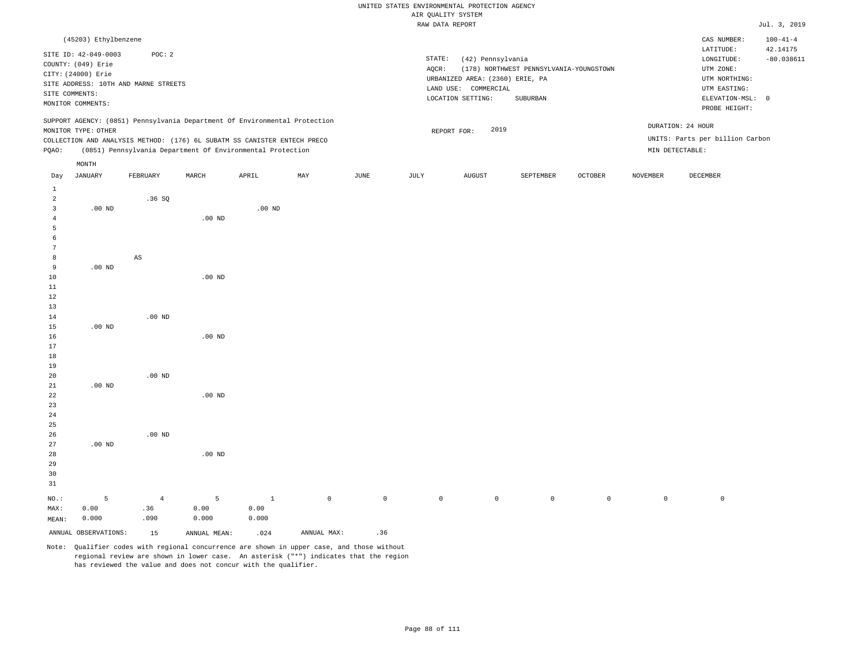|                      |                                                                                                                                 |                                                |          |                                                                                                                                                                                                                      |     |             |                 | RAW DATA REPORT                                                                                   |                                                     |         |                 |                                                                                                          | Jul. 3, 2019                               |
|----------------------|---------------------------------------------------------------------------------------------------------------------------------|------------------------------------------------|----------|----------------------------------------------------------------------------------------------------------------------------------------------------------------------------------------------------------------------|-----|-------------|-----------------|---------------------------------------------------------------------------------------------------|-----------------------------------------------------|---------|-----------------|----------------------------------------------------------------------------------------------------------|--------------------------------------------|
|                      | (45203) Ethylbenzene<br>SITE ID: 42-049-0003<br>COUNTY: (049) Erie<br>CITY: (24000) Erie<br>SITE COMMENTS:<br>MONITOR COMMENTS: | POC: 2<br>SITE ADDRESS: 10TH AND MARNE STREETS |          |                                                                                                                                                                                                                      |     |             | STATE:<br>AQCR: | (42) Pennsylvania<br>URBANIZED AREA: (2360) ERIE, PA<br>LAND USE: COMMERCIAL<br>LOCATION SETTING: | (178) NORTHWEST PENNSYLVANIA-YOUNGSTOWN<br>SUBURBAN |         |                 | CAS NUMBER:<br>LATITUDE:<br>LONGITUDE:<br>UTM ZONE:<br>UTM NORTHING:<br>UTM EASTING:<br>ELEVATION-MSL: 0 | $100 - 41 - 4$<br>42.14175<br>$-80.038611$ |
| PQAO:                | MONITOR TYPE: OTHER                                                                                                             |                                                |          | SUPPORT AGENCY: (0851) Pennsylvania Department Of Environmental Protection<br>COLLECTION AND ANALYSIS METHOD: (176) 6L SUBATM SS CANISTER ENTECH PRECO<br>(0851) Pennsylvania Department Of Environmental Protection |     |             |                 | 2019<br>REPORT FOR:                                                                               |                                                     |         |                 | PROBE HEIGHT:<br>DURATION: 24 HOUR<br>UNITS: Parts per billion Carbon<br>MIN DETECTABLE:                 |                                            |
| Day                  | MONTH<br>JANUARY                                                                                                                | FEBRUARY                                       | MARCH    | APRIL                                                                                                                                                                                                                | MAY | <b>JUNE</b> | JULY            | <b>AUGUST</b>                                                                                     | SEPTEMBER                                           | OCTOBER | <b>NOVEMBER</b> | DECEMBER                                                                                                 |                                            |
| 1<br>2<br>3<br>5     | $.00$ ND                                                                                                                        | .36SQ                                          | $.00$ ND | $.00$ ND                                                                                                                                                                                                             |     |             |                 |                                                                                                   |                                                     |         |                 |                                                                                                          |                                            |
| 8<br>9<br>10<br>11   | $.00$ ND                                                                                                                        | $\mathbb{A}\mathbb{S}$                         | $.00$ ND |                                                                                                                                                                                                                      |     |             |                 |                                                                                                   |                                                     |         |                 |                                                                                                          |                                            |
| 12<br>13<br>14<br>15 | $.00$ ND                                                                                                                        | $.00$ ND                                       |          |                                                                                                                                                                                                                      |     |             |                 |                                                                                                   |                                                     |         |                 |                                                                                                          |                                            |

 .00 ND .00 ND .00 ND

26 27 28 29 30 31 .00 ND NO.: MAX: MEAN: 5 0.00 0.000 .00 ND .00 ND 4 .36 .090 5 0.00 0.000 1 0.00 0.000 0 0 0 0 0 0 0 0

ANNUAL OBSERVATIONS: 15 ANNUAL MEAN: .024 ANNUAL MAX: .36

.00 ND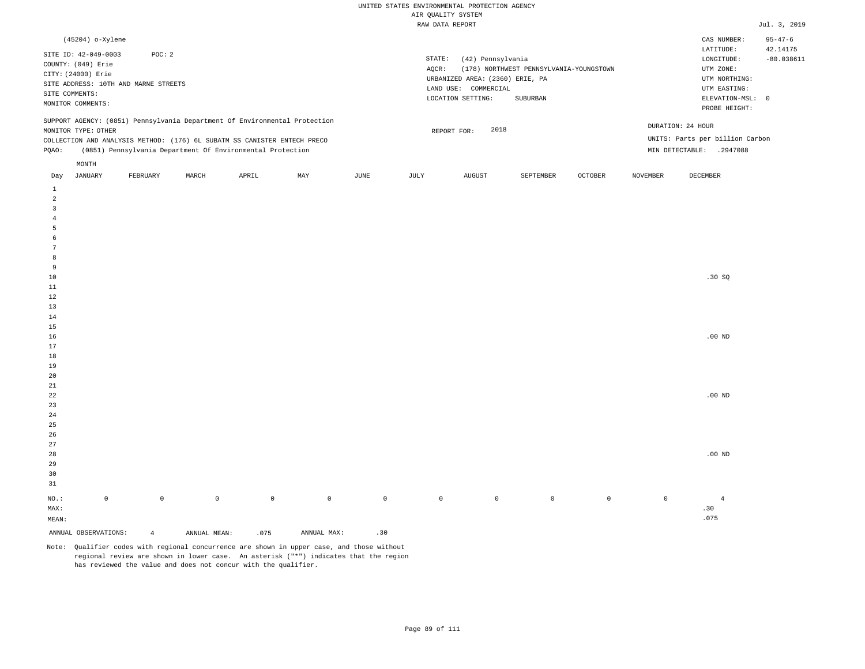|                | (45204) o-Xylene     |                                      |       |                                                                          |                                                                            |      |        |                                 |                                         |         |                   | CAS NUMBER:                     | $95 - 47 - 6$ |
|----------------|----------------------|--------------------------------------|-------|--------------------------------------------------------------------------|----------------------------------------------------------------------------|------|--------|---------------------------------|-----------------------------------------|---------|-------------------|---------------------------------|---------------|
|                | SITE ID: 42-049-0003 | POC:2                                |       |                                                                          |                                                                            |      |        |                                 |                                         |         |                   | LATITUDE:                       | 42.14175      |
|                | COUNTY: (049) Erie   |                                      |       |                                                                          |                                                                            |      | STATE: | (42) Pennsylvania               |                                         |         |                   | LONGITUDE:                      | $-80.038611$  |
|                | CITY: (24000) Erie   |                                      |       |                                                                          |                                                                            |      | AQCR:  |                                 | (178) NORTHWEST PENNSYLVANIA-YOUNGSTOWN |         |                   | UTM ZONE:                       |               |
|                |                      | SITE ADDRESS: 10TH AND MARNE STREETS |       |                                                                          |                                                                            |      |        | URBANIZED AREA: (2360) ERIE, PA |                                         |         |                   | UTM NORTHING:                   |               |
| SITE COMMENTS: |                      |                                      |       |                                                                          |                                                                            |      |        | LAND USE: COMMERCIAL            |                                         |         |                   | UTM EASTING:                    |               |
|                | MONITOR COMMENTS:    |                                      |       |                                                                          |                                                                            |      |        | LOCATION SETTING:               | SUBURBAN                                |         |                   | ELEVATION-MSL: 0                |               |
|                |                      |                                      |       |                                                                          |                                                                            |      |        |                                 |                                         |         |                   | PROBE HEIGHT:                   |               |
|                |                      |                                      |       |                                                                          | SUPPORT AGENCY: (0851) Pennsylvania Department Of Environmental Protection |      |        |                                 |                                         |         |                   |                                 |               |
|                | MONITOR TYPE: OTHER  |                                      |       |                                                                          |                                                                            |      |        | 2018<br>REPORT FOR:             |                                         |         | DURATION: 24 HOUR |                                 |               |
|                |                      |                                      |       | COLLECTION AND ANALYSIS METHOD: (176) 6L SUBATM SS CANISTER ENTECH PRECO |                                                                            |      |        |                                 |                                         |         |                   | UNITS: Parts per billion Carbon |               |
| POAO:          |                      |                                      |       | (0851) Pennsylvania Department Of Environmental Protection               |                                                                            |      |        |                                 |                                         |         | MIN DETECTABLE:   | .2947088                        |               |
|                |                      |                                      |       |                                                                          |                                                                            |      |        |                                 |                                         |         |                   |                                 |               |
|                | MONTH                |                                      |       |                                                                          |                                                                            |      |        |                                 |                                         |         |                   |                                 |               |
| Day            | JANUARY              | FEBRUARY                             | MARCH | APRIL                                                                    | MAY                                                                        | JUNE | JULY   | <b>AUGUST</b>                   | SEPTEMBER                               | OCTOBER | <b>NOVEMBER</b>   | DECEMBER                        |               |

| ANNUAL OBSERVATIONS: |                     | $\overline{4}$ | ANNUAL MEAN: | .075        | ANNUAL MAX: | .30          |             |           |                |                |             |                |
|----------------------|---------------------|----------------|--------------|-------------|-------------|--------------|-------------|-----------|----------------|----------------|-------------|----------------|
| $\texttt{MEAN}:$     |                     |                |              |             |             |              |             |           |                |                |             | .075           |
| $\texttt{MAX}$ :     |                     |                |              |             |             |              |             |           |                |                |             | .30            |
| $_{\rm NO.}$ :       | $\mathsf{O}\xspace$ | $\mathsf{O}$   | $\mathbb O$  | $\mathbb O$ | $\mathbb O$ | $\mathsf{O}$ | $\mathbb O$ | $\bullet$ | $\overline{0}$ | $\overline{0}$ | $\mathbb O$ | $\overline{4}$ |
|                      |                     |                |              |             |             |              |             |           |                |                |             |                |
| $31\,$               |                     |                |              |             |             |              |             |           |                |                |             |                |
| 30                   |                     |                |              |             |             |              |             |           |                |                |             |                |
| 29                   |                     |                |              |             |             |              |             |           |                |                |             |                |
| 28                   |                     |                |              |             |             |              |             |           |                |                |             | $.00$ ND       |
| 27                   |                     |                |              |             |             |              |             |           |                |                |             |                |
| $26\,$               |                     |                |              |             |             |              |             |           |                |                |             |                |
| $25\,$               |                     |                |              |             |             |              |             |           |                |                |             |                |
| $24\,$               |                     |                |              |             |             |              |             |           |                |                |             |                |
| $23\,$               |                     |                |              |             |             |              |             |           |                |                |             |                |
| $^{\rm 22}$          |                     |                |              |             |             |              |             |           |                |                |             | $.00$ ND       |
| $21$                 |                     |                |              |             |             |              |             |           |                |                |             |                |
| $20\,$               |                     |                |              |             |             |              |             |           |                |                |             |                |
| 19                   |                     |                |              |             |             |              |             |           |                |                |             |                |
| $18\,$               |                     |                |              |             |             |              |             |           |                |                |             |                |
| $17$                 |                     |                |              |             |             |              |             |           |                |                |             |                |
| $16$                 |                     |                |              |             |             |              |             |           |                |                |             | .00 $ND$       |
| $15$                 |                     |                |              |             |             |              |             |           |                |                |             |                |
| $14\,$               |                     |                |              |             |             |              |             |           |                |                |             |                |
| $13\,$               |                     |                |              |             |             |              |             |           |                |                |             |                |
| 12                   |                     |                |              |             |             |              |             |           |                |                |             |                |
| $10$<br>$11\,$       |                     |                |              |             |             |              |             |           |                |                |             | .30 SQ         |
| 9                    |                     |                |              |             |             |              |             |           |                |                |             |                |
| $^{\rm 8}$           |                     |                |              |             |             |              |             |           |                |                |             |                |
| $7\phantom{.0}$      |                     |                |              |             |             |              |             |           |                |                |             |                |
| 6                    |                     |                |              |             |             |              |             |           |                |                |             |                |
| 5                    |                     |                |              |             |             |              |             |           |                |                |             |                |
| $\sqrt{4}$           |                     |                |              |             |             |              |             |           |                |                |             |                |
| $\overline{3}$       |                     |                |              |             |             |              |             |           |                |                |             |                |
| $\overline{a}$       |                     |                |              |             |             |              |             |           |                |                |             |                |
| $\,1\,$              |                     |                |              |             |             |              |             |           |                |                |             |                |
|                      |                     |                |              |             |             |              |             |           |                |                |             |                |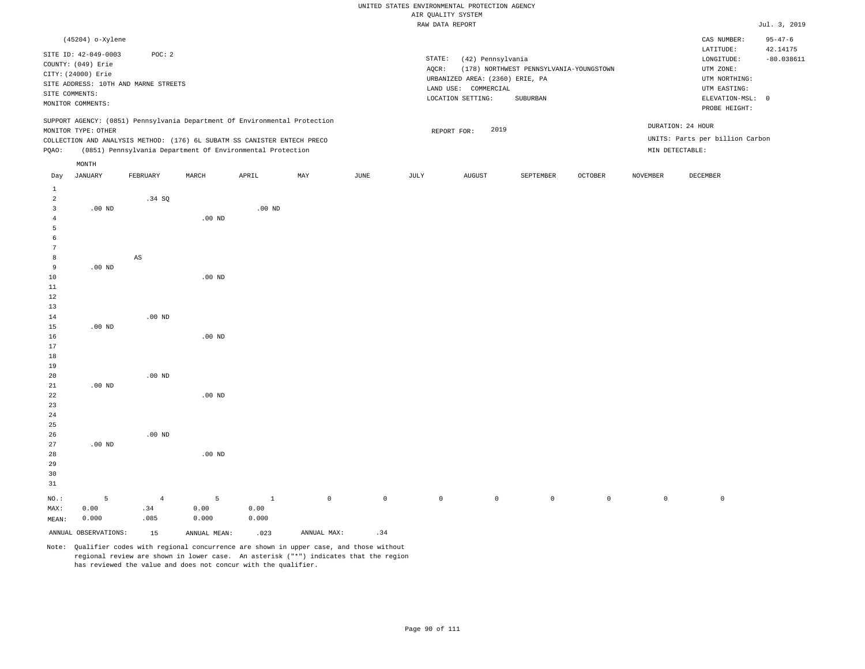# UNITED STATES ENVIRONMENTAL PROTECTION AGENCY ATE OUNT TTY SYSTEM

|                |                                          |                                      |          |                                                                            |     |      |        | AIR QUALITY SYSTEM              |                                         |         |          |                                 |                           |
|----------------|------------------------------------------|--------------------------------------|----------|----------------------------------------------------------------------------|-----|------|--------|---------------------------------|-----------------------------------------|---------|----------|---------------------------------|---------------------------|
|                |                                          |                                      |          |                                                                            |     |      |        | RAW DATA REPORT                 |                                         |         |          |                                 | Jul. 3, 2019              |
|                | (45204) o-Xylene<br>SITE ID: 42-049-0003 | POC: 2                               |          |                                                                            |     |      |        |                                 |                                         |         |          | CAS NUMBER:<br>LATITUDE:        | $95 - 47 - 6$<br>42.14175 |
|                | COUNTY: (049) Erie                       |                                      |          |                                                                            |     |      | STATE: | (42) Pennsylvania               |                                         |         |          | LONGITUDE:                      | $-80.038611$              |
|                | CITY: (24000) Erie                       |                                      |          |                                                                            |     |      | AQCR:  |                                 | (178) NORTHWEST PENNSYLVANIA-YOUNGSTOWN |         |          | UTM ZONE:                       |                           |
|                |                                          | SITE ADDRESS: 10TH AND MARNE STREETS |          |                                                                            |     |      |        | URBANIZED AREA: (2360) ERIE, PA |                                         |         |          | UTM NORTHING:                   |                           |
|                | SITE COMMENTS:                           |                                      |          |                                                                            |     |      |        | LAND USE: COMMERCIAL            |                                         |         |          | UTM EASTING:                    |                           |
|                | MONITOR COMMENTS:                        |                                      |          |                                                                            |     |      |        | LOCATION SETTING:               | SUBURBAN                                |         |          | ELEVATION-MSL: 0                |                           |
|                |                                          |                                      |          |                                                                            |     |      |        |                                 |                                         |         |          | PROBE HEIGHT:                   |                           |
|                |                                          |                                      |          | SUPPORT AGENCY: (0851) Pennsylvania Department Of Environmental Protection |     |      |        |                                 |                                         |         |          | DURATION: 24 HOUR               |                           |
|                | MONITOR TYPE: OTHER                      |                                      |          |                                                                            |     |      |        | 2019<br>REPORT FOR:             |                                         |         |          |                                 |                           |
|                |                                          |                                      |          | COLLECTION AND ANALYSIS METHOD: (176) 6L SUBATM SS CANISTER ENTECH PRECO   |     |      |        |                                 |                                         |         |          | UNITS: Parts per billion Carbon |                           |
| PQAO:          |                                          |                                      |          | (0851) Pennsylvania Department Of Environmental Protection                 |     |      |        |                                 |                                         |         |          | MIN DETECTABLE:                 |                           |
|                | MONTH                                    |                                      |          |                                                                            |     |      |        |                                 |                                         |         |          |                                 |                           |
| Day            | JANUARY                                  | FEBRUARY                             | MARCH    | APRIL                                                                      | MAY | JUNE | JULY   | AUGUST                          | SEPTEMBER                               | OCTOBER | NOVEMBER | DECEMBER                        |                           |
| $\mathbf{1}$   |                                          |                                      |          |                                                                            |     |      |        |                                 |                                         |         |          |                                 |                           |
| $\overline{a}$ |                                          | .34 SQ                               |          |                                                                            |     |      |        |                                 |                                         |         |          |                                 |                           |
| 3              | $.00$ ND                                 |                                      |          | $.00$ ND                                                                   |     |      |        |                                 |                                         |         |          |                                 |                           |
| 4              |                                          |                                      | $.00$ ND |                                                                            |     |      |        |                                 |                                         |         |          |                                 |                           |
| 5              |                                          |                                      |          |                                                                            |     |      |        |                                 |                                         |         |          |                                 |                           |
| 6              |                                          |                                      |          |                                                                            |     |      |        |                                 |                                         |         |          |                                 |                           |
| 7              |                                          |                                      |          |                                                                            |     |      |        |                                 |                                         |         |          |                                 |                           |
| 8              |                                          | AS                                   |          |                                                                            |     |      |        |                                 |                                         |         |          |                                 |                           |
| 9              | .00 <sub>ND</sub>                        |                                      |          |                                                                            |     |      |        |                                 |                                         |         |          |                                 |                           |
| 10             |                                          |                                      | $.00$ ND |                                                                            |     |      |        |                                 |                                         |         |          |                                 |                           |
| 11             |                                          |                                      |          |                                                                            |     |      |        |                                 |                                         |         |          |                                 |                           |
| 12             |                                          |                                      |          |                                                                            |     |      |        |                                 |                                         |         |          |                                 |                           |
| 13             |                                          |                                      |          |                                                                            |     |      |        |                                 |                                         |         |          |                                 |                           |
| 14             |                                          | $.00$ ND                             |          |                                                                            |     |      |        |                                 |                                         |         |          |                                 |                           |
| 15             | $.00$ ND                                 |                                      |          |                                                                            |     |      |        |                                 |                                         |         |          |                                 |                           |
| 16             |                                          |                                      | $.00$ ND |                                                                            |     |      |        |                                 |                                         |         |          |                                 |                           |
| 17             |                                          |                                      |          |                                                                            |     |      |        |                                 |                                         |         |          |                                 |                           |
| 18             |                                          |                                      |          |                                                                            |     |      |        |                                 |                                         |         |          |                                 |                           |
| 19             |                                          | $.00$ ND                             |          |                                                                            |     |      |        |                                 |                                         |         |          |                                 |                           |
| 20<br>21       | .00 <sub>ND</sub>                        |                                      |          |                                                                            |     |      |        |                                 |                                         |         |          |                                 |                           |
| 22             |                                          |                                      | $.00$ ND |                                                                            |     |      |        |                                 |                                         |         |          |                                 |                           |
| 23             |                                          |                                      |          |                                                                            |     |      |        |                                 |                                         |         |          |                                 |                           |
| 24             |                                          |                                      |          |                                                                            |     |      |        |                                 |                                         |         |          |                                 |                           |
| 25             |                                          |                                      |          |                                                                            |     |      |        |                                 |                                         |         |          |                                 |                           |
| 26             |                                          | $.00$ ND                             |          |                                                                            |     |      |        |                                 |                                         |         |          |                                 |                           |
| 27             | .00 <sub>ND</sub>                        |                                      |          |                                                                            |     |      |        |                                 |                                         |         |          |                                 |                           |

28 29 30 31 NO.: MAX: MEAN: 5 0.00 0.000 .00 ND 4 .34 .085 5 0.00 0.000 1 0.00 0.000 0 0 0 0 0 0 0 0

ANNUAL OBSERVATIONS:  $15$  ANNUAL MEAN: .023 ANNUAL MAX: .34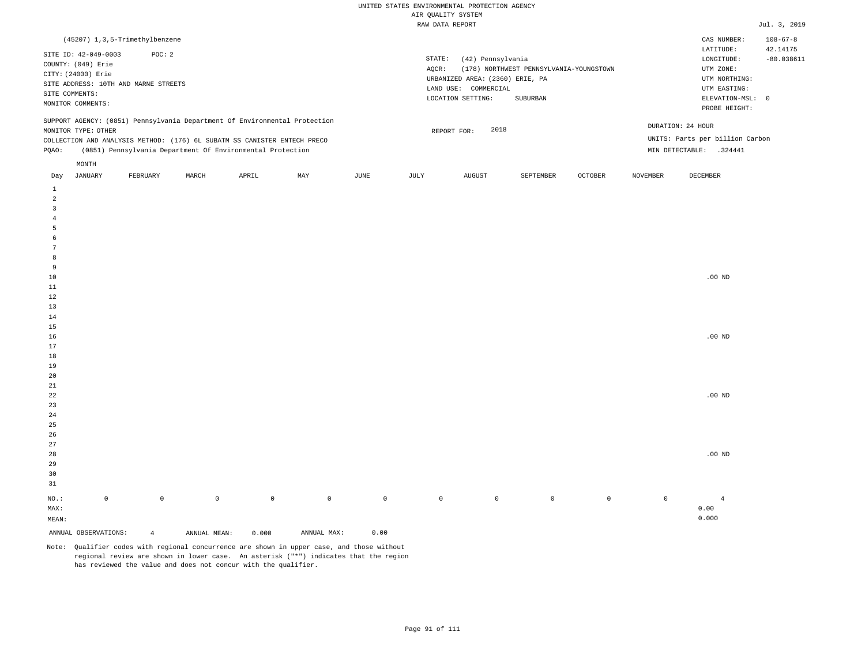| (45207) 1,3,5-Trimethylbenzene                                                                                                                                                                                                                       |                                                                                                                                                                             | $108 - 67 - 8$<br>CAS NUMBER:                                                                                                          |
|------------------------------------------------------------------------------------------------------------------------------------------------------------------------------------------------------------------------------------------------------|-----------------------------------------------------------------------------------------------------------------------------------------------------------------------------|----------------------------------------------------------------------------------------------------------------------------------------|
| SITE ID: 42-049-0003<br>POC: 2<br>COUNTY: (049) Erie<br>CITY: (24000) Erie<br>SITE ADDRESS: 10TH AND MARNE STREETS<br>SITE COMMENTS:<br>MONITOR COMMENTS:                                                                                            | STATE:<br>(42) Pennsylvania<br>(178) NORTHWEST PENNSYLVANIA-YOUNGSTOWN<br>AOCR:<br>URBANIZED AREA: (2360) ERIE, PA<br>LAND USE: COMMERCIAL<br>LOCATION SETTING:<br>SUBURBAN | LATITUDE:<br>42.14175<br>$-80.038611$<br>LONGITUDE:<br>UTM ZONE:<br>UTM NORTHING:<br>UTM EASTING:<br>ELEVATION-MSL: 0<br>PROBE HEIGHT: |
| SUPPORT AGENCY: (0851) Pennsylvania Department Of Environmental Protection<br>MONITOR TYPE: OTHER<br>COLLECTION AND ANALYSIS METHOD: (176) 6L SUBATM SS CANISTER ENTECH PRECO<br>(0851) Pennsylvania Department Of Environmental Protection<br>POAO: | 2018<br>REPORT FOR:                                                                                                                                                         | DURATION: 24 HOUR<br>UNITS: Parts per billion Carbon<br>MIN DETECTABLE:<br>.324441                                                     |
| MONTH                                                                                                                                                                                                                                                |                                                                                                                                                                             |                                                                                                                                        |

| Day                     | JANUARY              | FEBRUARY       | MARCH        | APRIL       | MAY         | JUNE        | JULY    | AUGUST  | SEPTEMBER | OCTOBER     | NOVEMBER            | DECEMBER          |
|-------------------------|----------------------|----------------|--------------|-------------|-------------|-------------|---------|---------|-----------|-------------|---------------------|-------------------|
| $\mathbf{1}$            |                      |                |              |             |             |             |         |         |           |             |                     |                   |
| $\overline{\mathbf{c}}$ |                      |                |              |             |             |             |         |         |           |             |                     |                   |
| 3                       |                      |                |              |             |             |             |         |         |           |             |                     |                   |
| $\overline{4}$          |                      |                |              |             |             |             |         |         |           |             |                     |                   |
| 5                       |                      |                |              |             |             |             |         |         |           |             |                     |                   |
| 6                       |                      |                |              |             |             |             |         |         |           |             |                     |                   |
| $\overline{7}$          |                      |                |              |             |             |             |         |         |           |             |                     |                   |
| 8                       |                      |                |              |             |             |             |         |         |           |             |                     |                   |
| 9                       |                      |                |              |             |             |             |         |         |           |             |                     |                   |
| $10$                    |                      |                |              |             |             |             |         |         |           |             |                     | $.00$ ND          |
| $11\,$                  |                      |                |              |             |             |             |         |         |           |             |                     |                   |
| 12                      |                      |                |              |             |             |             |         |         |           |             |                     |                   |
| 13                      |                      |                |              |             |             |             |         |         |           |             |                     |                   |
| $14\,$                  |                      |                |              |             |             |             |         |         |           |             |                     |                   |
| $15\,$                  |                      |                |              |             |             |             |         |         |           |             |                     |                   |
| 16                      |                      |                |              |             |             |             |         |         |           |             |                     | $.00~\mathrm{ND}$ |
| 17                      |                      |                |              |             |             |             |         |         |           |             |                     |                   |
| $18\,$                  |                      |                |              |             |             |             |         |         |           |             |                     |                   |
| 19                      |                      |                |              |             |             |             |         |         |           |             |                     |                   |
| $20\,$                  |                      |                |              |             |             |             |         |         |           |             |                     |                   |
| $21\,$                  |                      |                |              |             |             |             |         |         |           |             |                     |                   |
| ${\bf 22}$              |                      |                |              |             |             |             |         |         |           |             |                     | $.00$ ND          |
| $23\,$                  |                      |                |              |             |             |             |         |         |           |             |                     |                   |
| $2\sqrt{4}$             |                      |                |              |             |             |             |         |         |           |             |                     |                   |
| $2\sqrt{5}$<br>$26\,$   |                      |                |              |             |             |             |         |         |           |             |                     |                   |
| $27\,$                  |                      |                |              |             |             |             |         |         |           |             |                     |                   |
| $28\,$                  |                      |                |              |             |             |             |         |         |           |             |                     | .00 <sub>ND</sub> |
| 29                      |                      |                |              |             |             |             |         |         |           |             |                     |                   |
| 30                      |                      |                |              |             |             |             |         |         |           |             |                     |                   |
| 31                      |                      |                |              |             |             |             |         |         |           |             |                     |                   |
|                         |                      |                |              |             |             |             |         |         |           |             |                     |                   |
| $_{\rm NO.}$ :          | $\mathsf 0$          | $\mathbb O$    | $\mathbb O$  | $\mathbb O$ | $\mathbb O$ | $\mathbb O$ | $\circ$ | $\circ$ | $\circ$   | $\mathbb O$ | $\mathsf{O}\xspace$ | $\overline{4}$    |
| MAX:                    |                      |                |              |             |             |             |         |         |           |             |                     | 0.00              |
| MEAN:                   |                      |                |              |             |             |             |         |         |           |             |                     | 0.000             |
|                         | ANNUAL OBSERVATIONS: | $\overline{4}$ | ANNUAL MEAN: | 0.000       | ANNUAL MAX: | 0.00        |         |         |           |             |                     |                   |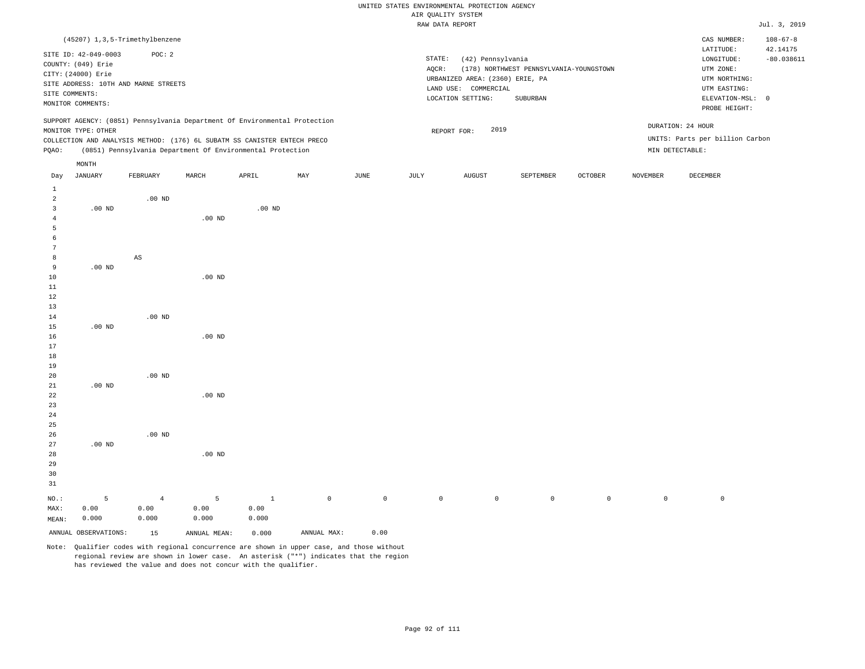|                |                      |                                      |          |                                                                            |     |      |        | WITCIS TITHUY AIR               |                                         |                |          |                                 |                            |
|----------------|----------------------|--------------------------------------|----------|----------------------------------------------------------------------------|-----|------|--------|---------------------------------|-----------------------------------------|----------------|----------|---------------------------------|----------------------------|
|                |                      |                                      |          |                                                                            |     |      |        | RAW DATA REPORT                 |                                         |                |          |                                 | Jul. 3, 2019               |
|                |                      | (45207) 1, 3, 5-Trimethylbenzene     |          |                                                                            |     |      |        |                                 |                                         |                |          | CAS NUMBER:<br>LATITUDE:        | $108 - 67 - 8$<br>42.14175 |
|                | SITE ID: 42-049-0003 | POC: 2                               |          |                                                                            |     |      | STATE: | (42) Pennsylvania               |                                         |                |          | LONGITUDE:                      | $-80.038611$               |
|                | COUNTY: (049) Erie   |                                      |          |                                                                            |     |      | AQCR:  |                                 | (178) NORTHWEST PENNSYLVANIA-YOUNGSTOWN |                |          | UTM ZONE:                       |                            |
|                | CITY: (24000) Erie   |                                      |          |                                                                            |     |      |        | URBANIZED AREA: (2360) ERIE, PA |                                         |                |          | UTM NORTHING:                   |                            |
|                |                      | SITE ADDRESS: 10TH AND MARNE STREETS |          |                                                                            |     |      |        | LAND USE: COMMERCIAL            |                                         |                |          | UTM EASTING:                    |                            |
|                | SITE COMMENTS:       |                                      |          |                                                                            |     |      |        | LOCATION SETTING:               | SUBURBAN                                |                |          | ELEVATION-MSL: 0                |                            |
|                | MONITOR COMMENTS:    |                                      |          |                                                                            |     |      |        |                                 |                                         |                |          | PROBE HEIGHT:                   |                            |
|                |                      |                                      |          | SUPPORT AGENCY: (0851) Pennsylvania Department Of Environmental Protection |     |      |        |                                 |                                         |                |          | DURATION: 24 HOUR               |                            |
|                | MONITOR TYPE: OTHER  |                                      |          |                                                                            |     |      |        | 2019<br>REPORT FOR:             |                                         |                |          | UNITS: Parts per billion Carbon |                            |
|                |                      |                                      |          | COLLECTION AND ANALYSIS METHOD: (176) 6L SUBATM SS CANISTER ENTECH PRECO   |     |      |        |                                 |                                         |                |          |                                 |                            |
| PQAO:          |                      |                                      |          | (0851) Pennsylvania Department Of Environmental Protection                 |     |      |        |                                 |                                         |                |          | MIN DETECTABLE:                 |                            |
|                | MONTH                |                                      |          |                                                                            |     |      |        |                                 |                                         |                |          |                                 |                            |
| Day            | <b>JANUARY</b>       | FEBRUARY                             | MARCH    | APRIL                                                                      | MAY | JUNE | JULY   | AUGUST                          | SEPTEMBER                               | <b>OCTOBER</b> | NOVEMBER | DECEMBER                        |                            |
| $\mathbf{1}$   |                      |                                      |          |                                                                            |     |      |        |                                 |                                         |                |          |                                 |                            |
| $\overline{a}$ |                      | $.00$ ND                             |          |                                                                            |     |      |        |                                 |                                         |                |          |                                 |                            |
| 3              | $.00$ ND             |                                      |          | .00 <sub>ND</sub>                                                          |     |      |        |                                 |                                         |                |          |                                 |                            |
| $\overline{4}$ |                      |                                      | $.00$ ND |                                                                            |     |      |        |                                 |                                         |                |          |                                 |                            |
| 5              |                      |                                      |          |                                                                            |     |      |        |                                 |                                         |                |          |                                 |                            |
| 6              |                      |                                      |          |                                                                            |     |      |        |                                 |                                         |                |          |                                 |                            |
| 7              |                      |                                      |          |                                                                            |     |      |        |                                 |                                         |                |          |                                 |                            |
| 8<br>9         | $.00$ ND             | AS                                   |          |                                                                            |     |      |        |                                 |                                         |                |          |                                 |                            |
| 10             |                      |                                      | $.00$ ND |                                                                            |     |      |        |                                 |                                         |                |          |                                 |                            |
| 11             |                      |                                      |          |                                                                            |     |      |        |                                 |                                         |                |          |                                 |                            |
| 12             |                      |                                      |          |                                                                            |     |      |        |                                 |                                         |                |          |                                 |                            |
| 13             |                      |                                      |          |                                                                            |     |      |        |                                 |                                         |                |          |                                 |                            |
| 14             |                      | $.00$ ND                             |          |                                                                            |     |      |        |                                 |                                         |                |          |                                 |                            |
| 15             | $.00$ ND             |                                      |          |                                                                            |     |      |        |                                 |                                         |                |          |                                 |                            |
| 16             |                      |                                      | $.00$ ND |                                                                            |     |      |        |                                 |                                         |                |          |                                 |                            |
| 17             |                      |                                      |          |                                                                            |     |      |        |                                 |                                         |                |          |                                 |                            |
| 18             |                      |                                      |          |                                                                            |     |      |        |                                 |                                         |                |          |                                 |                            |
| 19             |                      |                                      |          |                                                                            |     |      |        |                                 |                                         |                |          |                                 |                            |
| 20             |                      | $.00$ ND                             |          |                                                                            |     |      |        |                                 |                                         |                |          |                                 |                            |
| 21             | $.00$ ND             |                                      |          |                                                                            |     |      |        |                                 |                                         |                |          |                                 |                            |
| 22             |                      |                                      | $.00$ ND |                                                                            |     |      |        |                                 |                                         |                |          |                                 |                            |
| 23             |                      |                                      |          |                                                                            |     |      |        |                                 |                                         |                |          |                                 |                            |
| 24             |                      |                                      |          |                                                                            |     |      |        |                                 |                                         |                |          |                                 |                            |
| 25             |                      |                                      |          |                                                                            |     |      |        |                                 |                                         |                |          |                                 |                            |
| 26             |                      | $.00$ ND                             |          |                                                                            |     |      |        |                                 |                                         |                |          |                                 |                            |

Note: Qualifier codes with regional concurrence are shown in upper case, and those without regional review are shown in lower case. An asterisk ("\*") indicates that the region has reviewed the value and does not concur with the qualifier.

1 0.00 0.000

.00 ND

5 0.00 0.000

ANNUAL OBSERVATIONS: 15 ANNUAL MEAN: 0.000 ANNUAL MAX: 0.00

NO.: MAX: MEAN: .00 ND

5 0.00 0.000

4 0.00 0.000

0 0 0 0 0 0 0 0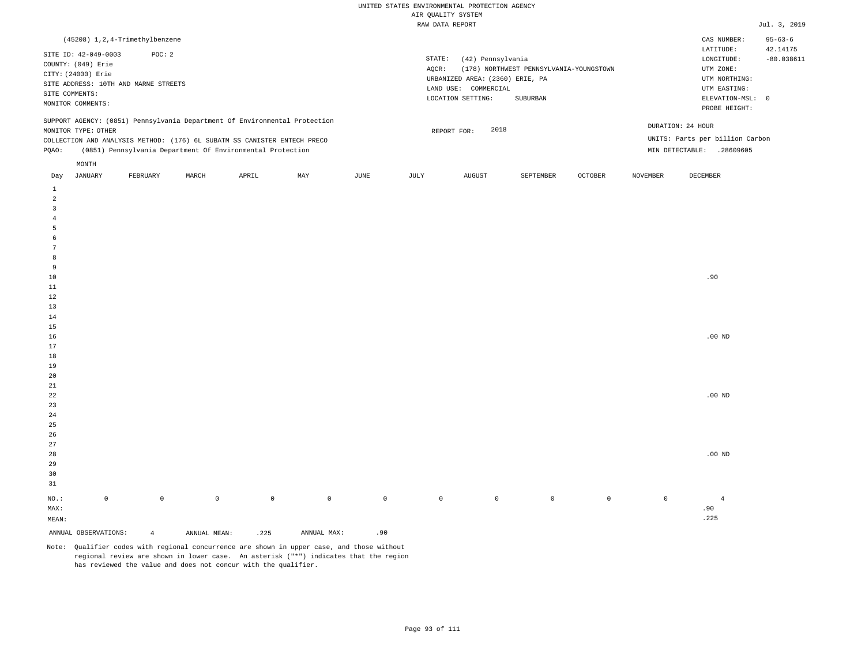| (45208) 1, 2, 4-Trimethylbenzene                                                                                                                                                                                                                              |                                                                                                                                                                             | CAS NUMBER:                                                                                                | $95 - 63 - 6$            |
|---------------------------------------------------------------------------------------------------------------------------------------------------------------------------------------------------------------------------------------------------------------|-----------------------------------------------------------------------------------------------------------------------------------------------------------------------------|------------------------------------------------------------------------------------------------------------|--------------------------|
| SITE ID: 42-049-0003<br>POC: 2<br>COUNTY: (049) Erie<br>CITY: (24000) Erie<br>SITE ADDRESS: 10TH AND MARNE STREETS<br>SITE COMMENTS:<br>MONITOR COMMENTS:                                                                                                     | STATE:<br>(42) Pennsylvania<br>(178) NORTHWEST PENNSYLVANIA-YOUNGSTOWN<br>AOCR:<br>URBANIZED AREA: (2360) ERIE, PA<br>LAND USE: COMMERCIAL<br>LOCATION SETTING:<br>SUBURBAN | LATITUDE:<br>LONGITUDE:<br>UTM ZONE:<br>UTM NORTHING:<br>UTM EASTING:<br>ELEVATION-MSL: 0<br>PROBE HEIGHT: | 42.14175<br>$-80.038611$ |
| SUPPORT AGENCY: (0851) Pennsylvania Department Of Environmental Protection<br>MONITOR TYPE: OTHER<br>COLLECTION AND ANALYSIS METHOD: (176) 6L SUBATM SS CANISTER ENTECH PRECO<br>(0851) Pennsylvania Department Of Environmental Protection<br>POAO:<br>MONTH | 2018<br>REPORT FOR:                                                                                                                                                         | DURATION: 24 HOUR<br>UNITS: Parts per billion Carbon<br>.28609605<br>MIN DETECTABLE:                       |                          |
|                                                                                                                                                                                                                                                               |                                                                                                                                                                             |                                                                                                            |                          |

| Day             | JANUARY              | FEBRUARY       | MARCH               | APRIL       | MAY            | JUNE        | JULY        | AUGUST      | SEPTEMBER | OCTOBER | NOVEMBER    | DECEMBER       |
|-----------------|----------------------|----------------|---------------------|-------------|----------------|-------------|-------------|-------------|-----------|---------|-------------|----------------|
| $\mathbf{1}$    |                      |                |                     |             |                |             |             |             |           |         |             |                |
| $\overline{a}$  |                      |                |                     |             |                |             |             |             |           |         |             |                |
| $\mathbf{3}$    |                      |                |                     |             |                |             |             |             |           |         |             |                |
| $\overline{4}$  |                      |                |                     |             |                |             |             |             |           |         |             |                |
| 5               |                      |                |                     |             |                |             |             |             |           |         |             |                |
| 6               |                      |                |                     |             |                |             |             |             |           |         |             |                |
| $7\phantom{.0}$ |                      |                |                     |             |                |             |             |             |           |         |             |                |
| 8               |                      |                |                     |             |                |             |             |             |           |         |             |                |
| 9               |                      |                |                     |             |                |             |             |             |           |         |             |                |
| $10\,$          |                      |                |                     |             |                |             |             |             |           |         |             | .90            |
| $11\,$          |                      |                |                     |             |                |             |             |             |           |         |             |                |
| $12\,$          |                      |                |                     |             |                |             |             |             |           |         |             |                |
| 13              |                      |                |                     |             |                |             |             |             |           |         |             |                |
| $14\,$          |                      |                |                     |             |                |             |             |             |           |         |             |                |
| 15              |                      |                |                     |             |                |             |             |             |           |         |             |                |
| $16$            |                      |                |                     |             |                |             |             |             |           |         |             | .00 $ND$       |
| $17\,$          |                      |                |                     |             |                |             |             |             |           |         |             |                |
| 18              |                      |                |                     |             |                |             |             |             |           |         |             |                |
| $19$            |                      |                |                     |             |                |             |             |             |           |         |             |                |
| 20              |                      |                |                     |             |                |             |             |             |           |         |             |                |
| $2\sqrt{1}$     |                      |                |                     |             |                |             |             |             |           |         |             |                |
| $2\sqrt{2}$     |                      |                |                     |             |                |             |             |             |           |         |             | .00 $ND$       |
| 23              |                      |                |                     |             |                |             |             |             |           |         |             |                |
| $2\sqrt{4}$     |                      |                |                     |             |                |             |             |             |           |         |             |                |
| 25              |                      |                |                     |             |                |             |             |             |           |         |             |                |
| 26              |                      |                |                     |             |                |             |             |             |           |         |             |                |
| 27              |                      |                |                     |             |                |             |             |             |           |         |             |                |
| 28              |                      |                |                     |             |                |             |             |             |           |         |             | .00 $ND$       |
| 29              |                      |                |                     |             |                |             |             |             |           |         |             |                |
| 30              |                      |                |                     |             |                |             |             |             |           |         |             |                |
| 31              |                      |                |                     |             |                |             |             |             |           |         |             |                |
| $_{\rm NO.}$ :  | $\mathbb O$          | $\mathbb O$    | $\mathsf{O}\xspace$ | $\mathbb O$ | $\overline{0}$ | $\mathbb O$ | $\mathbb O$ | $\mathbb O$ | $\circ$   | $\circ$ | $\mathbb O$ | $\overline{4}$ |
| MAX:            |                      |                |                     |             |                |             |             |             |           |         |             | .90            |
| MEAN:           |                      |                |                     |             |                |             |             |             |           |         |             | .225           |
|                 | ANNUAL OBSERVATIONS: | $\overline{4}$ | ANNUAL MEAN:        | .225        | ANNUAL MAX:    | .90         |             |             |           |         |             |                |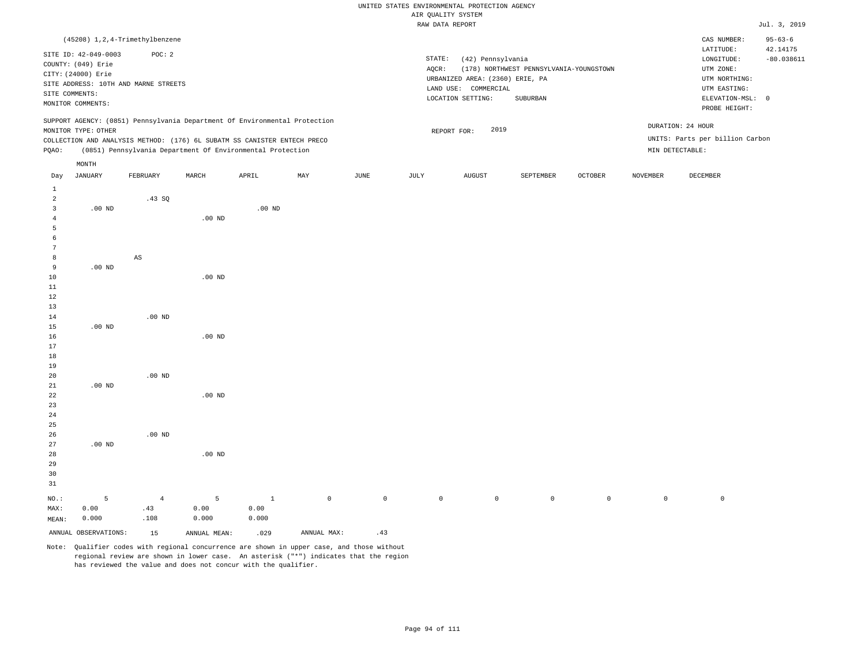# UNITED STATES ENVIRONMENTAL PROTECTION AGENCY ATE OUNT TTY SYSTEM

|                 |                      |                                      |          |                                                                            |     |      |        | AIR QUALITY SYSTEM              |                                         |                |                 |                                 |                           |
|-----------------|----------------------|--------------------------------------|----------|----------------------------------------------------------------------------|-----|------|--------|---------------------------------|-----------------------------------------|----------------|-----------------|---------------------------------|---------------------------|
|                 |                      |                                      |          |                                                                            |     |      |        | RAW DATA REPORT                 |                                         |                |                 |                                 | Jul. 3, 2019              |
|                 |                      | (45208) 1, 2, 4-Trimethylbenzene     |          |                                                                            |     |      |        |                                 |                                         |                |                 | CAS NUMBER:<br>LATITUDE:        | $95 - 63 - 6$<br>42.14175 |
|                 | SITE ID: 42-049-0003 | POC: 2                               |          |                                                                            |     |      | STATE: | (42) Pennsylvania               |                                         |                |                 | LONGITUDE:                      | $-80.038611$              |
|                 | COUNTY: (049) Erie   |                                      |          |                                                                            |     |      | AQCR:  |                                 | (178) NORTHWEST PENNSYLVANIA-YOUNGSTOWN |                |                 | UTM ZONE:                       |                           |
|                 | CITY: (24000) Erie   |                                      |          |                                                                            |     |      |        | URBANIZED AREA: (2360) ERIE, PA |                                         |                |                 | UTM NORTHING:                   |                           |
|                 |                      | SITE ADDRESS: 10TH AND MARNE STREETS |          |                                                                            |     |      |        | LAND USE: COMMERCIAL            |                                         |                |                 | UTM EASTING:                    |                           |
|                 | SITE COMMENTS:       |                                      |          |                                                                            |     |      |        | LOCATION SETTING:               | SUBURBAN                                |                |                 | ELEVATION-MSL: 0                |                           |
|                 | MONITOR COMMENTS:    |                                      |          |                                                                            |     |      |        |                                 |                                         |                |                 | PROBE HEIGHT:                   |                           |
|                 |                      |                                      |          | SUPPORT AGENCY: (0851) Pennsylvania Department Of Environmental Protection |     |      |        |                                 |                                         |                |                 | DURATION: 24 HOUR               |                           |
|                 | MONITOR TYPE: OTHER  |                                      |          |                                                                            |     |      |        | 2019<br>REPORT FOR:             |                                         |                |                 |                                 |                           |
|                 |                      |                                      |          | COLLECTION AND ANALYSIS METHOD: (176) 6L SUBATM SS CANISTER ENTECH PRECO   |     |      |        |                                 |                                         |                |                 | UNITS: Parts per billion Carbon |                           |
| PQAO:           |                      |                                      |          | (0851) Pennsylvania Department Of Environmental Protection                 |     |      |        |                                 |                                         |                |                 | MIN DETECTABLE:                 |                           |
|                 | $\texttt{MONTH}$     |                                      |          |                                                                            |     |      |        |                                 |                                         |                |                 |                                 |                           |
| Day             | JANUARY              | FEBRUARY                             | MARCH    | APRIL                                                                      | MAY | JUNE | JULY   | <b>AUGUST</b>                   | SEPTEMBER                               | <b>OCTOBER</b> | <b>NOVEMBER</b> | DECEMBER                        |                           |
| $\mathbf{1}$    |                      |                                      |          |                                                                            |     |      |        |                                 |                                         |                |                 |                                 |                           |
| $\overline{a}$  |                      | .43 SQ                               |          |                                                                            |     |      |        |                                 |                                         |                |                 |                                 |                           |
| $\overline{3}$  | $.00$ ND             |                                      |          | $.00$ ND                                                                   |     |      |        |                                 |                                         |                |                 |                                 |                           |
| 4               |                      |                                      | $.00$ ND |                                                                            |     |      |        |                                 |                                         |                |                 |                                 |                           |
| 5               |                      |                                      |          |                                                                            |     |      |        |                                 |                                         |                |                 |                                 |                           |
| 6               |                      |                                      |          |                                                                            |     |      |        |                                 |                                         |                |                 |                                 |                           |
| $7\phantom{.0}$ |                      |                                      |          |                                                                            |     |      |        |                                 |                                         |                |                 |                                 |                           |
| 8               |                      | AS                                   |          |                                                                            |     |      |        |                                 |                                         |                |                 |                                 |                           |
| 9               | $.00$ ND             |                                      |          |                                                                            |     |      |        |                                 |                                         |                |                 |                                 |                           |
| 10              |                      |                                      | $.00$ ND |                                                                            |     |      |        |                                 |                                         |                |                 |                                 |                           |
| 11              |                      |                                      |          |                                                                            |     |      |        |                                 |                                         |                |                 |                                 |                           |
| 12              |                      |                                      |          |                                                                            |     |      |        |                                 |                                         |                |                 |                                 |                           |
| 13              |                      |                                      |          |                                                                            |     |      |        |                                 |                                         |                |                 |                                 |                           |
| 14              |                      | $.00$ ND                             |          |                                                                            |     |      |        |                                 |                                         |                |                 |                                 |                           |
| 15              | $.00$ ND             |                                      |          |                                                                            |     |      |        |                                 |                                         |                |                 |                                 |                           |
| 16<br>17        |                      |                                      | $.00$ ND |                                                                            |     |      |        |                                 |                                         |                |                 |                                 |                           |
| 18              |                      |                                      |          |                                                                            |     |      |        |                                 |                                         |                |                 |                                 |                           |
| 19              |                      |                                      |          |                                                                            |     |      |        |                                 |                                         |                |                 |                                 |                           |
| 20              |                      | $.00$ ND                             |          |                                                                            |     |      |        |                                 |                                         |                |                 |                                 |                           |
| 21              | $.00$ ND             |                                      |          |                                                                            |     |      |        |                                 |                                         |                |                 |                                 |                           |
| 22              |                      |                                      | $.00$ ND |                                                                            |     |      |        |                                 |                                         |                |                 |                                 |                           |
| 23              |                      |                                      |          |                                                                            |     |      |        |                                 |                                         |                |                 |                                 |                           |
| 24              |                      |                                      |          |                                                                            |     |      |        |                                 |                                         |                |                 |                                 |                           |
| 25              |                      |                                      |          |                                                                            |     |      |        |                                 |                                         |                |                 |                                 |                           |
| 26              |                      | $.00$ ND                             |          |                                                                            |     |      |        |                                 |                                         |                |                 |                                 |                           |
| 27              | $.00$ ND             |                                      |          |                                                                            |     |      |        |                                 |                                         |                |                 |                                 |                           |

ANNUAL OBSERVATIONS: 15 ANNUAL MEAN: .029 ANNUAL MAX: .43 Note: Qualifier codes with regional concurrence are shown in upper case, and those without regional review are shown in lower case. An asterisk ("\*") indicates that the region has reviewed the value and does not concur with the qualifier.

1 0.00 0.000

.00 ND

5 0.00 0.000

NO.: MAX: MEAN:

5 0.00 0.000

4 .43 .108

0 0 0 0 0 0 0 0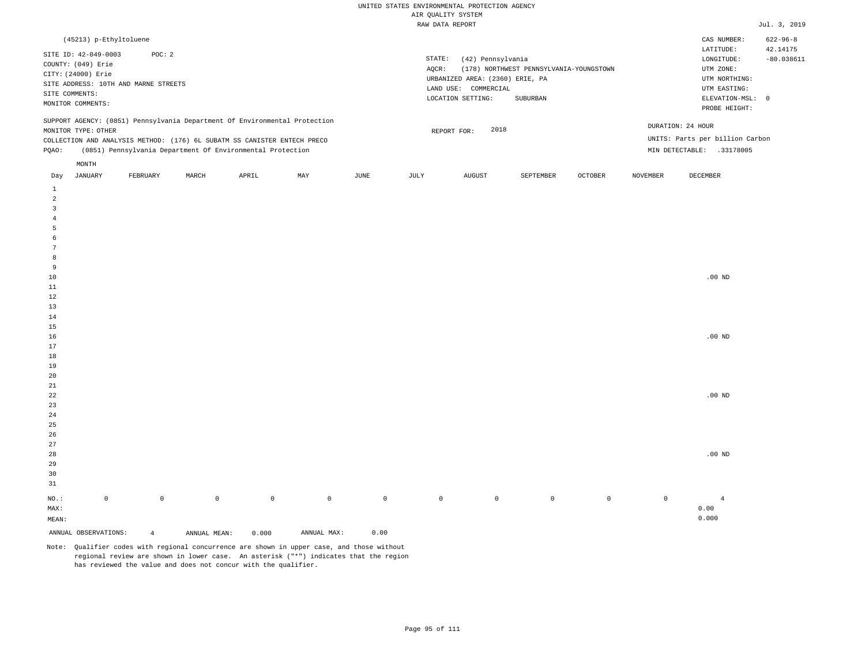| (45213) p-Ethyltoluene                                                                                                                                                                                                                                        |                                                                                                                                                                             | CAS NUMBER:<br>$622 - 96 - 8$                                                                                                          |
|---------------------------------------------------------------------------------------------------------------------------------------------------------------------------------------------------------------------------------------------------------------|-----------------------------------------------------------------------------------------------------------------------------------------------------------------------------|----------------------------------------------------------------------------------------------------------------------------------------|
| SITE ID: 42-049-0003<br>POC: 2<br>COUNTY: (049) Erie<br>CITY: (24000) Erie<br>SITE ADDRESS: 10TH AND MARNE STREETS<br>SITE COMMENTS:<br>MONITOR COMMENTS:                                                                                                     | STATE:<br>(42) Pennsylvania<br>(178) NORTHWEST PENNSYLVANIA-YOUNGSTOWN<br>AOCR:<br>URBANIZED AREA: (2360) ERIE, PA<br>LAND USE: COMMERCIAL<br>LOCATION SETTING:<br>SUBURBAN | 42.14175<br>LATITUDE:<br>$-80.038611$<br>LONGITUDE:<br>UTM ZONE:<br>UTM NORTHING:<br>UTM EASTING:<br>ELEVATION-MSL: 0<br>PROBE HEIGHT: |
| SUPPORT AGENCY: (0851) Pennsylvania Department Of Environmental Protection<br>MONITOR TYPE: OTHER<br>COLLECTION AND ANALYSIS METHOD: (176) 6L SUBATM SS CANISTER ENTECH PRECO<br>(0851) Pennsylvania Department Of Environmental Protection<br>POAO:<br>MONTH | 2018<br>REPORT FOR:                                                                                                                                                         | DURATION: 24 HOUR<br>UNITS: Parts per billion Carbon<br>MIN DETECTABLE:<br>.33178005                                                   |
| ______<br>_______<br>____________________                                                                                                                                                                                                                     | -------<br>the component of the component                                                                                                                                   | ___________<br>_________                                                                                                               |

| Day                     | JANUARY              | FEBRUARY       | MARCH        | APRIL       | MAY         | JUNE        | JULY        | AUGUST      | SEPTEMBER   | OCTOBER | NOVEMBER    | DECEMBER       |
|-------------------------|----------------------|----------------|--------------|-------------|-------------|-------------|-------------|-------------|-------------|---------|-------------|----------------|
| $\mathbf{1}$            |                      |                |              |             |             |             |             |             |             |         |             |                |
| $\overline{a}$          |                      |                |              |             |             |             |             |             |             |         |             |                |
| $\overline{\mathbf{3}}$ |                      |                |              |             |             |             |             |             |             |         |             |                |
| $\overline{4}$          |                      |                |              |             |             |             |             |             |             |         |             |                |
| 5                       |                      |                |              |             |             |             |             |             |             |         |             |                |
| 6                       |                      |                |              |             |             |             |             |             |             |         |             |                |
| $7\phantom{.0}$         |                      |                |              |             |             |             |             |             |             |         |             |                |
| 8                       |                      |                |              |             |             |             |             |             |             |         |             |                |
| 9                       |                      |                |              |             |             |             |             |             |             |         |             |                |
| $10$                    |                      |                |              |             |             |             |             |             |             |         |             | .00 $ND$       |
| $11\,$                  |                      |                |              |             |             |             |             |             |             |         |             |                |
| $12\,$                  |                      |                |              |             |             |             |             |             |             |         |             |                |
| 13                      |                      |                |              |             |             |             |             |             |             |         |             |                |
| $14\,$                  |                      |                |              |             |             |             |             |             |             |         |             |                |
| $15\,$                  |                      |                |              |             |             |             |             |             |             |         |             |                |
| $16\,$                  |                      |                |              |             |             |             |             |             |             |         |             | .00 $ND$       |
| 17                      |                      |                |              |             |             |             |             |             |             |         |             |                |
| $18\,$                  |                      |                |              |             |             |             |             |             |             |         |             |                |
| 19                      |                      |                |              |             |             |             |             |             |             |         |             |                |
| $20\,$                  |                      |                |              |             |             |             |             |             |             |         |             |                |
| $2\sqrt{1}$             |                      |                |              |             |             |             |             |             |             |         |             |                |
| $^{\rm 22}$             |                      |                |              |             |             |             |             |             |             |         |             | .00 $ND$       |
| 23                      |                      |                |              |             |             |             |             |             |             |         |             |                |
| $2\sqrt{4}$             |                      |                |              |             |             |             |             |             |             |         |             |                |
| $25\,$                  |                      |                |              |             |             |             |             |             |             |         |             |                |
| $26\,$                  |                      |                |              |             |             |             |             |             |             |         |             |                |
| $27\,$<br>28            |                      |                |              |             |             |             |             |             |             |         |             |                |
| 29                      |                      |                |              |             |             |             |             |             |             |         |             | .00 $ND$       |
| $30$                    |                      |                |              |             |             |             |             |             |             |         |             |                |
| 31                      |                      |                |              |             |             |             |             |             |             |         |             |                |
|                         |                      |                |              |             |             |             |             |             |             |         |             |                |
| $_{\rm NO.}$ :          | $\mathsf{O}\xspace$  | $\mathbb O$    | $\mathsf{O}$ | $\mathbb O$ | $\mathbb O$ | $\mathbb O$ | $\mathbb O$ | $\mathbb O$ | $\mathbb O$ | $\circ$ | $\mathbb O$ | $\overline{4}$ |
| MAX:                    |                      |                |              |             |             |             |             |             |             |         |             | 0.00           |
| $\texttt{MEAN}:$        |                      |                |              |             |             |             |             |             |             |         |             | 0.000          |
|                         | ANNUAL OBSERVATIONS: | $\overline{4}$ | ANNUAL MEAN: | 0.000       | ANNUAL MAX: | 0.00        |             |             |             |         |             |                |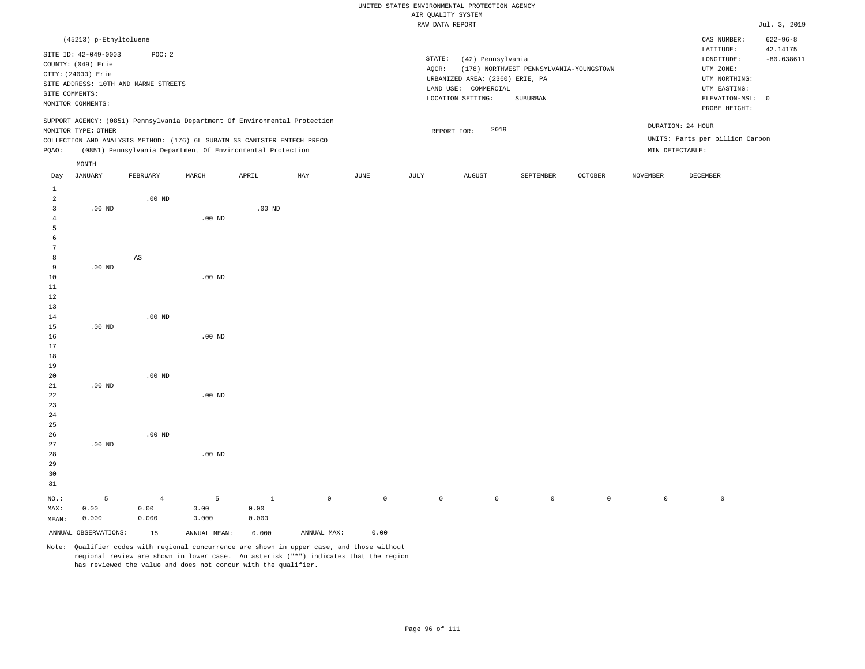|                                       |                                                                                            |                                                                                                                                                                                                                      |          |          |     |      |                 | RAW DATA REPORT                                                              |                                         |         |                 |                                                                         | Jul. 3, 2019                               |
|---------------------------------------|--------------------------------------------------------------------------------------------|----------------------------------------------------------------------------------------------------------------------------------------------------------------------------------------------------------------------|----------|----------|-----|------|-----------------|------------------------------------------------------------------------------|-----------------------------------------|---------|-----------------|-------------------------------------------------------------------------|--------------------------------------------|
|                                       | (45213) p-Ethyltoluene<br>SITE ID: 42-049-0003<br>COUNTY: (049) Erie<br>CITY: (24000) Erie | POC: 2                                                                                                                                                                                                               |          |          |     |      | STATE:<br>AOCR: | (42) Pennsylvania                                                            | (178) NORTHWEST PENNSYLVANIA-YOUNGSTOWN |         |                 | CAS NUMBER:<br>LATITUDE:<br>LONGITUDE:<br>UTM ZONE:                     | $622 - 96 - 8$<br>42.14175<br>$-80.038611$ |
|                                       | SITE COMMENTS:<br>MONITOR COMMENTS:                                                        | SITE ADDRESS: 10TH AND MARNE STREETS                                                                                                                                                                                 |          |          |     |      |                 | URBANIZED AREA: (2360) ERIE, PA<br>LAND USE: COMMERCIAL<br>LOCATION SETTING: | SUBURBAN                                |         |                 | UTM NORTHING:<br>UTM EASTING:<br>ELEVATION-MSL: 0<br>PROBE HEIGHT:      |                                            |
| POAO:                                 | MONITOR TYPE: OTHER                                                                        | SUPPORT AGENCY: (0851) Pennsylvania Department Of Environmental Protection<br>COLLECTION AND ANALYSIS METHOD: (176) 6L SUBATM SS CANISTER ENTECH PRECO<br>(0851) Pennsylvania Department Of Environmental Protection |          |          |     |      |                 | 2019<br>REPORT FOR:                                                          |                                         |         |                 | DURATION: 24 HOUR<br>UNITS: Parts per billion Carbon<br>MIN DETECTABLE: |                                            |
| Day                                   | MONTH<br>JANUARY                                                                           | FEBRUARY                                                                                                                                                                                                             | MARCH    | APRIL    | MAY | JUNE | JULY            | <b>AUGUST</b>                                                                | SEPTEMBER                               | OCTOBER | <b>NOVEMBER</b> | DECEMBER                                                                |                                            |
| 1<br>2<br>3<br>-6<br>7                | $.00$ ND                                                                                   | $.00$ ND                                                                                                                                                                                                             | $.00$ ND | $.00$ ND |     |      |                 |                                                                              |                                         |         |                 |                                                                         |                                            |
| 8<br>-9<br>10<br>11<br>12<br>13<br>14 | $.00$ ND                                                                                   | $\mathbb{A}\mathbb{S}$<br>$.00$ ND                                                                                                                                                                                   | $.00$ ND |          |     |      |                 |                                                                              |                                         |         |                 |                                                                         |                                            |
| 15<br>16                              | $.00$ ND                                                                                   |                                                                                                                                                                                                                      | $.00$ ND |          |     |      |                 |                                                                              |                                         |         |                 |                                                                         |                                            |

 .00 ND .00 ND .00 ND

26 27 28 29 30 31 .00 ND NO.: MAX: 5 0.00 .00 ND .00 ND 4 0.00 5 0.00 1 0.00 0 0 0 0 0 0 0 0

MEAN: 0.000 0.000 0.000 0.000 ANNUAL OBSERVATIONS: 15 ANNUAL MEAN: 0.000 ANNUAL MAX: 0.00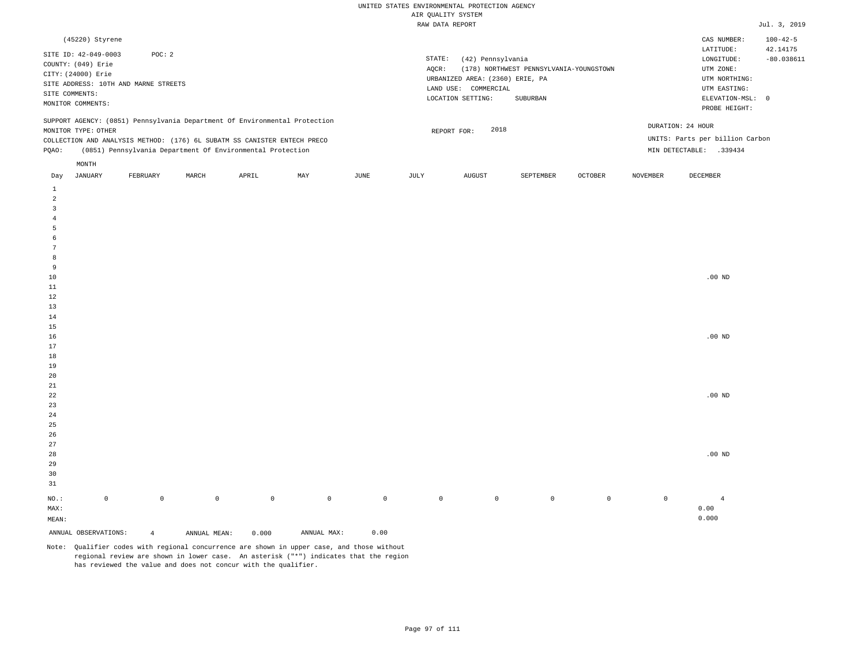| (45220) Styrene                                                                                                                                                                                                                                               |                                                                                                                                                                             | CAS NUMBER:                                                                                                | $100 - 42 - 5$           |
|---------------------------------------------------------------------------------------------------------------------------------------------------------------------------------------------------------------------------------------------------------------|-----------------------------------------------------------------------------------------------------------------------------------------------------------------------------|------------------------------------------------------------------------------------------------------------|--------------------------|
| SITE ID: 42-049-0003<br>POC:2<br>COUNTY: (049) Erie<br>CITY: (24000) Erie<br>SITE ADDRESS: 10TH AND MARNE STREETS<br>SITE COMMENTS:<br>MONITOR COMMENTS:                                                                                                      | STATE:<br>(42) Pennsylvania<br>(178) NORTHWEST PENNSYLVANIA-YOUNGSTOWN<br>AOCR:<br>URBANIZED AREA: (2360) ERIE, PA<br>LAND USE: COMMERCIAL<br>LOCATION SETTING:<br>SUBURBAN | LATITUDE:<br>LONGITUDE:<br>UTM ZONE:<br>UTM NORTHING:<br>UTM EASTING:<br>ELEVATION-MSL: 0<br>PROBE HEIGHT: | 42.14175<br>$-80.038611$ |
| SUPPORT AGENCY: (0851) Pennsylvania Department Of Environmental Protection<br>MONITOR TYPE: OTHER<br>COLLECTION AND ANALYSIS METHOD: (176) 6L SUBATM SS CANISTER ENTECH PRECO<br>(0851) Pennsylvania Department Of Environmental Protection<br>POAO:<br>MONTH | DURATION: 24 HOUR<br>2018<br>REPORT FOR:<br>MIN DETECTABLE:                                                                                                                 | UNITS: Parts per billion Carbon<br>.339434                                                                 |                          |

| Day                        | JANUARY              | FEBRUARY       | MARCH        | APRIL       | MAY         | JUNE    | JULY        | AUGUST      | SEPTEMBER   | OCTOBER | NOVEMBER    | DECEMBER       |
|----------------------------|----------------------|----------------|--------------|-------------|-------------|---------|-------------|-------------|-------------|---------|-------------|----------------|
| $\mathbf{1}$               |                      |                |              |             |             |         |             |             |             |         |             |                |
| $\overline{\mathbf{c}}$    |                      |                |              |             |             |         |             |             |             |         |             |                |
| 3                          |                      |                |              |             |             |         |             |             |             |         |             |                |
| $\overline{4}$             |                      |                |              |             |             |         |             |             |             |         |             |                |
| 5                          |                      |                |              |             |             |         |             |             |             |         |             |                |
| 6                          |                      |                |              |             |             |         |             |             |             |         |             |                |
| $\overline{7}$             |                      |                |              |             |             |         |             |             |             |         |             |                |
| 8                          |                      |                |              |             |             |         |             |             |             |         |             |                |
| 9                          |                      |                |              |             |             |         |             |             |             |         |             |                |
| $10$                       |                      |                |              |             |             |         |             |             |             |         |             | .00 $ND$       |
| 11                         |                      |                |              |             |             |         |             |             |             |         |             |                |
| 12                         |                      |                |              |             |             |         |             |             |             |         |             |                |
| 13                         |                      |                |              |             |             |         |             |             |             |         |             |                |
| 14                         |                      |                |              |             |             |         |             |             |             |         |             |                |
| 15                         |                      |                |              |             |             |         |             |             |             |         |             |                |
| 16                         |                      |                |              |             |             |         |             |             |             |         |             | $.00$ ND       |
| 17                         |                      |                |              |             |             |         |             |             |             |         |             |                |
| 18                         |                      |                |              |             |             |         |             |             |             |         |             |                |
| 19                         |                      |                |              |             |             |         |             |             |             |         |             |                |
| 20                         |                      |                |              |             |             |         |             |             |             |         |             |                |
| $2\sqrt{1}$<br>$2\sqrt{2}$ |                      |                |              |             |             |         |             |             |             |         |             | .00 $ND$       |
| $23$                       |                      |                |              |             |             |         |             |             |             |         |             |                |
| $2\,4$                     |                      |                |              |             |             |         |             |             |             |         |             |                |
| $25\,$                     |                      |                |              |             |             |         |             |             |             |         |             |                |
| 26                         |                      |                |              |             |             |         |             |             |             |         |             |                |
| 27                         |                      |                |              |             |             |         |             |             |             |         |             |                |
| $28\,$                     |                      |                |              |             |             |         |             |             |             |         |             | .00 $ND$       |
| 29                         |                      |                |              |             |             |         |             |             |             |         |             |                |
| 30                         |                      |                |              |             |             |         |             |             |             |         |             |                |
| 31                         |                      |                |              |             |             |         |             |             |             |         |             |                |
| $_{\rm NO.}$ :             | $\mathsf 0$          | $\mathbb O$    | $\mathbb O$  | $\mathbb O$ | $\mathbb O$ | $\circ$ | $\mathbb O$ | $\mathbb O$ | $\mathbb O$ | $\circ$ | $\mathbb O$ | $\overline{4}$ |
| MAX:                       |                      |                |              |             |             |         |             |             |             |         |             | 0.00           |
| $\texttt{MEAN}:$           |                      |                |              |             |             |         |             |             |             |         |             | 0.000          |
|                            | ANNUAL OBSERVATIONS: | $\overline{4}$ | ANNUAL MEAN: | 0.000       | ANNUAL MAX: | 0.00    |             |             |             |         |             |                |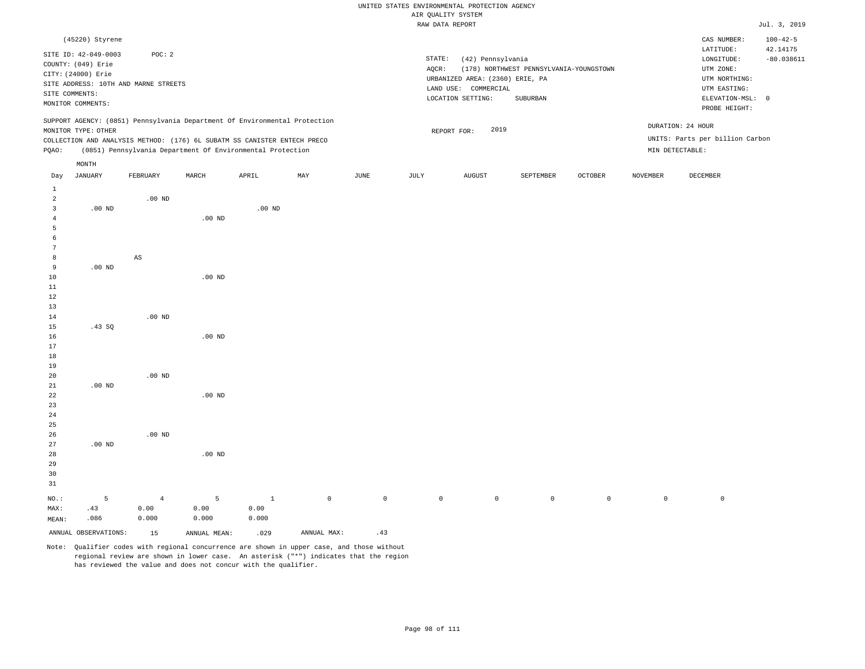|                                            |                                                                                                                            |                                                |          |                                                                                                                                                                                                                      |     |      |                 | uriz Kountri oroieu                                                                               |                                                     |         |                 |                                                                                                                           |                                            |
|--------------------------------------------|----------------------------------------------------------------------------------------------------------------------------|------------------------------------------------|----------|----------------------------------------------------------------------------------------------------------------------------------------------------------------------------------------------------------------------|-----|------|-----------------|---------------------------------------------------------------------------------------------------|-----------------------------------------------------|---------|-----------------|---------------------------------------------------------------------------------------------------------------------------|--------------------------------------------|
|                                            |                                                                                                                            |                                                |          |                                                                                                                                                                                                                      |     |      | RAW DATA REPORT |                                                                                                   |                                                     |         |                 |                                                                                                                           | Jul. 3, 2019                               |
|                                            | (45220) Styrene<br>SITE ID: 42-049-0003<br>COUNTY: (049) Erie<br>CITY: (24000) Erie<br>SITE COMMENTS:<br>MONITOR COMMENTS: | POC: 2<br>SITE ADDRESS: 10TH AND MARNE STREETS |          |                                                                                                                                                                                                                      |     |      | STATE:<br>AQCR: | (42) Pennsylvania<br>URBANIZED AREA: (2360) ERIE, PA<br>LAND USE: COMMERCIAL<br>LOCATION SETTING: | (178) NORTHWEST PENNSYLVANIA-YOUNGSTOWN<br>SUBURBAN |         |                 | CAS NUMBER:<br>LATITUDE:<br>LONGITUDE:<br>UTM ZONE:<br>UTM NORTHING:<br>UTM EASTING:<br>ELEVATION-MSL: 0<br>PROBE HEIGHT: | $100 - 42 - 5$<br>42.14175<br>$-80.038611$ |
| PQAO:                                      | MONITOR TYPE: OTHER                                                                                                        |                                                |          | SUPPORT AGENCY: (0851) Pennsylvania Department Of Environmental Protection<br>COLLECTION AND ANALYSIS METHOD: (176) 6L SUBATM SS CANISTER ENTECH PRECO<br>(0851) Pennsylvania Department Of Environmental Protection |     |      |                 | 2019<br>REPORT FOR:                                                                               |                                                     |         | MIN DETECTABLE: | DURATION: 24 HOUR<br>UNITS: Parts per billion Carbon                                                                      |                                            |
|                                            | MONTH                                                                                                                      |                                                |          |                                                                                                                                                                                                                      |     |      |                 |                                                                                                   |                                                     |         |                 |                                                                                                                           |                                            |
| Day                                        | JANUARY                                                                                                                    | FEBRUARY                                       | MARCH    | APRIL                                                                                                                                                                                                                | MAY | JUNE | JULY            | ${\tt AUGUST}$                                                                                    | SEPTEMBER                                           | OCTOBER | NOVEMBER        | DECEMBER                                                                                                                  |                                            |
| $\mathbf{1}$<br>2<br>3<br>4<br>5<br>6<br>7 | $.00$ ND                                                                                                                   | $.00$ ND                                       | $.00$ ND | $.00$ ND                                                                                                                                                                                                             |     |      |                 |                                                                                                   |                                                     |         |                 |                                                                                                                           |                                            |
| 8                                          |                                                                                                                            | AS                                             |          |                                                                                                                                                                                                                      |     |      |                 |                                                                                                   |                                                     |         |                 |                                                                                                                           |                                            |
| 9<br>10<br>11<br>12<br>13                  | $.00$ ND                                                                                                                   |                                                | $.00$ ND |                                                                                                                                                                                                                      |     |      |                 |                                                                                                   |                                                     |         |                 |                                                                                                                           |                                            |
| 14                                         |                                                                                                                            | .00 <sub>ND</sub>                              |          |                                                                                                                                                                                                                      |     |      |                 |                                                                                                   |                                                     |         |                 |                                                                                                                           |                                            |
| 15<br>16<br>17<br>18<br>19                 | .43SQ                                                                                                                      |                                                | $.00$ ND |                                                                                                                                                                                                                      |     |      |                 |                                                                                                   |                                                     |         |                 |                                                                                                                           |                                            |
| 20                                         |                                                                                                                            | $.00$ ND                                       |          |                                                                                                                                                                                                                      |     |      |                 |                                                                                                   |                                                     |         |                 |                                                                                                                           |                                            |
| 21<br>22<br>23<br>24<br>25                 | $.00$ ND                                                                                                                   |                                                | $.00$ ND |                                                                                                                                                                                                                      |     |      |                 |                                                                                                   |                                                     |         |                 |                                                                                                                           |                                            |
| 26                                         |                                                                                                                            | $.00$ ND                                       |          |                                                                                                                                                                                                                      |     |      |                 |                                                                                                   |                                                     |         |                 |                                                                                                                           |                                            |

Note: Qualifier codes with regional concurrence are shown in upper case, and those without regional review are shown in lower case. An asterisk ("\*") indicates that the region has reviewed the value and does not concur with the qualifier.

.00 ND

5 0.00 0.000

ANNUAL OBSERVATIONS: 15 ANNUAL MEAN: .029 ANNUAL MAX: .43

1 0.00 0.000

NO.: MAX: MEAN: .00 ND

5 .43 .086

4 0.00 0.000

0 0 0 0 0 0 0 0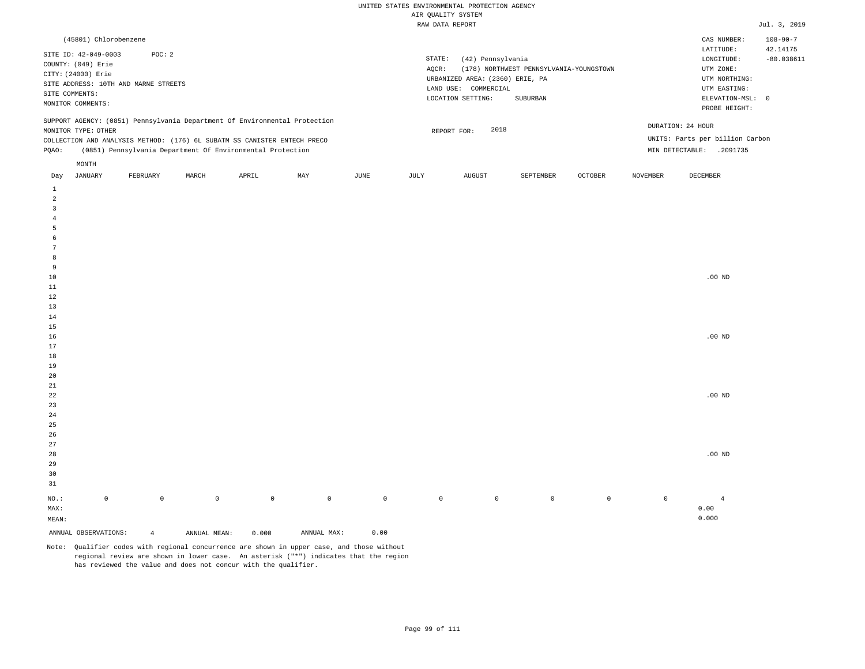| (45801) Chlorobenzene                                                                                                                                                                  |          |       |                                                            |     |      |                 |                                                                                                      |                                                     |                |                 | CAS NUMBER:                                                                                              | $108 - 90 - 7$                             |
|----------------------------------------------------------------------------------------------------------------------------------------------------------------------------------------|----------|-------|------------------------------------------------------------|-----|------|-----------------|------------------------------------------------------------------------------------------------------|-----------------------------------------------------|----------------|-----------------|----------------------------------------------------------------------------------------------------------|--------------------------------------------|
| SITE ID: 42-049-0003<br>COUNTY: (049) Erie<br>CITY: (24000) Erie<br>SITE ADDRESS: 10TH AND MARNE STREETS<br>SITE COMMENTS:<br>MONITOR COMMENTS:                                        | POC: 2   |       |                                                            |     |      | STATE:<br>AOCR: | (42) Pennsylvania<br>URBANIZED AREA: (2360) ERIE, PA<br>LAND USE:<br>COMMERCIAL<br>LOCATION SETTING: | (178) NORTHWEST PENNSYLVANIA-YOUNGSTOWN<br>SUBURBAN |                |                 | LATITUDE:<br>LONGITUDE:<br>UTM ZONE:<br>UTM NORTHING:<br>UTM EASTING:<br>ELEVATION-MSL:<br>PROBE HEIGHT: | 42.14175<br>$-80.038611$<br>$\overline{0}$ |
| SUPPORT AGENCY: (0851) Pennsylvania Department Of Environmental Protection<br>MONITOR TYPE: OTHER<br>COLLECTION AND ANALYSIS METHOD: (176) 6L SUBATM SS CANISTER ENTECH PRECO<br>POAO: |          |       | (0851) Pennsylvania Department Of Environmental Protection |     |      |                 | 2018<br>REPORT FOR:                                                                                  |                                                     |                | MIN DETECTABLE: | DURATION: 24 HOUR<br>UNITS: Parts per billion Carbon<br>.2091735                                         |                                            |
| MONTH<br>JANUARY<br>Day                                                                                                                                                                | FEBRUARY | MARCH | APRIL                                                      | MAY | JUNE | JULY            | AUGUST                                                                                               | SEPTEMBER                                           | <b>OCTOBER</b> | NOVEMBER        | DECEMBER                                                                                                 |                                            |

| ANNUAL OBSERVATIONS:          | $\overline{4}$ | ANNUAL MEAN: | 0.000               | ANNUAL MAX: | ${\bf 0}$ . ${\bf 0}$ ${\bf 0}$ |             |             |         |         |         |                   |
|-------------------------------|----------------|--------------|---------------------|-------------|---------------------------------|-------------|-------------|---------|---------|---------|-------------------|
| $\texttt{MEAN}:$              |                |              |                     |             |                                 |             |             |         |         |         | 0.000             |
| $\texttt{MAX}$ :              |                |              |                     |             |                                 |             |             |         |         |         | 0.00              |
| $_{\rm NO.}$ :<br>$\mathbb O$ | $\mathbb O$    | $\mathbb O$  | $\mathsf{O}\xspace$ | $\mathbb O$ | $\mathbb O$                     | $\mathbb O$ | $\mathbb O$ | $\,0\,$ | $\circ$ | $\circ$ | $\overline{4}$    |
| $3\sqrt{1}$                   |                |              |                     |             |                                 |             |             |         |         |         |                   |
| $30\,$                        |                |              |                     |             |                                 |             |             |         |         |         |                   |
| $29$                          |                |              |                     |             |                                 |             |             |         |         |         |                   |
| $2\,8$                        |                |              |                     |             |                                 |             |             |         |         |         | $.00$ ND          |
| $_{\rm 27}$                   |                |              |                     |             |                                 |             |             |         |         |         |                   |
| $26\,$                        |                |              |                     |             |                                 |             |             |         |         |         |                   |
| $25\,$                        |                |              |                     |             |                                 |             |             |         |         |         |                   |
| $\sqrt{24}$                   |                |              |                     |             |                                 |             |             |         |         |         |                   |
| $23\,$                        |                |              |                     |             |                                 |             |             |         |         |         |                   |
| $^{\rm 22}$                   |                |              |                     |             |                                 |             |             |         |         |         | $.00$ ND          |
| $\bf{21}$                     |                |              |                     |             |                                 |             |             |         |         |         |                   |
| $20\,$                        |                |              |                     |             |                                 |             |             |         |         |         |                   |
| $19\,$                        |                |              |                     |             |                                 |             |             |         |         |         |                   |
| $1\,8$                        |                |              |                     |             |                                 |             |             |         |         |         |                   |
| $17\,$                        |                |              |                     |             |                                 |             |             |         |         |         |                   |
| $16\,$                        |                |              |                     |             |                                 |             |             |         |         |         | $.00$ ND          |
| $1\,5$                        |                |              |                     |             |                                 |             |             |         |         |         |                   |
| $14\,$                        |                |              |                     |             |                                 |             |             |         |         |         |                   |
| $1\sqrt{3}$                   |                |              |                     |             |                                 |             |             |         |         |         |                   |
| $1\,2$                        |                |              |                     |             |                                 |             |             |         |         |         |                   |
| $11\,$                        |                |              |                     |             |                                 |             |             |         |         |         |                   |
| 9<br>$10\,$                   |                |              |                     |             |                                 |             |             |         |         |         | $.00~\mathrm{ND}$ |
| $\boldsymbol{8}$              |                |              |                     |             |                                 |             |             |         |         |         |                   |
| $7\phantom{.0}$               |                |              |                     |             |                                 |             |             |         |         |         |                   |
| $\epsilon$                    |                |              |                     |             |                                 |             |             |         |         |         |                   |
| 5                             |                |              |                     |             |                                 |             |             |         |         |         |                   |
| $\overline{4}$                |                |              |                     |             |                                 |             |             |         |         |         |                   |
| $\overline{\mathbf{3}}$       |                |              |                     |             |                                 |             |             |         |         |         |                   |
| $\overline{a}$                |                |              |                     |             |                                 |             |             |         |         |         |                   |
| $\mathbf{1}$                  |                |              |                     |             |                                 |             |             |         |         |         |                   |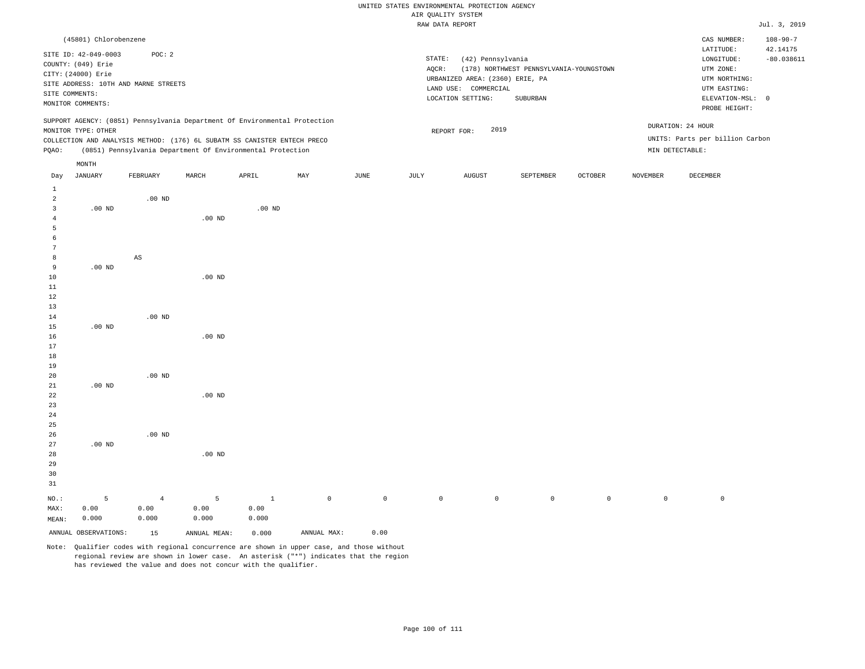|                                                                                                                                                                                                                                                                                                                                                                     |                                  |                            |                                  |                                                            |     |      |                 | ----- - ------ - - - - - - -                                                                                             |                                                     |                |          |                                                                                                                                                                                   |                                            |
|---------------------------------------------------------------------------------------------------------------------------------------------------------------------------------------------------------------------------------------------------------------------------------------------------------------------------------------------------------------------|----------------------------------|----------------------------|----------------------------------|------------------------------------------------------------|-----|------|-----------------|--------------------------------------------------------------------------------------------------------------------------|-----------------------------------------------------|----------------|----------|-----------------------------------------------------------------------------------------------------------------------------------------------------------------------------------|--------------------------------------------|
|                                                                                                                                                                                                                                                                                                                                                                     |                                  |                            |                                  |                                                            |     |      |                 | RAW DATA REPORT                                                                                                          |                                                     |                |          |                                                                                                                                                                                   | Jul. 3, 2019                               |
| (45801) Chlorobenzene<br>SITE ID: 42-049-0003<br>POC: 2<br>COUNTY: (049) Erie<br>CITY: (24000) Erie<br>SITE ADDRESS: 10TH AND MARNE STREETS<br>SITE COMMENTS:<br>MONITOR COMMENTS:<br>SUPPORT AGENCY: (0851) Pennsylvania Department Of Environmental Protection<br>MONITOR TYPE: OTHER<br>COLLECTION AND ANALYSIS METHOD: (176) 6L SUBATM SS CANISTER ENTECH PRECO |                                  |                            |                                  |                                                            |     |      | STATE:<br>AOCR: | (42) Pennsylvania<br>URBANIZED AREA: (2360) ERIE, PA<br>LAND USE: COMMERCIAL<br>LOCATION SETTING:<br>2019<br>REPORT FOR: | (178) NORTHWEST PENNSYLVANIA-YOUNGSTOWN<br>SUBURBAN |                |          | CAS NUMBER:<br>LATITUDE:<br>LONGITUDE:<br>UTM ZONE:<br>UTM NORTHING:<br>UTM EASTING:<br>ELEVATION-MSL: 0<br>PROBE HEIGHT:<br>DURATION: 24 HOUR<br>UNITS: Parts per billion Carbon | $108 - 90 - 7$<br>42.14175<br>$-80.038611$ |
| PQAO:                                                                                                                                                                                                                                                                                                                                                               |                                  |                            |                                  | (0851) Pennsylvania Department Of Environmental Protection |     |      |                 |                                                                                                                          |                                                     |                |          | MIN DETECTABLE:                                                                                                                                                                   |                                            |
|                                                                                                                                                                                                                                                                                                                                                                     | MONTH                            |                            |                                  |                                                            |     |      |                 |                                                                                                                          |                                                     |                |          |                                                                                                                                                                                   |                                            |
| Day                                                                                                                                                                                                                                                                                                                                                                 | JANUARY                          | FEBRUARY                   | MARCH                            | APRIL                                                      | MAY | JUNE | JULY            | AUGUST                                                                                                                   | SEPTEMBER                                           | <b>OCTOBER</b> | NOVEMBER | DECEMBER                                                                                                                                                                          |                                            |
| 1<br>2<br>3<br>$\overline{4}$<br>5<br>6<br>7<br>8<br>9<br>10<br>11<br>12<br>13<br>14<br>15<br>16                                                                                                                                                                                                                                                                    | $.00$ ND<br>$.00$ ND<br>$.00$ ND | $.00$ ND<br>AS<br>$.00$ ND | $.00$ ND<br>$.00$ ND<br>$.00$ ND | $.00$ ND                                                   |     |      |                 |                                                                                                                          |                                                     |                |          |                                                                                                                                                                                   |                                            |
| 17<br>18<br>19                                                                                                                                                                                                                                                                                                                                                      |                                  |                            |                                  |                                                            |     |      |                 |                                                                                                                          |                                                     |                |          |                                                                                                                                                                                   |                                            |

20 21 22 23 24 25 26 27 28 29 30 .00 ND .00 ND .00 ND .00 ND .00 ND .00 ND

NO.: MAX: MEAN: 5 0.00 0.000 4 0.00 0.000 5 0.00 0.000 1 0.00 0.000 0 0 0 0 0 0 0 0 ANNUAL OBSERVATIONS: 15 ANNUAL MEAN: 0.000 ANNUAL MAX: 0.00

Note: Qualifier codes with regional concurrence are shown in upper case, and those without regional review are shown in lower case. An asterisk ("\*") indicates that the region has reviewed the value and does not concur with the qualifier.

31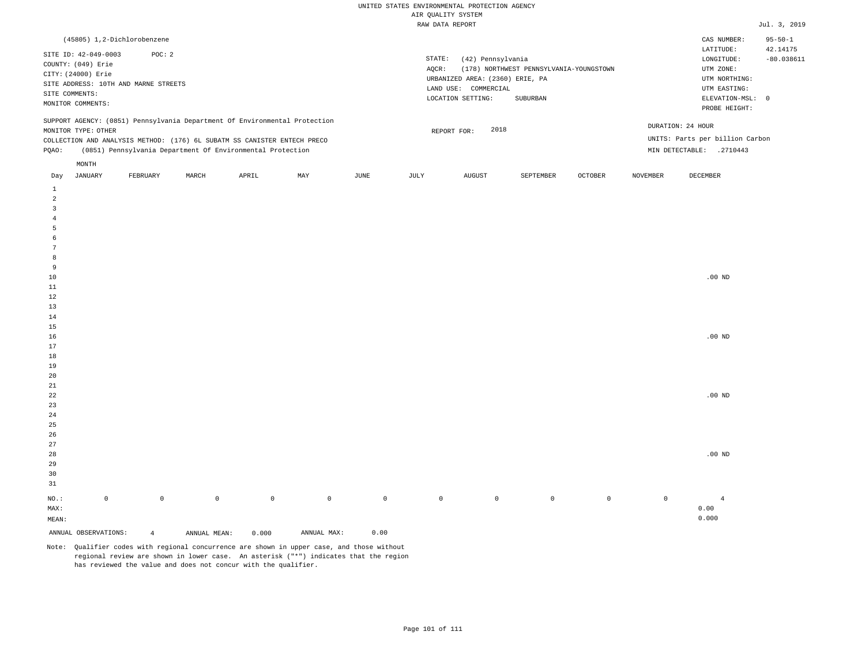| (45805) 1,2-Dichlorobenzene                                                                                                                                                                                                                                   |                                                                                                                                                                             | CAS NUMBER:                                                                                                | $95 - 50 - 1$            |
|---------------------------------------------------------------------------------------------------------------------------------------------------------------------------------------------------------------------------------------------------------------|-----------------------------------------------------------------------------------------------------------------------------------------------------------------------------|------------------------------------------------------------------------------------------------------------|--------------------------|
| SITE ID: 42-049-0003<br>POC: 2<br>COUNTY: (049) Erie<br>CITY: (24000) Erie<br>SITE ADDRESS: 10TH AND MARNE STREETS<br>SITE COMMENTS:<br>MONITOR COMMENTS:                                                                                                     | STATE:<br>(42) Pennsylvania<br>(178) NORTHWEST PENNSYLVANIA-YOUNGSTOWN<br>AOCR:<br>URBANIZED AREA: (2360) ERIE, PA<br>LAND USE: COMMERCIAL<br>LOCATION SETTING:<br>SUBURBAN | LATITUDE:<br>LONGITUDE:<br>UTM ZONE:<br>UTM NORTHING:<br>UTM EASTING:<br>ELEVATION-MSL: 0<br>PROBE HEIGHT: | 42.14175<br>$-80.038611$ |
| SUPPORT AGENCY: (0851) Pennsylvania Department Of Environmental Protection<br>MONITOR TYPE: OTHER<br>COLLECTION AND ANALYSIS METHOD: (176) 6L SUBATM SS CANISTER ENTECH PRECO<br>(0851) Pennsylvania Department Of Environmental Protection<br>POAO:<br>MONTH | 2018<br>REPORT FOR:                                                                                                                                                         | DURATION: 24 HOUR<br>UNITS: Parts per billion Carbon<br>MIN DETECTABLE:<br>.2710443                        |                          |
|                                                                                                                                                                                                                                                               | the contract of the contract of the contract of the contract of the contract of                                                                                             |                                                                                                            |                          |

| JANUARY<br>Day          |             | FEBRUARY       | MARCH        | APRIL       | MAY         | JUNE        | JULY    | AUGUST  | SEPTEMBER | OCTOBER     | NOVEMBER            | DECEMBER          |
|-------------------------|-------------|----------------|--------------|-------------|-------------|-------------|---------|---------|-----------|-------------|---------------------|-------------------|
| $\mathbf{1}$            |             |                |              |             |             |             |         |         |           |             |                     |                   |
| $\overline{\mathbf{c}}$ |             |                |              |             |             |             |         |         |           |             |                     |                   |
| 3                       |             |                |              |             |             |             |         |         |           |             |                     |                   |
| $\overline{4}$          |             |                |              |             |             |             |         |         |           |             |                     |                   |
| 5                       |             |                |              |             |             |             |         |         |           |             |                     |                   |
| 6                       |             |                |              |             |             |             |         |         |           |             |                     |                   |
| $\overline{7}$          |             |                |              |             |             |             |         |         |           |             |                     |                   |
| 8                       |             |                |              |             |             |             |         |         |           |             |                     |                   |
| 9                       |             |                |              |             |             |             |         |         |           |             |                     |                   |
| $10$                    |             |                |              |             |             |             |         |         |           |             |                     | $.00$ ND          |
| $11\,$                  |             |                |              |             |             |             |         |         |           |             |                     |                   |
| 12                      |             |                |              |             |             |             |         |         |           |             |                     |                   |
| 13                      |             |                |              |             |             |             |         |         |           |             |                     |                   |
| $14\,$                  |             |                |              |             |             |             |         |         |           |             |                     |                   |
| $15\,$                  |             |                |              |             |             |             |         |         |           |             |                     |                   |
| 16                      |             |                |              |             |             |             |         |         |           |             |                     | $.00~\mathrm{ND}$ |
| 17                      |             |                |              |             |             |             |         |         |           |             |                     |                   |
| $18\,$                  |             |                |              |             |             |             |         |         |           |             |                     |                   |
| 19                      |             |                |              |             |             |             |         |         |           |             |                     |                   |
| $20\,$<br>$2\sqrt{1}$   |             |                |              |             |             |             |         |         |           |             |                     |                   |
| ${\bf 22}$              |             |                |              |             |             |             |         |         |           |             |                     | $.00$ ND          |
| $23\,$                  |             |                |              |             |             |             |         |         |           |             |                     |                   |
| $2\,4$                  |             |                |              |             |             |             |         |         |           |             |                     |                   |
| $2\sqrt{5}$             |             |                |              |             |             |             |         |         |           |             |                     |                   |
| $26\,$                  |             |                |              |             |             |             |         |         |           |             |                     |                   |
| $27\,$                  |             |                |              |             |             |             |         |         |           |             |                     |                   |
| $28\,$                  |             |                |              |             |             |             |         |         |           |             |                     | $.00$ ND          |
| 29                      |             |                |              |             |             |             |         |         |           |             |                     |                   |
| 30                      |             |                |              |             |             |             |         |         |           |             |                     |                   |
| 31                      |             |                |              |             |             |             |         |         |           |             |                     |                   |
| $_{\rm NO.}$ :          | $\mathsf 0$ | $\mathbb O$    | $\mathbb O$  | $\mathbb O$ | $\mathbb O$ | $\mathbb O$ | $\circ$ | $\circ$ | $\circ$   | $\mathbb O$ | $\mathsf{O}\xspace$ | $\overline{4}$    |
| MAX:                    |             |                |              |             |             |             |         |         |           |             |                     | 0.00              |
| MEAN:                   |             |                |              |             |             |             |         |         |           |             |                     | 0.000             |
| ANNUAL OBSERVATIONS:    |             | $\overline{4}$ | ANNUAL MEAN: | 0.000       | ANNUAL MAX: | 0.00        |         |         |           |             |                     |                   |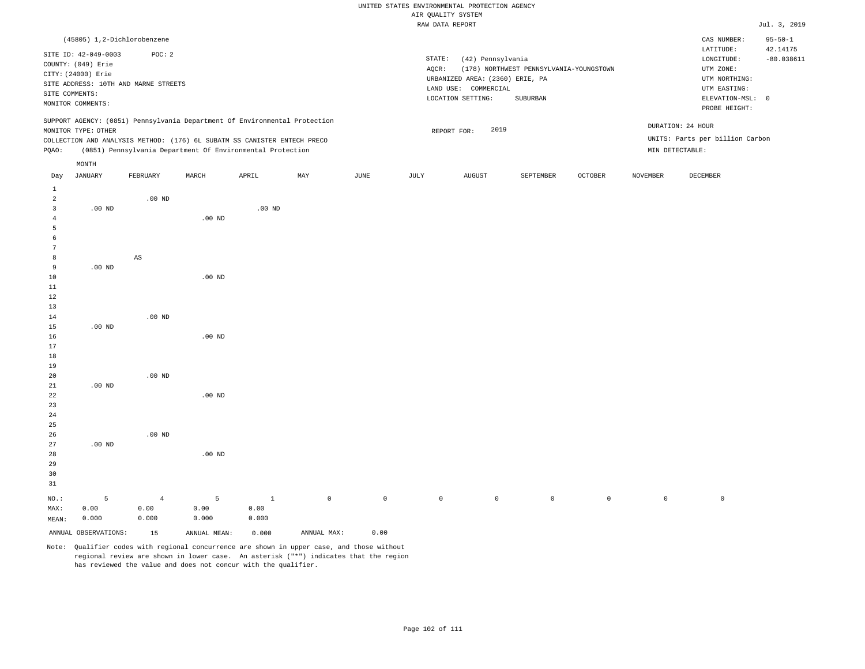|                         |                                            |                                                                            |                   |          |     |      | WIR ÖNWATII 9191EM |                                 |                                         |                |                 |                                      |                          |
|-------------------------|--------------------------------------------|----------------------------------------------------------------------------|-------------------|----------|-----|------|--------------------|---------------------------------|-----------------------------------------|----------------|-----------------|--------------------------------------|--------------------------|
|                         |                                            |                                                                            |                   |          |     |      | RAW DATA REPORT    |                                 |                                         |                |                 |                                      | Jul. 3, 2019             |
|                         |                                            | (45805) 1,2-Dichlorobenzene                                                |                   |          |     |      |                    |                                 |                                         |                |                 | CAS NUMBER:                          | $95 - 50 - 1$            |
|                         | SITE ID: 42-049-0003<br>COUNTY: (049) Erie | POC: 2                                                                     |                   |          |     |      | STATE:<br>AQCR:    | (42) Pennsylvania               | (178) NORTHWEST PENNSYLVANIA-YOUNGSTOWN |                |                 | LATITUDE:<br>LONGITUDE:<br>UTM ZONE: | 42.14175<br>$-80.038611$ |
|                         | CITY: (24000) Erie                         |                                                                            |                   |          |     |      |                    | URBANIZED AREA: (2360) ERIE, PA |                                         |                |                 | UTM NORTHING:                        |                          |
|                         |                                            | SITE ADDRESS: 10TH AND MARNE STREETS                                       |                   |          |     |      |                    | LAND USE: COMMERCIAL            |                                         |                |                 | UTM EASTING:                         |                          |
|                         | SITE COMMENTS:                             |                                                                            |                   |          |     |      |                    | LOCATION SETTING:               | SUBURBAN                                |                |                 | ELEVATION-MSL: 0                     |                          |
|                         | MONITOR COMMENTS:                          |                                                                            |                   |          |     |      |                    |                                 |                                         |                |                 | PROBE HEIGHT:                        |                          |
|                         |                                            | SUPPORT AGENCY: (0851) Pennsylvania Department Of Environmental Protection |                   |          |     |      |                    |                                 |                                         |                |                 | DURATION: 24 HOUR                    |                          |
|                         | MONITOR TYPE: OTHER                        |                                                                            |                   |          |     |      |                    | 2019<br>REPORT FOR:             |                                         |                |                 |                                      |                          |
|                         |                                            | COLLECTION AND ANALYSIS METHOD: (176) 6L SUBATM SS CANISTER ENTECH PRECO   |                   |          |     |      |                    |                                 |                                         |                |                 | UNITS: Parts per billion Carbon      |                          |
| POAO:                   |                                            | (0851) Pennsylvania Department Of Environmental Protection                 |                   |          |     |      |                    |                                 |                                         |                |                 | MIN DETECTABLE:                      |                          |
|                         | MONTH                                      |                                                                            |                   |          |     |      |                    |                                 |                                         |                |                 |                                      |                          |
| Day                     | <b>JANUARY</b>                             | FEBRUARY                                                                   | MARCH             | APRIL    | MAY | JUNE | JULY               | <b>AUGUST</b>                   | SEPTEMBER                               | <b>OCTOBER</b> | <b>NOVEMBER</b> | DECEMBER                             |                          |
| $\mathbf{1}$            |                                            |                                                                            |                   |          |     |      |                    |                                 |                                         |                |                 |                                      |                          |
| $\overline{a}$          |                                            | $.00$ ND                                                                   |                   |          |     |      |                    |                                 |                                         |                |                 |                                      |                          |
| $\overline{\mathbf{3}}$ | $.00$ ND                                   |                                                                            |                   | $.00$ ND |     |      |                    |                                 |                                         |                |                 |                                      |                          |
| 4                       |                                            |                                                                            | $.00$ ND          |          |     |      |                    |                                 |                                         |                |                 |                                      |                          |
| 5                       |                                            |                                                                            |                   |          |     |      |                    |                                 |                                         |                |                 |                                      |                          |
| 6                       |                                            |                                                                            |                   |          |     |      |                    |                                 |                                         |                |                 |                                      |                          |
| 7                       |                                            |                                                                            |                   |          |     |      |                    |                                 |                                         |                |                 |                                      |                          |
| 8                       |                                            | $\mathbb{A}\mathbb{S}$                                                     |                   |          |     |      |                    |                                 |                                         |                |                 |                                      |                          |
| 9                       | $.00$ ND                                   |                                                                            |                   |          |     |      |                    |                                 |                                         |                |                 |                                      |                          |
| 10<br>11                |                                            |                                                                            | $.00$ ND          |          |     |      |                    |                                 |                                         |                |                 |                                      |                          |
| 12                      |                                            |                                                                            |                   |          |     |      |                    |                                 |                                         |                |                 |                                      |                          |
| 13                      |                                            |                                                                            |                   |          |     |      |                    |                                 |                                         |                |                 |                                      |                          |
| 14                      |                                            | $.00$ ND                                                                   |                   |          |     |      |                    |                                 |                                         |                |                 |                                      |                          |
| 15                      | $.00$ ND                                   |                                                                            |                   |          |     |      |                    |                                 |                                         |                |                 |                                      |                          |
| 16                      |                                            |                                                                            | $.00$ ND          |          |     |      |                    |                                 |                                         |                |                 |                                      |                          |
| 17                      |                                            |                                                                            |                   |          |     |      |                    |                                 |                                         |                |                 |                                      |                          |
| 18                      |                                            |                                                                            |                   |          |     |      |                    |                                 |                                         |                |                 |                                      |                          |
| 19                      |                                            |                                                                            |                   |          |     |      |                    |                                 |                                         |                |                 |                                      |                          |
| 20                      |                                            | $.00$ ND                                                                   |                   |          |     |      |                    |                                 |                                         |                |                 |                                      |                          |
| 21                      | $.00$ ND                                   |                                                                            |                   |          |     |      |                    |                                 |                                         |                |                 |                                      |                          |
| 22                      |                                            |                                                                            | .00 <sub>ND</sub> |          |     |      |                    |                                 |                                         |                |                 |                                      |                          |
| 23                      |                                            |                                                                            |                   |          |     |      |                    |                                 |                                         |                |                 |                                      |                          |
| 24                      |                                            |                                                                            |                   |          |     |      |                    |                                 |                                         |                |                 |                                      |                          |

ANNUAL OBSERVATIONS: 15 ANNUAL MEAN: 0.000 ANNUAL MAX: 0.00

5 0.00 0.000

.00 ND

NO.: MAX: MEAN: .00 ND

.00 ND

4 0.00 0.000

5 0.00 0.000

Note: Qualifier codes with regional concurrence are shown in upper case, and those without regional review are shown in lower case. An asterisk ("\*") indicates that the region has reviewed the value and does not concur with the qualifier.

1 0.00 0.000

0 0 0 0 0 0 0 0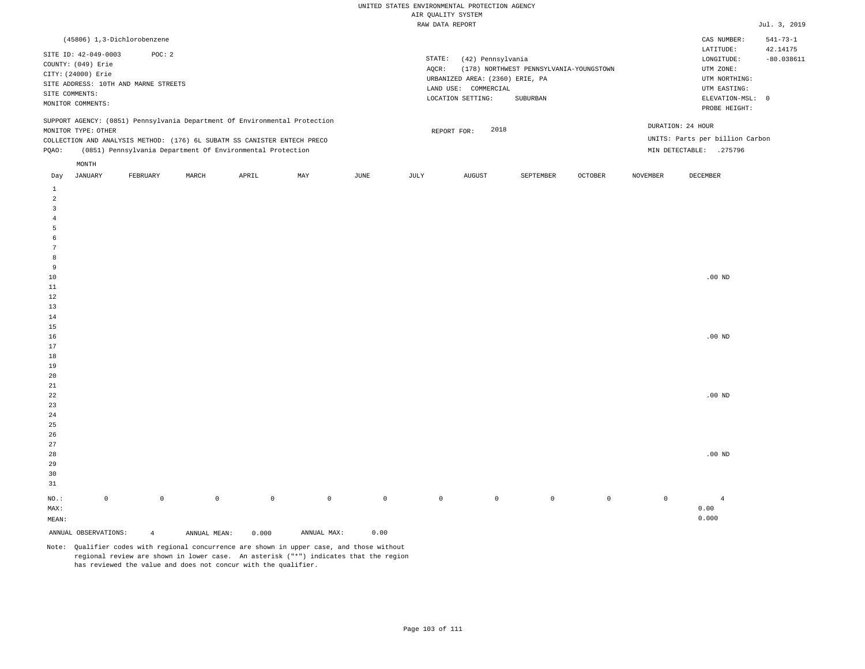| (45806) 1,3-Dichlorobenzene                                                                                                                                                                                                                                   |                                                                                                                                                                             | CAS NUMBER:                                                                                                | $541 - 73 - 1$           |
|---------------------------------------------------------------------------------------------------------------------------------------------------------------------------------------------------------------------------------------------------------------|-----------------------------------------------------------------------------------------------------------------------------------------------------------------------------|------------------------------------------------------------------------------------------------------------|--------------------------|
| SITE ID: 42-049-0003<br>POC: 2<br>COUNTY: (049) Erie<br>CITY: (24000) Erie<br>SITE ADDRESS: 10TH AND MARNE STREETS<br>SITE COMMENTS:<br>MONITOR COMMENTS:                                                                                                     | STATE:<br>(42) Pennsylvania<br>(178) NORTHWEST PENNSYLVANIA-YOUNGSTOWN<br>AOCR:<br>URBANIZED AREA: (2360) ERIE, PA<br>LAND USE: COMMERCIAL<br>LOCATION SETTING:<br>SUBURBAN | LATITUDE:<br>LONGITUDE:<br>UTM ZONE:<br>UTM NORTHING:<br>UTM EASTING:<br>ELEVATION-MSL: 0<br>PROBE HEIGHT: | 42.14175<br>$-80.038611$ |
| SUPPORT AGENCY: (0851) Pennsylvania Department Of Environmental Protection<br>MONITOR TYPE: OTHER<br>COLLECTION AND ANALYSIS METHOD: (176) 6L SUBATM SS CANISTER ENTECH PRECO<br>(0851) Pennsylvania Department Of Environmental Protection<br>POAO:<br>MONTH | 2018<br>REPORT FOR:                                                                                                                                                         | DURATION: 24 HOUR<br>UNITS: Parts per billion Carbon<br>MIN DETECTABLE:<br>.275796                         |                          |
|                                                                                                                                                                                                                                                               | the contract of the contract of the contract of the contract of the contract of                                                                                             |                                                                                                            |                          |

| Day                     | JANUARY              | FEBRUARY       | MARCH        | APRIL       | MAY                                 | JUNE        | JULY        | AUGUST      | SEPTEMBER   | OCTOBER     | NOVEMBER    | DECEMBER       |
|-------------------------|----------------------|----------------|--------------|-------------|-------------------------------------|-------------|-------------|-------------|-------------|-------------|-------------|----------------|
| $\mathbf{1}$            |                      |                |              |             |                                     |             |             |             |             |             |             |                |
| $\overline{a}$          |                      |                |              |             |                                     |             |             |             |             |             |             |                |
| $\overline{\mathbf{3}}$ |                      |                |              |             |                                     |             |             |             |             |             |             |                |
| $\overline{4}$          |                      |                |              |             |                                     |             |             |             |             |             |             |                |
| 5                       |                      |                |              |             |                                     |             |             |             |             |             |             |                |
| 6                       |                      |                |              |             |                                     |             |             |             |             |             |             |                |
| $7\phantom{.0}$         |                      |                |              |             |                                     |             |             |             |             |             |             |                |
| 8                       |                      |                |              |             |                                     |             |             |             |             |             |             |                |
| 9                       |                      |                |              |             |                                     |             |             |             |             |             |             |                |
| $10$                    |                      |                |              |             |                                     |             |             |             |             |             |             | .00 $ND$       |
| $11\,$                  |                      |                |              |             |                                     |             |             |             |             |             |             |                |
| 12                      |                      |                |              |             |                                     |             |             |             |             |             |             |                |
| 13                      |                      |                |              |             |                                     |             |             |             |             |             |             |                |
| $14\,$                  |                      |                |              |             |                                     |             |             |             |             |             |             |                |
| 15                      |                      |                |              |             |                                     |             |             |             |             |             |             |                |
| $16$                    |                      |                |              |             |                                     |             |             |             |             |             |             | $.00{\rm ~ND}$ |
| 17                      |                      |                |              |             |                                     |             |             |             |             |             |             |                |
| 18                      |                      |                |              |             |                                     |             |             |             |             |             |             |                |
| 19                      |                      |                |              |             |                                     |             |             |             |             |             |             |                |
| $20\,$                  |                      |                |              |             |                                     |             |             |             |             |             |             |                |
| $21\,$                  |                      |                |              |             |                                     |             |             |             |             |             |             |                |
| $^{\rm 22}$             |                      |                |              |             |                                     |             |             |             |             |             |             | .00 $ND$       |
| $23\,$                  |                      |                |              |             |                                     |             |             |             |             |             |             |                |
| $2\sqrt{4}$             |                      |                |              |             |                                     |             |             |             |             |             |             |                |
| $25\,$                  |                      |                |              |             |                                     |             |             |             |             |             |             |                |
| 26                      |                      |                |              |             |                                     |             |             |             |             |             |             |                |
| $27\,$                  |                      |                |              |             |                                     |             |             |             |             |             |             |                |
| 28                      |                      |                |              |             |                                     |             |             |             |             |             |             | .00 $ND$       |
| 29                      |                      |                |              |             |                                     |             |             |             |             |             |             |                |
| 30                      |                      |                |              |             |                                     |             |             |             |             |             |             |                |
| 31                      |                      |                |              |             |                                     |             |             |             |             |             |             |                |
| $_{\rm NO.}$ :          | $\mathbb O$          | $\mathbb O$    | $\mathbb O$  | $\mathbb O$ | $\mathbb O$                         | $\mathbb O$ | $\mathbb O$ | $\mathbb O$ | $\mathsf 0$ | $\mathbb O$ | $\mathbb O$ | $\overline{4}$ |
| MAX:                    |                      |                |              |             |                                     |             |             |             |             |             |             | 0.00           |
| MEAN:                   |                      |                |              |             |                                     |             |             |             |             |             |             | 0.000          |
|                         | ANNUAL OBSERVATIONS: | $\overline{4}$ | ANNUAL MEAN: | 0.000       | $\texttt{ANNUAL} \ \ \texttt{MAX:}$ | 0.00        |             |             |             |             |             |                |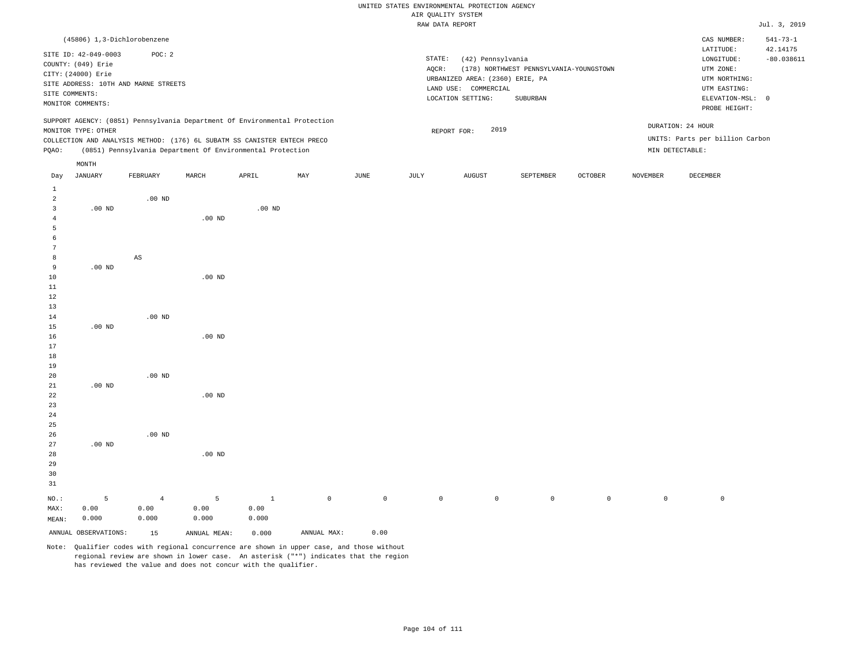# UNITED STATES ENVIRONMENTAL PROTECTION AGENCY ATE OUNT TTY SYSTEM

|                |                      |                                      |                   |                                                                            |     |      |        | AIR QUALITY SYSTEM              |                                         |         |          |                                 |                            |
|----------------|----------------------|--------------------------------------|-------------------|----------------------------------------------------------------------------|-----|------|--------|---------------------------------|-----------------------------------------|---------|----------|---------------------------------|----------------------------|
|                |                      |                                      |                   |                                                                            |     |      |        | RAW DATA REPORT                 |                                         |         |          |                                 | Jul. 3, 2019               |
|                |                      | (45806) 1,3-Dichlorobenzene          |                   |                                                                            |     |      |        |                                 |                                         |         |          | CAS NUMBER:<br>LATITUDE:        | $541 - 73 - 1$<br>42.14175 |
|                | SITE ID: 42-049-0003 | POC: 2                               |                   |                                                                            |     |      | STATE: | (42) Pennsylvania               |                                         |         |          | LONGITUDE:                      | $-80.038611$               |
|                | COUNTY: (049) Erie   |                                      |                   |                                                                            |     |      | AQCR:  |                                 | (178) NORTHWEST PENNSYLVANIA-YOUNGSTOWN |         |          | UTM ZONE:                       |                            |
|                | CITY: (24000) Erie   |                                      |                   |                                                                            |     |      |        | URBANIZED AREA: (2360) ERIE, PA |                                         |         |          | UTM NORTHING:                   |                            |
|                |                      | SITE ADDRESS: 10TH AND MARNE STREETS |                   |                                                                            |     |      |        | LAND USE: COMMERCIAL            |                                         |         |          | UTM EASTING:                    |                            |
|                | SITE COMMENTS:       |                                      |                   |                                                                            |     |      |        | LOCATION SETTING:               | SUBURBAN                                |         |          | ELEVATION-MSL: 0                |                            |
|                | MONITOR COMMENTS:    |                                      |                   |                                                                            |     |      |        |                                 |                                         |         |          | PROBE HEIGHT:                   |                            |
|                |                      |                                      |                   | SUPPORT AGENCY: (0851) Pennsylvania Department Of Environmental Protection |     |      |        | 2019                            |                                         |         |          | DURATION: 24 HOUR               |                            |
|                | MONITOR TYPE: OTHER  |                                      |                   |                                                                            |     |      |        | REPORT FOR:                     |                                         |         |          | UNITS: Parts per billion Carbon |                            |
|                |                      |                                      |                   | COLLECTION AND ANALYSIS METHOD: (176) 6L SUBATM SS CANISTER ENTECH PRECO   |     |      |        |                                 |                                         |         |          |                                 |                            |
| PQAO:          |                      |                                      |                   | (0851) Pennsylvania Department Of Environmental Protection                 |     |      |        |                                 |                                         |         |          | MIN DETECTABLE:                 |                            |
|                | MONTH                |                                      |                   |                                                                            |     |      |        |                                 |                                         |         |          |                                 |                            |
| Day            | JANUARY              | FEBRUARY                             | MARCH             | APRIL                                                                      | MAY | JUNE | JULY   | AUGUST                          | SEPTEMBER                               | OCTOBER | NOVEMBER | DECEMBER                        |                            |
| $\mathbf{1}$   |                      |                                      |                   |                                                                            |     |      |        |                                 |                                         |         |          |                                 |                            |
| 2              |                      | $.00$ ND                             |                   |                                                                            |     |      |        |                                 |                                         |         |          |                                 |                            |
| $\overline{3}$ | $.00$ ND             |                                      |                   | $.00$ ND                                                                   |     |      |        |                                 |                                         |         |          |                                 |                            |
| 4              |                      |                                      | $.00$ ND          |                                                                            |     |      |        |                                 |                                         |         |          |                                 |                            |
| 5              |                      |                                      |                   |                                                                            |     |      |        |                                 |                                         |         |          |                                 |                            |
| 6              |                      |                                      |                   |                                                                            |     |      |        |                                 |                                         |         |          |                                 |                            |
| 7              |                      |                                      |                   |                                                                            |     |      |        |                                 |                                         |         |          |                                 |                            |
| 8              |                      | AS                                   |                   |                                                                            |     |      |        |                                 |                                         |         |          |                                 |                            |
| 9              | $.00$ ND             |                                      |                   |                                                                            |     |      |        |                                 |                                         |         |          |                                 |                            |
| 10             |                      |                                      | .00 <sub>ND</sub> |                                                                            |     |      |        |                                 |                                         |         |          |                                 |                            |
| 11             |                      |                                      |                   |                                                                            |     |      |        |                                 |                                         |         |          |                                 |                            |
| $12$           |                      |                                      |                   |                                                                            |     |      |        |                                 |                                         |         |          |                                 |                            |
| 13             |                      |                                      |                   |                                                                            |     |      |        |                                 |                                         |         |          |                                 |                            |
| 14             |                      | $.00$ ND                             |                   |                                                                            |     |      |        |                                 |                                         |         |          |                                 |                            |
| 15             | $.00$ ND             |                                      |                   |                                                                            |     |      |        |                                 |                                         |         |          |                                 |                            |
| 16             |                      |                                      | .00 <sub>ND</sub> |                                                                            |     |      |        |                                 |                                         |         |          |                                 |                            |
| 17             |                      |                                      |                   |                                                                            |     |      |        |                                 |                                         |         |          |                                 |                            |
| 18             |                      |                                      |                   |                                                                            |     |      |        |                                 |                                         |         |          |                                 |                            |
| 19             |                      |                                      |                   |                                                                            |     |      |        |                                 |                                         |         |          |                                 |                            |
| 20             |                      | $.00$ ND                             |                   |                                                                            |     |      |        |                                 |                                         |         |          |                                 |                            |
| 21             | $.00$ ND             |                                      |                   |                                                                            |     |      |        |                                 |                                         |         |          |                                 |                            |
| 22             |                      |                                      | $.00$ ND          |                                                                            |     |      |        |                                 |                                         |         |          |                                 |                            |
| 23             |                      |                                      |                   |                                                                            |     |      |        |                                 |                                         |         |          |                                 |                            |
| 24             |                      |                                      |                   |                                                                            |     |      |        |                                 |                                         |         |          |                                 |                            |
| 25             |                      |                                      |                   |                                                                            |     |      |        |                                 |                                         |         |          |                                 |                            |
| 26             |                      | $.00$ ND                             |                   |                                                                            |     |      |        |                                 |                                         |         |          |                                 |                            |
|                |                      |                                      |                   |                                                                            |     |      |        |                                 |                                         |         |          |                                 |                            |

Note: Qualifier codes with regional concurrence are shown in upper case, and those without regional review are shown in lower case. An asterisk ("\*") indicates that the region has reviewed the value and does not concur with the qualifier.

1 0.00 0.000

.00 ND

5 0.00 0.000

ANNUAL OBSERVATIONS: 15 ANNUAL MEAN: 0.000 ANNUAL MAX: 0.00

NO.: MAX: MEAN: .00 ND

5 0.00 0.000

4 0.00 0.000

0 0 0 0 0 0 0 0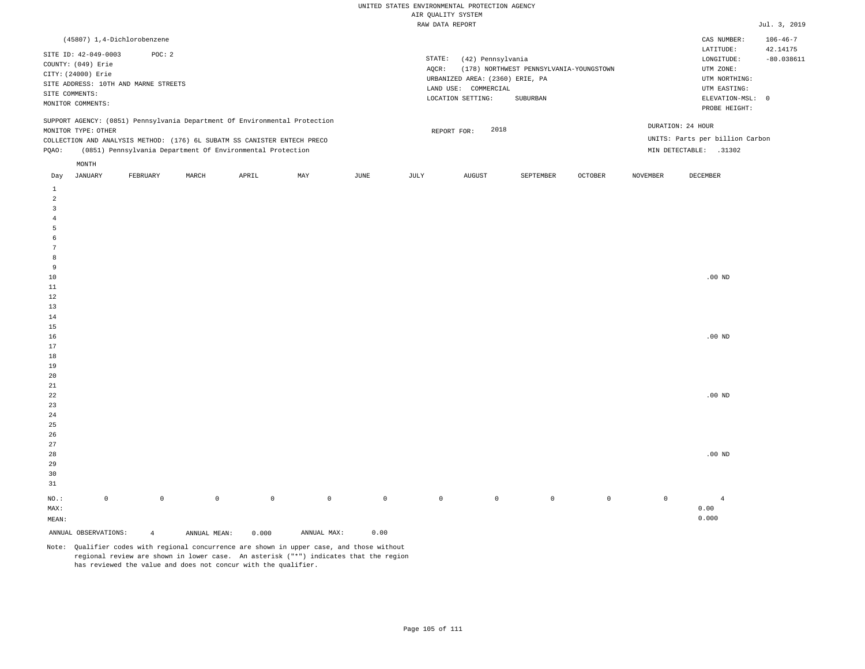| (45807) 1,4-Dichlorobenzene                                                                                                                                                                                                                          |          |       |       |     |      |                 |                                                                                                      |                                                     |                |                                      | CAS NUMBER:                                                                                                | $106 - 46 - 7$           |
|------------------------------------------------------------------------------------------------------------------------------------------------------------------------------------------------------------------------------------------------------|----------|-------|-------|-----|------|-----------------|------------------------------------------------------------------------------------------------------|-----------------------------------------------------|----------------|--------------------------------------|------------------------------------------------------------------------------------------------------------|--------------------------|
| SITE ID: 42-049-0003<br>COUNTY: (049) Erie<br>CITY: (24000) Erie<br>SITE ADDRESS: 10TH AND MARNE STREETS<br>SITE COMMENTS:<br>MONITOR COMMENTS:                                                                                                      | POC: 2   |       |       |     |      | STATE:<br>AOCR: | (42) Pennsylvania<br>URBANIZED AREA: (2360) ERIE, PA<br>LAND USE:<br>COMMERCIAL<br>LOCATION SETTING: | (178) NORTHWEST PENNSYLVANIA-YOUNGSTOWN<br>SUBURBAN |                |                                      | LATITUDE:<br>LONGITUDE:<br>UTM ZONE:<br>UTM NORTHING:<br>UTM EASTING:<br>ELEVATION-MSL: 0<br>PROBE HEIGHT: | 42.14175<br>$-80.038611$ |
| SUPPORT AGENCY: (0851) Pennsylvania Department Of Environmental Protection<br>MONITOR TYPE: OTHER<br>COLLECTION AND ANALYSIS METHOD: (176) 6L SUBATM SS CANISTER ENTECH PRECO<br>(0851) Pennsylvania Department Of Environmental Protection<br>POAO: |          |       |       |     |      |                 | 2018<br>REPORT FOR:                                                                                  |                                                     |                | DURATION: 24 HOUR<br>MIN DETECTABLE: | UNITS: Parts per billion Carbon<br>.31302                                                                  |                          |
| MONTH<br>JANUARY<br>Day                                                                                                                                                                                                                              | FEBRUARY | MARCH | APRIL | MAY | JUNE | JULY            | AUGUST                                                                                               | SEPTEMBER                                           | <b>OCTOBER</b> | NOVEMBER                             | DECEMBER                                                                                                   |                          |

| ANNUAL OBSERVATIONS:          | $\overline{4}$ | ANNUAL MEAN: | 0.000        | ANNUAL MAX: | 0.00        |         |             |         |             |             |                |
|-------------------------------|----------------|--------------|--------------|-------------|-------------|---------|-------------|---------|-------------|-------------|----------------|
| $\texttt{MEAN}:$              |                |              |              |             |             |         |             |         |             |             | 0.000          |
| $\texttt{MAX}$ :              |                |              |              |             |             |         |             |         |             |             | 0.00           |
| $_{\rm NO.}$ :<br>$\mathbb O$ | $\mathbb O$    | $\mathbb O$  | $\mathsf{O}$ | $\mathbb O$ | $\mathbb O$ | $\circ$ | $\mathbb O$ | $\circ$ | $\mathbb O$ | $\mathbb O$ | $\overline{4}$ |
| $3\sqrt{1}$                   |                |              |              |             |             |         |             |         |             |             |                |
| $30$                          |                |              |              |             |             |         |             |         |             |             |                |
| $29$                          |                |              |              |             |             |         |             |         |             |             |                |
| $_{\rm 28}$                   |                |              |              |             |             |         |             |         |             |             | $.00$ ND       |
| $27\,$                        |                |              |              |             |             |         |             |         |             |             |                |
| $26\,$                        |                |              |              |             |             |         |             |         |             |             |                |
| $25\,$                        |                |              |              |             |             |         |             |         |             |             |                |
| $2\sqrt{4}$                   |                |              |              |             |             |         |             |         |             |             |                |
| $23\,$                        |                |              |              |             |             |         |             |         |             |             |                |
| 22                            |                |              |              |             |             |         |             |         |             |             | $.00$ ND       |
| $2\sqrt{1}$                   |                |              |              |             |             |         |             |         |             |             |                |
| $20\,$                        |                |              |              |             |             |         |             |         |             |             |                |
| $18\,$<br>$19$                |                |              |              |             |             |         |             |         |             |             |                |
| $17\,$                        |                |              |              |             |             |         |             |         |             |             |                |
| $16\,$                        |                |              |              |             |             |         |             |         |             |             | $.00$ ND       |
| $15$                          |                |              |              |             |             |         |             |         |             |             |                |
| $14$                          |                |              |              |             |             |         |             |         |             |             |                |
| $13\,$                        |                |              |              |             |             |         |             |         |             |             |                |
| $1\,2$                        |                |              |              |             |             |         |             |         |             |             |                |
| $11\,$                        |                |              |              |             |             |         |             |         |             |             |                |
| $10\,$                        |                |              |              |             |             |         |             |         |             |             | .00 $ND$       |
| 9                             |                |              |              |             |             |         |             |         |             |             |                |
| 8                             |                |              |              |             |             |         |             |         |             |             |                |
| $7\phantom{.0}$               |                |              |              |             |             |         |             |         |             |             |                |
| $\epsilon$                    |                |              |              |             |             |         |             |         |             |             |                |
| $\sqrt{5}$                    |                |              |              |             |             |         |             |         |             |             |                |
| $\sqrt{4}$                    |                |              |              |             |             |         |             |         |             |             |                |
| 3                             |                |              |              |             |             |         |             |         |             |             |                |
| $\overline{a}$                |                |              |              |             |             |         |             |         |             |             |                |
| $\mathbf{1}$                  |                |              |              |             |             |         |             |         |             |             |                |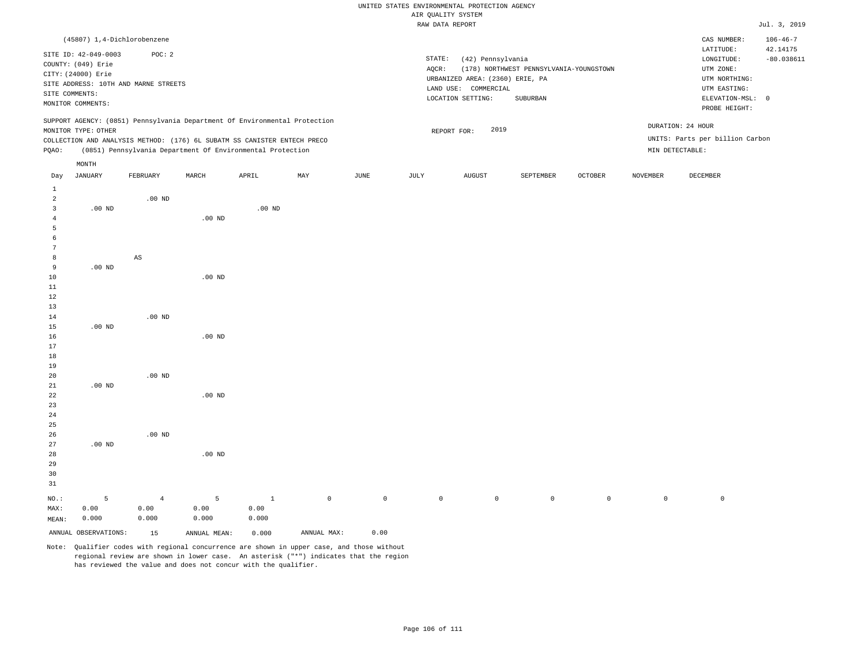|                |                      |                                      |                   |                                                                            |     |      |        | utter Kountry ninten.           |                                         |         |          |                                 |                |
|----------------|----------------------|--------------------------------------|-------------------|----------------------------------------------------------------------------|-----|------|--------|---------------------------------|-----------------------------------------|---------|----------|---------------------------------|----------------|
|                |                      |                                      |                   |                                                                            |     |      |        | RAW DATA REPORT                 |                                         |         |          |                                 | Jul. 3, 2019   |
|                |                      | (45807) 1,4-Dichlorobenzene          |                   |                                                                            |     |      |        |                                 |                                         |         |          | CAS NUMBER:                     | $106 - 46 - 7$ |
|                | SITE ID: 42-049-0003 | POC: 2                               |                   |                                                                            |     |      |        |                                 |                                         |         |          | LATITUDE:                       | 42.14175       |
|                | COUNTY: (049) Erie   |                                      |                   |                                                                            |     |      | STATE: | (42) Pennsylvania               |                                         |         |          | LONGITUDE:                      | $-80.038611$   |
|                | CITY: (24000) Erie   |                                      |                   |                                                                            |     |      | AQCR:  |                                 | (178) NORTHWEST PENNSYLVANIA-YOUNGSTOWN |         |          | UTM ZONE:                       |                |
|                |                      | SITE ADDRESS: 10TH AND MARNE STREETS |                   |                                                                            |     |      |        | URBANIZED AREA: (2360) ERIE, PA |                                         |         |          | UTM NORTHING:                   |                |
|                | SITE COMMENTS:       |                                      |                   |                                                                            |     |      |        | LAND USE: COMMERCIAL            |                                         |         |          | UTM EASTING:                    |                |
|                | MONITOR COMMENTS:    |                                      |                   |                                                                            |     |      |        | LOCATION SETTING:               | SUBURBAN                                |         |          | ELEVATION-MSL: 0                |                |
|                |                      |                                      |                   |                                                                            |     |      |        |                                 |                                         |         |          | PROBE HEIGHT:                   |                |
|                |                      |                                      |                   | SUPPORT AGENCY: (0851) Pennsylvania Department Of Environmental Protection |     |      |        |                                 |                                         |         |          | DURATION: 24 HOUR               |                |
|                | MONITOR TYPE: OTHER  |                                      |                   |                                                                            |     |      |        | 2019<br>REPORT FOR:             |                                         |         |          |                                 |                |
|                |                      |                                      |                   | COLLECTION AND ANALYSIS METHOD: (176) 6L SUBATM SS CANISTER ENTECH PRECO   |     |      |        |                                 |                                         |         |          | UNITS: Parts per billion Carbon |                |
| PQAO:          |                      |                                      |                   | (0851) Pennsylvania Department Of Environmental Protection                 |     |      |        |                                 |                                         |         |          | MIN DETECTABLE:                 |                |
|                | MONTH                |                                      |                   |                                                                            |     |      |        |                                 |                                         |         |          |                                 |                |
| Day            | JANUARY              | FEBRUARY                             | MARCH             | APRIL                                                                      | MAY | JUNE | JULY   | AUGUST                          | SEPTEMBER                               | OCTOBER | NOVEMBER | DECEMBER                        |                |
| 1              |                      |                                      |                   |                                                                            |     |      |        |                                 |                                         |         |          |                                 |                |
| $\overline{a}$ |                      | $.00$ ND                             |                   |                                                                            |     |      |        |                                 |                                         |         |          |                                 |                |
| 3              | $.00$ ND             |                                      |                   | $.00$ ND                                                                   |     |      |        |                                 |                                         |         |          |                                 |                |
| 4              |                      |                                      | $.00$ ND          |                                                                            |     |      |        |                                 |                                         |         |          |                                 |                |
| 5              |                      |                                      |                   |                                                                            |     |      |        |                                 |                                         |         |          |                                 |                |
| 6              |                      |                                      |                   |                                                                            |     |      |        |                                 |                                         |         |          |                                 |                |
| 7              |                      |                                      |                   |                                                                            |     |      |        |                                 |                                         |         |          |                                 |                |
| 8              |                      | $\mathbb{A}\mathbb{S}$               |                   |                                                                            |     |      |        |                                 |                                         |         |          |                                 |                |
| 9              | $.00$ ND             |                                      |                   |                                                                            |     |      |        |                                 |                                         |         |          |                                 |                |
| 10             |                      |                                      | $.00$ ND          |                                                                            |     |      |        |                                 |                                         |         |          |                                 |                |
| 11             |                      |                                      |                   |                                                                            |     |      |        |                                 |                                         |         |          |                                 |                |
| 12             |                      |                                      |                   |                                                                            |     |      |        |                                 |                                         |         |          |                                 |                |
| 13             |                      |                                      |                   |                                                                            |     |      |        |                                 |                                         |         |          |                                 |                |
| 14             |                      | $.00$ ND                             |                   |                                                                            |     |      |        |                                 |                                         |         |          |                                 |                |
| 15             | $.00$ ND             |                                      |                   |                                                                            |     |      |        |                                 |                                         |         |          |                                 |                |
| 16             |                      |                                      | .00 <sub>ND</sub> |                                                                            |     |      |        |                                 |                                         |         |          |                                 |                |
| 17             |                      |                                      |                   |                                                                            |     |      |        |                                 |                                         |         |          |                                 |                |
| 18             |                      |                                      |                   |                                                                            |     |      |        |                                 |                                         |         |          |                                 |                |
| 19             |                      |                                      |                   |                                                                            |     |      |        |                                 |                                         |         |          |                                 |                |
| 20             |                      | $.00$ ND                             |                   |                                                                            |     |      |        |                                 |                                         |         |          |                                 |                |
| 21             | $.00$ ND             |                                      |                   |                                                                            |     |      |        |                                 |                                         |         |          |                                 |                |
| 22             |                      |                                      | .00 <sub>ND</sub> |                                                                            |     |      |        |                                 |                                         |         |          |                                 |                |
| 23             |                      |                                      |                   |                                                                            |     |      |        |                                 |                                         |         |          |                                 |                |

| 25             |                      |          |              |       |             |         |         |         |         |         |         |            |
|----------------|----------------------|----------|--------------|-------|-------------|---------|---------|---------|---------|---------|---------|------------|
| 26             |                      | $.00$ ND |              |       |             |         |         |         |         |         |         |            |
| 27             | $.00$ ND             |          |              |       |             |         |         |         |         |         |         |            |
| 28             |                      |          | $.00$ ND     |       |             |         |         |         |         |         |         |            |
| 29             |                      |          |              |       |             |         |         |         |         |         |         |            |
| 30             |                      |          |              |       |             |         |         |         |         |         |         |            |
| 31             |                      |          |              |       |             |         |         |         |         |         |         |            |
| $_{\rm NO.}$ : | 5                    | 4        | 5            |       | $\circ$     | $\circ$ | $\circ$ | $\circ$ | $\circ$ | $\circ$ | $\circ$ | $^{\circ}$ |
| MAX:           | 0.00                 | 0.00     | 0.00         | 0.00  |             |         |         |         |         |         |         |            |
| MEAN:          | 0.000                | 0.000    | 0.000        | 0.000 |             |         |         |         |         |         |         |            |
|                | ANNUAL OBSERVATIONS: | 15       | ANNUAL MEAN: | 0.000 | ANNUAL MAX: | 0.00    |         |         |         |         |         |            |

Note: Qualifier codes with regional concurrence are shown in upper case, and those without regional review are shown in lower case. An asterisk ("\*") indicates that the region has reviewed the value and does not concur with the qualifier.

24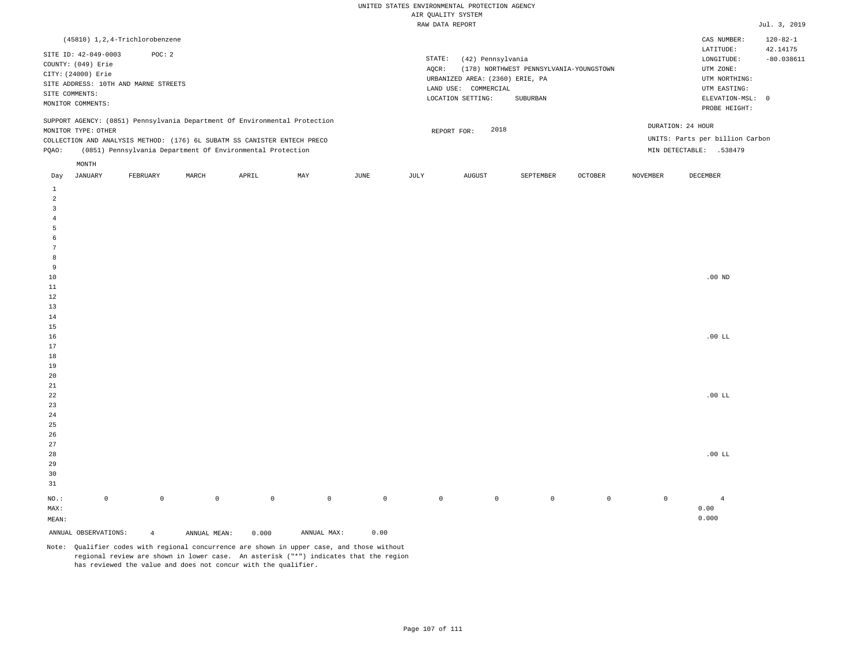| (45810) 1,2,4-Trichlorobenzene                                                                                                                                                                                                                                |                                                                                                                                                                             | CAS NUMBER:                                                                                                | $120 - 82 - 1$           |
|---------------------------------------------------------------------------------------------------------------------------------------------------------------------------------------------------------------------------------------------------------------|-----------------------------------------------------------------------------------------------------------------------------------------------------------------------------|------------------------------------------------------------------------------------------------------------|--------------------------|
| SITE ID: 42-049-0003<br>POC: 2<br>COUNTY: (049) Erie<br>CITY: (24000) Erie<br>SITE ADDRESS: 10TH AND MARNE STREETS<br>SITE COMMENTS:<br>MONITOR COMMENTS:                                                                                                     | STATE:<br>(42) Pennsylvania<br>(178) NORTHWEST PENNSYLVANIA-YOUNGSTOWN<br>AOCR:<br>URBANIZED AREA: (2360) ERIE, PA<br>LAND USE: COMMERCIAL<br>LOCATION SETTING:<br>SUBURBAN | LATITUDE:<br>LONGITUDE:<br>UTM ZONE:<br>UTM NORTHING:<br>UTM EASTING:<br>ELEVATION-MSL: 0<br>PROBE HEIGHT: | 42.14175<br>$-80.038611$ |
| SUPPORT AGENCY: (0851) Pennsylvania Department Of Environmental Protection<br>MONITOR TYPE: OTHER<br>COLLECTION AND ANALYSIS METHOD: (176) 6L SUBATM SS CANISTER ENTECH PRECO<br>(0851) Pennsylvania Department Of Environmental Protection<br>POAO:<br>MONTH | 2018<br>REPORT FOR:                                                                                                                                                         | DURATION: 24 HOUR<br>UNITS: Parts per billion Carbon<br>MIN DETECTABLE: .538479                            |                          |
|                                                                                                                                                                                                                                                               | the contract of the contract of the contract of the contract of the contract of                                                                                             | the contract of the contract of the contract of the contract of the contract of                            |                          |

| Day                     | JANUARY              | FEBRUARY       | MARCH        | APRIL               | MAY         | JUNE        | JULY        | AUGUST      | SEPTEMBER   | OCTOBER     | NOVEMBER    | DECEMBER       |
|-------------------------|----------------------|----------------|--------------|---------------------|-------------|-------------|-------------|-------------|-------------|-------------|-------------|----------------|
| $\mathbf{1}$            |                      |                |              |                     |             |             |             |             |             |             |             |                |
| $\overline{a}$          |                      |                |              |                     |             |             |             |             |             |             |             |                |
| $\overline{\mathbf{3}}$ |                      |                |              |                     |             |             |             |             |             |             |             |                |
| $\overline{4}$          |                      |                |              |                     |             |             |             |             |             |             |             |                |
| $\overline{5}$          |                      |                |              |                     |             |             |             |             |             |             |             |                |
| 6                       |                      |                |              |                     |             |             |             |             |             |             |             |                |
| $7\phantom{.0}$         |                      |                |              |                     |             |             |             |             |             |             |             |                |
| 8                       |                      |                |              |                     |             |             |             |             |             |             |             |                |
| 9                       |                      |                |              |                     |             |             |             |             |             |             |             |                |
| $10$                    |                      |                |              |                     |             |             |             |             |             |             |             | .00 $ND$       |
| $11\,$                  |                      |                |              |                     |             |             |             |             |             |             |             |                |
| 12                      |                      |                |              |                     |             |             |             |             |             |             |             |                |
| 13                      |                      |                |              |                     |             |             |             |             |             |             |             |                |
| $14\,$                  |                      |                |              |                     |             |             |             |             |             |             |             |                |
| 15                      |                      |                |              |                     |             |             |             |             |             |             |             |                |
| $16$                    |                      |                |              |                     |             |             |             |             |             |             |             | .00 LL         |
| 17                      |                      |                |              |                     |             |             |             |             |             |             |             |                |
| 18                      |                      |                |              |                     |             |             |             |             |             |             |             |                |
| 19                      |                      |                |              |                     |             |             |             |             |             |             |             |                |
| $20\,$                  |                      |                |              |                     |             |             |             |             |             |             |             |                |
| $2\sqrt{1}$             |                      |                |              |                     |             |             |             |             |             |             |             |                |
| $^{\rm 22}$<br>$23\,$   |                      |                |              |                     |             |             |             |             |             |             |             | .00 LL         |
| $2\,4$                  |                      |                |              |                     |             |             |             |             |             |             |             |                |
| $25\,$                  |                      |                |              |                     |             |             |             |             |             |             |             |                |
| $26\,$                  |                      |                |              |                     |             |             |             |             |             |             |             |                |
| $27\,$                  |                      |                |              |                     |             |             |             |             |             |             |             |                |
| 28                      |                      |                |              |                     |             |             |             |             |             |             |             | .00 LL         |
| 29                      |                      |                |              |                     |             |             |             |             |             |             |             |                |
| 30                      |                      |                |              |                     |             |             |             |             |             |             |             |                |
| 31                      |                      |                |              |                     |             |             |             |             |             |             |             |                |
| $_{\rm NO.}$ :          | $\mathbb O$          | $\mathbb O$    | $\mathbb O$  | $\mathsf{O}\xspace$ | $\mathbb O$ | $\mathbb O$ | $\mathbb O$ | $\mathbb O$ | $\mathbb O$ | $\mathbb O$ | $\mathbb O$ | $\overline{4}$ |
| MAX:                    |                      |                |              |                     |             |             |             |             |             |             |             | 0.00           |
| MEAN:                   |                      |                |              |                     |             |             |             |             |             |             |             | 0.000          |
|                         | ANNUAL OBSERVATIONS: | $\overline{4}$ | ANNUAL MEAN: | 0.000               | ANNUAL MAX: | 0.00        |             |             |             |             |             |                |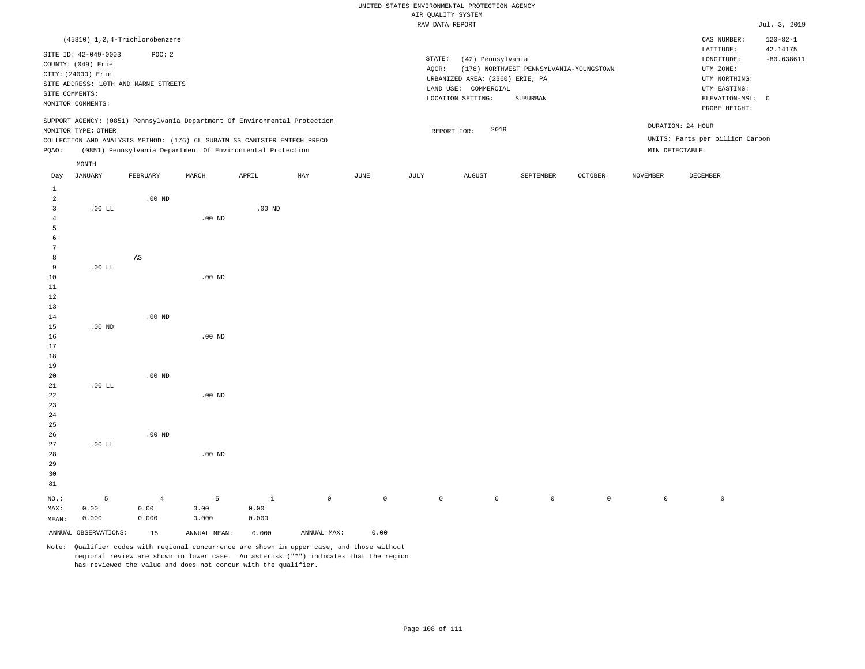# UNITED STATES ENVIRONMENTAL PROTECTION AGENCY AIR OUALITY SYSTEM

|                                      |                      |                                  |                   |                                                                            |     |      |        | WIR ÖNWATII 9191EM                                      |                                         |                |               |                                 |                            |
|--------------------------------------|----------------------|----------------------------------|-------------------|----------------------------------------------------------------------------|-----|------|--------|---------------------------------------------------------|-----------------------------------------|----------------|---------------|---------------------------------|----------------------------|
|                                      |                      |                                  |                   |                                                                            |     |      |        | RAW DATA REPORT                                         |                                         |                |               |                                 | Jul. 3, 2019               |
|                                      |                      | (45810) 1, 2, 4-Trichlorobenzene |                   |                                                                            |     |      |        |                                                         |                                         |                |               | CAS NUMBER:<br>LATITUDE:        | $120 - 82 - 1$<br>42.14175 |
|                                      | SITE ID: 42-049-0003 | POC: 2                           |                   |                                                                            |     |      | STATE: | (42) Pennsylvania                                       |                                         |                |               | LONGITUDE:                      | $-80.038611$               |
|                                      | COUNTY: (049) Erie   |                                  |                   |                                                                            |     |      | AQCR:  |                                                         | (178) NORTHWEST PENNSYLVANIA-YOUNGSTOWN |                |               | UTM ZONE:                       |                            |
| CITY: (24000) Erie                   |                      |                                  |                   |                                                                            |     |      |        |                                                         |                                         |                |               | UTM NORTHING:                   |                            |
| SITE ADDRESS: 10TH AND MARNE STREETS |                      |                                  |                   |                                                                            |     |      |        | URBANIZED AREA: (2360) ERIE, PA<br>LAND USE: COMMERCIAL | UTM EASTING:                            |                |               |                                 |                            |
| SITE COMMENTS:                       |                      |                                  |                   |                                                                            |     |      |        | LOCATION SETTING:                                       | SUBURBAN                                |                |               | ELEVATION-MSL: 0                |                            |
| MONITOR COMMENTS:                    |                      |                                  |                   |                                                                            |     |      |        |                                                         |                                         |                | PROBE HEIGHT: |                                 |                            |
|                                      |                      |                                  |                   | SUPPORT AGENCY: (0851) Pennsylvania Department Of Environmental Protection |     |      |        |                                                         |                                         |                |               | DURATION: 24 HOUR               |                            |
|                                      | MONITOR TYPE: OTHER  |                                  |                   |                                                                            |     |      |        | 2019<br>REPORT FOR:                                     |                                         |                |               |                                 |                            |
|                                      |                      |                                  |                   | COLLECTION AND ANALYSIS METHOD: (176) 6L SUBATM SS CANISTER ENTECH PRECO   |     |      |        |                                                         |                                         |                |               | UNITS: Parts per billion Carbon |                            |
| PQAO:                                |                      |                                  |                   | (0851) Pennsylvania Department Of Environmental Protection                 |     |      |        |                                                         |                                         |                |               | MIN DETECTABLE:                 |                            |
|                                      | MONTH                |                                  |                   |                                                                            |     |      |        |                                                         |                                         |                |               |                                 |                            |
| Day                                  | JANUARY              | FEBRUARY                         | MARCH             | APRIL                                                                      | MAY | JUNE | JULY   | AUGUST                                                  | SEPTEMBER                               | <b>OCTOBER</b> | NOVEMBER      | DECEMBER                        |                            |
| $\mathbf{1}$                         |                      |                                  |                   |                                                                            |     |      |        |                                                         |                                         |                |               |                                 |                            |
| $\overline{a}$                       |                      | $.00$ ND                         |                   |                                                                            |     |      |        |                                                         |                                         |                |               |                                 |                            |
| $\overline{3}$                       | .00 L                |                                  |                   | $.00$ ND                                                                   |     |      |        |                                                         |                                         |                |               |                                 |                            |
| 4                                    |                      |                                  | $.00$ ND          |                                                                            |     |      |        |                                                         |                                         |                |               |                                 |                            |
| 5                                    |                      |                                  |                   |                                                                            |     |      |        |                                                         |                                         |                |               |                                 |                            |
| 6                                    |                      |                                  |                   |                                                                            |     |      |        |                                                         |                                         |                |               |                                 |                            |
| 7                                    |                      |                                  |                   |                                                                            |     |      |        |                                                         |                                         |                |               |                                 |                            |
| 8                                    |                      | $_{\rm AS}$                      |                   |                                                                            |     |      |        |                                                         |                                         |                |               |                                 |                            |
| 9                                    | .00 L                |                                  |                   |                                                                            |     |      |        |                                                         |                                         |                |               |                                 |                            |
| 10                                   |                      |                                  | $.00$ ND          |                                                                            |     |      |        |                                                         |                                         |                |               |                                 |                            |
| 11                                   |                      |                                  |                   |                                                                            |     |      |        |                                                         |                                         |                |               |                                 |                            |
| 12                                   |                      |                                  |                   |                                                                            |     |      |        |                                                         |                                         |                |               |                                 |                            |
| 13                                   |                      |                                  |                   |                                                                            |     |      |        |                                                         |                                         |                |               |                                 |                            |
| 14<br>15                             | $.00$ ND             | $.00$ ND                         |                   |                                                                            |     |      |        |                                                         |                                         |                |               |                                 |                            |
| 16                                   |                      |                                  | $.00$ ND          |                                                                            |     |      |        |                                                         |                                         |                |               |                                 |                            |
| 17                                   |                      |                                  |                   |                                                                            |     |      |        |                                                         |                                         |                |               |                                 |                            |
| 18                                   |                      |                                  |                   |                                                                            |     |      |        |                                                         |                                         |                |               |                                 |                            |
| 19                                   |                      |                                  |                   |                                                                            |     |      |        |                                                         |                                         |                |               |                                 |                            |
| 20                                   |                      | $.00$ ND                         |                   |                                                                            |     |      |        |                                                         |                                         |                |               |                                 |                            |
| 21                                   | .00 L                |                                  |                   |                                                                            |     |      |        |                                                         |                                         |                |               |                                 |                            |
| 22                                   |                      |                                  | .00 <sub>ND</sub> |                                                                            |     |      |        |                                                         |                                         |                |               |                                 |                            |
| 23                                   |                      |                                  |                   |                                                                            |     |      |        |                                                         |                                         |                |               |                                 |                            |
| 24                                   |                      |                                  |                   |                                                                            |     |      |        |                                                         |                                         |                |               |                                 |                            |
| 25                                   |                      |                                  |                   |                                                                            |     |      |        |                                                         |                                         |                |               |                                 |                            |
| 26                                   |                      | $.00$ ND                         |                   |                                                                            |     |      |        |                                                         |                                         |                |               |                                 |                            |
|                                      |                      |                                  |                   |                                                                            |     |      |        |                                                         |                                         |                |               |                                 |                            |

Note: Qualifier codes with regional concurrence are shown in upper case, and those without regional review are shown in lower case. An asterisk ("\*") indicates that the region has reviewed the value and does not concur with the qualifier.

.00 ND

5 0.00 0.000

ANNUAL OBSERVATIONS: 15 ANNUAL MEAN: 0.000 ANNUAL MAX: 0.00

1 0.00 0.000

NO.: MAX: MEAN: .00 LL

5 0.00 0.000

4 0.00 0.000

0 0 0 0 0 0 0 0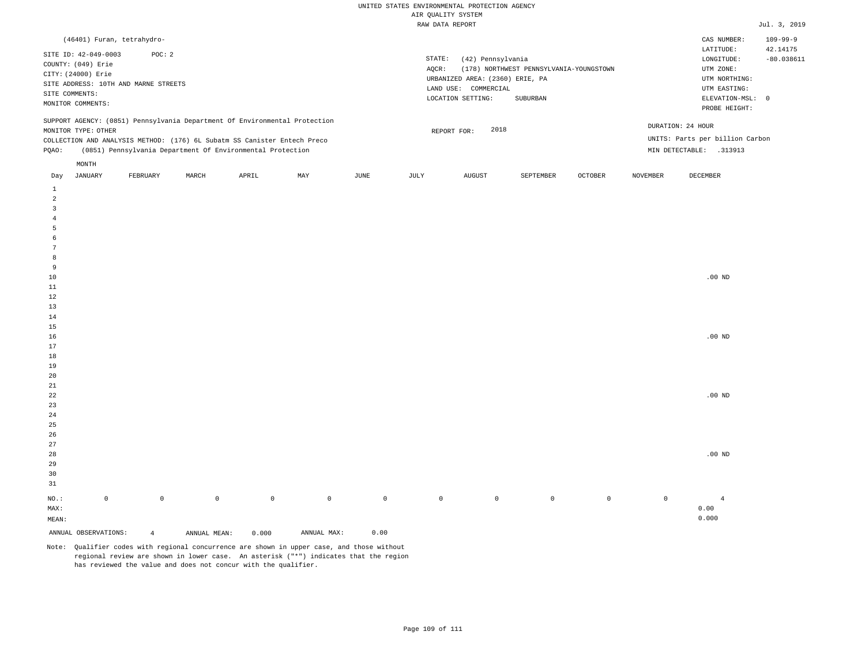### RAW DATA REPORT Jul. 3, 2019 UNITED STATES ENVIRONMENTAL PROTECTION AGENCY AIR QUALITY SYSTEM

| (46401) Furan, tetrahydro-                                                                                                                                                                                                                                    |                                                                                                                                                                             | CAS NUMBER:                                                                                                | $109 - 99 - 9$           |
|---------------------------------------------------------------------------------------------------------------------------------------------------------------------------------------------------------------------------------------------------------------|-----------------------------------------------------------------------------------------------------------------------------------------------------------------------------|------------------------------------------------------------------------------------------------------------|--------------------------|
| SITE ID: 42-049-0003<br>POC: 2<br>COUNTY: (049) Erie<br>CITY: (24000) Erie<br>SITE ADDRESS: 10TH AND MARNE STREETS<br>SITE COMMENTS:<br>MONITOR COMMENTS:                                                                                                     | STATE:<br>(42) Pennsylvania<br>(178) NORTHWEST PENNSYLVANIA-YOUNGSTOWN<br>AOCR:<br>URBANIZED AREA: (2360) ERIE, PA<br>LAND USE: COMMERCIAL<br>LOCATION SETTING:<br>SUBURBAN | LATITUDE:<br>LONGITUDE:<br>UTM ZONE:<br>UTM NORTHING:<br>UTM EASTING:<br>ELEVATION-MSL: 0<br>PROBE HEIGHT: | 42.14175<br>$-80.038611$ |
| SUPPORT AGENCY: (0851) Pennsylvania Department Of Environmental Protection<br>MONITOR TYPE: OTHER<br>COLLECTION AND ANALYSIS METHOD: (176) 6L Subatm SS Canister Entech Preco<br>(0851) Pennsylvania Department Of Environmental Protection<br>POAO:<br>MONTH | 2018<br>REPORT FOR:                                                                                                                                                         | DURATION: 24 HOUR<br>UNITS: Parts per billion Carbon<br>MIN DETECTABLE:<br>.313913                         |                          |

| Day                     | JANUARY              | FEBRUARY       | MARCH        | APRIL       | MAY         | JUNE        | JULY        | AUGUST      | SEPTEMBER   | OCTOBER     | NOVEMBER    | DECEMBER       |
|-------------------------|----------------------|----------------|--------------|-------------|-------------|-------------|-------------|-------------|-------------|-------------|-------------|----------------|
| $\mathbf{1}$            |                      |                |              |             |             |             |             |             |             |             |             |                |
| $\overline{a}$          |                      |                |              |             |             |             |             |             |             |             |             |                |
| $\overline{\mathbf{3}}$ |                      |                |              |             |             |             |             |             |             |             |             |                |
| $\overline{4}$          |                      |                |              |             |             |             |             |             |             |             |             |                |
| $\overline{5}$          |                      |                |              |             |             |             |             |             |             |             |             |                |
| 6                       |                      |                |              |             |             |             |             |             |             |             |             |                |
| $7\phantom{.0}$         |                      |                |              |             |             |             |             |             |             |             |             |                |
| 8                       |                      |                |              |             |             |             |             |             |             |             |             |                |
| 9                       |                      |                |              |             |             |             |             |             |             |             |             |                |
| $10$                    |                      |                |              |             |             |             |             |             |             |             |             | .00 $ND$       |
| $11\,$                  |                      |                |              |             |             |             |             |             |             |             |             |                |
| 12                      |                      |                |              |             |             |             |             |             |             |             |             |                |
| 13                      |                      |                |              |             |             |             |             |             |             |             |             |                |
| 14                      |                      |                |              |             |             |             |             |             |             |             |             |                |
| 15                      |                      |                |              |             |             |             |             |             |             |             |             |                |
| 16                      |                      |                |              |             |             |             |             |             |             |             |             | .00 $ND$       |
| 17                      |                      |                |              |             |             |             |             |             |             |             |             |                |
| 18                      |                      |                |              |             |             |             |             |             |             |             |             |                |
| 19                      |                      |                |              |             |             |             |             |             |             |             |             |                |
| 20                      |                      |                |              |             |             |             |             |             |             |             |             |                |
| $2\sqrt{1}$             |                      |                |              |             |             |             |             |             |             |             |             |                |
| $2\sqrt{2}$<br>23       |                      |                |              |             |             |             |             |             |             |             |             | .00 $ND$       |
| $2\,4$                  |                      |                |              |             |             |             |             |             |             |             |             |                |
| $25\,$                  |                      |                |              |             |             |             |             |             |             |             |             |                |
| 26                      |                      |                |              |             |             |             |             |             |             |             |             |                |
| 27                      |                      |                |              |             |             |             |             |             |             |             |             |                |
| 28                      |                      |                |              |             |             |             |             |             |             |             |             | $.00$ ND       |
| 29                      |                      |                |              |             |             |             |             |             |             |             |             |                |
| 30                      |                      |                |              |             |             |             |             |             |             |             |             |                |
| 31                      |                      |                |              |             |             |             |             |             |             |             |             |                |
| $_{\rm NO.}$ :          | $\mathbb O$          | $\mathbb O$    | $\mathsf{O}$ | $\mathbb O$ | $\mathbb O$ | $\mathbb O$ | $\mathbb O$ | $\mathbb O$ | $\mathbb O$ | $\mathbb O$ | $\mathbb O$ | $\overline{4}$ |
| MAX:                    |                      |                |              |             |             |             |             |             |             |             |             | 0.00           |
| MEAN:                   |                      |                |              |             |             |             |             |             |             |             |             | 0.000          |
|                         | ANNUAL OBSERVATIONS: | $\overline{4}$ | ANNUAL MEAN: | 0.000       | ANNUAL MAX: | 0.00        |             |             |             |             |             |                |

Note: Qualifier codes with regional concurrence are shown in upper case, and those without regional review are shown in lower case. An asterisk ("\*") indicates that the region has reviewed the value and does not concur with the qualifier.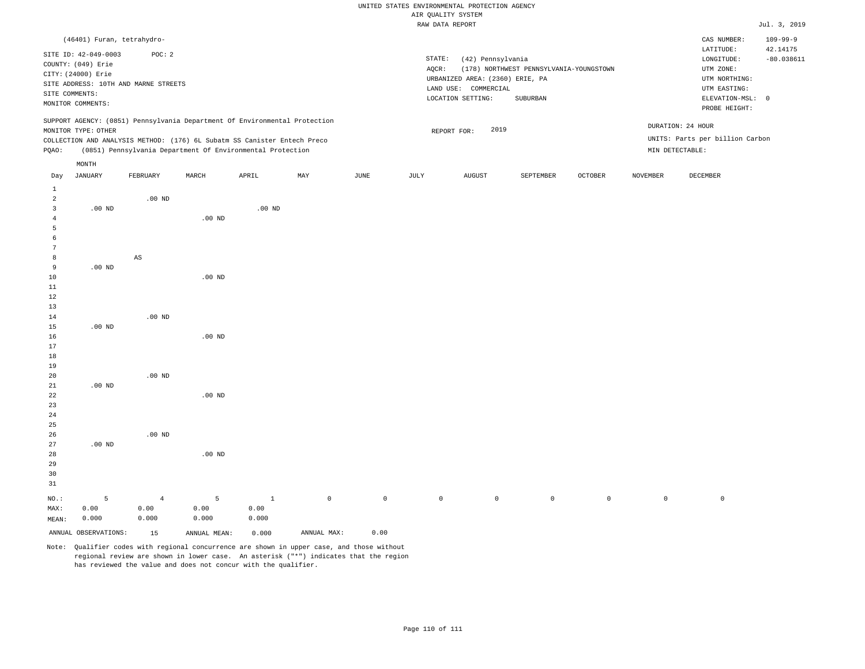# UNITED STATES ENVIRONMENTAL PROTECTION AGENCY AIR QUALITY SYSTEM

|                |                            |                                                                            |                   |          |     |      |        | $1.211$ going $1.21$ $0.101$    |                                         |                |          |                                 |                            |
|----------------|----------------------------|----------------------------------------------------------------------------|-------------------|----------|-----|------|--------|---------------------------------|-----------------------------------------|----------------|----------|---------------------------------|----------------------------|
|                |                            |                                                                            |                   |          |     |      |        | RAW DATA REPORT                 |                                         |                |          |                                 | Jul. 3, 2019               |
|                | (46401) Furan, tetrahydro- |                                                                            |                   |          |     |      |        |                                 |                                         |                |          | CAS NUMBER:<br>LATITUDE:        | $109 - 99 - 9$<br>42.14175 |
|                | SITE ID: 42-049-0003       | POC: 2                                                                     |                   |          |     |      | STATE: | (42) Pennsylvania               |                                         |                |          | LONGITUDE:                      | $-80.038611$               |
|                | COUNTY: (049) Erie         |                                                                            |                   |          |     |      | AQCR:  |                                 | (178) NORTHWEST PENNSYLVANIA-YOUNGSTOWN |                |          | UTM ZONE:                       |                            |
|                | CITY: (24000) Erie         |                                                                            |                   |          |     |      |        | URBANIZED AREA: (2360) ERIE, PA |                                         |                |          | UTM NORTHING:                   |                            |
|                |                            | SITE ADDRESS: 10TH AND MARNE STREETS                                       |                   |          |     |      |        | LAND USE: COMMERCIAL            |                                         |                |          | UTM EASTING:                    |                            |
|                | SITE COMMENTS:             |                                                                            |                   |          |     |      |        | LOCATION SETTING:               | SUBURBAN                                |                |          | ELEVATION-MSL: 0                |                            |
|                | MONITOR COMMENTS:          |                                                                            |                   |          |     |      |        |                                 |                                         |                |          | PROBE HEIGHT:                   |                            |
|                |                            | SUPPORT AGENCY: (0851) Pennsylvania Department Of Environmental Protection |                   |          |     |      |        |                                 |                                         |                |          | DURATION: 24 HOUR               |                            |
|                | MONITOR TYPE: OTHER        |                                                                            |                   |          |     |      |        | 2019<br>REPORT FOR:             |                                         |                |          |                                 |                            |
|                |                            | COLLECTION AND ANALYSIS METHOD: (176) 6L Subatm SS Canister Entech Preco   |                   |          |     |      |        |                                 |                                         |                |          | UNITS: Parts per billion Carbon |                            |
| PQAO:          |                            | (0851) Pennsylvania Department Of Environmental Protection                 |                   |          |     |      |        |                                 |                                         |                |          | MIN DETECTABLE:                 |                            |
|                | MONTH                      |                                                                            |                   |          |     |      |        |                                 |                                         |                |          |                                 |                            |
| Day            | <b>JANUARY</b>             | FEBRUARY                                                                   | MARCH             | APRIL    | MAY | JUNE | JULY   | AUGUST                          | SEPTEMBER                               | <b>OCTOBER</b> | NOVEMBER | DECEMBER                        |                            |
| $\mathbf{1}$   |                            |                                                                            |                   |          |     |      |        |                                 |                                         |                |          |                                 |                            |
| $\overline{a}$ |                            | $.00$ ND                                                                   |                   |          |     |      |        |                                 |                                         |                |          |                                 |                            |
| $\overline{3}$ | $.00$ ND                   |                                                                            |                   | $.00$ ND |     |      |        |                                 |                                         |                |          |                                 |                            |
| 4              |                            |                                                                            | .00 <sub>ND</sub> |          |     |      |        |                                 |                                         |                |          |                                 |                            |
| 5              |                            |                                                                            |                   |          |     |      |        |                                 |                                         |                |          |                                 |                            |
| 6              |                            |                                                                            |                   |          |     |      |        |                                 |                                         |                |          |                                 |                            |
| 7              |                            |                                                                            |                   |          |     |      |        |                                 |                                         |                |          |                                 |                            |
| 8              |                            | $\mathbb{A}\mathbb{S}$                                                     |                   |          |     |      |        |                                 |                                         |                |          |                                 |                            |
| $\overline{9}$ | $.00$ ND                   |                                                                            |                   |          |     |      |        |                                 |                                         |                |          |                                 |                            |
| 10             |                            |                                                                            | $.00$ ND          |          |     |      |        |                                 |                                         |                |          |                                 |                            |
| $11\,$         |                            |                                                                            |                   |          |     |      |        |                                 |                                         |                |          |                                 |                            |
| 12             |                            |                                                                            |                   |          |     |      |        |                                 |                                         |                |          |                                 |                            |
| 13             |                            |                                                                            |                   |          |     |      |        |                                 |                                         |                |          |                                 |                            |
| 14             |                            | $.00$ ND                                                                   |                   |          |     |      |        |                                 |                                         |                |          |                                 |                            |
| 15             | $.00$ ND                   |                                                                            |                   |          |     |      |        |                                 |                                         |                |          |                                 |                            |
| 16             |                            |                                                                            | .00 <sub>ND</sub> |          |     |      |        |                                 |                                         |                |          |                                 |                            |
| 17             |                            |                                                                            |                   |          |     |      |        |                                 |                                         |                |          |                                 |                            |
| 18<br>19       |                            |                                                                            |                   |          |     |      |        |                                 |                                         |                |          |                                 |                            |
| 20             |                            | $.00$ ND                                                                   |                   |          |     |      |        |                                 |                                         |                |          |                                 |                            |
| 21             | $.00$ ND                   |                                                                            |                   |          |     |      |        |                                 |                                         |                |          |                                 |                            |
| 22             |                            |                                                                            | .00 <sub>ND</sub> |          |     |      |        |                                 |                                         |                |          |                                 |                            |
| 23             |                            |                                                                            |                   |          |     |      |        |                                 |                                         |                |          |                                 |                            |
| 24             |                            |                                                                            |                   |          |     |      |        |                                 |                                         |                |          |                                 |                            |
| 25             |                            |                                                                            |                   |          |     |      |        |                                 |                                         |                |          |                                 |                            |
| 26             |                            | $.00$ ND                                                                   |                   |          |     |      |        |                                 |                                         |                |          |                                 |                            |

28 29 30 31 NO.: MAX: MEAN: 5 0.00 0.000 .00 ND 4 0.00 0.000 5 0.00 0.000 1 0.00 0.000 0 0 0 0 0 0 0 0 ANNUAL OBSERVATIONS: 15 ANNUAL MEAN: 0.000 ANNUAL MAX: 0.00

Note: Qualifier codes with regional concurrence are shown in upper case, and those without regional review are shown in lower case. An asterisk ("\*") indicates that the region has reviewed the value and does not concur with the qualifier.

27

.00 ND